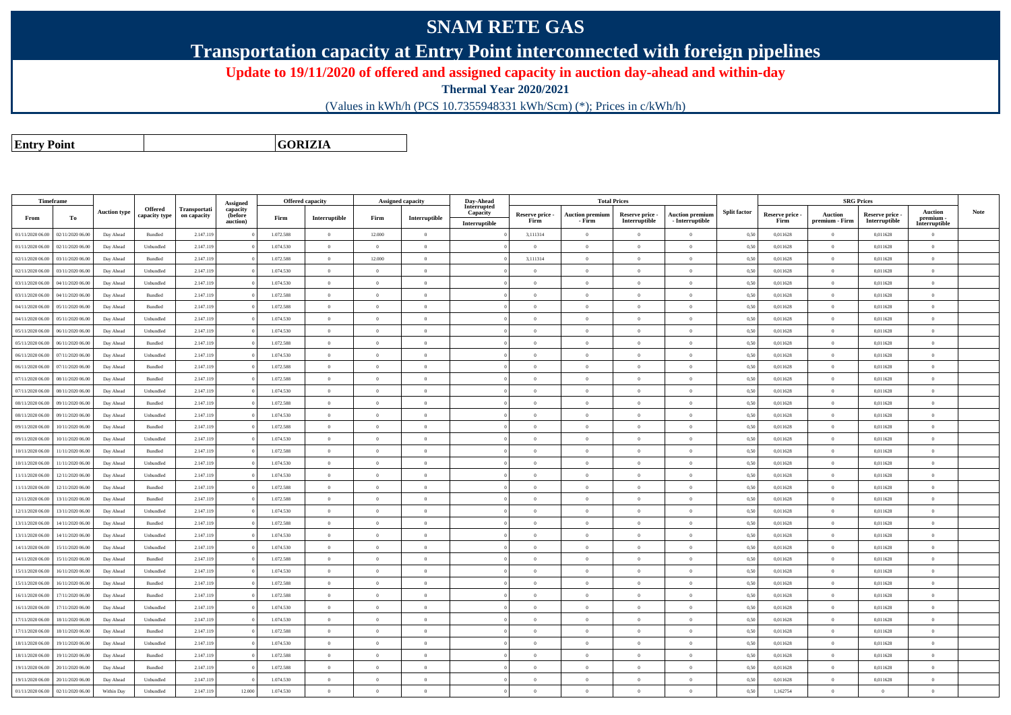## **SNAM RETE GAS**

**Transportation capacity at Entry Point interconnected with foreign pipelines**

**Update to 19/11/2020 of offered and assigned capacity in auction day-ahead and within-day**

**Thermal Year 2020/2021**

(Values in kWh/h (PCS 10.7355948331 kWh/Scm) (\*); Prices in c/kWh/h)

**Entry PointGORIZIA**

| Timeframe                            |                  |                     |                |              |                      |           | <b>Offered capacity</b> | Assigned capacity |                | Day-Ahead               |                 |                        | <b>Total Prices</b> |                        |                     |                 |                | <b>SRG Prices</b> |                            |             |
|--------------------------------------|------------------|---------------------|----------------|--------------|----------------------|-----------|-------------------------|-------------------|----------------|-------------------------|-----------------|------------------------|---------------------|------------------------|---------------------|-----------------|----------------|-------------------|----------------------------|-------------|
|                                      |                  | <b>Auction type</b> | <b>Offered</b> | Transportati | Assigned<br>capacity |           |                         |                   |                | Interrupted<br>Capacity | Reserve price - | <b>Auction premium</b> | Reserve price -     | <b>Auction premium</b> | <b>Split factor</b> | Reserve price - | Auction        | Reserve price -   | <b>Auction</b>             | <b>Note</b> |
| From                                 | To               |                     | capacity type  | on capacity  | (before<br>auction)  | Firm      | Interruptible           | Firm              | Interruptible  | Interruptible           | Firm            | - Firm                 | Interruptible       | - Interruptible        |                     | Firm            | premium - Firm | Interruptible     | premium -<br>Interruptible |             |
| 01/11/2020 06.00<br>02/11/2020 06.00 |                  | Day Ahead           | Bundled        | 2.147.119    |                      | 1.072.588 | $\overline{0}$          | 12.000            | $\overline{0}$ |                         | 3,111314        | $\theta$               | $\overline{0}$      | $\overline{0}$         | 0,50                | 0,011628        | $\overline{0}$ | 0,011628          | $\Omega$                   |             |
| 01/11/2020 06:00<br>02/11/2020 06.00 |                  | Day Ahead           | Unbundled      | 2.147.119    |                      | 1.074.530 | $\overline{0}$          | $\overline{0}$    | $\theta$       |                         | $\overline{0}$  | $\overline{0}$         | $\overline{0}$      | $\overline{0}$         | 0,50                | 0,011628        | $\overline{0}$ | 0,011628          | $\overline{0}$             |             |
| 02/11/2020 06.00<br>03/11/2020 06.00 |                  | Day Ahead           | Bundled        | 2.147.119    |                      | 1.072.588 | $\theta$                | 12.000            | $\Omega$       |                         | 3,111314        | $\theta$               | $\Omega$            | $\bf{0}$               | 0,50                | 0,011628        | $\overline{0}$ | 0,011628          | $\Omega$                   |             |
| 02/11/2020 06:00<br>03/11/2020 06.00 |                  | Day Ahead           | Unbundled      | 2.147.119    |                      | 1.074.530 | $\overline{0}$          | $\overline{0}$    | $\theta$       |                         | $\theta$        | $\overline{0}$         | $\theta$            | $\bf{0}$               | 0,50                | 0,011628        | $\overline{0}$ | 0,011628          | $\bf{0}$                   |             |
| 03/11/2020 06.00<br>04/11/2020 06.00 |                  | Day Ahead           | Unbundled      | 2.147.119    |                      | 1.074.530 | $\theta$                | $\Omega$          | $\Omega$       |                         | $\Omega$        |                        | $\Omega$            | $\Omega$               | 0,50                | 0,011628        | $\Omega$       | 0,011628          | $\Omega$                   |             |
| 03/11/2020 06:00<br>04/11/2020 06:00 |                  | Day Ahead           | Bundled        | 2.147.119    |                      | 1.072.588 | $\theta$                | $\overline{0}$    | $\theta$       |                         | $\theta$        | $\theta$               | $\overline{0}$      | $\overline{0}$         | 0,50                | 0,011628        | $\overline{0}$ | 0,011628          | $\bf{0}$                   |             |
| 04/11/2020 06.00<br>05/11/2020 06.00 |                  | Day Ahead           | Bundled        | 2.147.119    |                      | 1.072.588 | $\theta$                | $\Omega$          | $\theta$       |                         | $\theta$        | $\theta$               | $\overline{0}$      | $\overline{0}$         | 0,50                | 0,011628        | $\overline{0}$ | 0,011628          | $\Omega$                   |             |
| 04/11/2020 06:00<br>05/11/2020 06:00 |                  | Day Ahead           | Unbundled      | 2.147.119    |                      | 1.074.530 | $\overline{0}$          | $\overline{0}$    | $\theta$       |                         | $\theta$        | $\theta$               | $\overline{0}$      | $\overline{0}$         | 0.50                | 0.011628        | $\overline{0}$ | 0.011628          | $\bf{0}$                   |             |
| 05/11/2020 06:00<br>06/11/2020 06.00 |                  | Day Ahead           | Unbundled      | 2.147.119    |                      | 1.074.530 | $\theta$                | $\Omega$          | $\Omega$       |                         | $\theta$        | $\theta$               | $\theta$            | $\theta$               | 0,50                | 0.011628        | $\overline{0}$ | 0.011628          | $\Omega$                   |             |
| 05/11/2020 06:00<br>06/11/2020 06:00 |                  | Day Ahead           | Bundled        | 2.147.119    |                      | 1.072.588 | $\overline{0}$          | $\overline{0}$    | $\overline{0}$ |                         | $\overline{0}$  | $\overline{0}$         | $\overline{0}$      | $\overline{0}$         | 0,50                | 0,011628        | $\overline{0}$ | 0.011628          | $\bf{0}$                   |             |
| 06/11/2020 06:00<br>07/11/2020 06.00 |                  | Day Ahead           | Unbundled      | 2.147.119    |                      | 1.074.530 | $\overline{0}$          | $\Omega$          | $\theta$       |                         | $\overline{0}$  | $\theta$               | $\overline{0}$      | $\overline{0}$         | 0.50                | 0.011628        | $\overline{0}$ | 0.011628          | $\theta$                   |             |
| 07/11/2020 06.00<br>06/11/2020 06.00 |                  | Day Ahead           | Bundled        | 2.147.119    |                      | 1.072.588 | $\overline{0}$          | $\theta$          | $\overline{0}$ |                         | $\theta$        | $\sqrt{2}$             | $\theta$            | $\overline{0}$         | 0,50                | 0,011628        | $\,$ 0 $\,$    | 0,011628          | $\Omega$                   |             |
| 07/11/2020 06.00<br>08/11/2020 06.00 |                  | Day Ahead           | Bundled        | 2.147.119    |                      | 1.072.588 | $\theta$                | $\Omega$          | $\theta$       |                         | $\theta$        | $\sqrt{2}$             | $\theta$            | $\bf{0}$               | 0,50                | 0,011628        | $\overline{0}$ | 0,011628          | $\Omega$                   |             |
| 08/11/2020 06.00<br>07/11/2020 06.00 |                  | Day Ahead           | Unbundled      | 2.147.119    |                      | 1.074.530 | $\theta$                | $\theta$          | $\theta$       |                         | $\theta$        | $\sqrt{2}$             | $\theta$            | $\overline{0}$         | 0,50                | 0,011628        | $\overline{0}$ | 0,011628          | $\theta$                   |             |
| 08/11/2020 06:00<br>09/11/2020 06:00 |                  | Day Ahead           | Bundled        | 2.147.119    |                      | 1.072.588 | $\overline{0}$          | $\Omega$          | $\overline{0}$ |                         | $\overline{0}$  | $\theta$               | $\overline{0}$      | $\overline{0}$         | 0.50                | 0,011628        | $\overline{0}$ | 0,011628          | $\bf{0}$                   |             |
| 08/11/2020 06.00<br>09/11/2020 06.0  |                  | Day Ahead           | Unbundled      | 2.147.119    |                      | 1.074.530 | $\overline{0}$          | $\overline{0}$    | $\theta$       |                         | $\theta$        | $\theta$               | $\theta$            | $\bf{0}$               | 0,50                | 0,011628        | $\overline{0}$ | 0,011628          | $\bf{0}$                   |             |
| 09/11/2020 06.00<br>10/11/2020 06.00 |                  | Day Ahead           | Bundled        | 2.147.119    |                      | 1.072.588 | $\overline{0}$          | $\theta$          | $\theta$       |                         | $\overline{0}$  | $\theta$               | $\overline{0}$      | $\overline{0}$         | 0.50                | 0,011628        | $\overline{0}$ | 0,011628          | $\bf{0}$                   |             |
| 09/11/2020 06.00<br>10/11/2020 06.0  |                  | Day Ahead           | Unbundled      | 2.147.119    |                      | 1.074.530 | $\overline{0}$          | $\Omega$          | $\Omega$       |                         | $\Omega$        | $\mathbf{a}$           | $\Omega$            | $\bf{0}$               | 0,50                | 0,011628        | $\overline{0}$ | 0,011628          | $\Omega$                   |             |
| 10/11/2020 06:00<br>11/11/2020 06.00 |                  | Day Ahead           | Bundled        | 2.147.119    |                      | 1.072.588 | $\overline{0}$          | $\overline{0}$    | $\overline{0}$ |                         | $\theta$        | $\overline{0}$         | $\overline{0}$      | $\overline{0}$         | 0,50                | 0,011628        | $\overline{0}$ | 0,011628          | $\bf{0}$                   |             |
| 10/11/2020 06.00<br>11/11/2020 06.0  |                  | Day Ahead           | Unbundled      | 2.147.119    |                      | 1.074.530 | $\overline{0}$          | $\Omega$          | $\theta$       |                         | $\theta$        | $\mathbf{a}$           | $\theta$            | $\bf{0}$               | 0,50                | 0,011628        | $\overline{0}$ | 0,011628          | $\Omega$                   |             |
| 11/11/2020 06:00<br>12/11/2020 06.00 |                  | Day Ahead           | Unbundled      | 2.147.119    |                      | 1.074.530 | $\overline{0}$          | $\overline{0}$    | $\theta$       |                         | $\theta$        | $\overline{0}$         | $\theta$            | $\bf{0}$               | 0,50                | 0,011628        | $\overline{0}$ | 0,011628          | $\bf{0}$                   |             |
| 11/11/2020 06:00<br>12/11/2020 06:00 |                  | Day Ahead           | Bundled        | 2.147.119    |                      | 1.072.588 | $\theta$                | $\Omega$          | $\Omega$       |                         | $\Omega$        |                        | $\Omega$            | $\Omega$               | 0,50                | 0,011628        | $\overline{0}$ | 0,011628          | $\Omega$                   |             |
| 12/11/2020 06.00<br>13/11/2020 06.00 |                  | Day Ahead           | Bundled        | 2.147.119    |                      | 1.072.588 | $\overline{0}$          | $\overline{0}$    | $\theta$       |                         | $\overline{0}$  | $\overline{0}$         | $\overline{0}$      | $\overline{0}$         | 0,50                | 0,011628        | $\overline{0}$ | 0,011628          | $\bf{0}$                   |             |
| 12/11/2020 06:00                     | 13/11/2020 06.00 | Day Ahead           | Unbundled      | 2.147.119    |                      | 1.074.530 | $\theta$                | $\Omega$          | $\Omega$       |                         | $\Omega$        | $\theta$               | $\overline{0}$      | $\bf{0}$               | 0,50                | 0,011628        | $\overline{0}$ | 0,011628          | $\Omega$                   |             |
| 13/11/2020 06:00<br>14/11/2020 06:00 |                  | Day Ahead           | Bundled        | 2.147.119    |                      | 1.072.588 | $\overline{0}$          | $\Omega$          | $\theta$       |                         | $\theta$        | $\theta$               | $\overline{0}$      | $\bf{0}$               | 0.50                | 0.011628        | $\overline{0}$ | 0.011628          | $\bf{0}$                   |             |
| 13/11/2020 06:00<br>14/11/2020 06.00 |                  | Day Ahead           | Unbundled      | 2.147.119    |                      | 1.074.530 | $\theta$                | $\Omega$          | $\Omega$       |                         | $\theta$        | $\theta$               | $\Omega$            | $\Omega$               | 0,50                | 0,011628        | $\mathbf{0}$   | 0,011628          | $\Omega$                   |             |
| 14/11/2020 06:00<br>15/11/2020 06:00 |                  | Day Ahead           | Unbundled      | 2.147.119    |                      | 1.074.530 | $\theta$                | $\overline{0}$    | $\theta$       |                         | $\theta$        | $\theta$               | $\overline{0}$      | $\bf{0}$               | 0.50                | 0.011628        | $\overline{0}$ | 0.011628          | $\bf{0}$                   |             |
| 14/11/2020 06:00<br>15/11/2020 06.00 |                  | Day Ahead           | Bundled        | 2.147.119    |                      | 1.072.588 | $\theta$                | $\Omega$          | $\theta$       |                         | $\theta$        | $\theta$               | $\overline{0}$      | $\bf{0}$               | 0,50                | 0,011628        | $\overline{0}$ | 0.011628          | $\theta$                   |             |
| 15/11/2020 06:00<br>16/11/2020 06:00 |                  | Day Ahead           | Unbundled      | 2.147.119    |                      | 1.074.530 | $\theta$                | $\Omega$          | $\theta$       |                         | $\theta$        | $\theta$               | $\overline{0}$      | $\theta$               | 0.50                | 0.011628        | $\overline{0}$ | 0.011628          | $\theta$                   |             |
| 15/11/2020 06:00<br>16/11/2020 06.00 |                  | Day Ahead           | Bundled        | 2.147.119    |                      | 1.072.588 | $\theta$                | $\Omega$          | $\theta$       |                         | $\theta$        | $\theta$               | $\theta$            | $\theta$               | 0,50                | 0,011628        | $\theta$       | 0.011628          | $\theta$                   |             |
| 17/11/2020 06.00<br>16/11/2020 06.00 |                  | Day Ahead           | Bundled        | 2.147.119    |                      | 1.072.588 | $\overline{0}$          | $\theta$          | $\overline{0}$ |                         | $\overline{0}$  | $\theta$               | $\overline{0}$      | $\overline{0}$         | 0,50                | 0,011628        | $\overline{0}$ | 0.011628          | $\Omega$                   |             |
| 16/11/2020 06:00<br>17/11/2020 06.00 |                  | Day Ahead           | Unbundled      | 2.147.119    |                      | 1.074.530 | $\overline{0}$          | $\theta$          | $\overline{0}$ |                         | $\overline{0}$  | $\theta$               | $\overline{0}$      | $\theta$               | 0.50                | 0.011628        | $\overline{0}$ | 0.011628          | $\theta$                   |             |
| 17/11/2020 06:00<br>18/11/2020 06.00 |                  | Day Ahead           | Unbundled      | 2.147.119    |                      | 1.074.530 | $\overline{0}$          | $\overline{0}$    | $\overline{0}$ |                         | $\theta$        | $\theta$               | $\theta$            | $\overline{0}$         | 0,50                | 0,011628        | $\,$ 0 $\,$    | 0,011628          | $\bf{0}$                   |             |
| 17/11/2020 06:00<br>18/11/2020 06.00 |                  | Day Ahead           | Bundled        | 2.147.119    |                      | 1.072.588 | $\theta$                | $\Omega$          | $\theta$       |                         | $\theta$        | $\sqrt{2}$             | $\theta$            | $\bf{0}$               | 0.50                | 0,011628        | $\overline{0}$ | 0,011628          | $\Omega$                   |             |
| 19/11/2020 06:00<br>18/11/2020 06:00 |                  | Day Ahead           | Unbundled      | 2.147.119    |                      | 1.074.530 | $\overline{0}$          | $\theta$          | $\theta$       |                         | $\theta$        | $\sqrt{2}$             | $\overline{0}$      | $\overline{0}$         | 0,50                | 0,011628        | $\overline{0}$ | 0,011628          | $\Omega$                   |             |
| 18/11/2020 06:00<br>19/11/2020 06:00 |                  | Day Ahead           | Bundled        | 2.147.119    |                      | 1.072.588 | $\overline{0}$          | $\theta$          | $\overline{0}$ |                         | $\overline{0}$  | $\bf{0}$               | $\overline{0}$      | $\overline{0}$         | 0.50                | 0,011628        | $\overline{0}$ | 0,011628          | $\bf{0}$                   |             |
| 19/11/2020 06.00<br>20/11/2020 06.0  |                  | Day Ahead           | Bundled        | 2.147.119    |                      | 1.072.588 | $\overline{0}$          | $\Omega$          | $\theta$       |                         | $\theta$        | $\theta$               | $\overline{0}$      | $\bf{0}$               | 0,50                | 0,011628        | $\overline{0}$ | 0,011628          | $\Omega$                   |             |
| 19/11/2020 06.00<br>20/11/2020 06.00 |                  | Day Ahead           | Unbundled      | 2.147.119    |                      | 1.074.530 | $\overline{0}$          | $\Omega$          | $\theta$       |                         | $\overline{0}$  | $\theta$               | $\overline{0}$      | $\overline{0}$         | 0,50                | 0,011628        | $\overline{0}$ | 0,011628          | $\bf{0}$                   |             |
| 01/11/2020 06:00<br>02/11/2020 06.00 |                  | Within Day          | Unbundled      | 2.147.119    | 12.000               | 1.074.530 | $\overline{0}$          | $\Omega$          | $\Omega$       |                         | $\Omega$        | $\sqrt{2}$             | $\Omega$            | $\Omega$               | 0,50                | 1,162754        | $\overline{0}$ | $\Omega$          | $\bf{0}$                   |             |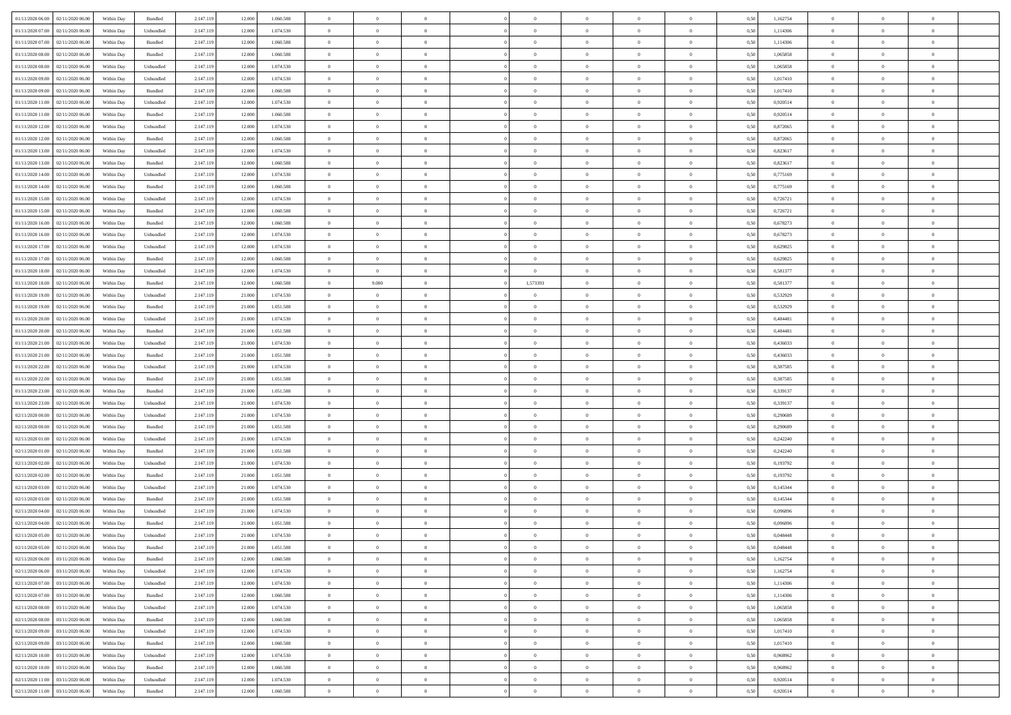| 01/11/2020 06:00 | 02/11/2020 06.00 | Within Dav | Bundled            | 2.147.119 | 12,000 | 1.060.588 | $\overline{0}$ | $\Omega$       |                | $\Omega$       | $\Omega$       | $\Omega$       | $\theta$       | 0.50 | 1,162754 | $\theta$       | $\theta$       | $\theta$       |  |
|------------------|------------------|------------|--------------------|-----------|--------|-----------|----------------|----------------|----------------|----------------|----------------|----------------|----------------|------|----------|----------------|----------------|----------------|--|
|                  |                  |            |                    |           |        |           |                |                |                |                |                |                |                |      |          |                |                |                |  |
| 01/11/2020 07.00 | 02/11/2020 06.00 | Within Day | Unbundled          | 2.147.119 | 12.000 | 1.074.530 | $\overline{0}$ | $\theta$       | $\overline{0}$ | $\overline{0}$ | $\bf{0}$       | $\overline{0}$ | $\bf{0}$       | 0,50 | 1,114306 | $\theta$       | $\theta$       | $\overline{0}$ |  |
| 01/11/2020 07.00 | 02/11/2020 06.00 | Within Day | Bundled            | 2.147.119 | 12.000 | 1.060.588 | $\overline{0}$ | $\overline{0}$ | $\overline{0}$ | $\bf{0}$       | $\bf{0}$       | $\bf{0}$       | $\mathbf{0}$   | 0,50 | 1,114306 | $\bf{0}$       | $\overline{0}$ | $\overline{0}$ |  |
| 01/11/2020 08:00 | 02/11/2020 06:00 | Within Dav | Bundled            | 2.147.119 | 12,000 | 1.060.588 | $\overline{0}$ | $\overline{0}$ | $\overline{0}$ | $\overline{0}$ | $\bf{0}$       | $\overline{0}$ | $\overline{0}$ | 0.50 | 1.065858 | $\theta$       | $\theta$       | $\overline{0}$ |  |
| 01/11/2020 08:00 | 02/11/2020 06.00 | Within Day | Unbundled          | 2.147.119 | 12.000 | 1.074.530 | $\overline{0}$ | $\theta$       | $\overline{0}$ | $\overline{0}$ | $\bf{0}$       | $\overline{0}$ | $\bf{0}$       | 0,50 | 1,065858 | $\theta$       | $\overline{0}$ | $\overline{0}$ |  |
| 01/11/2020 09.00 | 02/11/2020 06.00 | Within Day | Unbundled          | 2.147.119 | 12.000 | 1.074.530 | $\overline{0}$ | $\bf{0}$       | $\overline{0}$ | $\bf{0}$       | $\overline{0}$ | $\overline{0}$ | $\mathbf{0}$   | 0,50 | 1,017410 | $\bf{0}$       | $\overline{0}$ | $\bf{0}$       |  |
| 01/11/2020 09:00 | 02/11/2020 06:00 | Within Dav | Bundled            | 2.147.119 | 12.000 | 1.060.588 | $\overline{0}$ | $\overline{0}$ | $\overline{0}$ | $\overline{0}$ | $\overline{0}$ | $\overline{0}$ | $\overline{0}$ | 0.50 | 1,017410 | $\theta$       | $\overline{0}$ | $\overline{0}$ |  |
| 01/11/2020 11:00 | 02/11/2020 06.00 | Within Day | Unbundled          | 2.147.119 | 12.000 | 1.074.530 | $\overline{0}$ | $\theta$       | $\overline{0}$ | $\overline{0}$ | $\,$ 0         | $\overline{0}$ | $\bf{0}$       | 0,50 | 0,920514 | $\,$ 0 $\,$    | $\theta$       | $\overline{0}$ |  |
| 01/11/2020 11:00 | 02/11/2020 06.00 | Within Day | Bundled            | 2.147.119 | 12.000 | 1.060.588 | $\overline{0}$ | $\overline{0}$ | $\overline{0}$ | $\bf{0}$       | $\bf{0}$       | $\bf{0}$       | $\mathbf{0}$   | 0,50 | 0,920514 | $\,0\,$        | $\overline{0}$ | $\overline{0}$ |  |
| 01/11/2020 12:00 | 02/11/2020 06:00 | Within Dav | Unbundled          | 2.147.119 |        | 1.074.530 | $\overline{0}$ | $\overline{0}$ | $\overline{0}$ | $\overline{0}$ | $\overline{0}$ | $\overline{0}$ | $\mathbf{0}$   | 0.50 | 0,872065 | $\theta$       | $\overline{0}$ | $\overline{0}$ |  |
|                  |                  |            |                    |           | 12.000 |           |                |                |                |                |                |                |                |      |          |                |                |                |  |
| 01/11/2020 12:00 | 02/11/2020 06.00 | Within Day | Bundled            | 2.147.119 | 12.000 | 1.060.588 | $\overline{0}$ | $\theta$       | $\overline{0}$ | $\overline{0}$ | $\bf{0}$       | $\overline{0}$ | $\bf{0}$       | 0,50 | 0,872065 | $\,$ 0 $\,$    | $\overline{0}$ | $\overline{0}$ |  |
| 01/11/2020 13.00 | 02/11/2020 06.00 | Within Day | Unbundled          | 2.147.119 | 12.000 | 1.074.530 | $\overline{0}$ | $\overline{0}$ | $\overline{0}$ | $\bf{0}$       | $\bf{0}$       | $\bf{0}$       | $\mathbf{0}$   | 0,50 | 0,823617 | $\overline{0}$ | $\overline{0}$ | $\overline{0}$ |  |
| 01/11/2020 13:00 | 02/11/2020 06:00 | Within Day | Bundled            | 2.147.119 | 12.000 | 1.060.588 | $\overline{0}$ | $\overline{0}$ | $\overline{0}$ | $\overline{0}$ | $\overline{0}$ | $\overline{0}$ | $\overline{0}$ | 0.50 | 0.823617 | $\theta$       | $\theta$       | $\overline{0}$ |  |
| 01/11/2020 14:00 | 02/11/2020 06.00 | Within Day | Unbundled          | 2.147.119 | 12.000 | 1.074.530 | $\overline{0}$ | $\theta$       | $\overline{0}$ | $\overline{0}$ | $\bf{0}$       | $\overline{0}$ | $\bf{0}$       | 0,50 | 0,775169 | $\,$ 0 $\,$    | $\overline{0}$ | $\overline{0}$ |  |
| 01/11/2020 14.00 | 02/11/2020 06.00 | Within Day | Bundled            | 2.147.119 | 12.000 | 1.060.588 | $\overline{0}$ | $\overline{0}$ | $\overline{0}$ | $\bf{0}$       | $\overline{0}$ | $\overline{0}$ | $\mathbf{0}$   | 0,50 | 0,775169 | $\overline{0}$ | $\overline{0}$ | $\bf{0}$       |  |
| 01/11/2020 15:00 | 02/11/2020 06:00 | Within Dav | Unbundled          | 2.147.119 | 12.000 | 1.074.530 | $\overline{0}$ | $\overline{0}$ | $\overline{0}$ | $\overline{0}$ | $\overline{0}$ | $\overline{0}$ | $\overline{0}$ | 0.50 | 0,726721 | $\theta$       | $\overline{0}$ | $\overline{0}$ |  |
| 01/11/2020 15.00 | 02/11/2020 06.00 | Within Day | Bundled            | 2.147.119 | 12.000 | 1.060.588 | $\overline{0}$ | $\theta$       | $\overline{0}$ | $\overline{0}$ | $\bf{0}$       | $\overline{0}$ | $\bf{0}$       | 0,50 | 0,726721 | $\,$ 0 $\,$    | $\theta$       | $\overline{0}$ |  |
| 01/11/2020 16.00 | 02/11/2020 06.00 | Within Day | Bundled            | 2.147.119 | 12.000 | 1.060.588 | $\overline{0}$ | $\overline{0}$ | $\overline{0}$ | $\bf{0}$       | $\bf{0}$       | $\bf{0}$       | $\mathbf{0}$   | 0,50 | 0,678273 | $\bf{0}$       | $\overline{0}$ | $\overline{0}$ |  |
| 01/11/2020 16:00 | 02/11/2020 06:00 | Within Day | Unbundled          | 2.147.119 | 12.000 | 1.074.530 | $\overline{0}$ | $\overline{0}$ | $\overline{0}$ | $\overline{0}$ | $\overline{0}$ | $\overline{0}$ | $\overline{0}$ | 0.50 | 0,678273 | $\theta$       | $\overline{0}$ | $\overline{0}$ |  |
|                  |                  |            |                    |           |        |           | $\overline{0}$ | $\theta$       | $\overline{0}$ |                | $\bf{0}$       | $\overline{0}$ |                |      |          | $\,$ 0 $\,$    |                | $\overline{0}$ |  |
| 01/11/2020 17.00 | 02/11/2020 06.00 | Within Day | Unbundled          | 2.147.119 | 12.000 | 1.074.530 |                |                |                | $\overline{0}$ |                |                | $\bf{0}$       | 0,50 | 0,629825 |                | $\overline{0}$ |                |  |
| 01/11/2020 17.00 | 02/11/2020 06.00 | Within Day | Bundled            | 2.147.119 | 12.000 | 1.060.588 | $\overline{0}$ | $\overline{0}$ | $\overline{0}$ | $\bf{0}$       | $\bf{0}$       | $\bf{0}$       | $\mathbf{0}$   | 0,50 | 0,629825 | $\bf{0}$       | $\overline{0}$ | $\overline{0}$ |  |
| 01/11/2020 18:00 | 02/11/2020 06:00 | Within Day | Unbundled          | 2.147.119 | 12.000 | 1.074.530 | $\overline{0}$ | $\overline{0}$ | $\overline{0}$ | $\overline{0}$ | $\bf{0}$       | $\overline{0}$ | $\overline{0}$ | 0.50 | 0,581377 | $\theta$       | $\overline{0}$ | $\overline{0}$ |  |
| 01/11/2020 18.00 | 02/11/2020 06.00 | Within Day | Bundled            | 2.147.119 | 12.000 | 1.060.588 | $\overline{0}$ | 9.000          | $\overline{0}$ | 1,573393       | $\bf{0}$       | $\overline{0}$ | $\,$ 0 $\,$    | 0,50 | 0,581377 | $\,$ 0 $\,$    | $\overline{0}$ | $\overline{0}$ |  |
| 01/11/2020 19.00 | 02/11/2020 06.00 | Within Day | Unbundled          | 2.147.119 | 21.000 | 1.074.530 | $\overline{0}$ | $\bf{0}$       | $\overline{0}$ | $\bf{0}$       | $\overline{0}$ | $\overline{0}$ | $\mathbf{0}$   | 0,50 | 0,532929 | $\overline{0}$ | $\overline{0}$ | $\bf{0}$       |  |
| 01/11/2020 19:00 | 02/11/2020 06:00 | Within Dav | Bundled            | 2.147.119 | 21,000 | 1.051.588 | $\overline{0}$ | $\overline{0}$ | $\overline{0}$ | $\overline{0}$ | $\overline{0}$ | $\overline{0}$ | $\overline{0}$ | 0.50 | 0,532929 | $\overline{0}$ | $\overline{0}$ | $\overline{0}$ |  |
| 01/11/2020 20.00 | 02/11/2020 06.00 | Within Day | Unbundled          | 2.147.119 | 21.000 | 1.074.530 | $\overline{0}$ | $\theta$       | $\overline{0}$ | $\overline{0}$ | $\bf{0}$       | $\overline{0}$ | $\bf{0}$       | 0,50 | 0,484481 | $\,$ 0 $\,$    | $\theta$       | $\overline{0}$ |  |
| 01/11/2020 20.00 | 02/11/2020 06.00 | Within Day | Bundled            | 2.147.119 | 21.000 | 1.051.588 | $\overline{0}$ | $\overline{0}$ | $\overline{0}$ | $\bf{0}$       | $\bf{0}$       | $\bf{0}$       | $\mathbf{0}$   | 0,50 | 0,484481 | $\,0\,$        | $\overline{0}$ | $\overline{0}$ |  |
| 01/11/2020 21.00 | 02/11/2020 06:00 | Within Day | Unbundled          | 2.147.119 | 21,000 | 1.074.530 | $\overline{0}$ | $\overline{0}$ | $\overline{0}$ | $\overline{0}$ | $\overline{0}$ | $\overline{0}$ | $\overline{0}$ | 0.50 | 0,436033 | $\theta$       | $\overline{0}$ | $\overline{0}$ |  |
| 01/11/2020 21.00 | 02/11/2020 06.00 | Within Day | Bundled            | 2.147.119 | 21.000 | 1.051.588 | $\overline{0}$ | $\theta$       | $\overline{0}$ | $\overline{0}$ | $\,$ 0         | $\overline{0}$ | $\bf{0}$       | 0,50 | 0,436033 | $\,$ 0 $\,$    | $\overline{0}$ | $\overline{0}$ |  |
| 01/11/2020 22.00 | 02/11/2020 06.00 | Within Day | Unbundled          | 2.147.119 | 21.000 | 1.074.530 | $\overline{0}$ | $\overline{0}$ | $\overline{0}$ | $\bf{0}$       | $\bf{0}$       | $\bf{0}$       | $\mathbf{0}$   | 0,50 | 0,387585 | $\overline{0}$ | $\overline{0}$ | $\overline{0}$ |  |
|                  |                  |            |                    |           |        |           |                |                |                |                |                |                |                |      |          |                |                |                |  |
| 01/11/2020 22.00 | 02/11/2020 06.00 | Within Day | Bundled            | 2.147.119 | 21.000 | 1.051.588 | $\overline{0}$ | $\theta$       | $\overline{0}$ | $\Omega$       | $\bf{0}$       | $\overline{0}$ | $\overline{0}$ | 0,50 | 0,387585 | $\,0\,$        | $\theta$       | $\theta$       |  |
| 01/11/2020 23.00 | 02/11/2020 06.00 | Within Day | Bundled            | 2.147.119 | 21.000 | 1.051.588 | $\overline{0}$ | $\theta$       | $\overline{0}$ | $\overline{0}$ | $\,$ 0         | $\overline{0}$ | $\bf{0}$       | 0,50 | 0,339137 | $\,$ 0 $\,$    | $\overline{0}$ | $\overline{0}$ |  |
| 01/11/2020 23.00 | 02/11/2020 06.00 | Within Day | Unbundled          | 2.147.119 | 21.000 | 1.074.530 | $\overline{0}$ | $\overline{0}$ | $\overline{0}$ | $\bf{0}$       | $\overline{0}$ | $\overline{0}$ | $\mathbf{0}$   | 0,50 | 0,339137 | $\overline{0}$ | $\overline{0}$ | $\bf{0}$       |  |
| 02/11/2020 00:00 | 02/11/2020 06.00 | Within Day | Unbundled          | 2.147.119 | 21.000 | 1.074.530 | $\overline{0}$ | $\overline{0}$ | $\overline{0}$ | $\Omega$       | $\overline{0}$ | $\overline{0}$ | $\overline{0}$ | 0.50 | 0,290689 | $\,0\,$        | $\theta$       | $\overline{0}$ |  |
| 02/11/2020 00.00 | 02/11/2020 06.00 | Within Day | Bundled            | 2.147.119 | 21.000 | 1.051.588 | $\overline{0}$ | $\theta$       | $\overline{0}$ | $\overline{0}$ | $\bf{0}$       | $\overline{0}$ | $\bf{0}$       | 0,50 | 0,290689 | $\,$ 0 $\,$    | $\overline{0}$ | $\overline{0}$ |  |
| 02/11/2020 01:00 | 02/11/2020 06.00 | Within Day | Unbundled          | 2.147.119 | 21.000 | 1.074.530 | $\overline{0}$ | $\overline{0}$ | $\overline{0}$ | $\bf{0}$       | $\bf{0}$       | $\bf{0}$       | $\mathbf{0}$   | 0,50 | 0,242240 | $\bf{0}$       | $\overline{0}$ | $\overline{0}$ |  |
| 02/11/2020 01:00 | 02/11/2020 06:00 | Within Day | Bundled            | 2.147.119 | 21.000 | 1.051.588 | $\overline{0}$ | $\overline{0}$ | $\overline{0}$ | $\Omega$       | $\overline{0}$ | $\overline{0}$ | $\overline{0}$ | 0.50 | 0,242240 | $\,$ 0 $\,$    | $\theta$       | $\theta$       |  |
| 02/11/2020 02.00 | 02/11/2020 06.00 | Within Day | Unbundled          | 2.147.119 | 21.000 | 1.074.530 | $\overline{0}$ | $\theta$       | $\overline{0}$ | $\overline{0}$ | $\,$ 0         | $\overline{0}$ | $\bf{0}$       | 0,50 | 0,193792 | $\,$ 0 $\,$    | $\overline{0}$ | $\overline{0}$ |  |
| 02/11/2020 02.00 | 02/11/2020 06.00 | Within Day | Bundled            | 2.147.119 | 21.000 | 1.051.588 | $\overline{0}$ | $\overline{0}$ | $\overline{0}$ | $\bf{0}$       | $\bf{0}$       | $\bf{0}$       | $\mathbf{0}$   | 0,50 | 0,193792 | $\overline{0}$ | $\overline{0}$ | $\overline{0}$ |  |
| 02/11/2020 03:00 | 02/11/2020 06.00 | Within Day | Unbundled          | 2.147.119 | 21.000 | 1.074.530 | $\overline{0}$ | $\theta$       | $\overline{0}$ | $\Omega$       | $\bf{0}$       | $\overline{0}$ | $\overline{0}$ | 0,50 | 0,145344 | $\,0\,$        | $\theta$       | $\overline{0}$ |  |
| 02/11/2020 03:00 | 02/11/2020 06.00 | Within Day | Bundled            | 2.147.119 | 21.000 | 1.051.588 | $\overline{0}$ | $\theta$       | $\overline{0}$ | $\overline{0}$ | $\,$ 0         | $\overline{0}$ | $\bf{0}$       | 0,50 | 0,145344 | $\,$ 0 $\,$    | $\overline{0}$ | $\overline{0}$ |  |
|                  |                  |            |                    |           |        |           |                |                |                |                |                |                |                |      |          |                |                |                |  |
| 02/11/2020 04.00 | 02/11/2020 06.00 | Within Day | Unbundled          | 2.147.119 | 21.000 | 1.074.530 | $\overline{0}$ | $\overline{0}$ | $\overline{0}$ | $\bf{0}$       | $\bf{0}$       | $\overline{0}$ | $\mathbf{0}$   | 0,50 | 0,096896 | $\overline{0}$ | $\overline{0}$ | $\bf{0}$       |  |
| 02/11/2020 04:00 | 02/11/2020 06.00 | Within Day | Bundled            | 2.147.119 | 21.000 | 1.051.588 | $\overline{0}$ | $\Omega$       | $\overline{0}$ | $\Omega$       | $\bf{0}$       | $\overline{0}$ | $\overline{0}$ | 0.50 | 0.096896 | $\,0\,$        | $\theta$       | $\overline{0}$ |  |
| 02/11/2020 05.00 | 02/11/2020 06.00 | Within Day | Unbundled          | 2.147.119 | 21.000 | 1.074.530 | $\overline{0}$ | $\overline{0}$ | $\overline{0}$ | $\bf{0}$       | $\,$ 0         | $\bf{0}$       | $\bf{0}$       | 0,50 | 0,048448 | $\,0\,$        | $\,$ 0 $\,$    | $\overline{0}$ |  |
| 02/11/2020 05:00 | 02/11/2020 06.00 | Within Day | Bundled            | 2.147.119 | 21.000 | 1.051.588 | $\bf{0}$       | $\bf{0}$       |                |                |                |                |                | 0,50 | 0,048448 | $\bf{0}$       | $\overline{0}$ |                |  |
| 02/11/2020 06.00 | 03/11/2020 06:00 | Within Day | Bundled            | 2.147.119 | 12.000 | 1.060.588 | $\overline{0}$ | $\overline{0}$ | $\overline{0}$ | $\Omega$       | $\overline{0}$ | $\overline{0}$ | $\overline{0}$ | 0,50 | 1,162754 | $\theta$       | $\theta$       | $\theta$       |  |
| 02/11/2020 06.00 | 03/11/2020 06.00 | Within Day | Unbundled          | 2.147.119 | 12.000 | 1.074.530 | $\overline{0}$ | $\,$ 0         | $\overline{0}$ | $\bf{0}$       | $\,$ 0 $\,$    | $\overline{0}$ | $\mathbf{0}$   | 0,50 | 1,162754 | $\,$ 0 $\,$    | $\,$ 0 $\,$    | $\,$ 0         |  |
| 02/11/2020 07.00 | 03/11/2020 06.00 | Within Day | Unbundled          | 2.147.119 | 12.000 | 1.074.530 | $\overline{0}$ | $\overline{0}$ | $\overline{0}$ | $\overline{0}$ | $\overline{0}$ | $\overline{0}$ | $\mathbf{0}$   | 0,50 | 1,114306 | $\overline{0}$ | $\bf{0}$       | $\bf{0}$       |  |
| 02/11/2020 07.00 | 03/11/2020 06.00 | Within Day | $\mathbf B$ undled | 2.147.119 | 12.000 | 1.060.588 | $\overline{0}$ | $\overline{0}$ | $\overline{0}$ | $\Omega$       | $\overline{0}$ | $\overline{0}$ | $\overline{0}$ | 0,50 | 1,114306 | $\overline{0}$ | $\theta$       | $\overline{0}$ |  |
| 02/11/2020 08:00 | 03/11/2020 06.00 | Within Day | Unbundled          | 2.147.119 | 12.000 | 1.074.530 | $\overline{0}$ | $\,$ 0         | $\overline{0}$ | $\overline{0}$ | $\,$ 0 $\,$    | $\overline{0}$ | $\mathbf{0}$   | 0,50 | 1,065858 | $\,$ 0 $\,$    | $\overline{0}$ | $\overline{0}$ |  |
| 02/11/2020 08.00 | 03/11/2020 06.00 | Within Day | Bundled            | 2.147.119 | 12.000 | 1.060.588 | $\overline{0}$ | $\overline{0}$ | $\overline{0}$ | $\overline{0}$ | $\overline{0}$ | $\overline{0}$ | $\mathbf{0}$   | 0,50 | 1,065858 | $\overline{0}$ | $\overline{0}$ | $\bf{0}$       |  |
| 02/11/2020 09:00 | 03/11/2020 06.00 |            | Unbundled          | 2.147.119 |        | 1.074.530 | $\overline{0}$ | $\overline{0}$ | $\overline{0}$ | $\Omega$       | $\overline{0}$ | $\overline{0}$ | $\bf{0}$       | 0.50 | 1,017410 | $\overline{0}$ | $\theta$       | $\overline{0}$ |  |
|                  |                  | Within Day |                    |           | 12.000 |           |                |                |                |                |                |                |                |      |          |                |                |                |  |
| 02/11/2020 09:00 | 03/11/2020 06.00 | Within Day | Bundled            | 2.147.119 | 12.000 | 1.060.588 | $\overline{0}$ | $\overline{0}$ | $\overline{0}$ | $\bf{0}$       | $\bf{0}$       | $\bf{0}$       | $\bf{0}$       | 0,50 | 1,017410 | $\,$ 0 $\,$    | $\overline{0}$ | $\overline{0}$ |  |
| 02/11/2020 10:00 | 03/11/2020 06.00 | Within Day | Unbundled          | 2.147.119 | 12.000 | 1.074.530 | $\overline{0}$ | $\bf{0}$       | $\overline{0}$ | $\overline{0}$ | $\overline{0}$ | $\bf{0}$       | $\mathbf{0}$   | 0,50 | 0,968962 | $\overline{0}$ | $\overline{0}$ | $\bf{0}$       |  |
| 02/11/2020 10:00 | 03/11/2020 06.00 | Within Day | Bundled            | 2.147.119 | 12.000 | 1.060.588 | $\overline{0}$ | $\overline{0}$ | $\overline{0}$ | $\Omega$       | $\overline{0}$ | $\overline{0}$ | $\bf{0}$       | 0.50 | 0.968962 | $\overline{0}$ | $\theta$       | $\overline{0}$ |  |
| 02/11/2020 11:00 | 03/11/2020 06.00 | Within Day | Unbundled          | 2.147.119 | 12.000 | 1.074.530 | $\overline{0}$ | $\bf{0}$       | $\overline{0}$ | $\overline{0}$ | $\bf{0}$       | $\bf{0}$       | $\mathbf{0}$   | 0,50 | 0,920514 | $\,$ 0 $\,$    | $\,$ 0 $\,$    | $\bf{0}$       |  |
| 02/11/2020 11:00 | 03/11/2020 06.00 | Within Day | Bundled            | 2.147.119 | 12.000 | 1.060.588 | $\overline{0}$ | $\overline{0}$ | $\overline{0}$ | $\overline{0}$ | $\bf{0}$       | $\bf{0}$       | $\mathbf{0}$   | 0,50 | 0,920514 | $\overline{0}$ | $\bf{0}$       | $\bf{0}$       |  |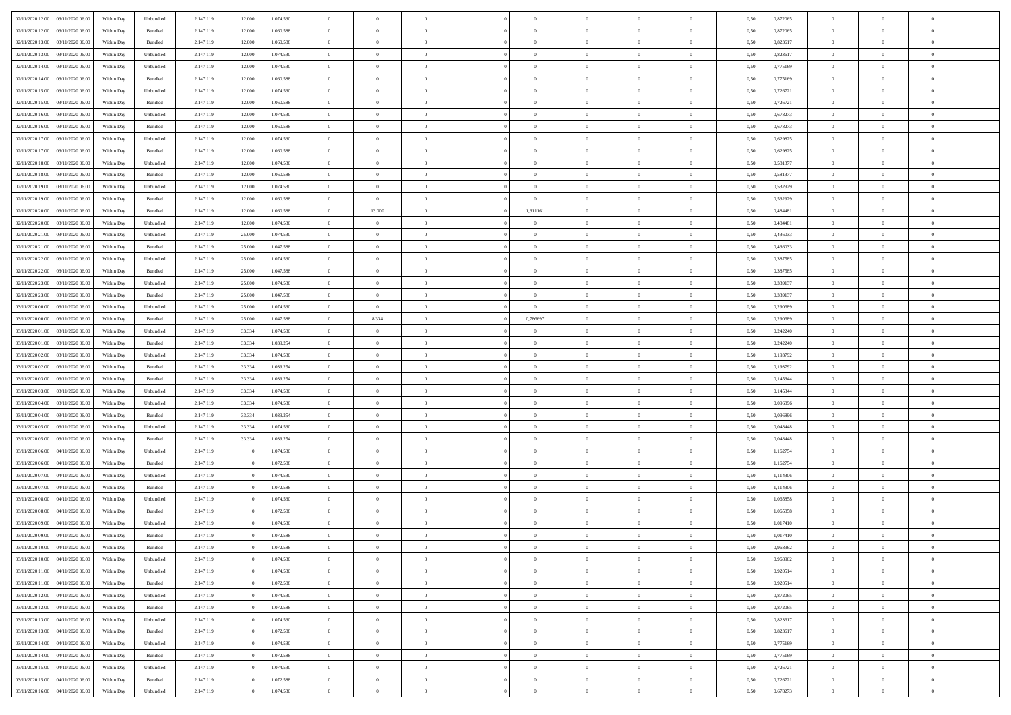| 02/11/2020 12:00 | 03/11/2020 06:00 | Within Dav | Unbundled          | 2.147.119 | 12.000 | 1.074.530 | $\overline{0}$ | $\theta$       |                | $\Omega$       | $\Omega$       | $\theta$       | $\theta$       | 0,50 | 0,872065 | $\theta$       | $\overline{0}$ | $\overline{0}$           |  |
|------------------|------------------|------------|--------------------|-----------|--------|-----------|----------------|----------------|----------------|----------------|----------------|----------------|----------------|------|----------|----------------|----------------|--------------------------|--|
|                  |                  |            |                    |           |        |           |                |                |                |                |                |                |                |      |          |                |                |                          |  |
| 02/11/2020 12:00 | 03/11/2020 06.00 | Within Day | Bundled            | 2.147.119 | 12.000 | 1.060.588 | $\overline{0}$ | $\overline{0}$ | $\overline{0}$ | $\overline{0}$ | $\bf{0}$       | $\overline{0}$ | $\,$ 0 $\,$    | 0,50 | 0,872065 | $\theta$       | $\overline{0}$ | $\overline{0}$           |  |
| 02/11/2020 13.00 | 03/11/2020 06.00 | Within Day | Bundled            | 2.147.119 | 12.000 | 1.060.588 | $\overline{0}$ | $\overline{0}$ | $\overline{0}$ | $\bf{0}$       | $\bf{0}$       | $\bf{0}$       | $\mathbf{0}$   | 0,50 | 0,823617 | $\overline{0}$ | $\overline{0}$ | $\overline{0}$           |  |
| 02/11/2020 13:00 | 03/11/2020 06:00 | Within Dav | Unbundled          | 2.147.119 | 12.000 | 1.074.530 | $\overline{0}$ | $\overline{0}$ | $\overline{0}$ | $\overline{0}$ | $\theta$       | $\overline{0}$ | $\overline{0}$ | 0.50 | 0.823617 | $\theta$       | $\overline{0}$ | $\overline{0}$           |  |
| 02/11/2020 14:00 | 03/11/2020 06.00 | Within Day | Unbundled          | 2.147.119 | 12.000 | 1.074.530 | $\overline{0}$ | $\theta$       | $\overline{0}$ | $\overline{0}$ | $\bf{0}$       | $\overline{0}$ | $\bf{0}$       | 0,50 | 0,775169 | $\,$ 0 $\,$    | $\overline{0}$ | $\overline{0}$           |  |
| 02/11/2020 14:00 | 03/11/2020 06.00 | Within Day | Bundled            | 2.147.119 | 12.000 | 1.060.588 | $\overline{0}$ | $\overline{0}$ | $\overline{0}$ | $\bf{0}$       | $\overline{0}$ | $\overline{0}$ | $\mathbf{0}$   | 0,50 | 0,775169 | $\overline{0}$ | $\overline{0}$ | $\bf{0}$                 |  |
| 02/11/2020 15:00 | 03/11/2020 06.00 | Within Dav | Unbundled          | 2.147.119 | 12.000 | 1.074.530 | $\overline{0}$ | $\overline{0}$ | $\overline{0}$ | $\overline{0}$ | $\overline{0}$ | $\overline{0}$ | $\overline{0}$ | 0.50 | 0,726721 | $\overline{0}$ | $\overline{0}$ | $\overline{0}$           |  |
| 02/11/2020 15:00 | 03/11/2020 06.00 |            |                    | 2.147.119 |        |           | $\overline{0}$ | $\theta$       | $\overline{0}$ | $\overline{0}$ | $\,$ 0         | $\overline{0}$ |                |      | 0,726721 | $\,$ 0 $\,$    | $\theta$       | $\overline{0}$           |  |
|                  |                  | Within Day | Bundled            |           | 12.000 | 1.060.588 |                |                |                |                |                |                | $\bf{0}$       | 0,50 |          |                |                |                          |  |
| 02/11/2020 16:00 | 03/11/2020 06.00 | Within Day | Unbundled          | 2.147.119 | 12.000 | 1.074.530 | $\overline{0}$ | $\overline{0}$ | $\overline{0}$ | $\bf{0}$       | $\bf{0}$       | $\bf{0}$       | $\mathbf{0}$   | 0,50 | 0,678273 | $\,0\,$        | $\overline{0}$ | $\overline{0}$           |  |
| 02/11/2020 16:00 | 03/11/2020 06.00 | Within Dav | Bundled            | 2.147.119 | 12.000 | 1.060.588 | $\overline{0}$ | $\overline{0}$ | $\overline{0}$ | $\overline{0}$ | $\overline{0}$ | $\overline{0}$ | $\mathbf{0}$   | 0.50 | 0,678273 | $\theta$       | $\overline{0}$ | $\overline{0}$           |  |
| 02/11/2020 17.00 | 03/11/2020 06.00 | Within Day | Unbundled          | 2.147.119 | 12.000 | 1.074.530 | $\overline{0}$ | $\theta$       | $\overline{0}$ | $\overline{0}$ | $\bf{0}$       | $\overline{0}$ | $\bf{0}$       | 0,50 | 0,629825 | $\,$ 0 $\,$    | $\overline{0}$ | $\overline{0}$           |  |
| 02/11/2020 17.00 | 03/11/2020 06.00 | Within Day | Bundled            | 2.147.119 | 12.000 | 1.060.588 | $\overline{0}$ | $\overline{0}$ | $\overline{0}$ | $\bf{0}$       | $\overline{0}$ | $\bf{0}$       | $\mathbf{0}$   | 0,50 | 0,629825 | $\overline{0}$ | $\overline{0}$ | $\bf{0}$                 |  |
| 02/11/2020 18:00 | 03/11/2020 06:00 | Within Day | Unbundled          | 2.147.119 | 12.000 | 1.074.530 | $\overline{0}$ | $\overline{0}$ | $\overline{0}$ | $\overline{0}$ | $\overline{0}$ | $\overline{0}$ | $\overline{0}$ | 0.50 | 0,581377 | $\theta$       | $\overline{0}$ | $\overline{0}$           |  |
| 02/11/2020 18:00 | 03/11/2020 06.00 | Within Day | Bundled            | 2.147.119 | 12.000 | 1.060.588 | $\overline{0}$ | $\theta$       | $\overline{0}$ | $\overline{0}$ | $\bf{0}$       | $\overline{0}$ | $\,$ 0 $\,$    | 0,50 | 0,581377 | $\,$ 0 $\,$    | $\overline{0}$ | $\overline{0}$           |  |
|                  |                  |            |                    |           |        |           |                |                |                |                |                |                |                |      |          |                |                | $\bf{0}$                 |  |
| 02/11/2020 19:00 | 03/11/2020 06.00 | Within Day | Unbundled          | 2.147.119 | 12.000 | 1.074.530 | $\overline{0}$ | $\overline{0}$ | $\overline{0}$ | $\bf{0}$       | $\overline{0}$ | $\overline{0}$ | $\mathbf{0}$   | 0,50 | 0,532929 | $\overline{0}$ | $\overline{0}$ |                          |  |
| 02/11/2020 19:00 | 03/11/2020 06:00 | Within Dav | Bundled            | 2.147.119 | 12.000 | 1.060.588 | $\overline{0}$ | $\overline{0}$ | $\overline{0}$ | $\overline{0}$ | $\overline{0}$ | $\overline{0}$ | $\overline{0}$ | 0.50 | 0,532929 | $\overline{0}$ | $\overline{0}$ | $\overline{0}$           |  |
| 02/11/2020 20.00 | 03/11/2020 06.00 | Within Day | Bundled            | 2.147.119 | 12.000 | 1.060.588 | $\overline{0}$ | 13.000         | $\overline{0}$ | 1,311161       | $\bf{0}$       | $\overline{0}$ | $\bf{0}$       | 0,50 | 0,484481 | $\,$ 0 $\,$    | $\overline{0}$ | $\overline{0}$           |  |
| 02/11/2020 20.00 | 03/11/2020 06.00 | Within Day | Unbundled          | 2.147.119 | 12.000 | 1.074.530 | $\overline{0}$ | $\overline{0}$ | $\overline{0}$ | $\bf{0}$       | $\overline{0}$ | $\bf{0}$       | $\mathbf{0}$   | 0,50 | 0,484481 | $\bf{0}$       | $\overline{0}$ | $\overline{0}$           |  |
| 02/11/2020 21.00 | 03/11/2020 06:00 | Within Day | Unbundled          | 2.147.119 | 25,000 | 1.074.530 | $\overline{0}$ | $\overline{0}$ | $\overline{0}$ | $\overline{0}$ | $\overline{0}$ | $\overline{0}$ | $\overline{0}$ | 0.50 | 0,436033 | $\theta$       | $\overline{0}$ | $\overline{0}$           |  |
| 02/11/2020 21.00 | 03/11/2020 06.00 | Within Day | Bundled            | 2.147.119 | 25.000 | 1.047.588 | $\overline{0}$ | $\overline{0}$ | $\overline{0}$ | $\overline{0}$ | $\,$ 0         | $\overline{0}$ | $\bf{0}$       | 0,50 | 0,436033 | $\,$ 0 $\,$    | $\overline{0}$ | $\overline{0}$           |  |
| 02/11/2020 22.00 | 03/11/2020 06.00 | Within Day | Unbundled          | 2.147.119 | 25.000 | 1.074.530 | $\overline{0}$ | $\overline{0}$ | $\overline{0}$ | $\bf{0}$       | $\bf{0}$       | $\bf{0}$       | $\mathbf{0}$   | 0,50 | 0,387585 | $\overline{0}$ | $\overline{0}$ | $\overline{\phantom{a}}$ |  |
| 02/11/2020 22.00 | 03/11/2020 06:00 | Within Day | Bundled            | 2.147.119 | 25,000 | 1.047.588 | $\overline{0}$ | $\overline{0}$ | $\overline{0}$ | $\overline{0}$ | $\overline{0}$ | $\overline{0}$ | $\overline{0}$ | 0.50 | 0,387585 | $\theta$       | $\overline{0}$ | $\overline{0}$           |  |
|                  |                  |            |                    |           |        |           |                |                |                |                |                |                |                |      |          |                |                |                          |  |
| 02/11/2020 23.00 | 03/11/2020 06.00 | Within Day | Unbundled          | 2.147.119 | 25.000 | 1.074.530 | $\overline{0}$ | $\overline{0}$ | $\overline{0}$ | $\overline{0}$ | $\bf{0}$       | $\overline{0}$ | $\,$ 0 $\,$    | 0,50 | 0,339137 | $\,$ 0 $\,$    | $\overline{0}$ | $\overline{0}$           |  |
| 02/11/2020 23.00 | 03/11/2020 06.00 | Within Day | Bundled            | 2.147.119 | 25.000 | 1.047.588 | $\overline{0}$ | $\overline{0}$ | $\overline{0}$ | $\bf{0}$       | $\overline{0}$ | $\overline{0}$ | $\mathbf{0}$   | 0,50 | 0,339137 | $\overline{0}$ | $\overline{0}$ | $\bf{0}$                 |  |
| 03/11/2020 00:00 | 03/11/2020 06.00 | Within Dav | Unbundled          | 2.147.119 | 25,000 | 1.074.530 | $\overline{0}$ | $\overline{0}$ | $\overline{0}$ | $\overline{0}$ | $\overline{0}$ | $\overline{0}$ | $\overline{0}$ | 0.50 | 0.290689 | $\overline{0}$ | $\overline{0}$ | $\overline{0}$           |  |
| 03/11/2020 00.00 | 03/11/2020 06.00 | Within Day | Bundled            | 2.147.119 | 25.000 | 1.047.588 | $\overline{0}$ | 8.334          | $\overline{0}$ | 0,786697       | $\,$ 0         | $\overline{0}$ | $\bf{0}$       | 0,50 | 0,290689 | $\,$ 0 $\,$    | $\overline{0}$ | $\overline{0}$           |  |
| 03/11/2020 01:00 | 03/11/2020 06.00 | Within Day | Unbundled          | 2.147.119 | 33.334 | 1.074.530 | $\overline{0}$ | $\overline{0}$ | $\overline{0}$ | $\bf{0}$       | $\bf{0}$       | $\bf{0}$       | $\mathbf{0}$   | 0,50 | 0,242240 | $\,0\,$        | $\overline{0}$ | $\overline{0}$           |  |
| 03/11/2020 01:00 | 03/11/2020 06:00 | Within Day | Bundled            | 2.147.119 | 33.334 | 1.039.254 | $\overline{0}$ | $\overline{0}$ | $\overline{0}$ | $\overline{0}$ | $\overline{0}$ | $\overline{0}$ | $\overline{0}$ | 0.50 | 0,242240 | $\overline{0}$ | $\overline{0}$ | $\overline{0}$           |  |
|                  |                  |            |                    |           |        |           |                |                |                |                |                |                |                |      |          |                |                |                          |  |
| 03/11/2020 02.00 | 03/11/2020 06.00 | Within Day | Unbundled          | 2.147.119 | 33.334 | 1.074.530 | $\overline{0}$ | $\overline{0}$ | $\overline{0}$ | $\overline{0}$ | $\,$ 0         | $\overline{0}$ | $\bf{0}$       | 0,50 | 0,193792 | $\,$ 0 $\,$    | $\overline{0}$ | $\overline{0}$           |  |
| 03/11/2020 02.00 | 03/11/2020 06.00 | Within Day | Bundled            | 2.147.119 | 33.334 | 1.039.254 | $\overline{0}$ | $\overline{0}$ | $\overline{0}$ | $\bf{0}$       | $\overline{0}$ | $\bf{0}$       | $\mathbf{0}$   | 0,50 | 0,193792 | $\overline{0}$ | $\overline{0}$ | $\bf{0}$                 |  |
| 03/11/2020 03:00 | 03/11/2020 06.00 | Within Day | Bundled            | 2.147.119 | 33.334 | 1.039.254 | $\overline{0}$ | $\theta$       | $\overline{0}$ | $\Omega$       | $\bf{0}$       | $\overline{0}$ | $\bf{0}$       | 0,50 | 0,145344 | $\,0\,$        | $\theta$       | $\overline{0}$           |  |
| 03/11/2020 03.00 | 03/11/2020 06.00 | Within Day | Unbundled          | 2.147.119 | 33.334 | 1.074.530 | $\overline{0}$ | $\overline{0}$ | $\overline{0}$ | $\overline{0}$ | $\bf{0}$       | $\overline{0}$ | $\,$ 0 $\,$    | 0,50 | 0,145344 | $\,$ 0 $\,$    | $\overline{0}$ | $\overline{0}$           |  |
| 03/11/2020 04.00 | 03/11/2020 06.00 | Within Day | Unbundled          | 2.147.119 | 33.334 | 1.074.530 | $\overline{0}$ | $\overline{0}$ | $\overline{0}$ | $\bf{0}$       | $\overline{0}$ | $\overline{0}$ | $\mathbf{0}$   | 0,50 | 0,096896 | $\overline{0}$ | $\overline{0}$ | $\bf{0}$                 |  |
| 03/11/2020 04.00 | 03/11/2020 06.00 | Within Day | Bundled            | 2.147.119 | 33.334 | 1.039.254 | $\overline{0}$ | $\overline{0}$ | $\overline{0}$ | $\Omega$       | $\overline{0}$ | $\overline{0}$ | $\overline{0}$ | 0.50 | 0.096896 | $\,0\,$        | $\overline{0}$ | $\overline{0}$           |  |
| 03/11/2020 05:00 | 03/11/2020 06.00 | Within Day | Unbundled          | 2.147.119 | 33.334 | 1.074.530 | $\overline{0}$ | $\theta$       | $\overline{0}$ | $\overline{0}$ | $\,$ 0         | $\overline{0}$ | $\bf{0}$       | 0,50 | 0,048448 | $\,$ 0 $\,$    | $\overline{0}$ | $\overline{0}$           |  |
|                  |                  |            |                    |           |        |           |                |                |                |                |                |                |                |      |          |                |                |                          |  |
| 03/11/2020 05.00 | 03/11/2020 06.00 | Within Day | Bundled            | 2.147.119 | 33.334 | 1.039.254 | $\overline{0}$ | $\bf{0}$       | $\overline{0}$ | $\overline{0}$ | $\bf{0}$       | $\overline{0}$ | $\mathbf{0}$   | 0,50 | 0,048448 | $\bf{0}$       | $\overline{0}$ | $\bf{0}$                 |  |
| 03/11/2020 06.00 | 04/11/2020 06.00 | Within Day | Unbundled          | 2.147.119 |        | 1.074.530 | $\overline{0}$ | $\overline{0}$ | $\overline{0}$ | $\Omega$       | $\overline{0}$ | $\overline{0}$ | $\overline{0}$ | 0.50 | 1,162754 | $\,$ 0 $\,$    | $\theta$       | $\overline{0}$           |  |
| 03/11/2020 06.00 | 04/11/2020 06.00 | Within Day | Bundled            | 2.147.119 |        | 1.072.588 | $\overline{0}$ | $\,$ 0         | $\overline{0}$ | $\overline{0}$ | $\,$ 0         | $\overline{0}$ | $\bf{0}$       | 0,50 | 1,162754 | $\,$ 0 $\,$    | $\overline{0}$ | $\overline{0}$           |  |
| 03/11/2020 07.00 | 04/11/2020 06.00 | Within Day | Unbundled          | 2.147.119 |        | 1.074.530 | $\overline{0}$ | $\overline{0}$ | $\overline{0}$ | $\overline{0}$ | $\bf{0}$       | $\overline{0}$ | $\mathbf{0}$   | 0,50 | 1,114306 | $\bf{0}$       | $\overline{0}$ | $\overline{0}$           |  |
| 03/11/2020 07.00 | 04/11/2020 06.00 | Within Day | $\mathbf B$ undled | 2.147.119 |        | 1.072.588 | $\overline{0}$ | $\theta$       | $\overline{0}$ | $\Omega$       | $\bf{0}$       | $\overline{0}$ | $\bf{0}$       | 0,50 | 1,114306 | $\,0\,$        | $\overline{0}$ | $\overline{0}$           |  |
| 03/11/2020 08:00 | 04/11/2020 06.00 | Within Day | Unbundled          | 2.147.119 |        | 1.074.530 | $\overline{0}$ | $\overline{0}$ | $\overline{0}$ | $\overline{0}$ | $\bf{0}$       | $\overline{0}$ | $\,$ 0 $\,$    | 0,50 | 1,065858 | $\,$ 0 $\,$    | $\overline{0}$ | $\overline{0}$           |  |
| 03/11/2020 08.00 | 04/11/2020 06.00 | Within Day | Bundled            | 2.147.119 |        | 1.072.588 | $\overline{0}$ | $\overline{0}$ | $\overline{0}$ | $\overline{0}$ | $\overline{0}$ | $\overline{0}$ | $\mathbf{0}$   | 0,50 | 1,065858 | $\bf{0}$       | $\overline{0}$ | $\bf{0}$                 |  |
|                  |                  |            |                    |           |        |           |                |                |                |                |                |                |                |      |          |                |                |                          |  |
| 03/11/2020 09:00 | 04/11/2020 06.00 | Within Day | Unbundled          | 2.147.119 |        | 1.074.530 | $\overline{0}$ | $\theta$       | $\overline{0}$ | $\Omega$       | $\bf{0}$       | $\overline{0}$ | $\overline{0}$ | 0.50 | 1,017410 | $\,0\,$        | $\theta$       | $\overline{0}$           |  |
| 03/11/2020 09:00 | 04/11/2020 06.00 | Within Day | Bundled            | 2.147.119 |        | 1.072.588 | $\overline{0}$ | $\overline{0}$ | $\overline{0}$ | $\bf{0}$       | $\,$ 0         | $\bf{0}$       | $\bf{0}$       | 0,50 | 1,017410 | $\,0\,$        | $\,$ 0 $\,$    | $\overline{0}$           |  |
| 03/11/2020 10:00 | 04/11/2020 06.00 | Within Day | $\mathbf B$ undled | 2.147.119 |        | 1.072.588 | $\bf{0}$       | $\bf{0}$       |                |                | $\bf{0}$       |                |                | 0,50 | 0,968962 | $\bf{0}$       | $\overline{0}$ |                          |  |
| 03/11/2020 10:00 | 04/11/2020 06:00 | Within Day | Unbundled          | 2.147.119 |        | 1.074.530 | $\overline{0}$ | $\Omega$       | $\Omega$       | $\Omega$       | $\theta$       | $\overline{0}$ | $\overline{0}$ | 0.50 | 0.968962 | $\theta$       | $\theta$       | $\theta$                 |  |
| 03/11/2020 11:00 | 04/11/2020 06.00 | Within Day | Unbundled          | 2.147.119 |        | 1.074.530 | $\overline{0}$ | $\,$ 0         | $\overline{0}$ | $\bf{0}$       | $\,$ 0 $\,$    | $\overline{0}$ | $\mathbf{0}$   | 0,50 | 0,920514 | $\,$ 0 $\,$    | $\,$ 0 $\,$    | $\,$ 0                   |  |
| 03/11/2020 11:00 | 04/11/2020 06.00 | Within Day | Bundled            | 2.147.119 |        | 1.072.588 | $\overline{0}$ | $\overline{0}$ | $\overline{0}$ | $\overline{0}$ | $\overline{0}$ | $\overline{0}$ | $\mathbf{0}$   | 0,50 | 0,920514 | $\overline{0}$ | $\bf{0}$       | $\bf{0}$                 |  |
| 03/11/2020 12:00 | 04/11/2020 06.00 | Within Day | Unbundled          | 2.147.119 |        | 1.074.530 | $\overline{0}$ | $\overline{0}$ | $\overline{0}$ | $\Omega$       | $\overline{0}$ | $\overline{0}$ | $\bf{0}$       | 0,50 | 0,872065 | $\overline{0}$ | $\theta$       | $\overline{0}$           |  |
|                  |                  |            |                    |           |        |           | $\overline{0}$ | $\,$ 0         | $\overline{0}$ | $\overline{0}$ | $\overline{0}$ |                |                |      |          | $\,$ 0 $\,$    | $\overline{0}$ | $\overline{0}$           |  |
| 03/11/2020 12:00 | 04/11/2020 06.00 | Within Day | Bundled            | 2.147.119 |        | 1.072.588 |                |                |                |                |                | $\bf{0}$       | $\bf{0}$       | 0,50 | 0,872065 |                |                |                          |  |
| 03/11/2020 13:00 | 04/11/2020 06.00 | Within Day | Unbundled          | 2.147.119 |        | 1.074.530 | $\overline{0}$ | $\overline{0}$ | $\overline{0}$ | $\overline{0}$ | $\overline{0}$ | $\overline{0}$ | $\mathbf{0}$   | 0,50 | 0,823617 | $\overline{0}$ | $\bf{0}$       | $\bf{0}$                 |  |
| 03/11/2020 13:00 | 04/11/2020 06.00 | Within Day | Bundled            | 2.147.119 |        | 1.072.588 | $\overline{0}$ | $\overline{0}$ | $\overline{0}$ | $\Omega$       | $\overline{0}$ | $\overline{0}$ | $\bf{0}$       | 0.50 | 0,823617 | $\overline{0}$ | $\theta$       | $\overline{0}$           |  |
| 03/11/2020 14:00 | 04/11/2020 06.00 | Within Day | Unbundled          | 2.147.119 |        | 1.074.530 | $\overline{0}$ | $\overline{0}$ | $\overline{0}$ | $\bf{0}$       | $\bf{0}$       | $\bf{0}$       | $\bf{0}$       | 0,50 | 0,775169 | $\,$ 0 $\,$    | $\overline{0}$ | $\overline{0}$           |  |
| 03/11/2020 14:00 | 04/11/2020 06.00 | Within Day | Bundled            | 2.147.119 |        | 1.072.588 | $\overline{0}$ | $\bf{0}$       | $\overline{0}$ | $\overline{0}$ | $\overline{0}$ | $\bf{0}$       | $\mathbf{0}$   | 0,50 | 0,775169 | $\overline{0}$ | $\overline{0}$ | $\bf{0}$                 |  |
| 03/11/2020 15:00 | 04/11/2020 06.00 | Within Day | Unbundled          | 2.147.119 |        | 1.074.530 | $\overline{0}$ | $\overline{0}$ | $\overline{0}$ | $\Omega$       | $\overline{0}$ | $\overline{0}$ | $\bf{0}$       | 0.50 | 0,726721 | $\overline{0}$ | $\theta$       | $\overline{0}$           |  |
| 03/11/2020 15:00 | 04/11/2020 06.00 | Within Day | Bundled            | 2.147.119 |        | 1.072.588 | $\overline{0}$ | $\bf{0}$       | $\overline{0}$ | $\overline{0}$ | $\bf{0}$       | $\bf{0}$       | $\mathbf{0}$   | 0,50 | 0,726721 | $\,$ 0 $\,$    | $\,$ 0 $\,$    | $\bf{0}$                 |  |
|                  |                  |            |                    |           |        |           |                |                |                |                |                |                |                |      |          |                |                |                          |  |
| 03/11/2020 16.00 | 04/11/2020 06.00 | Within Day | Unbundled          | 2.147.119 |        | 1.074.530 | $\overline{0}$ | $\overline{0}$ | $\overline{0}$ | $\overline{0}$ | $\bf{0}$       | $\bf{0}$       | $\mathbf{0}$   | 0,50 | 0,678273 | $\overline{0}$ | $\bf{0}$       | $\bf{0}$                 |  |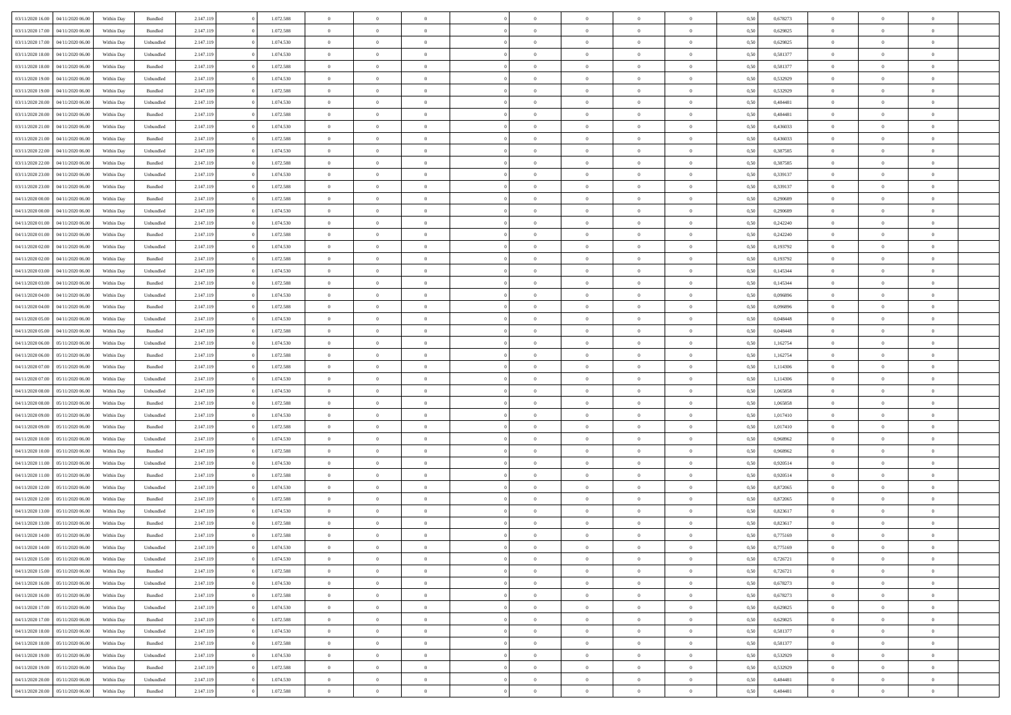| 03/11/2020 16:00 04/11/2020 06:00    | Within Day | Bundled            | 2.147.119 | 1.072.588 | $\overline{0}$ | $\overline{0}$ | $\Omega$       | $\Omega$       | $\theta$       |                | $\overline{0}$ | 0,50 | 0,678273 | $\mathbf{0}$   | $\Omega$       | $\Omega$       |  |
|--------------------------------------|------------|--------------------|-----------|-----------|----------------|----------------|----------------|----------------|----------------|----------------|----------------|------|----------|----------------|----------------|----------------|--|
| 03/11/2020 17:00<br>04/11/2020 06.00 | Within Day | $\mathbf B$ undled | 2.147.119 | 1.072.588 | $\bf{0}$       | $\overline{0}$ | $\theta$       | $\theta$       | $\overline{0}$ | $\overline{0}$ | $\,$ 0         | 0,50 | 0,629825 | $\overline{0}$ | $\theta$       | $\bf{0}$       |  |
| 03/11/2020 17:00<br>04/11/2020 06.00 | Within Day | Unbundled          | 2.147.119 | 1.074.530 | $\overline{0}$ | $\overline{0}$ | $\overline{0}$ | $\bf{0}$       | $\bf{0}$       | $\overline{0}$ | $\mathbf{0}$   | 0,50 | 0,629825 | $\bf{0}$       | $\bf{0}$       | $\overline{0}$ |  |
| 03/11/2020 18:00<br>04/11/2020 06:00 | Within Day | Unbundled          | 2.147.119 | 1.074.530 | $\overline{0}$ | $\overline{0}$ | $\overline{0}$ | $\overline{0}$ | $\overline{0}$ | $\overline{0}$ | $\overline{0}$ | 0.50 | 0.581377 | $\mathbf{0}$   | $\overline{0}$ | $\bf{0}$       |  |
| 03/11/2020 18:00<br>04/11/2020 06.00 | Within Day | Bundled            | 2.147.119 | 1.072.588 | $\bf{0}$       | $\overline{0}$ | $\overline{0}$ | $\theta$       | $\overline{0}$ | $\overline{0}$ | $\bf{0}$       | 0,50 | 0,581377 | $\theta$       | $\theta$       | $\overline{0}$ |  |
| 03/11/2020 19:00<br>04/11/2020 06.00 | Within Day | Unbundled          | 2.147.119 | 1.074.530 | $\overline{0}$ | $\overline{0}$ | $\overline{0}$ | $\bf{0}$       | $\overline{0}$ | $\overline{0}$ | $\overline{0}$ | 0,50 | 0,532929 | $\overline{0}$ | $\overline{0}$ | $\overline{0}$ |  |
| 03/11/2020 19:00<br>04/11/2020 06:00 | Within Day | Bundled            | 2.147.119 | 1.072.588 | $\overline{0}$ | $\overline{0}$ | $\overline{0}$ | $\overline{0}$ | $\overline{0}$ | $\overline{0}$ | $\overline{0}$ | 0.50 | 0.532929 | $\overline{0}$ | $\overline{0}$ | $\overline{0}$ |  |
| 03/11/2020 20:00<br>04/11/2020 06.00 | Within Day | Unbundled          | 2.147.119 | 1.074.530 | $\bf{0}$       | $\overline{0}$ | $\overline{0}$ | $\theta$       | $\overline{0}$ | $\overline{0}$ | $\bf{0}$       | 0,50 | 0,484481 | $\theta$       | $\theta$       | $\bf{0}$       |  |
|                                      |            |                    |           |           |                |                |                |                |                |                |                |      |          |                |                |                |  |
| 03/11/2020 20:00<br>04/11/2020 06.00 | Within Day | Bundled            | 2.147.119 | 1.072.588 | $\overline{0}$ | $\overline{0}$ | $\overline{0}$ | $\bf{0}$       | $\bf{0}$       | $\overline{0}$ | $\mathbf{0}$   | 0,50 | 0,484481 | $\bf{0}$       | $\bf{0}$       | $\bf{0}$       |  |
| 03/11/2020 21.00<br>04/11/2020 06.00 | Within Day | Unbundled          | 2.147.119 | 1.074.530 | $\overline{0}$ | $\overline{0}$ | $\overline{0}$ | $\overline{0}$ | $\overline{0}$ | $\overline{0}$ | $\overline{0}$ | 0.50 | 0,436033 | $\overline{0}$ | $\overline{0}$ | $\overline{0}$ |  |
| 03/11/2020 21:00<br>04/11/2020 06.00 | Within Day | Bundled            | 2.147.119 | 1.072.588 | $\bf{0}$       | $\overline{0}$ | $\overline{0}$ | $\overline{0}$ | $\overline{0}$ | $\overline{0}$ | $\,$ 0         | 0,50 | 0,436033 | $\theta$       | $\theta$       | $\bf{0}$       |  |
| 03/11/2020 22.00<br>04/11/2020 06.00 | Within Day | Unbundled          | 2.147.119 | 1.074.530 | $\overline{0}$ | $\overline{0}$ | $\overline{0}$ | $\bf{0}$       | $\overline{0}$ | $\overline{0}$ | $\mathbf{0}$   | 0,50 | 0,387585 | $\overline{0}$ | $\bf{0}$       | $\bf{0}$       |  |
| 03/11/2020 22.00<br>04/11/2020 06:00 | Within Day | Bundled            | 2.147.119 | 1.072.588 | $\overline{0}$ | $\overline{0}$ | $\overline{0}$ | $\overline{0}$ | $\overline{0}$ | $\overline{0}$ | $\overline{0}$ | 0.50 | 0.387585 | $\mathbf{0}$   | $\overline{0}$ | $\bf{0}$       |  |
| 03/11/2020 23.00<br>04/11/2020 06.00 | Within Day | Unbundled          | 2.147.119 | 1.074.530 | $\bf{0}$       | $\overline{0}$ | $\overline{0}$ | $\theta$       | $\overline{0}$ | $\overline{0}$ | $\,$ 0         | 0,50 | 0,339137 | $\theta$       | $\theta$       | $\bf{0}$       |  |
| 03/11/2020 23.00<br>04/11/2020 06.00 | Within Day | Bundled            | 2.147.119 | 1.072.588 | $\overline{0}$ | $\overline{0}$ | $\overline{0}$ | $\bf{0}$       | $\overline{0}$ | $\overline{0}$ | $\overline{0}$ | 0,50 | 0,339137 | $\overline{0}$ | $\overline{0}$ | $\overline{0}$ |  |
| 04/11/2020 00.00<br>04/11/2020 06.00 | Within Day | Bundled            | 2.147.119 | 1.072.588 | $\overline{0}$ | $\overline{0}$ | $\overline{0}$ | $\overline{0}$ | $\overline{0}$ | $\overline{0}$ | $\overline{0}$ | 0.50 | 0.290689 | $\overline{0}$ | $\overline{0}$ | $\overline{0}$ |  |
| 04/11/2020 00:00<br>04/11/2020 06.00 | Within Day | Unbundled          | 2.147.119 | 1.074.530 | $\bf{0}$       | $\overline{0}$ | $\overline{0}$ | $\overline{0}$ | $\overline{0}$ | $\overline{0}$ | $\bf{0}$       | 0,50 | 0,290689 | $\theta$       | $\theta$       | $\bf{0}$       |  |
| 04/11/2020 01:00<br>04/11/2020 06.00 | Within Day | Unbundled          | 2.147.119 | 1.074.530 | $\overline{0}$ | $\overline{0}$ | $\bf{0}$       | $\bf{0}$       | $\bf{0}$       | $\overline{0}$ | $\mathbf{0}$   | 0,50 | 0,242240 | $\bf{0}$       | $\bf{0}$       | $\bf{0}$       |  |
| 04/11/2020 01:00<br>04/11/2020 06:00 | Within Day | Bundled            | 2.147.119 | 1.072.588 | $\overline{0}$ | $\overline{0}$ | $\overline{0}$ | $\overline{0}$ | $\overline{0}$ | $\overline{0}$ | $\overline{0}$ | 0.50 | 0.242240 | $\overline{0}$ | $\overline{0}$ | $\overline{0}$ |  |
| 04/11/2020 02.00<br>04/11/2020 06.00 | Within Day | Unbundled          | 2.147.119 | 1.074.530 | $\bf{0}$       | $\overline{0}$ | $\overline{0}$ | $\overline{0}$ | $\overline{0}$ | $\overline{0}$ | $\,$ 0         | 0,50 | 0,193792 | $\theta$       | $\theta$       | $\bf{0}$       |  |
|                                      |            |                    |           |           |                |                |                |                |                |                |                |      |          |                |                |                |  |
| 04/11/2020 02.00<br>04/11/2020 06.00 | Within Day | Bundled            | 2.147.119 | 1.072.588 | $\overline{0}$ | $\overline{0}$ | $\overline{0}$ | $\bf{0}$       | $\bf{0}$       | $\overline{0}$ | $\mathbf{0}$   | 0,50 | 0,193792 | $\bf{0}$       | $\bf{0}$       | $\bf{0}$       |  |
| 04/11/2020 03.00<br>04/11/2020 06:00 | Within Day | Unbundled          | 2.147.119 | 1.074.530 | $\overline{0}$ | $\overline{0}$ | $\overline{0}$ | $\overline{0}$ | $\overline{0}$ | $\overline{0}$ | $\overline{0}$ | 0.50 | 0.145344 | $\overline{0}$ | $\overline{0}$ | $\bf{0}$       |  |
| 04/11/2020 03:00<br>04/11/2020 06.00 | Within Day | Bundled            | 2.147.119 | 1.072.588 | $\bf{0}$       | $\overline{0}$ | $\overline{0}$ | $\overline{0}$ | $\overline{0}$ | $\overline{0}$ | $\,$ 0         | 0,50 | 0,145344 | $\mathbf{0}$   | $\theta$       | $\bf{0}$       |  |
| 04/11/2020 04:00<br>04/11/2020 06.00 | Within Day | Unbundled          | 2.147.119 | 1.074.530 | $\overline{0}$ | $\overline{0}$ | $\overline{0}$ | $\bf{0}$       | $\overline{0}$ | $\overline{0}$ | $\overline{0}$ | 0,50 | 0,096896 | $\overline{0}$ | $\overline{0}$ | $\overline{0}$ |  |
| 04/11/2020 04:00<br>04/11/2020 06:00 | Within Day | Bundled            | 2.147.119 | 1.072.588 | $\overline{0}$ | $\overline{0}$ | $\overline{0}$ | $\overline{0}$ | $\overline{0}$ | $\overline{0}$ | $\overline{0}$ | 0.50 | 0.096896 | $\overline{0}$ | $\overline{0}$ | $\overline{0}$ |  |
| 04/11/2020 05:00<br>04/11/2020 06.00 | Within Day | Unbundled          | 2.147.119 | 1.074.530 | $\bf{0}$       | $\overline{0}$ | $\overline{0}$ | $\overline{0}$ | $\overline{0}$ | $\overline{0}$ | $\bf{0}$       | 0,50 | 0,048448 | $\theta$       | $\theta$       | $\bf{0}$       |  |
| 04/11/2020 05:00<br>04/11/2020 06.00 | Within Day | Bundled            | 2.147.119 | 1.072.588 | $\overline{0}$ | $\overline{0}$ | $\bf{0}$       | $\bf{0}$       | $\bf{0}$       | $\overline{0}$ | $\mathbf{0}$   | 0,50 | 0,048448 | $\bf{0}$       | $\bf{0}$       | $\bf{0}$       |  |
| 04/11/2020 06:00<br>05/11/2020 06:00 | Within Day | Unbundled          | 2.147.119 | 1.074.530 | $\overline{0}$ | $\overline{0}$ | $\overline{0}$ | $\overline{0}$ | $\overline{0}$ | $\overline{0}$ | $\overline{0}$ | 0.50 | 1,162754 | $\overline{0}$ | $\overline{0}$ | $\overline{0}$ |  |
| 04/11/2020 06.00<br>05/11/2020 06:00 | Within Day | Bundled            | 2.147.119 | 1.072.588 | $\bf{0}$       | $\overline{0}$ | $\overline{0}$ | $\overline{0}$ | $\overline{0}$ | $\overline{0}$ | $\,$ 0         | 0,50 | 1,162754 | $\bf{0}$       | $\theta$       | $\bf{0}$       |  |
| 04/11/2020 07:00<br>05/11/2020 06:00 | Within Day | Bundled            | 2.147.119 | 1.072.588 | $\overline{0}$ | $\overline{0}$ | $\overline{0}$ | $\bf{0}$       | $\bf{0}$       | $\overline{0}$ | $\mathbf{0}$   | 0,50 | 1,114306 | $\overline{0}$ | $\bf{0}$       | $\bf{0}$       |  |
| 04/11/2020 07:00<br>05/11/2020 06.00 | Within Day | Unbundled          | 2.147.119 | 1.074.530 | $\overline{0}$ | $\overline{0}$ | $\overline{0}$ | $\overline{0}$ | $\overline{0}$ | $\Omega$       | $\overline{0}$ | 0,50 | 1,114306 | $\bf{0}$       | $\Omega$       | $\Omega$       |  |
| 04/11/2020 08:00<br>05/11/2020 06.00 | Within Day | Unbundled          | 2.147.119 | 1.074.530 | $\bf{0}$       | $\overline{0}$ | $\overline{0}$ | $\theta$       | $\overline{0}$ | $\overline{0}$ | $\,$ 0         | 0,50 | 1,065858 | $\overline{0}$ | $\theta$       | $\bf{0}$       |  |
| 04/11/2020 08:00<br>05/11/2020 06:00 | Within Day | Bundled            | 2.147.119 | 1.072.588 | $\overline{0}$ | $\overline{0}$ | $\overline{0}$ | $\bf{0}$       | $\overline{0}$ | $\overline{0}$ | $\overline{0}$ | 0,50 | 1,065858 | $\overline{0}$ | $\overline{0}$ | $\overline{0}$ |  |
|                                      |            |                    |           |           |                |                |                |                |                |                |                |      |          |                |                |                |  |
| 04/11/2020 09:00<br>05/11/2020 06.00 | Within Day | Unbundled          | 2.147.119 | 1.074.530 | $\overline{0}$ | $\overline{0}$ | $\overline{0}$ | $\overline{0}$ | $\overline{0}$ | $\Omega$       | $\overline{0}$ | 0.50 | 1,017410 | $\overline{0}$ | $\Omega$       | $\Omega$       |  |
| 04/11/2020 09:00<br>05/11/2020 06:00 | Within Day | Bundled            | 2.147.119 | 1.072.588 | $\bf{0}$       | $\overline{0}$ | $\bf{0}$       | $\overline{0}$ | $\overline{0}$ | $\overline{0}$ | $\bf{0}$       | 0,50 | 1,017410 | $\overline{0}$ | $\theta$       | $\bf{0}$       |  |
| 04/11/2020 10:00<br>05/11/2020 06.00 | Within Day | Unbundled          | 2.147.119 | 1.074.530 | $\overline{0}$ | $\overline{0}$ | $\bf{0}$       | $\bf{0}$       | $\bf{0}$       | $\overline{0}$ | $\mathbf{0}$   | 0,50 | 0,968962 | $\bf{0}$       | $\bf{0}$       | $\bf{0}$       |  |
| 04/11/2020 10:00<br>05/11/2020 06:00 | Within Day | Bundled            | 2.147.119 | 1.072.588 | $\overline{0}$ | $\overline{0}$ | $\Omega$       | $\overline{0}$ | $\overline{0}$ | $\Omega$       | $\theta$       | 0.50 | 0.968962 | $\overline{0}$ | $\Omega$       | $\theta$       |  |
| 04/11/2020 11:00<br>05/11/2020 06:00 | Within Day | Unbundled          | 2.147.119 | 1.074.530 | $\bf{0}$       | $\overline{0}$ | $\bf{0}$       | $\overline{0}$ | $\overline{0}$ | $\overline{0}$ | $\,$ 0         | 0,50 | 0,920514 | $\theta$       | $\theta$       | $\bf{0}$       |  |
| 04/11/2020 11:00<br>05/11/2020 06:00 | Within Day | Bundled            | 2.147.119 | 1.072.588 | $\overline{0}$ | $\overline{0}$ | $\overline{0}$ | $\bf{0}$       | $\bf{0}$       | $\overline{0}$ | $\mathbf{0}$   | 0,50 | 0,920514 | $\overline{0}$ | $\bf{0}$       | $\bf{0}$       |  |
| 04/11/2020 12:00<br>05/11/2020 06.00 | Within Day | Unbundled          | 2.147.119 | 1.074.530 | $\overline{0}$ | $\overline{0}$ | $\overline{0}$ | $\overline{0}$ | $\bf{0}$       | $\Omega$       | $\overline{0}$ | 0,50 | 0,872065 | $\overline{0}$ | $\overline{0}$ | $\Omega$       |  |
| 04/11/2020 12:00<br>05/11/2020 06:00 | Within Day | Bundled            | 2.147.119 | 1.072.588 | $\bf{0}$       | $\overline{0}$ | $\overline{0}$ | $\overline{0}$ | $\overline{0}$ | $\overline{0}$ | $\,$ 0         | 0,50 | 0,872065 | $\bf{0}$       | $\theta$       | $\bf{0}$       |  |
| 04/11/2020 13.00<br>05/11/2020 06.00 | Within Day | Unbundled          | 2.147.119 | 1.074.530 | $\overline{0}$ | $\overline{0}$ | $\overline{0}$ | $\bf{0}$       | $\overline{0}$ | $\overline{0}$ | $\overline{0}$ | 0,50 | 0,823617 | $\bf{0}$       | $\overline{0}$ | $\overline{0}$ |  |
| 04/11/2020 13:00<br>05/11/2020 06.00 | Within Day | Bundled            | 2.147.119 | 1.072.588 | $\overline{0}$ | $\overline{0}$ | $\Omega$       | $\overline{0}$ | $\bf{0}$       | $\Omega$       | $\overline{0}$ | 0.50 | 0.823617 | $\overline{0}$ | $\Omega$       | $\overline{0}$ |  |
| 04/11/2020 14:00 05/11/2020 06:00    | Within Day | Bundled            | 2.147.119 | 1.072.588 | $\bf{0}$       | $\overline{0}$ | $\bf{0}$       | $\bf{0}$       | $\bf{0}$       | $\overline{0}$ | $\,$ 0 $\,$    | 0,50 | 0,775169 | $\bf{0}$       | $\,$ 0         | $\,$ 0         |  |
| 04/11/2020 14.00 05/11/2020 06.00    | Within Day | Unbundled          | 2.147.119 | 1.074.530 | $\bf{0}$       | $\bf{0}$       |                |                |                |                | $\bf{0}$       | 0,50 | 0,775169 | $\bf{0}$       | $\bf{0}$       |                |  |
| 04/11/2020 15:00 05/11/2020 06:00    | Within Day | Unbundled          | 2.147.119 | 1.074.530 | $\overline{0}$ | $\overline{0}$ | $\theta$       | $\overline{0}$ | $\overline{0}$ | $\theta$       | $\mathbf{0}$   | 0,50 | 0,726721 | $\overline{0}$ | $\overline{0}$ | $\Omega$       |  |
| 04/11/2020 15.00<br>05/11/2020 06:00 | Within Day | Bundled            | 2.147.119 | 1.072.588 | $\bf{0}$       | $\overline{0}$ | $\overline{0}$ | $\bf{0}$       | $\overline{0}$ | $\overline{0}$ | $\mathbf{0}$   | 0,50 | 0,726721 | $\,0\,$        | $\overline{0}$ | $\,0\,$        |  |
|                                      |            |                    |           |           |                |                |                |                |                |                |                |      |          |                |                |                |  |
| 04/11/2020 16.00 05/11/2020 06.00    | Within Day | Unbundled          | 2.147.119 | 1.074.530 | $\overline{0}$ | $\overline{0}$ | $\overline{0}$ | $\bf{0}$       | $\overline{0}$ | $\overline{0}$ | $\overline{0}$ | 0,50 | 0,678273 | $\bf{0}$       | $\overline{0}$ | $\overline{0}$ |  |
| 04/11/2020 16:00<br>05/11/2020 06:00 | Within Day | Bundled            | 2.147.119 | 1.072.588 | $\overline{0}$ | $\overline{0}$ | $\overline{0}$ | $\overline{0}$ | $\bf{0}$       | $\overline{0}$ | $\bf{0}$       | 0,50 | 0,678273 | $\overline{0}$ | $\overline{0}$ | $\overline{0}$ |  |
| 04/11/2020 17.00<br>05/11/2020 06:00 | Within Day | Unbundled          | 2.147.119 | 1.074.530 | $\overline{0}$ | $\overline{0}$ | $\overline{0}$ | $\overline{0}$ | $\overline{0}$ | $\overline{0}$ | $\,$ 0 $\,$    | 0,50 | 0,629825 | $\,0\,$        | $\theta$       | $\bf{0}$       |  |
| 04/11/2020 17:00<br>05/11/2020 06:00 | Within Day | Bundled            | 2.147.119 | 1.072.588 | $\overline{0}$ | $\overline{0}$ | $\overline{0}$ | $\bf{0}$       | $\overline{0}$ | $\overline{0}$ | $\overline{0}$ | 0,50 | 0,629825 | $\bf{0}$       | $\overline{0}$ | $\overline{0}$ |  |
| 04/11/2020 18:00<br>05/11/2020 06.00 | Within Day | Unbundled          | 2.147.119 | 1.074.530 | $\overline{0}$ | $\overline{0}$ | $\overline{0}$ | $\overline{0}$ | $\overline{0}$ | $\overline{0}$ | $\bf{0}$       | 0.50 | 0,581377 | $\overline{0}$ | $\overline{0}$ | $\overline{0}$ |  |
| 04/11/2020 18:00<br>05/11/2020 06:00 | Within Day | Bundled            | 2.147.119 | 1.072.588 | $\bf{0}$       | $\overline{0}$ | $\overline{0}$ | $\overline{0}$ | $\bf{0}$       | $\overline{0}$ | $\,$ 0 $\,$    | 0,50 | 0,581377 | $\,0\,$        | $\theta$       | $\,$ 0         |  |
| 04/11/2020 19:00<br>05/11/2020 06.00 | Within Day | Unbundled          | 2.147.119 | 1.074.530 | $\overline{0}$ | $\overline{0}$ | $\overline{0}$ | $\bf{0}$       | $\overline{0}$ | $\overline{0}$ | $\overline{0}$ | 0,50 | 0,532929 | $\overline{0}$ | $\bf{0}$       | $\overline{0}$ |  |
| 04/11/2020 19:00<br>05/11/2020 06:00 | Within Day | Bundled            | 2.147.119 | 1.072.588 | $\overline{0}$ | $\overline{0}$ | $\overline{0}$ | $\overline{0}$ | $\overline{0}$ | $\overline{0}$ | $\overline{0}$ | 0.50 | 0,532929 | $\overline{0}$ | $\overline{0}$ | $\overline{0}$ |  |
| 04/11/2020 20:00<br>05/11/2020 06:00 | Within Day | Unbundled          | 2.147.119 | 1.074.530 | $\overline{0}$ | $\overline{0}$ | $\overline{0}$ | $\bf{0}$       | $\bf{0}$       | $\bf{0}$       | $\,$ 0 $\,$    | 0,50 | 0,484481 | $\,0\,$        | $\,$ 0         | $\,$ 0         |  |
| 04/11/2020 20.00 05/11/2020 06.00    | Within Day | Bundled            | 2.147.119 | 1.072.588 | $\overline{0}$ | $\overline{0}$ | $\overline{0}$ | $\bf{0}$       | $\overline{0}$ | $\overline{0}$ | $\overline{0}$ | 0,50 | 0,484481 | $\bf{0}$       | $\bf{0}$       | $\overline{0}$ |  |
|                                      |            |                    |           |           |                |                |                |                |                |                |                |      |          |                |                |                |  |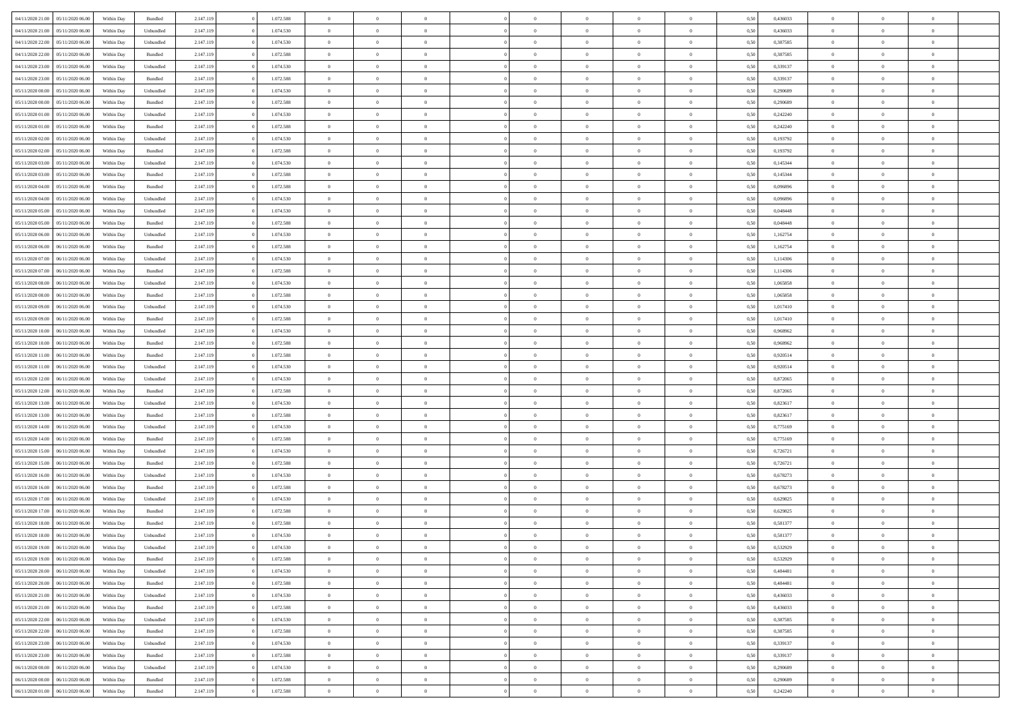| 04/11/2020 21:00 | 05/11/2020 06:00 | Within Dav | Bundled   | 2.147.119 | 1.072.588 | $\overline{0}$ | $\Omega$       |                | $\Omega$       | $\Omega$       | $\Omega$       | $\theta$       | 0.50 | 0,436033 | $\theta$       | $\theta$       | $\theta$       |  |
|------------------|------------------|------------|-----------|-----------|-----------|----------------|----------------|----------------|----------------|----------------|----------------|----------------|------|----------|----------------|----------------|----------------|--|
|                  |                  |            |           |           |           |                |                |                |                |                |                |                |      |          |                |                |                |  |
| 04/11/2020 21.00 | 05/11/2020 06.00 | Within Day | Unbundled | 2.147.119 | 1.074.530 | $\overline{0}$ | $\theta$       | $\overline{0}$ | $\overline{0}$ | $\bf{0}$       | $\overline{0}$ | $\bf{0}$       | 0,50 | 0,436033 | $\theta$       | $\theta$       | $\overline{0}$ |  |
| 04/11/2020 22.00 | 05/11/2020 06.00 | Within Day | Unbundled | 2.147.119 | 1.074.530 | $\overline{0}$ | $\overline{0}$ | $\overline{0}$ | $\bf{0}$       | $\bf{0}$       | $\bf{0}$       | $\bf{0}$       | 0,50 | 0,387585 | $\bf{0}$       | $\overline{0}$ | $\overline{0}$ |  |
| 04/11/2020 22.00 | 05/11/2020 06:00 | Within Day | Bundled   | 2.147.119 | 1.072.588 | $\overline{0}$ | $\overline{0}$ | $\overline{0}$ | $\overline{0}$ | $\bf{0}$       | $\overline{0}$ | $\overline{0}$ | 0.50 | 0,387585 | $\theta$       | $\theta$       | $\overline{0}$ |  |
| 04/11/2020 23.00 | 05/11/2020 06.00 | Within Day | Unbundled | 2.147.119 | 1.074.530 | $\overline{0}$ | $\theta$       | $\overline{0}$ | $\overline{0}$ | $\bf{0}$       | $\overline{0}$ | $\bf{0}$       | 0,50 | 0,339137 | $\theta$       | $\theta$       | $\overline{0}$ |  |
| 04/11/2020 23.00 | 05/11/2020 06.00 | Within Day | Bundled   | 2.147.119 | 1.072.588 | $\overline{0}$ | $\bf{0}$       | $\overline{0}$ | $\bf{0}$       | $\overline{0}$ | $\overline{0}$ | $\mathbf{0}$   | 0,50 | 0,339137 | $\overline{0}$ | $\overline{0}$ | $\bf{0}$       |  |
| 05/11/2020 00:00 | 05/11/2020 06:00 | Within Dav | Unbundled | 2.147.119 | 1.074.530 | $\overline{0}$ | $\overline{0}$ | $\overline{0}$ | $\overline{0}$ | $\overline{0}$ | $\overline{0}$ | $\overline{0}$ | 0.50 | 0.290689 | $\theta$       | $\overline{0}$ | $\overline{0}$ |  |
|                  |                  |            |           |           |           |                |                |                |                |                |                |                |      |          |                |                |                |  |
| 05/11/2020 00.00 | 05/11/2020 06.00 | Within Day | Bundled   | 2.147.119 | 1.072.588 | $\overline{0}$ | $\theta$       | $\overline{0}$ | $\overline{0}$ | $\bf{0}$       | $\overline{0}$ | $\bf{0}$       | 0,50 | 0,290689 | $\theta$       | $\theta$       | $\overline{0}$ |  |
| 05/11/2020 01:00 | 05/11/2020 06.00 | Within Day | Unbundled | 2.147.119 | 1.074.530 | $\overline{0}$ | $\overline{0}$ | $\overline{0}$ | $\bf{0}$       | $\bf{0}$       | $\bf{0}$       | $\bf{0}$       | 0,50 | 0,242240 | $\,0\,$        | $\overline{0}$ | $\overline{0}$ |  |
| 05/11/2020 01:00 | 05/11/2020 06:00 | Within Day | Bundled   | 2.147.119 | 1.072.588 | $\overline{0}$ | $\overline{0}$ | $\overline{0}$ | $\overline{0}$ | $\overline{0}$ | $\overline{0}$ | $\overline{0}$ | 0.50 | 0,242240 | $\theta$       | $\overline{0}$ | $\overline{0}$ |  |
| 05/11/2020 02.00 | 05/11/2020 06.00 | Within Day | Unbundled | 2.147.119 | 1.074.530 | $\overline{0}$ | $\theta$       | $\overline{0}$ | $\overline{0}$ | $\bf{0}$       | $\overline{0}$ | $\bf{0}$       | 0,50 | 0,193792 | $\,$ 0 $\,$    | $\theta$       | $\overline{0}$ |  |
| 05/11/2020 02.00 | 05/11/2020 06.00 | Within Day | Bundled   | 2.147.119 | 1.072.588 | $\overline{0}$ | $\overline{0}$ | $\overline{0}$ | $\bf{0}$       | $\bf{0}$       | $\bf{0}$       | $\mathbf{0}$   | 0,50 | 0,193792 | $\overline{0}$ | $\overline{0}$ | $\overline{0}$ |  |
| 05/11/2020 03:00 | 05/11/2020 06:00 | Within Day | Unbundled | 2.147.119 | 1.074.530 | $\overline{0}$ | $\overline{0}$ | $\overline{0}$ | $\overline{0}$ | $\bf{0}$       | $\overline{0}$ | $\overline{0}$ | 0.50 | 0,145344 | $\theta$       | $\theta$       | $\overline{0}$ |  |
| 05/11/2020 03.00 | 05/11/2020 06.00 | Within Day | Bundled   | 2.147.119 | 1.072.588 | $\overline{0}$ | $\theta$       | $\overline{0}$ | $\overline{0}$ | $\bf{0}$       | $\overline{0}$ | $\bf{0}$       | 0,50 | 0,145344 | $\theta$       | $\theta$       | $\overline{0}$ |  |
|                  |                  |            |           |           |           |                |                |                |                |                |                |                |      |          |                |                |                |  |
| 05/11/2020 04:00 | 05/11/2020 06.00 | Within Day | Bundled   | 2.147.119 | 1.072.588 | $\overline{0}$ | $\bf{0}$       | $\overline{0}$ | $\bf{0}$       | $\overline{0}$ | $\overline{0}$ | $\mathbf{0}$   | 0,50 | 0,096896 | $\overline{0}$ | $\overline{0}$ | $\bf{0}$       |  |
| 05/11/2020 04:00 | 05/11/2020 06:00 | Within Day | Unbundled | 2.147.119 | 1.074.530 | $\overline{0}$ | $\overline{0}$ | $\overline{0}$ | $\overline{0}$ | $\overline{0}$ | $\overline{0}$ | $\overline{0}$ | 0.50 | 0.096896 | $\theta$       | $\overline{0}$ | $\overline{0}$ |  |
| 05/11/2020 05:00 | 05/11/2020 06.00 | Within Day | Unbundled | 2.147.119 | 1.074.530 | $\overline{0}$ | $\theta$       | $\overline{0}$ | $\overline{0}$ | $\bf{0}$       | $\overline{0}$ | $\bf{0}$       | 0,50 | 0,048448 | $\theta$       | $\theta$       | $\overline{0}$ |  |
| 05/11/2020 05:00 | 05/11/2020 06.00 | Within Day | Bundled   | 2.147.119 | 1.072.588 | $\overline{0}$ | $\overline{0}$ | $\overline{0}$ | $\bf{0}$       | $\bf{0}$       | $\bf{0}$       | $\bf{0}$       | 0,50 | 0,048448 | $\bf{0}$       | $\overline{0}$ | $\overline{0}$ |  |
| 05/11/2020 06.00 | 06/11/2020 06:00 | Within Day | Unbundled | 2.147.119 | 1.074.530 | $\overline{0}$ | $\overline{0}$ | $\overline{0}$ | $\overline{0}$ | $\overline{0}$ | $\overline{0}$ | $\overline{0}$ | 0.50 | 1,162754 | $\theta$       | $\overline{0}$ | $\overline{0}$ |  |
| 05/11/2020 06.00 | 06/11/2020 06.00 | Within Day | Bundled   | 2.147.119 | 1.072.588 | $\overline{0}$ | $\theta$       | $\overline{0}$ | $\overline{0}$ | $\bf{0}$       | $\overline{0}$ | $\bf{0}$       | 0,50 | 1,162754 | $\,$ 0 $\,$    | $\theta$       | $\overline{0}$ |  |
| 05/11/2020 07.00 | 06/11/2020 06.00 | Within Day | Unbundled | 2.147.119 | 1.074.530 | $\overline{0}$ | $\overline{0}$ | $\overline{0}$ | $\bf{0}$       | $\bf{0}$       | $\bf{0}$       | $\bf{0}$       | 0,50 | 1,114306 | $\,0\,$        | $\overline{0}$ | $\overline{0}$ |  |
| 05/11/2020 07.00 | 06/11/2020 06:00 | Within Day | Bundled   | 2.147.119 | 1.072.588 | $\overline{0}$ | $\overline{0}$ | $\overline{0}$ | $\overline{0}$ | $\bf{0}$       | $\overline{0}$ | $\overline{0}$ | 0.50 | 1,114306 | $\theta$       | $\theta$       | $\overline{0}$ |  |
|                  |                  |            |           |           |           |                |                |                |                |                |                |                |      |          |                |                |                |  |
| 05/11/2020 08:00 | 06/11/2020 06.00 | Within Day | Unbundled | 2.147.119 | 1.074.530 | $\overline{0}$ | $\theta$       | $\overline{0}$ | $\overline{0}$ | $\bf{0}$       | $\overline{0}$ | $\bf{0}$       | 0,50 | 1,065858 | $\,$ 0 $\,$    | $\overline{0}$ | $\overline{0}$ |  |
| 05/11/2020 08.00 | 06/11/2020 06.00 | Within Day | Bundled   | 2.147.119 | 1.072.588 | $\overline{0}$ | $\bf{0}$       | $\overline{0}$ | $\bf{0}$       | $\overline{0}$ | $\overline{0}$ | $\mathbf{0}$   | 0,50 | 1,065858 | $\overline{0}$ | $\overline{0}$ | $\bf{0}$       |  |
| 05/11/2020 09:00 | 06/11/2020 06:00 | Within Day | Unbundled | 2.147.119 | 1.074.530 | $\overline{0}$ | $\overline{0}$ | $\overline{0}$ | $\overline{0}$ | $\overline{0}$ | $\overline{0}$ | $\overline{0}$ | 0.50 | 1,017410 | $\theta$       | $\overline{0}$ | $\overline{0}$ |  |
| 05/11/2020 09:00 | 06/11/2020 06.00 | Within Day | Bundled   | 2.147.119 | 1.072.588 | $\overline{0}$ | $\theta$       | $\overline{0}$ | $\overline{0}$ | $\bf{0}$       | $\overline{0}$ | $\bf{0}$       | 0,50 | 1,017410 | $\theta$       | $\theta$       | $\overline{0}$ |  |
| 05/11/2020 10:00 | 06/11/2020 06.00 | Within Day | Unbundled | 2.147.119 | 1.074.530 | $\overline{0}$ | $\overline{0}$ | $\overline{0}$ | $\bf{0}$       | $\bf{0}$       | $\bf{0}$       | $\bf{0}$       | 0,50 | 0,968962 | $\,0\,$        | $\overline{0}$ | $\overline{0}$ |  |
| 05/11/2020 10:00 | 06/11/2020 06:00 | Within Day | Bundled   | 2.147.119 | 1.072.588 | $\overline{0}$ | $\overline{0}$ | $\overline{0}$ | $\overline{0}$ | $\overline{0}$ | $\overline{0}$ | $\overline{0}$ | 0.50 | 0.968962 | $\theta$       | $\overline{0}$ | $\overline{0}$ |  |
| 05/11/2020 11:00 | 06/11/2020 06.00 | Within Day | Bundled   | 2.147.119 | 1.072.588 | $\overline{0}$ | $\theta$       | $\overline{0}$ | $\overline{0}$ | $\bf{0}$       | $\overline{0}$ | $\bf{0}$       | 0,50 | 0,920514 | $\,$ 0 $\,$    | $\overline{0}$ | $\overline{0}$ |  |
|                  |                  |            |           |           |           |                |                |                |                |                |                |                |      |          |                |                |                |  |
| 05/11/2020 11:00 | 06/11/2020 06.00 | Within Day | Unbundled | 2.147.119 | 1.074.530 | $\overline{0}$ | $\overline{0}$ | $\overline{0}$ | $\bf{0}$       | $\bf{0}$       | $\bf{0}$       | $\bf{0}$       | 0,50 | 0,920514 | $\bf{0}$       | $\overline{0}$ | $\overline{0}$ |  |
| 05/11/2020 12:00 | 06/11/2020 06.00 | Within Day | Unbundled | 2.147.119 | 1.074.530 | $\overline{0}$ | $\Omega$       | $\overline{0}$ | $\Omega$       | $\Omega$       | $\overline{0}$ | $\overline{0}$ | 0,50 | 0,872065 | $\,0\,$        | $\theta$       | $\theta$       |  |
| 05/11/2020 12:00 | 06/11/2020 06.00 | Within Day | Bundled   | 2.147.119 | 1.072.588 | $\overline{0}$ | $\theta$       | $\overline{0}$ | $\overline{0}$ | $\bf{0}$       | $\overline{0}$ | $\bf{0}$       | 0,50 | 0,872065 | $\theta$       | $\theta$       | $\overline{0}$ |  |
| 05/11/2020 13.00 | 06/11/2020 06.00 | Within Day | Unbundled | 2.147.119 | 1.074.530 | $\overline{0}$ | $\overline{0}$ | $\overline{0}$ | $\bf{0}$       | $\bf{0}$       | $\overline{0}$ | $\mathbf{0}$   | 0,50 | 0,823617 | $\overline{0}$ | $\overline{0}$ | $\bf{0}$       |  |
| 05/11/2020 13:00 | 06/11/2020 06.00 | Within Day | Bundled   | 2.147.119 | 1.072.588 | $\overline{0}$ | $\Omega$       | $\Omega$       | $\Omega$       | $\bf{0}$       | $\overline{0}$ | $\overline{0}$ | 0.50 | 0,823617 | $\,0\,$        | $\theta$       | $\theta$       |  |
| 05/11/2020 14:00 | 06/11/2020 06.00 | Within Day | Unbundled | 2.147.119 | 1.074.530 | $\overline{0}$ | $\theta$       | $\overline{0}$ | $\overline{0}$ | $\bf{0}$       | $\overline{0}$ | $\bf{0}$       | 0,50 | 0,775169 | $\,$ 0 $\,$    | $\theta$       | $\overline{0}$ |  |
| 05/11/2020 14:00 | 06/11/2020 06.00 | Within Day | Bundled   | 2.147.119 | 1.072.588 | $\overline{0}$ | $\overline{0}$ | $\overline{0}$ | $\bf{0}$       | $\bf{0}$       | $\bf{0}$       | $\bf{0}$       | 0,50 | 0,775169 | $\bf{0}$       | $\overline{0}$ | $\overline{0}$ |  |
| 05/11/2020 15:00 | 06/11/2020 06.00 | Within Day | Unbundled | 2.147.119 | 1.074.530 | $\overline{0}$ | $\Omega$       | $\Omega$       | $\Omega$       | $\overline{0}$ | $\overline{0}$ | $\overline{0}$ | 0.50 | 0,726721 | $\,0\,$        | $\theta$       | $\theta$       |  |
| 05/11/2020 15:00 | 06/11/2020 06.00 | Within Day | Bundled   | 2.147.119 | 1.072.588 | $\overline{0}$ | $\theta$       | $\overline{0}$ | $\overline{0}$ | $\,$ 0         | $\overline{0}$ | $\bf{0}$       | 0,50 | 0,726721 | $\,$ 0 $\,$    | $\overline{0}$ | $\overline{0}$ |  |
|                  |                  |            |           |           |           |                |                |                |                |                |                |                |      |          |                |                |                |  |
| 05/11/2020 16.00 | 06/11/2020 06.00 | Within Day | Unbundled | 2.147.119 | 1.074.530 | $\overline{0}$ | $\overline{0}$ | $\overline{0}$ | $\bf{0}$       | $\bf{0}$       | $\bf{0}$       | $\bf{0}$       | 0,50 | 0,678273 | $\overline{0}$ | $\overline{0}$ | $\overline{0}$ |  |
| 05/11/2020 16:00 | 06/11/2020 06.00 | Within Day | Bundled   | 2.147.119 | 1.072.588 | $\overline{0}$ | $\Omega$       | $\overline{0}$ | $\Omega$       | $\overline{0}$ | $\overline{0}$ | $\overline{0}$ | 0,50 | 0,678273 | $\,0\,$        | $\theta$       | $\theta$       |  |
| 05/11/2020 17.00 | 06/11/2020 06.00 | Within Day | Unbundled | 2.147.119 | 1.074.530 | $\overline{0}$ | $\theta$       | $\overline{0}$ | $\overline{0}$ | $\,$ 0         | $\overline{0}$ | $\bf{0}$       | 0,50 | 0,629825 | $\,$ 0 $\,$    | $\overline{0}$ | $\overline{0}$ |  |
| 05/11/2020 17:00 | 06/11/2020 06.00 | Within Day | Bundled   | 2.147.119 | 1.072.588 | $\overline{0}$ | $\overline{0}$ | $\overline{0}$ | $\bf{0}$       | $\bf{0}$       | $\bf{0}$       | $\mathbf{0}$   | 0,50 | 0,629825 | $\overline{0}$ | $\overline{0}$ | $\bf{0}$       |  |
| 05/11/2020 18:00 | 06/11/2020 06.00 | Within Day | Bundled   | 2.147.119 | 1.072.588 | $\overline{0}$ | $\Omega$       | $\Omega$       | $\Omega$       | $\Omega$       | $\overline{0}$ | $\overline{0}$ | 0.50 | 0,581377 | $\theta$       | $\theta$       | $\theta$       |  |
| 05/11/2020 18:00 | 06/11/2020 06.00 | Within Day | Unbundled | 2.147.119 | 1.074.530 | $\overline{0}$ | $\,$ 0 $\,$    | $\overline{0}$ | $\bf{0}$       | $\,$ 0         | $\bf{0}$       | $\bf{0}$       | 0,50 | 0,581377 | $\,0\,$        | $\overline{0}$ | $\overline{0}$ |  |
| 05/11/2020 19:00 | 06/11/2020 06.00 | Within Day | Unbundled | 2.147.119 | 1.074.530 | $\bf{0}$       | $\bf{0}$       |                |                | $\bf{0}$       |                |                | 0,50 | 0,532929 | $\bf{0}$       | $\overline{0}$ |                |  |
| 05/11/2020 19:00 | 06/11/2020 06:00 | Within Day | Bundled   | 2.147.119 | 1.072.588 | $\overline{0}$ | $\overline{0}$ | $\overline{0}$ | $\Omega$       | $\overline{0}$ | $\overline{0}$ | $\overline{0}$ | 0,50 | 0,532929 | $\theta$       | $\theta$       | $\theta$       |  |
|                  |                  |            |           |           |           |                | $\,$ 0         |                |                | $\,$ 0 $\,$    |                |                |      |          | $\,$ 0 $\,$    | $\,$ 0 $\,$    | $\,$ 0         |  |
| 05/11/2020 20.00 | 06/11/2020 06.00 | Within Day | Unbundled | 2.147.119 | 1.074.530 | $\overline{0}$ |                | $\overline{0}$ | $\bf{0}$       |                | $\overline{0}$ | $\mathbf{0}$   | 0,50 | 0,484481 |                |                |                |  |
| 05/11/2020 20.00 | 06/11/2020 06.00 | Within Day | Bundled   | 2.147.119 | 1.072.588 | $\overline{0}$ | $\overline{0}$ | $\overline{0}$ | $\overline{0}$ | $\overline{0}$ | $\overline{0}$ | $\mathbf{0}$   | 0,50 | 0,484481 | $\overline{0}$ | $\bf{0}$       | $\bf{0}$       |  |
| 05/11/2020 21.00 | 06/11/2020 06.00 | Within Day | Unbundled | 2.147.119 | 1.074.530 | $\overline{0}$ | $\overline{0}$ | $\overline{0}$ | $\Omega$       | $\overline{0}$ | $\overline{0}$ | $\overline{0}$ | 0,50 | 0,436033 | $\overline{0}$ | $\theta$       | $\overline{0}$ |  |
| 05/11/2020 21.00 | 06/11/2020 06.00 | Within Day | Bundled   | 2.147.119 | 1.072.588 | $\overline{0}$ | $\,$ 0         | $\overline{0}$ | $\overline{0}$ | $\,$ 0 $\,$    | $\overline{0}$ | $\mathbf{0}$   | 0,50 | 0,436033 | $\,$ 0 $\,$    | $\overline{0}$ | $\overline{0}$ |  |
| 05/11/2020 22.00 | 06/11/2020 06.00 | Within Day | Unbundled | 2.147.119 | 1.074.530 | $\overline{0}$ | $\overline{0}$ | $\overline{0}$ | $\overline{0}$ | $\overline{0}$ | $\overline{0}$ | $\mathbf{0}$   | 0,50 | 0,387585 | $\overline{0}$ | $\overline{0}$ | $\bf{0}$       |  |
| 05/11/2020 22.00 | 06/11/2020 06.00 | Within Day | Bundled   | 2.147.119 | 1.072.588 | $\overline{0}$ | $\overline{0}$ | $\overline{0}$ | $\Omega$       | $\overline{0}$ | $\overline{0}$ | $\bf{0}$       | 0.50 | 0,387585 | $\overline{0}$ | $\theta$       | $\overline{0}$ |  |
| 05/11/2020 23.00 | 06/11/2020 06.00 | Within Day | Unbundled | 2.147.119 | 1.074.530 | $\overline{0}$ | $\,$ 0         | $\overline{0}$ | $\bf{0}$       | $\bf{0}$       | $\bf{0}$       | $\bf{0}$       | 0,50 | 0,339137 | $\,$ 0 $\,$    | $\overline{0}$ | $\overline{0}$ |  |
| 05/11/2020 23.00 | 06/11/2020 06.00 | Within Day | Bundled   | 2.147.119 | 1.072.588 | $\overline{0}$ | $\bf{0}$       | $\overline{0}$ | $\overline{0}$ | $\overline{0}$ | $\overline{0}$ | $\mathbf{0}$   | 0,50 | 0,339137 | $\overline{0}$ | $\overline{0}$ | $\bf{0}$       |  |
|                  |                  |            |           |           |           |                |                |                |                |                |                |                |      |          |                |                |                |  |
| 06/11/2020 00.00 | 06/11/2020 06.00 | Within Day | Unbundled | 2.147.119 | 1.074.530 | $\overline{0}$ | $\overline{0}$ | $\overline{0}$ | $\Omega$       | $\overline{0}$ | $\overline{0}$ | $\bf{0}$       | 0.50 | 0,290689 | $\overline{0}$ | $\theta$       | $\overline{0}$ |  |
| 06/11/2020 00.00 | 06/11/2020 06.00 | Within Day | Bundled   | 2.147.119 | 1.072.588 | $\overline{0}$ | $\bf{0}$       | $\overline{0}$ | $\overline{0}$ | $\bf{0}$       | $\bf{0}$       | $\mathbf{0}$   | 0,50 | 0,290689 | $\,$ 0 $\,$    | $\,$ 0 $\,$    | $\bf{0}$       |  |
| 06/11/2020 01.00 | 06/11/2020 06.00 | Within Day | Bundled   | 2.147.119 | 1.072.588 | $\overline{0}$ | $\overline{0}$ | $\overline{0}$ | $\overline{0}$ | $\bf{0}$       | $\bf{0}$       | $\mathbf{0}$   | 0,50 | 0,242240 | $\overline{0}$ | $\bf{0}$       | $\bf{0}$       |  |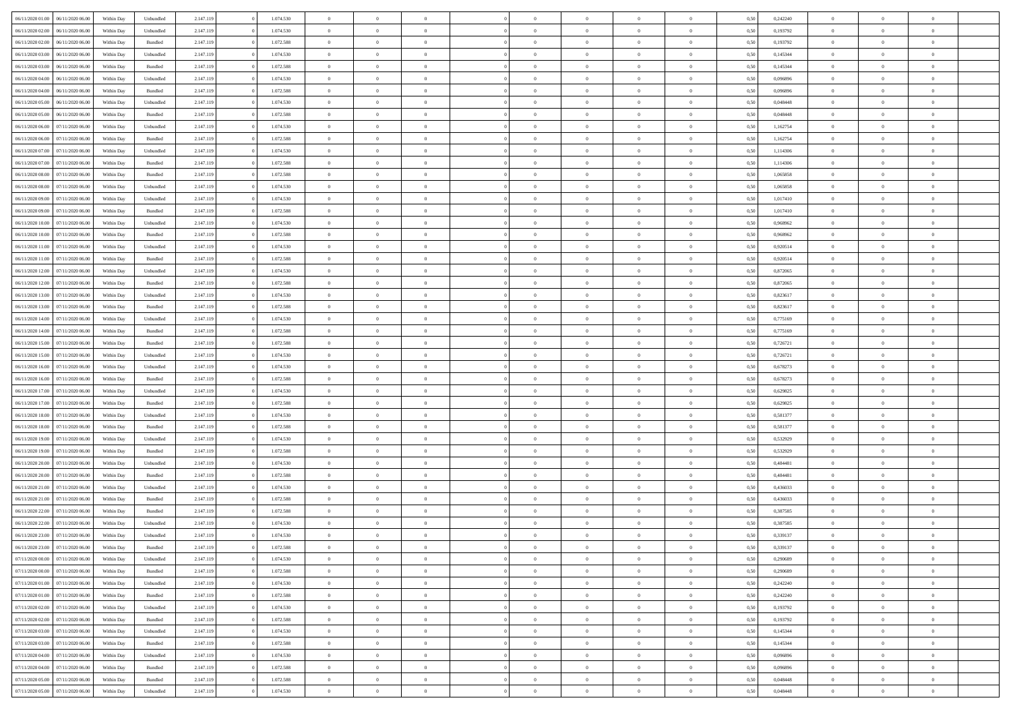| 06/11/2020 01:00 06/11/2020 06:00    | Within Day | Unbundled          | 2.147.119 | 1.074.530 | $\overline{0}$ | $\overline{0}$ | $\Omega$       | $\Omega$       | $\Omega$       |                | $\overline{0}$ | 0,50 | 0,242240 | $\mathbf{0}$   | $\Omega$       | $\Omega$       |  |
|--------------------------------------|------------|--------------------|-----------|-----------|----------------|----------------|----------------|----------------|----------------|----------------|----------------|------|----------|----------------|----------------|----------------|--|
| 06/11/2020 02.00<br>06/11/2020 06.00 | Within Day | Unbundled          | 2.147.119 | 1.074.530 | $\bf{0}$       | $\overline{0}$ | $\theta$       | $\theta$       | $\overline{0}$ | $\overline{0}$ | $\,$ 0         | 0,50 | 0,193792 | $\theta$       | $\theta$       | $\bf{0}$       |  |
| 06/11/2020 02.00<br>06/11/2020 06.00 | Within Day | Bundled            | 2.147.119 | 1.072.588 | $\overline{0}$ | $\overline{0}$ | $\overline{0}$ | $\bf{0}$       | $\bf{0}$       | $\overline{0}$ | $\mathbf{0}$   | 0,50 | 0,193792 | $\bf{0}$       | $\bf{0}$       | $\bf{0}$       |  |
| 06/11/2020 03:00<br>06/11/2020 06:00 | Within Day | Unbundled          | 2.147.119 | 1.074.530 | $\overline{0}$ | $\overline{0}$ | $\overline{0}$ | $\overline{0}$ | $\overline{0}$ | $\Omega$       | $\overline{0}$ | 0.50 | 0,145344 | $\overline{0}$ | $\overline{0}$ | $\bf{0}$       |  |
| 06/11/2020 03:00<br>06/11/2020 06.00 | Within Day | $\mathbf B$ undled | 2.147.119 | 1.072.588 | $\bf{0}$       | $\overline{0}$ | $\theta$       | $\theta$       | $\overline{0}$ | $\overline{0}$ | $\bf{0}$       | 0,50 | 0,145344 | $\theta$       | $\theta$       | $\overline{0}$ |  |
| 06/11/2020 04:00<br>06/11/2020 06.00 | Within Day | Unbundled          | 2.147.119 | 1.074.530 | $\overline{0}$ | $\overline{0}$ | $\overline{0}$ | $\bf{0}$       | $\overline{0}$ | $\overline{0}$ | $\overline{0}$ | 0,50 | 0,096896 | $\overline{0}$ | $\bf{0}$       | $\overline{0}$ |  |
| 06/11/2020 04:00<br>06/11/2020 06:00 | Within Day | Bundled            | 2.147.119 | 1.072.588 | $\overline{0}$ | $\overline{0}$ | $\overline{0}$ | $\overline{0}$ | $\overline{0}$ | $\overline{0}$ | $\overline{0}$ | 0.50 | 0.096896 | $\overline{0}$ | $\overline{0}$ | $\overline{0}$ |  |
|                                      |            |                    |           |           |                |                |                |                |                |                |                |      |          |                |                |                |  |
| 06/11/2020 05:00<br>06/11/2020 06.00 | Within Day | Unbundled          | 2.147.119 | 1.074.530 | $\bf{0}$       | $\overline{0}$ | $\overline{0}$ | $\theta$       | $\overline{0}$ | $\overline{0}$ | $\bf{0}$       | 0,50 | 0,048448 | $\theta$       | $\theta$       | $\bf{0}$       |  |
| 06/11/2020 05:00<br>06/11/2020 06.00 | Within Day | Bundled            | 2.147.119 | 1.072.588 | $\overline{0}$ | $\overline{0}$ | $\bf{0}$       | $\bf{0}$       | $\bf{0}$       | $\overline{0}$ | $\bf{0}$       | 0,50 | 0,048448 | $\bf{0}$       | $\bf{0}$       | $\bf{0}$       |  |
| 06/11/2020 06:00<br>07/11/2020 06.00 | Within Day | Unbundled          | 2.147.119 | 1.074.530 | $\overline{0}$ | $\overline{0}$ | $\overline{0}$ | $\overline{0}$ | $\overline{0}$ | $\overline{0}$ | $\overline{0}$ | 0.50 | 1,162754 | $\overline{0}$ | $\overline{0}$ | $\overline{0}$ |  |
| 06/11/2020 06:00<br>07/11/2020 06.00 | Within Day | Bundled            | 2.147.119 | 1.072.588 | $\bf{0}$       | $\overline{0}$ | $\theta$       | $\overline{0}$ | $\overline{0}$ | $\overline{0}$ | $\,$ 0         | 0,50 | 1,162754 | $\theta$       | $\theta$       | $\bf{0}$       |  |
| 06/11/2020 07:00<br>07/11/2020 06.00 | Within Day | Unbundled          | 2.147.119 | 1.074.530 | $\overline{0}$ | $\overline{0}$ | $\overline{0}$ | $\bf{0}$       | $\bf{0}$       | $\overline{0}$ | $\mathbf{0}$   | 0,50 | 1,114306 | $\bf{0}$       | $\bf{0}$       | $\bf{0}$       |  |
| 06/11/2020 07:00<br>07/11/2020 06:00 | Within Day | Bundled            | 2.147.119 | 1.072.588 | $\overline{0}$ | $\overline{0}$ | $\overline{0}$ | $\overline{0}$ | $\overline{0}$ | $\overline{0}$ | $\overline{0}$ | 0.50 | 1,114306 | $\mathbf{0}$   | $\overline{0}$ | $\bf{0}$       |  |
| 06/11/2020 08:00<br>07/11/2020 06.00 | Within Day | Bundled            | 2.147.119 | 1.072.588 | $\bf{0}$       | $\overline{0}$ | $\theta$       | $\theta$       | $\overline{0}$ | $\overline{0}$ | $\,$ 0         | 0,50 | 1,065858 | $\theta$       | $\theta$       | $\overline{0}$ |  |
| 06/11/2020 08:00<br>07/11/2020 06.00 | Within Day | Unbundled          | 2.147.119 | 1.074.530 | $\overline{0}$ | $\overline{0}$ | $\overline{0}$ | $\bf{0}$       | $\overline{0}$ | $\overline{0}$ | $\overline{0}$ | 0,50 | 1,065858 | $\overline{0}$ | $\bf{0}$       | $\overline{0}$ |  |
| 06/11/2020 09:00<br>07/11/2020 06:00 | Within Day | Unbundled          | 2.147.119 | 1.074.530 | $\overline{0}$ | $\overline{0}$ | $\overline{0}$ | $\overline{0}$ | $\overline{0}$ | $\overline{0}$ | $\overline{0}$ | 0.50 | 1,017410 | $\overline{0}$ | $\overline{0}$ | $\overline{0}$ |  |
| 06/11/2020 09:00<br>07/11/2020 06.00 | Within Day | Bundled            | 2.147.119 | 1.072.588 | $\bf{0}$       | $\overline{0}$ | $\overline{0}$ | $\overline{0}$ | $\overline{0}$ | $\overline{0}$ | $\bf{0}$       | 0,50 | 1,017410 | $\theta$       | $\theta$       | $\bf{0}$       |  |
|                                      |            |                    |           |           |                |                |                |                |                |                |                |      |          |                |                |                |  |
| 06/11/2020 10:00<br>07/11/2020 06.00 | Within Day | Unbundled          | 2.147.119 | 1.074.530 | $\overline{0}$ | $\overline{0}$ | $\bf{0}$       | $\bf{0}$       | $\bf{0}$       | $\overline{0}$ | $\mathbf{0}$   | 0,50 | 0,968962 | $\bf{0}$       | $\bf{0}$       | $\bf{0}$       |  |
| 06/11/2020 10:00<br>07/11/2020 06:00 | Within Day | Bundled            | 2.147.119 | 1.072.588 | $\overline{0}$ | $\overline{0}$ | $\overline{0}$ | $\overline{0}$ | $\overline{0}$ | $\overline{0}$ | $\overline{0}$ | 0.50 | 0.968962 | $\overline{0}$ | $\overline{0}$ | $\overline{0}$ |  |
| 06/11/2020 11:00<br>07/11/2020 06.00 | Within Day | Unbundled          | 2.147.119 | 1.074.530 | $\bf{0}$       | $\overline{0}$ | $\overline{0}$ | $\theta$       | $\overline{0}$ | $\overline{0}$ | $\,$ 0         | 0,50 | 0,920514 | $\theta$       | $\theta$       | $\bf{0}$       |  |
| 06/11/2020 11:00<br>07/11/2020 06.00 | Within Day | Bundled            | 2.147.119 | 1.072.588 | $\overline{0}$ | $\overline{0}$ | $\overline{0}$ | $\bf{0}$       | $\bf{0}$       | $\overline{0}$ | $\mathbf{0}$   | 0,50 | 0,920514 | $\bf{0}$       | $\bf{0}$       | $\bf{0}$       |  |
| 06/11/2020 12:00<br>07/11/2020 06:00 | Within Day | Unbundled          | 2.147.119 | 1.074.530 | $\overline{0}$ | $\overline{0}$ | $\overline{0}$ | $\overline{0}$ | $\overline{0}$ | $\overline{0}$ | $\overline{0}$ | 0.50 | 0.872065 | $\overline{0}$ | $\overline{0}$ | $\bf{0}$       |  |
| 06/11/2020 12:00<br>07/11/2020 06.00 | Within Day | $\mathbf B$ undled | 2.147.119 | 1.072.588 | $\bf{0}$       | $\overline{0}$ | $\theta$       | $\theta$       | $\overline{0}$ | $\overline{0}$ | $\,$ 0         | 0,50 | 0,872065 | $\mathbf{0}$   | $\theta$       | $\bf{0}$       |  |
| 06/11/2020 13:00<br>07/11/2020 06.00 | Within Day | Unbundled          | 2.147.119 | 1.074.530 | $\overline{0}$ | $\overline{0}$ | $\overline{0}$ | $\bf{0}$       | $\overline{0}$ | $\overline{0}$ | $\overline{0}$ | 0,50 | 0,823617 | $\overline{0}$ | $\bf{0}$       | $\overline{0}$ |  |
| 06/11/2020 13:00<br>07/11/2020 06:00 | Within Day | Bundled            | 2.147.119 | 1.072.588 | $\overline{0}$ | $\overline{0}$ | $\overline{0}$ | $\overline{0}$ | $\overline{0}$ | $\overline{0}$ | $\overline{0}$ | 0.50 | 0,823617 | $\overline{0}$ | $\overline{0}$ | $\overline{0}$ |  |
| 06/11/2020 14:00<br>07/11/2020 06.00 | Within Day | Unbundled          | 2.147.119 | 1.074.530 | $\bf{0}$       | $\overline{0}$ | $\overline{0}$ | $\overline{0}$ | $\overline{0}$ | $\overline{0}$ | $\bf{0}$       | 0,50 | 0,775169 | $\theta$       | $\theta$       | $\bf{0}$       |  |
| 06/11/2020 14:00<br>07/11/2020 06.00 | Within Day | Bundled            | 2.147.119 | 1.072.588 | $\overline{0}$ | $\overline{0}$ | $\bf{0}$       | $\bf{0}$       | $\bf{0}$       | $\overline{0}$ | $\bf{0}$       | 0,50 | 0,775169 | $\bf{0}$       | $\bf{0}$       | $\bf{0}$       |  |
| 06/11/2020 15:00<br>07/11/2020 06:00 | Within Day | Bundled            | 2.147.119 | 1.072.588 | $\overline{0}$ | $\overline{0}$ | $\overline{0}$ | $\overline{0}$ | $\overline{0}$ | $\overline{0}$ | $\overline{0}$ | 0.50 | 0,726721 | $\overline{0}$ | $\overline{0}$ | $\bf{0}$       |  |
|                                      |            |                    |           |           |                | $\overline{0}$ | $\overline{0}$ | $\overline{0}$ | $\overline{0}$ | $\overline{0}$ | $\,$ 0         |      |          | $\theta$       | $\theta$       | $\bf{0}$       |  |
| 06/11/2020 15:00<br>07/11/2020 06.00 | Within Day | Unbundled          | 2.147.119 | 1.074.530 | $\bf{0}$       |                |                |                |                |                |                | 0,50 | 0,726721 |                |                |                |  |
| 06/11/2020 16:00<br>07/11/2020 06.00 | Within Day | Unbundled          | 2.147.119 | 1.074.530 | $\overline{0}$ | $\overline{0}$ | $\bf{0}$       | $\bf{0}$       | $\bf{0}$       | $\overline{0}$ | $\mathbf{0}$   | 0,50 | 0,678273 | $\overline{0}$ | $\bf{0}$       | $\bf{0}$       |  |
| 06/11/2020 16:00<br>07/11/2020 06.00 | Within Day | Bundled            | 2.147.119 | 1.072.588 | $\overline{0}$ | $\overline{0}$ | $\overline{0}$ | $\overline{0}$ | $\overline{0}$ | $\Omega$       | $\overline{0}$ | 0,50 | 0,678273 | $\bf{0}$       | $\Omega$       | $\Omega$       |  |
| 06/11/2020 17:00<br>07/11/2020 06.00 | Within Day | Unbundled          | 2.147.119 | 1.074.530 | $\bf{0}$       | $\overline{0}$ | $\overline{0}$ | $\theta$       | $\overline{0}$ | $\overline{0}$ | $\,$ 0         | 0,50 | 0,629825 | $\theta$       | $\theta$       | $\bf{0}$       |  |
| 06/11/2020 17:00<br>07/11/2020 06.00 | Within Day | Bundled            | 2.147.119 | 1.072.588 | $\overline{0}$ | $\overline{0}$ | $\overline{0}$ | $\bf{0}$       | $\overline{0}$ | $\overline{0}$ | $\overline{0}$ | 0,50 | 0,629825 | $\overline{0}$ | $\bf{0}$       | $\overline{0}$ |  |
| 06/11/2020 18:00<br>07/11/2020 06.00 | Within Day | Unbundled          | 2.147.119 | 1.074.530 | $\overline{0}$ | $\overline{0}$ | $\Omega$       | $\overline{0}$ | $\overline{0}$ | $\Omega$       | $\overline{0}$ | 0.50 | 0,581377 | $\overline{0}$ | $\Omega$       | $\Omega$       |  |
| 06/11/2020 18:00<br>07/11/2020 06.00 | Within Day | Bundled            | 2.147.119 | 1.072.588 | $\bf{0}$       | $\overline{0}$ | $\overline{0}$ | $\overline{0}$ | $\overline{0}$ | $\overline{0}$ | $\bf{0}$       | 0,50 | 0,581377 | $\theta$       | $\theta$       | $\bf{0}$       |  |
| 06/11/2020 19:00<br>07/11/2020 06.00 | Within Day | Unbundled          | 2.147.119 | 1.074.530 | $\overline{0}$ | $\overline{0}$ | $\bf{0}$       | $\bf{0}$       | $\bf{0}$       | $\overline{0}$ | $\bf{0}$       | 0,50 | 0,532929 | $\bf{0}$       | $\bf{0}$       | $\bf{0}$       |  |
| 06/11/2020 19:00<br>07/11/2020 06.00 | Within Day | Bundled            | 2.147.119 | 1.072.588 | $\overline{0}$ | $\overline{0}$ | $\Omega$       | $\overline{0}$ | $\overline{0}$ | $\Omega$       | $\theta$       | 0.50 | 0,532929 | $\overline{0}$ | $\Omega$       | $\Omega$       |  |
| 06/11/2020 20:00<br>07/11/2020 06.00 | Within Day | Unbundled          | 2.147.119 | 1.074.530 | $\bf{0}$       | $\overline{0}$ | $\bf{0}$       | $\overline{0}$ | $\overline{0}$ | $\overline{0}$ | $\,$ 0         | 0,50 | 0,484481 | $\theta$       | $\theta$       | $\bf{0}$       |  |
| 06/11/2020 20:00<br>07/11/2020 06.00 | Within Day | Bundled            | 2.147.119 | 1.072.588 | $\overline{0}$ | $\overline{0}$ | $\bf{0}$       | $\bf{0}$       | $\bf{0}$       | $\overline{0}$ | $\mathbf{0}$   | 0,50 | 0,484481 | $\overline{0}$ | $\bf{0}$       | $\bf{0}$       |  |
| 06/11/2020 21:00<br>07/11/2020 06.00 | Within Day | Unbundled          | 2.147.119 | 1.074.530 | $\overline{0}$ | $\overline{0}$ | $\overline{0}$ | $\overline{0}$ | $\overline{0}$ | $\Omega$       | $\overline{0}$ | 0.50 | 0,436033 | $\bf{0}$       | $\Omega$       | $\Omega$       |  |
|                                      |            |                    |           |           |                | $\overline{0}$ | $\overline{0}$ | $\overline{0}$ | $\overline{0}$ | $\overline{0}$ | $\,$ 0         |      |          |                | $\theta$       | $\bf{0}$       |  |
| 06/11/2020 21:00<br>07/11/2020 06.00 | Within Day | Bundled            | 2.147.119 | 1.072.588 | $\bf{0}$       |                |                |                |                |                |                | 0,50 | 0,436033 | $\bf{0}$       |                |                |  |
| 06/11/2020 22.00<br>07/11/2020 06.00 | Within Day | Bundled            | 2.147.119 | 1.072.588 | $\overline{0}$ | $\overline{0}$ | $\bf{0}$       | $\bf{0}$       | $\overline{0}$ | $\overline{0}$ | $\overline{0}$ | 0,50 | 0,387585 | $\overline{0}$ | $\bf{0}$       | $\bf{0}$       |  |
| 06/11/2020 22.00<br>07/11/2020 06.00 | Within Day | Unbundled          | 2.147.119 | 1.074.530 | $\overline{0}$ | $\theta$       | $\Omega$       | $\overline{0}$ | $\overline{0}$ | $\Omega$       | $\overline{0}$ | 0.50 | 0.387585 | $\overline{0}$ | $\Omega$       | $\Omega$       |  |
| 06/11/2020 23.00<br>07/11/2020 06:00 | Within Day | Unbundled          | 2.147.119 | 1.074.530 | $\bf{0}$       | $\overline{0}$ | $\bf{0}$       | $\bf{0}$       | $\bf{0}$       | $\overline{0}$ | $\,$ 0 $\,$    | 0,50 | 0,339137 | $\bf{0}$       | $\,$ 0         | $\,$ 0         |  |
| 06/11/2020 23:00 07/11/2020 06:00    | Within Day | Bundled            | 2.147.119 | 1.072.588 | $\bf{0}$       | $\bf{0}$       |                |                |                |                | $\bf{0}$       | 0,50 | 0,339137 | $\bf{0}$       | $\bf{0}$       |                |  |
| 07/11/2020 00:00 07/11/2020 06:00    | Within Day | Unbundled          | 2.147.119 | 1.074.530 | $\overline{0}$ | $\overline{0}$ | $\theta$       | $\overline{0}$ | $\overline{0}$ | $\theta$       | $\mathbf{0}$   | 0.50 | 0,290689 | $\overline{0}$ | $\overline{0}$ | $\Omega$       |  |
| 07/11/2020 00.00<br>07/11/2020 06:00 | Within Day | Bundled            | 2.147.119 | 1.072.588 | $\bf{0}$       | $\overline{0}$ | $\overline{0}$ | $\bf{0}$       | $\overline{0}$ | $\overline{0}$ | $\mathbf{0}$   | 0,50 | 0,290689 | $\,$ 0 $\,$    | $\overline{0}$ | $\,0\,$        |  |
| 07/11/2020 01:00 07/11/2020 06:00    | Within Day | Unbundled          | 2.147.119 | 1.074.530 | $\overline{0}$ | $\overline{0}$ | $\overline{0}$ | $\bf{0}$       | $\overline{0}$ | $\overline{0}$ | $\overline{0}$ | 0,50 | 0,242240 | $\bf{0}$       | $\overline{0}$ | $\overline{0}$ |  |
| 07/11/2020 01:00<br>07/11/2020 06.00 | Within Day | Bundled            | 2.147.119 | 1.072.588 | $\overline{0}$ | $\overline{0}$ | $\overline{0}$ | $\overline{0}$ | $\overline{0}$ | $\overline{0}$ | $\bf{0}$       | 0,50 | 0,242240 | $\overline{0}$ | $\overline{0}$ | $\overline{0}$ |  |
| 07/11/2020 02.00<br>07/11/2020 06:00 | Within Day | Unbundled          | 2.147.119 | 1.074.530 | $\overline{0}$ | $\overline{0}$ | $\overline{0}$ | $\overline{0}$ | $\overline{0}$ | $\overline{0}$ | $\,$ 0 $\,$    | 0,50 | 0,193792 | $\,$ 0 $\,$    | $\theta$       | $\bf{0}$       |  |
| 07/11/2020 02.00<br>07/11/2020 06.00 | Within Day | Bundled            | 2.147.119 | 1.072.588 | $\overline{0}$ | $\overline{0}$ | $\overline{0}$ | $\bf{0}$       | $\overline{0}$ | $\overline{0}$ | $\overline{0}$ | 0,50 | 0,193792 | $\bf{0}$       | $\overline{0}$ | $\overline{0}$ |  |
|                                      |            |                    |           |           | $\overline{0}$ |                | $\overline{0}$ | $\overline{0}$ | $\overline{0}$ |                |                | 0.50 |          | $\overline{0}$ | $\overline{0}$ | $\overline{0}$ |  |
| 07/11/2020 03:00<br>07/11/2020 06.00 | Within Day | Unbundled          | 2.147.119 | 1.074.530 |                | $\overline{0}$ |                |                |                | $\overline{0}$ | $\bf{0}$       |      | 0,145344 |                |                |                |  |
| 07/11/2020 03.00<br>07/11/2020 06:00 | Within Day | Bundled            | 2.147.119 | 1.072.588 | $\bf{0}$       | $\overline{0}$ | $\overline{0}$ | $\overline{0}$ | $\bf{0}$       | $\overline{0}$ | $\,$ 0 $\,$    | 0,50 | 0,145344 | $\,$ 0 $\,$    | $\theta$       | $\,$ 0         |  |
| 07/11/2020 04:00<br>07/11/2020 06.00 | Within Day | Unbundled          | 2.147.119 | 1.074.530 | $\overline{0}$ | $\overline{0}$ | $\overline{0}$ | $\bf{0}$       | $\overline{0}$ | $\overline{0}$ | $\overline{0}$ | 0,50 | 0,096896 | $\bf{0}$       | $\bf{0}$       | $\overline{0}$ |  |
| 07/11/2020 04:00<br>07/11/2020 06.00 | Within Day | Bundled            | 2.147.119 | 1.072.588 | $\overline{0}$ | $\overline{0}$ | $\overline{0}$ | $\overline{0}$ | $\overline{0}$ | $\overline{0}$ | $\bf{0}$       | 0.50 | 0.096896 | $\overline{0}$ | $\overline{0}$ | $\overline{0}$ |  |
| 07/11/2020 05.00<br>07/11/2020 06:00 | Within Day | Bundled            | 2.147.119 | 1.072.588 | $\overline{0}$ | $\overline{0}$ | $\overline{0}$ | $\bf{0}$       | $\bf{0}$       | $\overline{0}$ | $\,$ 0 $\,$    | 0,50 | 0,048448 | $\,$ 0 $\,$    | $\,$ 0         | $\,$ 0         |  |
| 07/11/2020 05.00 07/11/2020 06.00    | Within Day | Unbundled          | 2.147.119 | 1.074.530 | $\overline{0}$ | $\overline{0}$ | $\overline{0}$ | $\bf{0}$       | $\overline{0}$ | $\overline{0}$ | $\mathbf{0}$   | 0,50 | 0,048448 | $\bf{0}$       | $\bf{0}$       | $\overline{0}$ |  |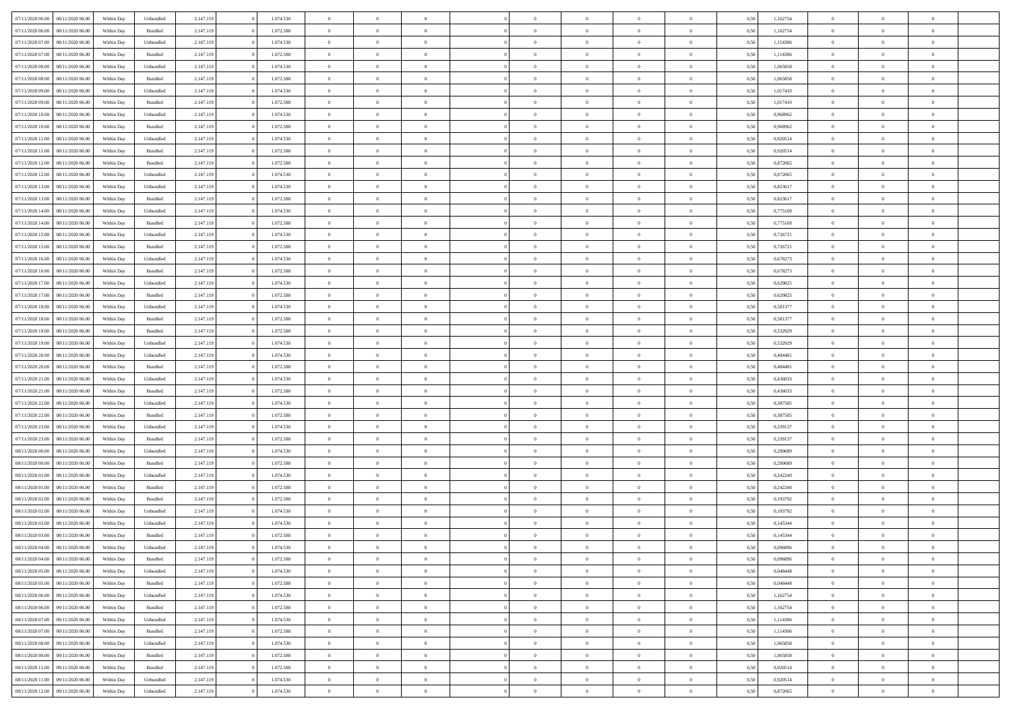| 07/11/2020 06.00 | 08/11/2020 06:00 | Within Dav | Unbundled | 2.147.119 | 1.074.530 | $\overline{0}$ | $\theta$       |                | $\Omega$       | $\Omega$       | $\theta$       | $\theta$       | 0.50 | 1,162754 | $\theta$       | $\overline{0}$ | $\theta$       |  |
|------------------|------------------|------------|-----------|-----------|-----------|----------------|----------------|----------------|----------------|----------------|----------------|----------------|------|----------|----------------|----------------|----------------|--|
|                  |                  |            |           |           |           |                |                |                |                |                |                |                |      |          |                |                |                |  |
| 07/11/2020 06.00 | 08/11/2020 06.00 | Within Day | Bundled   | 2.147.119 | 1.072.588 | $\overline{0}$ | $\theta$       | $\overline{0}$ | $\overline{0}$ | $\bf{0}$       | $\overline{0}$ | $\bf{0}$       | 0,50 | 1,162754 | $\theta$       | $\overline{0}$ | $\overline{0}$ |  |
| 07/11/2020 07.00 | 08/11/2020 06.00 | Within Day | Unbundled | 2.147.119 | 1.074.530 | $\overline{0}$ | $\overline{0}$ | $\overline{0}$ | $\bf{0}$       | $\bf{0}$       | $\bf{0}$       | $\mathbf{0}$   | 0,50 | 1,114306 | $\bf{0}$       | $\overline{0}$ | $\overline{0}$ |  |
| 07/11/2020 07.00 | 08/11/2020 06:00 | Within Dav | Bundled   | 2.147.119 | 1.072.588 | $\overline{0}$ | $\overline{0}$ | $\overline{0}$ | $\overline{0}$ | $\bf{0}$       | $\overline{0}$ | $\overline{0}$ | 0.50 | 1,114306 | $\theta$       | $\theta$       | $\overline{0}$ |  |
| 07/11/2020 08:00 | 08/11/2020 06.00 | Within Day | Unbundled | 2.147.119 | 1.074.530 | $\overline{0}$ | $\theta$       | $\overline{0}$ | $\overline{0}$ | $\bf{0}$       | $\overline{0}$ | $\bf{0}$       | 0,50 | 1,065858 | $\theta$       | $\theta$       | $\overline{0}$ |  |
| 07/11/2020 08.00 | 08/11/2020 06.00 | Within Day | Bundled   | 2.147.119 | 1.072.588 | $\overline{0}$ | $\bf{0}$       | $\overline{0}$ | $\bf{0}$       | $\overline{0}$ | $\overline{0}$ | $\mathbf{0}$   | 0,50 | 1,065858 | $\overline{0}$ | $\overline{0}$ | $\bf{0}$       |  |
|                  |                  |            |           |           |           |                |                |                |                | $\overline{0}$ |                |                |      |          | $\theta$       | $\overline{0}$ | $\overline{0}$ |  |
| 07/11/2020 09:00 | 08/11/2020 06:00 | Within Dav | Unbundled | 2.147.119 | 1.074.530 | $\overline{0}$ | $\overline{0}$ | $\overline{0}$ | $\overline{0}$ |                | $\overline{0}$ | $\overline{0}$ | 0.50 | 1,017410 |                |                |                |  |
| 07/11/2020 09:00 | 08/11/2020 06.00 | Within Day | Bundled   | 2.147.119 | 1.072.588 | $\overline{0}$ | $\theta$       | $\overline{0}$ | $\overline{0}$ | $\bf{0}$       | $\overline{0}$ | $\bf{0}$       | 0,50 | 1,017410 | $\theta$       | $\theta$       | $\overline{0}$ |  |
| 07/11/2020 10:00 | 08/11/2020 06.00 | Within Day | Unbundled | 2.147.119 | 1.074.530 | $\overline{0}$ | $\overline{0}$ | $\overline{0}$ | $\bf{0}$       | $\bf{0}$       | $\bf{0}$       | $\bf{0}$       | 0,50 | 0,968962 | $\,0\,$        | $\overline{0}$ | $\overline{0}$ |  |
| 07/11/2020 10:00 | 08/11/2020 06:00 | Within Dav | Bundled   | 2.147.119 | 1.072.588 | $\overline{0}$ | $\overline{0}$ | $\overline{0}$ | $\overline{0}$ | $\overline{0}$ | $\overline{0}$ | $\overline{0}$ | 0.50 | 0,968962 | $\theta$       | $\overline{0}$ | $\overline{0}$ |  |
| 07/11/2020 11:00 | 08/11/2020 06.00 | Within Day | Unbundled | 2.147.119 | 1.074.530 | $\overline{0}$ | $\theta$       | $\overline{0}$ | $\overline{0}$ | $\bf{0}$       | $\overline{0}$ | $\bf{0}$       | 0,50 | 0,920514 | $\,$ 0 $\,$    | $\theta$       | $\overline{0}$ |  |
| 07/11/2020 11:00 | 08/11/2020 06.00 | Within Day | Bundled   | 2.147.119 | 1.072.588 | $\overline{0}$ | $\overline{0}$ | $\overline{0}$ | $\bf{0}$       | $\bf{0}$       | $\bf{0}$       | $\bf{0}$       | 0,50 | 0,920514 | $\overline{0}$ | $\overline{0}$ | $\overline{0}$ |  |
| 07/11/2020 12:00 | 08/11/2020 06:00 | Within Day | Bundled   | 2.147.119 | 1.072.588 | $\overline{0}$ | $\overline{0}$ | $\overline{0}$ | $\overline{0}$ | $\bf{0}$       | $\overline{0}$ | $\overline{0}$ | 0.50 | 0.872065 | $\theta$       | $\theta$       | $\overline{0}$ |  |
| 07/11/2020 12.00 | 08/11/2020 06.00 |            |           | 2.147.119 | 1.074.530 | $\overline{0}$ | $\theta$       | $\overline{0}$ | $\overline{0}$ | $\bf{0}$       | $\overline{0}$ |                |      | 0,872065 | $\theta$       | $\theta$       | $\overline{0}$ |  |
|                  |                  | Within Day | Unbundled |           |           |                |                |                |                |                |                | $\bf{0}$       | 0,50 |          |                |                |                |  |
| 07/11/2020 13.00 | 08/11/2020 06.00 | Within Day | Unbundled | 2.147.119 | 1.074.530 | $\overline{0}$ | $\bf{0}$       | $\overline{0}$ | $\bf{0}$       | $\overline{0}$ | $\overline{0}$ | $\mathbf{0}$   | 0,50 | 0,823617 | $\overline{0}$ | $\overline{0}$ | $\bf{0}$       |  |
| 07/11/2020 13:00 | 08/11/2020 06:00 | Within Dav | Bundled   | 2.147.119 | 1.072.588 | $\overline{0}$ | $\overline{0}$ | $\overline{0}$ | $\overline{0}$ | $\overline{0}$ | $\overline{0}$ | $\overline{0}$ | 0.50 | 0,823617 | $\theta$       | $\overline{0}$ | $\overline{0}$ |  |
| 07/11/2020 14:00 | 08/11/2020 06.00 | Within Day | Unbundled | 2.147.119 | 1.074.530 | $\overline{0}$ | $\theta$       | $\overline{0}$ | $\overline{0}$ | $\bf{0}$       | $\overline{0}$ | $\bf{0}$       | 0,50 | 0,775169 | $\theta$       | $\theta$       | $\overline{0}$ |  |
| 07/11/2020 14:00 | 08/11/2020 06.00 | Within Day | Bundled   | 2.147.119 | 1.072.588 | $\overline{0}$ | $\overline{0}$ | $\overline{0}$ | $\bf{0}$       | $\bf{0}$       | $\bf{0}$       | $\bf{0}$       | 0,50 | 0,775169 | $\bf{0}$       | $\overline{0}$ | $\overline{0}$ |  |
| 07/11/2020 15:00 | 08/11/2020 06:00 | Within Day | Unbundled | 2.147.119 | 1.074.530 | $\overline{0}$ | $\overline{0}$ | $\overline{0}$ | $\overline{0}$ | $\overline{0}$ | $\overline{0}$ | $\overline{0}$ | 0.50 | 0,726721 | $\theta$       | $\overline{0}$ | $\overline{0}$ |  |
| 07/11/2020 15.00 | 08/11/2020 06.00 | Within Day | Bundled   | 2.147.119 | 1.072.588 | $\overline{0}$ | $\theta$       | $\overline{0}$ | $\overline{0}$ | $\bf{0}$       | $\overline{0}$ | $\bf{0}$       | 0,50 | 0,726721 | $\,$ 0 $\,$    | $\theta$       | $\overline{0}$ |  |
| 07/11/2020 16.00 | 08/11/2020 06.00 | Within Day | Unbundled | 2.147.119 | 1.074.530 | $\overline{0}$ | $\overline{0}$ | $\overline{0}$ | $\bf{0}$       | $\bf{0}$       | $\bf{0}$       | $\bf{0}$       | 0,50 | 0,678273 | $\,0\,$        | $\overline{0}$ | $\overline{0}$ |  |
|                  | 08/11/2020 06:00 |            | Bundled   |           | 1.072.588 | $\overline{0}$ | $\overline{0}$ | $\overline{0}$ |                | $\bf{0}$       | $\overline{0}$ |                | 0.50 | 0,678273 | $\theta$       | $\theta$       | $\overline{0}$ |  |
| 07/11/2020 16:00 |                  | Within Day |           | 2.147.119 |           |                |                |                | $\overline{0}$ |                |                | $\overline{0}$ |      |          |                |                |                |  |
| 07/11/2020 17.00 | 08/11/2020 06.00 | Within Day | Unbundled | 2.147.119 | 1.074.530 | $\overline{0}$ | $\theta$       | $\overline{0}$ | $\overline{0}$ | $\bf{0}$       | $\overline{0}$ | $\bf{0}$       | 0,50 | 0,629825 | $\,$ 0 $\,$    | $\overline{0}$ | $\overline{0}$ |  |
| 07/11/2020 17.00 | 08/11/2020 06.00 | Within Day | Bundled   | 2.147.119 | 1.072.588 | $\overline{0}$ | $\bf{0}$       | $\overline{0}$ | $\bf{0}$       | $\overline{0}$ | $\overline{0}$ | $\mathbf{0}$   | 0,50 | 0,629825 | $\overline{0}$ | $\overline{0}$ | $\bf{0}$       |  |
| 07/11/2020 18.00 | 08/11/2020 06:00 | Within Dav | Unbundled | 2.147.119 | 1.074.530 | $\overline{0}$ | $\overline{0}$ | $\overline{0}$ | $\overline{0}$ | $\overline{0}$ | $\overline{0}$ | $\overline{0}$ | 0.50 | 0,581377 | $\theta$       | $\overline{0}$ | $\overline{0}$ |  |
| 07/11/2020 18.00 | 08/11/2020 06.00 | Within Day | Bundled   | 2.147.119 | 1.072.588 | $\overline{0}$ | $\theta$       | $\overline{0}$ | $\overline{0}$ | $\bf{0}$       | $\overline{0}$ | $\bf{0}$       | 0,50 | 0,581377 | $\theta$       | $\theta$       | $\overline{0}$ |  |
| 07/11/2020 19.00 | 08/11/2020 06.00 | Within Day | Bundled   | 2.147.119 | 1.072.588 | $\overline{0}$ | $\overline{0}$ | $\overline{0}$ | $\bf{0}$       | $\bf{0}$       | $\bf{0}$       | $\bf{0}$       | 0,50 | 0,532929 | $\,0\,$        | $\overline{0}$ | $\overline{0}$ |  |
| 07/11/2020 19:00 | 08/11/2020 06:00 | Within Day | Unbundled | 2.147.119 | 1.074.530 | $\overline{0}$ | $\overline{0}$ | $\overline{0}$ | $\overline{0}$ | $\overline{0}$ | $\overline{0}$ | $\overline{0}$ | 0.50 | 0,532929 | $\theta$       | $\overline{0}$ | $\overline{0}$ |  |
| 07/11/2020 20.00 | 08/11/2020 06.00 | Within Day | Unbundled | 2.147.119 | 1.074.530 | $\overline{0}$ | $\theta$       | $\overline{0}$ | $\overline{0}$ | $\bf{0}$       | $\overline{0}$ | $\bf{0}$       | 0,50 | 0,484481 | $\,$ 0 $\,$    | $\overline{0}$ | $\overline{0}$ |  |
|                  |                  |            |           |           |           |                |                |                |                |                |                |                |      |          |                |                |                |  |
| 07/11/2020 20.00 | 08/11/2020 06.00 | Within Day | Bundled   | 2.147.119 | 1.072.588 | $\overline{0}$ | $\overline{0}$ | $\overline{0}$ | $\bf{0}$       | $\bf{0}$       | $\bf{0}$       | $\bf{0}$       | 0,50 | 0,484481 | $\overline{0}$ | $\overline{0}$ | $\overline{0}$ |  |
| 07/11/2020 21.00 | 08/11/2020 06.00 | Within Day | Unbundled | 2.147.119 | 1.074.530 | $\overline{0}$ | $\Omega$       | $\overline{0}$ | $\Omega$       | $\Omega$       | $\overline{0}$ | $\overline{0}$ | 0,50 | 0,436033 | $\,0\,$        | $\theta$       | $\theta$       |  |
| 07/11/2020 21.00 | 08/11/2020 06.00 | Within Day | Bundled   | 2.147.119 | 1.072.588 | $\overline{0}$ | $\theta$       | $\overline{0}$ | $\overline{0}$ | $\bf{0}$       | $\overline{0}$ | $\bf{0}$       | 0,50 | 0,436033 | $\theta$       | $\theta$       | $\overline{0}$ |  |
| 07/11/2020 22.00 | 08/11/2020 06.00 | Within Day | Unbundled | 2.147.119 | 1.074.530 | $\overline{0}$ | $\overline{0}$ | $\overline{0}$ | $\bf{0}$       | $\bf{0}$       | $\overline{0}$ | $\mathbf{0}$   | 0,50 | 0,387585 | $\overline{0}$ | $\overline{0}$ | $\bf{0}$       |  |
| 07/11/2020 22.00 | 08/11/2020 06.00 | Within Day | Bundled   | 2.147.119 | 1.072.588 | $\overline{0}$ | $\Omega$       | $\Omega$       | $\Omega$       | $\bf{0}$       | $\overline{0}$ | $\overline{0}$ | 0.50 | 0,387585 | $\,0\,$        | $\theta$       | $\theta$       |  |
| 07/11/2020 23.00 | 08/11/2020 06.00 | Within Day | Unbundled | 2.147.119 | 1.074.530 | $\overline{0}$ | $\theta$       | $\overline{0}$ | $\overline{0}$ | $\bf{0}$       | $\overline{0}$ | $\bf{0}$       | 0,50 | 0,339137 | $\,$ 0 $\,$    | $\theta$       | $\overline{0}$ |  |
| 07/11/2020 23.00 | 08/11/2020 06.00 | Within Day | Bundled   | 2.147.119 | 1.072.588 | $\overline{0}$ | $\overline{0}$ | $\overline{0}$ | $\bf{0}$       | $\bf{0}$       | $\bf{0}$       | $\bf{0}$       | 0,50 | 0,339137 | $\bf{0}$       | $\overline{0}$ | $\overline{0}$ |  |
| 08/11/2020 00:00 | 08/11/2020 06:00 | Within Day | Unbundled | 2.147.119 | 1.074.530 | $\overline{0}$ | $\Omega$       | $\overline{0}$ | $\Omega$       | $\theta$       | $\overline{0}$ | $\overline{0}$ | 0.50 | 0,290689 | $\,$ 0 $\,$    | $\theta$       | $\theta$       |  |
| 08/11/2020 00.00 | 08/11/2020 06.00 |            | Bundled   | 2.147.119 | 1.072.588 | $\overline{0}$ | $\theta$       | $\overline{0}$ | $\overline{0}$ | $\,$ 0         | $\overline{0}$ |                |      | 0,290689 | $\,$ 0 $\,$    | $\overline{0}$ | $\overline{0}$ |  |
|                  |                  | Within Day |           |           |           |                |                |                |                |                |                | $\bf{0}$       | 0,50 |          |                |                |                |  |
| 08/11/2020 01.00 | 08/11/2020 06.00 | Within Day | Unbundled | 2.147.119 | 1.074.530 | $\overline{0}$ | $\overline{0}$ | $\overline{0}$ | $\bf{0}$       | $\bf{0}$       | $\bf{0}$       | $\bf{0}$       | 0,50 | 0,242240 | $\overline{0}$ | $\overline{0}$ | $\overline{0}$ |  |
| 08/11/2020 01:00 | 08/11/2020 06.00 | Within Day | Bundled   | 2.147.119 | 1.072.588 | $\overline{0}$ | $\Omega$       | $\overline{0}$ | $\Omega$       | $\overline{0}$ | $\overline{0}$ | $\overline{0}$ | 0,50 | 0,242240 | $\,0\,$        | $\theta$       | $\theta$       |  |
| 08/11/2020 02.00 | 08/11/2020 06.00 | Within Day | Bundled   | 2.147.119 | 1.072.588 | $\overline{0}$ | $\theta$       | $\overline{0}$ | $\overline{0}$ | $\,$ 0         | $\overline{0}$ | $\bf{0}$       | 0,50 | 0,193792 | $\,$ 0 $\,$    | $\overline{0}$ | $\overline{0}$ |  |
| 08/11/2020 02.00 | 08/11/2020 06.00 | Within Day | Unbundled | 2.147.119 | 1.074.530 | $\overline{0}$ | $\overline{0}$ | $\overline{0}$ | $\bf{0}$       | $\bf{0}$       | $\bf{0}$       | $\mathbf{0}$   | 0,50 | 0,193792 | $\bf{0}$       | $\overline{0}$ | $\bf{0}$       |  |
| 08/11/2020 03:00 | 08/11/2020 06.00 | Within Day | Unbundled | 2.147.119 | 1.074.530 | $\overline{0}$ | $\Omega$       | $\Omega$       | $\Omega$       | $\Omega$       | $\Omega$       | $\overline{0}$ | 0.50 | 0,145344 | $\theta$       | $\theta$       | $\theta$       |  |
| 08/11/2020 03.00 | 08/11/2020 06.00 | Within Day | Bundled   | 2.147.119 | 1.072.588 | $\overline{0}$ | $\,$ 0 $\,$    | $\overline{0}$ | $\bf{0}$       | $\,$ 0         | $\bf{0}$       | $\bf{0}$       | 0,50 | 0,145344 | $\,0\,$        | $\overline{0}$ | $\overline{0}$ |  |
| 08/11/2020 04:00 | 08/11/2020 06.00 | Within Day | Unbundled | 2.147.119 | 1.074.530 | $\bf{0}$       | $\bf{0}$       |                |                | $\bf{0}$       |                |                | 0,50 | 0,096896 | $\bf{0}$       | $\overline{0}$ |                |  |
| 08/11/2020 04:00 | 08/11/2020 06:00 | Within Day | Bundled   | 2.147.119 | 1.072.588 | $\overline{0}$ | $\overline{0}$ | $\overline{0}$ | $\Omega$       | $\overline{0}$ | $\overline{0}$ | $\overline{0}$ | 0.50 | 0.096896 | $\theta$       | $\theta$       | $\theta$       |  |
|                  |                  |            |           |           |           |                |                |                |                |                |                |                |      |          |                |                |                |  |
| 08/11/2020 05.00 | 08/11/2020 06.00 | Within Day | Unbundled | 2.147.119 | 1.074.530 | $\overline{0}$ | $\,$ 0         | $\overline{0}$ | $\bf{0}$       | $\,$ 0 $\,$    | $\overline{0}$ | $\mathbf{0}$   | 0,50 | 0,048448 | $\,$ 0 $\,$    | $\,$ 0 $\,$    | $\,$ 0         |  |
| 08/11/2020 05:00 | 08/11/2020 06.00 | Within Day | Bundled   | 2.147.119 | 1.072.588 | $\overline{0}$ | $\overline{0}$ | $\overline{0}$ | $\overline{0}$ | $\overline{0}$ | $\overline{0}$ | $\mathbf{0}$   | 0,50 | 0,048448 | $\overline{0}$ | $\bf{0}$       | $\bf{0}$       |  |
| 08/11/2020 06:00 | 09/11/2020 06.00 | Within Day | Unbundled | 2.147.119 | 1.074.530 | $\overline{0}$ | $\overline{0}$ | $\overline{0}$ | $\Omega$       | $\overline{0}$ | $\overline{0}$ | $\overline{0}$ | 0,50 | 1,162754 | $\overline{0}$ | $\theta$       | $\overline{0}$ |  |
| 08/11/2020 06.00 | 09/11/2020 06.00 | Within Day | Bundled   | 2.147.119 | 1.072.588 | $\overline{0}$ | $\,$ 0         | $\overline{0}$ | $\overline{0}$ | $\,$ 0 $\,$    | $\overline{0}$ | $\mathbf{0}$   | 0,50 | 1,162754 | $\,$ 0 $\,$    | $\overline{0}$ | $\overline{0}$ |  |
| 08/11/2020 07.00 | 09/11/2020 06.00 | Within Day | Unbundled | 2.147.119 | 1.074.530 | $\overline{0}$ | $\overline{0}$ | $\overline{0}$ | $\overline{0}$ | $\overline{0}$ | $\overline{0}$ | $\mathbf{0}$   | 0,50 | 1,114306 | $\overline{0}$ | $\overline{0}$ | $\bf{0}$       |  |
| 08/11/2020 07.00 | 09/11/2020 06.00 | Within Day | Bundled   | 2.147.119 | 1.072.588 | $\overline{0}$ | $\overline{0}$ | $\overline{0}$ | $\Omega$       | $\overline{0}$ | $\overline{0}$ | $\bf{0}$       | 0.50 | 1,114306 | $\overline{0}$ | $\theta$       | $\overline{0}$ |  |
| 08/11/2020 08:00 | 09/11/2020 06.00 | Within Day | Unbundled | 2.147.119 | 1.074.530 | $\overline{0}$ | $\,$ 0         | $\overline{0}$ | $\bf{0}$       | $\bf{0}$       | $\bf{0}$       | $\bf{0}$       | 0,50 | 1,065858 | $\,$ 0 $\,$    | $\overline{0}$ | $\overline{0}$ |  |
| 08/11/2020 08:00 | 09/11/2020 06.00 | Within Day | Bundled   | 2.147.119 | 1.072.588 | $\overline{0}$ | $\bf{0}$       | $\overline{0}$ | $\overline{0}$ | $\overline{0}$ | $\overline{0}$ | $\mathbf{0}$   | 0,50 | 1,065858 | $\overline{0}$ | $\overline{0}$ | $\bf{0}$       |  |
|                  |                  |            |           |           |           |                |                |                |                |                |                |                |      |          |                |                |                |  |
| 08/11/2020 11:00 | 09/11/2020 06.00 | Within Day | Bundled   | 2.147.119 | 1.072.588 | $\overline{0}$ | $\overline{0}$ | $\overline{0}$ | $\Omega$       | $\overline{0}$ | $\overline{0}$ | $\overline{0}$ | 0.50 | 0,920514 | $\overline{0}$ | $\theta$       | $\overline{0}$ |  |
| 08/11/2020 11:00 | 09/11/2020 06.00 | Within Day | Unbundled | 2.147.119 | 1.074.530 | $\overline{0}$ | $\bf{0}$       | $\overline{0}$ | $\overline{0}$ | $\bf{0}$       | $\bf{0}$       | $\mathbf{0}$   | 0,50 | 0,920514 | $\,$ 0 $\,$    | $\,$ 0 $\,$    | $\bf{0}$       |  |
| 08/11/2020 12:00 | 09/11/2020 06.00 | Within Day | Unbundled | 2.147.119 | 1.074.530 | $\overline{0}$ | $\overline{0}$ | $\overline{0}$ | $\overline{0}$ | $\bf{0}$       | $\bf{0}$       | $\mathbf{0}$   | 0,50 | 0,872065 | $\overline{0}$ | $\bf{0}$       | $\bf{0}$       |  |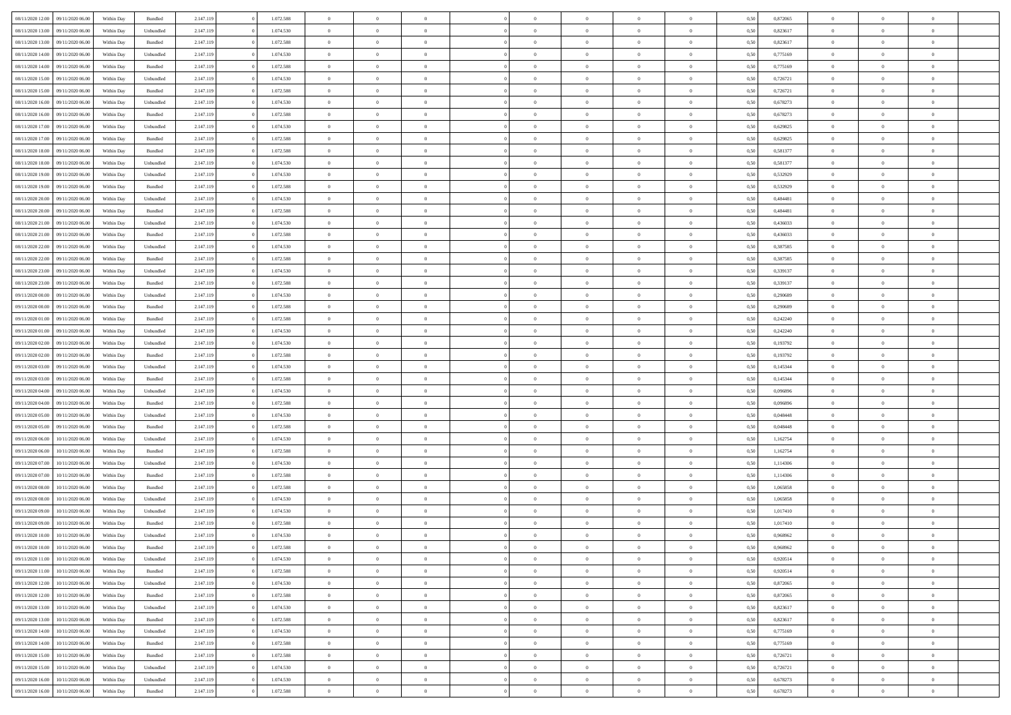| 08/11/2020 12:00 | 09/11/2020 06:00 | Within Dav | Bundled            | 2.147.119 | 1.072.588 | $\overline{0}$ | $\Omega$       |                | $\Omega$       | $\Omega$       | $\theta$       | $\theta$       | 0.50 | 0,872065 | $\theta$       | $\theta$       | $\overline{0}$ |  |
|------------------|------------------|------------|--------------------|-----------|-----------|----------------|----------------|----------------|----------------|----------------|----------------|----------------|------|----------|----------------|----------------|----------------|--|
|                  |                  |            |                    |           |           |                |                |                |                |                |                |                |      |          |                |                |                |  |
| 08/11/2020 13:00 | 09/11/2020 06.00 | Within Day | Unbundled          | 2.147.119 | 1.074.530 | $\overline{0}$ | $\theta$       | $\overline{0}$ | $\overline{0}$ | $\bf{0}$       | $\overline{0}$ | $\bf{0}$       | 0,50 | 0,823617 | $\theta$       | $\overline{0}$ | $\overline{0}$ |  |
| 08/11/2020 13.00 | 09/11/2020 06.00 | Within Day | Bundled            | 2.147.119 | 1.072.588 | $\overline{0}$ | $\bf{0}$       | $\overline{0}$ | $\bf{0}$       | $\bf{0}$       | $\bf{0}$       | $\mathbf{0}$   | 0,50 | 0,823617 | $\overline{0}$ | $\overline{0}$ | $\overline{0}$ |  |
| 08/11/2020 14:00 | 09/11/2020 06:00 | Within Day | Unbundled          | 2.147.119 | 1.074.530 | $\overline{0}$ | $\overline{0}$ | $\overline{0}$ | $\overline{0}$ | $\bf{0}$       | $\overline{0}$ | $\overline{0}$ | 0.50 | 0.775169 | $\theta$       | $\theta$       | $\overline{0}$ |  |
| 08/11/2020 14:00 | 09/11/2020 06.00 | Within Day | Bundled            | 2.147.119 | 1.072.588 | $\overline{0}$ | $\theta$       | $\overline{0}$ | $\overline{0}$ | $\bf{0}$       | $\overline{0}$ | $\bf{0}$       | 0,50 | 0,775169 | $\theta$       | $\overline{0}$ | $\overline{0}$ |  |
| 08/11/2020 15.00 | 09/11/2020 06.00 | Within Day | Unbundled          | 2.147.119 | 1.074.530 | $\overline{0}$ | $\overline{0}$ | $\overline{0}$ | $\bf{0}$       | $\overline{0}$ | $\overline{0}$ | $\mathbf{0}$   | 0,50 | 0,726721 | $\overline{0}$ | $\overline{0}$ | $\bf{0}$       |  |
| 08/11/2020 15:00 | 09/11/2020 06:00 | Within Dav | Bundled            | 2.147.119 | 1.072.588 | $\overline{0}$ | $\overline{0}$ | $\overline{0}$ | $\overline{0}$ | $\overline{0}$ | $\overline{0}$ | $\overline{0}$ | 0.50 | 0,726721 | $\theta$       | $\overline{0}$ | $\overline{0}$ |  |
|                  |                  |            |                    |           |           |                |                |                |                |                |                |                |      |          |                |                |                |  |
| 08/11/2020 16.00 | 09/11/2020 06.00 | Within Day | Unbundled          | 2.147.119 | 1.074.530 | $\overline{0}$ | $\theta$       | $\overline{0}$ | $\overline{0}$ | $\bf{0}$       | $\overline{0}$ | $\bf{0}$       | 0,50 | 0,678273 | $\theta$       | $\theta$       | $\overline{0}$ |  |
| 08/11/2020 16:00 | 09/11/2020 06.00 | Within Day | Bundled            | 2.147.119 | 1.072.588 | $\overline{0}$ | $\overline{0}$ | $\overline{0}$ | $\bf{0}$       | $\bf{0}$       | $\bf{0}$       | $\bf{0}$       | 0,50 | 0,678273 | $\,0\,$        | $\overline{0}$ | $\overline{0}$ |  |
| 08/11/2020 17.00 | 09/11/2020 06:00 | Within Dav | Unbundled          | 2.147.119 | 1.074.530 | $\overline{0}$ | $\overline{0}$ | $\overline{0}$ | $\overline{0}$ | $\overline{0}$ | $\overline{0}$ | $\overline{0}$ | 0.50 | 0,629825 | $\theta$       | $\overline{0}$ | $\overline{0}$ |  |
| 08/11/2020 17.00 | 09/11/2020 06.00 | Within Day | Bundled            | 2.147.119 | 1.072.588 | $\overline{0}$ | $\theta$       | $\overline{0}$ | $\overline{0}$ | $\bf{0}$       | $\overline{0}$ | $\bf{0}$       | 0,50 | 0,629825 | $\,$ 0 $\,$    | $\overline{0}$ | $\overline{0}$ |  |
| 08/11/2020 18.00 | 09/11/2020 06.00 | Within Day | Bundled            | 2.147.119 | 1.072.588 | $\overline{0}$ | $\overline{0}$ | $\overline{0}$ | $\bf{0}$       | $\bf{0}$       | $\bf{0}$       | $\mathbf{0}$   | 0,50 | 0,581377 | $\overline{0}$ | $\overline{0}$ | $\bf{0}$       |  |
| 08/11/2020 18:00 | 09/11/2020 06:00 | Within Day | Unbundled          | 2.147.119 | 1.074.530 | $\overline{0}$ | $\overline{0}$ | $\overline{0}$ | $\overline{0}$ | $\bf{0}$       | $\overline{0}$ | $\overline{0}$ | 0.50 | 0,581377 | $\theta$       | $\theta$       | $\overline{0}$ |  |
| 08/11/2020 19:00 | 09/11/2020 06.00 | Within Day | Unbundled          | 2.147.119 | 1.074.530 | $\overline{0}$ | $\theta$       | $\overline{0}$ | $\overline{0}$ | $\bf{0}$       | $\overline{0}$ | $\bf{0}$       | 0,50 | 0,532929 | $\theta$       | $\overline{0}$ | $\overline{0}$ |  |
|                  |                  |            |                    |           |           |                |                |                |                |                |                |                |      |          |                |                |                |  |
| 08/11/2020 19:00 | 09/11/2020 06.00 | Within Day | Bundled            | 2.147.119 | 1.072.588 | $\overline{0}$ | $\overline{0}$ | $\overline{0}$ | $\bf{0}$       | $\overline{0}$ | $\overline{0}$ | $\mathbf{0}$   | 0,50 | 0,532929 | $\overline{0}$ | $\overline{0}$ | $\bf{0}$       |  |
| 08/11/2020 20:00 | 09/11/2020 06:00 | Within Dav | Unbundled          | 2.147.119 | 1.074.530 | $\overline{0}$ | $\overline{0}$ | $\overline{0}$ | $\overline{0}$ | $\overline{0}$ | $\overline{0}$ | $\overline{0}$ | 0.50 | 0,484481 | $\theta$       | $\overline{0}$ | $\overline{0}$ |  |
| 08/11/2020 20.00 | 09/11/2020 06.00 | Within Day | Bundled            | 2.147.119 | 1.072.588 | $\overline{0}$ | $\theta$       | $\overline{0}$ | $\overline{0}$ | $\bf{0}$       | $\overline{0}$ | $\bf{0}$       | 0,50 | 0,484481 | $\theta$       | $\theta$       | $\overline{0}$ |  |
| 08/11/2020 21.00 | 09/11/2020 06.00 | Within Day | Unbundled          | 2.147.119 | 1.074.530 | $\overline{0}$ | $\overline{0}$ | $\overline{0}$ | $\bf{0}$       | $\bf{0}$       | $\bf{0}$       | $\bf{0}$       | 0,50 | 0,436033 | $\bf{0}$       | $\overline{0}$ | $\overline{0}$ |  |
| 08/11/2020 21.00 | 09/11/2020 06:00 | Within Day | Bundled            | 2.147.119 | 1.072.588 | $\overline{0}$ | $\overline{0}$ | $\overline{0}$ | $\overline{0}$ | $\overline{0}$ | $\overline{0}$ | $\overline{0}$ | 0.50 | 0,436033 | $\theta$       | $\overline{0}$ | $\overline{0}$ |  |
| 08/11/2020 22.00 | 09/11/2020 06.00 | Within Day | Unbundled          | 2.147.119 | 1.074.530 | $\overline{0}$ | $\theta$       | $\overline{0}$ | $\overline{0}$ | $\bf{0}$       | $\overline{0}$ | $\bf{0}$       | 0,50 | 0,387585 | $\,$ 0 $\,$    | $\overline{0}$ | $\overline{0}$ |  |
| 08/11/2020 22.00 | 09/11/2020 06.00 | Within Day | Bundled            | 2.147.119 | 1.072.588 | $\overline{0}$ | $\overline{0}$ | $\overline{0}$ | $\bf{0}$       | $\bf{0}$       | $\bf{0}$       | $\bf{0}$       | 0,50 | 0,387585 | $\bf{0}$       | $\overline{0}$ | $\overline{0}$ |  |
| 08/11/2020 23.00 | 09/11/2020 06:00 | Within Day | Unbundled          | 2.147.119 | 1.074.530 | $\overline{0}$ | $\overline{0}$ | $\overline{0}$ | $\overline{0}$ | $\bf{0}$       | $\overline{0}$ | $\overline{0}$ | 0.50 | 0,339137 | $\theta$       | $\overline{0}$ | $\overline{0}$ |  |
| 08/11/2020 23.00 | 09/11/2020 06.00 | Within Day | Bundled            | 2.147.119 | 1.072.588 | $\overline{0}$ | $\theta$       | $\overline{0}$ | $\overline{0}$ | $\bf{0}$       | $\overline{0}$ | $\bf{0}$       | 0,50 | 0,339137 | $\,$ 0 $\,$    | $\overline{0}$ | $\overline{0}$ |  |
|                  |                  |            |                    |           |           |                |                |                |                |                |                |                |      |          |                |                |                |  |
| 09/11/2020 00.00 | 09/11/2020 06.00 | Within Day | Unbundled          | 2.147.119 | 1.074.530 | $\overline{0}$ | $\overline{0}$ | $\overline{0}$ | $\bf{0}$       | $\overline{0}$ | $\overline{0}$ | $\mathbf{0}$   | 0,50 | 0,290689 | $\overline{0}$ | $\overline{0}$ | $\bf{0}$       |  |
| 09/11/2020 00:00 | 09/11/2020 06:00 | Within Dav | Bundled            | 2.147.119 | 1.072.588 | $\overline{0}$ | $\overline{0}$ | $\overline{0}$ | $\overline{0}$ | $\overline{0}$ | $\overline{0}$ | $\overline{0}$ | 0.50 | 0.290689 | $\theta$       | $\overline{0}$ | $\overline{0}$ |  |
| 09/11/2020 01:00 | 09/11/2020 06.00 | Within Day | Bundled            | 2.147.119 | 1.072.588 | $\overline{0}$ | $\theta$       | $\overline{0}$ | $\overline{0}$ | $\bf{0}$       | $\overline{0}$ | $\bf{0}$       | 0,50 | 0,242240 | $\theta$       | $\theta$       | $\overline{0}$ |  |
| 09/11/2020 01:00 | 09/11/2020 06.00 | Within Day | Unbundled          | 2.147.119 | 1.074.530 | $\overline{0}$ | $\overline{0}$ | $\overline{0}$ | $\bf{0}$       | $\bf{0}$       | $\bf{0}$       | $\bf{0}$       | 0,50 | 0,242240 | $\,0\,$        | $\overline{0}$ | $\overline{0}$ |  |
| 09/11/2020 02.00 | 09/11/2020 06:00 | Within Day | Unbundled          | 2.147.119 | 1.074.530 | $\overline{0}$ | $\overline{0}$ | $\overline{0}$ | $\overline{0}$ | $\overline{0}$ | $\overline{0}$ | $\overline{0}$ | 0.50 | 0,193792 | $\theta$       | $\overline{0}$ | $\overline{0}$ |  |
| 09/11/2020 02.00 | 09/11/2020 06.00 | Within Day | Bundled            | 2.147.119 | 1.072.588 | $\overline{0}$ | $\theta$       | $\overline{0}$ | $\overline{0}$ | $\bf{0}$       | $\overline{0}$ | $\bf{0}$       | 0,50 | 0,193792 | $\,$ 0 $\,$    | $\overline{0}$ | $\overline{0}$ |  |
| 09/11/2020 03.00 | 09/11/2020 06.00 | Within Day | Unbundled          | 2.147.119 | 1.074.530 | $\overline{0}$ | $\overline{0}$ | $\overline{0}$ | $\bf{0}$       | $\bf{0}$       | $\bf{0}$       | $\bf{0}$       | 0,50 | 0,145344 | $\overline{0}$ | $\overline{0}$ | $\bf{0}$       |  |
| 09/11/2020 03.00 | 09/11/2020 06.00 | Within Day | Bundled            | 2.147.119 | 1.072.588 | $\overline{0}$ | $\Omega$       | $\overline{0}$ | $\Omega$       | $\Omega$       | $\overline{0}$ | $\overline{0}$ | 0,50 | 0,145344 | $\,0\,$        | $\theta$       | $\theta$       |  |
| 09/11/2020 04.00 | 09/11/2020 06.00 |            |                    | 2.147.119 | 1.074.530 | $\overline{0}$ | $\theta$       | $\overline{0}$ | $\overline{0}$ | $\bf{0}$       | $\overline{0}$ |                |      | 0,096896 | $\,$ 0 $\,$    | $\overline{0}$ | $\overline{0}$ |  |
|                  |                  | Within Day | Unbundled          |           |           |                |                |                |                |                |                | $\bf{0}$       | 0,50 |          |                |                |                |  |
| 09/11/2020 04.00 | 09/11/2020 06.00 | Within Day | Bundled            | 2.147.119 | 1.072.588 | $\overline{0}$ | $\overline{0}$ | $\overline{0}$ | $\bf{0}$       | $\overline{0}$ | $\overline{0}$ | $\mathbf{0}$   | 0,50 | 0,096896 | $\overline{0}$ | $\overline{0}$ | $\bf{0}$       |  |
| 09/11/2020 05.00 | 09/11/2020 06.00 | Within Day | Unbundled          | 2.147.119 | 1.074.530 | $\overline{0}$ | $\Omega$       | $\Omega$       | $\Omega$       | $\bf{0}$       | $\overline{0}$ | $\overline{0}$ | 0.50 | 0.048448 | $\,0\,$        | $\theta$       | $\theta$       |  |
| 09/11/2020 05.00 | 09/11/2020 06.00 | Within Day | Bundled            | 2.147.119 | 1.072.588 | $\overline{0}$ | $\theta$       | $\overline{0}$ | $\overline{0}$ | $\bf{0}$       | $\overline{0}$ | $\bf{0}$       | 0,50 | 0,048448 | $\,$ 0 $\,$    | $\overline{0}$ | $\overline{0}$ |  |
| 09/11/2020 06:00 | 10/11/2020 06.00 | Within Day | Unbundled          | 2.147.119 | 1.074.530 | $\overline{0}$ | $\overline{0}$ | $\overline{0}$ | $\bf{0}$       | $\bf{0}$       | $\bf{0}$       | $\bf{0}$       | 0,50 | 1,162754 | $\bf{0}$       | $\overline{0}$ | $\bf{0}$       |  |
| 09/11/2020 06.00 | 10/11/2020 06:00 | Within Day | Bundled            | 2.147.119 | 1.072.588 | $\overline{0}$ | $\Omega$       | $\Omega$       | $\Omega$       | $\overline{0}$ | $\overline{0}$ | $\overline{0}$ | 0.50 | 1,162754 | $\,$ 0 $\,$    | $\theta$       | $\theta$       |  |
| 09/11/2020 07.00 | 10/11/2020 06.00 | Within Day | Unbundled          | 2.147.119 | 1.074.530 | $\overline{0}$ | $\theta$       | $\overline{0}$ | $\overline{0}$ | $\,$ 0         | $\overline{0}$ | $\bf{0}$       | 0,50 | 1,114306 | $\,$ 0 $\,$    | $\overline{0}$ | $\overline{0}$ |  |
| 09/11/2020 07.00 | 10/11/2020 06.00 | Within Day | Bundled            | 2.147.119 | 1.072.588 | $\overline{0}$ | $\bf{0}$       | $\overline{0}$ | $\bf{0}$       | $\bf{0}$       | $\bf{0}$       | $\bf{0}$       | 0,50 | 1,114306 | $\bf{0}$       | $\overline{0}$ | $\bf{0}$       |  |
| 09/11/2020 08:00 | 10/11/2020 06.00 | Within Day | Bundled            | 2.147.119 | 1.072.588 | $\overline{0}$ | $\Omega$       | $\overline{0}$ | $\Omega$       | $\overline{0}$ | $\overline{0}$ | $\overline{0}$ | 0,50 | 1,065858 | $\,0\,$        | $\theta$       | $\theta$       |  |
| 09/11/2020 08.00 | 10/11/2020 06.00 |            |                    | 2.147.119 | 1.074.530 | $\overline{0}$ | $\theta$       | $\overline{0}$ | $\overline{0}$ | $\,$ 0         | $\overline{0}$ |                |      | 1,065858 | $\,$ 0 $\,$    | $\overline{0}$ | $\overline{0}$ |  |
|                  |                  | Within Day | Unbundled          |           |           |                |                |                |                |                |                | $\bf{0}$       | 0,50 |          |                |                |                |  |
| 09/11/2020 09:00 | 10/11/2020 06.00 | Within Day | Unbundled          | 2.147.119 | 1.074.530 | $\overline{0}$ | $\overline{0}$ | $\overline{0}$ | $\bf{0}$       | $\bf{0}$       | $\overline{0}$ | $\mathbf{0}$   | 0,50 | 1,017410 | $\bf{0}$       | $\overline{0}$ | $\bf{0}$       |  |
| 09/11/2020 09:00 | 10/11/2020 06:00 | Within Day | Bundled            | 2.147.119 | 1.072.588 | $\overline{0}$ | $\Omega$       | $\Omega$       | $\Omega$       | $\Omega$       | $\Omega$       | $\overline{0}$ | 0.50 | 1,017410 | $\theta$       | $\theta$       | $\theta$       |  |
| 09/11/2020 10:00 | 10/11/2020 06.00 | Within Day | Unbundled          | 2.147.119 | 1.074.530 | $\overline{0}$ | $\overline{0}$ | $\overline{0}$ | $\bf{0}$       | $\,$ 0         | $\bf{0}$       | $\bf{0}$       | 0,50 | 0,968962 | $\,0\,$        | $\,$ 0 $\,$    | $\overline{0}$ |  |
| 09/11/2020 10:00 | 10/11/2020 06.00 | Within Day | $\mathbf B$ undled | 2.147.119 | 1.072.588 | $\bf{0}$       | $\bf{0}$       |                |                | $\bf{0}$       |                |                | 0,50 | 0,968962 | $\bf{0}$       | $\overline{0}$ |                |  |
| 09/11/2020 11:00 | 10/11/2020 06:00 | Within Day | Unbundled          | 2.147.119 | 1.074.530 | $\overline{0}$ | $\overline{0}$ | $\overline{0}$ | $\Omega$       | $\theta$       | $\overline{0}$ | $\overline{0}$ | 0.50 | 0.920514 | $\theta$       | $\theta$       | $\theta$       |  |
| 09/11/2020 11:00 | 10/11/2020 06.00 | Within Day | Bundled            | 2.147.119 | 1.072.588 | $\overline{0}$ | $\,$ 0         | $\overline{0}$ | $\bf{0}$       | $\,$ 0 $\,$    | $\overline{0}$ | $\mathbf{0}$   | 0,50 | 0,920514 | $\,$ 0 $\,$    | $\,$ 0 $\,$    | $\,$ 0         |  |
| 09/11/2020 12:00 | 10/11/2020 06:00 | Within Day | Unbundled          | 2.147.119 | 1.074.530 | $\overline{0}$ | $\overline{0}$ | $\overline{0}$ | $\overline{0}$ | $\overline{0}$ | $\overline{0}$ | $\mathbf{0}$   | 0,50 | 0,872065 | $\overline{0}$ | $\bf{0}$       | $\bf{0}$       |  |
| 09/11/2020 12:00 | 10/11/2020 06:00 | Within Day | $\mathbf B$ undled | 2.147.119 | 1.072.588 | $\overline{0}$ | $\overline{0}$ | $\overline{0}$ | $\Omega$       | $\overline{0}$ | $\overline{0}$ | $\bf{0}$       | 0,50 | 0,872065 | $\overline{0}$ | $\theta$       | $\overline{0}$ |  |
| 09/11/2020 13:00 | 10/11/2020 06.00 | Within Day |                    | 2.147.119 | 1.074.530 | $\overline{0}$ | $\,$ 0         | $\overline{0}$ | $\overline{0}$ | $\,$ 0 $\,$    | $\overline{0}$ |                |      | 0,823617 | $\,$ 0 $\,$    | $\overline{0}$ | $\overline{0}$ |  |
|                  |                  |            | Unbundled          |           |           |                |                |                |                |                |                | $\mathbf{0}$   | 0,50 |          |                |                |                |  |
| 09/11/2020 13:00 | 10/11/2020 06:00 | Within Day | Bundled            | 2.147.119 | 1.072.588 | $\overline{0}$ | $\overline{0}$ | $\overline{0}$ | $\overline{0}$ | $\overline{0}$ | $\overline{0}$ | $\mathbf{0}$   | 0,50 | 0,823617 | $\overline{0}$ | $\overline{0}$ | $\bf{0}$       |  |
| 09/11/2020 14:00 | 10/11/2020 06:00 | Within Day | Unbundled          | 2.147.119 | 1.074.530 | $\overline{0}$ | $\overline{0}$ | $\overline{0}$ | $\Omega$       | $\overline{0}$ | $\overline{0}$ | $\bf{0}$       | 0.50 | 0,775169 | $\overline{0}$ | $\theta$       | $\overline{0}$ |  |
| 09/11/2020 14:00 | 10/11/2020 06.00 | Within Day | Bundled            | 2.147.119 | 1.072.588 | $\overline{0}$ | $\,$ 0         | $\overline{0}$ | $\bf{0}$       | $\bf{0}$       | $\bf{0}$       | $\bf{0}$       | 0,50 | 0,775169 | $\,$ 0 $\,$    | $\overline{0}$ | $\overline{0}$ |  |
| 09/11/2020 15:00 | 10/11/2020 06:00 | Within Day | Bundled            | 2.147.119 | 1.072.588 | $\overline{0}$ | $\bf{0}$       | $\overline{0}$ | $\overline{0}$ | $\overline{0}$ | $\bf{0}$       | $\mathbf{0}$   | 0,50 | 0,726721 | $\overline{0}$ | $\overline{0}$ | $\bf{0}$       |  |
| 09/11/2020 15:00 | 10/11/2020 06:00 | Within Day | Unbundled          | 2.147.119 | 1.074.530 | $\overline{0}$ | $\overline{0}$ | $\overline{0}$ | $\Omega$       | $\overline{0}$ | $\overline{0}$ | $\bf{0}$       | 0.50 | 0,726721 | $\overline{0}$ | $\theta$       | $\overline{0}$ |  |
| 09/11/2020 16.00 | 10/11/2020 06.00 | Within Day | Unbundled          | 2.147.119 | 1.074.530 | $\overline{0}$ | $\bf{0}$       | $\overline{0}$ | $\overline{0}$ | $\bf{0}$       | $\bf{0}$       | $\mathbf{0}$   | 0,50 | 0,678273 | $\,$ 0 $\,$    | $\,$ 0 $\,$    | $\bf{0}$       |  |
| 09/11/2020 16.00 | 10/11/2020 06:00 | Within Day | Bundled            | 2.147.119 | 1.072.588 | $\overline{0}$ | $\overline{0}$ | $\overline{0}$ | $\overline{0}$ | $\bf{0}$       | $\bf{0}$       | $\mathbf{0}$   | 0,50 | 0,678273 | $\overline{0}$ | $\bf{0}$       | $\bf{0}$       |  |
|                  |                  |            |                    |           |           |                |                |                |                |                |                |                |      |          |                |                |                |  |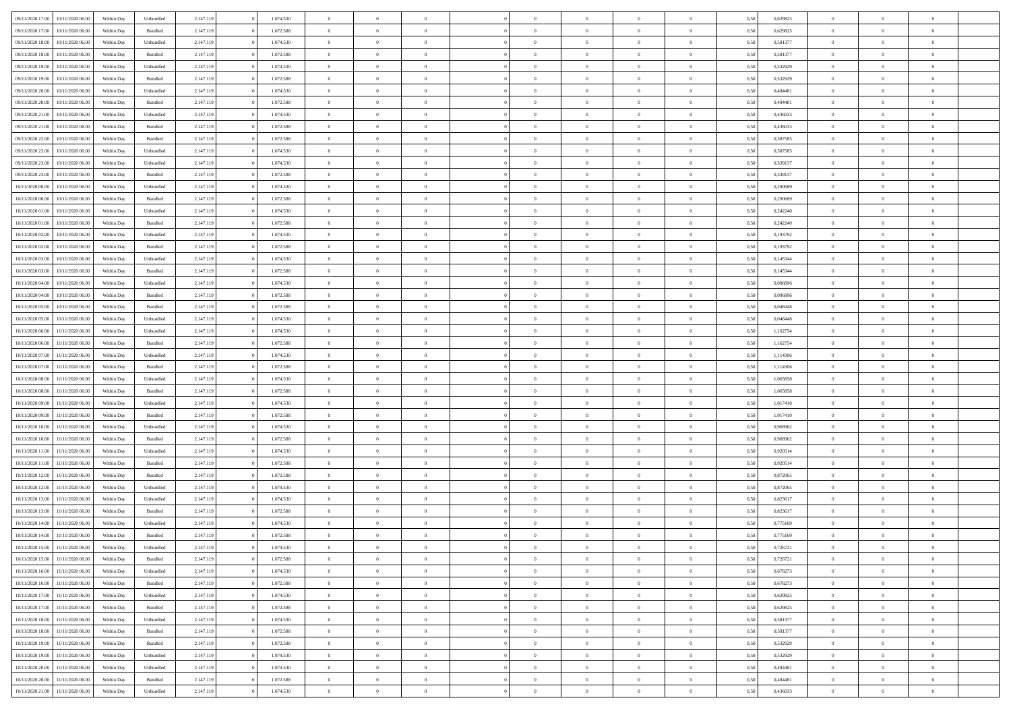| 09/11/2020 17:00 | 10/11/2020 06:00 | Within Dav | Unbundled | 2.147.119 | 1.074.530 | $\overline{0}$ | $\theta$       | $\Omega$       | $\Omega$       | $\Omega$       | $\theta$       | $\theta$       | 0.50 | 0,629825 | $\theta$       | $\overline{0}$ | $\overline{0}$ |  |
|------------------|------------------|------------|-----------|-----------|-----------|----------------|----------------|----------------|----------------|----------------|----------------|----------------|------|----------|----------------|----------------|----------------|--|
|                  |                  |            |           |           |           |                |                |                |                |                |                |                |      |          |                |                |                |  |
| 09/11/2020 17.00 | 10/11/2020 06.00 | Within Day | Bundled   | 2.147.119 | 1.072.588 | $\overline{0}$ | $\theta$       | $\overline{0}$ | $\overline{0}$ | $\bf{0}$       | $\overline{0}$ | $\bf{0}$       | 0,50 | 0,629825 | $\theta$       | $\overline{0}$ | $\overline{0}$ |  |
| 09/11/2020 18:00 | 10/11/2020 06.00 | Within Day | Unbundled | 2.147.119 | 1.074.530 | $\overline{0}$ | $\bf{0}$       | $\overline{0}$ | $\bf{0}$       | $\bf{0}$       | $\bf{0}$       | $\mathbf{0}$   | 0,50 | 0,581377 | $\bf{0}$       | $\overline{0}$ | $\overline{0}$ |  |
| 09/11/2020 18:00 | 10/11/2020 06:00 | Within Dav | Bundled   | 2.147.119 | 1.072.588 | $\overline{0}$ | $\overline{0}$ | $\overline{0}$ | $\overline{0}$ | $\bf{0}$       | $\overline{0}$ | $\overline{0}$ | 0.50 | 0,581377 | $\theta$       | $\theta$       | $\overline{0}$ |  |
| 09/11/2020 19:00 | 10/11/2020 06.00 | Within Day | Unbundled | 2.147.119 | 1.074.530 | $\overline{0}$ | $\theta$       | $\overline{0}$ | $\overline{0}$ | $\bf{0}$       | $\overline{0}$ | $\bf{0}$       | 0,50 | 0,532929 | $\,$ 0 $\,$    | $\overline{0}$ | $\overline{0}$ |  |
| 09/11/2020 19:00 | 10/11/2020 06.00 | Within Day | Bundled   | 2.147.119 | 1.072.588 | $\overline{0}$ | $\overline{0}$ | $\overline{0}$ | $\bf{0}$       | $\overline{0}$ | $\overline{0}$ | $\mathbf{0}$   | 0,50 | 0,532929 | $\overline{0}$ | $\overline{0}$ | $\bf{0}$       |  |
| 09/11/2020 20:00 | 10/11/2020 06:00 | Within Dav | Unbundled | 2.147.119 | 1.074.530 | $\overline{0}$ | $\overline{0}$ | $\overline{0}$ | $\overline{0}$ | $\overline{0}$ | $\overline{0}$ | $\overline{0}$ | 0.50 | 0,484481 | $\theta$       | $\overline{0}$ | $\overline{0}$ |  |
|                  |                  |            |           |           |           |                |                |                |                |                |                |                |      |          |                |                |                |  |
| 09/11/2020 20.00 | 10/11/2020 06.00 | Within Day | Bundled   | 2.147.119 | 1.072.588 | $\overline{0}$ | $\theta$       | $\overline{0}$ | $\overline{0}$ | $\bf{0}$       | $\overline{0}$ | $\bf{0}$       | 0,50 | 0,484481 | $\theta$       | $\theta$       | $\overline{0}$ |  |
| 09/11/2020 21:00 | 10/11/2020 06.00 | Within Day | Unbundled | 2.147.119 | 1.074.530 | $\overline{0}$ | $\overline{0}$ | $\overline{0}$ | $\bf{0}$       | $\bf{0}$       | $\bf{0}$       | $\bf{0}$       | 0,50 | 0,436033 | $\,0\,$        | $\overline{0}$ | $\overline{0}$ |  |
| 09/11/2020 21.00 | 10/11/2020 06.00 | Within Dav | Bundled   | 2.147.119 | 1.072.588 | $\overline{0}$ | $\overline{0}$ | $\overline{0}$ | $\overline{0}$ | $\overline{0}$ | $\overline{0}$ | $\overline{0}$ | 0.50 | 0,436033 | $\theta$       | $\overline{0}$ | $\overline{0}$ |  |
| 09/11/2020 22.00 | 10/11/2020 06.00 | Within Day | Bundled   | 2.147.119 | 1.072.588 | $\overline{0}$ | $\theta$       | $\overline{0}$ | $\overline{0}$ | $\bf{0}$       | $\overline{0}$ | $\bf{0}$       | 0,50 | 0,387585 | $\,$ 0 $\,$    | $\overline{0}$ | $\overline{0}$ |  |
| 09/11/2020 22.00 | 10/11/2020 06.00 | Within Day | Unbundled | 2.147.119 | 1.074.530 | $\overline{0}$ | $\overline{0}$ | $\overline{0}$ | $\bf{0}$       | $\bf{0}$       | $\bf{0}$       | $\mathbf{0}$   | 0,50 | 0,387585 | $\overline{0}$ | $\overline{0}$ | $\bf{0}$       |  |
| 09/11/2020 23.00 | 10/11/2020 06:00 | Within Day | Unbundled | 2.147.119 | 1.074.530 | $\overline{0}$ | $\overline{0}$ | $\overline{0}$ | $\overline{0}$ | $\bf{0}$       | $\overline{0}$ | $\overline{0}$ | 0.50 | 0,339137 | $\theta$       | $\theta$       | $\overline{0}$ |  |
|                  |                  |            |           |           |           |                |                |                |                |                |                |                |      |          |                |                |                |  |
| 09/11/2020 23.00 | 10/11/2020 06.00 | Within Day | Bundled   | 2.147.119 | 1.072.588 | $\overline{0}$ | $\theta$       | $\overline{0}$ | $\overline{0}$ | $\bf{0}$       | $\overline{0}$ | $\bf{0}$       | 0,50 | 0,339137 | $\theta$       | $\overline{0}$ | $\overline{0}$ |  |
| 10/11/2020 00:00 | 10/11/2020 06.00 | Within Day | Unbundled | 2.147.119 | 1.074.530 | $\overline{0}$ | $\overline{0}$ | $\overline{0}$ | $\bf{0}$       | $\overline{0}$ | $\overline{0}$ | $\mathbf{0}$   | 0,50 | 0,290689 | $\overline{0}$ | $\overline{0}$ | $\bf{0}$       |  |
| 10/11/2020 00:00 | 10/11/2020 06:00 | Within Dav | Bundled   | 2.147.119 | 1.072.588 | $\overline{0}$ | $\overline{0}$ | $\overline{0}$ | $\overline{0}$ | $\overline{0}$ | $\overline{0}$ | $\overline{0}$ | 0.50 | 0.290689 | $\theta$       | $\overline{0}$ | $\overline{0}$ |  |
| 10/11/2020 01:00 | 10/11/2020 06.00 | Within Day | Unbundled | 2.147.119 | 1.074.530 | $\overline{0}$ | $\theta$       | $\overline{0}$ | $\overline{0}$ | $\bf{0}$       | $\overline{0}$ | $\bf{0}$       | 0,50 | 0,242240 | $\,$ 0 $\,$    | $\theta$       | $\overline{0}$ |  |
| 10/11/2020 01:00 | 10/11/2020 06.00 | Within Day | Bundled   | 2.147.119 | 1.072.588 | $\overline{0}$ | $\overline{0}$ | $\overline{0}$ | $\bf{0}$       | $\bf{0}$       | $\bf{0}$       | $\mathbf{0}$   | 0,50 | 0,242240 | $\bf{0}$       | $\overline{0}$ | $\overline{0}$ |  |
| 10/11/2020 02:00 | 10/11/2020 06:00 | Within Day | Unbundled | 2.147.119 | 1.074.530 | $\overline{0}$ | $\overline{0}$ | $\overline{0}$ | $\overline{0}$ | $\overline{0}$ | $\overline{0}$ | $\overline{0}$ | 0.50 | 0,193792 | $\theta$       | $\overline{0}$ | $\overline{0}$ |  |
| 10/11/2020 02.00 | 10/11/2020 06.00 | Within Day | Bundled   | 2.147.119 | 1.072.588 | $\overline{0}$ | $\theta$       | $\overline{0}$ | $\overline{0}$ | $\bf{0}$       | $\overline{0}$ | $\bf{0}$       | 0,50 | 0,193792 | $\,$ 0 $\,$    | $\overline{0}$ | $\overline{0}$ |  |
|                  |                  |            |           |           |           |                |                |                |                |                |                |                |      |          |                |                |                |  |
| 10/11/2020 03:00 | 10/11/2020 06.00 | Within Day | Unbundled | 2.147.119 | 1.074.530 | $\overline{0}$ | $\overline{0}$ | $\overline{0}$ | $\bf{0}$       | $\bf{0}$       | $\bf{0}$       | $\bf{0}$       | 0,50 | 0,145344 | $\bf{0}$       | $\overline{0}$ | $\bf{0}$       |  |
| 10/11/2020 03:00 | 10/11/2020 06:00 | Within Day | Bundled   | 2.147.119 | 1.072.588 | $\overline{0}$ | $\overline{0}$ | $\overline{0}$ | $\overline{0}$ | $\overline{0}$ | $\overline{0}$ | $\overline{0}$ | 0.50 | 0,145344 | $\theta$       | $\overline{0}$ | $\overline{0}$ |  |
| 10/11/2020 04:00 | 10/11/2020 06.00 | Within Day | Unbundled | 2.147.119 | 1.074.530 | $\overline{0}$ | $\theta$       | $\overline{0}$ | $\overline{0}$ | $\bf{0}$       | $\overline{0}$ | $\bf{0}$       | 0,50 | 0,096896 | $\,$ 0 $\,$    | $\overline{0}$ | $\overline{0}$ |  |
| 10/11/2020 04:00 | 10/11/2020 06.00 | Within Day | Bundled   | 2.147.119 | 1.072.588 | $\overline{0}$ | $\overline{0}$ | $\overline{0}$ | $\bf{0}$       | $\overline{0}$ | $\overline{0}$ | $\mathbf{0}$   | 0,50 | 0,096896 | $\overline{0}$ | $\overline{0}$ | $\bf{0}$       |  |
| 10/11/2020 05:00 | 10/11/2020 06:00 | Within Dav | Bundled   | 2.147.119 | 1.072.588 | $\overline{0}$ | $\overline{0}$ | $\overline{0}$ | $\overline{0}$ | $\overline{0}$ | $\overline{0}$ | $\overline{0}$ | 0.50 | 0.048448 | $\theta$       | $\overline{0}$ | $\overline{0}$ |  |
| 10/11/2020 05:00 | 10/11/2020 06.00 | Within Day | Unbundled | 2.147.119 | 1.074.530 | $\overline{0}$ | $\theta$       | $\overline{0}$ | $\overline{0}$ | $\bf{0}$       | $\overline{0}$ | $\bf{0}$       | 0,50 | 0,048448 | $\theta$       | $\theta$       | $\overline{0}$ |  |
|                  |                  |            |           |           |           |                |                |                |                |                |                |                |      |          |                |                |                |  |
| 10/11/2020 06:00 | 11/11/2020 06.00 | Within Day | Unbundled | 2.147.119 | 1.074.530 | $\overline{0}$ | $\overline{0}$ | $\overline{0}$ | $\bf{0}$       | $\bf{0}$       | $\bf{0}$       | $\bf{0}$       | 0,50 | 1,162754 | $\,0\,$        | $\overline{0}$ | $\overline{0}$ |  |
| 10/11/2020 06:00 | 11/11/2020 06:00 | Within Day | Bundled   | 2.147.119 | 1.072.588 | $\overline{0}$ | $\overline{0}$ | $\overline{0}$ | $\overline{0}$ | $\overline{0}$ | $\overline{0}$ | $\overline{0}$ | 0.50 | 1,162754 | $\theta$       | $\overline{0}$ | $\overline{0}$ |  |
| 10/11/2020 07:00 | 11/11/2020 06.00 | Within Day | Unbundled | 2.147.119 | 1.074.530 | $\overline{0}$ | $\theta$       | $\overline{0}$ | $\overline{0}$ | $\bf{0}$       | $\overline{0}$ | $\bf{0}$       | 0,50 | 1,114306 | $\,$ 0 $\,$    | $\overline{0}$ | $\overline{0}$ |  |
| 10/11/2020 07.00 | 11/11/2020 06.00 | Within Day | Bundled   | 2.147.119 | 1.072.588 | $\overline{0}$ | $\overline{0}$ | $\overline{0}$ | $\bf{0}$       | $\bf{0}$       | $\bf{0}$       | $\bf{0}$       | 0,50 | 1,114306 | $\overline{0}$ | $\overline{0}$ | $\bf{0}$       |  |
| 10/11/2020 08:00 | 11/11/2020 06.00 | Within Day | Unbundled | 2.147.119 | 1.074.530 | $\overline{0}$ | $\Omega$       | $\overline{0}$ | $\Omega$       | $\Omega$       | $\overline{0}$ | $\overline{0}$ | 0,50 | 1,065858 | $\,0\,$        | $\theta$       | $\theta$       |  |
| 10/11/2020 08:00 | 11/11/2020 06.00 | Within Day | Bundled   | 2.147.119 | 1.072.588 | $\overline{0}$ | $\theta$       | $\overline{0}$ | $\overline{0}$ | $\bf{0}$       | $\overline{0}$ | $\bf{0}$       | 0,50 | 1,065858 | $\,$ 0 $\,$    | $\overline{0}$ | $\overline{0}$ |  |
| 10/11/2020 09:00 | 11/11/2020 06.00 | Within Day | Unbundled | 2.147.119 | 1.074.530 | $\overline{0}$ | $\overline{0}$ | $\overline{0}$ | $\bf{0}$       | $\overline{0}$ | $\overline{0}$ | $\mathbf{0}$   | 0,50 | 1,017410 | $\overline{0}$ | $\overline{0}$ | $\bf{0}$       |  |
|                  |                  |            |           |           |           | $\overline{0}$ | $\Omega$       | $\Omega$       | $\Omega$       | $\overline{0}$ | $\overline{0}$ |                |      |          |                | $\theta$       | $\theta$       |  |
| 10/11/2020 09:00 | 11/11/2020 06.00 | Within Day | Bundled   | 2.147.119 | 1.072.588 |                |                |                |                |                |                | $\overline{0}$ | 0.50 | 1,017410 | $\,0\,$        |                |                |  |
| 10/11/2020 10:00 | 11/11/2020 06.00 | Within Day | Unbundled | 2.147.119 | 1.074.530 | $\overline{0}$ | $\theta$       | $\overline{0}$ | $\overline{0}$ | $\bf{0}$       | $\overline{0}$ | $\bf{0}$       | 0,50 | 0,968962 | $\,$ 0 $\,$    | $\overline{0}$ | $\overline{0}$ |  |
| 10/11/2020 10:00 | 11/11/2020 06.00 | Within Day | Bundled   | 2.147.119 | 1.072.588 | $\overline{0}$ | $\overline{0}$ | $\overline{0}$ | $\bf{0}$       | $\bf{0}$       | $\bf{0}$       | $\bf{0}$       | 0,50 | 0,968962 | $\bf{0}$       | $\overline{0}$ | $\bf{0}$       |  |
| 10/11/2020 11:00 | 11/11/2020 06.00 | Within Day | Unbundled | 2.147.119 | 1.074.530 | $\overline{0}$ | $\Omega$       | $\overline{0}$ | $\Omega$       | $\overline{0}$ | $\overline{0}$ | $\overline{0}$ | 0.50 | 0.920514 | $\,$ 0 $\,$    | $\theta$       | $\theta$       |  |
| 10/11/2020 11:00 | 11/11/2020 06.00 | Within Day | Bundled   | 2.147.119 | 1.072.588 | $\overline{0}$ | $\theta$       | $\overline{0}$ | $\overline{0}$ | $\,$ 0         | $\overline{0}$ | $\bf{0}$       | 0,50 | 0,920514 | $\,$ 0 $\,$    | $\overline{0}$ | $\overline{0}$ |  |
| 10/11/2020 12:00 | 11/11/2020 06.00 | Within Day | Bundled   | 2.147.119 | 1.072.588 | $\overline{0}$ | $\bf{0}$       | $\overline{0}$ | $\bf{0}$       | $\bf{0}$       | $\bf{0}$       | $\mathbf{0}$   | 0,50 | 0,872065 | $\overline{0}$ | $\overline{0}$ | $\bf{0}$       |  |
| 10/11/2020 12:00 | 11/11/2020 06.00 | Within Day | Unbundled | 2.147.119 | 1.074.530 | $\overline{0}$ | $\Omega$       | $\overline{0}$ | $\Omega$       | $\overline{0}$ | $\overline{0}$ | $\overline{0}$ | 0,50 | 0,872065 | $\,0\,$        | $\theta$       | $\theta$       |  |
| 10/11/2020 13:00 | 11/11/2020 06.00 | Within Day | Unbundled | 2.147.119 | 1.074.530 | $\overline{0}$ | $\overline{0}$ | $\overline{0}$ | $\overline{0}$ | $\,$ 0         | $\overline{0}$ | $\bf{0}$       | 0,50 | 0,823617 | $\,$ 0 $\,$    | $\overline{0}$ | $\overline{0}$ |  |
|                  |                  |            |           |           |           |                |                |                |                |                |                |                |      |          |                |                |                |  |
| 10/11/2020 13:00 | 11/11/2020 06.00 | Within Day | Bundled   | 2.147.119 | 1.072.588 | $\overline{0}$ | $\overline{0}$ | $\overline{0}$ | $\bf{0}$       | $\bf{0}$       | $\overline{0}$ | $\mathbf{0}$   | 0,50 | 0,823617 | $\overline{0}$ | $\overline{0}$ | $\bf{0}$       |  |
| 10/11/2020 14:00 | 11/11/2020 06.00 | Within Day | Unbundled | 2.147.119 | 1.074.530 | $\overline{0}$ | $\Omega$       | $\Omega$       | $\Omega$       | $\Omega$       | $\overline{0}$ | $\overline{0}$ | 0.50 | 0,775169 | $\theta$       | $\theta$       | $\theta$       |  |
| 10/11/2020 14:00 | 11/11/2020 06.00 | Within Day | Bundled   | 2.147.119 | 1.072.588 | $\overline{0}$ | $\overline{0}$ | $\overline{0}$ | $\bf{0}$       | $\,$ 0         | $\bf{0}$       | $\bf{0}$       | 0,50 | 0,775169 | $\,0\,$        | $\,$ 0 $\,$    | $\overline{0}$ |  |
| 10/11/2020 15:00 | 11/11/2020 06.00 | Within Day | Unbundled | 2.147.119 | 1.074.530 | $\bf{0}$       | $\bf{0}$       |                |                | $\bf{0}$       |                |                | 0,50 | 0,726721 | $\bf{0}$       | $\overline{0}$ |                |  |
| 10/11/2020 15:00 | 11/11/2020 06.00 | Within Day | Bundled   | 2.147.119 | 1.072.588 | $\overline{0}$ | $\overline{0}$ | $\overline{0}$ | $\Omega$       | $\theta$       | $\overline{0}$ | $\overline{0}$ | 0,50 | 0,726721 | $\theta$       | $\theta$       | $\theta$       |  |
| 10/11/2020 16:00 | 11/11/2020 06.00 | Within Day | Unbundled | 2.147.119 | 1.074.530 | $\overline{0}$ | $\,$ 0         | $\overline{0}$ | $\bf{0}$       | $\,$ 0 $\,$    | $\overline{0}$ | $\mathbf{0}$   | 0,50 | 0,678273 | $\,$ 0 $\,$    | $\,$ 0 $\,$    | $\,$ 0         |  |
| 10/11/2020 16.00 | 11/11/2020 06.00 | Within Day | Bundled   | 2.147.119 | 1.072.588 | $\overline{0}$ | $\overline{0}$ | $\overline{0}$ | $\overline{0}$ | $\overline{0}$ | $\overline{0}$ | $\mathbf{0}$   | 0,50 | 0,678273 | $\overline{0}$ | $\bf{0}$       | $\bf{0}$       |  |
|                  |                  |            |           |           |           |                |                |                |                |                |                |                |      |          |                |                |                |  |
| 10/11/2020 17:00 | 11/11/2020 06.00 | Within Day | Unbundled | 2.147.119 | 1.074.530 | $\overline{0}$ | $\overline{0}$ | $\overline{0}$ | $\Omega$       | $\overline{0}$ | $\overline{0}$ | $\bf{0}$       | 0,50 | 0,629825 | $\overline{0}$ | $\theta$       | $\overline{0}$ |  |
| 10/11/2020 17.00 | 11/11/2020 06.00 | Within Day | Bundled   | 2.147.119 | 1.072.588 | $\overline{0}$ | $\,$ 0         | $\overline{0}$ | $\overline{0}$ | $\overline{0}$ | $\overline{0}$ | $\bf{0}$       | 0,50 | 0,629825 | $\,$ 0 $\,$    | $\overline{0}$ | $\overline{0}$ |  |
| 10/11/2020 18:00 | 11/11/2020 06.00 | Within Day | Unbundled | 2.147.119 | 1.074.530 | $\overline{0}$ | $\overline{0}$ | $\overline{0}$ | $\overline{0}$ | $\overline{0}$ | $\overline{0}$ | $\mathbf{0}$   | 0,50 | 0,581377 | $\overline{0}$ | $\bf{0}$       | $\bf{0}$       |  |
| 10/11/2020 18:00 | 11/11/2020 06.00 | Within Day | Bundled   | 2.147.119 | 1.072.588 | $\overline{0}$ | $\overline{0}$ | $\overline{0}$ | $\Omega$       | $\overline{0}$ | $\overline{0}$ | $\bf{0}$       | 0.50 | 0,581377 | $\overline{0}$ | $\theta$       | $\overline{0}$ |  |
| 10/11/2020 19:00 | 11/11/2020 06.00 | Within Day | Bundled   | 2.147.119 | 1.072.588 | $\overline{0}$ | $\,$ 0         | $\overline{0}$ | $\bf{0}$       | $\bf{0}$       | $\bf{0}$       | $\bf{0}$       | 0,50 | 0,532929 | $\,$ 0 $\,$    | $\overline{0}$ | $\overline{0}$ |  |
| 10/11/2020 19:00 | 11/11/2020 06.00 | Within Day | Unbundled | 2.147.119 | 1.074.530 | $\overline{0}$ | $\bf{0}$       | $\overline{0}$ | $\overline{0}$ | $\overline{0}$ | $\bf{0}$       | $\mathbf{0}$   | 0,50 | 0,532929 | $\overline{0}$ | $\overline{0}$ | $\bf{0}$       |  |
|                  |                  |            |           |           | 1.074.530 | $\overline{0}$ | $\overline{0}$ | $\overline{0}$ | $\Omega$       | $\overline{0}$ | $\overline{0}$ |                | 0.50 | 0.484481 | $\overline{0}$ | $\theta$       | $\overline{0}$ |  |
| 10/11/2020 20:00 | 11/11/2020 06.00 | Within Day | Unbundled | 2.147.119 |           |                |                |                |                |                |                | $\bf{0}$       |      |          |                |                |                |  |
| 10/11/2020 20.00 | 11/11/2020 06.00 | Within Day | Bundled   | 2.147.119 | 1.072.588 | $\overline{0}$ | $\bf{0}$       | $\overline{0}$ | $\overline{0}$ | $\bf{0}$       | $\bf{0}$       | $\mathbf{0}$   | 0,50 | 0,484481 | $\,$ 0 $\,$    | $\,$ 0 $\,$    | $\bf{0}$       |  |
| 10/11/2020 21:00 | 11/11/2020 06.00 | Within Day | Unbundled | 2.147.119 | 1.074.530 | $\overline{0}$ | $\overline{0}$ | $\overline{0}$ | $\overline{0}$ | $\bf{0}$       | $\bf{0}$       | $\mathbf{0}$   | 0,50 | 0,436033 | $\overline{0}$ | $\bf{0}$       | $\bf{0}$       |  |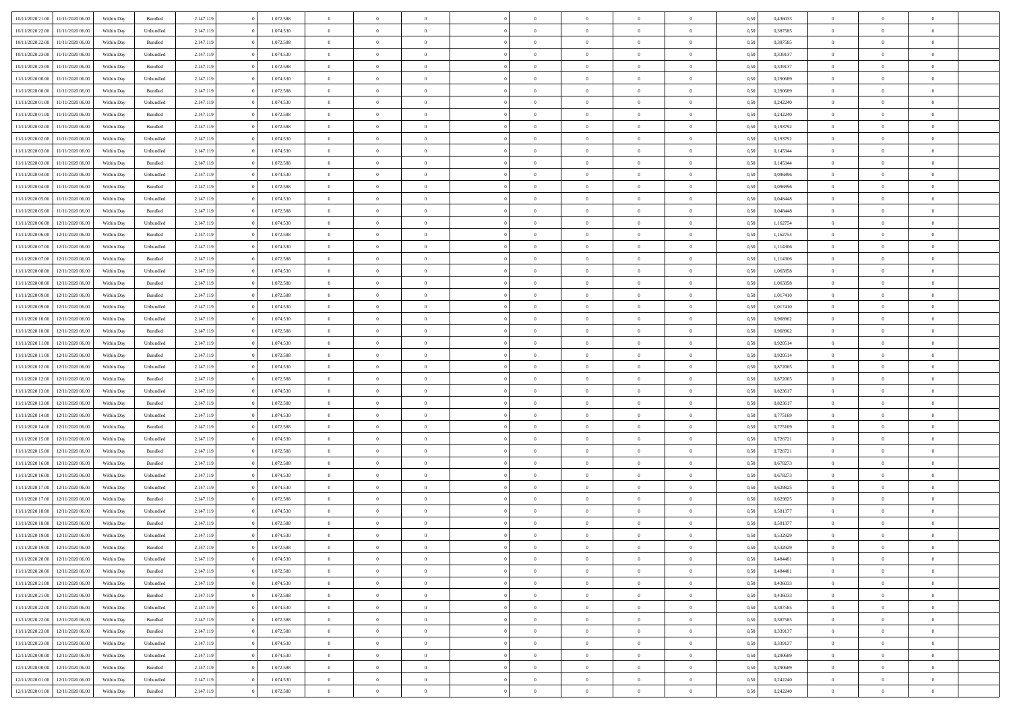| 10/11/2020 21:00                     | 11/11/2020 06:00 | Within Dav | Bundled            | 2.147.119              | 1.072.588 | $\overline{0}$ | $\Omega$       |                | $\Omega$       | $\Omega$       | $\Omega$       | $\theta$       | 0.50 | 0,436033 | $\theta$       | $\theta$       | $\theta$       |  |
|--------------------------------------|------------------|------------|--------------------|------------------------|-----------|----------------|----------------|----------------|----------------|----------------|----------------|----------------|------|----------|----------------|----------------|----------------|--|
|                                      |                  |            |                    |                        |           |                |                |                |                |                |                |                |      |          |                |                |                |  |
| 10/11/2020 22.00                     | 11/11/2020 06.00 | Within Day | Unbundled          | 2.147.119              | 1.074.530 | $\overline{0}$ | $\theta$       | $\overline{0}$ | $\overline{0}$ | $\bf{0}$       | $\overline{0}$ | $\bf{0}$       | 0,50 | 0,387585 | $\theta$       | $\overline{0}$ | $\overline{0}$ |  |
| 10/11/2020 22:00                     | 11/11/2020 06.00 | Within Day | Bundled            | 2.147.119              | 1.072.588 | $\overline{0}$ | $\overline{0}$ | $\overline{0}$ | $\bf{0}$       | $\bf{0}$       | $\bf{0}$       | $\bf{0}$       | 0,50 | 0,387585 | $\bf{0}$       | $\overline{0}$ | $\overline{0}$ |  |
| 10/11/2020 23:00                     | 11/11/2020 06:00 | Within Dav | Unbundled          | 2.147.119              | 1.074.530 | $\overline{0}$ | $\overline{0}$ | $\overline{0}$ | $\overline{0}$ | $\bf{0}$       | $\overline{0}$ | $\overline{0}$ | 0.50 | 0,339137 | $\theta$       | $\theta$       | $\overline{0}$ |  |
| 10/11/2020 23.00                     | 11/11/2020 06.00 | Within Day | Bundled            | 2.147.119              | 1.072.588 | $\overline{0}$ | $\theta$       | $\overline{0}$ | $\overline{0}$ | $\bf{0}$       | $\overline{0}$ | $\bf{0}$       | 0,50 | 0,339137 | $\theta$       | $\theta$       | $\overline{0}$ |  |
| 11/11/2020 00:00                     | 11/11/2020 06.00 | Within Day | Unbundled          | 2.147.119              | 1.074.530 | $\overline{0}$ | $\bf{0}$       | $\overline{0}$ | $\bf{0}$       | $\overline{0}$ | $\overline{0}$ | $\mathbf{0}$   | 0,50 | 0,290689 | $\bf{0}$       | $\overline{0}$ | $\bf{0}$       |  |
| 11/11/2020 00:00                     | 11/11/2020 06.00 | Within Dav | Bundled            | 2.147.119              | 1.072.588 | $\overline{0}$ | $\overline{0}$ | $\overline{0}$ | $\overline{0}$ | $\overline{0}$ | $\overline{0}$ | $\overline{0}$ | 0.50 | 0.290689 | $\theta$       | $\overline{0}$ | $\overline{0}$ |  |
| 11/11/2020 01:00                     | 11/11/2020 06.00 | Within Day | Unbundled          | 2.147.119              | 1.074.530 | $\overline{0}$ | $\theta$       | $\overline{0}$ | $\overline{0}$ | $\bf{0}$       | $\overline{0}$ | $\bf{0}$       | 0,50 | 0,242240 | $\theta$       | $\theta$       | $\overline{0}$ |  |
| 11/11/2020 01:00                     | 11/11/2020 06.00 | Within Day | Bundled            | 2.147.119              | 1.072.588 | $\overline{0}$ | $\overline{0}$ | $\overline{0}$ | $\bf{0}$       | $\bf{0}$       | $\bf{0}$       | $\bf{0}$       | 0,50 | 0,242240 | $\,0\,$        | $\overline{0}$ | $\overline{0}$ |  |
| 11/11/2020 02.00                     | 11/11/2020 06:00 | Within Dav | Bundled            | 2.147.119              | 1.072.588 | $\overline{0}$ | $\overline{0}$ | $\overline{0}$ | $\overline{0}$ | $\overline{0}$ | $\overline{0}$ | $\overline{0}$ | 0.50 | 0,193792 | $\theta$       | $\overline{0}$ | $\overline{0}$ |  |
|                                      |                  |            |                    |                        |           |                |                |                |                |                |                |                |      |          |                |                |                |  |
| 11/11/2020 02.00                     | 11/11/2020 06.00 | Within Day | Unbundled          | 2.147.119              | 1.074.530 | $\overline{0}$ | $\theta$       | $\overline{0}$ | $\overline{0}$ | $\bf{0}$       | $\overline{0}$ | $\bf{0}$       | 0,50 | 0,193792 | $\,$ 0 $\,$    | $\theta$       | $\overline{0}$ |  |
| 11/11/2020 03.00                     | 11/11/2020 06.00 | Within Day | Unbundled          | 2.147.119              | 1.074.530 | $\overline{0}$ | $\overline{0}$ | $\overline{0}$ | $\bf{0}$       | $\bf{0}$       | $\bf{0}$       | $\bf{0}$       | 0,50 | 0,145344 | $\overline{0}$ | $\overline{0}$ | $\overline{0}$ |  |
| 11/11/2020 03:00                     | 11/11/2020 06:00 | Within Day | Bundled            | 2.147.119              | 1.072.588 | $\overline{0}$ | $\overline{0}$ | $\overline{0}$ | $\overline{0}$ | $\bf{0}$       | $\overline{0}$ | $\overline{0}$ | 0.50 | 0,145344 | $\theta$       | $\theta$       | $\overline{0}$ |  |
| 11/11/2020 04:00                     | 11/11/2020 06.00 | Within Day | Unbundled          | 2.147.119              | 1.074.530 | $\overline{0}$ | $\theta$       | $\overline{0}$ | $\overline{0}$ | $\bf{0}$       | $\overline{0}$ | $\bf{0}$       | 0,50 | 0,096896 | $\theta$       | $\theta$       | $\overline{0}$ |  |
| 11/11/2020 04:00                     | 11/11/2020 06.00 | Within Day | Bundled            | 2.147.119              | 1.072.588 | $\overline{0}$ | $\bf{0}$       | $\overline{0}$ | $\bf{0}$       | $\overline{0}$ | $\overline{0}$ | $\mathbf{0}$   | 0,50 | 0,096896 | $\overline{0}$ | $\overline{0}$ | $\bf{0}$       |  |
| 11/11/2020 05:00                     | 11/11/2020 06.00 | Within Dav | Unbundled          | 2.147.119              | 1.074.530 | $\overline{0}$ | $\overline{0}$ | $\overline{0}$ | $\overline{0}$ | $\overline{0}$ | $\overline{0}$ | $\overline{0}$ | 0.50 | 0.048448 | $\theta$       | $\overline{0}$ | $\overline{0}$ |  |
| 11/11/2020 05:00                     | 11/11/2020 06.00 | Within Day | Bundled            | 2.147.119              | 1.072.588 | $\overline{0}$ | $\theta$       | $\overline{0}$ | $\overline{0}$ | $\bf{0}$       | $\overline{0}$ | $\bf{0}$       | 0,50 | 0,048448 | $\theta$       | $\theta$       | $\overline{0}$ |  |
| 11/11/2020 06:00                     | 12/11/2020 06.00 | Within Day | Unbundled          | 2.147.119              | 1.074.530 | $\overline{0}$ | $\overline{0}$ | $\overline{0}$ | $\bf{0}$       | $\bf{0}$       | $\bf{0}$       | $\bf{0}$       | 0,50 | 1,162754 | $\bf{0}$       | $\overline{0}$ | $\overline{0}$ |  |
| 11/11/2020 06.00                     | 12/11/2020 06:00 | Within Day | Bundled            | 2.147.119              | 1.072.588 | $\overline{0}$ | $\overline{0}$ | $\overline{0}$ | $\overline{0}$ | $\overline{0}$ | $\overline{0}$ | $\overline{0}$ | 0.50 | 1,162754 | $\theta$       | $\overline{0}$ | $\overline{0}$ |  |
| 11/11/2020 07:00                     | 12/11/2020 06.00 | Within Day | Unbundled          | 2.147.119              | 1.074.530 | $\overline{0}$ | $\theta$       | $\overline{0}$ | $\overline{0}$ | $\bf{0}$       | $\overline{0}$ | $\bf{0}$       | 0,50 | 1,114306 | $\,$ 0 $\,$    | $\theta$       | $\overline{0}$ |  |
|                                      |                  |            |                    |                        |           |                |                |                |                |                |                |                |      |          |                |                |                |  |
| 11/11/2020 07:00                     | 12/11/2020 06.00 | Within Day | Bundled            | 2.147.119              | 1.072.588 | $\overline{0}$ | $\overline{0}$ | $\overline{0}$ | $\bf{0}$       | $\bf{0}$       | $\bf{0}$       | $\bf{0}$       | 0,50 | 1,114306 | $\overline{0}$ | $\overline{0}$ | $\overline{0}$ |  |
| 11/11/2020 08:00                     | 12/11/2020 06:00 | Within Day | Unbundled          | 2.147.119              | 1.074.530 | $\overline{0}$ | $\overline{0}$ | $\overline{0}$ | $\overline{0}$ | $\bf{0}$       | $\overline{0}$ | $\overline{0}$ | 0.50 | 1.065858 | $\theta$       | $\theta$       | $\overline{0}$ |  |
| 11/11/2020 08:00                     | 12/11/2020 06.00 | Within Day | Bundled            | 2.147.119              | 1.072.588 | $\overline{0}$ | $\theta$       | $\overline{0}$ | $\overline{0}$ | $\bf{0}$       | $\overline{0}$ | $\bf{0}$       | 0,50 | 1,065858 | $\theta$       | $\overline{0}$ | $\overline{0}$ |  |
| 11/11/2020 09:00                     | 12/11/2020 06.00 | Within Day | Bundled            | 2.147.119              | 1.072.588 | $\overline{0}$ | $\bf{0}$       | $\overline{0}$ | $\bf{0}$       | $\overline{0}$ | $\overline{0}$ | $\mathbf{0}$   | 0,50 | 1,017410 | $\overline{0}$ | $\overline{0}$ | $\bf{0}$       |  |
| 11/11/2020 09:00                     | 12/11/2020 06.00 | Within Dav | Unbundled          | 2.147.119              | 1.074.530 | $\overline{0}$ | $\overline{0}$ | $\overline{0}$ | $\overline{0}$ | $\overline{0}$ | $\overline{0}$ | $\overline{0}$ | 0.50 | 1,017410 | $\theta$       | $\overline{0}$ | $\overline{0}$ |  |
| 11/11/2020 10:00                     | 12/11/2020 06.00 | Within Day | Unbundled          | 2.147.119              | 1.074.530 | $\overline{0}$ | $\theta$       | $\overline{0}$ | $\overline{0}$ | $\bf{0}$       | $\overline{0}$ | $\bf{0}$       | 0,50 | 0,968962 | $\theta$       | $\theta$       | $\overline{0}$ |  |
| 11/11/2020 10:00                     | 12/11/2020 06.00 | Within Day | Bundled            | 2.147.119              | 1.072.588 | $\overline{0}$ | $\overline{0}$ | $\overline{0}$ | $\bf{0}$       | $\bf{0}$       | $\bf{0}$       | $\bf{0}$       | 0,50 | 0,968962 | $\,0\,$        | $\overline{0}$ | $\overline{0}$ |  |
| 11/11/2020 11:00                     | 12/11/2020 06:00 | Within Day | Unbundled          | 2.147.119              | 1.074.530 | $\overline{0}$ | $\overline{0}$ | $\overline{0}$ | $\overline{0}$ | $\overline{0}$ | $\overline{0}$ | $\overline{0}$ | 0.50 | 0.920514 | $\theta$       | $\overline{0}$ | $\overline{0}$ |  |
| 11/11/2020 11:00                     | 12/11/2020 06.00 | Within Day | Bundled            | 2.147.119              | 1.072.588 | $\overline{0}$ | $\theta$       | $\overline{0}$ | $\overline{0}$ | $\bf{0}$       | $\overline{0}$ | $\bf{0}$       | 0,50 | 0,920514 | $\,$ 0 $\,$    | $\overline{0}$ | $\overline{0}$ |  |
| 11/11/2020 12.00                     | 12/11/2020 06.00 | Within Day | Unbundled          | 2.147.119              | 1.074.530 | $\overline{0}$ | $\overline{0}$ | $\overline{0}$ | $\bf{0}$       | $\bf{0}$       | $\bf{0}$       | $\bf{0}$       | 0,50 | 0,872065 | $\bf{0}$       | $\overline{0}$ | $\overline{0}$ |  |
| 11/11/2020 12:00                     | 12/11/2020 06.00 |            |                    | 2.147.119              | 1.072.588 | $\overline{0}$ | $\Omega$       | $\Omega$       | $\Omega$       | $\Omega$       | $\overline{0}$ | $\overline{0}$ | 0,50 | 0,872065 | $\,0\,$        | $\theta$       | $\theta$       |  |
|                                      |                  | Within Day | Bundled            |                        |           | $\overline{0}$ | $\theta$       | $\overline{0}$ | $\overline{0}$ | $\bf{0}$       | $\overline{0}$ |                |      |          | $\theta$       | $\theta$       | $\overline{0}$ |  |
| 11/11/2020 13:00                     | 12/11/2020 06.00 | Within Day | Unbundled          | 2.147.119              | 1.074.530 |                |                |                |                |                |                | $\bf{0}$       | 0,50 | 0,823617 |                |                |                |  |
| 11/11/2020 13:00                     | 12/11/2020 06.00 | Within Day | Bundled            | 2.147.119              | 1.072.588 | $\overline{0}$ | $\overline{0}$ | $\overline{0}$ | $\bf{0}$       | $\bf{0}$       | $\overline{0}$ | $\mathbf{0}$   | 0,50 | 0,823617 | $\bf{0}$       | $\overline{0}$ | $\bf{0}$       |  |
| 11/11/2020 14:00                     | 12/11/2020 06.00 | Within Day | Unbundled          | 2.147.119              | 1.074.530 | $\overline{0}$ | $\Omega$       | $\Omega$       | $\Omega$       | $\bf{0}$       | $\overline{0}$ | $\overline{0}$ | 0.50 | 0,775169 | $\,0\,$        | $\theta$       | $\theta$       |  |
| 11/11/2020 14:00                     | 12/11/2020 06.00 | Within Day | Bundled            | 2.147.119              | 1.072.588 | $\overline{0}$ | $\theta$       | $\overline{0}$ | $\overline{0}$ | $\bf{0}$       | $\overline{0}$ | $\bf{0}$       | 0,50 | 0,775169 | $\,$ 0 $\,$    | $\theta$       | $\overline{0}$ |  |
| 11/11/2020 15:00                     | 12/11/2020 06.00 | Within Day | Unbundled          | 2.147.119              | 1.074.530 | $\overline{0}$ | $\overline{0}$ | $\overline{0}$ | $\bf{0}$       | $\bf{0}$       | $\bf{0}$       | $\bf{0}$       | 0,50 | 0,726721 | $\bf{0}$       | $\overline{0}$ | $\overline{0}$ |  |
| 11/11/2020 15:00                     | 12/11/2020 06.00 | Within Day | Bundled            | 2.147.119              | 1.072.588 | $\overline{0}$ | $\Omega$       | $\Omega$       | $\Omega$       | $\theta$       | $\overline{0}$ | $\overline{0}$ | 0.50 | 0,726721 | $\,0\,$        | $\theta$       | $\theta$       |  |
| 11/11/2020 16:00                     | 12/11/2020 06.00 | Within Day | Bundled            | 2.147.119              | 1.072.588 | $\overline{0}$ | $\theta$       | $\overline{0}$ | $\overline{0}$ | $\,$ 0         | $\overline{0}$ | $\bf{0}$       | 0,50 | 0,678273 | $\,$ 0 $\,$    | $\overline{0}$ | $\overline{0}$ |  |
| 11/11/2020 16:00                     | 12/11/2020 06.00 | Within Day | Unbundled          | 2.147.119              | 1.074.530 | $\overline{0}$ | $\overline{0}$ | $\overline{0}$ | $\bf{0}$       | $\bf{0}$       | $\bf{0}$       | $\bf{0}$       | 0,50 | 0,678273 | $\bf{0}$       | $\overline{0}$ | $\overline{0}$ |  |
| 11/11/2020 17.00                     | 12/11/2020 06.00 | Within Day | Unbundled          | 2.147.119              | 1.074.530 | $\overline{0}$ | $\Omega$       | $\overline{0}$ | $\Omega$       | $\overline{0}$ | $\overline{0}$ | $\overline{0}$ | 0,50 | 0,629825 | $\,0\,$        | $\theta$       | $\theta$       |  |
| 11/11/2020 17.00                     | 12/11/2020 06.00 | Within Day | Bundled            | 2.147.119              | 1.072.588 | $\overline{0}$ | $\theta$       | $\overline{0}$ | $\overline{0}$ | $\bf{0}$       | $\overline{0}$ | $\bf{0}$       | 0,50 | 0,629825 | $\,$ 0 $\,$    | $\overline{0}$ | $\overline{0}$ |  |
| 11/11/2020 18:00                     | 12/11/2020 06.00 | Within Day | Unbundled          | 2.147.119              | 1.074.530 | $\overline{0}$ | $\overline{0}$ | $\overline{0}$ | $\bf{0}$       | $\bf{0}$       | $\bf{0}$       | $\mathbf{0}$   | 0,50 | 0,581377 | $\bf{0}$       | $\overline{0}$ | $\bf{0}$       |  |
|                                      | 12/11/2020 06.00 |            | Bundled            |                        | 1.072.588 | $\overline{0}$ | $\Omega$       | $\Omega$       | $\Omega$       | $\Omega$       | $\Omega$       | $\overline{0}$ | 0.50 | 0,581377 | $\theta$       | $\theta$       | $\theta$       |  |
| 11/11/2020 18:00<br>11/11/2020 19:00 | 12/11/2020 06.00 | Within Day |                    | 2.147.119<br>2.147.119 | 1.074.530 | $\overline{0}$ | $\,$ 0 $\,$    | $\overline{0}$ | $\bf{0}$       | $\,$ 0         |                |                |      | 0,532929 | $\,0\,$        | $\overline{0}$ | $\overline{0}$ |  |
|                                      |                  | Within Day | Unbundled          |                        |           |                |                |                |                |                | $\bf{0}$       | $\bf{0}$       | 0,50 |          |                |                |                |  |
| 11/11/2020 19:00                     | 12/11/2020 06.00 | Within Day | $\mathbf B$ undled | 2.147.119              | 1.072.588 | $\bf{0}$       | $\bf{0}$       |                |                |                |                |                | 0,50 | 0,532929 | $\bf{0}$       | $\overline{0}$ |                |  |
| 11/11/2020 20.00                     | 12/11/2020 06.00 | Within Day | Unbundled          | 2.147.119              | 1.074.530 | $\overline{0}$ | $\overline{0}$ | $\overline{0}$ | $\Omega$       | $\theta$       | $\overline{0}$ | $\overline{0}$ | 0,50 | 0.484481 | $\theta$       | $\theta$       | $\theta$       |  |
| 11/11/2020 20.00                     | 12/11/2020 06.00 | Within Day | Bundled            | 2.147.119              | 1.072.588 | $\overline{0}$ | $\,$ 0         | $\overline{0}$ | $\bf{0}$       | $\,$ 0 $\,$    | $\overline{0}$ | $\mathbf{0}$   | 0,50 | 0,484481 | $\,$ 0 $\,$    | $\,$ 0 $\,$    | $\,$ 0         |  |
| 11/11/2020 21.00                     | 12/11/2020 06.00 | Within Day | Unbundled          | 2.147.119              | 1.074.530 | $\overline{0}$ | $\overline{0}$ | $\overline{0}$ | $\overline{0}$ | $\overline{0}$ | $\overline{0}$ | $\mathbf{0}$   | 0,50 | 0,436033 | $\overline{0}$ | $\bf{0}$       | $\bf{0}$       |  |
| 11/11/2020 21.00                     | 12/11/2020 06.00 | Within Day | $\mathbf B$ undled | 2.147.119              | 1.072.588 | $\overline{0}$ | $\overline{0}$ | $\overline{0}$ | $\Omega$       | $\overline{0}$ | $\overline{0}$ | $\bf{0}$       | 0,50 | 0,436033 | $\,$ 0 $\,$    | $\theta$       | $\overline{0}$ |  |
| 11/11/2020 22.00                     | 12/11/2020 06.00 | Within Day | Unbundled          | 2.147.119              | 1.074.530 | $\overline{0}$ | $\,$ 0         | $\overline{0}$ | $\overline{0}$ | $\overline{0}$ | $\overline{0}$ | $\bf{0}$       | 0,50 | 0,387585 | $\,$ 0 $\,$    | $\overline{0}$ | $\overline{0}$ |  |
| 11/11/2020 22.00                     | 12/11/2020 06.00 | Within Day | Bundled            | 2.147.119              | 1.072.588 | $\overline{0}$ | $\overline{0}$ | $\overline{0}$ | $\overline{0}$ | $\overline{0}$ | $\overline{0}$ | $\mathbf{0}$   | 0,50 | 0,387585 | $\overline{0}$ | $\bf{0}$       | $\bf{0}$       |  |
| 11/11/2020 23.00                     | 12/11/2020 06.00 | Within Day | Bundled            | 2.147.119              | 1.072.588 | $\overline{0}$ | $\overline{0}$ | $\overline{0}$ | $\Omega$       | $\overline{0}$ | $\overline{0}$ | $\bf{0}$       | 0.50 | 0,339137 | $\overline{0}$ | $\theta$       | $\overline{0}$ |  |
| 11/11/2020 23.00                     | 12/11/2020 06.00 | Within Day | Unbundled          | 2.147.119              | 1.074.530 | $\overline{0}$ | $\,$ 0         | $\overline{0}$ | $\bf{0}$       | $\bf{0}$       | $\bf{0}$       | $\bf{0}$       | 0,50 | 0,339137 | $\,$ 0 $\,$    | $\overline{0}$ | $\overline{0}$ |  |
| 12/11/2020 00:00                     | 12/11/2020 06.00 | Within Day | Unbundled          | 2.147.119              | 1.074.530 | $\overline{0}$ | $\bf{0}$       | $\overline{0}$ | $\overline{0}$ | $\overline{0}$ | $\bf{0}$       | $\mathbf{0}$   | 0,50 | 0,290689 | $\overline{0}$ | $\overline{0}$ | $\bf{0}$       |  |
|                                      |                  |            |                    |                        |           |                | $\overline{0}$ | $\overline{0}$ | $\Omega$       | $\overline{0}$ | $\overline{0}$ |                |      |          |                | $\theta$       | $\overline{0}$ |  |
| 12/11/2020 00:00                     | 12/11/2020 06.00 | Within Day | Bundled            | 2.147.119              | 1.072.588 | $\overline{0}$ |                |                |                |                |                | $\bf{0}$       | 0.50 | 0,290689 | $\overline{0}$ |                |                |  |
| 12/11/2020 01:00                     | 12/11/2020 06.00 | Within Day | Unbundled          | 2.147.119              | 1.074.530 | $\overline{0}$ | $\bf{0}$       | $\overline{0}$ | $\overline{0}$ | $\bf{0}$       | $\bf{0}$       | $\mathbf{0}$   | 0,50 | 0,242240 | $\,$ 0 $\,$    | $\,$ 0 $\,$    | $\bf{0}$       |  |
| 12/11/2020 01:00                     | 12/11/2020 06.00 | Within Day | Bundled            | 2.147.119              | 1.072.588 | $\overline{0}$ | $\overline{0}$ | $\overline{0}$ | $\overline{0}$ | $\bf{0}$       | $\bf{0}$       | $\mathbf{0}$   | 0,50 | 0,242240 | $\overline{0}$ | $\bf{0}$       | $\bf{0}$       |  |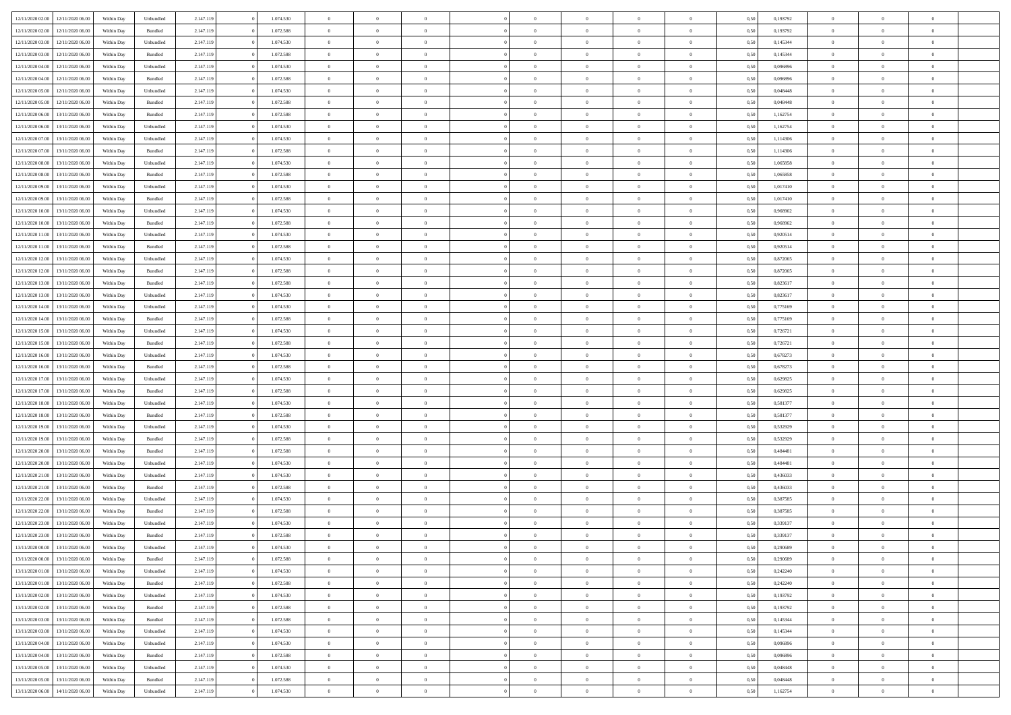| 12/11/2020 02.00 | 12/11/2020 06:00 | Within Dav | Unbundled          | 2.147.119 | 1.074.530 | $\overline{0}$ | $\theta$       | $\Omega$       | $\Omega$       | $\Omega$       | $\overline{0}$ | $\theta$       | 0.50 | 0,193792 | $\theta$       | $\overline{0}$ | $\overline{0}$ |  |
|------------------|------------------|------------|--------------------|-----------|-----------|----------------|----------------|----------------|----------------|----------------|----------------|----------------|------|----------|----------------|----------------|----------------|--|
|                  |                  |            |                    |           |           |                |                |                |                |                |                |                |      |          |                |                |                |  |
| 12/11/2020 02.00 | 12/11/2020 06.00 | Within Day | Bundled            | 2.147.119 | 1.072.588 | $\overline{0}$ | $\theta$       | $\overline{0}$ | $\overline{0}$ | $\bf{0}$       | $\overline{0}$ | $\bf{0}$       | 0,50 | 0,193792 | $\theta$       | $\overline{0}$ | $\overline{0}$ |  |
| 12/11/2020 03:00 | 12/11/2020 06.00 | Within Day | Unbundled          | 2.147.119 | 1.074.530 | $\overline{0}$ | $\bf{0}$       | $\overline{0}$ | $\bf{0}$       | $\bf{0}$       | $\bf{0}$       | $\mathbf{0}$   | 0,50 | 0,145344 | $\bf{0}$       | $\overline{0}$ | $\overline{0}$ |  |
| 12/11/2020 03:00 | 12/11/2020 06:00 | Within Dav | Bundled            | 2.147.119 | 1.072.588 | $\overline{0}$ | $\overline{0}$ | $\overline{0}$ | $\overline{0}$ | $\bf{0}$       | $\overline{0}$ | $\overline{0}$ | 0.50 | 0,145344 | $\theta$       | $\theta$       | $\overline{0}$ |  |
| 12/11/2020 04:00 | 12/11/2020 06.00 | Within Day | Unbundled          | 2.147.119 | 1.074.530 | $\overline{0}$ | $\theta$       | $\overline{0}$ | $\overline{0}$ | $\bf{0}$       | $\overline{0}$ | $\bf{0}$       | 0,50 | 0,096896 | $\theta$       | $\overline{0}$ | $\overline{0}$ |  |
| 12/11/2020 04:00 | 12/11/2020 06.00 | Within Day | Bundled            | 2.147.119 | 1.072.588 | $\overline{0}$ | $\overline{0}$ | $\overline{0}$ | $\bf{0}$       | $\overline{0}$ | $\overline{0}$ | $\mathbf{0}$   | 0,50 | 0,096896 | $\overline{0}$ | $\overline{0}$ | $\bf{0}$       |  |
| 12/11/2020 05:00 | 12/11/2020 06.00 | Within Dav | Unbundled          | 2.147.119 | 1.074.530 | $\overline{0}$ | $\overline{0}$ | $\overline{0}$ | $\overline{0}$ | $\overline{0}$ | $\overline{0}$ | $\overline{0}$ | 0.50 | 0.048448 | $\theta$       | $\overline{0}$ | $\overline{0}$ |  |
|                  |                  |            |                    |           |           |                |                |                |                |                |                |                |      |          |                |                |                |  |
| 12/11/2020 05:00 | 12/11/2020 06.00 | Within Day | Bundled            | 2.147.119 | 1.072.588 | $\overline{0}$ | $\theta$       | $\overline{0}$ | $\overline{0}$ | $\bf{0}$       | $\overline{0}$ | $\bf{0}$       | 0,50 | 0,048448 | $\theta$       | $\theta$       | $\overline{0}$ |  |
| 12/11/2020 06:00 | 13/11/2020 06.00 | Within Day | Bundled            | 2.147.119 | 1.072.588 | $\overline{0}$ | $\overline{0}$ | $\overline{0}$ | $\bf{0}$       | $\bf{0}$       | $\bf{0}$       | $\bf{0}$       | 0,50 | 1,162754 | $\,0\,$        | $\overline{0}$ | $\overline{0}$ |  |
| 12/11/2020 06.00 | 13/11/2020 06.00 | Within Dav | Unbundled          | 2.147.119 | 1.074.530 | $\overline{0}$ | $\overline{0}$ | $\overline{0}$ | $\overline{0}$ | $\overline{0}$ | $\overline{0}$ | $\overline{0}$ | 0.50 | 1,162754 | $\theta$       | $\overline{0}$ | $\overline{0}$ |  |
| 12/11/2020 07:00 | 13/11/2020 06.00 | Within Day | Unbundled          | 2.147.119 | 1.074.530 | $\overline{0}$ | $\theta$       | $\overline{0}$ | $\overline{0}$ | $\bf{0}$       | $\overline{0}$ | $\bf{0}$       | 0,50 | 1,114306 | $\,$ 0 $\,$    | $\overline{0}$ | $\overline{0}$ |  |
| 12/11/2020 07.00 | 13/11/2020 06.00 | Within Day | Bundled            | 2.147.119 | 1.072.588 | $\overline{0}$ | $\overline{0}$ | $\overline{0}$ | $\overline{0}$ | $\bf{0}$       | $\overline{0}$ | $\mathbf{0}$   | 0,50 | 1,114306 | $\overline{0}$ | $\overline{0}$ | $\bf{0}$       |  |
| 12/11/2020 08:00 | 13/11/2020 06:00 | Within Day | Unbundled          | 2.147.119 | 1.074.530 | $\overline{0}$ | $\overline{0}$ | $\overline{0}$ | $\overline{0}$ | $\bf{0}$       | $\overline{0}$ | $\overline{0}$ | 0.50 | 1.065858 | $\theta$       | $\theta$       | $\overline{0}$ |  |
|                  |                  |            |                    |           |           |                |                |                |                |                |                |                |      |          |                |                |                |  |
| 12/11/2020 08:00 | 13/11/2020 06.00 | Within Day | Bundled            | 2.147.119 | 1.072.588 | $\overline{0}$ | $\theta$       | $\overline{0}$ | $\overline{0}$ | $\bf{0}$       | $\overline{0}$ | $\bf{0}$       | 0,50 | 1,065858 | $\theta$       | $\overline{0}$ | $\overline{0}$ |  |
| 12/11/2020 09:00 | 13/11/2020 06.00 | Within Day | Unbundled          | 2.147.119 | 1.074.530 | $\overline{0}$ | $\overline{0}$ | $\overline{0}$ | $\overline{0}$ | $\overline{0}$ | $\overline{0}$ | $\mathbf{0}$   | 0,50 | 1,017410 | $\overline{0}$ | $\overline{0}$ | $\bf{0}$       |  |
| 12/11/2020 09:00 | 13/11/2020 06:00 | Within Dav | Bundled            | 2.147.119 | 1.072.588 | $\overline{0}$ | $\overline{0}$ | $\overline{0}$ | $\overline{0}$ | $\overline{0}$ | $\overline{0}$ | $\overline{0}$ | 0.50 | 1,017410 | $\theta$       | $\overline{0}$ | $\overline{0}$ |  |
| 12/11/2020 10:00 | 13/11/2020 06.00 | Within Day | Unbundled          | 2.147.119 | 1.074.530 | $\overline{0}$ | $\theta$       | $\overline{0}$ | $\overline{0}$ | $\bf{0}$       | $\overline{0}$ | $\bf{0}$       | 0,50 | 0,968962 | $\,$ 0 $\,$    | $\theta$       | $\overline{0}$ |  |
| 12/11/2020 10:00 | 13/11/2020 06.00 | Within Day | Bundled            | 2.147.119 | 1.072.588 | $\overline{0}$ | $\overline{0}$ | $\overline{0}$ | $\overline{0}$ | $\bf{0}$       | $\overline{0}$ | $\mathbf{0}$   | 0,50 | 0,968962 | $\bf{0}$       | $\overline{0}$ | $\overline{0}$ |  |
| 12/11/2020 11:00 | 13/11/2020 06.00 | Within Day | Unbundled          | 2.147.119 | 1.074.530 | $\overline{0}$ | $\overline{0}$ | $\overline{0}$ | $\overline{0}$ | $\overline{0}$ | $\overline{0}$ | $\overline{0}$ | 0.50 | 0.920514 | $\theta$       | $\overline{0}$ | $\overline{0}$ |  |
| 12/11/2020 11:00 | 13/11/2020 06.00 | Within Day | Bundled            | 2.147.119 | 1.072.588 | $\overline{0}$ | $\theta$       | $\overline{0}$ | $\overline{0}$ | $\bf{0}$       | $\overline{0}$ | $\bf{0}$       | 0,50 | 0,920514 | $\,$ 0 $\,$    | $\overline{0}$ | $\overline{0}$ |  |
|                  |                  |            |                    |           |           |                |                |                |                |                |                |                |      |          |                |                |                |  |
| 12/11/2020 12:00 | 13/11/2020 06.00 | Within Day | Unbundled          | 2.147.119 | 1.074.530 | $\overline{0}$ | $\overline{0}$ | $\overline{0}$ | $\overline{0}$ | $\bf{0}$       | $\overline{0}$ | $\bf{0}$       | 0,50 | 0,872065 | $\bf{0}$       | $\overline{0}$ | $\overline{0}$ |  |
| 12/11/2020 12:00 | 13/11/2020 06:00 | Within Day | Bundled            | 2.147.119 | 1.072.588 | $\overline{0}$ | $\overline{0}$ | $\overline{0}$ | $\overline{0}$ | $\overline{0}$ | $\overline{0}$ | $\overline{0}$ | 0.50 | 0.872065 | $\theta$       | $\overline{0}$ | $\overline{0}$ |  |
| 12/11/2020 13:00 | 13/11/2020 06.00 | Within Day | Bundled            | 2.147.119 | 1.072.588 | $\overline{0}$ | $\theta$       | $\overline{0}$ | $\overline{0}$ | $\bf{0}$       | $\overline{0}$ | $\bf{0}$       | 0,50 | 0,823617 | $\,$ 0 $\,$    | $\overline{0}$ | $\overline{0}$ |  |
| 12/11/2020 13:00 | 13/11/2020 06.00 | Within Day | Unbundled          | 2.147.119 | 1.074.530 | $\overline{0}$ | $\overline{0}$ | $\overline{0}$ | $\overline{0}$ | $\overline{0}$ | $\overline{0}$ | $\mathbf{0}$   | 0,50 | 0,823617 | $\overline{0}$ | $\overline{0}$ | $\bf{0}$       |  |
| 12/11/2020 14:00 | 13/11/2020 06.00 | Within Day | Unbundled          | 2.147.119 | 1.074.530 | $\overline{0}$ | $\overline{0}$ | $\overline{0}$ | $\overline{0}$ | $\overline{0}$ | $\overline{0}$ | $\overline{0}$ | 0.50 | 0,775169 | $\theta$       | $\overline{0}$ | $\overline{0}$ |  |
| 12/11/2020 14:00 | 13/11/2020 06.00 | Within Day | Bundled            | 2.147.119 | 1.072.588 | $\overline{0}$ | $\theta$       | $\overline{0}$ | $\overline{0}$ | $\bf{0}$       | $\overline{0}$ | $\bf{0}$       | 0,50 | 0,775169 | $\theta$       | $\theta$       | $\overline{0}$ |  |
|                  |                  |            |                    |           |           |                |                |                |                |                |                |                |      |          |                |                |                |  |
| 12/11/2020 15:00 | 13/11/2020 06.00 | Within Day | Unbundled          | 2.147.119 | 1.074.530 | $\overline{0}$ | $\overline{0}$ | $\overline{0}$ | $\overline{0}$ | $\bf{0}$       | $\overline{0}$ | $\bf{0}$       | 0,50 | 0,726721 | $\,0\,$        | $\overline{0}$ | $\overline{0}$ |  |
| 12/11/2020 15:00 | 13/11/2020 06:00 | Within Day | Bundled            | 2.147.119 | 1.072.588 | $\overline{0}$ | $\overline{0}$ | $\overline{0}$ | $\overline{0}$ | $\overline{0}$ | $\overline{0}$ | $\overline{0}$ | 0.50 | 0,726721 | $\theta$       | $\overline{0}$ | $\overline{0}$ |  |
| 12/11/2020 16:00 | 13/11/2020 06.00 | Within Day | Unbundled          | 2.147.119 | 1.074.530 | $\overline{0}$ | $\theta$       | $\overline{0}$ | $\overline{0}$ | $\bf{0}$       | $\overline{0}$ | $\bf{0}$       | 0,50 | 0,678273 | $\,0\,$        | $\overline{0}$ | $\overline{0}$ |  |
| 12/11/2020 16.00 | 13/11/2020 06.00 | Within Day | Bundled            | 2.147.119 | 1.072.588 | $\overline{0}$ | $\overline{0}$ | $\overline{0}$ | $\bf{0}$       | $\bf{0}$       | $\bf{0}$       | $\bf{0}$       | 0,50 | 0,678273 | $\bf{0}$       | $\overline{0}$ | $\bf{0}$       |  |
| 12/11/2020 17:00 | 13/11/2020 06.00 | Within Day | Unbundled          | 2.147.119 | 1.074.530 | $\bf{0}$       | $\Omega$       | $\overline{0}$ | $\Omega$       | $\Omega$       | $\overline{0}$ | $\overline{0}$ | 0,50 | 0,629825 | $\,0\,$        | $\theta$       | $\theta$       |  |
| 12/11/2020 17:00 | 13/11/2020 06.00 | Within Day | Bundled            | 2.147.119 | 1.072.588 | $\overline{0}$ | $\theta$       | $\overline{0}$ | $\overline{0}$ | $\bf{0}$       | $\overline{0}$ | $\bf{0}$       | 0,50 | 0,629825 | $\,$ 0 $\,$    | $\overline{0}$ | $\overline{0}$ |  |
| 12/11/2020 18:00 | 13/11/2020 06.00 | Within Day | Unbundled          | 2.147.119 | 1.074.530 | $\overline{0}$ | $\overline{0}$ | $\overline{0}$ | $\bf{0}$       | $\overline{0}$ | $\overline{0}$ | $\mathbf{0}$   | 0,50 | 0,581377 | $\bf{0}$       | $\overline{0}$ | $\bf{0}$       |  |
|                  |                  |            |                    |           |           | $\overline{0}$ | $\Omega$       | $\Omega$       | $\Omega$       | $\overline{0}$ | $\overline{0}$ |                |      |          |                | $\theta$       | $\theta$       |  |
| 12/11/2020 18:00 | 13/11/2020 06.00 | Within Day | Bundled            | 2.147.119 | 1.072.588 |                |                |                |                |                |                | $\overline{0}$ | 0.50 | 0,581377 | $\,0\,$        |                |                |  |
| 12/11/2020 19:00 | 13/11/2020 06.00 | Within Day | Unbundled          | 2.147.119 | 1.074.530 | $\overline{0}$ | $\theta$       | $\overline{0}$ | $\overline{0}$ | $\bf{0}$       | $\overline{0}$ | $\bf{0}$       | 0,50 | 0,532929 | $\,$ 0 $\,$    | $\overline{0}$ | $\overline{0}$ |  |
| 12/11/2020 19:00 | 13/11/2020 06.00 | Within Day | Bundled            | 2.147.119 | 1.072.588 | $\overline{0}$ | $\overline{0}$ | $\overline{0}$ | $\bf{0}$       | $\bf{0}$       | $\bf{0}$       | $\bf{0}$       | 0,50 | 0,532929 | $\bf{0}$       | $\overline{0}$ | $\overline{0}$ |  |
| 12/11/2020 20:00 | 13/11/2020 06:00 | Within Day | Bundled            | 2.147.119 | 1.072.588 | $\overline{0}$ | $\Omega$       | $\overline{0}$ | $\Omega$       | $\overline{0}$ | $\overline{0}$ | $\overline{0}$ | 0.50 | 0.484481 | $\,$ 0 $\,$    | $\theta$       | $\theta$       |  |
| 12/11/2020 20.00 | 13/11/2020 06.00 | Within Day | Unbundled          | 2.147.119 | 1.074.530 | $\overline{0}$ | $\theta$       | $\overline{0}$ | $\overline{0}$ | $\,$ 0         | $\overline{0}$ | $\bf{0}$       | 0,50 | 0,484481 | $\,$ 0 $\,$    | $\overline{0}$ | $\overline{0}$ |  |
| 12/11/2020 21:00 | 13/11/2020 06.00 | Within Day | Unbundled          | 2.147.119 | 1.074.530 | $\overline{0}$ | $\bf{0}$       | $\overline{0}$ | $\bf{0}$       | $\bf{0}$       | $\bf{0}$       | $\bf{0}$       | 0,50 | 0,436033 | $\bf{0}$       | $\overline{0}$ | $\bf{0}$       |  |
| 12/11/2020 21:00 | 13/11/2020 06.00 | Within Day | $\mathbf B$ undled | 2.147.119 | 1.072.588 | $\overline{0}$ | $\Omega$       | $\overline{0}$ | $\Omega$       | $\overline{0}$ | $\overline{0}$ | $\overline{0}$ | 0.50 | 0,436033 | $\,0\,$        | $\theta$       | $\theta$       |  |
| 12/11/2020 22.00 | 13/11/2020 06.00 | Within Day | Unbundled          | 2.147.119 | 1.074.530 | $\overline{0}$ | $\theta$       | $\overline{0}$ | $\overline{0}$ | $\,$ 0         | $\overline{0}$ | $\bf{0}$       | 0,50 | 0,387585 | $\,$ 0 $\,$    | $\overline{0}$ | $\overline{0}$ |  |
|                  |                  |            |                    |           |           |                |                |                |                |                |                |                |      |          |                |                |                |  |
| 12/11/2020 22.00 | 13/11/2020 06.00 | Within Day | Bundled            | 2.147.119 | 1.072.588 | $\overline{0}$ | $\overline{0}$ | $\overline{0}$ | $\bf{0}$       | $\bf{0}$       | $\overline{0}$ | $\mathbf{0}$   | 0,50 | 0,387585 | $\overline{0}$ | $\overline{0}$ | $\bf{0}$       |  |
| 12/11/2020 23:00 | 13/11/2020 06.00 | Within Day | Unbundled          | 2.147.119 | 1.074.530 | $\overline{0}$ | $\Omega$       | $\Omega$       | $\Omega$       | $\Omega$       | $\overline{0}$ | $\overline{0}$ | 0.50 | 0,339137 | $\theta$       | $\theta$       | $\theta$       |  |
| 12/11/2020 23.00 | 13/11/2020 06.00 | Within Day | Bundled            | 2.147.119 | 1.072.588 | $\overline{0}$ | $\overline{0}$ | $\overline{0}$ | $\bf{0}$       | $\,$ 0         | $\bf{0}$       | $\bf{0}$       | 0,50 | 0,339137 | $\,0\,$        | $\,$ 0 $\,$    | $\overline{0}$ |  |
| 13/11/2020 00:00 | 13/11/2020 06.00 | Within Day | Unbundled          | 2.147.119 | 1.074.530 | $\bf{0}$       | $\bf{0}$       |                |                | $\bf{0}$       |                |                | 0,50 | 0,290689 | $\bf{0}$       | $\overline{0}$ |                |  |
| 13/11/2020 00:00 | 13/11/2020 06:00 | Within Day | Bundled            | 2.147.119 | 1.072.588 | $\overline{0}$ | $\overline{0}$ | $\overline{0}$ | $\Omega$       | $\theta$       | $\overline{0}$ | $\overline{0}$ | 0.50 | 0,290689 | $\theta$       | $\theta$       | $\theta$       |  |
| 13/11/2020 01:00 | 13/11/2020 06.00 | Within Day | Unbundled          | 2.147.119 | 1.074.530 | $\overline{0}$ | $\,$ 0         | $\overline{0}$ | $\bf{0}$       | $\,$ 0 $\,$    | $\overline{0}$ | $\mathbf{0}$   | 0,50 | 0,242240 | $\,$ 0 $\,$    | $\,$ 0 $\,$    | $\,$ 0         |  |
| 13/11/2020 01:00 | 13/11/2020 06.00 | Within Day | Bundled            | 2.147.119 | 1.072.588 | $\overline{0}$ | $\overline{0}$ | $\overline{0}$ | $\overline{0}$ | $\overline{0}$ | $\overline{0}$ | $\mathbf{0}$   | 0,50 | 0,242240 | $\overline{0}$ | $\bf{0}$       | $\bf{0}$       |  |
|                  |                  |            |                    |           |           |                |                |                |                |                |                |                |      |          |                |                |                |  |
| 13/11/2020 02:00 | 13/11/2020 06.00 | Within Day | Unbundled          | 2.147.119 | 1.074.530 | $\overline{0}$ | $\overline{0}$ | $\overline{0}$ | $\Omega$       | $\overline{0}$ | $\overline{0}$ | $\bf{0}$       | 0,50 | 0,193792 | $\overline{0}$ | $\theta$       | $\overline{0}$ |  |
| 13/11/2020 02.00 | 13/11/2020 06.00 | Within Day | Bundled            | 2.147.119 | 1.072.588 | $\overline{0}$ | $\,$ 0         | $\overline{0}$ | $\overline{0}$ | $\overline{0}$ | $\overline{0}$ | $\bf{0}$       | 0,50 | 0,193792 | $\,$ 0 $\,$    | $\overline{0}$ | $\overline{0}$ |  |
| 13/11/2020 03.00 | 13/11/2020 06.00 | Within Day | Bundled            | 2.147.119 | 1.072.588 | $\overline{0}$ | $\overline{0}$ | $\overline{0}$ | $\overline{0}$ | $\overline{0}$ | $\overline{0}$ | $\mathbf{0}$   | 0,50 | 0,145344 | $\overline{0}$ | $\overline{0}$ | $\bf{0}$       |  |
| 13/11/2020 03:00 | 13/11/2020 06.00 | Within Day | Unbundled          | 2.147.119 | 1.074.530 | $\overline{0}$ | $\overline{0}$ | $\overline{0}$ | $\Omega$       | $\overline{0}$ | $\overline{0}$ | $\bf{0}$       | 0.50 | 0,145344 | $\overline{0}$ | $\theta$       | $\overline{0}$ |  |
| 13/11/2020 04:00 | 13/11/2020 06.00 | Within Day | Unbundled          | 2.147.119 | 1.074.530 | $\overline{0}$ | $\,$ 0         | $\overline{0}$ | $\overline{0}$ | $\bf{0}$       | $\overline{0}$ | $\bf{0}$       | 0,50 | 0,096896 | $\,$ 0 $\,$    | $\overline{0}$ | $\overline{0}$ |  |
| 13/11/2020 04:00 | 13/11/2020 06.00 | Within Day | Bundled            | 2.147.119 | 1.072.588 | $\overline{0}$ | $\bf{0}$       | $\overline{0}$ | $\overline{0}$ | $\overline{0}$ | $\overline{0}$ | $\mathbf{0}$   | 0,50 | 0,096896 | $\overline{0}$ | $\overline{0}$ | $\bf{0}$       |  |
|                  |                  |            |                    |           | 1.074.530 | $\overline{0}$ | $\overline{0}$ | $\overline{0}$ | $\Omega$       | $\overline{0}$ | $\overline{0}$ |                | 0.50 | 0.048448 | $\overline{0}$ | $\theta$       | $\overline{0}$ |  |
| 13/11/2020 05:00 | 13/11/2020 06.00 | Within Day | Unbundled          | 2.147.119 |           |                |                |                |                |                |                | $\bf{0}$       |      |          |                |                |                |  |
| 13/11/2020 05:00 | 13/11/2020 06.00 | Within Day | Bundled            | 2.147.119 | 1.072.588 | $\overline{0}$ | $\bf{0}$       | $\overline{0}$ | $\overline{0}$ | $\bf{0}$       | $\overline{0}$ | $\mathbf{0}$   | 0,50 | 0,048448 | $\,$ 0 $\,$    | $\,$ 0 $\,$    | $\bf{0}$       |  |
| 13/11/2020 06:00 | 14/11/2020 06.00 | Within Day | Unbundled          | 2.147.119 | 1.074.530 | $\overline{0}$ | $\overline{0}$ | $\overline{0}$ | $\overline{0}$ | $\bf{0}$       | $\overline{0}$ | $\mathbf{0}$   | 0,50 | 1,162754 | $\overline{0}$ | $\bf{0}$       | $\bf{0}$       |  |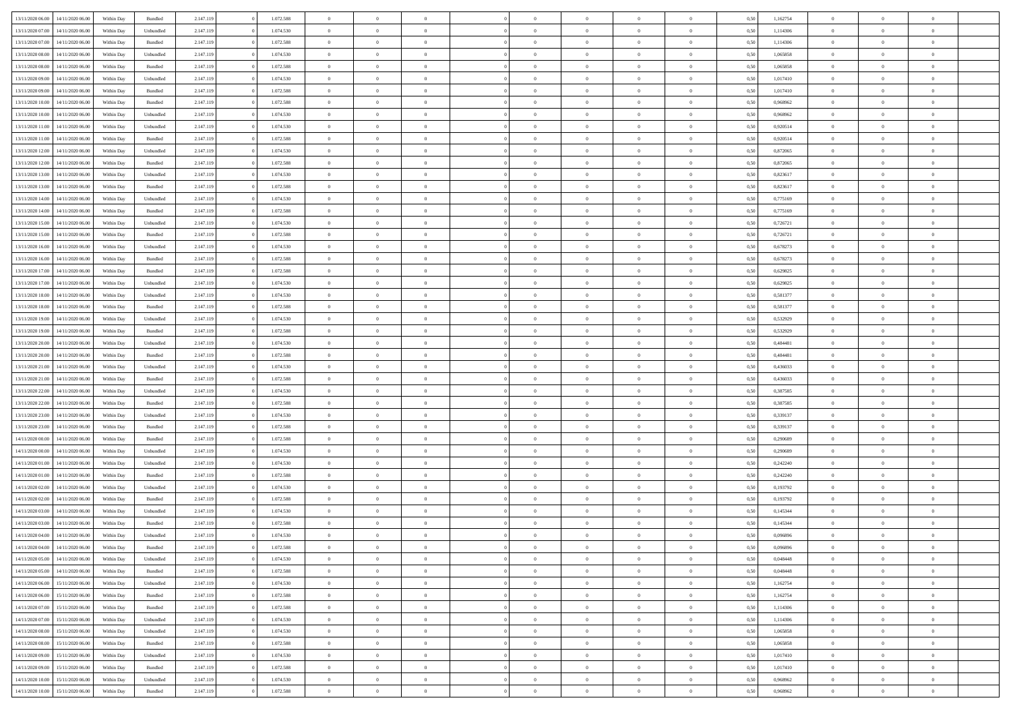| 13/11/2020 06.00 | 14/11/2020 06:00 | Within Dav               | Bundled            | 2.147.119 | 1.072.588 | $\overline{0}$ | $\Omega$       |                | $\Omega$       | $\Omega$       | $\theta$       | $\theta$       | 0.50 | 1,162754 | $\theta$       | $\theta$       | $\theta$       |  |
|------------------|------------------|--------------------------|--------------------|-----------|-----------|----------------|----------------|----------------|----------------|----------------|----------------|----------------|------|----------|----------------|----------------|----------------|--|
|                  |                  |                          |                    |           |           |                |                |                |                |                |                |                |      |          |                |                |                |  |
| 13/11/2020 07.00 | 14/11/2020 06.00 | Within Day               | Unbundled          | 2.147.119 | 1.074.530 | $\overline{0}$ | $\theta$       | $\overline{0}$ | $\overline{0}$ | $\bf{0}$       | $\overline{0}$ | $\bf{0}$       | 0,50 | 1,114306 | $\theta$       | $\overline{0}$ | $\overline{0}$ |  |
| 13/11/2020 07:00 | 14/11/2020 06.00 | Within Day               | Bundled            | 2.147.119 | 1.072.588 | $\overline{0}$ | $\overline{0}$ | $\overline{0}$ | $\overline{0}$ | $\bf{0}$       | $\overline{0}$ | $\bf{0}$       | 0,50 | 1,114306 | $\bf{0}$       | $\overline{0}$ | $\overline{0}$ |  |
| 13/11/2020 08:00 | 14/11/2020 06:00 | Within Dav               | Unbundled          | 2.147.119 | 1.074.530 | $\overline{0}$ | $\overline{0}$ | $\overline{0}$ | $\overline{0}$ | $\bf{0}$       | $\overline{0}$ | $\overline{0}$ | 0.50 | 1.065858 | $\theta$       | $\theta$       | $\overline{0}$ |  |
| 13/11/2020 08:00 | 14/11/2020 06.00 | Within Day               | Bundled            | 2.147.119 | 1.072.588 | $\overline{0}$ | $\theta$       | $\overline{0}$ | $\overline{0}$ | $\bf{0}$       | $\overline{0}$ | $\bf{0}$       | 0,50 | 1,065858 | $\theta$       | $\theta$       | $\overline{0}$ |  |
| 13/11/2020 09:00 | 14/11/2020 06.00 | Within Day               | Unbundled          | 2.147.119 | 1.074.530 | $\overline{0}$ | $\bf{0}$       | $\overline{0}$ | $\overline{0}$ | $\overline{0}$ | $\overline{0}$ | $\mathbf{0}$   | 0,50 | 1,017410 | $\overline{0}$ | $\overline{0}$ | $\bf{0}$       |  |
| 13/11/2020 09:00 | 14/11/2020 06.00 | Within Dav               | Bundled            | 2.147.119 | 1.072.588 | $\overline{0}$ | $\overline{0}$ | $\overline{0}$ | $\overline{0}$ | $\overline{0}$ | $\overline{0}$ | $\overline{0}$ | 0.50 | 1,017410 | $\theta$       | $\overline{0}$ | $\overline{0}$ |  |
| 13/11/2020 10:00 | 14/11/2020 06.00 | Within Day               | Bundled            | 2.147.119 | 1.072.588 | $\overline{0}$ | $\theta$       | $\overline{0}$ | $\overline{0}$ | $\bf{0}$       | $\overline{0}$ | $\bf{0}$       | 0,50 | 0,968962 | $\theta$       | $\theta$       | $\overline{0}$ |  |
| 13/11/2020 10:00 | 14/11/2020 06.00 | Within Day               | Unbundled          | 2.147.119 | 1.074.530 | $\overline{0}$ | $\overline{0}$ | $\overline{0}$ | $\overline{0}$ | $\bf{0}$       | $\overline{0}$ | $\bf{0}$       | 0,50 | 0,968962 | $\,0\,$        | $\overline{0}$ | $\overline{0}$ |  |
| 13/11/2020 11:00 | 14/11/2020 06.00 | Within Dav               | Unbundled          | 2.147.119 | 1.074.530 | $\overline{0}$ | $\overline{0}$ | $\overline{0}$ | $\overline{0}$ | $\overline{0}$ | $\overline{0}$ | $\overline{0}$ | 0.50 | 0.920514 | $\theta$       | $\overline{0}$ | $\overline{0}$ |  |
|                  |                  |                          |                    |           |           |                |                |                |                |                |                |                |      |          |                |                |                |  |
| 13/11/2020 11:00 | 14/11/2020 06.00 | Within Day               | Bundled            | 2.147.119 | 1.072.588 | $\overline{0}$ | $\theta$       | $\overline{0}$ | $\overline{0}$ | $\bf{0}$       | $\overline{0}$ | $\bf{0}$       | 0,50 | 0,920514 | $\,$ 0 $\,$    | $\theta$       | $\overline{0}$ |  |
| 13/11/2020 12:00 | 14/11/2020 06.00 | Within Day               | Unbundled          | 2.147.119 | 1.074.530 | $\overline{0}$ | $\overline{0}$ | $\overline{0}$ | $\bf{0}$       | $\bf{0}$       | $\bf{0}$       | $\bf{0}$       | 0,50 | 0,872065 | $\bf{0}$       | $\overline{0}$ | $\overline{0}$ |  |
| 13/11/2020 12:00 | 14/11/2020 06:00 | Within Day               | Bundled            | 2.147.119 | 1.072.588 | $\overline{0}$ | $\overline{0}$ | $\overline{0}$ | $\overline{0}$ | $\bf{0}$       | $\overline{0}$ | $\overline{0}$ | 0.50 | 0,872065 | $\theta$       | $\theta$       | $\overline{0}$ |  |
| 13/11/2020 13:00 | 14/11/2020 06.00 | Within Day               | Unbundled          | 2.147.119 | 1.074.530 | $\overline{0}$ | $\theta$       | $\overline{0}$ | $\overline{0}$ | $\bf{0}$       | $\overline{0}$ | $\bf{0}$       | 0,50 | 0,823617 | $\theta$       | $\theta$       | $\overline{0}$ |  |
| 13/11/2020 13:00 | 14/11/2020 06.00 | Within Day               | Bundled            | 2.147.119 | 1.072.588 | $\overline{0}$ | $\bf{0}$       | $\overline{0}$ | $\bf{0}$       | $\overline{0}$ | $\overline{0}$ | $\mathbf{0}$   | 0,50 | 0,823617 | $\overline{0}$ | $\overline{0}$ | $\bf{0}$       |  |
| 13/11/2020 14:00 | 14/11/2020 06.00 | Within Dav               | Unbundled          | 2.147.119 | 1.074.530 | $\overline{0}$ | $\overline{0}$ | $\overline{0}$ | $\overline{0}$ | $\overline{0}$ | $\overline{0}$ | $\overline{0}$ | 0.50 | 0,775169 | $\theta$       | $\overline{0}$ | $\overline{0}$ |  |
| 13/11/2020 14:00 | 14/11/2020 06.00 | Within Day               | Bundled            | 2.147.119 | 1.072.588 | $\overline{0}$ | $\theta$       | $\overline{0}$ | $\overline{0}$ | $\bf{0}$       | $\overline{0}$ | $\bf{0}$       | 0,50 | 0,775169 | $\theta$       | $\theta$       | $\overline{0}$ |  |
| 13/11/2020 15:00 | 14/11/2020 06.00 | Within Day               | Unbundled          | 2.147.119 | 1.074.530 | $\overline{0}$ | $\overline{0}$ | $\overline{0}$ | $\bf{0}$       | $\bf{0}$       | $\bf{0}$       | $\bf{0}$       | 0,50 | 0,726721 | $\bf{0}$       | $\overline{0}$ | $\overline{0}$ |  |
| 13/11/2020 15:00 | 14/11/2020 06.00 | Within Day               | Bundled            | 2.147.119 | 1.072.588 | $\overline{0}$ | $\overline{0}$ | $\overline{0}$ | $\overline{0}$ | $\overline{0}$ | $\overline{0}$ | $\overline{0}$ | 0.50 | 0,726721 | $\theta$       | $\overline{0}$ | $\overline{0}$ |  |
| 13/11/2020 16:00 | 14/11/2020 06.00 | Within Day               | Unbundled          | 2.147.119 | 1.074.530 | $\overline{0}$ | $\theta$       | $\overline{0}$ | $\overline{0}$ | $\bf{0}$       | $\overline{0}$ | $\bf{0}$       | 0,50 | 0,678273 | $\,$ 0 $\,$    | $\theta$       | $\overline{0}$ |  |
|                  |                  |                          |                    |           |           |                |                |                |                |                |                |                |      |          |                |                |                |  |
| 13/11/2020 16:00 | 14/11/2020 06.00 | Within Day               | Bundled            | 2.147.119 | 1.072.588 | $\overline{0}$ | $\overline{0}$ | $\overline{0}$ | $\bf{0}$       | $\bf{0}$       | $\bf{0}$       | $\bf{0}$       | 0,50 | 0,678273 | $\,0\,$        | $\overline{0}$ | $\overline{0}$ |  |
| 13/11/2020 17:00 | 14/11/2020 06:00 | Within Day               | Bundled            | 2.147.119 | 1.072.588 | $\overline{0}$ | $\overline{0}$ | $\overline{0}$ | $\overline{0}$ | $\bf{0}$       | $\overline{0}$ | $\overline{0}$ | 0.50 | 0.629825 | $\theta$       | $\theta$       | $\overline{0}$ |  |
| 13/11/2020 17:00 | 14/11/2020 06.00 | Within Day               | Unbundled          | 2.147.119 | 1.074.530 | $\overline{0}$ | $\theta$       | $\overline{0}$ | $\overline{0}$ | $\bf{0}$       | $\overline{0}$ | $\bf{0}$       | 0,50 | 0,629825 | $\,$ 0 $\,$    | $\overline{0}$ | $\overline{0}$ |  |
| 13/11/2020 18:00 | 14/11/2020 06.00 | Within Day               | Unbundled          | 2.147.119 | 1.074.530 | $\overline{0}$ | $\bf{0}$       | $\overline{0}$ | $\bf{0}$       | $\overline{0}$ | $\overline{0}$ | $\mathbf{0}$   | 0,50 | 0,581377 | $\overline{0}$ | $\overline{0}$ | $\bf{0}$       |  |
| 13/11/2020 18:00 | 14/11/2020 06.00 | Within Day               | Bundled            | 2.147.119 | 1.072.588 | $\overline{0}$ | $\overline{0}$ | $\overline{0}$ | $\overline{0}$ | $\overline{0}$ | $\overline{0}$ | $\overline{0}$ | 0.50 | 0,581377 | $\theta$       | $\overline{0}$ | $\overline{0}$ |  |
| 13/11/2020 19:00 | 14/11/2020 06.00 | Within Day               | Unbundled          | 2.147.119 | 1.074.530 | $\overline{0}$ | $\theta$       | $\overline{0}$ | $\overline{0}$ | $\bf{0}$       | $\overline{0}$ | $\bf{0}$       | 0,50 | 0,532929 | $\theta$       | $\theta$       | $\overline{0}$ |  |
| 13/11/2020 19:00 | 14/11/2020 06.00 | Within Day               | Bundled            | 2.147.119 | 1.072.588 | $\overline{0}$ | $\overline{0}$ | $\overline{0}$ | $\bf{0}$       | $\bf{0}$       | $\bf{0}$       | $\bf{0}$       | 0,50 | 0,532929 | $\,0\,$        | $\overline{0}$ | $\overline{0}$ |  |
| 13/11/2020 20.00 | 14/11/2020 06:00 | Within Day               | Unbundled          | 2.147.119 | 1.074.530 | $\overline{0}$ | $\overline{0}$ | $\overline{0}$ | $\overline{0}$ | $\overline{0}$ | $\overline{0}$ | $\overline{0}$ | 0.50 | 0,484481 | $\theta$       | $\overline{0}$ | $\overline{0}$ |  |
| 13/11/2020 20.00 | 14/11/2020 06.00 | Within Day               | Bundled            | 2.147.119 | 1.072.588 | $\overline{0}$ | $\theta$       | $\overline{0}$ | $\overline{0}$ | $\bf{0}$       | $\overline{0}$ | $\bf{0}$       | 0,50 | 0,484481 | $\,$ 0 $\,$    | $\theta$       | $\overline{0}$ |  |
| 13/11/2020 21:00 | 14/11/2020 06.00 | Within Day               | Unbundled          | 2.147.119 | 1.074.530 | $\overline{0}$ | $\overline{0}$ | $\overline{0}$ | $\bf{0}$       | $\bf{0}$       | $\bf{0}$       | $\bf{0}$       | 0,50 | 0,436033 | $\overline{0}$ | $\overline{0}$ | $\overline{0}$ |  |
| 13/11/2020 21:00 | 14/11/2020 06.00 |                          |                    | 2.147.119 | 1.072.588 | $\overline{0}$ | $\Omega$       | $\overline{0}$ | $\Omega$       | $\Omega$       | $\overline{0}$ | $\overline{0}$ | 0,50 | 0,436033 | $\,0\,$        | $\theta$       | $\theta$       |  |
|                  |                  | Within Day               | Bundled            |           |           | $\overline{0}$ | $\theta$       | $\overline{0}$ | $\overline{0}$ | $\bf{0}$       | $\overline{0}$ |                |      |          | $\theta$       | $\theta$       | $\overline{0}$ |  |
| 13/11/2020 22.00 | 14/11/2020 06.00 | Within Day               | Unbundled          | 2.147.119 | 1.074.530 |                |                |                |                |                |                | $\bf{0}$       | 0,50 | 0,387585 |                |                |                |  |
| 13/11/2020 22:00 | 14/11/2020 06.00 | Within Day               | Bundled            | 2.147.119 | 1.072.588 | $\overline{0}$ | $\overline{0}$ | $\overline{0}$ | $\bf{0}$       | $\bf{0}$       | $\overline{0}$ | $\mathbf{0}$   | 0,50 | 0,387585 | $\overline{0}$ | $\overline{0}$ | $\bf{0}$       |  |
| 13/11/2020 23:00 | 14/11/2020 06.00 | Within Day               | Unbundled          | 2.147.119 | 1.074.530 | $\overline{0}$ | $\Omega$       | $\Omega$       | $\Omega$       | $\bf{0}$       | $\overline{0}$ | $\overline{0}$ | 0.50 | 0,339137 | $\,0\,$        | $\theta$       | $\theta$       |  |
| 13/11/2020 23.00 | 14/11/2020 06.00 | Within Day               | Bundled            | 2.147.119 | 1.072.588 | $\overline{0}$ | $\theta$       | $\overline{0}$ | $\overline{0}$ | $\bf{0}$       | $\overline{0}$ | $\bf{0}$       | 0,50 | 0,339137 | $\,$ 0 $\,$    | $\theta$       | $\overline{0}$ |  |
| 14/11/2020 00:00 | 14/11/2020 06.00 | Within Day               | Bundled            | 2.147.119 | 1.072.588 | $\overline{0}$ | $\overline{0}$ | $\overline{0}$ | $\overline{0}$ | $\bf{0}$       | $\overline{0}$ | $\bf{0}$       | 0,50 | 0,290689 | $\,0\,$        | $\overline{0}$ | $\overline{0}$ |  |
| 14/11/2020 00:00 | 14/11/2020 06:00 | Within Day               | Unbundled          | 2.147.119 | 1.074.530 | $\overline{0}$ | $\Omega$       | $\Omega$       | $\Omega$       | $\overline{0}$ | $\overline{0}$ | $\overline{0}$ | 0.50 | 0,290689 | $\,0\,$        | $\theta$       | $\theta$       |  |
| 14/11/2020 01:00 | 14/11/2020 06.00 | Within Day               | Unbundled          | 2.147.119 | 1.074.530 | $\overline{0}$ | $\theta$       | $\overline{0}$ | $\overline{0}$ | $\,$ 0         | $\overline{0}$ | $\bf{0}$       | 0,50 | 0,242240 | $\,$ 0 $\,$    | $\overline{0}$ | $\overline{0}$ |  |
| 14/11/2020 01:00 | 14/11/2020 06.00 | Within Day               | Bundled            | 2.147.119 | 1.072.588 | $\overline{0}$ | $\overline{0}$ | $\overline{0}$ | $\overline{0}$ | $\bf{0}$       | $\overline{0}$ | $\bf{0}$       | 0,50 | 0,242240 | $\overline{0}$ | $\overline{0}$ | $\overline{0}$ |  |
| 14/11/2020 02.00 | 14/11/2020 06.00 | Within Day               | Unbundled          | 2.147.119 | 1.074.530 | $\overline{0}$ | $\Omega$       | $\overline{0}$ | $\Omega$       | $\overline{0}$ | $\overline{0}$ | $\overline{0}$ | 0,50 | 0,193792 | $\,0\,$        | $\theta$       | $\theta$       |  |
| 14/11/2020 02.00 | 14/11/2020 06.00 | Within Day               | Bundled            | 2.147.119 | 1.072.588 | $\overline{0}$ | $\theta$       | $\overline{0}$ | $\overline{0}$ | $\,$ 0         | $\overline{0}$ | $\bf{0}$       | 0,50 | 0,193792 | $\,$ 0 $\,$    | $\overline{0}$ | $\overline{0}$ |  |
| 14/11/2020 03:00 | 14/11/2020 06.00 | Within Day               | Unbundled          | 2.147.119 | 1.074.530 | $\overline{0}$ | $\overline{0}$ | $\overline{0}$ | $\overline{0}$ | $\bf{0}$       | $\overline{0}$ | $\mathbf{0}$   | 0,50 | 0,145344 | $\overline{0}$ | $\overline{0}$ | $\bf{0}$       |  |
| 14/11/2020 03:00 | 14/11/2020 06.00 |                          | Bundled            | 2.147.119 | 1.072.588 | $\overline{0}$ | $\Omega$       | $\Omega$       | $\Omega$       | $\Omega$       | $\overline{0}$ | $\overline{0}$ | 0.50 | 0,145344 | $\theta$       | $\theta$       | $\theta$       |  |
| 14/11/2020 04:00 | 14/11/2020 06.00 | Within Day<br>Within Day | Unbundled          | 2.147.119 | 1.074.530 | $\overline{0}$ | $\,$ 0 $\,$    | $\overline{0}$ | $\bf{0}$       | $\,$ 0         | $\overline{0}$ | $\bf{0}$       | 0,50 | 0,096896 | $\,0\,$        | $\overline{0}$ | $\overline{0}$ |  |
|                  |                  |                          |                    |           |           |                |                |                |                |                |                |                |      |          |                |                |                |  |
| 14/11/2020 04:00 | 14/11/2020 06.00 | Within Day               | $\mathbf B$ undled | 2.147.119 | 1.072.588 | $\bf{0}$       | $\bf{0}$       |                |                | $\bf{0}$       |                |                | 0,50 | 0,096896 | $\bf{0}$       | $\overline{0}$ |                |  |
| 14/11/2020 05.00 | 14/11/2020 06:00 | Within Day               | Unbundled          | 2.147.119 | 1.074.530 | $\overline{0}$ | $\overline{0}$ | $\overline{0}$ | $\Omega$       | $\theta$       | $\overline{0}$ | $\overline{0}$ | 0.50 | 0.048448 | $\theta$       | $\theta$       | $\theta$       |  |
| 14/11/2020 05.00 | 14/11/2020 06.00 | Within Day               | Bundled            | 2.147.119 | 1.072.588 | $\overline{0}$ | $\,$ 0         | $\overline{0}$ | $\overline{0}$ | $\,$ 0 $\,$    | $\overline{0}$ | $\mathbf{0}$   | 0,50 | 0,048448 | $\,$ 0 $\,$    | $\,$ 0 $\,$    | $\,$ 0         |  |
| 14/11/2020 06.00 | 15/11/2020 06.00 | Within Day               | Unbundled          | 2.147.119 | 1.074.530 | $\overline{0}$ | $\overline{0}$ | $\overline{0}$ | $\overline{0}$ | $\overline{0}$ | $\overline{0}$ | $\mathbf{0}$   | 0,50 | 1,162754 | $\overline{0}$ | $\bf{0}$       | $\bf{0}$       |  |
| 14/11/2020 06:00 | 15/11/2020 06.00 | Within Day               | $\mathbf B$ undled | 2.147.119 | 1.072.588 | $\overline{0}$ | $\overline{0}$ | $\overline{0}$ | $\Omega$       | $\overline{0}$ | $\overline{0}$ | $\bf{0}$       | 0,50 | 1,162754 | $\overline{0}$ | $\theta$       | $\overline{0}$ |  |
| 14/11/2020 07.00 | 15/11/2020 06.00 | Within Day               | Bundled            | 2.147.119 | 1.072.588 | $\overline{0}$ | $\,$ 0         | $\overline{0}$ | $\overline{0}$ | $\,$ 0 $\,$    | $\overline{0}$ | $\mathbf{0}$   | 0,50 | 1,114306 | $\,$ 0 $\,$    | $\overline{0}$ | $\overline{0}$ |  |
| 14/11/2020 07.00 | 15/11/2020 06.00 | Within Day               | Unbundled          | 2.147.119 | 1.074.530 | $\overline{0}$ | $\overline{0}$ | $\overline{0}$ | $\overline{0}$ | $\overline{0}$ | $\overline{0}$ | $\mathbf{0}$   | 0,50 | 1,114306 | $\overline{0}$ | $\bf{0}$       | $\bf{0}$       |  |
| 14/11/2020 08:00 | 15/11/2020 06.00 | Within Day               | Unbundled          | 2.147.119 | 1.074.530 | $\overline{0}$ | $\overline{0}$ | $\overline{0}$ | $\Omega$       | $\overline{0}$ | $\overline{0}$ | $\bf{0}$       | 0.50 | 1,065858 | $\overline{0}$ | $\theta$       | $\overline{0}$ |  |
| 14/11/2020 08:00 | 15/11/2020 06.00 | Within Day               | Bundled            | 2.147.119 | 1.072.588 | $\overline{0}$ | $\,$ 0         | $\overline{0}$ | $\bf{0}$       | $\bf{0}$       | $\bf{0}$       | $\bf{0}$       | 0,50 | 1,065858 | $\,$ 0 $\,$    | $\overline{0}$ | $\overline{0}$ |  |
| 14/11/2020 09:00 | 15/11/2020 06.00 | Within Day               | Unbundled          | 2.147.119 | 1.074.530 | $\overline{0}$ | $\bf{0}$       | $\overline{0}$ | $\overline{0}$ | $\overline{0}$ | $\bf{0}$       | $\mathbf{0}$   | 0,50 | 1,017410 | $\overline{0}$ | $\overline{0}$ | $\bf{0}$       |  |
| 14/11/2020 09:00 | 15/11/2020 06.00 | Within Day               | Bundled            | 2.147.119 | 1.072.588 | $\overline{0}$ | $\overline{0}$ | $\overline{0}$ | $\Omega$       | $\overline{0}$ | $\overline{0}$ | $\bf{0}$       | 0.50 | 1,017410 | $\overline{0}$ | $\theta$       | $\overline{0}$ |  |
|                  |                  |                          |                    |           |           |                |                |                |                |                |                |                |      |          |                |                |                |  |
| 14/11/2020 10:00 | 15/11/2020 06.00 | Within Day               | Unbundled          | 2.147.119 | 1.074.530 | $\overline{0}$ | $\bf{0}$       | $\overline{0}$ | $\overline{0}$ | $\bf{0}$       | $\bf{0}$       | $\mathbf{0}$   | 0,50 | 0,968962 | $\,$ 0 $\,$    | $\,$ 0 $\,$    | $\bf{0}$       |  |
| 14/11/2020 10:00 | 15/11/2020 06:00 | Within Day               | Bundled            | 2.147.119 | 1.072.588 | $\overline{0}$ | $\overline{0}$ | $\overline{0}$ | $\overline{0}$ | $\bf{0}$       | $\bf{0}$       | $\mathbf{0}$   | 0,50 | 0,968962 | $\overline{0}$ | $\bf{0}$       | $\bf{0}$       |  |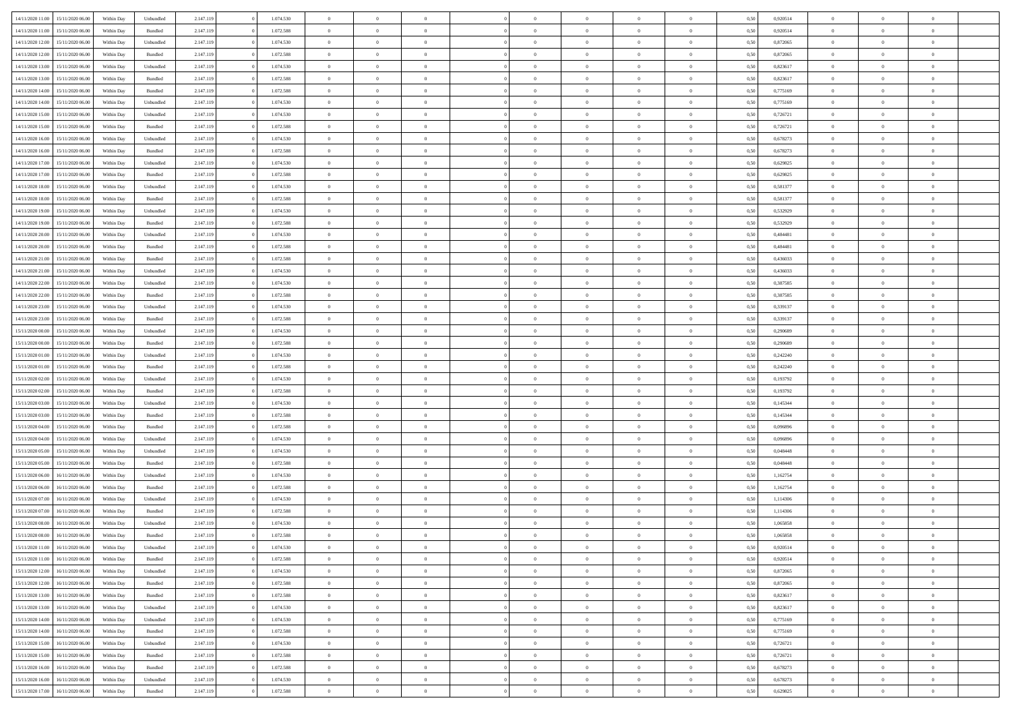|                  |                  |            |                    |           |           |                |                |                | $\Omega$       | $\Omega$       | $\theta$       | $\theta$       |      |          | $\theta$       | $\overline{0}$ |                          |  |
|------------------|------------------|------------|--------------------|-----------|-----------|----------------|----------------|----------------|----------------|----------------|----------------|----------------|------|----------|----------------|----------------|--------------------------|--|
| 14/11/2020 11:00 | 15/11/2020 06.00 | Within Dav | Unbundled          | 2.147.119 | 1.074.530 | $\overline{0}$ | $\theta$       | $\Omega$       |                |                |                |                | 0.50 | 0,920514 |                |                | $\overline{0}$           |  |
| 14/11/2020 11:00 | 15/11/2020 06.00 | Within Day | Bundled            | 2.147.119 | 1.072.588 | $\overline{0}$ | $\theta$       | $\overline{0}$ | $\overline{0}$ | $\bf{0}$       | $\overline{0}$ | $\bf{0}$       | 0,50 | 0,920514 | $\theta$       | $\overline{0}$ | $\overline{0}$           |  |
| 14/11/2020 12:00 | 15/11/2020 06.00 | Within Day | Unbundled          | 2.147.119 | 1.074.530 | $\overline{0}$ | $\bf{0}$       | $\overline{0}$ | $\bf{0}$       | $\bf{0}$       | $\bf{0}$       | $\mathbf{0}$   | 0,50 | 0,872065 | $\bf{0}$       | $\overline{0}$ | $\overline{0}$           |  |
| 14/11/2020 12:00 | 15/11/2020 06:00 | Within Dav | Bundled            | 2.147.119 | 1.072.588 | $\overline{0}$ | $\overline{0}$ | $\overline{0}$ | $\overline{0}$ | $\bf{0}$       | $\overline{0}$ | $\overline{0}$ | 0.50 | 0.872065 | $\theta$       | $\theta$       | $\overline{0}$           |  |
| 14/11/2020 13:00 | 15/11/2020 06.00 | Within Day | Unbundled          | 2.147.119 | 1.074.530 | $\overline{0}$ | $\theta$       | $\overline{0}$ | $\overline{0}$ | $\bf{0}$       | $\overline{0}$ | $\bf{0}$       | 0,50 | 0,823617 | $\,$ 0 $\,$    | $\overline{0}$ | $\overline{0}$           |  |
|                  |                  |            |                    |           |           |                |                |                |                |                |                |                |      |          |                |                |                          |  |
| 14/11/2020 13:00 | 15/11/2020 06.00 | Within Day | Bundled            | 2.147.119 | 1.072.588 | $\overline{0}$ | $\overline{0}$ | $\overline{0}$ | $\bf{0}$       | $\overline{0}$ | $\overline{0}$ | $\mathbf{0}$   | 0,50 | 0,823617 | $\overline{0}$ | $\overline{0}$ | $\bf{0}$                 |  |
| 14/11/2020 14:00 | 15/11/2020 06.00 | Within Dav | Bundled            | 2.147.119 | 1.072.588 | $\overline{0}$ | $\overline{0}$ | $\overline{0}$ | $\overline{0}$ | $\overline{0}$ | $\overline{0}$ | $\overline{0}$ | 0.50 | 0,775169 | $\theta$       | $\overline{0}$ | $\overline{0}$           |  |
| 14/11/2020 14:00 | 15/11/2020 06.00 | Within Day | Unbundled          | 2.147.119 | 1.074.530 | $\overline{0}$ | $\theta$       | $\overline{0}$ | $\overline{0}$ | $\bf{0}$       | $\overline{0}$ | $\bf{0}$       | 0,50 | 0,775169 | $\theta$       | $\theta$       | $\overline{0}$           |  |
| 14/11/2020 15:00 | 15/11/2020 06.00 | Within Day | Unbundled          | 2.147.119 | 1.074.530 | $\overline{0}$ | $\overline{0}$ | $\overline{0}$ | $\bf{0}$       | $\bf{0}$       | $\bf{0}$       | $\bf{0}$       | 0,50 | 0,726721 | $\,0\,$        | $\overline{0}$ | $\overline{0}$           |  |
| 14/11/2020 15:00 | 15/11/2020 06:00 | Within Day | Bundled            | 2.147.119 | 1.072.588 | $\overline{0}$ | $\overline{0}$ | $\overline{0}$ | $\overline{0}$ | $\overline{0}$ | $\overline{0}$ | $\overline{0}$ | 0.50 | 0,726721 | $\theta$       | $\overline{0}$ | $\overline{0}$           |  |
|                  |                  |            |                    |           |           | $\overline{0}$ | $\theta$       | $\overline{0}$ | $\overline{0}$ | $\bf{0}$       | $\overline{0}$ |                |      |          | $\,$ 0 $\,$    | $\overline{0}$ | $\overline{0}$           |  |
| 14/11/2020 16.00 | 15/11/2020 06.00 | Within Day | Unbundled          | 2.147.119 | 1.074.530 |                |                |                |                |                |                | $\bf{0}$       | 0,50 | 0,678273 |                |                |                          |  |
| 14/11/2020 16.00 | 15/11/2020 06.00 | Within Day | Bundled            | 2.147.119 | 1.072.588 | $\overline{0}$ | $\overline{0}$ | $\overline{0}$ | $\bf{0}$       | $\bf{0}$       | $\bf{0}$       | $\mathbf{0}$   | 0,50 | 0,678273 | $\overline{0}$ | $\overline{0}$ | $\bf{0}$                 |  |
| 14/11/2020 17.00 | 15/11/2020 06:00 | Within Day | Unbundled          | 2.147.119 | 1.074.530 | $\overline{0}$ | $\overline{0}$ | $\overline{0}$ | $\overline{0}$ | $\bf{0}$       | $\overline{0}$ | $\overline{0}$ | 0.50 | 0.629825 | $\theta$       | $\theta$       | $\overline{0}$           |  |
| 14/11/2020 17.00 | 15/11/2020 06.00 | Within Day | Bundled            | 2.147.119 | 1.072.588 | $\overline{0}$ | $\theta$       | $\overline{0}$ | $\overline{0}$ | $\bf{0}$       | $\overline{0}$ | $\bf{0}$       | 0,50 | 0,629825 | $\theta$       | $\overline{0}$ | $\overline{0}$           |  |
| 14/11/2020 18:00 | 15/11/2020 06.00 | Within Day | Unbundled          | 2.147.119 | 1.074.530 | $\overline{0}$ | $\overline{0}$ | $\overline{0}$ | $\bf{0}$       | $\overline{0}$ | $\overline{0}$ | $\mathbf{0}$   | 0,50 | 0,581377 | $\bf{0}$       | $\overline{0}$ | $\bf{0}$                 |  |
| 14/11/2020 18:00 | 15/11/2020 06:00 | Within Dav | Bundled            | 2.147.119 | 1.072.588 | $\overline{0}$ | $\overline{0}$ | $\overline{0}$ | $\overline{0}$ | $\overline{0}$ | $\overline{0}$ | $\overline{0}$ | 0.50 | 0,581377 | $\theta$       | $\overline{0}$ | $\overline{0}$           |  |
| 14/11/2020 19:00 | 15/11/2020 06.00 | Within Day | Unbundled          | 2.147.119 | 1.074.530 | $\overline{0}$ | $\theta$       | $\overline{0}$ | $\overline{0}$ | $\bf{0}$       | $\overline{0}$ | $\bf{0}$       | 0,50 | 0,532929 | $\,$ 0 $\,$    | $\theta$       | $\overline{0}$           |  |
|                  | 15/11/2020 06.00 | Within Day | Bundled            | 2.147.119 | 1.072.588 | $\overline{0}$ | $\overline{0}$ | $\overline{0}$ | $\bf{0}$       | $\bf{0}$       | $\bf{0}$       | $\mathbf{0}$   | 0,50 | 0,532929 | $\bf{0}$       | $\overline{0}$ | $\overline{0}$           |  |
| 14/11/2020 19:00 | 15/11/2020 06:00 |            | Unbundled          |           | 1.074.530 | $\overline{0}$ | $\overline{0}$ | $\overline{0}$ | $\overline{0}$ | $\overline{0}$ | $\overline{0}$ | $\overline{0}$ | 0.50 | 0,484481 | $\theta$       | $\overline{0}$ | $\overline{0}$           |  |
| 14/11/2020 20.00 |                  | Within Day |                    | 2.147.119 |           |                |                |                |                |                |                |                |      |          |                |                |                          |  |
| 14/11/2020 20.00 | 15/11/2020 06.00 | Within Day | Bundled            | 2.147.119 | 1.072.588 | $\overline{0}$ | $\theta$       | $\overline{0}$ | $\overline{0}$ | $\bf{0}$       | $\overline{0}$ | $\bf{0}$       | 0,50 | 0,484481 | $\,$ 0 $\,$    | $\overline{0}$ | $\overline{0}$           |  |
| 14/11/2020 21.00 | 15/11/2020 06.00 | Within Day | Bundled            | 2.147.119 | 1.072.588 | $\overline{0}$ | $\overline{0}$ | $\overline{0}$ | $\bf{0}$       | $\bf{0}$       | $\bf{0}$       | $\bf{0}$       | 0,50 | 0,436033 | $\bf{0}$       | $\overline{0}$ | $\overline{\phantom{a}}$ |  |
| 14/11/2020 21.00 | 15/11/2020 06:00 | Within Day | Unbundled          | 2.147.119 | 1.074.530 | $\overline{0}$ | $\overline{0}$ | $\overline{0}$ | $\overline{0}$ | $\overline{0}$ | $\overline{0}$ | $\overline{0}$ | 0.50 | 0,436033 | $\theta$       | $\overline{0}$ | $\overline{0}$           |  |
| 14/11/2020 22.00 | 15/11/2020 06.00 | Within Day | Unbundled          | 2.147.119 | 1.074.530 | $\overline{0}$ | $\theta$       | $\overline{0}$ | $\overline{0}$ | $\bf{0}$       | $\overline{0}$ | $\,$ 0 $\,$    | 0,50 | 0,387585 | $\,$ 0 $\,$    | $\overline{0}$ | $\overline{0}$           |  |
| 14/11/2020 22.00 | 15/11/2020 06.00 | Within Day | Bundled            | 2.147.119 | 1.072.588 | $\overline{0}$ | $\overline{0}$ | $\overline{0}$ | $\bf{0}$       | $\overline{0}$ | $\overline{0}$ | $\mathbf{0}$   | 0,50 | 0,387585 | $\overline{0}$ | $\overline{0}$ | $\bf{0}$                 |  |
| 14/11/2020 23.00 | 15/11/2020 06.00 | Within Day | Unbundled          | 2.147.119 | 1.074.530 | $\overline{0}$ | $\overline{0}$ | $\overline{0}$ | $\overline{0}$ | $\overline{0}$ | $\overline{0}$ | $\overline{0}$ | 0.50 | 0,339137 | $\theta$       | $\overline{0}$ | $\overline{0}$           |  |
| 14/11/2020 23.00 | 15/11/2020 06.00 | Within Day | Bundled            | 2.147.119 | 1.072.588 | $\overline{0}$ | $\theta$       | $\overline{0}$ | $\overline{0}$ | $\bf{0}$       | $\overline{0}$ | $\bf{0}$       | 0,50 | 0,339137 | $\theta$       | $\theta$       | $\overline{0}$           |  |
|                  |                  |            |                    |           |           |                |                |                |                |                |                |                |      |          |                |                |                          |  |
| 15/11/2020 00:00 | 15/11/2020 06.00 | Within Day | Unbundled          | 2.147.119 | 1.074.530 | $\overline{0}$ | $\overline{0}$ | $\overline{0}$ | $\bf{0}$       | $\bf{0}$       | $\bf{0}$       | $\bf{0}$       | 0,50 | 0,290689 | $\,0\,$        | $\overline{0}$ | $\overline{0}$           |  |
| 15/11/2020 00:00 | 15/11/2020 06:00 | Within Day | Bundled            | 2.147.119 | 1.072.588 | $\overline{0}$ | $\overline{0}$ | $\overline{0}$ | $\overline{0}$ | $\overline{0}$ | $\overline{0}$ | $\overline{0}$ | 0.50 | 0.290689 | $\theta$       | $\overline{0}$ | $\overline{0}$           |  |
| 15/11/2020 01:00 | 15/11/2020 06.00 | Within Day | Unbundled          | 2.147.119 | 1.074.530 | $\overline{0}$ | $\theta$       | $\overline{0}$ | $\overline{0}$ | $\bf{0}$       | $\overline{0}$ | $\bf{0}$       | 0,50 | 0,242240 | $\,$ 0 $\,$    | $\overline{0}$ | $\overline{0}$           |  |
| 15/11/2020 01.00 | 15/11/2020 06.00 | Within Day | Bundled            | 2.147.119 | 1.072.588 | $\overline{0}$ | $\overline{0}$ | $\overline{0}$ | $\bf{0}$       | $\bf{0}$       | $\bf{0}$       | $\bf{0}$       | 0,50 | 0,242240 | $\overline{0}$ | $\overline{0}$ | $\bf{0}$                 |  |
| 15/11/2020 02.00 | 15/11/2020 06.00 | Within Day | Unbundled          | 2.147.119 | 1.074.530 | $\overline{0}$ | $\Omega$       | $\overline{0}$ | $\Omega$       | $\Omega$       | $\overline{0}$ | $\overline{0}$ | 0,50 | 0,193792 | $\,0\,$        | $\theta$       | $\theta$                 |  |
| 15/11/2020 02.00 | 15/11/2020 06.00 | Within Day | Bundled            | 2.147.119 | 1.072.588 | $\overline{0}$ | $\theta$       | $\overline{0}$ | $\overline{0}$ | $\bf{0}$       | $\overline{0}$ | $\bf{0}$       | 0,50 | 0,193792 | $\,$ 0 $\,$    | $\overline{0}$ | $\overline{0}$           |  |
|                  | 15/11/2020 06.00 | Within Day | Unbundled          | 2.147.119 | 1.074.530 | $\overline{0}$ | $\overline{0}$ | $\overline{0}$ | $\bf{0}$       | $\overline{0}$ | $\overline{0}$ | $\mathbf{0}$   | 0,50 | 0,145344 | $\overline{0}$ | $\overline{0}$ | $\bf{0}$                 |  |
| 15/11/2020 03:00 |                  |            |                    |           |           |                |                |                |                |                |                |                |      |          |                |                |                          |  |
| 15/11/2020 03:00 | 15/11/2020 06.00 | Within Day | Bundled            | 2.147.119 | 1.072.588 | $\overline{0}$ | $\Omega$       | $\Omega$       | $\Omega$       | $\overline{0}$ | $\overline{0}$ | $\overline{0}$ | 0.50 | 0,145344 | $\,0\,$        | $\theta$       | $\theta$                 |  |
| 15/11/2020 04:00 | 15/11/2020 06.00 | Within Day | Bundled            | 2.147.119 | 1.072.588 | $\overline{0}$ | $\theta$       | $\overline{0}$ | $\overline{0}$ | $\bf{0}$       | $\overline{0}$ | $\bf{0}$       | 0,50 | 0,096896 | $\,$ 0 $\,$    | $\overline{0}$ | $\overline{0}$           |  |
| 15/11/2020 04:00 | 15/11/2020 06.00 | Within Day | Unbundled          | 2.147.119 | 1.074.530 | $\overline{0}$ | $\overline{0}$ | $\overline{0}$ | $\bf{0}$       | $\bf{0}$       | $\bf{0}$       | $\bf{0}$       | 0,50 | 0,096896 | $\bf{0}$       | $\overline{0}$ | $\bf{0}$                 |  |
| 15/11/2020 05:00 | 15/11/2020 06:00 | Within Day | Unbundled          | 2.147.119 | 1.074.530 | $\overline{0}$ | $\Omega$       | $\overline{0}$ | $\Omega$       | $\overline{0}$ | $\overline{0}$ | $\overline{0}$ | 0.50 | 0.048448 | $\,$ 0 $\,$    | $\theta$       | $\theta$                 |  |
| 15/11/2020 05:00 | 15/11/2020 06.00 | Within Day | Bundled            | 2.147.119 | 1.072.588 | $\overline{0}$ | $\theta$       | $\overline{0}$ | $\overline{0}$ | $\,$ 0         | $\overline{0}$ | $\bf{0}$       | 0,50 | 0,048448 | $\,$ 0 $\,$    | $\overline{0}$ | $\overline{0}$           |  |
| 15/11/2020 06.00 | 16/11/2020 06.00 | Within Day | Unbundled          | 2.147.119 | 1.074.530 | $\overline{0}$ | $\bf{0}$       | $\overline{0}$ | $\bf{0}$       | $\bf{0}$       | $\bf{0}$       | $\mathbf{0}$   | 0,50 | 1,162754 | $\overline{0}$ | $\overline{0}$ | $\bf{0}$                 |  |
| 15/11/2020 06:00 | 16/11/2020 06.00 | Within Day | $\mathbf B$ undled | 2.147.119 | 1.072.588 | $\overline{0}$ | $\Omega$       | $\overline{0}$ | $\Omega$       | $\overline{0}$ | $\overline{0}$ | $\overline{0}$ | 0,50 | 1,162754 | $\,0\,$        | $\theta$       | $\theta$                 |  |
|                  |                  |            |                    |           |           |                |                |                |                |                |                |                |      |          |                |                |                          |  |
| 15/11/2020 07:00 | 16/11/2020 06.00 | Within Day | Unbundled          | 2.147.119 | 1.074.530 | $\overline{0}$ | $\theta$       | $\overline{0}$ | $\overline{0}$ | $\,$ 0         | $\overline{0}$ | $\bf{0}$       | 0,50 | 1,114306 | $\,$ 0 $\,$    | $\overline{0}$ | $\overline{0}$           |  |
| 15/11/2020 07:00 | 16/11/2020 06.00 | Within Day | Bundled            | 2.147.119 | 1.072.588 | $\overline{0}$ | $\overline{0}$ | $\overline{0}$ | $\bf{0}$       | $\overline{0}$ | $\overline{0}$ | $\mathbf{0}$   | 0,50 | 1,114306 | $\overline{0}$ | $\overline{0}$ | $\bf{0}$                 |  |
| 15/11/2020 08:00 | 16/11/2020 06.00 | Within Day | Unbundled          | 2.147.119 | 1.074.530 | $\overline{0}$ | $\Omega$       | $\Omega$       | $\Omega$       | $\Omega$       | $\overline{0}$ | $\overline{0}$ | 0.50 | 1,065858 | $\theta$       | $\theta$       | $\theta$                 |  |
| 15/11/2020 08:00 | 16/11/2020 06.00 | Within Day | Bundled            | 2.147.119 | 1.072.588 | $\overline{0}$ | $\overline{0}$ | $\overline{0}$ | $\bf{0}$       | $\,$ 0         | $\bf{0}$       | $\bf{0}$       | 0,50 | 1,065858 | $\,0\,$        | $\,$ 0 $\,$    | $\overline{0}$           |  |
| 15/11/2020 11:00 | 16/11/2020 06.00 | Within Day | Unbundled          | 2.147.119 | 1.074.530 | $\bf{0}$       | $\bf{0}$       |                |                | $\bf{0}$       |                |                | 0,50 | 0,920514 | $\bf{0}$       | $\overline{0}$ |                          |  |
| 15/11/2020 11:00 | 16/11/2020 06:00 | Within Day | Bundled            | 2.147.119 | 1.072.588 | $\overline{0}$ | $\overline{0}$ | $\overline{0}$ | $\Omega$       | $\theta$       | $\overline{0}$ | $\overline{0}$ | 0,50 | 0.920514 | $\theta$       | $\theta$       | $\theta$                 |  |
| 15/11/2020 12:00 | 16/11/2020 06.00 | Within Day | Unbundled          | 2.147.119 | 1.074.530 | $\overline{0}$ | $\,$ 0         | $\overline{0}$ | $\bf{0}$       | $\,$ 0 $\,$    | $\overline{0}$ | $\mathbf{0}$   | 0,50 | 0,872065 | $\,$ 0 $\,$    | $\,$ 0 $\,$    | $\,$ 0                   |  |
| 15/11/2020 12:00 | 16/11/2020 06.00 | Within Day | Bundled            | 2.147.119 | 1.072.588 | $\overline{0}$ | $\overline{0}$ | $\overline{0}$ | $\overline{0}$ | $\overline{0}$ | $\overline{0}$ | $\mathbf{0}$   | 0,50 | 0,872065 | $\overline{0}$ | $\bf{0}$       | $\bf{0}$                 |  |
|                  |                  |            |                    |           |           |                |                |                |                |                |                |                |      |          |                |                |                          |  |
| 15/11/2020 13:00 | 16/11/2020 06.00 | Within Day | $\mathbf B$ undled | 2.147.119 | 1.072.588 | $\overline{0}$ | $\overline{0}$ | $\overline{0}$ | $\Omega$       | $\overline{0}$ | $\overline{0}$ | $\bf{0}$       | 0,50 | 0,823617 | $\overline{0}$ | $\theta$       | $\overline{0}$           |  |
| 15/11/2020 13:00 | 16/11/2020 06.00 | Within Day | Unbundled          | 2.147.119 | 1.074.530 | $\overline{0}$ | $\,$ 0         | $\overline{0}$ | $\overline{0}$ | $\,$ 0 $\,$    | $\overline{0}$ | $\mathbf{0}$   | 0,50 | 0,823617 | $\,$ 0 $\,$    | $\overline{0}$ | $\overline{0}$           |  |
| 15/11/2020 14:00 | 16/11/2020 06.00 | Within Day | Unbundled          | 2.147.119 | 1.074.530 | $\overline{0}$ | $\overline{0}$ | $\overline{0}$ | $\overline{0}$ | $\overline{0}$ | $\overline{0}$ | $\mathbf{0}$   | 0,50 | 0,775169 | $\overline{0}$ | $\overline{0}$ | $\bf{0}$                 |  |
| 15/11/2020 14:00 | 16/11/2020 06.00 | Within Day | Bundled            | 2.147.119 | 1.072.588 | $\overline{0}$ | $\overline{0}$ | $\overline{0}$ | $\Omega$       | $\overline{0}$ | $\overline{0}$ | $\bf{0}$       | 0.50 | 0,775169 | $\overline{0}$ | $\theta$       | $\overline{0}$           |  |
| 15/11/2020 15:00 | 16/11/2020 06.00 | Within Day | Unbundled          | 2.147.119 | 1.074.530 | $\overline{0}$ | $\,$ 0         | $\overline{0}$ | $\bf{0}$       | $\bf{0}$       | $\bf{0}$       | $\bf{0}$       | 0,50 | 0,726721 | $\,$ 0 $\,$    | $\overline{0}$ | $\overline{0}$           |  |
| 15/11/2020 15:00 | 16/11/2020 06.00 | Within Day | Bundled            | 2.147.119 | 1.072.588 | $\overline{0}$ | $\bf{0}$       | $\overline{0}$ | $\overline{0}$ | $\overline{0}$ | $\bf{0}$       | $\mathbf{0}$   | 0,50 | 0,726721 | $\overline{0}$ | $\overline{0}$ | $\bf{0}$                 |  |
| 15/11/2020 16.00 | 16/11/2020 06.00 | Within Day | Bundled            | 2.147.119 | 1.072.588 | $\overline{0}$ | $\overline{0}$ | $\overline{0}$ | $\Omega$       | $\overline{0}$ | $\overline{0}$ | $\bf{0}$       | 0.50 | 0,678273 | $\overline{0}$ | $\theta$       | $\overline{0}$           |  |
| 15/11/2020 16:00 | 16/11/2020 06.00 | Within Day | Unbundled          | 2.147.119 | 1.074.530 | $\overline{0}$ | $\bf{0}$       | $\overline{0}$ | $\overline{0}$ | $\bf{0}$       | $\bf{0}$       | $\mathbf{0}$   | 0,50 | 0,678273 | $\,$ 0 $\,$    | $\,$ 0 $\,$    | $\bf{0}$                 |  |
|                  |                  |            |                    |           |           |                |                |                |                |                |                |                |      |          |                |                |                          |  |
| 15/11/2020 17:00 | 16/11/2020 06.00 | Within Day | Bundled            | 2.147.119 | 1.072.588 | $\overline{0}$ | $\overline{0}$ | $\overline{0}$ | $\overline{0}$ | $\bf{0}$       | $\bf{0}$       | $\mathbf{0}$   | 0,50 | 0,629825 | $\overline{0}$ | $\bf{0}$       | $\bf{0}$                 |  |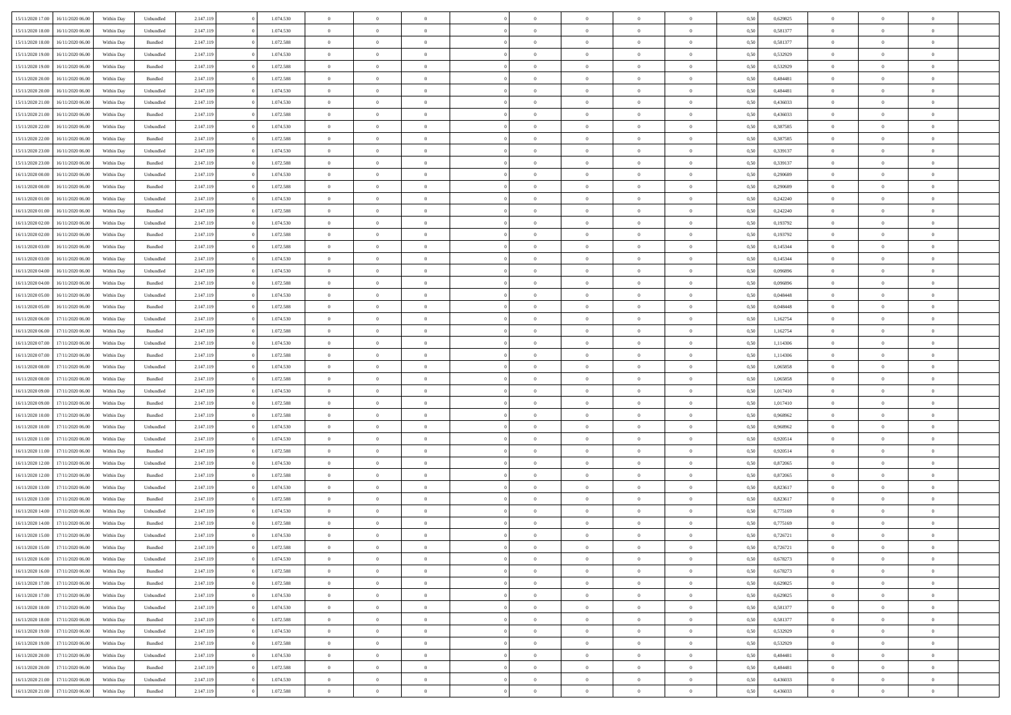| 15/11/2020 17.00 | 16/11/2020 06:00 | Within Dav | Unbundled          | 2.147.119 | 1.074.530 | $\overline{0}$ | $\theta$       |                | $\Omega$       | $\Omega$       | $\theta$       | $\theta$       | 0.50 | 0,629825 | $\theta$       | $\overline{0}$ | $\overline{0}$ |  |
|------------------|------------------|------------|--------------------|-----------|-----------|----------------|----------------|----------------|----------------|----------------|----------------|----------------|------|----------|----------------|----------------|----------------|--|
|                  |                  |            |                    |           |           |                |                |                |                |                |                |                |      |          |                |                |                |  |
| 15/11/2020 18:00 | 16/11/2020 06.00 | Within Day | Unbundled          | 2.147.119 | 1.074.530 | $\overline{0}$ | $\theta$       | $\overline{0}$ | $\overline{0}$ | $\bf{0}$       | $\overline{0}$ | $\bf{0}$       | 0,50 | 0,581377 | $\theta$       | $\overline{0}$ | $\overline{0}$ |  |
| 15/11/2020 18:00 | 16/11/2020 06.00 | Within Day | Bundled            | 2.147.119 | 1.072.588 | $\overline{0}$ | $\bf{0}$       | $\overline{0}$ | $\bf{0}$       | $\bf{0}$       | $\bf{0}$       | $\mathbf{0}$   | 0,50 | 0,581377 | $\bf{0}$       | $\overline{0}$ | $\overline{0}$ |  |
| 15/11/2020 19:00 | 16/11/2020 06:00 | Within Day | Unbundled          | 2.147.119 | 1.074.530 | $\overline{0}$ | $\overline{0}$ | $\overline{0}$ | $\overline{0}$ | $\bf{0}$       | $\overline{0}$ | $\overline{0}$ | 0.50 | 0,532929 | $\theta$       | $\theta$       | $\overline{0}$ |  |
| 15/11/2020 19:00 | 16/11/2020 06.00 | Within Day | Bundled            | 2.147.119 | 1.072.588 | $\overline{0}$ | $\theta$       | $\overline{0}$ | $\overline{0}$ | $\bf{0}$       | $\overline{0}$ | $\bf{0}$       | 0,50 | 0,532929 | $\theta$       | $\overline{0}$ | $\overline{0}$ |  |
| 15/11/2020 20.00 | 16/11/2020 06.00 | Within Day | Bundled            | 2.147.119 | 1.072.588 | $\overline{0}$ | $\overline{0}$ | $\overline{0}$ | $\bf{0}$       | $\overline{0}$ | $\overline{0}$ | $\mathbf{0}$   | 0,50 | 0,484481 | $\bf{0}$       | $\overline{0}$ | $\bf{0}$       |  |
|                  |                  |            |                    |           |           |                |                |                |                |                |                |                |      |          |                |                |                |  |
| 15/11/2020 20.00 | 16/11/2020 06:00 | Within Dav | Unbundled          | 2.147.119 | 1.074.530 | $\overline{0}$ | $\overline{0}$ | $\overline{0}$ | $\overline{0}$ | $\overline{0}$ | $\overline{0}$ | $\overline{0}$ | 0.50 | 0,484481 | $\theta$       | $\overline{0}$ | $\overline{0}$ |  |
| 15/11/2020 21.00 | 16/11/2020 06.00 | Within Day | Unbundled          | 2.147.119 | 1.074.530 | $\overline{0}$ | $\theta$       | $\overline{0}$ | $\overline{0}$ | $\bf{0}$       | $\overline{0}$ | $\bf{0}$       | 0,50 | 0,436033 | $\theta$       | $\theta$       | $\overline{0}$ |  |
| 15/11/2020 21:00 | 16/11/2020 06.00 | Within Day | Bundled            | 2.147.119 | 1.072.588 | $\overline{0}$ | $\overline{0}$ | $\overline{0}$ | $\bf{0}$       | $\bf{0}$       | $\bf{0}$       | $\bf{0}$       | 0,50 | 0,436033 | $\,0\,$        | $\overline{0}$ | $\overline{0}$ |  |
| 15/11/2020 22.00 | 16/11/2020 06.00 | Within Dav | Unbundled          | 2.147.119 | 1.074.530 | $\overline{0}$ | $\overline{0}$ | $\overline{0}$ | $\overline{0}$ | $\overline{0}$ | $\overline{0}$ | $\overline{0}$ | 0.50 | 0,387585 | $\theta$       | $\overline{0}$ | $\overline{0}$ |  |
| 15/11/2020 22.00 | 16/11/2020 06.00 | Within Day | Bundled            | 2.147.119 | 1.072.588 | $\overline{0}$ | $\theta$       | $\overline{0}$ | $\overline{0}$ | $\bf{0}$       | $\overline{0}$ | $\bf{0}$       | 0,50 | 0,387585 | $\,$ 0 $\,$    | $\overline{0}$ | $\overline{0}$ |  |
| 15/11/2020 23.00 | 16/11/2020 06.00 | Within Day | Unbundled          | 2.147.119 | 1.074.530 | $\overline{0}$ | $\overline{0}$ | $\overline{0}$ | $\bf{0}$       | $\bf{0}$       | $\bf{0}$       | $\mathbf{0}$   | 0,50 | 0,339137 | $\overline{0}$ | $\overline{0}$ | $\bf{0}$       |  |
| 15/11/2020 23.00 | 16/11/2020 06:00 | Within Day | Bundled            | 2.147.119 | 1.072.588 | $\overline{0}$ | $\overline{0}$ | $\overline{0}$ | $\overline{0}$ | $\bf{0}$       | $\overline{0}$ | $\overline{0}$ | 0.50 | 0,339137 | $\theta$       | $\theta$       | $\overline{0}$ |  |
|                  |                  |            |                    |           |           |                |                |                |                |                |                |                |      |          |                |                |                |  |
| 16/11/2020 00.00 | 16/11/2020 06.00 | Within Day | Unbundled          | 2.147.119 | 1.074.530 | $\overline{0}$ | $\theta$       | $\overline{0}$ | $\overline{0}$ | $\bf{0}$       | $\overline{0}$ | $\bf{0}$       | 0,50 | 0,290689 | $\theta$       | $\overline{0}$ | $\overline{0}$ |  |
| 16/11/2020 00.00 | 16/11/2020 06.00 | Within Day | Bundled            | 2.147.119 | 1.072.588 | $\overline{0}$ | $\overline{0}$ | $\overline{0}$ | $\bf{0}$       | $\overline{0}$ | $\overline{0}$ | $\mathbf{0}$   | 0,50 | 0,290689 | $\overline{0}$ | $\overline{0}$ | $\bf{0}$       |  |
| 16/11/2020 01:00 | 16/11/2020 06:00 | Within Dav | Unbundled          | 2.147.119 | 1.074.530 | $\overline{0}$ | $\overline{0}$ | $\overline{0}$ | $\overline{0}$ | $\overline{0}$ | $\overline{0}$ | $\overline{0}$ | 0.50 | 0,242240 | $\theta$       | $\overline{0}$ | $\overline{0}$ |  |
| 16/11/2020 01:00 | 16/11/2020 06.00 | Within Day | Bundled            | 2.147.119 | 1.072.588 | $\overline{0}$ | $\theta$       | $\overline{0}$ | $\overline{0}$ | $\bf{0}$       | $\overline{0}$ | $\bf{0}$       | 0,50 | 0,242240 | $\,$ 0 $\,$    | $\theta$       | $\overline{0}$ |  |
| 16/11/2020 02.00 | 16/11/2020 06.00 | Within Day | Unbundled          | 2.147.119 | 1.074.530 | $\overline{0}$ | $\overline{0}$ | $\overline{0}$ | $\bf{0}$       | $\bf{0}$       | $\bf{0}$       | $\bf{0}$       | 0,50 | 0,193792 | $\bf{0}$       | $\overline{0}$ | $\overline{0}$ |  |
| 16/11/2020 02.00 | 16/11/2020 06:00 | Within Day | Bundled            | 2.147.119 | 1.072.588 | $\overline{0}$ | $\overline{0}$ | $\overline{0}$ | $\overline{0}$ | $\overline{0}$ | $\overline{0}$ | $\overline{0}$ | 0.50 | 0,193792 | $\theta$       | $\overline{0}$ | $\overline{0}$ |  |
| 16/11/2020 03:00 | 16/11/2020 06.00 | Within Day | Bundled            | 2.147.119 | 1.072.588 | $\overline{0}$ | $\theta$       | $\overline{0}$ | $\overline{0}$ | $\bf{0}$       | $\overline{0}$ | $\bf{0}$       | 0,50 | 0,145344 | $\,$ 0 $\,$    | $\overline{0}$ | $\overline{0}$ |  |
|                  |                  |            |                    |           |           |                |                |                |                |                |                |                |      |          |                |                |                |  |
| 16/11/2020 03.00 | 16/11/2020 06.00 | Within Day | Unbundled          | 2.147.119 | 1.074.530 | $\overline{0}$ | $\overline{0}$ | $\overline{0}$ | $\bf{0}$       | $\bf{0}$       | $\bf{0}$       | $\bf{0}$       | 0,50 | 0,145344 | $\overline{0}$ | $\overline{0}$ | $\bf{0}$       |  |
| 16/11/2020 04:00 | 16/11/2020 06:00 | Within Day | Unbundled          | 2.147.119 | 1.074.530 | $\overline{0}$ | $\overline{0}$ | $\overline{0}$ | $\overline{0}$ | $\bf{0}$       | $\overline{0}$ | $\overline{0}$ | 0.50 | 0.096896 | $\theta$       | $\overline{0}$ | $\overline{0}$ |  |
| 16/11/2020 04:00 | 16/11/2020 06.00 | Within Day | Bundled            | 2.147.119 | 1.072.588 | $\overline{0}$ | $\theta$       | $\overline{0}$ | $\overline{0}$ | $\bf{0}$       | $\overline{0}$ | $\bf{0}$       | 0,50 | 0,096896 | $\,$ 0 $\,$    | $\overline{0}$ | $\overline{0}$ |  |
| 16/11/2020 05.00 | 16/11/2020 06.00 | Within Day | Unbundled          | 2.147.119 | 1.074.530 | $\overline{0}$ | $\overline{0}$ | $\overline{0}$ | $\bf{0}$       | $\overline{0}$ | $\overline{0}$ | $\mathbf{0}$   | 0,50 | 0,048448 | $\bf{0}$       | $\overline{0}$ | $\bf{0}$       |  |
| 16/11/2020 05:00 | 16/11/2020 06:00 | Within Dav | Bundled            | 2.147.119 | 1.072.588 | $\overline{0}$ | $\overline{0}$ | $\overline{0}$ | $\overline{0}$ | $\overline{0}$ | $\overline{0}$ | $\overline{0}$ | 0.50 | 0.048448 | $\theta$       | $\overline{0}$ | $\overline{0}$ |  |
| 16/11/2020 06.00 | 17/11/2020 06.00 | Within Day | Unbundled          | 2.147.119 | 1.074.530 | $\overline{0}$ | $\theta$       | $\overline{0}$ | $\overline{0}$ | $\bf{0}$       | $\overline{0}$ | $\bf{0}$       | 0,50 | 1,162754 | $\theta$       | $\theta$       | $\overline{0}$ |  |
| 16/11/2020 06:00 | 17/11/2020 06.00 | Within Day | Bundled            | 2.147.119 | 1.072.588 | $\overline{0}$ | $\overline{0}$ | $\overline{0}$ | $\bf{0}$       | $\bf{0}$       | $\bf{0}$       | $\bf{0}$       | 0,50 | 1,162754 | $\,0\,$        | $\overline{0}$ | $\overline{0}$ |  |
|                  | 17/11/2020 06.00 |            | Unbundled          |           | 1.074.530 | $\overline{0}$ | $\overline{0}$ | $\overline{0}$ | $\overline{0}$ | $\overline{0}$ | $\overline{0}$ | $\overline{0}$ | 0.50 | 1,114306 | $\theta$       | $\overline{0}$ | $\overline{0}$ |  |
| 16/11/2020 07.00 |                  | Within Day |                    | 2.147.119 |           |                |                |                |                |                |                |                |      |          |                |                |                |  |
| 16/11/2020 07:00 | 17/11/2020 06.00 | Within Day | Bundled            | 2.147.119 | 1.072.588 | $\overline{0}$ | $\theta$       | $\overline{0}$ | $\overline{0}$ | $\bf{0}$       | $\overline{0}$ | $\bf{0}$       | 0,50 | 1,114306 | $\,$ 0 $\,$    | $\overline{0}$ | $\overline{0}$ |  |
| 16/11/2020 08:00 | 17/11/2020 06.00 | Within Day | Unbundled          | 2.147.119 | 1.074.530 | $\overline{0}$ | $\overline{0}$ | $\overline{0}$ | $\bf{0}$       | $\bf{0}$       | $\bf{0}$       | $\bf{0}$       | 0,50 | 1,065858 | $\bf{0}$       | $\overline{0}$ | $\bf{0}$       |  |
| 16/11/2020 08:00 | 17/11/2020 06.00 | Within Day | Bundled            | 2.147.119 | 1.072.588 | $\overline{0}$ | $\Omega$       | $\overline{0}$ | $\Omega$       | $\Omega$       | $\overline{0}$ | $\overline{0}$ | 0,50 | 1,065858 | $\,0\,$        | $\theta$       | $\theta$       |  |
| 16/11/2020 09:00 | 17/11/2020 06.00 | Within Day | Unbundled          | 2.147.119 | 1.074.530 | $\overline{0}$ | $\theta$       | $\overline{0}$ | $\overline{0}$ | $\bf{0}$       | $\overline{0}$ | $\bf{0}$       | 0,50 | 1,017410 | $\theta$       | $\overline{0}$ | $\overline{0}$ |  |
| 16/11/2020 09:00 | 17/11/2020 06.00 | Within Day | Bundled            | 2.147.119 | 1.072.588 | $\overline{0}$ | $\overline{0}$ | $\overline{0}$ | $\overline{0}$ | $\overline{0}$ | $\overline{0}$ | $\mathbf{0}$   | 0,50 | 1,017410 | $\overline{0}$ | $\overline{0}$ | $\bf{0}$       |  |
| 16/11/2020 10:00 | 17/11/2020 06.00 | Within Day | Bundled            | 2.147.119 | 1.072.588 | $\overline{0}$ | $\Omega$       | $\Omega$       | $\Omega$       | $\overline{0}$ | $\overline{0}$ | $\overline{0}$ | 0.50 | 0.968962 | $\,0\,$        | $\theta$       | $\theta$       |  |
| 16/11/2020 10:00 | 17/11/2020 06.00 | Within Day | Unbundled          | 2.147.119 | 1.074.530 | $\overline{0}$ | $\theta$       | $\overline{0}$ | $\overline{0}$ | $\bf{0}$       | $\overline{0}$ | $\bf{0}$       | 0,50 | 0,968962 | $\,$ 0 $\,$    | $\overline{0}$ | $\overline{0}$ |  |
|                  |                  |            |                    |           |           |                | $\overline{0}$ |                |                | $\bf{0}$       |                |                |      |          | $\bf{0}$       | $\overline{0}$ | $\bf{0}$       |  |
| 16/11/2020 11:00 | 17/11/2020 06.00 | Within Day | Unbundled          | 2.147.119 | 1.074.530 | $\overline{0}$ |                | $\overline{0}$ | $\overline{0}$ |                | $\overline{0}$ | $\bf{0}$       | 0,50 | 0,920514 |                |                |                |  |
| 16/11/2020 11:00 | 17/11/2020 06:00 | Within Day | Bundled            | 2.147.119 | 1.072.588 | $\overline{0}$ | $\Omega$       | $\Omega$       | $\Omega$       | $\overline{0}$ | $\overline{0}$ | $\overline{0}$ | 0.50 | 0.920514 | $\,$ 0 $\,$    | $\theta$       | $\theta$       |  |
| 16/11/2020 12:00 | 17/11/2020 06.00 | Within Day | Unbundled          | 2.147.119 | 1.074.530 | $\overline{0}$ | $\theta$       | $\overline{0}$ | $\overline{0}$ | $\,$ 0         | $\overline{0}$ | $\bf{0}$       | 0,50 | 0,872065 | $\,$ 0 $\,$    | $\overline{0}$ | $\overline{0}$ |  |
| 16/11/2020 12.00 | 17/11/2020 06.00 | Within Day | Bundled            | 2.147.119 | 1.072.588 | $\overline{0}$ | $\bf{0}$       | $\overline{0}$ | $\overline{0}$ | $\bf{0}$       | $\overline{0}$ | $\bf{0}$       | 0,50 | 0,872065 | $\overline{0}$ | $\overline{0}$ | $\bf{0}$       |  |
| 16/11/2020 13:00 | 17/11/2020 06.00 | Within Day | Unbundled          | 2.147.119 | 1.074.530 | $\overline{0}$ | $\Omega$       | $\overline{0}$ | $\Omega$       | $\overline{0}$ | $\overline{0}$ | $\overline{0}$ | 0,50 | 0,823617 | $\,0\,$        | $\theta$       | $\theta$       |  |
| 16/11/2020 13:00 | 17/11/2020 06.00 | Within Day | Bundled            | 2.147.119 | 1.072.588 | $\overline{0}$ | $\theta$       | $\overline{0}$ | $\overline{0}$ | $\,$ 0         | $\overline{0}$ | $\bf{0}$       | 0,50 | 0,823617 | $\,$ 0 $\,$    | $\overline{0}$ | $\overline{0}$ |  |
| 16/11/2020 14:00 | 17/11/2020 06.00 | Within Day | Unbundled          | 2.147.119 | 1.074.530 | $\overline{0}$ | $\overline{0}$ | $\overline{0}$ | $\overline{0}$ | $\bf{0}$       | $\overline{0}$ | $\mathbf{0}$   | 0,50 | 0,775169 | $\overline{0}$ | $\overline{0}$ | $\bf{0}$       |  |
| 16/11/2020 14:00 | 17/11/2020 06.00 | Within Day | Bundled            | 2.147.119 | 1.072.588 | $\overline{0}$ | $\Omega$       | $\Omega$       | $\Omega$       | $\Omega$       | $\Omega$       | $\overline{0}$ | 0.50 | 0,775169 | $\theta$       | $\theta$       | $\theta$       |  |
| 16/11/2020 15:00 | 17/11/2020 06.00 | Within Day | Unbundled          | 2.147.119 | 1.074.530 | $\overline{0}$ | $\overline{0}$ | $\overline{0}$ | $\bf{0}$       | $\,$ 0         | $\overline{0}$ | $\bf{0}$       | 0,50 | 0,726721 | $\,0\,$        | $\,$ 0 $\,$    | $\overline{0}$ |  |
|                  |                  |            |                    |           |           |                |                |                |                |                |                |                |      |          |                |                |                |  |
| 16/11/2020 15:00 | 17/11/2020 06.00 | Within Day | $\mathbf B$ undled | 2.147.119 | 1.072.588 | $\bf{0}$       | $\bf{0}$       |                |                | $\bf{0}$       |                |                | 0,50 | 0,726721 | $\bf{0}$       | $\overline{0}$ |                |  |
| 16/11/2020 16:00 | 17/11/2020 06:00 | Within Day | Unbundled          | 2.147.119 | 1.074.530 | $\overline{0}$ | $\overline{0}$ | $\overline{0}$ | $\Omega$       | $\theta$       | $\overline{0}$ | $\overline{0}$ | 0,50 | 0,678273 | $\theta$       | $\theta$       | $\theta$       |  |
| 16/11/2020 16:00 | 17/11/2020 06.00 | Within Day | Bundled            | 2.147.119 | 1.072.588 | $\overline{0}$ | $\,$ 0         | $\overline{0}$ | $\overline{0}$ | $\,$ 0 $\,$    | $\overline{0}$ | $\mathbf{0}$   | 0,50 | 0,678273 | $\,$ 0 $\,$    | $\,$ 0 $\,$    | $\,$ 0         |  |
| 16/11/2020 17.00 | 17/11/2020 06.00 | Within Day | Bundled            | 2.147.119 | 1.072.588 | $\overline{0}$ | $\overline{0}$ | $\overline{0}$ | $\overline{0}$ | $\overline{0}$ | $\overline{0}$ | $\mathbf{0}$   | 0,50 | 0,629825 | $\overline{0}$ | $\bf{0}$       | $\bf{0}$       |  |
| 16/11/2020 17:00 | 17/11/2020 06.00 | Within Day | Unbundled          | 2.147.119 | 1.074.530 | $\overline{0}$ | $\overline{0}$ | $\overline{0}$ | $\Omega$       | $\overline{0}$ | $\overline{0}$ | $\bf{0}$       | 0,50 | 0,629825 | $\overline{0}$ | $\theta$       | $\overline{0}$ |  |
| 16/11/2020 18:00 | 17/11/2020 06.00 | Within Day | Unbundled          | 2.147.119 | 1.074.530 | $\overline{0}$ | $\,$ 0         | $\overline{0}$ | $\overline{0}$ | $\overline{0}$ | $\overline{0}$ | $\bf{0}$       | 0,50 | 0,581377 | $\,$ 0 $\,$    | $\overline{0}$ | $\overline{0}$ |  |
| 16/11/2020 18.00 | 17/11/2020 06.00 | Within Day | Bundled            | 2.147.119 | 1.072.588 | $\overline{0}$ | $\overline{0}$ | $\overline{0}$ | $\overline{0}$ | $\overline{0}$ | $\overline{0}$ | $\mathbf{0}$   | 0,50 | 0,581377 | $\overline{0}$ | $\overline{0}$ | $\bf{0}$       |  |
|                  |                  |            |                    |           |           |                |                |                |                |                |                |                |      |          |                |                |                |  |
| 16/11/2020 19:00 | 17/11/2020 06.00 | Within Day | Unbundled          | 2.147.119 | 1.074.530 | $\overline{0}$ | $\overline{0}$ | $\overline{0}$ | $\Omega$       | $\overline{0}$ | $\overline{0}$ | $\bf{0}$       | 0.50 | 0,532929 | $\overline{0}$ | $\theta$       | $\overline{0}$ |  |
| 16/11/2020 19:00 | 17/11/2020 06.00 | Within Day | Bundled            | 2.147.119 | 1.072.588 | $\overline{0}$ | $\,$ 0         | $\overline{0}$ | $\bf{0}$       | $\bf{0}$       | $\bf{0}$       | $\bf{0}$       | 0,50 | 0,532929 | $\,$ 0 $\,$    | $\overline{0}$ | $\overline{0}$ |  |
| 16/11/2020 20:00 | 17/11/2020 06.00 | Within Day | Unbundled          | 2.147.119 | 1.074.530 | $\overline{0}$ | $\bf{0}$       | $\overline{0}$ | $\overline{0}$ | $\overline{0}$ | $\bf{0}$       | $\mathbf{0}$   | 0,50 | 0,484481 | $\overline{0}$ | $\overline{0}$ | $\bf{0}$       |  |
| 16/11/2020 20.00 | 17/11/2020 06.00 | Within Day | Bundled            | 2.147.119 | 1.072.588 | $\overline{0}$ | $\overline{0}$ | $\overline{0}$ | $\Omega$       | $\overline{0}$ | $\overline{0}$ | $\bf{0}$       | 0.50 | 0.484481 | $\overline{0}$ | $\theta$       | $\overline{0}$ |  |
| 16/11/2020 21.00 | 17/11/2020 06.00 | Within Day | Unbundled          | 2.147.119 | 1.074.530 | $\overline{0}$ | $\bf{0}$       | $\overline{0}$ | $\overline{0}$ | $\bf{0}$       | $\bf{0}$       | $\mathbf{0}$   | 0,50 | 0,436033 | $\,$ 0 $\,$    | $\,$ 0 $\,$    | $\bf{0}$       |  |
| 16/11/2020 21.00 | 17/11/2020 06.00 | Within Day | Bundled            | 2.147.119 | 1.072.588 | $\overline{0}$ | $\overline{0}$ | $\overline{0}$ | $\overline{0}$ | $\bf{0}$       | $\bf{0}$       | $\mathbf{0}$   | 0,50 | 0,436033 | $\overline{0}$ | $\bf{0}$       | $\bf{0}$       |  |
|                  |                  |            |                    |           |           |                |                |                |                |                |                |                |      |          |                |                |                |  |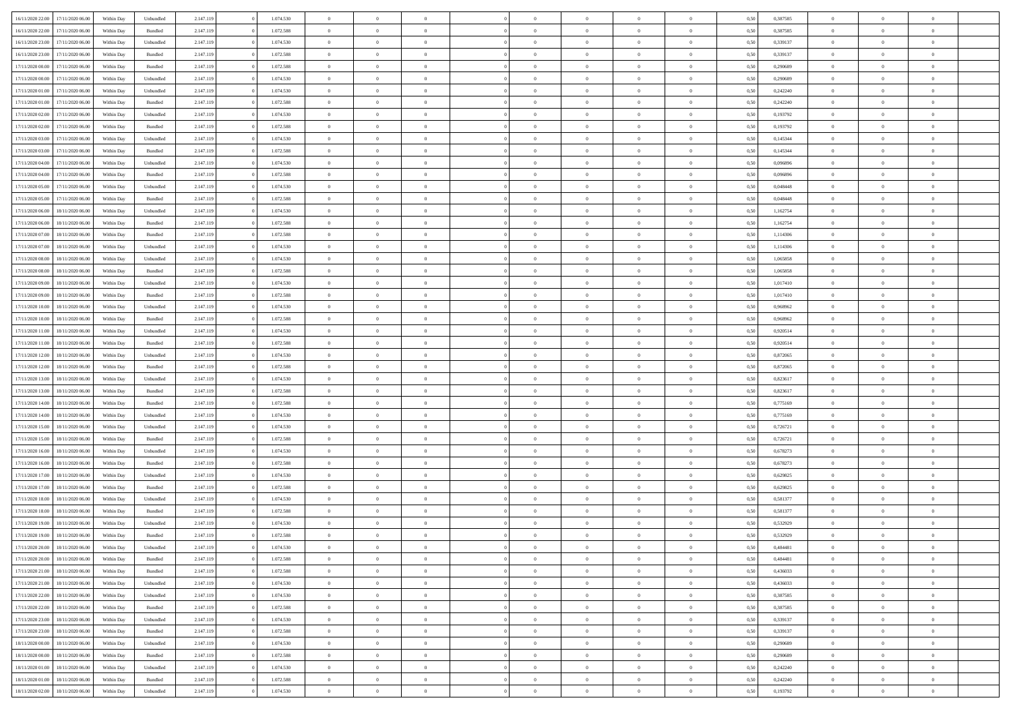| 16/11/2020 22.00 | 17/11/2020 06.00 | Within Dav | Unbundled          | 2.147.119 | 1.074.530 | $\overline{0}$ | $\theta$       | $\Omega$       | $\Omega$       | $\Omega$       | $\overline{0}$ | $\theta$       | 0.50 | 0,387585 | $\theta$       | $\overline{0}$ | $\overline{0}$ |  |
|------------------|------------------|------------|--------------------|-----------|-----------|----------------|----------------|----------------|----------------|----------------|----------------|----------------|------|----------|----------------|----------------|----------------|--|
|                  |                  |            |                    |           |           |                |                |                |                |                |                |                |      |          |                |                |                |  |
| 16/11/2020 22.00 | 17/11/2020 06.00 | Within Day | Bundled            | 2.147.119 | 1.072.588 | $\overline{0}$ | $\theta$       | $\overline{0}$ | $\overline{0}$ | $\bf{0}$       | $\overline{0}$ | $\bf{0}$       | 0,50 | 0,387585 | $\theta$       | $\overline{0}$ | $\overline{0}$ |  |
| 16/11/2020 23:00 | 17/11/2020 06.00 | Within Day | Unbundled          | 2.147.119 | 1.074.530 | $\overline{0}$ | $\bf{0}$       | $\overline{0}$ | $\bf{0}$       | $\bf{0}$       | $\bf{0}$       | $\mathbf{0}$   | 0,50 | 0,339137 | $\overline{0}$ | $\overline{0}$ | $\overline{0}$ |  |
| 16/11/2020 23.00 | 17/11/2020 06:00 | Within Dav | Bundled            | 2.147.119 | 1.072.588 | $\overline{0}$ | $\overline{0}$ | $\overline{0}$ | $\overline{0}$ | $\bf{0}$       | $\overline{0}$ | $\overline{0}$ | 0.50 | 0,339137 | $\theta$       | $\theta$       | $\overline{0}$ |  |
| 17/11/2020 00.00 | 17/11/2020 06.00 | Within Day | Bundled            | 2.147.119 | 1.072.588 | $\overline{0}$ | $\theta$       | $\overline{0}$ | $\overline{0}$ | $\bf{0}$       | $\overline{0}$ | $\bf{0}$       | 0,50 | 0,290689 | $\,$ 0 $\,$    | $\overline{0}$ | $\overline{0}$ |  |
| 17/11/2020 00:00 | 17/11/2020 06.00 | Within Day | Unbundled          | 2.147.119 | 1.074.530 | $\overline{0}$ | $\overline{0}$ | $\overline{0}$ | $\bf{0}$       | $\overline{0}$ | $\overline{0}$ | $\mathbf{0}$   | 0,50 | 0,290689 | $\overline{0}$ | $\overline{0}$ | $\bf{0}$       |  |
|                  |                  |            |                    |           |           |                | $\overline{0}$ |                |                | $\overline{0}$ |                |                |      |          | $\theta$       | $\overline{0}$ | $\overline{0}$ |  |
| 17/11/2020 01:00 | 17/11/2020 06.00 | Within Dav | Unbundled          | 2.147.119 | 1.074.530 | $\overline{0}$ |                | $\overline{0}$ | $\overline{0}$ |                | $\overline{0}$ | $\overline{0}$ | 0.50 | 0,242240 |                |                |                |  |
| 17/11/2020 01:00 | 17/11/2020 06.00 | Within Day | Bundled            | 2.147.119 | 1.072.588 | $\overline{0}$ | $\theta$       | $\overline{0}$ | $\overline{0}$ | $\bf{0}$       | $\overline{0}$ | $\bf{0}$       | 0,50 | 0,242240 | $\theta$       | $\theta$       | $\overline{0}$ |  |
| 17/11/2020 02:00 | 17/11/2020 06.00 | Within Day | Unbundled          | 2.147.119 | 1.074.530 | $\overline{0}$ | $\overline{0}$ | $\overline{0}$ | $\bf{0}$       | $\bf{0}$       | $\bf{0}$       | $\bf{0}$       | 0,50 | 0,193792 | $\,0\,$        | $\overline{0}$ | $\overline{0}$ |  |
| 17/11/2020 02.00 | 17/11/2020 06.00 | Within Dav | Bundled            | 2.147.119 | 1.072.588 | $\overline{0}$ | $\overline{0}$ | $\overline{0}$ | $\overline{0}$ | $\overline{0}$ | $\overline{0}$ | $\overline{0}$ | 0.50 | 0,193792 | $\theta$       | $\overline{0}$ | $\overline{0}$ |  |
| 17/11/2020 03:00 | 17/11/2020 06.00 | Within Day | Unbundled          | 2.147.119 | 1.074.530 | $\overline{0}$ | $\theta$       | $\overline{0}$ | $\overline{0}$ | $\bf{0}$       | $\overline{0}$ | $\bf{0}$       | 0,50 | 0,145344 | $\,$ 0 $\,$    | $\overline{0}$ | $\overline{0}$ |  |
| 17/11/2020 03.00 | 17/11/2020 06.00 | Within Day | Bundled            | 2.147.119 | 1.072.588 | $\overline{0}$ | $\overline{0}$ | $\overline{0}$ | $\bf{0}$       | $\bf{0}$       | $\overline{0}$ | $\mathbf{0}$   | 0,50 | 0,145344 | $\overline{0}$ | $\overline{0}$ | $\bf{0}$       |  |
| 17/11/2020 04:00 | 17/11/2020 06:00 | Within Day | Unbundled          | 2.147.119 | 1.074.530 | $\overline{0}$ | $\overline{0}$ | $\overline{0}$ | $\overline{0}$ | $\bf{0}$       | $\overline{0}$ | $\overline{0}$ | 0.50 | 0.096896 | $\theta$       | $\theta$       | $\overline{0}$ |  |
| 17/11/2020 04:00 | 17/11/2020 06.00 |            |                    | 2.147.119 | 1.072.588 | $\overline{0}$ | $\theta$       | $\overline{0}$ | $\overline{0}$ | $\bf{0}$       | $\overline{0}$ |                |      | 0,096896 | $\theta$       | $\overline{0}$ | $\overline{0}$ |  |
|                  |                  | Within Day | Bundled            |           |           |                |                |                |                |                |                | $\bf{0}$       | 0,50 |          |                |                |                |  |
| 17/11/2020 05:00 | 17/11/2020 06.00 | Within Day | Unbundled          | 2.147.119 | 1.074.530 | $\overline{0}$ | $\overline{0}$ | $\overline{0}$ | $\overline{0}$ | $\overline{0}$ | $\overline{0}$ | $\mathbf{0}$   | 0,50 | 0,048448 | $\overline{0}$ | $\overline{0}$ | $\bf{0}$       |  |
| 17/11/2020 05:00 | 17/11/2020 06.00 | Within Dav | Bundled            | 2.147.119 | 1.072.588 | $\overline{0}$ | $\overline{0}$ | $\overline{0}$ | $\overline{0}$ | $\overline{0}$ | $\overline{0}$ | $\overline{0}$ | 0.50 | 0.048448 | $\theta$       | $\overline{0}$ | $\overline{0}$ |  |
| 17/11/2020 06.00 | 18/11/2020 06.00 | Within Day | Unbundled          | 2.147.119 | 1.074.530 | $\overline{0}$ | $\theta$       | $\overline{0}$ | $\overline{0}$ | $\bf{0}$       | $\overline{0}$ | $\bf{0}$       | 0,50 | 1,162754 | $\,$ 0 $\,$    | $\theta$       | $\overline{0}$ |  |
| 17/11/2020 06:00 | 18/11/2020 06.00 | Within Day | Bundled            | 2.147.119 | 1.072.588 | $\overline{0}$ | $\overline{0}$ | $\overline{0}$ | $\overline{0}$ | $\bf{0}$       | $\overline{0}$ | $\mathbf{0}$   | 0,50 | 1,162754 | $\bf{0}$       | $\overline{0}$ | $\overline{0}$ |  |
| 17/11/2020 07.00 | 18/11/2020 06:00 | Within Day | Bundled            | 2.147.119 | 1.072.588 | $\overline{0}$ | $\overline{0}$ | $\overline{0}$ | $\overline{0}$ | $\overline{0}$ | $\overline{0}$ | $\overline{0}$ | 0.50 | 1,114306 | $\theta$       | $\overline{0}$ | $\overline{0}$ |  |
| 17/11/2020 07.00 | 18/11/2020 06.00 | Within Day | Unbundled          | 2.147.119 | 1.074.530 | $\overline{0}$ | $\theta$       | $\overline{0}$ | $\overline{0}$ | $\bf{0}$       | $\overline{0}$ | $\bf{0}$       | 0,50 | 1,114306 | $\,$ 0 $\,$    | $\overline{0}$ | $\overline{0}$ |  |
|                  |                  |            |                    |           |           |                | $\overline{0}$ |                |                | $\bf{0}$       |                |                |      |          |                | $\overline{0}$ | $\bf{0}$       |  |
| 17/11/2020 08:00 | 18/11/2020 06.00 | Within Day | Unbundled          | 2.147.119 | 1.074.530 | $\overline{0}$ |                | $\overline{0}$ | $\overline{0}$ |                | $\overline{0}$ | $\bf{0}$       | 0,50 | 1,065858 | $\overline{0}$ |                |                |  |
| 17/11/2020 08:00 | 18/11/2020 06:00 | Within Day | Bundled            | 2.147.119 | 1.072.588 | $\overline{0}$ | $\overline{0}$ | $\overline{0}$ | $\overline{0}$ | $\overline{0}$ | $\overline{0}$ | $\overline{0}$ | 0.50 | 1.065858 | $\theta$       | $\overline{0}$ | $\overline{0}$ |  |
| 17/11/2020 09:00 | 18/11/2020 06.00 | Within Day | Unbundled          | 2.147.119 | 1.074.530 | $\overline{0}$ | $\theta$       | $\overline{0}$ | $\overline{0}$ | $\bf{0}$       | $\overline{0}$ | $\,$ 0 $\,$    | 0,50 | 1,017410 | $\,$ 0 $\,$    | $\overline{0}$ | $\overline{0}$ |  |
| 17/11/2020 09:00 | 18/11/2020 06.00 | Within Day | Bundled            | 2.147.119 | 1.072.588 | $\overline{0}$ | $\overline{0}$ | $\overline{0}$ | $\overline{0}$ | $\overline{0}$ | $\overline{0}$ | $\mathbf{0}$   | 0,50 | 1,017410 | $\overline{0}$ | $\overline{0}$ | $\bf{0}$       |  |
| 17/11/2020 10:00 | 18/11/2020 06:00 | Within Dav | Unbundled          | 2.147.119 | 1.074.530 | $\overline{0}$ | $\overline{0}$ | $\overline{0}$ | $\overline{0}$ | $\overline{0}$ | $\overline{0}$ | $\overline{0}$ | 0.50 | 0,968962 | $\theta$       | $\overline{0}$ | $\overline{0}$ |  |
| 17/11/2020 10:00 | 18/11/2020 06.00 | Within Day | Bundled            | 2.147.119 | 1.072.588 | $\overline{0}$ | $\theta$       | $\overline{0}$ | $\overline{0}$ | $\bf{0}$       | $\overline{0}$ | $\bf{0}$       | 0,50 | 0,968962 | $\theta$       | $\theta$       | $\overline{0}$ |  |
| 17/11/2020 11:00 | 18/11/2020 06.00 | Within Day | Unbundled          | 2.147.119 | 1.074.530 | $\overline{0}$ | $\overline{0}$ | $\overline{0}$ | $\overline{0}$ | $\bf{0}$       | $\overline{0}$ | $\bf{0}$       | 0,50 | 0,920514 | $\,0\,$        | $\overline{0}$ | $\overline{0}$ |  |
| 17/11/2020 11:00 | 18/11/2020 06.00 | Within Day | Bundled            | 2.147.119 | 1.072.588 | $\overline{0}$ | $\overline{0}$ | $\overline{0}$ | $\overline{0}$ | $\overline{0}$ | $\overline{0}$ | $\overline{0}$ | 0.50 | 0.920514 | $\theta$       | $\overline{0}$ | $\overline{0}$ |  |
|                  |                  |            |                    |           |           |                |                |                |                |                |                |                |      |          |                |                |                |  |
| 17/11/2020 12:00 | 18/11/2020 06.00 | Within Day | Unbundled          | 2.147.119 | 1.074.530 | $\overline{0}$ | $\theta$       | $\overline{0}$ | $\overline{0}$ | $\bf{0}$       | $\overline{0}$ | $\bf{0}$       | 0,50 | 0,872065 | $\,0\,$        | $\overline{0}$ | $\overline{0}$ |  |
| 17/11/2020 12:00 | 18/11/2020 06.00 | Within Day | Bundled            | 2.147.119 | 1.072.588 | $\overline{0}$ | $\overline{0}$ | $\overline{0}$ | $\overline{0}$ | $\bf{0}$       | $\overline{0}$ | $\bf{0}$       | 0,50 | 0,872065 | $\overline{0}$ | $\overline{0}$ | $\bf{0}$       |  |
| 17/11/2020 13:00 | 18/11/2020 06.00 | Within Day | Unbundled          | 2.147.119 | 1.074.530 | $\overline{0}$ | $\Omega$       | $\overline{0}$ | $\Omega$       | $\Omega$       | $\overline{0}$ | $\overline{0}$ | 0,50 | 0,823617 | $\,0\,$        | $\theta$       | $\theta$       |  |
| 17/11/2020 13:00 | 18/11/2020 06.00 | Within Day | Bundled            | 2.147.119 | 1.072.588 | $\overline{0}$ | $\theta$       | $\overline{0}$ | $\overline{0}$ | $\bf{0}$       | $\overline{0}$ | $\bf{0}$       | 0,50 | 0,823617 | $\,$ 0 $\,$    | $\overline{0}$ | $\overline{0}$ |  |
| 17/11/2020 14:00 | 18/11/2020 06.00 | Within Day | Bundled            | 2.147.119 | 1.072.588 | $\overline{0}$ | $\overline{0}$ | $\overline{0}$ | $\bf{0}$       | $\overline{0}$ | $\overline{0}$ | $\mathbf{0}$   | 0,50 | 0,775169 | $\overline{0}$ | $\overline{0}$ | $\bf{0}$       |  |
| 17/11/2020 14:00 | 18/11/2020 06.00 | Within Day | Unbundled          | 2.147.119 | 1.074.530 | $\overline{0}$ | $\Omega$       | $\Omega$       | $\Omega$       | $\overline{0}$ | $\overline{0}$ | $\overline{0}$ | 0.50 | 0,775169 | $\,0\,$        | $\theta$       | $\theta$       |  |
| 17/11/2020 15:00 | 18/11/2020 06.00 | Within Day | Unbundled          | 2.147.119 | 1.074.530 | $\overline{0}$ | $\theta$       | $\overline{0}$ | $\overline{0}$ | $\bf{0}$       | $\overline{0}$ | $\bf{0}$       | 0,50 | 0,726721 | $\,$ 0 $\,$    | $\overline{0}$ | $\overline{0}$ |  |
| 17/11/2020 15:00 | 18/11/2020 06.00 | Within Day | Bundled            | 2.147.119 | 1.072.588 | $\overline{0}$ | $\overline{0}$ | $\overline{0}$ | $\bf{0}$       | $\bf{0}$       | $\bf{0}$       | $\bf{0}$       | 0,50 | 0,726721 | $\bf{0}$       | $\overline{0}$ | $\bf{0}$       |  |
|                  |                  |            |                    |           |           |                |                |                |                |                |                |                |      |          |                |                |                |  |
| 17/11/2020 16:00 | 18/11/2020 06:00 | Within Day | Unbundled          | 2.147.119 | 1.074.530 | $\overline{0}$ | $\Omega$       | $\Omega$       | $\Omega$       | $\overline{0}$ | $\overline{0}$ | $\overline{0}$ | 0.50 | 0,678273 | $\,$ 0 $\,$    | $\theta$       | $\theta$       |  |
| 17/11/2020 16:00 | 18/11/2020 06.00 | Within Day | Bundled            | 2.147.119 | 1.072.588 | $\overline{0}$ | $\theta$       | $\overline{0}$ | $\overline{0}$ | $\,$ 0         | $\overline{0}$ | $\bf{0}$       | 0,50 | 0,678273 | $\,$ 0 $\,$    | $\overline{0}$ | $\overline{0}$ |  |
| 17/11/2020 17:00 | 18/11/2020 06.00 | Within Day | Unbundled          | 2.147.119 | 1.074.530 | $\overline{0}$ | $\bf{0}$       | $\overline{0}$ | $\bf{0}$       | $\bf{0}$       | $\bf{0}$       | $\bf{0}$       | 0,50 | 0,629825 | $\overline{0}$ | $\overline{0}$ | $\bf{0}$       |  |
| 17/11/2020 17:00 | 18/11/2020 06.00 | Within Day | $\mathbf B$ undled | 2.147.119 | 1.072.588 | $\overline{0}$ | $\Omega$       | $\overline{0}$ | $\Omega$       | $\overline{0}$ | $\overline{0}$ | $\overline{0}$ | 0,50 | 0,629825 | $\,0\,$        | $\theta$       | $\theta$       |  |
| 17/11/2020 18.00 | 18/11/2020 06.00 | Within Day | Unbundled          | 2.147.119 | 1.074.530 | $\overline{0}$ | $\theta$       | $\overline{0}$ | $\overline{0}$ | $\,$ 0         | $\overline{0}$ | $\bf{0}$       | 0,50 | 0,581377 | $\,$ 0 $\,$    | $\overline{0}$ | $\overline{0}$ |  |
| 17/11/2020 18:00 | 18/11/2020 06.00 | Within Day | Bundled            | 2.147.119 | 1.072.588 | $\overline{0}$ | $\overline{0}$ | $\overline{0}$ | $\bf{0}$       | $\bf{0}$       | $\overline{0}$ | $\mathbf{0}$   | 0,50 | 0,581377 | $\overline{0}$ | $\overline{0}$ | $\bf{0}$       |  |
| 17/11/2020 19:00 | 18/11/2020 06:00 | Within Day | Unbundled          | 2.147.119 | 1.074.530 | $\overline{0}$ | $\Omega$       | $\Omega$       | $\Omega$       | $\Omega$       | $\overline{0}$ | $\overline{0}$ | 0.50 | 0,532929 | $\theta$       | $\theta$       | $\theta$       |  |
| 17/11/2020 19:00 | 18/11/2020 06.00 | Within Day | Bundled            | 2.147.119 | 1.072.588 | $\overline{0}$ | $\overline{0}$ | $\overline{0}$ | $\bf{0}$       | $\,$ 0         | $\bf{0}$       | $\bf{0}$       | 0,50 | 0,532929 | $\,0\,$        | $\,$ 0 $\,$    | $\overline{0}$ |  |
| 17/11/2020 20:00 | 18/11/2020 06.00 | Within Day | Unbundled          | 2.147.119 | 1.074.530 |                |                |                |                |                |                |                |      |          |                |                |                |  |
|                  |                  |            |                    |           |           | $\bf{0}$       | $\bf{0}$       |                |                | $\bf{0}$       |                |                | 0,50 | 0,484481 | $\bf{0}$       | $\overline{0}$ |                |  |
| 17/11/2020 20.00 | 18/11/2020 06:00 | Within Day | Bundled            | 2.147.119 | 1.072.588 | $\overline{0}$ | $\overline{0}$ | $\overline{0}$ | $\Omega$       | $\theta$       | $\overline{0}$ | $\overline{0}$ | 0.50 | 0.484481 | $\theta$       | $\theta$       | $\theta$       |  |
| 17/11/2020 21.00 | 18/11/2020 06.00 | Within Day | Bundled            | 2.147.119 | 1.072.588 | $\overline{0}$ | $\,$ 0         | $\overline{0}$ | $\bf{0}$       | $\,$ 0 $\,$    | $\overline{0}$ | $\mathbf{0}$   | 0,50 | 0,436033 | $\,$ 0 $\,$    | $\,$ 0 $\,$    | $\,$ 0         |  |
| 17/11/2020 21:00 | 18/11/2020 06:00 | Within Day | Unbundled          | 2.147.119 | 1.074.530 | $\overline{0}$ | $\overline{0}$ | $\overline{0}$ | $\overline{0}$ | $\overline{0}$ | $\overline{0}$ | $\mathbf{0}$   | 0,50 | 0,436033 | $\overline{0}$ | $\bf{0}$       | $\bf{0}$       |  |
| 17/11/2020 22.00 | 18/11/2020 06:00 | Within Day | Unbundled          | 2.147.119 | 1.074.530 | $\overline{0}$ | $\overline{0}$ | $\overline{0}$ | $\Omega$       | $\overline{0}$ | $\overline{0}$ | $\bf{0}$       | 0,50 | 0,387585 | $\overline{0}$ | $\theta$       | $\overline{0}$ |  |
| 17/11/2020 22.00 | 18/11/2020 06.00 | Within Day | Bundled            | 2.147.119 | 1.072.588 | $\overline{0}$ | $\,$ 0         | $\overline{0}$ | $\overline{0}$ | $\overline{0}$ | $\overline{0}$ | $\bf{0}$       | 0,50 | 0,387585 | $\,$ 0 $\,$    | $\overline{0}$ | $\overline{0}$ |  |
| 17/11/2020 23.00 | 18/11/2020 06:00 | Within Day | Unbundled          | 2.147.119 | 1.074.530 | $\overline{0}$ | $\overline{0}$ | $\overline{0}$ | $\overline{0}$ | $\overline{0}$ | $\overline{0}$ | $\mathbf{0}$   | 0,50 | 0,339137 | $\overline{0}$ | $\bf{0}$       | $\bf{0}$       |  |
|                  |                  |            | Bundled            |           | 1.072.588 | $\overline{0}$ | $\overline{0}$ | $\overline{0}$ | $\Omega$       | $\overline{0}$ | $\overline{0}$ |                | 0.50 |          | $\overline{0}$ | $\theta$       | $\overline{0}$ |  |
| 17/11/2020 23.00 | 18/11/2020 06:00 | Within Day |                    | 2.147.119 |           |                |                |                |                |                |                | $\bf{0}$       |      | 0,339137 |                |                |                |  |
| 18/11/2020 00:00 | 18/11/2020 06.00 | Within Day | Unbundled          | 2.147.119 | 1.074.530 | $\overline{0}$ | $\,$ 0         | $\overline{0}$ | $\overline{0}$ | $\bf{0}$       | $\overline{0}$ | $\bf{0}$       | 0,50 | 0,290689 | $\,$ 0 $\,$    | $\overline{0}$ | $\overline{0}$ |  |
| 18/11/2020 00:00 | 18/11/2020 06:00 | Within Day | Bundled            | 2.147.119 | 1.072.588 | $\overline{0}$ | $\bf{0}$       | $\overline{0}$ | $\overline{0}$ | $\overline{0}$ | $\overline{0}$ | $\mathbf{0}$   | 0,50 | 0,290689 | $\overline{0}$ | $\overline{0}$ | $\bf{0}$       |  |
| 18/11/2020 01:00 | 18/11/2020 06:00 | Within Day | Unbundled          | 2.147.119 | 1.074.530 | $\overline{0}$ | $\overline{0}$ | $\overline{0}$ | $\Omega$       | $\overline{0}$ | $\overline{0}$ | $\bf{0}$       | 0.50 | 0,242240 | $\overline{0}$ | $\theta$       | $\overline{0}$ |  |
| 18/11/2020 01:00 | 18/11/2020 06.00 | Within Day | Bundled            | 2.147.119 | 1.072.588 | $\overline{0}$ | $\bf{0}$       | $\overline{0}$ | $\overline{0}$ | $\bf{0}$       | $\overline{0}$ | $\mathbf{0}$   | 0,50 | 0,242240 | $\,$ 0 $\,$    | $\,$ 0 $\,$    | $\bf{0}$       |  |
| 18/11/2020 02.00 | 18/11/2020 06.00 | Within Day | Unbundled          | 2.147.119 | 1.074.530 | $\overline{0}$ | $\overline{0}$ | $\overline{0}$ | $\overline{0}$ | $\bf{0}$       | $\overline{0}$ | $\mathbf{0}$   | 0,50 | 0,193792 | $\overline{0}$ | $\bf{0}$       | $\bf{0}$       |  |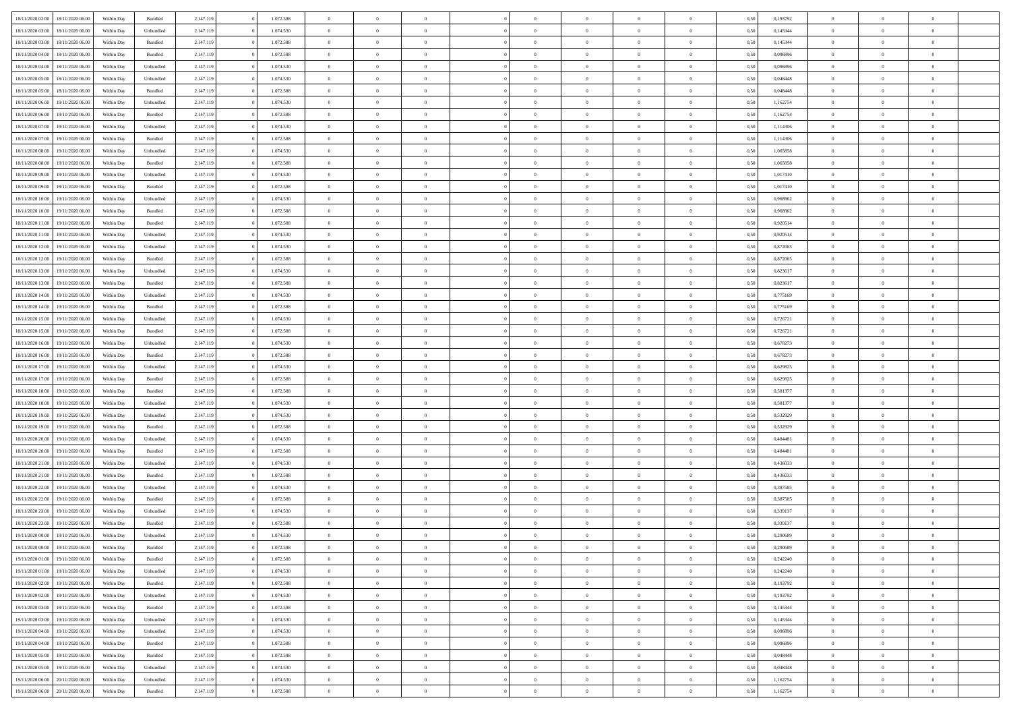| 18/11/2020 02.00 | 18/11/2020 06:00 | Within Dav | Bundled            | 2.147.119 | 1.072.588 | $\overline{0}$ | $\theta$       | $\Omega$       | $\Omega$       | $\Omega$       | $\theta$       | $\theta$       | 0.50 | 0,193792 | $\theta$       | $\theta$       | $\overline{0}$ |  |
|------------------|------------------|------------|--------------------|-----------|-----------|----------------|----------------|----------------|----------------|----------------|----------------|----------------|------|----------|----------------|----------------|----------------|--|
|                  |                  |            |                    |           |           |                |                |                |                |                |                |                |      |          |                |                |                |  |
| 18/11/2020 03:00 | 18/11/2020 06.00 | Within Day | Unbundled          | 2.147.119 | 1.074.530 | $\overline{0}$ | $\theta$       | $\overline{0}$ | $\overline{0}$ | $\bf{0}$       | $\overline{0}$ | $\bf{0}$       | 0,50 | 0,145344 | $\theta$       | $\overline{0}$ | $\overline{0}$ |  |
| 18/11/2020 03:00 | 18/11/2020 06.00 | Within Day | Bundled            | 2.147.119 | 1.072.588 | $\overline{0}$ | $\bf{0}$       | $\overline{0}$ | $\overline{0}$ | $\bf{0}$       | $\overline{0}$ | $\mathbf{0}$   | 0,50 | 0,145344 | $\bf{0}$       | $\overline{0}$ | $\overline{0}$ |  |
| 18/11/2020 04:00 | 18/11/2020 06:00 | Within Dav | Bundled            | 2.147.119 | 1.072.588 | $\overline{0}$ | $\overline{0}$ | $\overline{0}$ | $\overline{0}$ | $\bf{0}$       | $\overline{0}$ | $\overline{0}$ | 0.50 | 0.096896 | $\theta$       | $\theta$       | $\overline{0}$ |  |
| 18/11/2020 04:00 | 18/11/2020 06.00 | Within Day | Unbundled          | 2.147.119 | 1.074.530 | $\overline{0}$ | $\theta$       | $\overline{0}$ | $\overline{0}$ | $\bf{0}$       | $\overline{0}$ | $\bf{0}$       | 0,50 | 0,096896 | $\theta$       | $\overline{0}$ | $\overline{0}$ |  |
| 18/11/2020 05:00 | 18/11/2020 06.00 | Within Day | Unbundled          | 2.147.119 | 1.074.530 | $\overline{0}$ | $\overline{0}$ | $\overline{0}$ | $\overline{0}$ | $\overline{0}$ | $\overline{0}$ | $\mathbf{0}$   | 0,50 | 0,048448 | $\overline{0}$ | $\overline{0}$ | $\bf{0}$       |  |
| 18/11/2020 05:00 | 18/11/2020 06:00 | Within Dav | Bundled            | 2.147.119 | 1.072.588 | $\overline{0}$ | $\overline{0}$ | $\overline{0}$ | $\overline{0}$ | $\overline{0}$ | $\overline{0}$ | $\overline{0}$ | 0.50 | 0.048448 | $\theta$       | $\overline{0}$ | $\overline{0}$ |  |
| 18/11/2020 06.00 | 19/11/2020 06.00 | Within Day | Unbundled          | 2.147.119 | 1.074.530 | $\overline{0}$ | $\theta$       | $\overline{0}$ | $\overline{0}$ | $\bf{0}$       | $\overline{0}$ | $\bf{0}$       | 0,50 | 1,162754 | $\theta$       | $\theta$       | $\overline{0}$ |  |
| 18/11/2020 06:00 | 19/11/2020 06.00 | Within Day | Bundled            | 2.147.119 | 1.072.588 | $\overline{0}$ | $\overline{0}$ | $\overline{0}$ | $\overline{0}$ | $\bf{0}$       | $\overline{0}$ | $\bf{0}$       | 0,50 | 1,162754 | $\,0\,$        | $\overline{0}$ | $\overline{0}$ |  |
| 18/11/2020 07:00 | 19/11/2020 06:00 | Within Dav | Unbundled          | 2.147.119 | 1.074.530 | $\overline{0}$ | $\overline{0}$ | $\overline{0}$ | $\overline{0}$ | $\overline{0}$ | $\overline{0}$ | $\overline{0}$ | 0.50 | 1,114306 | $\theta$       | $\overline{0}$ | $\overline{0}$ |  |
|                  |                  |            |                    |           |           |                |                |                |                |                |                |                |      |          |                |                |                |  |
| 18/11/2020 07:00 | 19/11/2020 06.00 | Within Day | Bundled            | 2.147.119 | 1.072.588 | $\overline{0}$ | $\theta$       | $\overline{0}$ | $\overline{0}$ | $\bf{0}$       | $\overline{0}$ | $\bf{0}$       | 0,50 | 1,114306 | $\,$ 0 $\,$    | $\overline{0}$ | $\overline{0}$ |  |
| 18/11/2020 08:00 | 19/11/2020 06.00 | Within Day | Unbundled          | 2.147.119 | 1.074.530 | $\overline{0}$ | $\overline{0}$ | $\overline{0}$ | $\overline{0}$ | $\bf{0}$       | $\overline{0}$ | $\mathbf{0}$   | 0,50 | 1,065858 | $\overline{0}$ | $\overline{0}$ | $\bf{0}$       |  |
| 18/11/2020 08:00 | 19/11/2020 06:00 | Within Day | Bundled            | 2.147.119 | 1.072.588 | $\overline{0}$ | $\overline{0}$ | $\overline{0}$ | $\overline{0}$ | $\bf{0}$       | $\overline{0}$ | $\overline{0}$ | 0.50 | 1,065858 | $\theta$       | $\theta$       | $\overline{0}$ |  |
| 18/11/2020 09:00 | 19/11/2020 06.00 | Within Day | Unbundled          | 2.147.119 | 1.074.530 | $\overline{0}$ | $\theta$       | $\overline{0}$ | $\overline{0}$ | $\bf{0}$       | $\overline{0}$ | $\bf{0}$       | 0,50 | 1,017410 | $\theta$       | $\overline{0}$ | $\overline{0}$ |  |
| 18/11/2020 09:00 | 19/11/2020 06.00 | Within Day | Bundled            | 2.147.119 | 1.072.588 | $\overline{0}$ | $\overline{0}$ | $\overline{0}$ | $\bf{0}$       | $\overline{0}$ | $\overline{0}$ | $\mathbf{0}$   | 0,50 | 1,017410 | $\overline{0}$ | $\overline{0}$ | $\bf{0}$       |  |
| 18/11/2020 10:00 | 19/11/2020 06:00 | Within Dav | Unbundled          | 2.147.119 | 1.074.530 | $\overline{0}$ | $\overline{0}$ | $\overline{0}$ | $\overline{0}$ | $\overline{0}$ | $\overline{0}$ | $\overline{0}$ | 0.50 | 0.968962 | $\theta$       | $\overline{0}$ | $\overline{0}$ |  |
| 18/11/2020 10:00 | 19/11/2020 06.00 | Within Day | Bundled            | 2.147.119 | 1.072.588 | $\overline{0}$ | $\theta$       | $\overline{0}$ | $\overline{0}$ | $\bf{0}$       | $\overline{0}$ | $\bf{0}$       | 0,50 | 0,968962 | $\theta$       | $\theta$       | $\overline{0}$ |  |
| 18/11/2020 11:00 | 19/11/2020 06.00 | Within Day | Bundled            | 2.147.119 | 1.072.588 | $\overline{0}$ | $\overline{0}$ | $\overline{0}$ | $\bf{0}$       | $\bf{0}$       | $\bf{0}$       | $\bf{0}$       | 0,50 | 0,920514 | $\bf{0}$       | $\overline{0}$ | $\overline{0}$ |  |
| 18/11/2020 11:00 | 19/11/2020 06:00 | Within Day | Unbundled          | 2.147.119 | 1.074.530 | $\overline{0}$ | $\overline{0}$ | $\overline{0}$ | $\overline{0}$ | $\overline{0}$ | $\overline{0}$ | $\overline{0}$ | 0.50 | 0.920514 | $\theta$       | $\overline{0}$ | $\overline{0}$ |  |
| 18/11/2020 12:00 | 19/11/2020 06.00 | Within Day | Unbundled          | 2.147.119 | 1.074.530 | $\overline{0}$ | $\theta$       | $\overline{0}$ | $\overline{0}$ | $\bf{0}$       | $\overline{0}$ | $\bf{0}$       | 0,50 | 0,872065 | $\,$ 0 $\,$    | $\overline{0}$ | $\overline{0}$ |  |
|                  |                  |            |                    |           |           |                |                |                |                |                |                |                |      |          |                |                |                |  |
| 18/11/2020 12:00 | 19/11/2020 06.00 | Within Day | Bundled            | 2.147.119 | 1.072.588 | $\overline{0}$ | $\overline{0}$ | $\overline{0}$ | $\bf{0}$       | $\bf{0}$       | $\bf{0}$       | $\bf{0}$       | 0,50 | 0,872065 | $\bf{0}$       | $\overline{0}$ | $\overline{0}$ |  |
| 18/11/2020 13:00 | 19/11/2020 06:00 | Within Day | Unbundled          | 2.147.119 | 1.074.530 | $\overline{0}$ | $\overline{0}$ | $\overline{0}$ | $\overline{0}$ | $\bf{0}$       | $\overline{0}$ | $\overline{0}$ | 0.50 | 0.823617 | $\theta$       | $\overline{0}$ | $\overline{0}$ |  |
| 18/11/2020 13:00 | 19/11/2020 06.00 | Within Day | Bundled            | 2.147.119 | 1.072.588 | $\overline{0}$ | $\theta$       | $\overline{0}$ | $\overline{0}$ | $\bf{0}$       | $\overline{0}$ | $\bf{0}$       | 0,50 | 0,823617 | $\,$ 0 $\,$    | $\overline{0}$ | $\overline{0}$ |  |
| 18/11/2020 14:00 | 19/11/2020 06.00 | Within Day | Unbundled          | 2.147.119 | 1.074.530 | $\overline{0}$ | $\overline{0}$ | $\overline{0}$ | $\bf{0}$       | $\overline{0}$ | $\overline{0}$ | $\mathbf{0}$   | 0,50 | 0,775169 | $\overline{0}$ | $\overline{0}$ | $\bf{0}$       |  |
| 18/11/2020 14:00 | 19/11/2020 06:00 | Within Dav | Bundled            | 2.147.119 | 1.072.588 | $\overline{0}$ | $\overline{0}$ | $\overline{0}$ | $\overline{0}$ | $\overline{0}$ | $\overline{0}$ | $\overline{0}$ | 0.50 | 0,775169 | $\theta$       | $\overline{0}$ | $\overline{0}$ |  |
| 18/11/2020 15:00 | 19/11/2020 06.00 | Within Day | Unbundled          | 2.147.119 | 1.074.530 | $\overline{0}$ | $\theta$       | $\overline{0}$ | $\overline{0}$ | $\bf{0}$       | $\overline{0}$ | $\bf{0}$       | 0,50 | 0,726721 | $\theta$       | $\theta$       | $\overline{0}$ |  |
| 18/11/2020 15:00 | 19/11/2020 06.00 | Within Day | Bundled            | 2.147.119 | 1.072.588 | $\overline{0}$ | $\overline{0}$ | $\overline{0}$ | $\bf{0}$       | $\bf{0}$       | $\bf{0}$       | $\bf{0}$       | 0,50 | 0,726721 | $\,0\,$        | $\overline{0}$ | $\overline{0}$ |  |
| 18/11/2020 16:00 | 19/11/2020 06:00 | Within Day | Unbundled          | 2.147.119 | 1.074.530 | $\overline{0}$ | $\overline{0}$ | $\overline{0}$ | $\overline{0}$ | $\overline{0}$ | $\overline{0}$ | $\overline{0}$ | 0.50 | 0,678273 | $\theta$       | $\overline{0}$ | $\overline{0}$ |  |
| 18/11/2020 16:00 | 19/11/2020 06.00 | Within Day | Bundled            | 2.147.119 | 1.072.588 | $\overline{0}$ | $\theta$       | $\overline{0}$ | $\overline{0}$ | $\bf{0}$       | $\overline{0}$ | $\bf{0}$       | 0,50 | 0,678273 | $\,$ 0 $\,$    | $\overline{0}$ | $\overline{0}$ |  |
| 18/11/2020 17.00 | 19/11/2020 06.00 | Within Day | Unbundled          | 2.147.119 | 1.074.530 | $\overline{0}$ | $\overline{0}$ | $\overline{0}$ | $\bf{0}$       | $\bf{0}$       | $\bf{0}$       | $\bf{0}$       | 0,50 | 0,629825 | $\overline{0}$ | $\overline{0}$ | $\bf{0}$       |  |
| 18/11/2020 17:00 | 19/11/2020 06.00 |            |                    | 2.147.119 | 1.072.588 | $\overline{0}$ | $\Omega$       | $\overline{0}$ | $\Omega$       | $\Omega$       | $\overline{0}$ | $\overline{0}$ | 0,50 | 0,629825 | $\,0\,$        | $\theta$       | $\theta$       |  |
|                  |                  | Within Day | Bundled            |           |           | $\overline{0}$ | $\theta$       | $\overline{0}$ | $\overline{0}$ | $\bf{0}$       | $\overline{0}$ |                |      |          | $\theta$       | $\overline{0}$ | $\overline{0}$ |  |
| 18/11/2020 18:00 | 19/11/2020 06.00 | Within Day | Bundled            | 2.147.119 | 1.072.588 |                |                |                |                |                |                | $\bf{0}$       | 0,50 | 0,581377 |                |                |                |  |
| 18/11/2020 18:00 | 19/11/2020 06.00 | Within Day | Unbundled          | 2.147.119 | 1.074.530 | $\overline{0}$ | $\overline{0}$ | $\overline{0}$ | $\bf{0}$       | $\overline{0}$ | $\overline{0}$ | $\mathbf{0}$   | 0,50 | 0,581377 | $\overline{0}$ | $\overline{0}$ | $\bf{0}$       |  |
| 18/11/2020 19:00 | 19/11/2020 06.00 | Within Day | Unbundled          | 2.147.119 | 1.074.530 | $\overline{0}$ | $\Omega$       | $\Omega$       | $\Omega$       | $\overline{0}$ | $\overline{0}$ | $\overline{0}$ | 0.50 | 0,532929 | $\,0\,$        | $\theta$       | $\theta$       |  |
| 18/11/2020 19:00 | 19/11/2020 06.00 | Within Day | Bundled            | 2.147.119 | 1.072.588 | $\overline{0}$ | $\theta$       | $\overline{0}$ | $\overline{0}$ | $\bf{0}$       | $\overline{0}$ | $\bf{0}$       | 0,50 | 0,532929 | $\,$ 0 $\,$    | $\overline{0}$ | $\overline{0}$ |  |
| 18/11/2020 20:00 | 19/11/2020 06.00 | Within Day | Unbundled          | 2.147.119 | 1.074.530 | $\overline{0}$ | $\overline{0}$ | $\overline{0}$ | $\overline{0}$ | $\bf{0}$       | $\overline{0}$ | $\bf{0}$       | 0,50 | 0,484481 | $\bf{0}$       | $\overline{0}$ | $\bf{0}$       |  |
| 18/11/2020 20:00 | 19/11/2020 06:00 | Within Day | Bundled            | 2.147.119 | 1.072.588 | $\overline{0}$ | $\Omega$       | $\Omega$       | $\Omega$       | $\overline{0}$ | $\overline{0}$ | $\overline{0}$ | 0.50 | 0,484481 | $\,0\,$        | $\theta$       | $\theta$       |  |
| 18/11/2020 21.00 | 19/11/2020 06.00 | Within Day | Unbundled          | 2.147.119 | 1.074.530 | $\overline{0}$ | $\theta$       | $\overline{0}$ | $\overline{0}$ | $\,$ 0         | $\overline{0}$ | $\bf{0}$       | 0,50 | 0,436033 | $\,$ 0 $\,$    | $\overline{0}$ | $\overline{0}$ |  |
| 18/11/2020 21.00 | 19/11/2020 06.00 | Within Day | Bundled            | 2.147.119 | 1.072.588 | $\overline{0}$ | $\bf{0}$       | $\overline{0}$ | $\overline{0}$ | $\bf{0}$       | $\overline{0}$ | $\bf{0}$       | 0,50 | 0,436033 | $\overline{0}$ | $\overline{0}$ | $\bf{0}$       |  |
| 18/11/2020 22.00 | 19/11/2020 06.00 | Within Day | Unbundled          | 2.147.119 | 1.074.530 | $\overline{0}$ | $\Omega$       | $\overline{0}$ | $\Omega$       | $\overline{0}$ | $\overline{0}$ | $\overline{0}$ | 0,50 | 0,387585 | $\,0\,$        | $\theta$       | $\theta$       |  |
| 18/11/2020 22.00 | 19/11/2020 06.00 | Within Day | Bundled            | 2.147.119 | 1.072.588 | $\overline{0}$ | $\theta$       | $\overline{0}$ | $\overline{0}$ | $\,$ 0         | $\overline{0}$ | $\bf{0}$       | 0,50 | 0,387585 | $\,$ 0 $\,$    | $\overline{0}$ | $\overline{0}$ |  |
| 18/11/2020 23.00 | 19/11/2020 06.00 | Within Day | Unbundled          | 2.147.119 | 1.074.530 | $\overline{0}$ | $\overline{0}$ | $\overline{0}$ | $\overline{0}$ | $\bf{0}$       | $\overline{0}$ | $\mathbf{0}$   | 0,50 | 0,339137 | $\overline{0}$ | $\overline{0}$ | $\bf{0}$       |  |
| 18/11/2020 23.00 | 19/11/2020 06.00 | Within Day | Bundled            | 2.147.119 | 1.072.588 | $\overline{0}$ | $\Omega$       | $\Omega$       | $\Omega$       | $\Omega$       | $\Omega$       | $\overline{0}$ | 0.50 | 0,339137 | $\theta$       | $\theta$       | $\theta$       |  |
| 19/11/2020 00:00 | 19/11/2020 06.00 | Within Day | Unbundled          | 2.147.119 | 1.074.530 | $\overline{0}$ | $\overline{0}$ | $\overline{0}$ | $\bf{0}$       | $\,$ 0         | $\overline{0}$ | $\bf{0}$       | 0,50 | 0,290689 | $\,0\,$        | $\,$ 0 $\,$    | $\overline{0}$ |  |
|                  |                  |            |                    |           |           |                |                |                |                |                |                |                |      |          |                |                |                |  |
| 19/11/2020 00:00 | 19/11/2020 06.00 | Within Day | $\mathbf B$ undled | 2.147.119 | 1.072.588 | $\bf{0}$       | $\bf{0}$       |                |                | $\bf{0}$       |                |                | 0,50 | 0,290689 | $\bf{0}$       | $\overline{0}$ |                |  |
| 19/11/2020 01:00 | 19/11/2020 06:00 | Within Day | Bundled            | 2.147.119 | 1.072.588 | $\overline{0}$ | $\overline{0}$ | $\overline{0}$ | $\Omega$       | $\theta$       | $\overline{0}$ | $\overline{0}$ | 0,50 | 0,242240 | $\theta$       | $\theta$       | $\theta$       |  |
| 19/11/2020 01:00 | 19/11/2020 06.00 | Within Day | Unbundled          | 2.147.119 | 1.074.530 | $\overline{0}$ | $\,$ 0         | $\overline{0}$ | $\overline{0}$ | $\,$ 0 $\,$    | $\overline{0}$ | $\mathbf{0}$   | 0,50 | 0,242240 | $\,$ 0 $\,$    | $\,$ 0 $\,$    | $\,$ 0         |  |
| 19/11/2020 02.00 | 19/11/2020 06.00 | Within Day | Bundled            | 2.147.119 | 1.072.588 | $\overline{0}$ | $\overline{0}$ | $\overline{0}$ | $\overline{0}$ | $\overline{0}$ | $\overline{0}$ | $\mathbf{0}$   | 0,50 | 0,193792 | $\overline{0}$ | $\bf{0}$       | $\bf{0}$       |  |
| 19/11/2020 02:00 | 19/11/2020 06.00 | Within Day | Unbundled          | 2.147.119 | 1.074.530 | $\overline{0}$ | $\overline{0}$ | $\overline{0}$ | $\Omega$       | $\overline{0}$ | $\overline{0}$ | $\bf{0}$       | 0,50 | 0,193792 | $\overline{0}$ | $\theta$       | $\overline{0}$ |  |
| 19/11/2020 03:00 | 19/11/2020 06.00 | Within Day | Bundled            | 2.147.119 | 1.072.588 | $\overline{0}$ | $\,$ 0         | $\overline{0}$ | $\overline{0}$ | $\,$ 0 $\,$    | $\overline{0}$ | $\bf{0}$       | 0,50 | 0,145344 | $\,$ 0 $\,$    | $\overline{0}$ | $\overline{0}$ |  |
| 19/11/2020 03:00 | 19/11/2020 06.00 | Within Day | Unbundled          | 2.147.119 | 1.074.530 | $\overline{0}$ | $\overline{0}$ | $\overline{0}$ | $\overline{0}$ | $\overline{0}$ | $\overline{0}$ | $\mathbf{0}$   | 0,50 | 0,145344 | $\overline{0}$ | $\bf{0}$       | $\bf{0}$       |  |
| 19/11/2020 04.00 | 19/11/2020 06.00 | Within Day | Unbundled          | 2.147.119 | 1.074.530 | $\overline{0}$ | $\overline{0}$ | $\overline{0}$ | $\Omega$       | $\overline{0}$ | $\overline{0}$ | $\bf{0}$       | 0.50 | 0.096896 | $\overline{0}$ | $\theta$       | $\overline{0}$ |  |
| 19/11/2020 04:00 | 19/11/2020 06.00 | Within Day | Bundled            | 2.147.119 | 1.072.588 | $\overline{0}$ | $\,$ 0         | $\overline{0}$ | $\bf{0}$       | $\bf{0}$       | $\bf{0}$       | $\bf{0}$       | 0,50 | 0,096896 | $\,$ 0 $\,$    | $\overline{0}$ | $\overline{0}$ |  |
| 19/11/2020 05:00 | 19/11/2020 06.00 | Within Day | Bundled            | 2.147.119 | 1.072.588 | $\overline{0}$ | $\bf{0}$       | $\overline{0}$ | $\overline{0}$ | $\overline{0}$ | $\bf{0}$       | $\mathbf{0}$   | 0,50 | 0,048448 | $\overline{0}$ | $\overline{0}$ | $\bf{0}$       |  |
|                  |                  |            |                    |           | 1.074.530 | $\overline{0}$ | $\overline{0}$ | $\overline{0}$ | $\Omega$       | $\overline{0}$ | $\overline{0}$ |                | 0.50 | 0.048448 | $\overline{0}$ | $\theta$       | $\overline{0}$ |  |
| 19/11/2020 05:00 | 19/11/2020 06.00 | Within Day | Unbundled          | 2.147.119 |           |                |                |                |                |                |                | $\bf{0}$       |      |          |                |                |                |  |
| 19/11/2020 06.00 | 20/11/2020 06.00 | Within Day | Unbundled          | 2.147.119 | 1.074.530 | $\overline{0}$ | $\bf{0}$       | $\overline{0}$ | $\overline{0}$ | $\bf{0}$       | $\bf{0}$       | $\mathbf{0}$   | 0,50 | 1,162754 | $\,$ 0 $\,$    | $\,$ 0 $\,$    | $\bf{0}$       |  |
| 19/11/2020 06:00 | 20/11/2020 06.00 | Within Day | Bundled            | 2.147.119 | 1.072.588 | $\overline{0}$ | $\overline{0}$ | $\overline{0}$ | $\overline{0}$ | $\bf{0}$       | $\bf{0}$       | $\mathbf{0}$   | 0,50 | 1,162754 | $\overline{0}$ | $\bf{0}$       | $\bf{0}$       |  |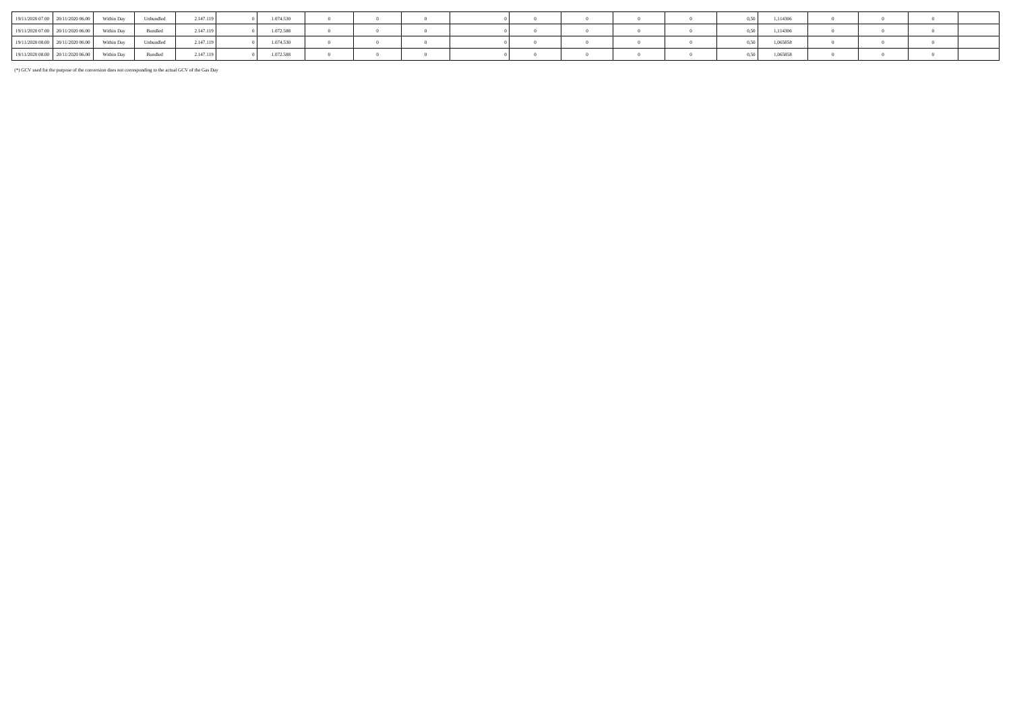| 19/11/2020 07:00 20/11/2020 06:00 | Within Dav | Unbundled         | 2.147.119 | 1.074.530 |  |  |  |  | 1,114306 |  |  |
|-----------------------------------|------------|-------------------|-----------|-----------|--|--|--|--|----------|--|--|
| 19/11/2020 07:00 20/11/2020 06:00 | Within Day | Bundled           | 2.147.119 | 1.072.588 |  |  |  |  | 1,114306 |  |  |
| 19/11/2020 08:00 20/11/2020 06:00 | Within Day | <b>H</b> phundled | 2.147.119 | .074.530  |  |  |  |  | 1,065858 |  |  |
| 19/11/2020 08:00 20/11/2020 06:00 | Within Day | Bundled           | 2.147.119 | .072.588  |  |  |  |  | 1,065858 |  |  |

(\*) GCV used for the purpose of the conversion does not corresponding to the actual GCV of the Gas Day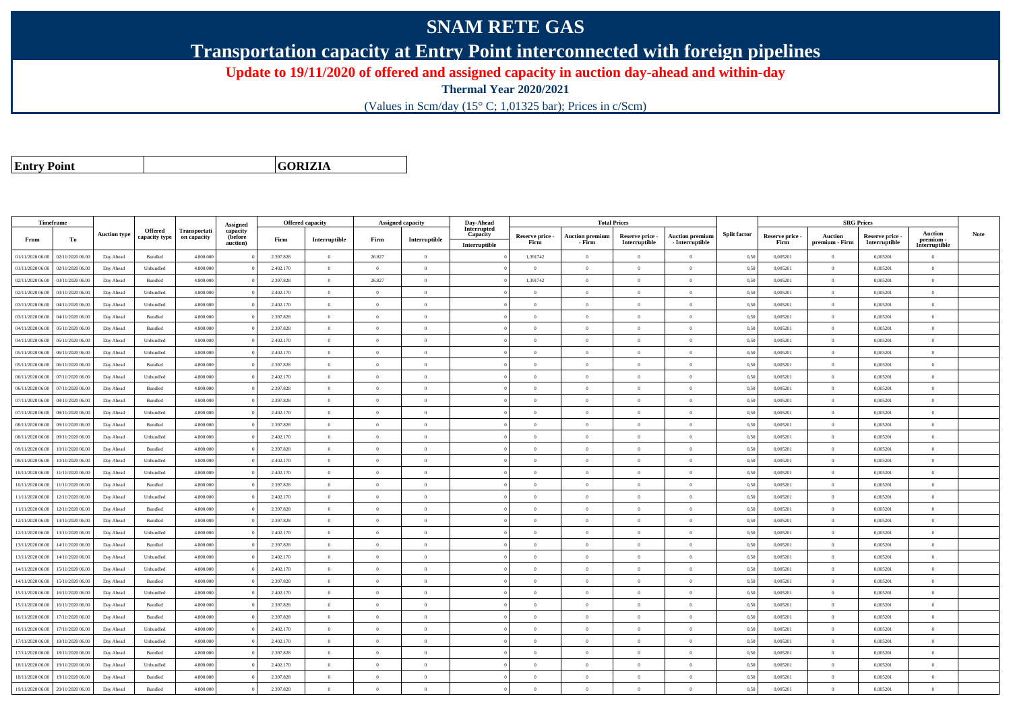## **SNAM RETE GAS**

**Transportation capacity at Entry Point interconnected with foreign pipelines**

**Update to 19/11/2020 of offered and assigned capacity in auction day-ahead and within-day**

**Thermal Year 2020/2021**

(Values in Scm/day (15° C; 1,01325 bar); Prices in c/Scm)

**Entry Point**

**GORIZIA**

|                  | Timeframe        |                     |               |              |                      |           | <b>Offered capacity</b> |                | <b>Assigned capacity</b> | Day-Ahead               |                         | <b>Total Prices</b>              |                                  |                                           |                     |                         | <b>SRG Prices</b>                |                                |                          |             |
|------------------|------------------|---------------------|---------------|--------------|----------------------|-----------|-------------------------|----------------|--------------------------|-------------------------|-------------------------|----------------------------------|----------------------------------|-------------------------------------------|---------------------|-------------------------|----------------------------------|--------------------------------|--------------------------|-------------|
|                  |                  | <b>Auction type</b> | Offered       | Transportati | Assigned<br>capacity |           |                         |                |                          | Interrupted<br>Capacity |                         |                                  |                                  |                                           | <b>Split factor</b> |                         |                                  |                                | <b>Auction</b>           | <b>Note</b> |
| From             | To               |                     | capacity type | on capacity  | (before<br>auction)  | Firm      | Interruptible           | Firm           | Interruptible            | Interruptible           | Reserve price -<br>Firm | <b>Auction premium</b><br>- Firm | Reserve price -<br>Interruptible | <b>Auction premiun</b><br>- Interruptible |                     | Reserve price -<br>Firm | <b>Auction</b><br>premium - Firm | Reserve price<br>Interruptible | premium<br>Interruptible |             |
| 01/11/2020 06:00 | 02/11/2020 06.00 | Day Ahead           | Bundled       | 4.800.000    |                      | 2.397.828 | $\overline{0}$          | 26.827         | $\overline{0}$           |                         | 1,391742                | $\theta$                         | $\overline{0}$                   | $\mathbf{0}$                              | 0,50                | 0,005201                | $\overline{0}$                   | 0,005201                       | $\bf{0}$                 |             |
| 01/11/2020 06.00 | 02/11/2020 06.00 | Day Ahead           | Unbundled     | 4.800.000    |                      | 2.402.170 | $\overline{0}$          | $\overline{0}$ | $\overline{0}$           |                         | $\overline{0}$          | $\theta$                         | $\overline{0}$                   | $\mathbf{0}$                              | 0,50                | 0,005201                | $\overline{0}$                   | 0,005201                       | $\overline{0}$           |             |
| 02/11/2020 06.00 | 03/11/2020 06.00 | Day Ahead           | Bundled       | 4.800.000    |                      | 2.397.828 | $\overline{0}$          | 26.827         | $\Omega$                 |                         | 1,391742                |                                  | $\Omega$                         | $\theta$                                  | 0,50                | 0,005201                | $\overline{0}$                   | 0,005201                       | $\theta$                 |             |
| 02/11/2020 06.00 | 03/11/2020 06.00 | Day Ahead           | Unbundled     | 4.800.000    |                      | 2.402.170 | $\overline{0}$          | $\Omega$       | $\overline{0}$           |                         | $\Omega$                | $\theta$                         | $\theta$                         | $\theta$                                  | 0,50                | 0,005201                | $\overline{0}$                   | 0,005201                       | $\theta$                 |             |
| 03/11/2020 06.00 | 04/11/2020 06.00 | Day Ahead           | Unbundled     | 4.800.000    |                      | 2.402.170 | $\overline{0}$          | $\overline{0}$ | $\overline{0}$           |                         | $\overline{0}$          | $\theta$                         | $\overline{0}$                   | $\mathbf{0}$                              | 0,50                | 0,005201                | $\overline{0}$                   | 0,005201                       | $\bf{0}$                 |             |
| 03/11/2020 06.00 | 04/11/2020 06:00 | Day Ahead           | Bundled       | 4.800,000    |                      | 2.397.828 | $\overline{0}$          | $\theta$       | $\theta$                 |                         | $\Omega$                | $\theta$                         | $\overline{0}$                   | $\theta$                                  | 0.50                | 0.005201                | $\overline{0}$                   | 0.005201                       | $\Omega$                 |             |
| 04/11/2020 06.00 | 05/11/2020 06.00 | Day Ahead           | Bundled       | 4.800,000    |                      | 2.397.828 | $\overline{0}$          | $\theta$       | $\Omega$                 |                         | $\Omega$                | $\sqrt{2}$                       | $\theta$                         | $\theta$                                  | 0.50                | 0,005201                | $\overline{0}$                   | 0.005201                       | $\Omega$                 |             |
| 04/11/2020 06.00 | 05/11/2020 06.00 | Day Ahead           | Unbundled     | 4.800.000    |                      | 2.402.170 | $\overline{0}$          | $\theta$       | $\Omega$                 |                         | $\Omega$                | $\theta$                         | $\overline{0}$                   | $\Omega$                                  | 0,50                | 0,005201                | $\overline{0}$                   | 0,005201                       | $\Omega$                 |             |
| 05/11/2020 06.00 | 06/11/2020 06:00 | Day Ahead           | Unbundled     | 4.800,000    |                      | 2.402.170 | $\overline{0}$          | $\Omega$       | $\Omega$                 |                         | $\Omega$                | $\sqrt{2}$                       | $\Omega$                         | $\Omega$                                  | 0.50                | 0.005201                | $\overline{0}$                   | 0,005201                       | $\theta$                 |             |
| 05/11/2020 06:00 | 06/11/2020 06.00 | Day Ahead           | Bundled       | 4.800.000    |                      | 2.397.828 | $\theta$                | $\Omega$       | $\Omega$                 |                         | $\Omega$                |                                  | $\Omega$                         | $\theta$                                  | 0,50                | 0,005201                | $\Omega$                         | 0,005201                       | $\Omega$                 |             |
| 06/11/2020 06:00 | 07/11/2020 06.00 | Day Ahead           | Unbundled     | 4.800,000    |                      | 2.402.170 | $\overline{0}$          | $\Omega$       | $\Omega$                 |                         | $\Omega$                | $\theta$                         | $\theta$                         | $\theta$                                  | 0,50                | 0.005201                | $\overline{0}$                   | 0.005201                       | $\theta$                 |             |
| 06/11/2020 06.00 | 07/11/2020 06.00 | Day Ahead           | Bundled       | 4.800,000    |                      | 2.397.828 | $\overline{0}$          | $\overline{0}$ | $\overline{0}$           |                         | $\overline{0}$          | $\overline{0}$                   | $\overline{0}$                   | $\overline{0}$                            | 0,50                | 0,005201                | $\overline{0}$                   | 0,005201                       | $\bf{0}$                 |             |
| 07/11/2020 06:00 | 08/11/2020 06:00 | Day Ahead           | Bundled       | 4.800,000    |                      | 2.397.828 | $\overline{0}$          | $\overline{0}$ | $\overline{0}$           |                         | $\Omega$                |                                  | $\overline{0}$                   | $\mathbf{0}$                              | 0.50                | 0.005201                | $\overline{0}$                   | 0.005201                       | $\Omega$                 |             |
| 07/11/2020 06.00 | 08/11/2020 06.00 | Day Ahead           | Unbundled     | 4.800,000    |                      | 2.402.170 | $\overline{0}$          | $\overline{0}$ | $\overline{0}$           |                         | $\Omega$                | $\theta$                         | $\overline{0}$                   | $\overline{0}$                            | 0.50                | 0,005201                | $\overline{0}$                   | 0,005201                       | $\Omega$                 |             |
| 08/11/2020 06.00 | 09/11/2020 06.00 | Day Ahead           | Bundled       | 4.800.000    |                      | 2.397.828 | $\overline{0}$          | $\overline{0}$ | $\overline{0}$           |                         | $\theta$                | $\theta$                         | $\overline{0}$                   | $\mathbf{0}$                              | 0,50                | 0,005201                | $\overline{0}$                   | 0,005201                       | $\bf{0}$                 |             |
| 08/11/2020 06:00 | 09/11/2020 06:00 | Day Ahead           | Unbundled     | 4.800,000    |                      | 2.402.170 | $\overline{0}$          | $\Omega$       | $\Omega$                 |                         | $\Omega$                |                                  | $\theta$                         | $\theta$                                  | 0.50                | 0.005201                | $\Omega$                         | 0.005201                       | $\Omega$                 |             |
| 09/11/2020 06.00 | 10/11/2020 06.00 | Day Ahead           | Bundled       | 4.800.000    |                      | 2.397.828 | $\overline{0}$          | $\Omega$       | $\Omega$                 |                         | $\Omega$                | $\sqrt{2}$                       | $\theta$                         | $\theta$                                  | 0,50                | 0,005201                | $\overline{0}$                   | 0,005201                       | $\theta$                 |             |
| 09/11/2020 06:00 | 10/11/2020 06:00 | Day Ahead           | Unbundled     | 4.800.000    |                      | 2.402.170 | $\overline{0}$          | $\theta$       | $\overline{0}$           |                         | $\Omega$                | $\theta$                         | $\overline{0}$                   | $\mathbf{0}$                              | 0,50                | 0,005201                | $\overline{0}$                   | 0,005201                       | $\Omega$                 |             |
| 10/11/2020 06:00 | 11/11/2020 06:00 | Day Ahead           | Unbundled     | 4.800,000    |                      | 2.402.170 | $\overline{0}$          | $\theta$       | $\overline{0}$           |                         | $\overline{0}$          | $\theta$                         | $\overline{0}$                   | $\overline{0}$                            | 0.50                | 0.005201                | $\,$ 0 $\,$                      | 0.005201                       | $\Omega$                 |             |
| 10/11/2020 06.00 | 11/11/2020 06.00 | Day Ahead           | Bundled       | 4.800.000    |                      | 2.397.828 | $\overline{0}$          | $\overline{0}$ | $\overline{0}$           |                         | $\Omega$                | $\theta$                         | $\overline{0}$                   | $\overline{0}$                            | 0,50                | 0,005201                | $\overline{0}$                   | 0,005201                       | $\Omega$                 |             |
| 11/11/2020 06:00 | 12/11/2020 06:00 | Day Ahead           | Unbundled     | 4.800,000    |                      | 2.402.170 | $\overline{0}$          | $\Omega$       | $\Omega$                 |                         | $\Omega$                | $\theta$                         | $\theta$                         | $\theta$                                  | 0,50                | 0.005201                | $\overline{0}$                   | 0.005201                       | $\theta$                 |             |
| 11/11/2020 06:00 | 12/11/2020 06:00 | Day Ahead           | Bundled       | 4.800.000    |                      | 2.397.828 | $\overline{0}$          | $\theta$       | $\Omega$                 |                         | $\Omega$                | $\theta$                         | $\overline{0}$                   | $\Omega$                                  | 0,50                | 0,005201                | $\overline{0}$                   | 0,005201                       | $\Omega$                 |             |
| 12/11/2020 06.00 | 13/11/2020 06.00 | Day Ahead           | Bundled       | 4.800.000    |                      | 2.397.828 | $\overline{0}$          | $\overline{0}$ | $\overline{0}$           |                         | $\theta$                |                                  | $\overline{0}$                   | $\mathbf{0}$                              | 0.50                | 0,005201                | $\overline{0}$                   | 0,005201                       | $\bf{0}$                 |             |
| 12/11/2020 06.00 | 13/11/2020 06.00 | Day Ahead           | Unbundled     | 4.800.000    |                      | 2.402.170 | $\overline{0}$          | $\theta$       | $\overline{0}$           |                         | $\Omega$                | $\theta$                         | $\theta$                         | $\overline{0}$                            | 0,50                | 0,005201                | $\overline{0}$                   | 0,005201                       | $\Omega$                 |             |
| 13/11/2020 06:00 | 14/11/2020 06.00 | Day Ahead           | Bundled       | 4.800.000    |                      | 2.397.828 | $\overline{0}$          | $\overline{0}$ | $\overline{0}$           |                         | $\overline{0}$          | $\theta$                         | $\overline{0}$                   | $\mathbf{0}$                              | 0,50                | 0,005201                | $\bf{0}$                         | 0,005201                       | $\bf{0}$                 |             |
| 13/11/2020 06:00 | 14/11/2020 06.00 | Day Ahead           | Unbundled     | 4.800.000    |                      | 2.402.170 | $\overline{0}$          | $\overline{0}$ | $\overline{0}$           |                         | $\Omega$                |                                  | $\overline{0}$                   | $\mathbf{0}$                              | 0,50                | 0,005201                | $\overline{0}$                   | 0,005201                       | $\Omega$                 |             |
| 14/11/2020 06.00 | 15/11/2020 06.00 | Day Ahead           | Unbundled     | 4.800.000    |                      | 2.402.170 | $\overline{0}$          | $\overline{0}$ | $\theta$                 |                         | $\Omega$                | $\theta$                         | $\overline{0}$                   | $\overline{0}$                            | 0,50                | 0,005201                | $\,$ 0 $\,$                      | 0,005201                       | $\Omega$                 |             |
| 14/11/2020 06:00 | 15/11/2020 06.00 | Day Ahead           | Bundled       | 4.800.000    |                      | 2.397.828 | $\overline{0}$          | $\theta$       | $\Omega$                 |                         | $\Omega$                | $\theta$                         | $\overline{0}$                   | $\Omega$                                  | 0,50                | 0,005201                | $\overline{0}$                   | 0,005201                       | $\Omega$                 |             |
| 15/11/2020 06:00 | 16/11/2020 06.00 | Day Ahead           | Unbundled     | 4.800,000    |                      | 2.402.170 | $\overline{0}$          | $\Omega$       | $\Omega$                 |                         | $\Omega$                | $\sqrt{2}$                       | $\Omega$                         | $\theta$                                  | 0.50                | 0.005201                | $\overline{0}$                   | 0.005201                       | $\theta$                 |             |
| 15/11/2020 06.00 | 16/11/2020 06.00 | Day Ahead           | Bundled       | 4.800.000    |                      | 2.397.828 | $\overline{0}$          | $\overline{0}$ | $\overline{0}$           |                         | $\Omega$                | $\sim$                           | $\overline{0}$                   | $\mathbf{0}$                              | 0,50                | 0,005201                | $\overline{0}$                   | 0,005201                       | $\bf{0}$                 |             |
| 16/11/2020 06:00 | 17/11/2020 06.00 | Day Ahead           | Bundled       | 4.800,000    |                      | 2.397.828 | $\overline{0}$          | $\Omega$       | $\Omega$                 |                         | $\Omega$                | $\theta$                         | $\overline{0}$                   | $\overline{0}$                            | 0,50                | 0,005201                | $\overline{0}$                   | 0,005201                       | $\theta$                 |             |
| 16/11/2020 06.00 | 17/11/2020 06.00 | Day Ahead           | Unbundled     | 4.800,000    |                      | 2.402.170 | $\overline{0}$          | $\Omega$       | $\overline{0}$           |                         | $\Omega$                | $\theta$                         | $\overline{0}$                   | $\overline{0}$                            | 0.50                | 0.005201                | $\overline{0}$                   | 0.005201                       | $\Omega$                 |             |
| 17/11/2020 06:00 | 18/11/2020 06:00 | Day Ahead           | Unbundled     | 4.800.000    |                      | 2.402.170 | $\overline{0}$          | $\Omega$       | $\Omega$                 |                         | $\Omega$                |                                  | $\Omega$                         | $\theta$                                  | 0.50                | 0,005201                | $\overline{0}$                   | 0,005201                       | $\Omega$                 |             |
| 17/11/2020 06.00 | 18/11/2020 06.00 | Day Ahead           | Bundled       | 4.800,000    |                      | 2.397.828 | $\overline{0}$          | $\overline{0}$ | $\overline{0}$           |                         | $\Omega$                | $\theta$                         | $\overline{0}$                   | $\overline{0}$                            | 0.50                | 0.005201                | $\overline{0}$                   | 0.005201                       | $\Omega$                 |             |
| 18/11/2020 06.00 | 19/11/2020 06.00 | Day Ahead           | Unbundled     | 4.800.000    |                      | 2.402.170 | $\overline{0}$          | $\overline{0}$ | $\overline{0}$           |                         | $\Omega$                | $\theta$                         | $\overline{0}$                   | $\bf{0}$                                  | 0,50                | 0,005201                | $\overline{0}$                   | 0,005201                       | $\overline{0}$           |             |
| 18/11/2020 06.00 | 19/11/2020 06.00 | Day Ahead           | Bundled       | 4.800.000    |                      | 2.397.828 | $\overline{0}$          | $\Omega$       | $\Omega$                 |                         |                         |                                  | $\Omega$                         | $\theta$                                  | 0,50                | 0,005201                | $\overline{0}$                   | 0,005201                       | $\Omega$                 |             |
| 19/11/2020 06.00 | 20/11/2020 06:00 | Day Ahead           | Bundled       | 4.800.000    |                      | 2.397.828 | $\overline{0}$          | $\overline{0}$ | $\Omega$                 |                         | $\Omega$                |                                  | $\Omega$                         | $\Omega$                                  | 0,50                | 0,005201                | $\overline{0}$                   | 0,005201                       | $\Omega$                 |             |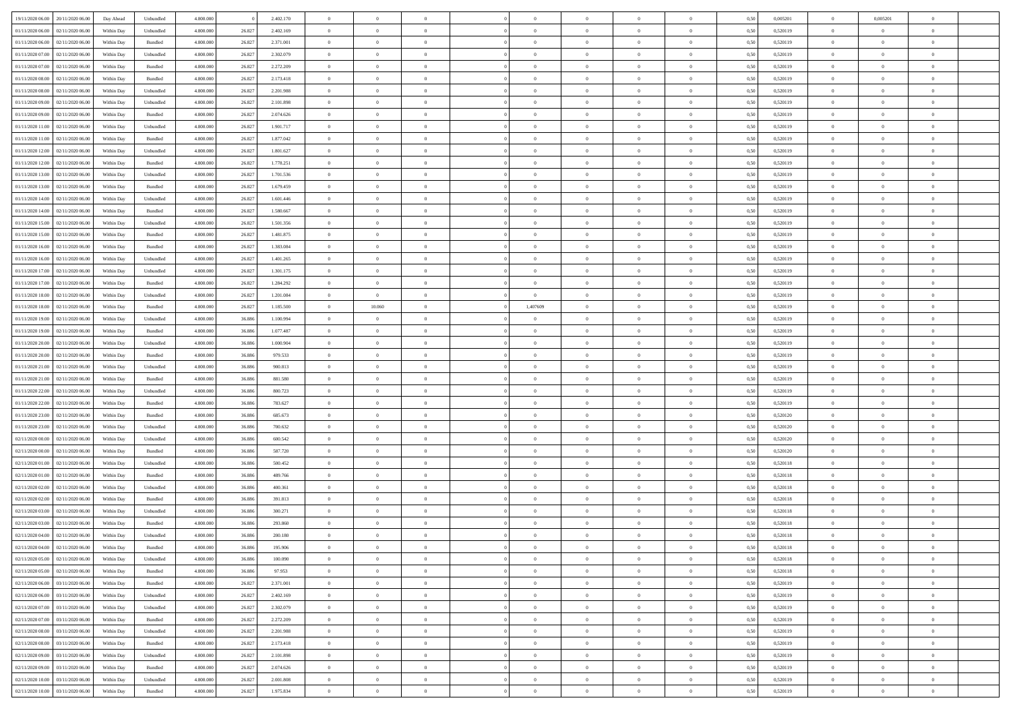|                                      |            |                    |           |        |           | $\overline{0}$ | $\theta$       |                | $\overline{0}$ | $\theta$       |                | $\theta$       |      |          | $\theta$       |                | $\overline{0}$ |  |
|--------------------------------------|------------|--------------------|-----------|--------|-----------|----------------|----------------|----------------|----------------|----------------|----------------|----------------|------|----------|----------------|----------------|----------------|--|
| 19/11/2020 06:00 20/11/2020 06:00    | Day Ahead  | Unbundled          | 4.800.000 |        | 2.402.170 |                |                |                |                |                |                |                | 0,50 | 0,005201 |                | 0,005201       |                |  |
| 01/11/2020 06:00<br>02/11/2020 06.00 | Within Day | Unbundled          | 4.800.00  | 26.827 | 2.402.169 | $\bf{0}$       | $\bf{0}$       | $\bf{0}$       | $\bf{0}$       | $\overline{0}$ | $\bf{0}$       | $\bf{0}$       | 0,50 | 0,520119 | $\,$ 0 $\,$    | $\bf{0}$       | $\overline{0}$ |  |
| 01/11/2020 06:00<br>02/11/2020 06.00 | Within Day | Bundled            | 4.800,000 | 26.827 | 2.371.001 | $\overline{0}$ | $\bf{0}$       | $\overline{0}$ | $\overline{0}$ | $\overline{0}$ | $\overline{0}$ | $\bf{0}$       | 0.50 | 0,520119 | $\overline{0}$ | $\overline{0}$ | $\bf{0}$       |  |
| 01/11/2020 07:00<br>02/11/2020 06.00 | Within Day | Unbundled          | 4.800.000 | 26.827 | 2.302.079 | $\overline{0}$ | $\overline{0}$ | $\overline{0}$ | $\overline{0}$ | $\theta$       | $\overline{0}$ | $\bf{0}$       | 0,50 | 0,520119 | $\,$ 0 $\,$    | $\,$ 0 $\,$    | $\overline{0}$ |  |
| 01/11/2020 07:00<br>02/11/2020 06.00 | Within Day | Bundled            | 4.800.000 | 26.827 | 2.272.209 | $\bf{0}$       | $\overline{0}$ | $\bf{0}$       | $\overline{0}$ | $\bf{0}$       | $\overline{0}$ | $\bf{0}$       | 0,50 | 0,520119 | $\,$ 0 $\,$    | $\bf{0}$       | $\overline{0}$ |  |
|                                      |            |                    |           |        |           |                |                |                |                |                |                |                |      |          |                |                |                |  |
| 01/11/2020 08:00<br>02/11/2020 06.00 | Within Day | Bundled            | 4.800,000 | 26.827 | 2.173.418 | $\overline{0}$ | $\bf{0}$       | $\overline{0}$ | $\bf{0}$       | $\overline{0}$ | $\overline{0}$ | $\bf{0}$       | 0.50 | 0.520119 | $\bf{0}$       | $\theta$       | $\overline{0}$ |  |
| 01/11/2020 08:00<br>02/11/2020 06.00 | Within Day | Unbundled          | 4.800.000 | 26.827 | 2.201.988 | $\overline{0}$ | $\bf{0}$       | $\overline{0}$ | $\overline{0}$ | $\overline{0}$ | $\overline{0}$ | $\bf{0}$       | 0,50 | 0,520119 | $\,$ 0 $\,$    | $\bf{0}$       | $\overline{0}$ |  |
| 01/11/2020 09:00<br>02/11/2020 06.00 | Within Day | Unbundled          | 4.800.000 | 26.827 | 2.101.898 | $\bf{0}$       | $\bf{0}$       | $\bf{0}$       | $\bf{0}$       | $\overline{0}$ | $\overline{0}$ | $\bf{0}$       | 0,50 | 0,520119 | $\,$ 0 $\,$    | $\bf{0}$       | $\overline{0}$ |  |
| 01/11/2020 09:00<br>02/11/2020 06:00 | Within Day | Bundled            | 4.800,000 | 26.827 | 2.074.626 | $\overline{0}$ | $\bf{0}$       | $\overline{0}$ | $\bf{0}$       | $\overline{0}$ | $\overline{0}$ | $\bf{0}$       | 0.50 | 0.520119 | $\bf{0}$       | $\overline{0}$ | $\bf{0}$       |  |
| 01/11/2020 11:00<br>02/11/2020 06.00 | Within Day | Unbundled          | 4.800.000 | 26.827 | 1.901.717 | $\overline{0}$ | $\bf{0}$       | $\overline{0}$ | $\overline{0}$ | $\overline{0}$ | $\overline{0}$ | $\bf{0}$       | 0,50 | 0,520119 | $\,$ 0 $\,$    | $\bf{0}$       | $\overline{0}$ |  |
| 01/11/2020 11:00<br>02/11/2020 06.00 | Within Day | Bundled            | 4.800.000 | 26.827 | 1.877.042 | $\bf{0}$       | $\bf{0}$       | $\bf{0}$       | $\bf{0}$       | $\overline{0}$ | $\overline{0}$ | $\bf{0}$       | 0,50 | 0,520119 | $\,$ 0 $\,$    | $\bf{0}$       | $\overline{0}$ |  |
| 01/11/2020 12:00<br>02/11/2020 06.00 | Within Day | Unbundled          | 4.800,000 | 26.827 | 1.801.627 | $\overline{0}$ | $\bf{0}$       | $\overline{0}$ | $\overline{0}$ | $\overline{0}$ | $\overline{0}$ | $\bf{0}$       | 0.50 | 0,520119 | $\overline{0}$ | $\overline{0}$ | $\,$ 0         |  |
|                                      |            |                    |           |        |           |                |                |                |                |                |                |                |      |          |                |                |                |  |
| 01/11/2020 12:00<br>02/11/2020 06.00 | Within Day | Bundled            | 4.800.000 | 26.827 | 1.778.251 | $\overline{0}$ | $\bf{0}$       | $\overline{0}$ | $\overline{0}$ | $\theta$       | $\overline{0}$ | $\bf{0}$       | 0,50 | 0,520119 | $\,$ 0 $\,$    | $\,$ 0 $\,$    | $\overline{0}$ |  |
| 01/11/2020 13:00<br>02/11/2020 06.00 | Within Day | Unbundled          | 4.800.000 | 26.827 | 1.701.536 | $\bf{0}$       | $\bf{0}$       | $\bf{0}$       | $\bf{0}$       | $\bf{0}$       | $\overline{0}$ | $\bf{0}$       | 0,50 | 0,520119 | $\,$ 0 $\,$    | $\bf{0}$       | $\overline{0}$ |  |
| 01/11/2020 13:00<br>02/11/2020 06.00 | Within Day | Bundled            | 4.800,000 | 26.827 | 1.679.459 | $\overline{0}$ | $\bf{0}$       | $\overline{0}$ | $\bf{0}$       | $\overline{0}$ | $\overline{0}$ | $\bf{0}$       | 0.50 | 0.520119 | $\bf{0}$       | $\theta$       | $\overline{0}$ |  |
| 01/11/2020 14:00<br>02/11/2020 06.00 | Within Day | Unbundled          | 4.800.000 | 26.827 | 1.601.446 | $\overline{0}$ | $\bf{0}$       | $\overline{0}$ | $\overline{0}$ | $\overline{0}$ | $\overline{0}$ | $\bf{0}$       | 0,50 | 0,520119 | $\,$ 0 $\,$    | $\theta$       | $\overline{0}$ |  |
| 01/11/2020 14:00<br>02/11/2020 06.00 | Within Day | Bundled            | 4.800.000 | 26.827 | 1.580.667 | $\bf{0}$       | $\bf{0}$       | $\bf{0}$       | $\bf{0}$       | $\overline{0}$ | $\overline{0}$ | $\bf{0}$       | 0,50 | 0,520119 | $\,$ 0 $\,$    | $\bf{0}$       | $\overline{0}$ |  |
| 01/11/2020 15:00<br>02/11/2020 06:00 | Within Day | Unbundled          | 4.800,000 | 26.827 | 1.501.356 | $\overline{0}$ | $\bf{0}$       | $\overline{0}$ | $\bf{0}$       | $\overline{0}$ | $\overline{0}$ | $\bf{0}$       | 0.50 | 0.520119 | $\bf{0}$       | $\overline{0}$ | $\bf{0}$       |  |
| 01/11/2020 15:00<br>02/11/2020 06.00 | Within Day | Bundled            | 4.800.000 | 26.827 | 1.481.875 | $\bf{0}$       | $\bf{0}$       | $\overline{0}$ | $\overline{0}$ | $\overline{0}$ | $\overline{0}$ | $\bf{0}$       | 0,50 | 0,520119 | $\,$ 0 $\,$    | $\bf{0}$       | $\overline{0}$ |  |
|                                      |            |                    |           |        |           |                |                |                |                |                |                |                |      |          |                |                |                |  |
| 01/11/2020 16.00<br>02/11/2020 06.00 | Within Day | Bundled            | 4.800.00  | 26.827 | 1.383.084 | $\bf{0}$       | $\bf{0}$       | $\bf{0}$       | $\bf{0}$       | $\overline{0}$ | $\overline{0}$ | $\bf{0}$       | 0,50 | 0,520119 | $\,$ 0 $\,$    | $\bf{0}$       | $\overline{0}$ |  |
| 01/11/2020 16.00<br>02/11/2020 06.00 | Within Day | Unbundled          | 4.800,000 | 26.827 | 1.401.265 | $\overline{0}$ | $\bf{0}$       | $\overline{0}$ | $\overline{0}$ | $\overline{0}$ | $\overline{0}$ | $\bf{0}$       | 0.50 | 0,520119 | $\overline{0}$ | $\,$ 0 $\,$    | $\,$ 0         |  |
| 01/11/2020 17.00<br>02/11/2020 06:00 | Within Day | Unbundled          | 4.800.000 | 26.827 | 1.301.175 | $\overline{0}$ | $\overline{0}$ | $\overline{0}$ | $\overline{0}$ | $\theta$       | $\overline{0}$ | $\bf{0}$       | 0,50 | 0,520119 | $\,$ 0 $\,$    | $\,$ 0 $\,$    | $\overline{0}$ |  |
| 01/11/2020 17:00<br>02/11/2020 06.00 | Within Day | Bundled            | 4.800.000 | 26.827 | 1.284.292 | $\bf{0}$       | $\bf{0}$       | $\bf{0}$       | $\bf{0}$       | $\overline{0}$ | $\overline{0}$ | $\bf{0}$       | 0,50 | 0,520119 | $\,$ 0 $\,$    | $\bf{0}$       | $\overline{0}$ |  |
| 01/11/2020 18:00<br>02/11/2020 06.00 | Within Day | Unbundled          | 4.800,000 | 26.827 | 1.201.084 | $\overline{0}$ | $\overline{0}$ | $\overline{0}$ | $\overline{0}$ | $\overline{0}$ | $\overline{0}$ | $\bf{0}$       | 0.50 | 0.520119 | $\bf{0}$       | $\overline{0}$ | $\overline{0}$ |  |
| 01/11/2020 18:00<br>02/11/2020 06.00 | Within Day | Bundled            | 4.800.000 | 26.827 | 1.185.500 | $\overline{0}$ | 10.060         | $\overline{0}$ | 1,407609       | $\overline{0}$ | $\overline{0}$ | $\bf{0}$       | 0,50 | 0,520119 | $\,$ 0 $\,$    | $\theta$       | $\overline{0}$ |  |
| 02/11/2020 06.00                     | Within Day | Unbundled          | 4.800.000 | 36.886 | 1.100.994 | $\bf{0}$       | $\theta$       | $\bf{0}$       | $\overline{0}$ | $\overline{0}$ | $\overline{0}$ | $\bf{0}$       | 0,50 | 0,520119 | $\,$ 0 $\,$    | $\bf{0}$       | $\overline{0}$ |  |
| 01/11/2020 19:00                     |            |                    |           |        |           |                |                |                |                |                |                |                |      |          |                |                |                |  |
| 01/11/2020 19:00<br>02/11/2020 06:00 | Within Day | Bundled            | 4.800,000 | 36,886 | 1.077.487 | $\overline{0}$ | $\bf{0}$       | $\overline{0}$ | $\bf{0}$       | $\bf{0}$       | $\overline{0}$ | $\bf{0}$       | 0.50 | 0.520119 | $\bf{0}$       | $\overline{0}$ | $\bf{0}$       |  |
| 01/11/2020 20.00<br>02/11/2020 06.00 | Within Day | Unbundled          | 4.800.000 | 36.886 | 1.000.904 | $\overline{0}$ | $\bf{0}$       | $\overline{0}$ | $\overline{0}$ | $\overline{0}$ | $\overline{0}$ | $\bf{0}$       | 0,50 | 0,520119 | $\,$ 0 $\,$    | $\bf{0}$       | $\overline{0}$ |  |
| 01/11/2020 20.00<br>02/11/2020 06.00 | Within Day | Bundled            | 4.800.00  | 36.886 | 979.533   | $\bf{0}$       | $\bf{0}$       | $\bf{0}$       | $\bf{0}$       | $\overline{0}$ | $\bf{0}$       | $\bf{0}$       | 0,50 | 0,520119 | $\,$ 0 $\,$    | $\bf{0}$       | $\overline{0}$ |  |
| 01/11/2020 21.00<br>02/11/2020 06.00 | Within Day | Unbundled          | 4.800,000 | 36,886 | 900.813   | $\overline{0}$ | $\bf{0}$       | $\overline{0}$ | $\overline{0}$ | $\overline{0}$ | $\overline{0}$ | $\bf{0}$       | 0.50 | 0,520119 | $\overline{0}$ | $\,$ 0 $\,$    | $\,$ 0         |  |
| 01/11/2020 21.00<br>02/11/2020 06.00 | Within Day | Bundled            | 4.800.000 | 36,886 | 881,580   | $\overline{0}$ | $\overline{0}$ | $\overline{0}$ | $\overline{0}$ | $\overline{0}$ | $\overline{0}$ | $\bf{0}$       | 0.50 | 0.520119 | $\theta$       | $\theta$       | $\overline{0}$ |  |
| 01/11/2020 22.00<br>02/11/2020 06.00 | Within Day | Unbundled          | 4.800.000 | 36.886 | 800.723   | $\bf{0}$       | $\bf{0}$       | $\bf{0}$       | $\bf{0}$       | $\overline{0}$ | $\overline{0}$ | $\bf{0}$       | 0,50 | 0,520119 | $\,$ 0 $\,$    | $\bf{0}$       | $\overline{0}$ |  |
| 01/11/2020 22.00<br>02/11/2020 06.00 |            | Bundled            | 4.800,000 | 36,886 | 783.627   | $\overline{0}$ | $\bf{0}$       | $\overline{0}$ | $\bf{0}$       | $\overline{0}$ | $\overline{0}$ | $\bf{0}$       | 0.50 | 0.520119 | $\bf{0}$       | $\bf{0}$       | $\overline{0}$ |  |
|                                      | Within Day |                    |           |        |           |                |                |                |                |                |                |                |      |          |                |                |                |  |
| 01/11/2020 23:00<br>02/11/2020 06.00 | Within Day | Bundled            | 4.800.000 | 36,886 | 685.673   | $\overline{0}$ | $\overline{0}$ | $\overline{0}$ | $\overline{0}$ | $\overline{0}$ | $\overline{0}$ | $\bf{0}$       | 0.50 | 0,520120 | $\theta$       | $\theta$       | $\overline{0}$ |  |
| 01/11/2020 23.00<br>02/11/2020 06.00 | Within Day | Unbundled          | 4.800.000 | 36.886 | 700.632   | $\bf{0}$       | $\bf{0}$       | $\bf{0}$       | $\bf{0}$       | $\overline{0}$ | $\overline{0}$ | $\bf{0}$       | 0,50 | 0,520120 | $\,$ 0 $\,$    | $\bf{0}$       | $\overline{0}$ |  |
| 02/11/2020 00:00<br>02/11/2020 06:00 | Within Day | Unbundled          | 4.800,000 | 36,886 | 600.542   | $\overline{0}$ | $\bf{0}$       | $\overline{0}$ | $\bf{0}$       | $\bf{0}$       | $\overline{0}$ | $\bf{0}$       | 0.50 | 0.520120 | $\bf{0}$       | $\overline{0}$ | $\bf{0}$       |  |
| 02/11/2020 00:00<br>02/11/2020 06.00 | Within Day | Bundled            | 4.800.000 | 36,886 | 587.720   | $\overline{0}$ | $\overline{0}$ | $\overline{0}$ | $\overline{0}$ | $\overline{0}$ | $\overline{0}$ | $\bf{0}$       | 0.50 | 0,520120 | $\theta$       | $\theta$       | $\overline{0}$ |  |
| 02/11/2020 01:00<br>02/11/2020 06.00 | Within Day | Unbundled          | 4.800.000 | 36.886 | 500.452   | $\bf{0}$       | $\bf{0}$       | $\bf{0}$       | $\bf{0}$       | $\overline{0}$ | $\bf{0}$       | $\bf{0}$       | 0,50 | 0,520118 | $\,$ 0 $\,$    | $\bf{0}$       | $\overline{0}$ |  |
| 02/11/2020 01:00<br>02/11/2020 06.00 | Within Day | Bundled            | 4.800,000 | 36,886 | 489,766   | $\overline{0}$ | $\bf{0}$       | $\overline{0}$ | $\overline{0}$ | $\overline{0}$ | $\overline{0}$ | $\bf{0}$       | 0.50 | 0,520118 | $\overline{0}$ | $\,$ 0 $\,$    | $\,$ 0         |  |
| 02/11/2020 02:00<br>02/11/2020 06:00 | Within Day | Unbundled          | 4.800.000 | 36,886 | 400.361   | $\overline{0}$ | $\overline{0}$ | $\overline{0}$ | $\overline{0}$ | $\overline{0}$ | $\overline{0}$ | $\bf{0}$       | 0.5( | 0,520118 | $\theta$       | $\theta$       | $\overline{0}$ |  |
| 02/11/2020 02.00<br>02/11/2020 06.00 | Within Day | Bundled            | 4.800.000 | 36.886 | 391.813   | $\bf{0}$       | $\bf{0}$       | $\bf{0}$       | $\overline{0}$ | $\overline{0}$ | $\overline{0}$ | $\bf{0}$       | 0,50 | 0,520118 | $\,$ 0 $\,$    | $\bf{0}$       | $\overline{0}$ |  |
|                                      |            |                    |           |        |           |                |                |                |                |                |                |                |      |          |                |                |                |  |
| 02/11/2020 03:00<br>02/11/2020 06.00 | Within Day | Unbundled          | 4.800,000 | 36,886 | 300.271   | $\overline{0}$ | $\overline{0}$ | $\overline{0}$ | $\bf{0}$       | $\overline{0}$ | $\overline{0}$ | $\bf{0}$       | 0.50 | 0.520118 | $\bf{0}$       | $\theta$       | $\overline{0}$ |  |
| 02/11/2020 03:00<br>02/11/2020 06.00 | Within Dav | Bundled            | 4.800.000 | 36,886 | 293.860   | $\overline{0}$ | $\overline{0}$ | $\overline{0}$ | $\overline{0}$ | $\theta$       | $\overline{0}$ | $\overline{0}$ | 0.5( | 0,520118 | $\theta$       | $\theta$       | $\overline{0}$ |  |
| 02/11/2020 04:00<br>02/11/2020 06.00 | Within Day | Unbundled          | 4.800.000 | 36.886 | 200.180   | $\bf{0}$       | $\bf{0}$       | $\bf{0}$       | $\bf{0}$       | $\overline{0}$ | $\overline{0}$ | $\bf{0}$       | 0,50 | 0,520118 | $\overline{0}$ | $\bf{0}$       | $\overline{0}$ |  |
| 02/11/2020 04:00 02/11/2020 06:00    | Within Day | $\mathbf B$ undled | 4.800.000 | 36.886 | 195,906   | $\bf{0}$       | $\bf{0}$       |                | $\overline{0}$ | $\bf{0}$       |                | $\bf{0}$       | 0,50 | 0,520118 | $\bf{0}$       | $\bf{0}$       |                |  |
| 02/11/2020 05:00 02/11/2020 06:00    | Within Day | Unbundled          | 4.800.000 | 36.886 | 100.090   | $\overline{0}$ | $\overline{0}$ | $\overline{0}$ | $\theta$       | $\overline{0}$ | $\overline{0}$ | $\bf{0}$       | 0,50 | 0,520118 | $\theta$       | $\overline{0}$ | $\overline{0}$ |  |
| 02/11/2020 05:00<br>02/11/2020 06.00 | Within Day | Bundled            | 4.800.000 | 36.886 | 97.953    | $\overline{0}$ | $\bf{0}$       | $\overline{0}$ | $\overline{0}$ | $\bf{0}$       | $\overline{0}$ | $\bf{0}$       | 0,50 | 0,520118 | $\bf{0}$       | $\overline{0}$ | $\bf{0}$       |  |
| 02/11/2020 06:00 03/11/2020 06:00    | Within Day | Bundled            | 4.800.000 | 26.827 | 2.371.001 | $\overline{0}$ | $\overline{0}$ | $\overline{0}$ | $\overline{0}$ | $\mathbf{0}$   | $\overline{0}$ | $\,$ 0 $\,$    | 0.50 | 0,520119 | $\overline{0}$ | $\bf{0}$       | $\,$ 0 $\,$    |  |
|                                      |            |                    |           |        |           |                |                |                |                |                |                |                |      |          |                |                |                |  |
| 02/11/2020 06:00 03/11/2020 06:00    | Within Day | Unbundled          | 4.800.000 | 26,827 | 2.402.169 | $\overline{0}$ | $\overline{0}$ | $\overline{0}$ | $\overline{0}$ | $\overline{0}$ | $\overline{0}$ | $\bf{0}$       | 0,50 | 0,520119 | $\overline{0}$ | $\theta$       | $\overline{0}$ |  |
| 02/11/2020 07:00<br>03/11/2020 06:00 | Within Day | Unbundled          | 4.800.000 | 26.827 | 2.302.079 | $\overline{0}$ | $\bf{0}$       | $\overline{0}$ | $\overline{0}$ | $\overline{0}$ | $\overline{0}$ | $\bf{0}$       | 0,50 | 0,520119 | $\bf{0}$       | $\overline{0}$ | $\overline{0}$ |  |
| 02/11/2020 07:00 03/11/2020 06:00    | Within Day | Bundled            | 4.800.000 | 26.827 | 2.272.209 | $\overline{0}$ | $\bf{0}$       | $\overline{0}$ | $\overline{0}$ | $\bf{0}$       | $\overline{0}$ | $\bf{0}$       | 0.50 | 0.520119 | $\,$ 0 $\,$    | $\overline{0}$ | $\,$ 0         |  |
| 02/11/2020 08:00<br>03/11/2020 06:00 | Within Dav | Unbundled          | 4.800.000 | 26.827 | 2.201.988 | $\overline{0}$ | $\overline{0}$ | $\overline{0}$ | $\overline{0}$ | $\overline{0}$ | $\overline{0}$ | $\bf{0}$       | 0,50 | 0,520119 | $\overline{0}$ | $\theta$       | $\overline{0}$ |  |
| 02/11/2020 08:00<br>03/11/2020 06:00 | Within Day | Bundled            | 4.800.000 | 26.827 | 2.173.418 | $\overline{0}$ | $\overline{0}$ | $\overline{0}$ | $\overline{0}$ | $\overline{0}$ | $\overline{0}$ | $\bf{0}$       | 0,50 | 0,520119 | $\bf{0}$       | $\overline{0}$ | $\overline{0}$ |  |
| 02/11/2020 09:00 03/11/2020 06:00    | Within Day | Unbundled          | 4.800.000 | 26.827 | 2.101.898 | $\overline{0}$ | $\overline{0}$ | $\overline{0}$ | $\overline{0}$ | $\overline{0}$ | $\overline{0}$ | $\bf{0}$       | 0.50 | 0.520119 | $\mathbf{0}$   | $\bf{0}$       | $\,$ 0         |  |
| 02/11/2020 09:00 03/11/2020 06:00    | Within Dav | Bundled            | 4.800.000 | 26.827 | 2.074.626 | $\overline{0}$ | $\overline{0}$ | $\overline{0}$ | $\overline{0}$ | $\overline{0}$ | $\overline{0}$ | $\bf{0}$       | 0,50 | 0,520119 | $\overline{0}$ | $\theta$       | $\overline{0}$ |  |
|                                      |            |                    |           |        |           |                |                |                |                |                |                |                |      |          |                |                |                |  |
| 02/11/2020 10:00<br>03/11/2020 06.00 | Within Day | Unbundled          | 4.800.000 | 26.827 | 2.001.808 | $\overline{0}$ | $\bf{0}$       | $\overline{0}$ | $\bf{0}$       | $\overline{0}$ | $\overline{0}$ | $\bf{0}$       | 0,50 | 0,520119 | $\bf{0}$       | $\bf{0}$       | $\overline{0}$ |  |
| 02/11/2020 10:00 03/11/2020 06:00    | Within Day | Bundled            | 4.800.000 | 26.827 | 1.975.834 | $\,$ 0 $\,$    | $\bf{0}$       | $\overline{0}$ | $\overline{0}$ | $\,$ 0 $\,$    | $\overline{0}$ | $\,$ 0 $\,$    | 0,50 | 0,520119 | $\overline{0}$ | $\,$ 0 $\,$    | $\,$ 0 $\,$    |  |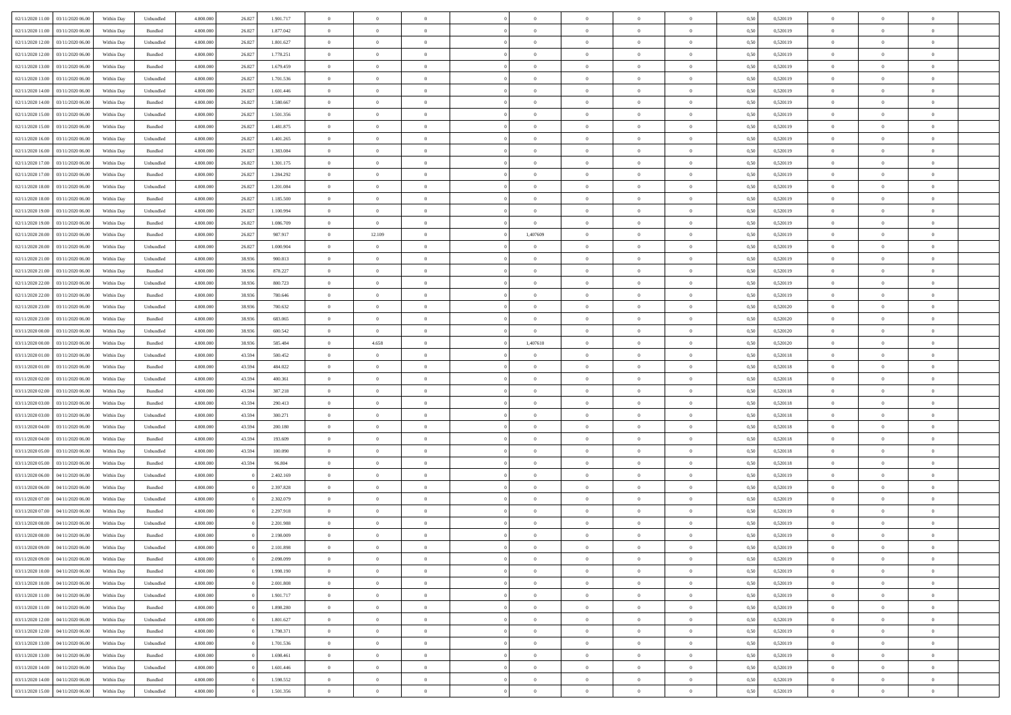| 02/11/2020 11:00 03/11/2020 06:00       | Within Day | Unbundled         | 4.800.000 | 26.827 | 1.901.717 | $\overline{0}$ | $\theta$       |                | $\overline{0}$ | $\theta$       |                | $\theta$       | 0,50 | 0,520119 | $\theta$       | $\theta$       | $\overline{0}$ |  |
|-----------------------------------------|------------|-------------------|-----------|--------|-----------|----------------|----------------|----------------|----------------|----------------|----------------|----------------|------|----------|----------------|----------------|----------------|--|
| 02/11/2020 11:00<br>03/11/2020 06.00    | Within Day | Bundled           | 4.800.00  | 26.827 | 1.877.042 | $\bf{0}$       | $\bf{0}$       | $\bf{0}$       | $\bf{0}$       | $\overline{0}$ | $\overline{0}$ | $\bf{0}$       | 0,50 | 0,520119 | $\,$ 0 $\,$    | $\bf{0}$       | $\overline{0}$ |  |
| 02/11/2020 12:00<br>03/11/2020 06.00    | Within Day | Unbundled         | 4.800,000 | 26.827 | 1.801.627 | $\overline{0}$ | $\bf{0}$       | $\overline{0}$ | $\overline{0}$ | $\overline{0}$ | $\overline{0}$ | $\bf{0}$       | 0.50 | 0,520119 | $\overline{0}$ | $\overline{0}$ | $\bf{0}$       |  |
| 02/11/2020 12:00<br>03/11/2020 06:00    | Within Day | Bundled           | 4.800.000 | 26.827 | 1.778.251 | $\overline{0}$ | $\overline{0}$ | $\overline{0}$ | $\overline{0}$ | $\theta$       | $\overline{0}$ | $\bf{0}$       | 0,50 | 0,520119 | $\,$ 0 $\,$    | $\,$ 0 $\,$    | $\overline{0}$ |  |
|                                         |            |                   |           |        |           |                |                |                |                |                |                |                |      |          |                |                |                |  |
| 02/11/2020 13:00<br>03/11/2020 06.00    | Within Day | Bundled           | 4.800.000 | 26.827 | 1.679.459 | $\bf{0}$       | $\overline{0}$ | $\bf{0}$       | $\overline{0}$ | $\bf{0}$       | $\overline{0}$ | $\bf{0}$       | 0,50 | 0,520119 | $\,$ 0 $\,$    | $\bf{0}$       | $\overline{0}$ |  |
| $02/11/2020\ 13.00$<br>03/11/2020 06:00 | Within Day | Unbundled         | 4.800,000 | 26.827 | 1.701.536 | $\overline{0}$ | $\bf{0}$       | $\overline{0}$ | $\bf{0}$       | $\overline{0}$ | $\overline{0}$ | $\bf{0}$       | 0.50 | 0.520119 | $\bf{0}$       | $\overline{0}$ | $\overline{0}$ |  |
| 02/11/2020 14:00<br>03/11/2020 06.00    | Within Day | Unbundled         | 4.800.000 | 26.827 | 1.601.446 | $\bf{0}$       | $\bf{0}$       | $\overline{0}$ | $\overline{0}$ | $\overline{0}$ | $\overline{0}$ | $\bf{0}$       | 0,50 | 0,520119 | $\,$ 0 $\,$    | $\bf{0}$       | $\overline{0}$ |  |
| 02/11/2020 14:00<br>03/11/2020 06.00    | Within Day | Bundled           | 4.800.000 | 26.827 | 1.580.667 | $\bf{0}$       | $\bf{0}$       | $\bf{0}$       | $\bf{0}$       | $\overline{0}$ | $\overline{0}$ | $\bf{0}$       | 0,50 | 0,520119 | $\,$ 0 $\,$    | $\bf{0}$       | $\overline{0}$ |  |
| 02/11/2020 15:00<br>03/11/2020 06:00    | Within Day | Unbundled         | 4.800,000 | 26.827 | 1.501.356 | $\overline{0}$ | $\bf{0}$       | $\overline{0}$ | $\bf{0}$       | $\overline{0}$ | $\overline{0}$ | $\bf{0}$       | 0.50 | 0.520119 | $\bf{0}$       | $\overline{0}$ | $\bf{0}$       |  |
| 02/11/2020 15:00<br>03/11/2020 06:00    | Within Day | Bundled           | 4.800.000 | 26.827 | 1.481.875 | $\bf{0}$       | $\bf{0}$       | $\overline{0}$ | $\overline{0}$ | $\overline{0}$ | $\overline{0}$ | $\bf{0}$       | 0,50 | 0,520119 | $\,$ 0 $\,$    | $\bf{0}$       | $\overline{0}$ |  |
|                                         |            |                   |           |        |           |                |                |                |                |                |                |                |      |          |                |                |                |  |
| 02/11/2020 16.00<br>03/11/2020 06.00    | Within Day | Unbundled         | 4.800.000 | 26.827 | 1.401.265 | $\bf{0}$       | $\bf{0}$       | $\bf{0}$       | $\bf{0}$       | $\overline{0}$ | $\overline{0}$ | $\bf{0}$       | 0,50 | 0,520119 | $\,$ 0 $\,$    | $\bf{0}$       | $\overline{0}$ |  |
| 02/11/2020 16:00<br>03/11/2020 06.00    | Within Day | Bundled           | 4.800.000 | 26.827 | 1.383.084 | $\overline{0}$ | $\bf{0}$       | $\overline{0}$ | $\overline{0}$ | $\overline{0}$ | $\overline{0}$ | $\bf{0}$       | 0.50 | 0,520119 | $\overline{0}$ | $\overline{0}$ | $\,$ 0         |  |
| 02/11/2020 17.00<br>03/11/2020 06:00    | Within Day | Unbundled         | 4.800.000 | 26.827 | 1.301.175 | $\overline{0}$ | $\bf{0}$       | $\overline{0}$ | $\overline{0}$ | $\theta$       | $\overline{0}$ | $\bf{0}$       | 0,50 | 0,520119 | $\,$ 0 $\,$    | $\,$ 0 $\,$    | $\overline{0}$ |  |
| 02/11/2020 17.00<br>03/11/2020 06.00    | Within Day | Bundled           | 4.800.000 | 26.827 | 1.284.292 | $\bf{0}$       | $\bf{0}$       | $\bf{0}$       | $\bf{0}$       | $\bf{0}$       | $\overline{0}$ | $\bf{0}$       | 0,50 | 0,520119 | $\,$ 0 $\,$    | $\bf{0}$       | $\overline{0}$ |  |
| 02/11/2020 18:00<br>03/11/2020 06:00    | Within Day | Unbundled         | 4.800,000 | 26.827 | 1.201.084 | $\overline{0}$ | $\bf{0}$       | $\overline{0}$ | $\bf{0}$       | $\overline{0}$ | $\overline{0}$ | $\bf{0}$       | 0.50 | 0.520119 | $\bf{0}$       | $\theta$       | $\overline{0}$ |  |
| 02/11/2020 18:00<br>03/11/2020 06:00    | Within Day | Bundled           | 4.800.000 | 26.827 | 1.185.500 | $\bf{0}$       | $\bf{0}$       | $\overline{0}$ | $\overline{0}$ | $\overline{0}$ | $\overline{0}$ | $\bf{0}$       | 0,50 | 0,520119 | $\,$ 0 $\,$    | $\theta$       | $\overline{0}$ |  |
|                                         |            |                   |           |        |           |                |                |                |                |                |                |                |      |          |                |                |                |  |
| 02/11/2020 19:00<br>03/11/2020 06.00    | Within Day | Unbundled         | 4.800.000 | 26.827 | 1.100.994 | $\bf{0}$       | $\bf{0}$       | $\bf{0}$       | $\overline{0}$ | $\overline{0}$ | $\overline{0}$ | $\bf{0}$       | 0,50 | 0,520119 | $\,$ 0 $\,$    | $\bf{0}$       | $\overline{0}$ |  |
| 02/11/2020 19:00<br>03/11/2020 06:00    | Within Day | Bundled           | 4.800,000 | 26.827 | 1.086.709 | $\overline{0}$ | $\overline{0}$ | $\overline{0}$ | $\overline{0}$ | $\bf{0}$       | $\overline{0}$ | $\bf{0}$       | 0.50 | 0.520119 | $\bf{0}$       | $\overline{0}$ | $\bf{0}$       |  |
| 02/11/2020 20:00<br>03/11/2020 06.00    | Within Day | Bundled           | 4.800.000 | 26.827 | 987.917   | $\bf{0}$       | 12.109         | $\overline{0}$ | 1,407609       | $\overline{0}$ | $\overline{0}$ | $\bf{0}$       | 0,50 | 0,520119 | $\,$ 0 $\,$    | $\bf{0}$       | $\overline{0}$ |  |
| 02/11/2020 20:00<br>03/11/2020 06.00    | Within Day | Unbundled         | 4.800.00  | 26.827 | 1.000.904 | $\bf{0}$       | $\bf{0}$       | $\bf{0}$       | $\bf{0}$       | $\overline{0}$ | $\overline{0}$ | $\bf{0}$       | 0,50 | 0,520119 | $\,$ 0 $\,$    | $\bf{0}$       | $\overline{0}$ |  |
| 02/11/2020 21:00<br>03/11/2020 06.00    | Within Day | Unbundled         | 4.800,000 | 38,936 | 900.813   | $\overline{0}$ | $\bf{0}$       | $\overline{0}$ | $\overline{0}$ | $\overline{0}$ | $\overline{0}$ | $\bf{0}$       | 0.50 | 0,520119 | $\bf{0}$       | $\overline{0}$ | $\,$ 0         |  |
| 02/11/2020 21.00<br>03/11/2020 06:00    | Within Day | Bundled           | 4.800.000 | 38.936 | 878.227   | $\overline{0}$ | $\overline{0}$ | $\overline{0}$ | $\overline{0}$ | $\overline{0}$ | $\overline{0}$ | $\bf{0}$       | 0,50 | 0,520119 | $\,$ 0 $\,$    | $\,$ 0 $\,$    | $\overline{0}$ |  |
|                                         |            |                   |           |        |           |                |                |                |                |                |                |                |      |          |                |                |                |  |
| 02/11/2020 22.00<br>03/11/2020 06.00    | Within Day | Unbundled         | 4.800.000 | 38.936 | 800.723   | $\bf{0}$       | $\bf{0}$       | $\bf{0}$       | $\bf{0}$       | $\overline{0}$ | $\overline{0}$ | $\bf{0}$       | 0,50 | 0,520119 | $\,$ 0 $\,$    | $\bf{0}$       | $\overline{0}$ |  |
| 02/11/2020 22.00<br>03/11/2020 06:00    | Within Day | Bundled           | 4.800,000 | 38,936 | 780,646   | $\overline{0}$ | $\bf{0}$       | $\overline{0}$ | $\bf{0}$       | $\overline{0}$ | $\overline{0}$ | $\bf{0}$       | 0.50 | 0.520119 | $\bf{0}$       | $\overline{0}$ | $\overline{0}$ |  |
| 02/11/2020 23.00<br>03/11/2020 06.00    | Within Day | Unbundled         | 4.800.000 | 38.936 | 700.632   | $\bf{0}$       | $\bf{0}$       | $\overline{0}$ | $\overline{0}$ | $\overline{0}$ | $\overline{0}$ | $\bf{0}$       | 0,50 | 0,520120 | $\,$ 0 $\,$    | $\theta$       | $\overline{0}$ |  |
| 02/11/2020 23.00<br>03/11/2020 06.00    | Within Day | Bundled           | 4.800.000 | 38.936 | 683.065   | $\bf{0}$       | $\bf{0}$       | $\bf{0}$       | $\bf{0}$       | $\overline{0}$ | $\overline{0}$ | $\bf{0}$       | 0,50 | 0,520120 | $\,$ 0 $\,$    | $\bf{0}$       | $\overline{0}$ |  |
| 03/11/2020 00:00<br>03/11/2020 06:00    | Within Day | Unbundled         | 4.800,000 | 38,936 | 600.542   | $\overline{0}$ | $\overline{0}$ | $\overline{0}$ | $\bf{0}$       | $\overline{0}$ | $\overline{0}$ | $\bf{0}$       | 0.50 | 0.520120 | $\bf{0}$       | $\overline{0}$ | $\bf{0}$       |  |
| 03/11/2020 00:00<br>03/11/2020 06:00    | Within Day | Bundled           | 4.800.000 | 38.936 | 585.484   | $\bf{0}$       | 4.658          | $\overline{0}$ | 1,407610       | $\overline{0}$ | $\overline{0}$ | $\bf{0}$       | 0,50 | 0,520120 | $\,$ 0 $\,$    | $\bf{0}$       | $\overline{0}$ |  |
|                                         |            |                   |           |        |           |                |                |                |                |                |                |                |      |          |                |                |                |  |
| 03/11/2020 01:00<br>03/11/2020 06.00    | Within Day | Unbundled         | 4.800.00  | 43.594 | 500.452   | $\bf{0}$       | $\bf{0}$       | $\bf{0}$       | $\bf{0}$       | $\overline{0}$ | $\overline{0}$ | $\bf{0}$       | 0,50 | 0,520118 | $\,$ 0 $\,$    | $\bf{0}$       | $\overline{0}$ |  |
| 03/11/2020 01:00<br>03/11/2020 06.00    | Within Day | Bundled           | 4.800,000 | 43.594 | 484.022   | $\overline{0}$ | $\bf{0}$       | $\overline{0}$ | $\bf{0}$       | $\bf{0}$       | $\overline{0}$ | $\bf{0}$       | 0.50 | 0,520118 | $\overline{0}$ | $\overline{0}$ | $\,$ 0         |  |
| 03/11/2020 02.00<br>03/11/2020 06.00    | Within Day | Unbundled         | 4.800.000 | 43.594 | 400.361   | $\overline{0}$ | $\overline{0}$ | $\overline{0}$ | $\overline{0}$ | $\overline{0}$ | $\overline{0}$ | $\bf{0}$       | 0.50 | 0,520118 | $\theta$       | $\theta$       | $\overline{0}$ |  |
| 03/11/2020 02.00<br>03/11/2020 06.00    | Within Day | Bundled           | 4.800.000 | 43.594 | 387.218   | $\bf{0}$       | $\bf{0}$       | $\bf{0}$       | $\bf{0}$       | $\overline{0}$ | $\overline{0}$ | $\bf{0}$       | 0,50 | 0,520118 | $\,$ 0 $\,$    | $\bf{0}$       | $\overline{0}$ |  |
| 03/11/2020 03:00<br>03/11/2020 06:00    | Within Day | Bundled           | 4.800,000 | 43.594 | 290.413   | $\overline{0}$ | $\bf{0}$       | $\overline{0}$ | $\bf{0}$       | $\overline{0}$ | $\overline{0}$ | $\bf{0}$       | 0.50 | 0.520118 | $\bf{0}$       | $\bf{0}$       | $\overline{0}$ |  |
| 03/11/2020 03:00<br>03/11/2020 06:00    | Within Day | Unbundled         | 4.800.000 | 43.594 | 300.271   | $\overline{0}$ | $\overline{0}$ | $\overline{0}$ | $\overline{0}$ | $\overline{0}$ | $\overline{0}$ | $\bf{0}$       | 0.50 | 0,520118 | $\theta$       | $\theta$       | $\overline{0}$ |  |
| 03/11/2020 04:00<br>03/11/2020 06.00    | Within Day | Unbundled         | 4.800.000 | 43.594 | 200.180   | $\bf{0}$       | $\bf{0}$       | $\bf{0}$       | $\bf{0}$       | $\overline{0}$ | $\overline{0}$ | $\bf{0}$       | 0,50 | 0,520118 | $\,$ 0 $\,$    | $\bf{0}$       | $\overline{0}$ |  |
|                                         |            |                   |           |        |           |                |                |                |                |                |                |                |      |          |                |                |                |  |
| 03/11/2020 04:00<br>03/11/2020 06:00    | Within Day | Bundled           | 4.800,000 | 43.594 | 193.609   | $\overline{0}$ | $\bf{0}$       | $\overline{0}$ | $\bf{0}$       | $\bf{0}$       | $\overline{0}$ | $\bf{0}$       | 0.50 | 0.520118 | $\bf{0}$       | $\overline{0}$ | $\bf{0}$       |  |
| 03/11/2020 05:00<br>03/11/2020 06:00    | Within Day | Unbundled         | 4.800.000 | 43.594 | 100,090   | $\overline{0}$ | $\overline{0}$ | $\overline{0}$ | $\overline{0}$ | $\overline{0}$ | $\overline{0}$ | $\bf{0}$       | 0.50 | 0,520118 | $\theta$       | $\theta$       | $\overline{0}$ |  |
| 03/11/2020 05:00<br>03/11/2020 06.00    | Within Day | Bundled           | 4.800.00  | 43.594 | 96.804    | $\bf{0}$       | $\bf{0}$       | $\bf{0}$       | $\bf{0}$       | $\overline{0}$ | $\bf{0}$       | $\bf{0}$       | 0,50 | 0,520118 | $\,$ 0 $\,$    | $\bf{0}$       | $\overline{0}$ |  |
| 03/11/2020 06:00<br>04/11/2020 06.00    | Within Day | Unbundled         | 4.800,000 |        | 2.402.169 | $\overline{0}$ | $\bf{0}$       | $\overline{0}$ | $\overline{0}$ | $\bf{0}$       | $\overline{0}$ | $\bf{0}$       | 0.50 | 0,520119 | $\overline{0}$ | $\overline{0}$ | $\,$ 0         |  |
| 03/11/2020 06:00<br>04/11/2020 06.00    | Within Day | Bundled           | 4.800.000 |        | 2.397.828 | $\overline{0}$ | $\overline{0}$ | $\overline{0}$ | $\overline{0}$ | $\overline{0}$ | $\overline{0}$ | $\bf{0}$       | 0.5( | 0,520119 | $\theta$       | $\theta$       | $\overline{0}$ |  |
| 03/11/2020 07:00<br>04/11/2020 06.00    | Within Day | Unbundled         | 4.800.000 |        | 2.302.079 | $\bf{0}$       | $\bf{0}$       | $\bf{0}$       | $\bf{0}$       | $\overline{0}$ | $\overline{0}$ | $\bf{0}$       | 0,50 | 0,520119 | $\,$ 0 $\,$    | $\bf{0}$       | $\overline{0}$ |  |
| 03/11/2020 07.00<br>04/11/2020 06.00    | Within Day | Bundled           | 4.800,000 |        | 2.297.918 | $\overline{0}$ | $\bf{0}$       | $\overline{0}$ | $\bf{0}$       | $\overline{0}$ | $\overline{0}$ | $\bf{0}$       | 0.50 | 0.520119 | $\bf{0}$       | $\theta$       | $\overline{0}$ |  |
| 03/11/2020 08:00<br>04/11/2020 06.00    | Within Dav | Unbundled         | 4.800.000 |        | 2.201.988 | $\overline{0}$ | $\overline{0}$ | $\overline{0}$ | $\overline{0}$ | $\theta$       | $\overline{0}$ | $\overline{0}$ | 0.50 | 0,520119 | $\theta$       | $\theta$       | $\overline{0}$ |  |
|                                         |            |                   |           |        |           |                |                |                |                |                |                |                |      |          |                |                |                |  |
| $03/11/2020\;08.00$<br>04/11/2020 06.00 | Within Day | Bundled           | 4.800.000 |        | 2.198.009 | $\bf{0}$       | $\bf{0}$       | $\bf{0}$       | $\bf{0}$       | $\overline{0}$ | $\overline{0}$ | $\bf{0}$       | 0,50 | 0,520119 | $\overline{0}$ | $\bf{0}$       | $\overline{0}$ |  |
| 03/11/2020 09:00 04/11/2020 06:00       | Within Day | ${\sf Unbundred}$ | 4.800.000 |        | 2.101.898 | $\bf{0}$       | $\bf{0}$       |                | $\overline{0}$ | $\bf{0}$       |                | $\bf{0}$       | 0,50 | 0,520119 | $\bf{0}$       | $\bf{0}$       |                |  |
| 03/11/2020 09:00 04/11/2020 06:00       | Within Day | Bundled           | 4.800.000 |        | 2.098.099 | $\overline{0}$ | $\overline{0}$ | $\overline{0}$ | $\overline{0}$ | $\overline{0}$ | $\overline{0}$ | $\bf{0}$       | 0,50 | 0,520119 | $\theta$       | $\overline{0}$ | $\overline{0}$ |  |
| 03/11/2020 10:00<br>04/11/2020 06.00    | Within Day | Bundled           | 4.800.000 |        | 1.998.190 | $\overline{0}$ | $\bf{0}$       | $\overline{0}$ | $\overline{0}$ | $\bf{0}$       | $\overline{0}$ | $\bf{0}$       | 0,50 | 0,520119 | $\bf{0}$       | $\overline{0}$ | $\bf{0}$       |  |
| 03/11/2020 10:00 04/11/2020 06:00       | Within Day | Unbundled         | 4.800.000 |        | 2.001.808 | $\overline{0}$ | $\bf{0}$       | $\overline{0}$ | $\overline{0}$ | $\mathbf{0}$   | $\overline{0}$ | $\,$ 0 $\,$    | 0.50 | 0,520119 | $\overline{0}$ | $\bf{0}$       | $\,$ 0 $\,$    |  |
| 03/11/2020 11:00 04/11/2020 06:00       | Within Day | Unbundled         | 4.800.000 |        | 1.901.717 | $\overline{0}$ | $\overline{0}$ | $\overline{0}$ | $\overline{0}$ | $\overline{0}$ | $\overline{0}$ | $\bf{0}$       | 0,50 | 0,520119 | $\overline{0}$ | $\theta$       | $\overline{0}$ |  |
|                                         |            |                   |           |        |           |                |                |                |                |                |                |                |      |          |                |                |                |  |
| 03/11/2020 11:00<br>04/11/2020 06.00    | Within Day | Bundled           | 4.800.000 |        | 1.898.280 | $\overline{0}$ | $\bf{0}$       | $\overline{0}$ | $\bf{0}$       | $\overline{0}$ | $\overline{0}$ | $\bf{0}$       | 0,50 | 0,520119 | $\bf{0}$       | $\bf{0}$       | $\overline{0}$ |  |
| 03/11/2020 12:00<br>04/11/2020 06:00    | Within Day | Unbundled         | 4.800.000 |        | 1.801.627 | $\overline{0}$ | $\bf{0}$       | $\overline{0}$ | $\overline{0}$ | $\bf{0}$       | $\overline{0}$ | $\bf{0}$       | 0.50 | 0.520119 | $\,$ 0 $\,$    | $\theta$       | $\,$ 0         |  |
| 03/11/2020 12:00 04/11/2020 06:00       | Within Day | Bundled           | 4.800.000 |        | 1.798.371 | $\overline{0}$ | $\overline{0}$ | $\overline{0}$ | $\overline{0}$ | $\overline{0}$ | $\overline{0}$ | $\bf{0}$       | 0,50 | 0,520119 | $\overline{0}$ | $\theta$       | $\overline{0}$ |  |
| 03/11/2020 13:00<br>04/11/2020 06.00    | Within Day | Unbundled         | 4.800.000 |        | 1.701.536 | $\overline{0}$ | $\overline{0}$ | $\overline{0}$ | $\overline{0}$ | $\overline{0}$ | $\overline{0}$ | $\bf{0}$       | 0,50 | 0,520119 | $\bf{0}$       | $\,$ 0 $\,$    | $\,$ 0         |  |
| 03/11/2020 13:00<br>04/11/2020 06:00    | Within Day | Bundled           | 4.800.000 |        | 1.698.461 | $\overline{0}$ | $\overline{0}$ | $\overline{0}$ | $\overline{0}$ | $\overline{0}$ | $\overline{0}$ | $\bf{0}$       | 0.50 | 0.520119 | $\overline{0}$ | $\,$ 0 $\,$    | $\,$ 0         |  |
| 03/11/2020 14:00 04/11/2020 06:00       | Within Day | Unbundled         | 4.800.000 |        | 1.601.446 | $\overline{0}$ | $\overline{0}$ | $\overline{0}$ | $\overline{0}$ | $\overline{0}$ | $\overline{0}$ | $\bf{0}$       | 0,50 | 0,520119 | $\overline{0}$ | $\theta$       | $\overline{0}$ |  |
|                                         |            |                   |           |        |           |                |                |                |                |                |                |                |      |          |                |                |                |  |
| 03/11/2020 14:00<br>04/11/2020 06.00    | Within Day | Bundled           | 4.800.000 |        | 1.598.552 | $\overline{0}$ | $\bf{0}$       | $\overline{0}$ | $\bf{0}$       | $\overline{0}$ | $\bf{0}$       | $\bf{0}$       | 0,50 | 0,520119 | $\bf{0}$       | $\bf{0}$       | $\overline{0}$ |  |
| 03/11/2020 15:00 04/11/2020 06:00       | Within Day | Unbundled         | 4.800.000 |        | 1.501.356 | $\,$ 0 $\,$    | $\bf{0}$       | $\overline{0}$ | $\overline{0}$ | $\,$ 0 $\,$    | $\overline{0}$ | $\bf{0}$       | 0,50 | 0,520119 | $\overline{0}$ | $\,$ 0 $\,$    | $\,$ 0 $\,$    |  |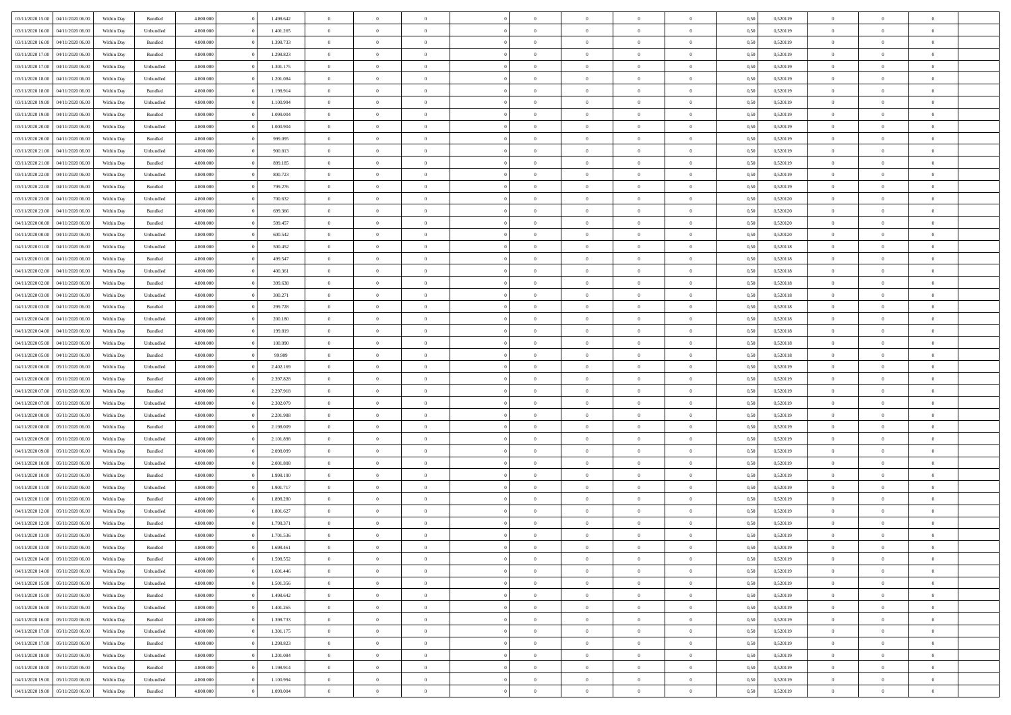|                  |                  |            |                    |           |           | $\overline{0}$ | $\Omega$       |                |                | $\Omega$       | $\Omega$       | $\theta$       |      |          | $\theta$       |                | $\theta$       |  |
|------------------|------------------|------------|--------------------|-----------|-----------|----------------|----------------|----------------|----------------|----------------|----------------|----------------|------|----------|----------------|----------------|----------------|--|
| 03/11/2020 15:00 | 04/11/2020 06.00 | Within Dav | Bundled            | 4.800.000 | 1.498.642 |                |                |                | $\Omega$       |                |                |                | 0.50 | 0,520119 |                | $\theta$       |                |  |
| 03/11/2020 16:00 | 04/11/2020 06.00 | Within Day | Unbundled          | 4.800.000 | 1.401.265 | $\overline{0}$ | $\theta$       | $\overline{0}$ | $\overline{0}$ | $\bf{0}$       | $\overline{0}$ | $\bf{0}$       | 0,50 | 0,520119 | $\theta$       | $\theta$       | $\overline{0}$ |  |
| 03/11/2020 16:00 | 04/11/2020 06.00 | Within Day | Bundled            | 4.800.000 | 1.398.733 | $\overline{0}$ | $\overline{0}$ | $\overline{0}$ | $\bf{0}$       | $\bf{0}$       | $\bf{0}$       | $\bf{0}$       | 0,50 | 0,520119 | $\bf{0}$       | $\overline{0}$ | $\overline{0}$ |  |
| 03/11/2020 17:00 | 04/11/2020 06.00 | Within Dav | Bundled            | 4.800.000 | 1.298.823 | $\overline{0}$ | $\overline{0}$ | $\overline{0}$ | $\overline{0}$ | $\bf{0}$       | $\overline{0}$ | $\overline{0}$ | 0.50 | 0.520119 | $\theta$       | $\theta$       | $\overline{0}$ |  |
| 03/11/2020 17.00 | 04/11/2020 06.00 | Within Day | Unbundled          | 4.800.000 | 1.301.175 | $\overline{0}$ | $\theta$       | $\overline{0}$ | $\overline{0}$ | $\bf{0}$       | $\overline{0}$ | $\bf{0}$       | 0,50 | 0,520119 | $\theta$       | $\theta$       | $\overline{0}$ |  |
|                  |                  |            |                    |           |           |                |                |                |                |                |                |                |      |          |                |                |                |  |
| 03/11/2020 18.00 | 04/11/2020 06.00 | Within Day | Unbundled          | 4.800.000 | 1.201.084 | $\overline{0}$ | $\bf{0}$       | $\overline{0}$ | $\overline{0}$ | $\overline{0}$ | $\overline{0}$ | $\mathbf{0}$   | 0,50 | 0,520119 | $\overline{0}$ | $\overline{0}$ | $\bf{0}$       |  |
| 03/11/2020 18:00 | 04/11/2020 06.00 | Within Dav | Bundled            | 4.800.000 | 1.198.914 | $\overline{0}$ | $\overline{0}$ | $\overline{0}$ | $\overline{0}$ | $\overline{0}$ | $\overline{0}$ | $\overline{0}$ | 0.50 | 0,520119 | $\theta$       | $\overline{0}$ | $\overline{0}$ |  |
| 03/11/2020 19:00 | 04/11/2020 06.00 | Within Day | Unbundled          | 4.800.000 | 1.100.994 | $\overline{0}$ | $\theta$       | $\overline{0}$ | $\overline{0}$ | $\bf{0}$       | $\overline{0}$ | $\bf{0}$       | 0,50 | 0,520119 | $\theta$       | $\theta$       | $\overline{0}$ |  |
| 03/11/2020 19:00 | 04/11/2020 06.00 | Within Day | Bundled            | 4.800.000 | 1.099.004 | $\overline{0}$ | $\overline{0}$ | $\overline{0}$ | $\overline{0}$ | $\bf{0}$       | $\overline{0}$ | $\bf{0}$       | 0,50 | 0,520119 | $\,0\,$        | $\overline{0}$ | $\overline{0}$ |  |
| 03/11/2020 20.00 | 04/11/2020 06.00 | Within Dav | Unbundled          | 4.800.000 | 1.000.904 | $\overline{0}$ | $\overline{0}$ | $\overline{0}$ | $\overline{0}$ | $\overline{0}$ | $\overline{0}$ | $\overline{0}$ | 0.50 | 0,520119 | $\theta$       | $\overline{0}$ | $\overline{0}$ |  |
| 03/11/2020 20.00 | 04/11/2020 06.00 | Within Day | Bundled            | 4.800.000 | 999.095   | $\overline{0}$ | $\theta$       | $\overline{0}$ | $\overline{0}$ | $\bf{0}$       | $\overline{0}$ | $\bf{0}$       | 0,50 | 0,520119 | $\,$ 0 $\,$    | $\theta$       | $\overline{0}$ |  |
| 03/11/2020 21.00 | 04/11/2020 06.00 | Within Day | Unbundled          | 4.800.000 | 900.813   | $\overline{0}$ | $\overline{0}$ | $\overline{0}$ | $\overline{0}$ | $\bf{0}$       | $\overline{0}$ | $\bf{0}$       | 0,50 | 0,520119 | $\overline{0}$ | $\overline{0}$ | $\overline{0}$ |  |
|                  |                  |            |                    |           |           |                |                |                |                |                |                |                |      |          | $\theta$       |                |                |  |
| 03/11/2020 21:00 | 04/11/2020 06.00 | Within Day | Bundled            | 4.800.000 | 899.185   | $\overline{0}$ | $\overline{0}$ | $\overline{0}$ | $\overline{0}$ | $\bf{0}$       | $\overline{0}$ | $\overline{0}$ | 0.50 | 0.520119 |                | $\theta$       | $\overline{0}$ |  |
| 03/11/2020 22.00 | 04/11/2020 06.00 | Within Day | Unbundled          | 4.800.000 | 800.723   | $\overline{0}$ | $\theta$       | $\overline{0}$ | $\overline{0}$ | $\bf{0}$       | $\overline{0}$ | $\bf{0}$       | 0,50 | 0,520119 | $\theta$       | $\theta$       | $\overline{0}$ |  |
| 03/11/2020 22.00 | 04/11/2020 06.00 | Within Day | Bundled            | 4.800.000 | 799.276   | $\overline{0}$ | $\bf{0}$       | $\overline{0}$ | $\overline{0}$ | $\overline{0}$ | $\overline{0}$ | $\mathbf{0}$   | 0,50 | 0,520119 | $\overline{0}$ | $\overline{0}$ | $\bf{0}$       |  |
| 03/11/2020 23.00 | 04/11/2020 06.00 | Within Dav | Unbundled          | 4.800.000 | 700.632   | $\overline{0}$ | $\overline{0}$ | $\overline{0}$ | $\overline{0}$ | $\overline{0}$ | $\overline{0}$ | $\overline{0}$ | 0.50 | 0,520120 | $\theta$       | $\overline{0}$ | $\overline{0}$ |  |
| 03/11/2020 23.00 | 04/11/2020 06.00 | Within Day | Bundled            | 4.800.000 | 699.366   | $\overline{0}$ | $\theta$       | $\overline{0}$ | $\overline{0}$ | $\bf{0}$       | $\overline{0}$ | $\bf{0}$       | 0,50 | 0,520120 | $\,$ 0 $\,$    | $\theta$       | $\overline{0}$ |  |
| 04/11/2020 00:00 | 04/11/2020 06.00 | Within Day | Bundled            | 4.800.000 | 599.457   | $\overline{0}$ | $\overline{0}$ | $\overline{0}$ | $\overline{0}$ | $\bf{0}$       | $\overline{0}$ | $\bf{0}$       | 0,50 | 0,520120 | $\,0\,$        | $\overline{0}$ | $\overline{0}$ |  |
| 04/11/2020 00.00 | 04/11/2020 06.00 | Within Day | Unbundled          | 4.800.000 | 600.542   | $\overline{0}$ | $\overline{0}$ | $\overline{0}$ | $\overline{0}$ | $\overline{0}$ | $\overline{0}$ | $\overline{0}$ | 0.50 | 0,520120 | $\theta$       | $\overline{0}$ | $\overline{0}$ |  |
|                  |                  |            |                    |           |           |                |                |                |                |                |                |                |      |          |                |                |                |  |
| 04/11/2020 01:00 | 04/11/2020 06.00 | Within Day | Unbundled          | 4.800.000 | 500.452   | $\overline{0}$ | $\theta$       | $\overline{0}$ | $\overline{0}$ | $\bf{0}$       | $\overline{0}$ | $\bf{0}$       | 0,50 | 0,520118 | $\,$ 0 $\,$    | $\theta$       | $\overline{0}$ |  |
| 04/11/2020 01.00 | 04/11/2020 06.00 | Within Day | Bundled            | 4.800.000 | 499.547   | $\overline{0}$ | $\overline{0}$ | $\overline{0}$ | $\overline{0}$ | $\bf{0}$       | $\overline{0}$ | $\bf{0}$       | 0,50 | 0,520118 | $\,0\,$        | $\overline{0}$ | $\overline{0}$ |  |
| 04/11/2020 02.00 | 04/11/2020 06.00 | Within Day | Unbundled          | 4.800.000 | 400.361   | $\overline{0}$ | $\overline{0}$ | $\overline{0}$ | $\overline{0}$ | $\bf{0}$       | $\overline{0}$ | $\overline{0}$ | 0.50 | 0.520118 | $\theta$       | $\theta$       | $\overline{0}$ |  |
| 04/11/2020 02.00 | 04/11/2020 06.00 | Within Day | Bundled            | 4.800.000 | 399.638   | $\overline{0}$ | $\theta$       | $\overline{0}$ | $\overline{0}$ | $\bf{0}$       | $\overline{0}$ | $\bf{0}$       | 0,50 | 0,520118 | $\,$ 0 $\,$    | $\overline{0}$ | $\overline{0}$ |  |
| 04/11/2020 03.00 | 04/11/2020 06.00 | Within Day | Unbundled          | 4.800.000 | 300.271   | $\overline{0}$ | $\bf{0}$       | $\overline{0}$ | $\bf{0}$       | $\overline{0}$ | $\overline{0}$ | $\mathbf{0}$   | 0,50 | 0,520118 | $\overline{0}$ | $\overline{0}$ | $\bf{0}$       |  |
| 04/11/2020 03.00 | 04/11/2020 06.00 | Within Dav | Bundled            | 4.800.000 | 299.728   | $\overline{0}$ | $\overline{0}$ | $\overline{0}$ | $\overline{0}$ | $\overline{0}$ | $\overline{0}$ | $\overline{0}$ | 0.50 | 0,520118 | $\theta$       | $\overline{0}$ | $\overline{0}$ |  |
|                  |                  |            |                    |           |           | $\overline{0}$ | $\theta$       | $\overline{0}$ |                | $\bf{0}$       | $\overline{0}$ |                |      |          | $\theta$       | $\theta$       | $\overline{0}$ |  |
| 04/11/2020 04.00 | 04/11/2020 06.00 | Within Day | Unbundled          | 4.800.000 | 200.180   |                |                |                | $\overline{0}$ |                |                | $\bf{0}$       | 0,50 | 0,520118 |                |                |                |  |
| 04/11/2020 04:00 | 04/11/2020 06.00 | Within Day | Bundled            | 4.800.000 | 199.819   | $\overline{0}$ | $\overline{0}$ | $\overline{0}$ | $\bf{0}$       | $\bf{0}$       | $\bf{0}$       | $\bf{0}$       | 0,50 | 0,520118 | $\,0\,$        | $\overline{0}$ | $\overline{0}$ |  |
| 04/11/2020 05.00 | 04/11/2020 06.00 | Within Day | Unbundled          | 4.800.000 | 100.090   | $\overline{0}$ | $\overline{0}$ | $\overline{0}$ | $\overline{0}$ | $\overline{0}$ | $\overline{0}$ | $\overline{0}$ | 0.50 | 0,520118 | $\theta$       | $\overline{0}$ | $\overline{0}$ |  |
| 04/11/2020 05.00 | 04/11/2020 06.00 | Within Day | Bundled            | 4.800.000 | 99.909    | $\overline{0}$ | $\theta$       | $\overline{0}$ | $\overline{0}$ | $\bf{0}$       | $\overline{0}$ | $\bf{0}$       | 0,50 | 0,520118 | $\,$ 0 $\,$    | $\overline{0}$ | $\overline{0}$ |  |
| 04/11/2020 06.00 | 05/11/2020 06.00 | Within Day | Unbundled          | 4.800.000 | 2.402.169 | $\overline{0}$ | $\overline{0}$ | $\overline{0}$ | $\bf{0}$       | $\bf{0}$       | $\bf{0}$       | $\bf{0}$       | 0,50 | 0,520119 | $\overline{0}$ | $\overline{0}$ | $\overline{0}$ |  |
| 04/11/2020 06.00 | 05/11/2020 06.00 | Within Day | Bundled            | 4.800,000 | 2.397.828 | $\overline{0}$ | $\Omega$       | $\overline{0}$ | $\Omega$       | $\Omega$       | $\overline{0}$ | $\overline{0}$ | 0,50 | 0,520119 | $\,0\,$        | $\theta$       | $\theta$       |  |
| 04/11/2020 07.00 | 05/11/2020 06.00 | Within Day | Bundled            | 4.800.000 | 2.297.918 | $\overline{0}$ | $\theta$       | $\overline{0}$ | $\overline{0}$ | $\bf{0}$       | $\overline{0}$ | $\bf{0}$       | 0,50 | 0,520119 | $\,$ 0 $\,$    | $\theta$       | $\overline{0}$ |  |
|                  |                  |            |                    |           |           |                |                |                |                |                |                |                |      |          |                |                |                |  |
| 04/11/2020 07.00 | 05/11/2020 06.00 | Within Day | Unbundled          | 4.800.000 | 2.302.079 | $\overline{0}$ | $\overline{0}$ | $\overline{0}$ | $\bf{0}$       | $\bf{0}$       | $\overline{0}$ | $\mathbf{0}$   | 0,50 | 0,520119 | $\overline{0}$ | $\overline{0}$ | $\bf{0}$       |  |
| 04/11/2020 08:00 | 05/11/2020 06.00 | Within Day | Unbundled          | 4.800,000 | 2.201.988 | $\overline{0}$ | $\Omega$       | $\Omega$       | $\Omega$       | $\bf{0}$       | $\overline{0}$ | $\overline{0}$ | 0.50 | 0,520119 | $\,0\,$        | $\theta$       | $\theta$       |  |
| 04/11/2020 08.00 | 05/11/2020 06.00 | Within Day | Bundled            | 4.800.000 | 2.198.009 | $\overline{0}$ | $\theta$       | $\overline{0}$ | $\overline{0}$ | $\bf{0}$       | $\overline{0}$ | $\bf{0}$       | 0,50 | 0,520119 | $\,$ 0 $\,$    | $\theta$       | $\overline{0}$ |  |
| 04/11/2020 09:00 | 05/11/2020 06.00 | Within Day | Unbundled          | 4.800.000 | 2.101.898 | $\overline{0}$ | $\overline{0}$ | $\overline{0}$ | $\bf{0}$       | $\bf{0}$       | $\bf{0}$       | $\bf{0}$       | 0,50 | 0,520119 | $\,0\,$        | $\overline{0}$ | $\overline{0}$ |  |
| 04/11/2020 09:00 | 05/11/2020 06:00 | Within Day | Bundled            | 4.800,000 | 2.098.099 | $\overline{0}$ | $\Omega$       | $\overline{0}$ | $\Omega$       | $\overline{0}$ | $\overline{0}$ | $\overline{0}$ | 0.50 | 0,520119 | $\,0\,$        | $\theta$       | $\theta$       |  |
| 04/11/2020 10:00 | 05/11/2020 06.00 | Within Day | Unbundled          | 4.800.000 | 2.001.808 | $\overline{0}$ | $\theta$       | $\overline{0}$ | $\overline{0}$ | $\,$ 0         | $\overline{0}$ | $\bf{0}$       | 0,50 | 0,520119 | $\,$ 0 $\,$    | $\overline{0}$ | $\overline{0}$ |  |
| 04/11/2020 10.00 | 05/11/2020 06.00 | Within Day | Bundled            | 4.800.000 | 1.998.190 | $\overline{0}$ | $\overline{0}$ | $\overline{0}$ | $\bf{0}$       | $\bf{0}$       | $\bf{0}$       | $\bf{0}$       | 0,50 | 0,520119 | $\overline{0}$ | $\overline{0}$ | $\overline{0}$ |  |
|                  |                  |            |                    |           |           |                |                |                |                |                |                |                |      |          |                |                |                |  |
| 04/11/2020 11:00 | 05/11/2020 06.00 | Within Day | Unbundled          | 4.800,000 | 1.901.717 | $\overline{0}$ | $\Omega$       | $\overline{0}$ | $\Omega$       | $\overline{0}$ | $\overline{0}$ | $\overline{0}$ | 0,50 | 0,520119 | $\,0\,$        | $\theta$       | $\theta$       |  |
| 04/11/2020 11:00 | 05/11/2020 06.00 | Within Day | Bundled            | 4.800.000 | 1.898.280 | $\overline{0}$ | $\theta$       | $\overline{0}$ | $\overline{0}$ | $\,$ 0         | $\overline{0}$ | $\bf{0}$       | 0,50 | 0,520119 | $\,$ 0 $\,$    | $\overline{0}$ | $\overline{0}$ |  |
| 04/11/2020 12.00 | 05/11/2020 06.00 | Within Day | Unbundled          | 4.800.000 | 1.801.627 | $\overline{0}$ | $\overline{0}$ | $\overline{0}$ | $\bf{0}$       | $\bf{0}$       | $\bf{0}$       | $\mathbf{0}$   | 0,50 | 0,520119 | $\overline{0}$ | $\overline{0}$ | $\bf{0}$       |  |
| 04/11/2020 12:00 | 05/11/2020 06.00 | Within Day | Bundled            | 4.800,000 | 1.798.371 | $\overline{0}$ | $\Omega$       | $\Omega$       | $\Omega$       | $\Omega$       | $\Omega$       | $\overline{0}$ | 0.50 | 0,520119 | $\theta$       | $\theta$       | $\theta$       |  |
| 04/11/2020 13.00 | 05/11/2020 06.00 | Within Day | Unbundled          | 4.800.000 | 1.701.536 | $\overline{0}$ | $\,$ 0 $\,$    | $\overline{0}$ | $\bf{0}$       | $\,$ 0         | $\bf{0}$       | $\bf{0}$       | 0,50 | 0,520119 | $\,0\,$        | $\overline{0}$ | $\overline{0}$ |  |
| 04/11/2020 13:00 | 05/11/2020 06.00 | Within Day | $\mathbf B$ undled | 4.800.000 | 1.698.461 | $\bf{0}$       | $\bf{0}$       |                |                | $\bf{0}$       |                |                | 0,50 | 0,520119 | $\bf{0}$       | $\overline{0}$ |                |  |
| 04/11/2020 14:00 | 05/11/2020 06:00 | Within Day | Bundled            | 4.800.000 | 1.598.552 | $\overline{0}$ | $\overline{0}$ | $\overline{0}$ | $\Omega$       | $\overline{0}$ | $\overline{0}$ | $\overline{0}$ | 0,50 | 0,520119 | $\theta$       | $\theta$       | $\theta$       |  |
| 04/11/2020 14:00 | 05/11/2020 06.00 |            | Unbundled          | 4.800.000 | 1.601.446 | $\overline{0}$ | $\,$ 0         | $\overline{0}$ |                | $\,$ 0 $\,$    | $\overline{0}$ |                |      | 0,520119 | $\,$ 0 $\,$    | $\,$ 0 $\,$    | $\,$ 0         |  |
|                  |                  | Within Day |                    |           |           |                |                |                | $\overline{0}$ |                |                | $\mathbf{0}$   | 0,50 |          |                |                |                |  |
| 04/11/2020 15:00 | 05/11/2020 06.00 | Within Day | Unbundled          | 4.800.000 | 1.501.356 | $\overline{0}$ | $\overline{0}$ | $\overline{0}$ | $\overline{0}$ | $\overline{0}$ | $\overline{0}$ | $\mathbf{0}$   | 0,50 | 0,520119 | $\overline{0}$ | $\bf{0}$       | $\bf{0}$       |  |
| 04/11/2020 15:00 | 05/11/2020 06.00 | Within Day | $\mathbf B$ undled | 4.800,000 | 1.498.642 | $\overline{0}$ | $\overline{0}$ | $\overline{0}$ | $\Omega$       | $\overline{0}$ | $\overline{0}$ | $\overline{0}$ | 0,50 | 0,520119 | $\overline{0}$ | $\theta$       | $\overline{0}$ |  |
| 04/11/2020 16.00 | 05/11/2020 06.00 | Within Day | Unbundled          | 4.800.000 | 1.401.265 | $\overline{0}$ | $\,$ 0         | $\overline{0}$ | $\overline{0}$ | $\,$ 0 $\,$    | $\overline{0}$ | $\mathbf{0}$   | 0,50 | 0,520119 | $\,$ 0 $\,$    | $\overline{0}$ | $\overline{0}$ |  |
| 04/11/2020 16.00 | 05/11/2020 06.00 | Within Day | Bundled            | 4.800.000 | 1.398.733 | $\overline{0}$ | $\overline{0}$ | $\overline{0}$ | $\overline{0}$ | $\overline{0}$ | $\overline{0}$ | $\mathbf{0}$   | 0,50 | 0,520119 | $\overline{0}$ | $\overline{0}$ | $\bf{0}$       |  |
| 04/11/2020 17.00 | 05/11/2020 06.00 | Within Day | Unbundled          | 4.800,000 | 1.301.175 | $\overline{0}$ | $\overline{0}$ | $\overline{0}$ | $\Omega$       | $\overline{0}$ | $\overline{0}$ | $\bf{0}$       | 0.50 | 0,520119 | $\overline{0}$ | $\theta$       | $\overline{0}$ |  |
| 04/11/2020 17.00 | 05/11/2020 06.00 | Within Day | Bundled            | 4.800.000 | 1.298.823 | $\overline{0}$ | $\,$ 0         | $\overline{0}$ | $\overline{0}$ | $\bf{0}$       | $\overline{0}$ | $\bf{0}$       | 0,50 | 0,520119 | $\,$ 0 $\,$    | $\overline{0}$ | $\overline{0}$ |  |
|                  |                  |            |                    |           |           |                | $\bf{0}$       |                |                |                |                |                |      |          |                | $\overline{0}$ | $\bf{0}$       |  |
| 04/11/2020 18:00 | 05/11/2020 06.00 | Within Day | Unbundled          | 4.800.000 | 1.201.084 | $\overline{0}$ |                | $\overline{0}$ | $\overline{0}$ | $\overline{0}$ | $\overline{0}$ | $\mathbf{0}$   | 0,50 | 0,520119 | $\overline{0}$ |                |                |  |
| 04/11/2020 18.00 | 05/11/2020 06.00 | Within Day | Bundled            | 4.800,000 | 1.198.914 | $\overline{0}$ | $\overline{0}$ | $\overline{0}$ | $\Omega$       | $\overline{0}$ | $\overline{0}$ | $\overline{0}$ | 0.50 | 0,520119 | $\overline{0}$ | $\theta$       | $\overline{0}$ |  |
| 04/11/2020 19.00 | 05/11/2020 06.00 | Within Day | Unbundled          | 4.800.000 | 1.100.994 | $\overline{0}$ | $\bf{0}$       | $\overline{0}$ | $\overline{0}$ | $\bf{0}$       | $\bf{0}$       | $\bf{0}$       | 0,50 | 0,520119 | $\,$ 0 $\,$    | $\,$ 0 $\,$    | $\bf{0}$       |  |
| 04/11/2020 19:00 | 05/11/2020 06.00 | Within Day | Bundled            | 4.800.000 | 1.099.004 | $\overline{0}$ | $\bf{0}$       | $\overline{0}$ | $\bf{0}$       | $\bf{0}$       | $\bf{0}$       | $\bf{0}$       | 0,50 | 0,520119 | $\overline{0}$ | $\overline{0}$ | $\bf{0}$       |  |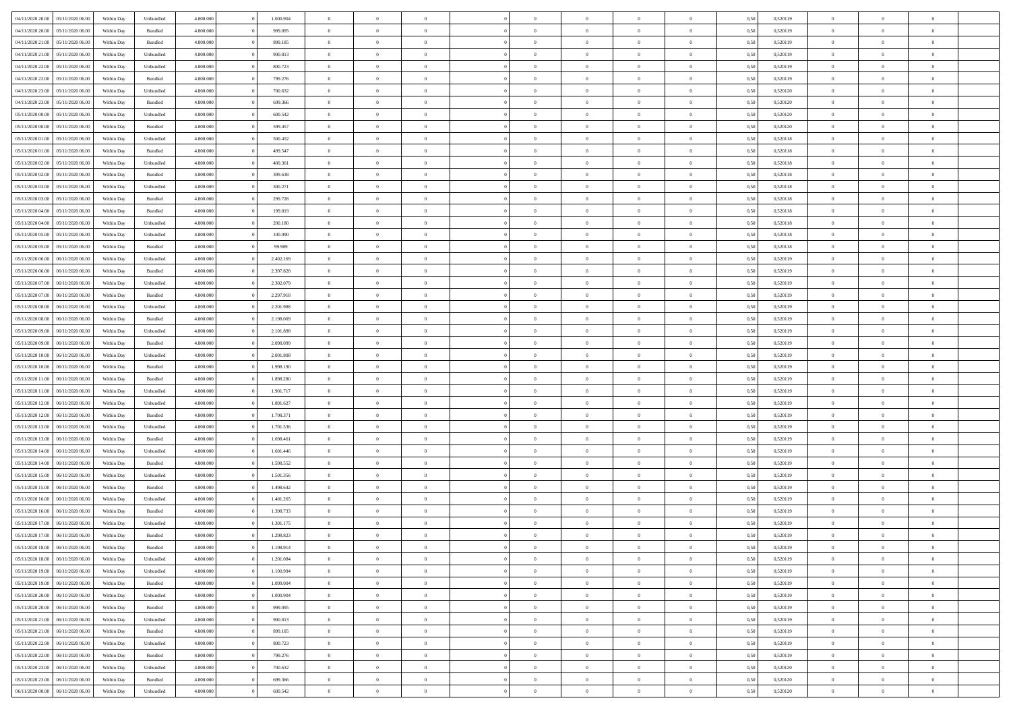| 04/11/2020 20.00 05/11/2020 06.00    | Within Day | Unbundled          | 4.800.000 | 1.000.904 | $\overline{0}$ | $\overline{0}$ | $\Omega$       | $\Omega$       | $\Omega$       |                | $\overline{0}$ | 0,50 | 0,520119 | $\mathbf{0}$   | $\Omega$       | $\Omega$       |  |
|--------------------------------------|------------|--------------------|-----------|-----------|----------------|----------------|----------------|----------------|----------------|----------------|----------------|------|----------|----------------|----------------|----------------|--|
| 04/11/2020 20:00<br>05/11/2020 06.00 | Within Day | $\mathbf B$ undled | 4.800.000 | 999.095   | $\bf{0}$       | $\overline{0}$ | $\overline{0}$ | $\theta$       | $\overline{0}$ | $\overline{0}$ | $\,$ 0         | 0,50 | 0,520119 | $\theta$       | $\theta$       | $\bf{0}$       |  |
| 04/11/2020 21:00<br>05/11/2020 06:00 | Within Day | Bundled            | 4.800.000 | 899.185   | $\overline{0}$ | $\overline{0}$ | $\overline{0}$ | $\bf{0}$       | $\bf{0}$       | $\overline{0}$ | $\mathbf{0}$   | 0,50 | 0,520119 | $\bf{0}$       | $\bf{0}$       | $\bf{0}$       |  |
| 04/11/2020 21.00<br>05/11/2020 06:00 | Within Day | Unbundled          | 4.800.000 | 900.813   | $\overline{0}$ | $\overline{0}$ | $\overline{0}$ | $\overline{0}$ | $\overline{0}$ | $\Omega$       | $\overline{0}$ | 0.50 | 0.520119 | $\mathbf{0}$   | $\overline{0}$ | $\bf{0}$       |  |
| 04/11/2020 22.00<br>05/11/2020 06.00 | Within Day | Unbundled          | 4.800.000 | 800.723   | $\bf{0}$       | $\overline{0}$ | $\overline{0}$ | $\theta$       | $\overline{0}$ | $\overline{0}$ | $\bf{0}$       | 0,50 | 0,520119 | $\theta$       | $\theta$       | $\overline{0}$ |  |
| 04/11/2020 22.00<br>05/11/2020 06:00 | Within Day | Bundled            | 4.800.000 | 799.276   | $\overline{0}$ | $\overline{0}$ | $\overline{0}$ | $\bf{0}$       | $\overline{0}$ | $\overline{0}$ | $\overline{0}$ | 0,50 | 0,520119 | $\overline{0}$ | $\overline{0}$ | $\overline{0}$ |  |
|                                      |            |                    |           |           |                |                |                |                |                |                |                |      |          | $\mathbf{0}$   |                |                |  |
| 04/11/2020 23:00<br>05/11/2020 06:00 | Within Day | Unbundled          | 4.800.000 | 700.632   | $\overline{0}$ | $\overline{0}$ | $\overline{0}$ | $\overline{0}$ | $\overline{0}$ | $\overline{0}$ | $\overline{0}$ | 0.50 | 0,520120 |                | $\overline{0}$ | $\overline{0}$ |  |
| 04/11/2020 23.00<br>05/11/2020 06.00 | Within Day | Bundled            | 4.800.000 | 699.366   | $\bf{0}$       | $\overline{0}$ | $\overline{0}$ | $\theta$       | $\overline{0}$ | $\overline{0}$ | $\bf{0}$       | 0,50 | 0,520120 | $\theta$       | $\theta$       | $\bf{0}$       |  |
| 05/11/2020 00:00<br>05/11/2020 06.00 | Within Day | Unbundled          | 4.800.000 | 600.542   | $\overline{0}$ | $\overline{0}$ | $\overline{0}$ | $\bf{0}$       | $\bf{0}$       | $\overline{0}$ | $\bf{0}$       | 0,50 | 0,520120 | $\bf{0}$       | $\bf{0}$       | $\bf{0}$       |  |
| 05/11/2020 00:00<br>05/11/2020 06:00 | Within Day | Bundled            | 4.800.000 | 599.457   | $\overline{0}$ | $\overline{0}$ | $\overline{0}$ | $\overline{0}$ | $\overline{0}$ | $\overline{0}$ | $\overline{0}$ | 0.50 | 0,520120 | $\overline{0}$ | $\overline{0}$ | $\overline{0}$ |  |
| 05/11/2020 01:00<br>05/11/2020 06:00 | Within Day | Unbundled          | 4.800.000 | 500.452   | $\bf{0}$       | $\overline{0}$ | $\overline{0}$ | $\overline{0}$ | $\overline{0}$ | $\overline{0}$ | $\,$ 0         | 0,50 | 0,520118 | $\theta$       | $\theta$       | $\bf{0}$       |  |
| 05/11/2020 01:00<br>05/11/2020 06:00 | Within Day | Bundled            | 4.800.000 | 499.547   | $\overline{0}$ | $\overline{0}$ | $\overline{0}$ | $\bf{0}$       | $\bf{0}$       | $\overline{0}$ | $\mathbf{0}$   | 0,50 | 0,520118 | $\bf{0}$       | $\bf{0}$       | $\bf{0}$       |  |
| 05/11/2020 02:00<br>05/11/2020 06:00 | Within Day | Unbundled          | 4.800.000 | 400.361   | $\overline{0}$ | $\overline{0}$ | $\overline{0}$ | $\overline{0}$ | $\overline{0}$ | $\overline{0}$ | $\overline{0}$ | 0.50 | 0.520118 | $\mathbf{0}$   | $\overline{0}$ | $\bf{0}$       |  |
| 05/11/2020 02.00<br>05/11/2020 06.00 | Within Day | Bundled            | 4.800.000 | 399.638   | $\bf{0}$       | $\overline{0}$ | $\overline{0}$ | $\theta$       | $\overline{0}$ | $\overline{0}$ | $\,$ 0         | 0,50 | 0,520118 | $\theta$       | $\theta$       | $\overline{0}$ |  |
|                                      |            |                    |           |           |                |                |                |                |                |                |                |      |          | $\overline{0}$ | $\bf{0}$       |                |  |
| 05/11/2020 03:00<br>05/11/2020 06:00 | Within Day | Unbundled          | 4.800.000 | 300.271   | $\overline{0}$ | $\overline{0}$ | $\overline{0}$ | $\bf{0}$       | $\overline{0}$ | $\overline{0}$ | $\overline{0}$ | 0,50 | 0,520118 |                |                | $\overline{0}$ |  |
| 05/11/2020 03:00<br>05/11/2020 06:00 | Within Day | Bundled            | 4.800.000 | 299.728   | $\overline{0}$ | $\overline{0}$ | $\overline{0}$ | $\overline{0}$ | $\overline{0}$ | $\overline{0}$ | $\mathbf{0}$   | 0.50 | 0,520118 | $\overline{0}$ | $\overline{0}$ | $\overline{0}$ |  |
| 05/11/2020 04:00<br>05/11/2020 06.00 | Within Day | Bundled            | 4.800.000 | 199.819   | $\bf{0}$       | $\overline{0}$ | $\overline{0}$ | $\overline{0}$ | $\overline{0}$ | $\overline{0}$ | $\bf{0}$       | 0,50 | 0,520118 | $\theta$       | $\theta$       | $\bf{0}$       |  |
| 05/11/2020 04:00<br>05/11/2020 06.00 | Within Day | Unbundled          | 4.800.000 | 200.180   | $\overline{0}$ | $\overline{0}$ | $\overline{0}$ | $\bf{0}$       | $\bf{0}$       | $\overline{0}$ | $\mathbf{0}$   | 0,50 | 0,520118 | $\bf{0}$       | $\bf{0}$       | $\bf{0}$       |  |
| 05/11/2020 05:00<br>05/11/2020 06:00 | Within Day | Unbundled          | 4.800.000 | 100,090   | $\overline{0}$ | $\overline{0}$ | $\overline{0}$ | $\overline{0}$ | $\overline{0}$ | $\overline{0}$ | $\overline{0}$ | 0.50 | 0,520118 | $\overline{0}$ | $\overline{0}$ | $\overline{0}$ |  |
| 05/11/2020 05:00<br>05/11/2020 06.00 | Within Day | Bundled            | 4.800.000 | 99.909    | $\bf{0}$       | $\overline{0}$ | $\overline{0}$ | $\theta$       | $\overline{0}$ | $\overline{0}$ | $\,$ 0         | 0,50 | 0,520118 | $\theta$       | $\theta$       | $\bf{0}$       |  |
| 05/11/2020 06.00<br>06/11/2020 06.00 | Within Day | Unbundled          | 4.800.000 | 2.402.169 | $\overline{0}$ | $\overline{0}$ | $\overline{0}$ | $\bf{0}$       | $\bf{0}$       | $\overline{0}$ | $\mathbf{0}$   | 0,50 | 0,520119 | $\bf{0}$       | $\bf{0}$       | $\bf{0}$       |  |
| 05/11/2020 06:00<br>06/11/2020 06:00 | Within Day | Bundled            | 4.800.000 | 2.397.828 | $\overline{0}$ | $\overline{0}$ | $\overline{0}$ | $\overline{0}$ | $\overline{0}$ | $\overline{0}$ | $\overline{0}$ | 0.50 | 0.520119 | $\overline{0}$ | $\overline{0}$ | $\bf{0}$       |  |
| 05/11/2020 07:00<br>06/11/2020 06.00 | Within Day | Unbundled          | 4.800.000 | 2.302.079 | $\bf{0}$       | $\overline{0}$ | $\overline{0}$ | $\theta$       | $\overline{0}$ | $\overline{0}$ | $\,$ 0         | 0,50 | 0,520119 | $\mathbf{0}$   | $\theta$       | $\bf{0}$       |  |
|                                      |            |                    |           |           |                |                |                |                |                |                |                |      |          |                |                |                |  |
| 05/11/2020 07.00<br>06/11/2020 06.00 | Within Day | Bundled            | 4.800.000 | 2.297.918 | $\overline{0}$ | $\overline{0}$ | $\overline{0}$ | $\bf{0}$       | $\overline{0}$ | $\overline{0}$ | $\overline{0}$ | 0,50 | 0,520119 | $\overline{0}$ | $\overline{0}$ | $\overline{0}$ |  |
| 05/11/2020 08:00<br>06/11/2020 06:00 | Within Day | Unbundled          | 4.800.000 | 2.201.988 | $\overline{0}$ | $\overline{0}$ | $\overline{0}$ | $\overline{0}$ | $\overline{0}$ | $\overline{0}$ | $\overline{0}$ | 0.50 | 0.520119 | $\overline{0}$ | $\overline{0}$ | $\overline{0}$ |  |
| 05/11/2020 08:00<br>06/11/2020 06.00 | Within Day | Bundled            | 4.800.000 | 2.198.009 | $\bf{0}$       | $\overline{0}$ | $\bf{0}$       | $\overline{0}$ | $\overline{0}$ | $\overline{0}$ | $\bf{0}$       | 0,50 | 0,520119 | $\theta$       | $\theta$       | $\bf{0}$       |  |
| 05/11/2020 09:00<br>06/11/2020 06.00 | Within Day | Unbundled          | 4.800.000 | 2.101.898 | $\overline{0}$ | $\overline{0}$ | $\bf{0}$       | $\bf{0}$       | $\bf{0}$       | $\overline{0}$ | $\bf{0}$       | 0,50 | 0,520119 | $\bf{0}$       | $\bf{0}$       | $\bf{0}$       |  |
| 05/11/2020 09:00<br>06/11/2020 06:00 | Within Day | Bundled            | 4.800.000 | 2.098.099 | $\overline{0}$ | $\overline{0}$ | $\overline{0}$ | $\overline{0}$ | $\overline{0}$ | $\overline{0}$ | $\overline{0}$ | 0.50 | 0,520119 | $\overline{0}$ | $\overline{0}$ | $\bf{0}$       |  |
| 05/11/2020 10:00<br>06/11/2020 06.00 | Within Day | Unbundled          | 4.800.000 | 2.001.808 | $\bf{0}$       | $\overline{0}$ | $\overline{0}$ | $\overline{0}$ | $\overline{0}$ | $\overline{0}$ | $\,$ 0         | 0,50 | 0,520119 | $\theta$       | $\theta$       | $\bf{0}$       |  |
| 05/11/2020 10:00<br>06/11/2020 06.00 | Within Day | Bundled            | 4.800.000 | 1.998.190 | $\overline{0}$ | $\overline{0}$ | $\overline{0}$ | $\bf{0}$       | $\bf{0}$       | $\overline{0}$ | $\mathbf{0}$   | 0,50 | 0,520119 | $\overline{0}$ | $\bf{0}$       | $\bf{0}$       |  |
| 05/11/2020 11:00<br>06/11/2020 06.00 | Within Day | Bundled            | 4.800,000 | 1.898.280 | $\overline{0}$ | $\overline{0}$ | $\overline{0}$ | $\overline{0}$ | $\overline{0}$ | $\Omega$       | $\overline{0}$ | 0,50 | 0,520119 | $\bf{0}$       | $\Omega$       | $\Omega$       |  |
| 05/11/2020 11:00<br>06/11/2020 06.00 | Within Day | Unbundled          | 4.800.000 | 1.901.717 | $\bf{0}$       | $\overline{0}$ | $\overline{0}$ | $\theta$       | $\overline{0}$ | $\overline{0}$ | $\,$ 0         | 0,50 | 0,520119 | $\theta$       | $\theta$       | $\bf{0}$       |  |
| 05/11/2020 12:00<br>06/11/2020 06.00 | Within Day | Unbundled          | 4.800.000 | 1.801.627 | $\overline{0}$ | $\overline{0}$ | $\overline{0}$ | $\bf{0}$       | $\overline{0}$ | $\overline{0}$ | $\overline{0}$ | 0,50 | 0,520119 | $\overline{0}$ | $\bf{0}$       | $\overline{0}$ |  |
|                                      |            |                    |           |           |                |                |                |                |                |                |                |      |          |                |                |                |  |
| 05/11/2020 12:00<br>06/11/2020 06.00 | Within Day | Bundled            | 4.800,000 | 1.798.371 | $\overline{0}$ | $\overline{0}$ | $\overline{0}$ | $\overline{0}$ | $\overline{0}$ | $\Omega$       | $\overline{0}$ | 0.50 | 0,520119 | $\overline{0}$ | $\Omega$       | $\Omega$       |  |
| 05/11/2020 13:00<br>06/11/2020 06.00 | Within Day | Unbundled          | 4.800.000 | 1.701.536 | $\bf{0}$       | $\overline{0}$ | $\overline{0}$ | $\overline{0}$ | $\overline{0}$ | $\overline{0}$ | $\bf{0}$       | 0,50 | 0,520119 | $\theta$       | $\theta$       | $\bf{0}$       |  |
| 05/11/2020 13:00<br>06/11/2020 06.00 | Within Day | Bundled            | 4.800.000 | 1.698.461 | $\overline{0}$ | $\overline{0}$ | $\overline{0}$ | $\bf{0}$       | $\bf{0}$       | $\overline{0}$ | $\bf{0}$       | 0,50 | 0,520119 | $\bf{0}$       | $\bf{0}$       | $\bf{0}$       |  |
| 05/11/2020 14:00<br>06/11/2020 06.00 | Within Day | Unbundled          | 4.800,000 | 1.601.446 | $\overline{0}$ | $\overline{0}$ | $\Omega$       | $\overline{0}$ | $\overline{0}$ | $\Omega$       | $\theta$       | 0.50 | 0,520119 | $\overline{0}$ | $\Omega$       | $\Omega$       |  |
| 05/11/2020 14:00<br>06/11/2020 06.00 | Within Day | Bundled            | 4.800.000 | 1.598.552 | $\bf{0}$       | $\overline{0}$ | $\overline{0}$ | $\overline{0}$ | $\overline{0}$ | $\overline{0}$ | $\,$ 0         | 0,50 | 0,520119 | $\theta$       | $\theta$       | $\bf{0}$       |  |
| 05/11/2020 15:00<br>06/11/2020 06.00 | Within Day | Unbundled          | 4.800.000 | 1.501.356 | $\overline{0}$ | $\overline{0}$ | $\overline{0}$ | $\bf{0}$       | $\bf{0}$       | $\overline{0}$ | $\mathbf{0}$   | 0,50 | 0,520119 | $\overline{0}$ | $\bf{0}$       | $\bf{0}$       |  |
| 05/11/2020 15:00<br>06/11/2020 06.00 | Within Day | Bundled            | 4.800,000 | 1.498.642 | $\overline{0}$ | $\overline{0}$ | $\overline{0}$ | $\overline{0}$ | $\overline{0}$ | $\Omega$       | $\overline{0}$ | 0,50 | 0,520119 | $\overline{0}$ | $\Omega$       | $\Omega$       |  |
| 05/11/2020 16:00<br>06/11/2020 06.00 | Within Day | Unbundled          | 4.800.000 | 1.401.265 | $\bf{0}$       | $\overline{0}$ | $\overline{0}$ | $\overline{0}$ | $\overline{0}$ | $\overline{0}$ | $\,$ 0         | 0,50 | 0,520119 | $\,$ 0 $\,$    | $\theta$       | $\bf{0}$       |  |
| 05/11/2020 16.00<br>06/11/2020 06.00 | Within Day | Bundled            | 4.800.000 | 1.398.733 | $\overline{0}$ | $\overline{0}$ | $\overline{0}$ | $\bf{0}$       | $\overline{0}$ | $\overline{0}$ | $\overline{0}$ | 0,50 | 0,520119 | $\overline{0}$ | $\bf{0}$       | $\bf{0}$       |  |
|                                      |            |                    |           |           |                |                |                |                |                |                |                |      |          |                |                |                |  |
| 05/11/2020 17:00<br>06/11/2020 06.00 | Within Day | Unbundled          | 4.800,000 | 1.301.175 | $\overline{0}$ | $\Omega$       | $\Omega$       | $\Omega$       | $\overline{0}$ | $\Omega$       | $\overline{0}$ | 0.50 | 0,520119 | $\overline{0}$ | $\Omega$       | $\Omega$       |  |
| 05/11/2020 17.00<br>06/11/2020 06:00 | Within Day | Bundled            | 4.800.000 | 1.298.823 | $\bf{0}$       | $\overline{0}$ | $\overline{0}$ | $\bf{0}$       | $\bf{0}$       | $\overline{0}$ | $\,$ 0         | 0,50 | 0,520119 | $\bf{0}$       | $\,$ 0         | $\,$ 0         |  |
| 05/11/2020 18:00 06/11/2020 06:00    | Within Day | Bundled            | 4.800.000 | 1.198.914 | $\bf{0}$       | $\bf{0}$       |                | $\bf{0}$       |                |                |                | 0,50 | 0,520119 | $\bf{0}$       | $\bf{0}$       |                |  |
| 05/11/2020 18:00 06/11/2020 06:00    | Within Day | Unbundled          | 4.800.000 | 1.201.084 | $\overline{0}$ | $\overline{0}$ | $\theta$       | $\overline{0}$ | $\overline{0}$ | $\overline{0}$ | $\mathbf{0}$   | 0,50 | 0,520119 | $\overline{0}$ | $\overline{0}$ | $\theta$       |  |
| 05/11/2020 19:00<br>06/11/2020 06:00 | Within Day | Unbundled          | 4.800.000 | 1.100.994 | $\overline{0}$ | $\overline{0}$ | $\overline{0}$ | $\bf{0}$       | $\overline{0}$ | $\overline{0}$ | $\mathbf{0}$   | 0,50 | 0,520119 | $\,$ 0 $\,$    | $\overline{0}$ | $\,$ 0 $\,$    |  |
| 05/11/2020 19:00 06/11/2020 06:00    | Within Day | Bundled            | 4.800.000 | 1.099.004 | $\overline{0}$ | $\overline{0}$ | $\overline{0}$ | $\bf{0}$       | $\overline{0}$ | $\overline{0}$ | $\overline{0}$ | 0,50 | 0,520119 | $\overline{0}$ | $\overline{0}$ | $\overline{0}$ |  |
| 05/11/2020 20:00<br>06/11/2020 06:00 | Within Day | Unbundled          | 4.800.000 | 1.000.904 | $\overline{0}$ | $\overline{0}$ | $\overline{0}$ | $\overline{0}$ | $\bf{0}$       | $\overline{0}$ | $\bf{0}$       | 0,50 | 0,520119 | $\overline{0}$ | $\overline{0}$ | $\overline{0}$ |  |
| 05/11/2020 20:00<br>06/11/2020 06:00 | Within Day | Bundled            | 4.800.000 | 999.095   | $\overline{0}$ | $\overline{0}$ | $\overline{0}$ | $\overline{0}$ | $\overline{0}$ | $\overline{0}$ | $\mathbf{0}$   | 0,50 | 0,520119 | $\,$ 0 $\,$    | $\theta$       | $\bf{0}$       |  |
| 05/11/2020 21:00   06/11/2020 06:00  | Within Day | Unbundled          | 4.800.000 | 900.813   | $\overline{0}$ | $\overline{0}$ | $\overline{0}$ | $\bf{0}$       | $\overline{0}$ | $\overline{0}$ | $\overline{0}$ | 0,50 | 0,520119 | $\overline{0}$ | $\overline{0}$ | $\overline{0}$ |  |
|                                      |            |                    |           |           |                |                |                |                |                |                |                |      |          |                |                |                |  |
| 05/11/2020 21.00<br>06/11/2020 06.00 | Within Day | Bundled            | 4.800.000 | 899.185   | $\overline{0}$ | $\overline{0}$ | $\overline{0}$ | $\overline{0}$ | $\overline{0}$ | $\overline{0}$ | $\overline{0}$ | 0,50 | 0,520119 | $\overline{0}$ | $\overline{0}$ | $\overline{0}$ |  |
| 05/11/2020 22.00<br>06/11/2020 06:00 | Within Day | Unbundled          | 4.800.000 | 800.723   | $\overline{0}$ | $\overline{0}$ | $\overline{0}$ | $\bf{0}$       | $\bf{0}$       | $\overline{0}$ | $\,$ 0 $\,$    | 0,50 | 0,520119 | $\,$ 0 $\,$    | $\theta$       | $\,$ 0         |  |
| 05/11/2020 22.00<br>06/11/2020 06.00 | Within Day | Bundled            | 4.800.000 | 799.276   | $\overline{0}$ | $\overline{0}$ | $\overline{0}$ | $\bf{0}$       | $\overline{0}$ | $\overline{0}$ | $\overline{0}$ | 0,50 | 0,520119 | $\bf{0}$       | $\bf{0}$       | $\overline{0}$ |  |
| 05/11/2020 23.00<br>06/11/2020 06:00 | Within Day | Unbundled          | 4.800.000 | 700,632   | $\overline{0}$ | $\overline{0}$ | $\overline{0}$ | $\overline{0}$ | $\overline{0}$ | $\overline{0}$ | $\overline{0}$ | 0,50 | 0,520120 | $\overline{0}$ | $\overline{0}$ | $\overline{0}$ |  |
| 05/11/2020 23.00<br>06/11/2020 06:00 | Within Day | Bundled            | 4.800.000 | 699.366   | $\overline{0}$ | $\overline{0}$ | $\overline{0}$ | $\bf{0}$       | $\bf{0}$       | $\bf{0}$       | $\,$ 0 $\,$    | 0,50 | 0,520120 | $\,$ 0 $\,$    | $\,0\,$        | $\,$ 0         |  |
| 06/11/2020 00:00   06/11/2020 06:00  | Within Day | Unbundled          | 4.800.000 | 600.542   | $\overline{0}$ | $\overline{0}$ | $\overline{0}$ | $\bf{0}$       | $\bf{0}$       | $\overline{0}$ | $\bf{0}$       | 0,50 | 0,520120 | $\bf{0}$       | $\bf{0}$       | $\overline{0}$ |  |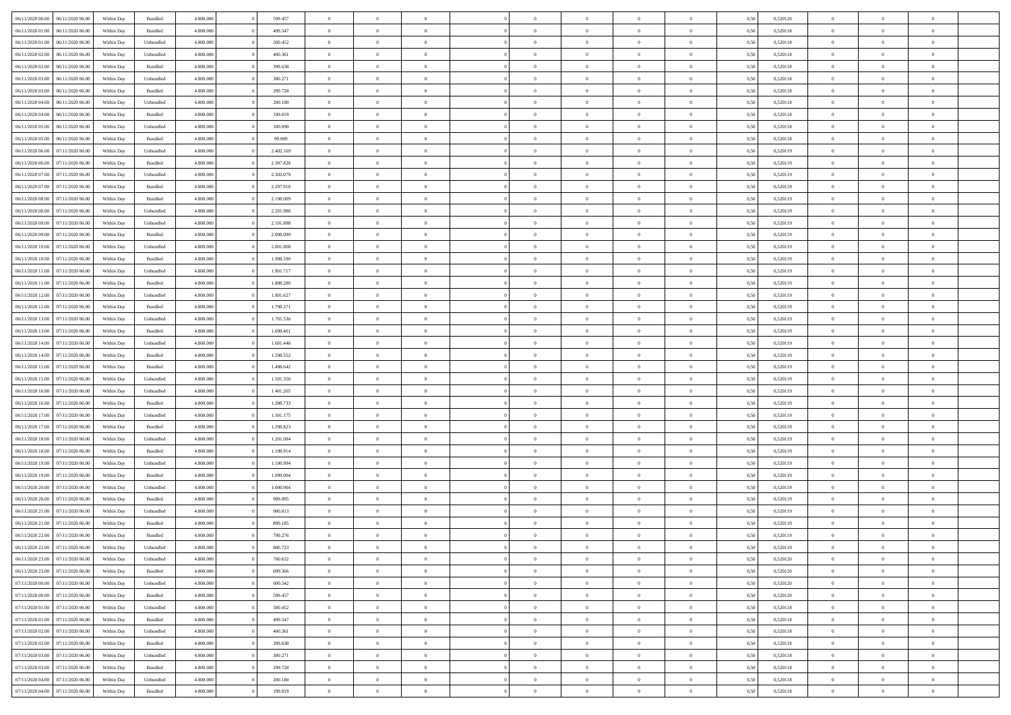| 06/11/2020 00:00 06/11/2020 06:00    | Within Day | Bundled   | 4.800.000 | 599.457   | $\overline{0}$ | $\overline{0}$ | $\Omega$       | $\Omega$       | $\Omega$       |                | $\overline{0}$ | 0,50 | 0,520120 | $\mathbf{0}$   | $\Omega$       | $\Omega$       |  |
|--------------------------------------|------------|-----------|-----------|-----------|----------------|----------------|----------------|----------------|----------------|----------------|----------------|------|----------|----------------|----------------|----------------|--|
| 06/11/2020 01:00<br>06/11/2020 06.00 | Within Day | Bundled   | 4.800.000 | 499.547   | $\bf{0}$       | $\overline{0}$ | $\theta$       | $\theta$       | $\overline{0}$ | $\overline{0}$ | $\,$ 0         | 0,50 | 0,520118 | $\mathbf{0}$   | $\theta$       | $\bf{0}$       |  |
| 06/11/2020 01:00<br>06/11/2020 06.00 | Within Day | Unbundled | 4.800.000 | 500.452   | $\overline{0}$ | $\overline{0}$ | $\overline{0}$ | $\bf{0}$       | $\bf{0}$       | $\overline{0}$ | $\mathbf{0}$   | 0,50 | 0,520118 | $\bf{0}$       | $\bf{0}$       | $\bf{0}$       |  |
| 06/11/2020 02:00<br>06/11/2020 06:00 | Within Day | Unbundled | 4.800.000 | 400.361   | $\overline{0}$ | $\overline{0}$ | $\overline{0}$ | $\overline{0}$ | $\overline{0}$ | $\Omega$       | $\overline{0}$ | 0.50 | 0.520118 | $\mathbf{0}$   | $\overline{0}$ | $\bf{0}$       |  |
| 06/11/2020 02.00<br>06/11/2020 06.00 | Within Day | Bundled   | 4.800.000 | 399.638   | $\bf{0}$       | $\overline{0}$ | $\theta$       | $\theta$       | $\overline{0}$ | $\overline{0}$ | $\bf{0}$       | 0,50 | 0,520118 | $\mathbf{0}$   | $\theta$       | $\overline{0}$ |  |
| 06/11/2020 03:00<br>06/11/2020 06.00 | Within Day | Unbundled | 4.800.000 | 300.271   | $\overline{0}$ | $\overline{0}$ | $\overline{0}$ | $\bf{0}$       | $\overline{0}$ | $\overline{0}$ | $\overline{0}$ | 0,50 | 0,520118 | $\overline{0}$ | $\bf{0}$       | $\overline{0}$ |  |
| 06/11/2020 03:00<br>06/11/2020 06:00 | Within Day | Bundled   | 4.800.000 | 299.728   | $\overline{0}$ | $\overline{0}$ | $\overline{0}$ | $\overline{0}$ | $\overline{0}$ | $\overline{0}$ | $\mathbf{0}$   | 0.50 | 0,520118 | $\mathbf{0}$   | $\overline{0}$ | $\overline{0}$ |  |
|                                      |            |           |           |           |                |                |                |                |                |                |                |      |          |                |                |                |  |
| 06/11/2020 04:00<br>06/11/2020 06.00 | Within Day | Unbundled | 4.800.000 | 200.180   | $\bf{0}$       | $\overline{0}$ | $\overline{0}$ | $\theta$       | $\overline{0}$ | $\overline{0}$ | $\bf{0}$       | 0,50 | 0,520118 | $\theta$       | $\theta$       | $\bf{0}$       |  |
| 06/11/2020 04:00<br>06/11/2020 06.00 | Within Day | Bundled   | 4.800.000 | 199.819   | $\overline{0}$ | $\overline{0}$ | $\bf{0}$       | $\bf{0}$       | $\bf{0}$       | $\overline{0}$ | $\bf{0}$       | 0,50 | 0,520118 | $\bf{0}$       | $\bf{0}$       | $\bf{0}$       |  |
| 06/11/2020 05:00<br>06/11/2020 06:00 | Within Day | Unbundled | 4.800.000 | 100.090   | $\overline{0}$ | $\overline{0}$ | $\overline{0}$ | $\overline{0}$ | $\overline{0}$ | $\overline{0}$ | $\overline{0}$ | 0.50 | 0,520118 | $\overline{0}$ | $\overline{0}$ | $\overline{0}$ |  |
| 06/11/2020 05:00<br>06/11/2020 06.00 | Within Day | Bundled   | 4.800.000 | 99.909    | $\bf{0}$       | $\overline{0}$ | $\overline{0}$ | $\overline{0}$ | $\overline{0}$ | $\overline{0}$ | $\,$ 0         | 0,50 | 0,520118 | $\mathbf{0}$   | $\theta$       | $\bf{0}$       |  |
| 06/11/2020 06.00<br>07/11/2020 06.00 | Within Day | Unbundled | 4.800.000 | 2.402.169 | $\overline{0}$ | $\overline{0}$ | $\overline{0}$ | $\bf{0}$       | $\bf{0}$       | $\overline{0}$ | $\mathbf{0}$   | 0,50 | 0,520119 | $\bf{0}$       | $\bf{0}$       | $\bf{0}$       |  |
| 06/11/2020 06:00<br>07/11/2020 06:00 | Within Day | Bundled   | 4.800.000 | 2.397.828 | $\overline{0}$ | $\overline{0}$ | $\overline{0}$ | $\overline{0}$ | $\overline{0}$ | $\overline{0}$ | $\overline{0}$ | 0.50 | 0.520119 | $\mathbf{0}$   | $\overline{0}$ | $\bf{0}$       |  |
| 06/11/2020 07:00<br>07/11/2020 06.00 | Within Day | Unbundled | 4.800.000 | 2.302.079 | $\bf{0}$       | $\overline{0}$ | $\theta$       | $\theta$       | $\overline{0}$ | $\overline{0}$ | $\,$ 0         | 0,50 | 0,520119 | $\theta$       | $\theta$       | $\overline{0}$ |  |
| 06/11/2020 07:00<br>07/11/2020 06.00 | Within Day | Bundled   | 4.800.000 | 2.297.918 | $\overline{0}$ | $\overline{0}$ | $\overline{0}$ | $\bf{0}$       | $\overline{0}$ | $\overline{0}$ | $\overline{0}$ | 0,50 | 0,520119 | $\overline{0}$ | $\bf{0}$       | $\overline{0}$ |  |
| 06/11/2020 08:00<br>07/11/2020 06:00 | Within Day | Bundled   | 4.800.000 | 2.198.009 | $\overline{0}$ | $\overline{0}$ | $\overline{0}$ | $\overline{0}$ | $\overline{0}$ | $\overline{0}$ | $\mathbf{0}$   | 0.50 | 0,520119 | $\overline{0}$ | $\overline{0}$ | $\overline{0}$ |  |
|                                      |            |           |           |           |                |                |                |                |                |                |                |      |          |                |                |                |  |
| 06/11/2020 08:00<br>07/11/2020 06.00 | Within Day | Unbundled | 4.800.000 | 2.201.988 | $\bf{0}$       | $\overline{0}$ | $\overline{0}$ | $\overline{0}$ | $\overline{0}$ | $\overline{0}$ | $\bf{0}$       | 0,50 | 0,520119 | $\theta$       | $\theta$       | $\bf{0}$       |  |
| 06/11/2020 09:00<br>07/11/2020 06.00 | Within Day | Unbundled | 4.800.000 | 2.101.898 | $\overline{0}$ | $\overline{0}$ | $\overline{0}$ | $\bf{0}$       | $\bf{0}$       | $\overline{0}$ | $\mathbf{0}$   | 0,50 | 0,520119 | $\bf{0}$       | $\bf{0}$       | $\bf{0}$       |  |
| 06/11/2020 09:00<br>07/11/2020 06:00 | Within Day | Bundled   | 4.800.000 | 2.098.099 | $\overline{0}$ | $\overline{0}$ | $\overline{0}$ | $\overline{0}$ | $\overline{0}$ | $\overline{0}$ | $\overline{0}$ | 0.50 | 0,520119 | $\overline{0}$ | $\overline{0}$ | $\overline{0}$ |  |
| 06/11/2020 10:00<br>07/11/2020 06.00 | Within Day | Unbundled | 4.800.000 | 2.001.808 | $\bf{0}$       | $\overline{0}$ | $\overline{0}$ | $\theta$       | $\overline{0}$ | $\overline{0}$ | $\,$ 0         | 0,50 | 0,520119 | $\theta$       | $\theta$       | $\bf{0}$       |  |
| 06/11/2020 10:00<br>07/11/2020 06.00 | Within Day | Bundled   | 4.800.000 | 1.998.190 | $\overline{0}$ | $\overline{0}$ | $\overline{0}$ | $\bf{0}$       | $\bf{0}$       | $\overline{0}$ | $\mathbf{0}$   | 0,50 | 0,520119 | $\bf{0}$       | $\bf{0}$       | $\bf{0}$       |  |
| 06/11/2020 11:00<br>07/11/2020 06:00 | Within Day | Unbundled | 4.800.000 | 1.901.717 | $\overline{0}$ | $\overline{0}$ | $\overline{0}$ | $\overline{0}$ | $\overline{0}$ | $\overline{0}$ | $\overline{0}$ | 0.50 | 0.520119 | $\overline{0}$ | $\overline{0}$ | $\bf{0}$       |  |
| 06/11/2020 11:00<br>07/11/2020 06.00 | Within Day | Bundled   | 4.800.000 | 1.898.280 | $\bf{0}$       | $\overline{0}$ | $\overline{0}$ | $\theta$       | $\overline{0}$ | $\overline{0}$ | $\,$ 0         | 0,50 | 0,520119 | $\mathbf{0}$   | $\theta$       | $\bf{0}$       |  |
| 06/11/2020 12:00<br>07/11/2020 06.00 | Within Day | Unbundled | 4.800.000 | 1.801.627 | $\overline{0}$ | $\overline{0}$ | $\overline{0}$ | $\bf{0}$       | $\overline{0}$ | $\overline{0}$ | $\overline{0}$ | 0,50 | 0,520119 | $\overline{0}$ | $\bf{0}$       | $\overline{0}$ |  |
| 06/11/2020 12:00<br>07/11/2020 06:00 | Within Day | Bundled   | 4.800.000 | 1.798.371 | $\overline{0}$ | $\overline{0}$ | $\overline{0}$ | $\overline{0}$ | $\overline{0}$ | $\overline{0}$ | $\overline{0}$ | 0.50 | 0.520119 | $\overline{0}$ | $\overline{0}$ | $\overline{0}$ |  |
|                                      |            |           |           |           |                |                |                |                |                |                |                |      |          |                |                |                |  |
| 06/11/2020 13:00<br>07/11/2020 06.00 | Within Day | Unbundled | 4.800.000 | 1.701.536 | $\bf{0}$       | $\overline{0}$ | $\overline{0}$ | $\overline{0}$ | $\overline{0}$ | $\overline{0}$ | $\bf{0}$       | 0,50 | 0,520119 | $\theta$       | $\theta$       | $\bf{0}$       |  |
| 06/11/2020 13:00<br>07/11/2020 06.00 | Within Day | Bundled   | 4.800.000 | 1.698.461 | $\overline{0}$ | $\overline{0}$ | $\overline{0}$ | $\bf{0}$       | $\bf{0}$       | $\overline{0}$ | $\bf{0}$       | 0,50 | 0,520119 | $\bf{0}$       | $\bf{0}$       | $\bf{0}$       |  |
| 06/11/2020 14:00<br>07/11/2020 06:00 | Within Day | Unbundled | 4.800.000 | 1.601.446 | $\overline{0}$ | $\overline{0}$ | $\overline{0}$ | $\overline{0}$ | $\overline{0}$ | $\overline{0}$ | $\overline{0}$ | 0.50 | 0,520119 | $\overline{0}$ | $\overline{0}$ | $\bf{0}$       |  |
| 06/11/2020 14:00<br>07/11/2020 06:00 | Within Day | Bundled   | 4.800.000 | 1.598.552 | $\bf{0}$       | $\overline{0}$ | $\overline{0}$ | $\overline{0}$ | $\overline{0}$ | $\overline{0}$ | $\,$ 0         | 0,50 | 0,520119 | $\theta$       | $\theta$       | $\bf{0}$       |  |
| 06/11/2020 15:00<br>07/11/2020 06.00 | Within Day | Bundled   | 4.800.000 | 1.498.642 | $\overline{0}$ | $\overline{0}$ | $\overline{0}$ | $\bf{0}$       | $\bf{0}$       | $\overline{0}$ | $\mathbf{0}$   | 0,50 | 0,520119 | $\overline{0}$ | $\bf{0}$       | $\bf{0}$       |  |
| 06/11/2020 15:00<br>07/11/2020 06.00 | Within Day | Unbundled | 4.800.000 | 1.501.356 | $\overline{0}$ | $\overline{0}$ | $\overline{0}$ | $\overline{0}$ | $\overline{0}$ | $\Omega$       | $\overline{0}$ | 0,50 | 0,520119 | $\bf{0}$       | $\Omega$       | $\Omega$       |  |
| 06/11/2020 16:00<br>07/11/2020 06.00 | Within Day | Unbundled | 4.800.000 | 1.401.265 | $\bf{0}$       | $\overline{0}$ | $\overline{0}$ | $\theta$       | $\overline{0}$ | $\overline{0}$ | $\,$ 0         | 0,50 | 0,520119 | $\theta$       | $\theta$       | $\bf{0}$       |  |
| 06/11/2020 16:00<br>07/11/2020 06.00 | Within Day | Bundled   | 4.800.000 | 1.398.733 | $\overline{0}$ | $\overline{0}$ | $\overline{0}$ | $\bf{0}$       | $\overline{0}$ | $\overline{0}$ | $\overline{0}$ | 0,50 | 0,520119 | $\overline{0}$ | $\bf{0}$       | $\overline{0}$ |  |
| 06/11/2020 17:00<br>07/11/2020 06.00 | Within Day | Unbundled | 4.800,000 | 1.301.175 | $\overline{0}$ | $\overline{0}$ | $\Omega$       | $\overline{0}$ | $\overline{0}$ | $\Omega$       | $\overline{0}$ | 0.50 | 0,520119 | $\overline{0}$ | $\Omega$       | $\Omega$       |  |
| 06/11/2020 17:00<br>07/11/2020 06.00 | Within Day | Bundled   | 4.800.000 | 1.298.823 | $\bf{0}$       | $\overline{0}$ | $\bf{0}$       | $\overline{0}$ | $\overline{0}$ | $\overline{0}$ | $\bf{0}$       | 0,50 | 0,520119 | $\theta$       | $\theta$       | $\bf{0}$       |  |
|                                      |            |           |           |           |                |                |                |                |                |                |                |      |          |                |                |                |  |
| 06/11/2020 18:00<br>07/11/2020 06.00 | Within Day | Unbundled | 4.800.000 | 1.201.084 | $\overline{0}$ | $\overline{0}$ | $\bf{0}$       | $\bf{0}$       | $\bf{0}$       | $\overline{0}$ | $\bf{0}$       | 0,50 | 0,520119 | $\bf{0}$       | $\bf{0}$       | $\bf{0}$       |  |
| 06/11/2020 18:00<br>07/11/2020 06.00 | Within Day | Bundled   | 4.800,000 | 1.198.914 | $\overline{0}$ | $\overline{0}$ | $\Omega$       | $\overline{0}$ | $\overline{0}$ | $\Omega$       | $\theta$       | 0.50 | 0,520119 | $\overline{0}$ | $\Omega$       | $\Omega$       |  |
| 06/11/2020 19:00<br>07/11/2020 06.00 | Within Day | Unbundled | 4.800.000 | 1.100.994 | $\bf{0}$       | $\overline{0}$ | $\bf{0}$       | $\overline{0}$ | $\overline{0}$ | $\overline{0}$ | $\,$ 0         | 0,50 | 0,520119 | $\theta$       | $\theta$       | $\bf{0}$       |  |
| 06/11/2020 19:00<br>07/11/2020 06.00 | Within Day | Bundled   | 4.800.000 | 1.099.004 | $\overline{0}$ | $\overline{0}$ | $\overline{0}$ | $\bf{0}$       | $\bf{0}$       | $\overline{0}$ | $\mathbf{0}$   | 0,50 | 0,520119 | $\overline{0}$ | $\bf{0}$       | $\bf{0}$       |  |
| 06/11/2020 20:00<br>07/11/2020 06.00 | Within Day | Unbundled | 4.800,000 | 1.000.904 | $\overline{0}$ | $\overline{0}$ | $\overline{0}$ | $\overline{0}$ | $\overline{0}$ | $\Omega$       | $\overline{0}$ | 0,50 | 0,520119 | $\overline{0}$ | $\Omega$       | $\Omega$       |  |
| 06/11/2020 20:00<br>07/11/2020 06.00 | Within Day | Bundled   | 4.800.000 | 999.095   | $\bf{0}$       | $\overline{0}$ | $\overline{0}$ | $\overline{0}$ | $\overline{0}$ | $\overline{0}$ | $\,$ 0         | 0,50 | 0,520119 | $\,$ 0 $\,$    | $\theta$       | $\bf{0}$       |  |
| 06/11/2020 21:00<br>07/11/2020 06.00 | Within Day | Unbundled | 4.800.000 | 900.813   | $\overline{0}$ | $\overline{0}$ | $\bf{0}$       | $\bf{0}$       | $\overline{0}$ | $\overline{0}$ | $\overline{0}$ | 0,50 | 0,520119 | $\overline{0}$ | $\bf{0}$       | $\bf{0}$       |  |
| 06/11/2020 21:00<br>07/11/2020 06.00 | Within Day | Bundled   | 4.800,000 | 899.185   | $\overline{0}$ | $\theta$       | $\Omega$       | $\overline{0}$ | $\overline{0}$ | $\Omega$       | $\overline{0}$ | 0.50 | 0,520119 | $\overline{0}$ | $\Omega$       | $\Omega$       |  |
| 06/11/2020 22.00<br>07/11/2020 06:00 | Within Day | Bundled   | 4.800.000 | 799.276   | $\bf{0}$       | $\overline{0}$ | $\bf{0}$       | $\bf{0}$       | $\bf{0}$       | $\overline{0}$ | $\,$ 0         | 0,50 | 0,520119 | $\bf{0}$       | $\,$ 0         | $\,$ 0         |  |
|                                      |            |           |           |           |                |                |                |                |                |                |                |      |          |                |                |                |  |
| 06/11/2020 22.00 07/11/2020 06.00    | Within Day | Unbundled | 4.800.000 | 800.723   | $\bf{0}$       | $\bf{0}$       |                | $\bf{0}$       |                |                |                | 0,50 | 0,520119 | $\bf{0}$       | $\bf{0}$       |                |  |
| 06/11/2020 23.00 07/11/2020 06.00    | Within Day | Unbundled | 4.800.000 | 700,632   | $\overline{0}$ | $\overline{0}$ | $\theta$       | $\overline{0}$ | $\overline{0}$ | $\overline{0}$ | $\mathbf{0}$   | 0.50 | 0,520120 | $\overline{0}$ | $\overline{0}$ | $\theta$       |  |
| 06/11/2020 23.00 07/11/2020 06.00    | Within Day | Bundled   | 4.800.000 | 699.366   | $\overline{0}$ | $\overline{0}$ | $\overline{0}$ | $\bf{0}$       | $\overline{0}$ | $\overline{0}$ | $\mathbf{0}$   | 0,50 | 0,520120 | $\,$ 0 $\,$    | $\overline{0}$ | $\,$ 0 $\,$    |  |
| 07/11/2020 00:00 07/11/2020 06:00    | Within Day | Unbundled | 4.800.000 | 600.542   | $\overline{0}$ | $\overline{0}$ | $\overline{0}$ | $\bf{0}$       | $\overline{0}$ | $\overline{0}$ | $\overline{0}$ | 0,50 | 0,520120 | $\overline{0}$ | $\overline{0}$ | $\overline{0}$ |  |
| 07/11/2020 00:00<br>07/11/2020 06.00 | Within Day | Bundled   | 4.800.000 | 599.457   | $\overline{0}$ | $\overline{0}$ | $\overline{0}$ | $\overline{0}$ | $\bf{0}$       | $\overline{0}$ | $\overline{0}$ | 0,50 | 0,520120 | $\overline{0}$ | $\overline{0}$ | $\overline{0}$ |  |
| 07/11/2020 01.00 07/11/2020 06.00    | Within Day | Unbundled | 4.800.000 | 500.452   | $\overline{0}$ | $\overline{0}$ | $\overline{0}$ | $\overline{0}$ | $\overline{0}$ | $\overline{0}$ | $\mathbf{0}$   | 0,50 | 0,520118 | $\,$ 0 $\,$    | $\theta$       | $\overline{0}$ |  |
| 07/11/2020 01:00 07/11/2020 06:00    | Within Day | Bundled   | 4.800.000 | 499.547   | $\overline{0}$ | $\overline{0}$ | $\overline{0}$ | $\overline{0}$ | $\overline{0}$ | $\overline{0}$ | $\overline{0}$ | 0,50 | 0,520118 | $\overline{0}$ | $\overline{0}$ | $\overline{0}$ |  |
| 07/11/2020 02.00<br>07/11/2020 06.00 | Within Day | Unbundled | 4.800.000 | 400,361   | $\overline{0}$ | $\overline{0}$ | $\overline{0}$ | $\overline{0}$ | $\overline{0}$ | $\overline{0}$ | $\overline{0}$ | 0.50 | 0,520118 | $\overline{0}$ | $\overline{0}$ | $\overline{0}$ |  |
| 07/11/2020 02.00<br>07/11/2020 06:00 | Within Day | Bundled   | 4.800.000 | 399.638   | $\overline{0}$ | $\overline{0}$ | $\overline{0}$ | $\bf{0}$       | $\bf{0}$       | $\overline{0}$ | $\,$ 0 $\,$    | 0,50 | 0,520118 | $\,$ 0 $\,$    | $\theta$       | $\,$ 0         |  |
|                                      |            |           |           |           |                |                |                |                |                |                |                |      |          |                |                |                |  |
| 07/11/2020 06:00<br>07/11/2020 03:00 | Within Day | Unbundled | 4.800.000 | 300.271   | $\overline{0}$ | $\overline{0}$ | $\overline{0}$ | $\bf{0}$       | $\overline{0}$ | $\overline{0}$ | $\overline{0}$ | 0,50 | 0,520118 | $\bf{0}$       | $\bf{0}$       | $\overline{0}$ |  |
| 07/11/2020 03:00<br>07/11/2020 06.00 | Within Day | Bundled   | 4.800,000 | 299.728   | $\overline{0}$ | $\overline{0}$ | $\overline{0}$ | $\overline{0}$ | $\overline{0}$ | $\overline{0}$ | $\overline{0}$ | 0,50 | 0,520118 | $\overline{0}$ | $\overline{0}$ | $\overline{0}$ |  |
| 07/11/2020 04:00<br>07/11/2020 06:00 | Within Day | Unbundled | 4.800.000 | 200.180   | $\overline{0}$ | $\overline{0}$ | $\overline{0}$ | $\bf{0}$       | $\bf{0}$       | $\bf{0}$       | $\,$ 0 $\,$    | 0,50 | 0,520118 | $\,0\,$        | $\,0\,$        | $\,$ 0         |  |
| 07/11/2020 04:00 07/11/2020 06:00    | Within Day | Bundled   | 4.800.000 | 199.819   | $\overline{0}$ | $\overline{0}$ | $\overline{0}$ | $\bf{0}$       | $\bf{0}$       | $\overline{0}$ | $\bf{0}$       | 0,50 | 0,520118 | $\bf{0}$       | $\bf{0}$       | $\overline{0}$ |  |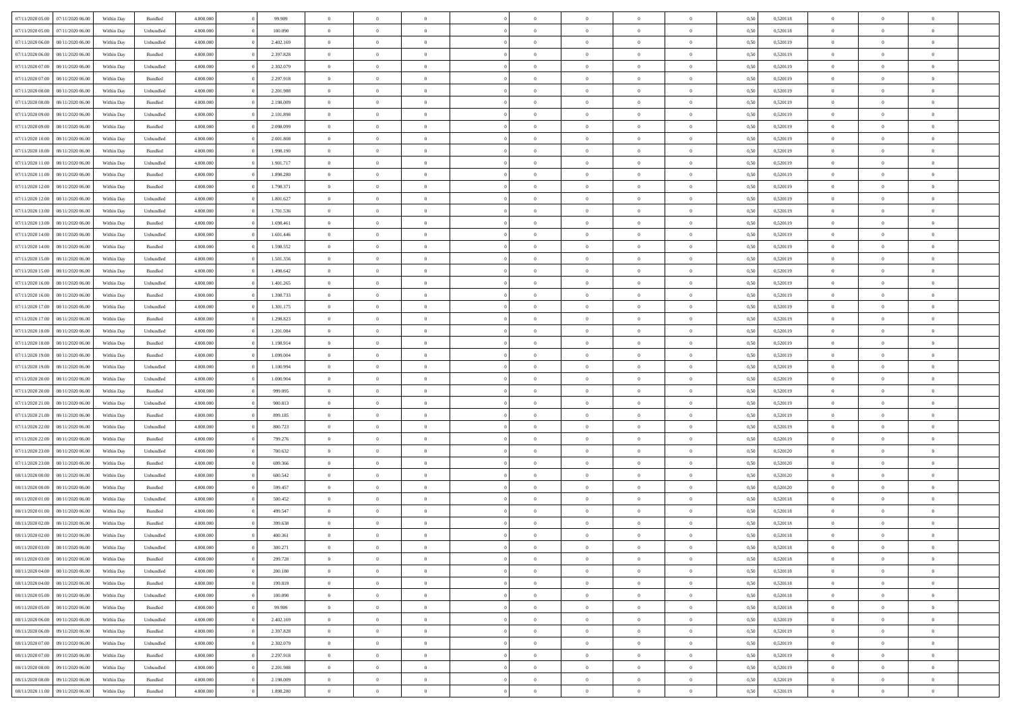| 07/11/2020 05:00 | 07/11/2020 06.00 | Within Dav | Bundled   | 4.800.000 | 99.909    | $\overline{0}$ | $\Omega$       |                | $\Omega$       | $\Omega$       | $\Omega$       | $\theta$       | 0.50 | 0,520118 | $\theta$       | $\theta$       | $\theta$       |  |
|------------------|------------------|------------|-----------|-----------|-----------|----------------|----------------|----------------|----------------|----------------|----------------|----------------|------|----------|----------------|----------------|----------------|--|
|                  |                  |            |           |           |           |                |                |                |                |                |                |                |      |          |                |                |                |  |
| 07/11/2020 05.00 | 07/11/2020 06.00 | Within Day | Unbundled | 4.800.000 | 100.090   | $\overline{0}$ | $\theta$       | $\overline{0}$ | $\overline{0}$ | $\bf{0}$       | $\overline{0}$ | $\overline{0}$ | 0,50 | 0,520118 | $\theta$       | $\theta$       | $\overline{0}$ |  |
| 07/11/2020 06.00 | 08/11/2020 06.00 | Within Day | Unbundled | 4.800.000 | 2.402.169 | $\overline{0}$ | $\overline{0}$ | $\overline{0}$ | $\overline{0}$ | $\bf{0}$       | $\overline{0}$ | $\bf{0}$       | 0,50 | 0,520119 | $\overline{0}$ | $\overline{0}$ | $\overline{0}$ |  |
| 07/11/2020 06.00 | 08/11/2020 06:00 | Within Dav | Bundled   | 4.800.000 | 2.397.828 | $\overline{0}$ | $\overline{0}$ | $\overline{0}$ | $\overline{0}$ | $\bf{0}$       | $\overline{0}$ | $\overline{0}$ | 0.50 | 0.520119 | $\theta$       | $\theta$       | $\overline{0}$ |  |
| 07/11/2020 07.00 | 08/11/2020 06.00 | Within Day | Unbundled | 4.800.000 | 2.302.079 | $\overline{0}$ | $\theta$       | $\overline{0}$ | $\overline{0}$ | $\bf{0}$       | $\overline{0}$ | $\bf{0}$       | 0,50 | 0,520119 | $\theta$       | $\theta$       | $\overline{0}$ |  |
| 07/11/2020 07.00 | 08/11/2020 06.00 | Within Day | Bundled   | 4.800.000 | 2.297.918 | $\overline{0}$ | $\bf{0}$       | $\overline{0}$ | $\overline{0}$ | $\overline{0}$ | $\overline{0}$ | $\mathbf{0}$   | 0,50 | 0,520119 | $\overline{0}$ | $\overline{0}$ | $\bf{0}$       |  |
|                  |                  |            |           |           |           |                |                |                |                |                |                |                |      |          |                |                |                |  |
| 07/11/2020 08:00 | 08/11/2020 06:00 | Within Dav | Unbundled | 4.800.000 | 2.201.988 | $\overline{0}$ | $\overline{0}$ | $\overline{0}$ | $\overline{0}$ | $\overline{0}$ | $\overline{0}$ | $\overline{0}$ | 0.50 | 0,520119 | $\theta$       | $\theta$       | $\overline{0}$ |  |
| 07/11/2020 08:00 | 08/11/2020 06.00 | Within Day | Bundled   | 4.800.000 | 2.198.009 | $\overline{0}$ | $\theta$       | $\overline{0}$ | $\overline{0}$ | $\bf{0}$       | $\overline{0}$ | $\bf{0}$       | 0,50 | 0,520119 | $\theta$       | $\theta$       | $\overline{0}$ |  |
| 07/11/2020 09:00 | 08/11/2020 06.00 | Within Day | Unbundled | 4.800.000 | 2.101.898 | $\overline{0}$ | $\overline{0}$ | $\overline{0}$ | $\overline{0}$ | $\bf{0}$       | $\overline{0}$ | $\bf{0}$       | 0,50 | 0,520119 | $\,0\,$        | $\overline{0}$ | $\overline{0}$ |  |
| 07/11/2020 09:00 | 08/11/2020 06:00 | Within Dav | Bundled   | 4.800.000 | 2.098.099 | $\overline{0}$ | $\overline{0}$ | $\overline{0}$ | $\overline{0}$ | $\overline{0}$ | $\overline{0}$ | $\overline{0}$ | 0.50 | 0,520119 | $\theta$       | $\overline{0}$ | $\overline{0}$ |  |
| 07/11/2020 10:00 | 08/11/2020 06.00 | Within Day | Unbundled | 4.800.000 | 2.001.808 | $\overline{0}$ | $\theta$       | $\overline{0}$ | $\overline{0}$ | $\bf{0}$       | $\overline{0}$ | $\bf{0}$       | 0,50 | 0,520119 | $\,$ 0 $\,$    | $\theta$       | $\overline{0}$ |  |
| 07/11/2020 10.00 | 08/11/2020 06.00 | Within Day | Bundled   | 4.800.000 | 1.998.190 | $\overline{0}$ | $\overline{0}$ | $\overline{0}$ | $\overline{0}$ | $\bf{0}$       | $\overline{0}$ | $\bf{0}$       | 0,50 | 0,520119 | $\overline{0}$ | $\overline{0}$ | $\overline{0}$ |  |
| 07/11/2020 11:00 | 08/11/2020 06:00 | Within Day | Unbundled | 4.800.000 | 1.901.717 | $\overline{0}$ | $\overline{0}$ | $\overline{0}$ | $\overline{0}$ | $\bf{0}$       | $\overline{0}$ | $\overline{0}$ | 0.50 | 0.520119 | $\theta$       | $\theta$       | $\overline{0}$ |  |
|                  |                  |            |           |           |           | $\overline{0}$ | $\theta$       | $\overline{0}$ |                | $\bf{0}$       | $\overline{0}$ | $\overline{0}$ |      |          | $\theta$       | $\theta$       | $\overline{0}$ |  |
| 07/11/2020 11:00 | 08/11/2020 06.00 | Within Day | Bundled   | 4.800.000 | 1.898.280 |                |                |                | $\overline{0}$ |                |                |                | 0,50 | 0,520119 |                |                |                |  |
| 07/11/2020 12.00 | 08/11/2020 06.00 | Within Day | Bundled   | 4.800.000 | 1.798.371 | $\overline{0}$ | $\bf{0}$       | $\overline{0}$ | $\overline{0}$ | $\overline{0}$ | $\overline{0}$ | $\mathbf{0}$   | 0,50 | 0,520119 | $\overline{0}$ | $\overline{0}$ | $\bf{0}$       |  |
| 07/11/2020 12:00 | 08/11/2020 06:00 | Within Dav | Unbundled | 4.800.000 | 1.801.627 | $\overline{0}$ | $\overline{0}$ | $\overline{0}$ | $\overline{0}$ | $\overline{0}$ | $\overline{0}$ | $\overline{0}$ | 0.50 | 0,520119 | $\theta$       | $\overline{0}$ | $\overline{0}$ |  |
| 07/11/2020 13:00 | 08/11/2020 06.00 | Within Day | Unbundled | 4.800.000 | 1.701.536 | $\overline{0}$ | $\theta$       | $\overline{0}$ | $\overline{0}$ | $\bf{0}$       | $\overline{0}$ | $\bf{0}$       | 0,50 | 0,520119 | $\theta$       | $\theta$       | $\overline{0}$ |  |
| 07/11/2020 13:00 | 08/11/2020 06.00 | Within Day | Bundled   | 4.800.000 | 1.698.461 | $\overline{0}$ | $\overline{0}$ | $\overline{0}$ | $\overline{0}$ | $\bf{0}$       | $\overline{0}$ | $\bf{0}$       | 0,50 | 0,520119 | $\,0\,$        | $\overline{0}$ | $\overline{0}$ |  |
| 07/11/2020 14:00 | 08/11/2020 06:00 | Within Day | Unbundled | 4.800.000 | 1.601.446 | $\overline{0}$ | $\overline{0}$ | $\overline{0}$ | $\overline{0}$ | $\overline{0}$ | $\overline{0}$ | $\overline{0}$ | 0.50 | 0,520119 | $\theta$       | $\overline{0}$ | $\overline{0}$ |  |
| 07/11/2020 14:00 | 08/11/2020 06.00 | Within Day | Bundled   | 4.800.000 | 1.598.552 | $\overline{0}$ | $\theta$       | $\overline{0}$ | $\overline{0}$ | $\bf{0}$       | $\overline{0}$ | $\bf{0}$       | 0,50 | 0,520119 | $\,$ 0 $\,$    | $\theta$       | $\overline{0}$ |  |
|                  |                  |            |           |           |           |                | $\overline{0}$ |                |                | $\bf{0}$       |                |                |      |          | $\,0\,$        | $\overline{0}$ | $\overline{0}$ |  |
| 07/11/2020 15.00 | 08/11/2020 06.00 | Within Day | Unbundled | 4.800.000 | 1.501.356 | $\overline{0}$ |                | $\overline{0}$ | $\overline{0}$ |                | $\overline{0}$ | $\bf{0}$       | 0,50 | 0,520119 |                |                |                |  |
| 07/11/2020 15:00 | 08/11/2020 06:00 | Within Day | Bundled   | 4.800.000 | 1.498.642 | $\overline{0}$ | $\overline{0}$ | $\overline{0}$ | $\overline{0}$ | $\bf{0}$       | $\overline{0}$ | $\overline{0}$ | 0.50 | 0.520119 | $\theta$       | $\theta$       | $\overline{0}$ |  |
| 07/11/2020 16.00 | 08/11/2020 06.00 | Within Day | Unbundled | 4.800.000 | 1.401.265 | $\overline{0}$ | $\theta$       | $\overline{0}$ | $\overline{0}$ | $\bf{0}$       | $\overline{0}$ | $\bf{0}$       | 0,50 | 0,520119 | $\,$ 0 $\,$    | $\overline{0}$ | $\overline{0}$ |  |
| 07/11/2020 16.00 | 08/11/2020 06.00 | Within Day | Bundled   | 4.800.000 | 1.398.733 | $\overline{0}$ | $\bf{0}$       | $\overline{0}$ | $\overline{0}$ | $\overline{0}$ | $\overline{0}$ | $\mathbf{0}$   | 0,50 | 0,520119 | $\bf{0}$       | $\overline{0}$ | $\bf{0}$       |  |
| 07/11/2020 17:00 | 08/11/2020 06:00 | Within Dav | Unbundled | 4.800.000 | 1.301.175 | $\overline{0}$ | $\overline{0}$ | $\overline{0}$ | $\overline{0}$ | $\overline{0}$ | $\overline{0}$ | $\overline{0}$ | 0.50 | 0,520119 | $\theta$       | $\theta$       | $\overline{0}$ |  |
| 07/11/2020 17.00 | 08/11/2020 06.00 | Within Day | Bundled   | 4.800.000 | 1.298.823 | $\overline{0}$ | $\theta$       | $\overline{0}$ | $\overline{0}$ | $\bf{0}$       | $\overline{0}$ | $\bf{0}$       | 0,50 | 0,520119 | $\theta$       | $\theta$       | $\overline{0}$ |  |
| 07/11/2020 18.00 | 08/11/2020 06.00 | Within Day | Unbundled | 4.800.000 | 1.201.084 | $\overline{0}$ | $\overline{0}$ | $\overline{0}$ | $\overline{0}$ | $\bf{0}$       | $\overline{0}$ | $\bf{0}$       | 0,50 | 0,520119 | $\,0\,$        | $\overline{0}$ | $\overline{0}$ |  |
| 07/11/2020 18.00 | 08/11/2020 06:00 | Within Day | Bundled   | 4.800.000 | 1.198.914 | $\overline{0}$ | $\overline{0}$ | $\overline{0}$ | $\overline{0}$ | $\overline{0}$ | $\overline{0}$ | $\overline{0}$ | 0.50 | 0,520119 | $\theta$       | $\overline{0}$ | $\overline{0}$ |  |
|                  |                  |            |           |           |           |                |                |                |                |                |                |                |      |          |                |                |                |  |
| 07/11/2020 19:00 | 08/11/2020 06.00 | Within Day | Bundled   | 4.800.000 | 1.099.004 | $\overline{0}$ | $\theta$       | $\overline{0}$ | $\overline{0}$ | $\bf{0}$       | $\overline{0}$ | $\bf{0}$       | 0,50 | 0,520119 | $\,$ 0 $\,$    | $\theta$       | $\overline{0}$ |  |
| 07/11/2020 19.00 | 08/11/2020 06.00 | Within Day | Unbundled | 4.800.000 | 1.100.994 | $\overline{0}$ | $\overline{0}$ | $\overline{0}$ | $\bf{0}$       | $\bf{0}$       | $\bf{0}$       | $\bf{0}$       | 0,50 | 0,520119 | $\bf{0}$       | $\overline{0}$ | $\overline{0}$ |  |
| 07/11/2020 20:00 | 08/11/2020 06.00 | Within Day | Unbundled | 4.800.000 | 1.000.904 | $\overline{0}$ | $\Omega$       | $\Omega$       | $\Omega$       | $\Omega$       | $\Omega$       | $\overline{0}$ | 0,50 | 0,520119 | $\,0\,$        | $\theta$       | $\theta$       |  |
| 07/11/2020 20.00 | 08/11/2020 06.00 | Within Day | Bundled   | 4.800.000 | 999.095   | $\overline{0}$ | $\theta$       | $\overline{0}$ | $\overline{0}$ | $\bf{0}$       | $\overline{0}$ | $\bf{0}$       | 0,50 | 0,520119 | $\theta$       | $\theta$       | $\overline{0}$ |  |
| 07/11/2020 21.00 | 08/11/2020 06.00 | Within Day | Unbundled | 4.800.000 | 900.813   | $\overline{0}$ | $\bf{0}$       | $\overline{0}$ | $\bf{0}$       | $\bf{0}$       | $\overline{0}$ | $\mathbf{0}$   | 0,50 | 0,520119 | $\bf{0}$       | $\overline{0}$ | $\bf{0}$       |  |
| 07/11/2020 21:00 | 08/11/2020 06.00 | Within Day | Bundled   | 4.800,000 | 899.185   | $\overline{0}$ | $\Omega$       | $\Omega$       | $\Omega$       | $\bf{0}$       | $\overline{0}$ | $\overline{0}$ | 0.50 | 0,520119 | $\,0\,$        | $\theta$       | $\theta$       |  |
| 07/11/2020 22.00 | 08/11/2020 06.00 | Within Day | Unbundled | 4.800.000 | 800.723   | $\overline{0}$ | $\theta$       | $\overline{0}$ | $\overline{0}$ | $\bf{0}$       | $\overline{0}$ | $\bf{0}$       | 0,50 | 0,520119 | $\,$ 0 $\,$    | $\theta$       | $\overline{0}$ |  |
| 07/11/2020 22.00 | 08/11/2020 06.00 | Within Day | Bundled   | 4.800.000 | 799.276   | $\overline{0}$ | $\overline{0}$ | $\overline{0}$ | $\bf{0}$       | $\bf{0}$       | $\bf{0}$       | $\bf{0}$       | 0,50 | 0,520119 | $\bf{0}$       | $\overline{0}$ | $\overline{0}$ |  |
|                  |                  |            |           |           |           |                |                |                |                |                |                |                |      |          |                |                |                |  |
| 07/11/2020 23:00 | 08/11/2020 06:00 | Within Day | Unbundled | 4.800,000 | 700,632   | $\overline{0}$ | $\Omega$       | $\Omega$       | $\Omega$       | $\Omega$       | $\theta$       | $\overline{0}$ | 0.50 | 0,520120 | $\theta$       | $\theta$       | $\theta$       |  |
| 07/11/2020 23.00 | 08/11/2020 06.00 | Within Day | Bundled   | 4.800.000 | 699.366   | $\overline{0}$ | $\theta$       | $\overline{0}$ | $\overline{0}$ | $\bf{0}$       | $\overline{0}$ | $\bf{0}$       | 0,50 | 0,520120 | $\,$ 0 $\,$    | $\overline{0}$ | $\overline{0}$ |  |
| 08/11/2020 00.00 | 08/11/2020 06.00 | Within Day | Unbundled | 4.800.000 | 600.542   | $\overline{0}$ | $\overline{0}$ | $\overline{0}$ | $\bf{0}$       | $\bf{0}$       | $\bf{0}$       | $\bf{0}$       | 0,50 | 0,520120 | $\bf{0}$       | $\overline{0}$ | $\overline{0}$ |  |
| 08/11/2020 00:00 | 08/11/2020 06.00 | Within Day | Bundled   | 4.800,000 | 599.457   | $\overline{0}$ | $\Omega$       | $\Omega$       | $\Omega$       | $\Omega$       | $\overline{0}$ | $\overline{0}$ | 0.50 | 0,520120 | $\,0\,$        | $\theta$       | $\theta$       |  |
| 08/11/2020 01:00 | 08/11/2020 06.00 | Within Day | Unbundled | 4.800.000 | 500.452   | $\overline{0}$ | $\theta$       | $\overline{0}$ | $\overline{0}$ | $\bf{0}$       | $\overline{0}$ | $\bf{0}$       | 0,50 | 0,520118 | $\,$ 0 $\,$    | $\theta$       | $\overline{0}$ |  |
| 08/11/2020 01.00 | 08/11/2020 06.00 | Within Day | Bundled   | 4.800.000 | 499.547   | $\overline{0}$ | $\overline{0}$ | $\overline{0}$ | $\bf{0}$       | $\bf{0}$       | $\bf{0}$       | $\mathbf{0}$   | 0,50 | 0,520118 | $\bf{0}$       | $\overline{0}$ | $\bf{0}$       |  |
| 08/11/2020 02.00 | 08/11/2020 06.00 | Within Day | Bundled   | 4.800,000 | 399,638   | $\overline{0}$ | $\Omega$       | $\Omega$       | $\Omega$       | $\Omega$       | $\Omega$       | $\overline{0}$ | 0.50 | 0,520118 | $\theta$       | $\theta$       | $\theta$       |  |
| 08/11/2020 02.00 | 08/11/2020 06.00 | Within Day | Unbundled | 4.800.000 | 400.361   | $\overline{0}$ | $\overline{0}$ | $\overline{0}$ | $\bf{0}$       | $\,$ 0         | $\bf{0}$       | $\bf{0}$       | 0,50 | 0,520118 | $\,0\,$        | $\overline{0}$ | $\overline{0}$ |  |
|                  |                  |            |           |           |           |                |                |                |                |                |                |                |      |          |                |                |                |  |
| 08/11/2020 03:00 | 08/11/2020 06.00 | Within Day | Unbundled | 4.800.000 | 300.271   | $\bf{0}$       | $\bf{0}$       |                |                | $\bf{0}$       |                |                | 0,50 | 0,520118 | $\bf{0}$       | $\overline{0}$ |                |  |
| 08/11/2020 03:00 | 08/11/2020 06:00 | Within Day | Bundled   | 4.800.000 | 299.728   | $\overline{0}$ | $\overline{0}$ | $\overline{0}$ | $\Omega$       | $\overline{0}$ | $\overline{0}$ | $\overline{0}$ | 0,50 | 0,520118 | $\theta$       | $\theta$       | $\theta$       |  |
| 08/11/2020 04:00 | 08/11/2020 06.00 | Within Day | Unbundled | 4.800.000 | 200.180   | $\overline{0}$ | $\,$ 0         | $\overline{0}$ | $\bf{0}$       | $\,$ 0 $\,$    | $\overline{0}$ | $\mathbf{0}$   | 0,50 | 0,520118 | $\,$ 0 $\,$    | $\,$ 0 $\,$    | $\,$ 0         |  |
| 08/11/2020 04:00 | 08/11/2020 06.00 | Within Day | Bundled   | 4.800.000 | 199.819   | $\overline{0}$ | $\overline{0}$ | $\overline{0}$ | $\overline{0}$ | $\overline{0}$ | $\overline{0}$ | $\mathbf{0}$   | 0,50 | 0,520118 | $\overline{0}$ | $\bf{0}$       | $\bf{0}$       |  |
| 08/11/2020 05:00 | 08/11/2020 06.00 | Within Day | Unbundled | 4.800.000 | 100,090   | $\overline{0}$ | $\overline{0}$ | $\overline{0}$ | $\Omega$       | $\overline{0}$ | $\overline{0}$ | $\overline{0}$ | 0,50 | 0,520118 | $\overline{0}$ | $\theta$       | $\overline{0}$ |  |
| 08/11/2020 05.00 | 08/11/2020 06.00 | Within Day | Bundled   | 4.800.000 | 99.909    | $\overline{0}$ | $\,$ 0         | $\overline{0}$ | $\overline{0}$ | $\,$ 0 $\,$    | $\overline{0}$ | $\mathbf{0}$   | 0,50 | 0,520118 | $\,$ 0 $\,$    | $\overline{0}$ | $\overline{0}$ |  |
| 08/11/2020 06.00 | 09/11/2020 06.00 | Within Day | Unbundled | 4.800.000 | 2.402.169 | $\overline{0}$ | $\overline{0}$ | $\overline{0}$ | $\overline{0}$ | $\overline{0}$ | $\overline{0}$ | $\mathbf{0}$   | 0,50 | 0,520119 | $\overline{0}$ | $\overline{0}$ | $\bf{0}$       |  |
|                  |                  |            |           |           |           |                |                |                |                |                |                |                |      |          |                |                |                |  |
| 08/11/2020 06.00 | 09/11/2020 06.00 | Within Day | Bundled   | 4.800,000 | 2.397.828 | $\overline{0}$ | $\overline{0}$ | $\overline{0}$ | $\overline{0}$ | $\overline{0}$ | $\overline{0}$ | $\bf{0}$       | 0.50 | 0,520119 | $\overline{0}$ | $\theta$       | $\overline{0}$ |  |
| 08/11/2020 07:00 | 09/11/2020 06.00 | Within Day | Unbundled | 4.800.000 | 2.302.079 | $\overline{0}$ | $\,$ 0         | $\overline{0}$ | $\bf{0}$       | $\bf{0}$       | $\bf{0}$       | $\bf{0}$       | 0,50 | 0,520119 | $\,$ 0 $\,$    | $\overline{0}$ | $\overline{0}$ |  |
| 08/11/2020 07.00 | 09/11/2020 06.00 | Within Day | Bundled   | 4.800.000 | 2.297.918 | $\overline{0}$ | $\bf{0}$       | $\overline{0}$ | $\overline{0}$ | $\overline{0}$ | $\overline{0}$ | $\mathbf{0}$   | 0,50 | 0,520119 | $\overline{0}$ | $\overline{0}$ | $\bf{0}$       |  |
| 08/11/2020 08:00 | 09/11/2020 06.00 | Within Day | Unbundled | 4.800,000 | 2.201.988 | $\overline{0}$ | $\overline{0}$ | $\overline{0}$ | $\Omega$       | $\overline{0}$ | $\overline{0}$ | $\overline{0}$ | 0.50 | 0,520119 | $\overline{0}$ | $\overline{0}$ | $\overline{0}$ |  |
| 08/11/2020 08:00 | 09/11/2020 06.00 | Within Day | Bundled   | 4.800.000 | 2.198.009 | $\overline{0}$ | $\bf{0}$       | $\overline{0}$ | $\overline{0}$ | $\bf{0}$       | $\bf{0}$       | $\mathbf{0}$   | 0,50 | 0,520119 | $\,$ 0 $\,$    | $\,$ 0 $\,$    | $\bf{0}$       |  |
| 08/11/2020 11:00 | 09/11/2020 06.00 | Within Day | Bundled   | 4.800.000 | 1.898.280 | $\overline{0}$ | $\bf{0}$       | $\overline{0}$ | $\bf{0}$       | $\bf{0}$       | $\bf{0}$       | $\bf{0}$       | 0,50 | 0,520119 | $\overline{0}$ | $\overline{0}$ | $\bf{0}$       |  |
|                  |                  |            |           |           |           |                |                |                |                |                |                |                |      |          |                |                |                |  |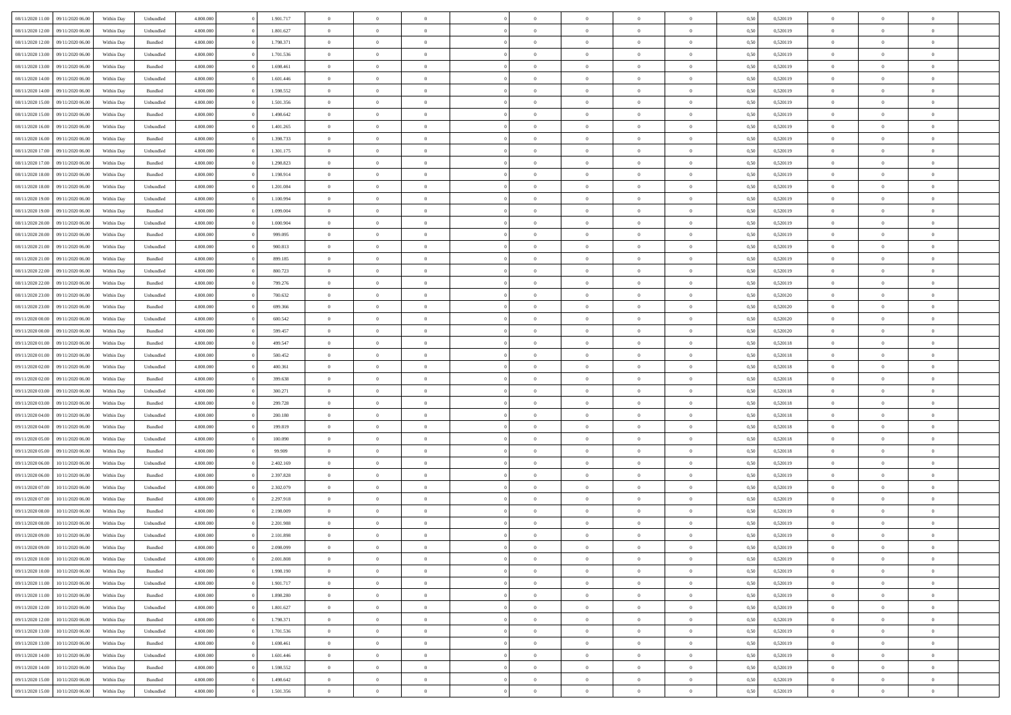| 08/11/2020 11:00 | 09/11/2020 06:00 | Within Dav | Unbundled          | 4.800.000 | 1.901.717 | $\overline{0}$ | $\Omega$       |                | $\Omega$       | $\Omega$       | $\Omega$       | $\theta$       | 0.50 | 0,520119 | $\theta$       | $\theta$       | $\theta$       |  |
|------------------|------------------|------------|--------------------|-----------|-----------|----------------|----------------|----------------|----------------|----------------|----------------|----------------|------|----------|----------------|----------------|----------------|--|
|                  |                  |            |                    |           |           |                |                |                |                |                |                |                |      |          |                |                |                |  |
| 08/11/2020 12:00 | 09/11/2020 06.00 | Within Day | Unbundled          | 4.800.000 | 1.801.627 | $\overline{0}$ | $\theta$       | $\overline{0}$ | $\overline{0}$ | $\bf{0}$       | $\overline{0}$ | $\bf{0}$       | 0,50 | 0,520119 | $\theta$       | $\theta$       | $\overline{0}$ |  |
| 08/11/2020 12:00 | 09/11/2020 06.00 | Within Day | Bundled            | 4.800.000 | 1.798.371 | $\overline{0}$ | $\overline{0}$ | $\overline{0}$ | $\bf{0}$       | $\bf{0}$       | $\bf{0}$       | $\bf{0}$       | 0,50 | 0,520119 | $\bf{0}$       | $\overline{0}$ | $\overline{0}$ |  |
| 08/11/2020 13:00 | 09/11/2020 06:00 | Within Dav | Unbundled          | 4.800.000 | 1.701.536 | $\overline{0}$ | $\overline{0}$ | $\overline{0}$ | $\overline{0}$ | $\bf{0}$       | $\overline{0}$ | $\overline{0}$ | 0.50 | 0.520119 | $\theta$       | $\theta$       | $\overline{0}$ |  |
| 08/11/2020 13:00 | 09/11/2020 06.00 | Within Day | Bundled            | 4.800.000 | 1.698.461 | $\overline{0}$ | $\theta$       | $\overline{0}$ | $\overline{0}$ | $\bf{0}$       | $\overline{0}$ | $\bf{0}$       | 0,50 | 0,520119 | $\theta$       | $\theta$       | $\overline{0}$ |  |
|                  |                  |            |                    |           |           |                |                |                |                |                |                |                |      |          |                |                |                |  |
| 08/11/2020 14:00 | 09/11/2020 06.00 | Within Day | Unbundled          | 4.800.000 | 1.601.446 | $\overline{0}$ | $\bf{0}$       | $\overline{0}$ | $\bf{0}$       | $\overline{0}$ | $\overline{0}$ | $\mathbf{0}$   | 0,50 | 0,520119 | $\overline{0}$ | $\overline{0}$ | $\bf{0}$       |  |
| 08/11/2020 14:00 | 09/11/2020 06:00 | Within Dav | Bundled            | 4.800.000 | 1.598.552 | $\overline{0}$ | $\overline{0}$ | $\overline{0}$ | $\overline{0}$ | $\overline{0}$ | $\overline{0}$ | $\overline{0}$ | 0.50 | 0,520119 | $\theta$       | $\overline{0}$ | $\overline{0}$ |  |
| 08/11/2020 15:00 | 09/11/2020 06.00 | Within Day | Unbundled          | 4.800.000 | 1.501.356 | $\overline{0}$ | $\theta$       | $\overline{0}$ | $\overline{0}$ | $\bf{0}$       | $\overline{0}$ | $\bf{0}$       | 0,50 | 0,520119 | $\theta$       | $\theta$       | $\overline{0}$ |  |
| 08/11/2020 15:00 | 09/11/2020 06.00 | Within Day | Bundled            | 4.800.000 | 1.498.642 | $\overline{0}$ | $\overline{0}$ | $\overline{0}$ | $\bf{0}$       | $\bf{0}$       | $\bf{0}$       | $\bf{0}$       | 0,50 | 0,520119 | $\,0\,$        | $\overline{0}$ | $\overline{0}$ |  |
| 08/11/2020 16:00 | 09/11/2020 06:00 | Within Dav | Unbundled          | 4.800.000 | 1.401.265 | $\overline{0}$ | $\overline{0}$ | $\overline{0}$ | $\overline{0}$ | $\overline{0}$ | $\overline{0}$ | $\overline{0}$ | 0.50 | 0,520119 | $\theta$       | $\overline{0}$ | $\overline{0}$ |  |
| 08/11/2020 16:00 | 09/11/2020 06.00 | Within Day | Bundled            | 4.800.000 | 1.398.733 | $\overline{0}$ | $\theta$       | $\overline{0}$ | $\overline{0}$ | $\bf{0}$       | $\overline{0}$ | $\bf{0}$       | 0,50 | 0,520119 | $\,$ 0 $\,$    | $\theta$       | $\overline{0}$ |  |
|                  |                  |            |                    |           |           |                |                |                |                |                |                |                |      |          |                |                |                |  |
| 08/11/2020 17.00 | 09/11/2020 06.00 | Within Day | Unbundled          | 4.800.000 | 1.301.175 | $\overline{0}$ | $\overline{0}$ | $\overline{0}$ | $\overline{0}$ | $\bf{0}$       | $\overline{0}$ | $\bf{0}$       | 0,50 | 0,520119 | $\overline{0}$ | $\overline{0}$ | $\overline{0}$ |  |
| 08/11/2020 17:00 | 09/11/2020 06:00 | Within Day | Bundled            | 4.800.000 | 1.298.823 | $\overline{0}$ | $\overline{0}$ | $\overline{0}$ | $\overline{0}$ | $\bf{0}$       | $\overline{0}$ | $\overline{0}$ | 0.50 | 0.520119 | $\theta$       | $\theta$       | $\overline{0}$ |  |
| 08/11/2020 18:00 | 09/11/2020 06.00 | Within Day | Bundled            | 4.800.000 | 1.198.914 | $\overline{0}$ | $\theta$       | $\overline{0}$ | $\overline{0}$ | $\bf{0}$       | $\overline{0}$ | $\bf{0}$       | 0,50 | 0,520119 | $\theta$       | $\theta$       | $\overline{0}$ |  |
| 08/11/2020 18.00 | 09/11/2020 06.00 | Within Day | Unbundled          | 4.800.000 | 1.201.084 | $\overline{0}$ | $\bf{0}$       | $\overline{0}$ | $\overline{0}$ | $\overline{0}$ | $\overline{0}$ | $\mathbf{0}$   | 0,50 | 0,520119 | $\overline{0}$ | $\overline{0}$ | $\bf{0}$       |  |
| 08/11/2020 19:00 | 09/11/2020 06:00 | Within Day | Unbundled          | 4.800.000 | 1.100.994 | $\overline{0}$ | $\overline{0}$ | $\overline{0}$ | $\overline{0}$ | $\overline{0}$ | $\overline{0}$ | $\overline{0}$ | 0.50 | 0,520119 | $\theta$       | $\overline{0}$ | $\overline{0}$ |  |
| 08/11/2020 19:00 | 09/11/2020 06.00 | Within Day | Bundled            | 4.800.000 | 1.099.004 | $\overline{0}$ | $\theta$       | $\overline{0}$ | $\overline{0}$ | $\bf{0}$       | $\overline{0}$ | $\bf{0}$       | 0,50 | 0,520119 | $\,$ 0 $\,$    | $\theta$       | $\overline{0}$ |  |
| 08/11/2020 20.00 | 09/11/2020 06.00 | Within Day | Unbundled          | 4.800.000 | 1.000.904 | $\overline{0}$ | $\overline{0}$ | $\overline{0}$ | $\overline{0}$ | $\bf{0}$       | $\overline{0}$ | $\bf{0}$       | 0,50 | 0,520119 | $\,0\,$        | $\overline{0}$ | $\overline{0}$ |  |
| 08/11/2020 20:00 | 09/11/2020 06:00 | Within Day | Bundled            | 4.800.000 | 999,095   | $\overline{0}$ | $\overline{0}$ | $\overline{0}$ | $\overline{0}$ | $\overline{0}$ | $\overline{0}$ | $\overline{0}$ | 0.50 | 0,520119 | $\theta$       | $\overline{0}$ | $\overline{0}$ |  |
|                  |                  |            |                    |           |           |                |                |                |                |                |                |                |      |          |                |                |                |  |
| 08/11/2020 21.00 | 09/11/2020 06.00 | Within Day | Unbundled          | 4.800.000 | 900.813   | $\overline{0}$ | $\theta$       | $\overline{0}$ | $\overline{0}$ | $\bf{0}$       | $\overline{0}$ | $\bf{0}$       | 0,50 | 0,520119 | $\,$ 0 $\,$    | $\theta$       | $\overline{0}$ |  |
| 08/11/2020 21.00 | 09/11/2020 06.00 | Within Day | Bundled            | 4.800.000 | 899.185   | $\overline{0}$ | $\overline{0}$ | $\overline{0}$ | $\overline{0}$ | $\bf{0}$       | $\overline{0}$ | $\bf{0}$       | 0,50 | 0,520119 | $\bf{0}$       | $\overline{0}$ | $\overline{0}$ |  |
| 08/11/2020 22.00 | 09/11/2020 06:00 | Within Day | Unbundled          | 4.800.000 | 800.723   | $\overline{0}$ | $\overline{0}$ | $\overline{0}$ | $\overline{0}$ | $\bf{0}$       | $\overline{0}$ | $\overline{0}$ | 0.50 | 0.520119 | $\theta$       | $\theta$       | $\overline{0}$ |  |
| 08/11/2020 22.00 | 09/11/2020 06.00 | Within Day | Bundled            | 4.800.000 | 799.276   | $\overline{0}$ | $\theta$       | $\overline{0}$ | $\overline{0}$ | $\bf{0}$       | $\overline{0}$ | $\bf{0}$       | 0,50 | 0,520119 | $\,$ 0 $\,$    | $\overline{0}$ | $\overline{0}$ |  |
| 08/11/2020 23.00 | 09/11/2020 06.00 | Within Day | Unbundled          | 4.800.000 | 700.632   | $\overline{0}$ | $\bf{0}$       | $\overline{0}$ | $\overline{0}$ | $\overline{0}$ | $\overline{0}$ | $\mathbf{0}$   | 0,50 | 0,520120 | $\overline{0}$ | $\overline{0}$ | $\bf{0}$       |  |
| 08/11/2020 23.00 | 09/11/2020 06:00 | Within Dav | Bundled            | 4.800.000 | 699.366   | $\overline{0}$ | $\overline{0}$ | $\overline{0}$ | $\overline{0}$ | $\overline{0}$ | $\overline{0}$ | $\overline{0}$ | 0.50 | 0,520120 | $\theta$       | $\theta$       | $\overline{0}$ |  |
| 09/11/2020 00.00 | 09/11/2020 06.00 | Within Day | Unbundled          | 4.800.000 | 600.542   | $\overline{0}$ | $\theta$       | $\overline{0}$ | $\overline{0}$ | $\bf{0}$       | $\overline{0}$ | $\bf{0}$       | 0,50 | 0,520120 | $\theta$       | $\theta$       | $\overline{0}$ |  |
|                  |                  |            |                    |           |           |                |                |                |                |                |                |                |      |          |                |                |                |  |
| 09/11/2020 00:00 | 09/11/2020 06.00 | Within Day | Bundled            | 4.800.000 | 599.457   | $\overline{0}$ | $\overline{0}$ | $\overline{0}$ | $\overline{0}$ | $\bf{0}$       | $\overline{0}$ | $\bf{0}$       | 0,50 | 0,520120 | $\,0\,$        | $\overline{0}$ | $\overline{0}$ |  |
| 09/11/2020 01:00 | 09/11/2020 06:00 | Within Day | Bundled            | 4.800.000 | 499.547   | $\overline{0}$ | $\overline{0}$ | $\overline{0}$ | $\overline{0}$ | $\overline{0}$ | $\overline{0}$ | $\overline{0}$ | 0.50 | 0,520118 | $\theta$       | $\overline{0}$ | $\overline{0}$ |  |
| 09/11/2020 01.00 | 09/11/2020 06.00 | Within Day | Unbundled          | 4.800.000 | 500.452   | $\overline{0}$ | $\theta$       | $\overline{0}$ | $\overline{0}$ | $\bf{0}$       | $\overline{0}$ | $\bf{0}$       | 0,50 | 0,520118 | $\,$ 0 $\,$    | $\overline{0}$ | $\overline{0}$ |  |
| 09/11/2020 02.00 | 09/11/2020 06.00 | Within Day | Unbundled          | 4.800.000 | 400.361   | $\overline{0}$ | $\overline{0}$ | $\overline{0}$ | $\overline{0}$ | $\bf{0}$       | $\overline{0}$ | $\bf{0}$       | 0,50 | 0,520118 | $\bf{0}$       | $\overline{0}$ | $\overline{0}$ |  |
| 09/11/2020 02.00 | 09/11/2020 06.00 | Within Day | Bundled            | 4.800,000 | 399,638   | $\overline{0}$ | $\Omega$       | $\overline{0}$ | $\Omega$       | $\Omega$       | $\overline{0}$ | $\overline{0}$ | 0,50 | 0,520118 | $\,0\,$        | $\theta$       | $\theta$       |  |
| 09/11/2020 03.00 | 09/11/2020 06.00 | Within Day | Unbundled          | 4.800.000 | 300.271   | $\overline{0}$ | $\theta$       | $\overline{0}$ | $\overline{0}$ | $\bf{0}$       | $\overline{0}$ | $\bf{0}$       | 0,50 | 0,520118 | $\,$ 0 $\,$    | $\theta$       | $\overline{0}$ |  |
| 09/11/2020 03.00 | 09/11/2020 06.00 | Within Day | Bundled            | 4.800.000 | 299.728   | $\overline{0}$ | $\overline{0}$ | $\overline{0}$ | $\bf{0}$       | $\bf{0}$       | $\overline{0}$ | $\mathbf{0}$   | 0,50 | 0,520118 | $\bf{0}$       | $\overline{0}$ | $\bf{0}$       |  |
|                  |                  |            |                    |           |           |                |                |                |                |                |                |                |      |          |                |                |                |  |
| 09/11/2020 04.00 | 09/11/2020 06.00 | Within Day | Unbundled          | 4.800,000 | 200.180   | $\overline{0}$ | $\Omega$       | $\Omega$       | $\Omega$       | $\bf{0}$       | $\overline{0}$ | $\overline{0}$ | 0.50 | 0,520118 | $\,0\,$        | $\theta$       | $\theta$       |  |
| 09/11/2020 04:00 | 09/11/2020 06.00 | Within Day | Bundled            | 4.800.000 | 199.819   | $\overline{0}$ | $\theta$       | $\overline{0}$ | $\overline{0}$ | $\bf{0}$       | $\overline{0}$ | $\bf{0}$       | 0,50 | 0,520118 | $\,$ 0 $\,$    | $\theta$       | $\overline{0}$ |  |
| 09/11/2020 05:00 | 09/11/2020 06.00 | Within Day | Unbundled          | 4.800.000 | 100.090   | $\overline{0}$ | $\overline{0}$ | $\overline{0}$ | $\bf{0}$       | $\bf{0}$       | $\bf{0}$       | $\bf{0}$       | 0,50 | 0,520118 | $\,0\,$        | $\overline{0}$ | $\overline{0}$ |  |
| 09/11/2020 05.00 | 09/11/2020 06:00 | Within Day | Bundled            | 4.800,000 | 99,909    | $\overline{0}$ | $\Omega$       | $\Omega$       | $\Omega$       | $\theta$       | $\overline{0}$ | $\overline{0}$ | 0.50 | 0,520118 | $\,0\,$        | $\theta$       | $\theta$       |  |
| 09/11/2020 06.00 | 10/11/2020 06.00 | Within Day | Unbundled          | 4.800.000 | 2.402.169 | $\overline{0}$ | $\theta$       | $\overline{0}$ | $\overline{0}$ | $\,$ 0         | $\overline{0}$ | $\bf{0}$       | 0,50 | 0,520119 | $\,$ 0 $\,$    | $\overline{0}$ | $\overline{0}$ |  |
| 09/11/2020 06.00 | 10/11/2020 06.00 | Within Day | Bundled            | 4.800.000 | 2.397.828 | $\overline{0}$ | $\overline{0}$ | $\overline{0}$ | $\bf{0}$       | $\bf{0}$       | $\bf{0}$       | $\bf{0}$       | 0,50 | 0,520119 | $\bf{0}$       | $\overline{0}$ | $\overline{0}$ |  |
|                  |                  |            |                    |           |           |                |                |                |                |                |                |                |      |          |                |                |                |  |
| 09/11/2020 07.00 | 10/11/2020 06.00 | Within Day | Unbundled          | 4.800,000 | 2.302.079 | $\overline{0}$ | $\Omega$       | $\overline{0}$ | $\Omega$       | $\overline{0}$ | $\overline{0}$ | $\overline{0}$ | 0,50 | 0,520119 | $\,0\,$        | $\theta$       | $\theta$       |  |
| 09/11/2020 07.00 | 10/11/2020 06.00 | Within Day | Bundled            | 4.800.000 | 2.297.918 | $\overline{0}$ | $\theta$       | $\overline{0}$ | $\overline{0}$ | $\,$ 0         | $\overline{0}$ | $\bf{0}$       | 0,50 | 0,520119 | $\,$ 0 $\,$    | $\overline{0}$ | $\overline{0}$ |  |
| 09/11/2020 08.00 | 10/11/2020 06.00 | Within Day | Bundled            | 4.800.000 | 2.198.009 | $\overline{0}$ | $\overline{0}$ | $\overline{0}$ | $\bf{0}$       | $\bf{0}$       | $\bf{0}$       | $\mathbf{0}$   | 0,50 | 0,520119 | $\bf{0}$       | $\overline{0}$ | $\bf{0}$       |  |
| 09/11/2020 08:00 | 10/11/2020 06:00 | Within Day | Unbundled          | 4.800,000 | 2.201.988 | $\overline{0}$ | $\Omega$       | $\Omega$       | $\Omega$       | $\Omega$       | $\Omega$       | $\overline{0}$ | 0.50 | 0,520119 | $\theta$       | $\theta$       | $\theta$       |  |
| 09/11/2020 09:00 | 10/11/2020 06.00 | Within Day | Unbundled          | 4.800.000 | 2.101.898 | $\bf{0}$       | $\overline{0}$ | $\overline{0}$ | $\bf{0}$       | $\,$ 0         | $\bf{0}$       | $\bf{0}$       | 0,50 | 0,520119 | $\,0\,$        | $\overline{0}$ | $\overline{0}$ |  |
| 09/11/2020 09:00 | 10/11/2020 06.00 | Within Day | Bundled            | 4.800.000 | 2.098.099 | $\bf{0}$       | $\bf{0}$       |                |                | $\bf{0}$       |                |                | 0,50 | 0,520119 | $\bf{0}$       | $\overline{0}$ |                |  |
| 09/11/2020 10:00 | 10/11/2020 06:00 | Within Day | Unbundled          | 4.800.000 | 2.001.808 | $\overline{0}$ | $\overline{0}$ | $\overline{0}$ | $\Omega$       | $\overline{0}$ | $\overline{0}$ | $\overline{0}$ | 0,50 | 0,520119 | $\theta$       | $\theta$       | $\theta$       |  |
| 09/11/2020 10:00 | 10/11/2020 06.00 | Within Day | Bundled            | 4.800.000 | 1.998.190 | $\overline{0}$ | $\,$ 0         | $\overline{0}$ | $\bf{0}$       | $\,$ 0 $\,$    | $\overline{0}$ | $\mathbf{0}$   | 0,50 | 0,520119 | $\,$ 0 $\,$    | $\,$ 0 $\,$    | $\,$ 0         |  |
| 09/11/2020 11:00 | 10/11/2020 06:00 | Within Day | Unbundled          | 4.800.000 | 1.901.717 | $\overline{0}$ | $\overline{0}$ | $\overline{0}$ | $\overline{0}$ | $\overline{0}$ | $\overline{0}$ | $\mathbf{0}$   | 0,50 | 0,520119 | $\overline{0}$ | $\bf{0}$       | $\bf{0}$       |  |
|                  |                  |            |                    |           |           |                |                |                |                |                |                |                |      |          |                |                |                |  |
| 09/11/2020 11:00 | 10/11/2020 06:00 | Within Day | $\mathbf B$ undled | 4.800,000 | 1.898.280 | $\overline{0}$ | $\overline{0}$ | $\overline{0}$ | $\Omega$       | $\overline{0}$ | $\overline{0}$ | $\overline{0}$ | 0,50 | 0,520119 | $\overline{0}$ | $\theta$       | $\overline{0}$ |  |
| 09/11/2020 12.00 | 10/11/2020 06.00 | Within Day | Unbundled          | 4.800.000 | 1.801.627 | $\overline{0}$ | $\,$ 0         | $\overline{0}$ | $\overline{0}$ | $\,$ 0 $\,$    | $\overline{0}$ | $\mathbf{0}$   | 0,50 | 0,520119 | $\,$ 0 $\,$    | $\overline{0}$ | $\overline{0}$ |  |
| 09/11/2020 12:00 | 10/11/2020 06:00 | Within Day | Bundled            | 4.800.000 | 1.798.371 | $\overline{0}$ | $\overline{0}$ | $\overline{0}$ | $\overline{0}$ | $\overline{0}$ | $\overline{0}$ | $\mathbf{0}$   | 0,50 | 0,520119 | $\overline{0}$ | $\overline{0}$ | $\bf{0}$       |  |
| 09/11/2020 13:00 | 10/11/2020 06:00 | Within Day | Unbundled          | 4.800,000 | 1.701.536 | $\overline{0}$ | $\overline{0}$ | $\overline{0}$ | $\Omega$       | $\overline{0}$ | $\overline{0}$ | $\bf{0}$       | 0.50 | 0,520119 | $\overline{0}$ | $\theta$       | $\overline{0}$ |  |
| 09/11/2020 13:00 | 10/11/2020 06.00 | Within Day | Bundled            | 4.800.000 | 1.698.461 | $\overline{0}$ | $\,$ 0         | $\overline{0}$ | $\bf{0}$       | $\bf{0}$       | $\bf{0}$       | $\bf{0}$       | 0,50 | 0,520119 | $\,$ 0 $\,$    | $\overline{0}$ | $\overline{0}$ |  |
| 09/11/2020 14:00 | 10/11/2020 06:00 | Within Day | Unbundled          | 4.800.000 | 1.601.446 | $\overline{0}$ | $\bf{0}$       | $\overline{0}$ | $\overline{0}$ | $\overline{0}$ | $\overline{0}$ | $\mathbf{0}$   | 0,50 | 0,520119 | $\overline{0}$ | $\overline{0}$ | $\bf{0}$       |  |
| 09/11/2020 14:00 | 10/11/2020 06:00 | Within Day | Bundled            | 4.800,000 | 1.598.552 | $\overline{0}$ | $\overline{0}$ | $\overline{0}$ | $\Omega$       | $\overline{0}$ | $\overline{0}$ | $\overline{0}$ | 0.50 | 0,520119 | $\overline{0}$ | $\theta$       | $\overline{0}$ |  |
|                  |                  |            |                    |           |           |                | $\bf{0}$       |                |                |                |                |                |      |          | $\,$ 0 $\,$    | $\,$ 0 $\,$    |                |  |
| 09/11/2020 15.00 | 10/11/2020 06.00 | Within Day | Bundled            | 4.800.000 | 1.498.642 | $\overline{0}$ |                | $\overline{0}$ | $\bf{0}$       | $\bf{0}$       | $\overline{0}$ | $\mathbf{0}$   | 0,50 | 0,520119 |                |                | $\bf{0}$       |  |
| 09/11/2020 15.00 | 10/11/2020 06.00 | Within Day | Unbundled          | 4.800.000 | 1.501.356 | $\overline{0}$ | $\overline{0}$ | $\overline{0}$ | $\overline{0}$ | $\bf{0}$       | $\overline{0}$ | $\mathbf{0}$   | 0,50 | 0,520119 | $\overline{0}$ | $\bf{0}$       | $\bf{0}$       |  |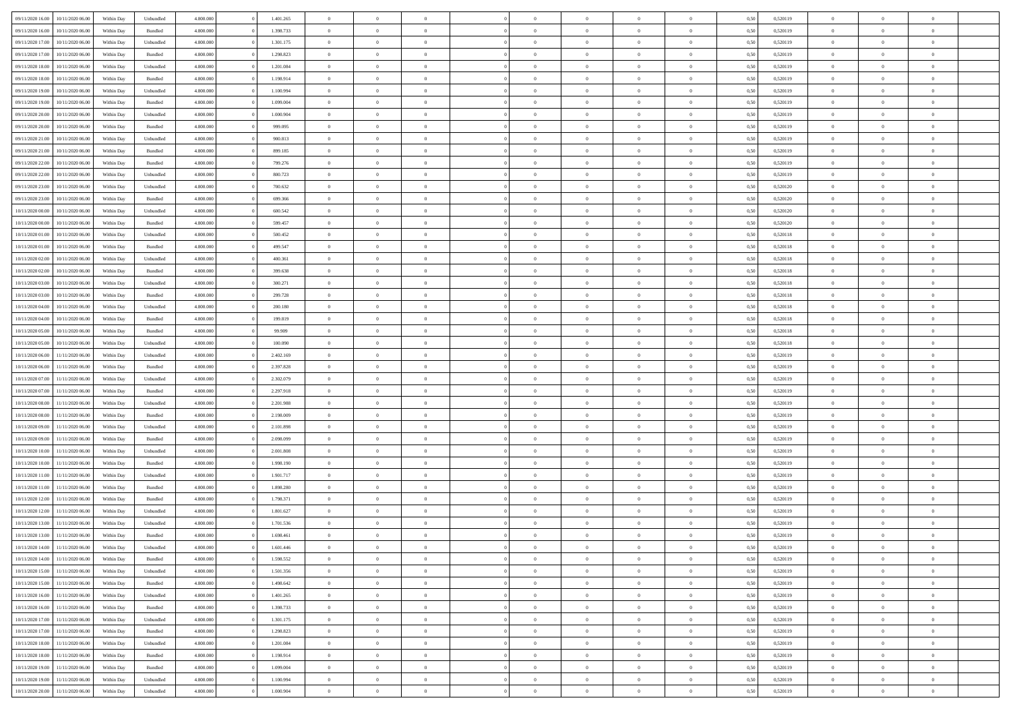| 09/11/2020 16:00 | 10/11/2020 06:00 | Within Dav | Unbundled | 4.800.000 | 1.401.265 | $\overline{0}$ | $\Omega$       |                | $\Omega$       | $\Omega$       | $\Omega$       | $\theta$       | 0.50 | 0,520119 | $\theta$       | $\theta$       | $\theta$       |  |
|------------------|------------------|------------|-----------|-----------|-----------|----------------|----------------|----------------|----------------|----------------|----------------|----------------|------|----------|----------------|----------------|----------------|--|
|                  |                  |            |           |           |           |                |                |                |                |                |                |                |      |          |                |                |                |  |
| 09/11/2020 16.00 | 10/11/2020 06.00 | Within Day | Bundled   | 4.800.000 | 1.398.733 | $\overline{0}$ | $\theta$       | $\overline{0}$ | $\overline{0}$ | $\bf{0}$       | $\overline{0}$ | $\bf{0}$       | 0,50 | 0,520119 | $\theta$       | $\theta$       | $\overline{0}$ |  |
| 09/11/2020 17.00 | 10/11/2020 06.00 | Within Day | Unbundled | 4.800.000 | 1.301.175 | $\overline{0}$ | $\overline{0}$ | $\overline{0}$ | $\overline{0}$ | $\bf{0}$       | $\overline{0}$ | $\bf{0}$       | 0,50 | 0,520119 | $\bf{0}$       | $\overline{0}$ | $\overline{0}$ |  |
| 09/11/2020 17:00 | 10/11/2020 06:00 | Within Dav | Bundled   | 4.800.000 | 1.298.823 | $\overline{0}$ | $\overline{0}$ | $\overline{0}$ | $\overline{0}$ | $\bf{0}$       | $\overline{0}$ | $\overline{0}$ | 0.50 | 0.520119 | $\theta$       | $\theta$       | $\overline{0}$ |  |
| 09/11/2020 18.00 | 10/11/2020 06.00 | Within Day | Unbundled | 4.800.000 | 1.201.084 | $\overline{0}$ | $\theta$       | $\overline{0}$ | $\overline{0}$ | $\bf{0}$       | $\overline{0}$ | $\bf{0}$       | 0,50 | 0,520119 | $\theta$       | $\theta$       | $\overline{0}$ |  |
| 09/11/2020 18.00 | 10/11/2020 06.00 | Within Day | Bundled   | 4.800.000 | 1.198.914 | $\overline{0}$ | $\bf{0}$       | $\overline{0}$ | $\overline{0}$ | $\overline{0}$ | $\overline{0}$ | $\mathbf{0}$   | 0,50 | 0,520119 | $\overline{0}$ | $\overline{0}$ | $\bf{0}$       |  |
|                  |                  |            |           |           |           |                |                |                |                | $\overline{0}$ |                |                |      |          | $\theta$       | $\overline{0}$ | $\overline{0}$ |  |
| 09/11/2020 19:00 | 10/11/2020 06:00 | Within Dav | Unbundled | 4.800.000 | 1.100.994 | $\overline{0}$ | $\overline{0}$ | $\overline{0}$ | $\overline{0}$ |                | $\overline{0}$ | $\overline{0}$ | 0.50 | 0,520119 |                |                |                |  |
| 09/11/2020 19:00 | 10/11/2020 06.00 | Within Day | Bundled   | 4.800.000 | 1.099.004 | $\overline{0}$ | $\theta$       | $\overline{0}$ | $\overline{0}$ | $\bf{0}$       | $\overline{0}$ | $\bf{0}$       | 0,50 | 0,520119 | $\theta$       | $\theta$       | $\overline{0}$ |  |
| 09/11/2020 20.00 | 10/11/2020 06.00 | Within Day | Unbundled | 4.800.000 | 1.000.904 | $\overline{0}$ | $\overline{0}$ | $\overline{0}$ | $\overline{0}$ | $\bf{0}$       | $\overline{0}$ | $\bf{0}$       | 0,50 | 0,520119 | $\,0\,$        | $\overline{0}$ | $\overline{0}$ |  |
| 09/11/2020 20.00 | 10/11/2020 06.00 | Within Dav | Bundled   | 4.800.000 | 999.095   | $\overline{0}$ | $\overline{0}$ | $\overline{0}$ | $\overline{0}$ | $\overline{0}$ | $\overline{0}$ | $\overline{0}$ | 0.50 | 0,520119 | $\theta$       | $\overline{0}$ | $\overline{0}$ |  |
| 09/11/2020 21.00 | 10/11/2020 06.00 | Within Day | Unbundled | 4.800.000 | 900.813   | $\overline{0}$ | $\theta$       | $\overline{0}$ | $\overline{0}$ | $\bf{0}$       | $\overline{0}$ | $\bf{0}$       | 0,50 | 0,520119 | $\,$ 0 $\,$    | $\theta$       | $\overline{0}$ |  |
| 09/11/2020 21:00 | 10/11/2020 06.00 | Within Day | Bundled   | 4.800.000 | 899.185   | $\overline{0}$ | $\overline{0}$ | $\overline{0}$ | $\overline{0}$ | $\bf{0}$       | $\overline{0}$ | $\bf{0}$       | 0,50 | 0,520119 | $\overline{0}$ | $\overline{0}$ | $\overline{0}$ |  |
| 09/11/2020 22.00 | 10/11/2020 06:00 | Within Day | Bundled   | 4.800.000 | 799.276   | $\overline{0}$ | $\overline{0}$ | $\overline{0}$ | $\overline{0}$ | $\bf{0}$       | $\overline{0}$ | $\overline{0}$ | 0.50 | 0.520119 | $\theta$       | $\theta$       | $\overline{0}$ |  |
|                  |                  |            |           |           |           |                |                |                |                |                |                |                |      |          |                |                |                |  |
| 09/11/2020 22.00 | 10/11/2020 06.00 | Within Day | Unbundled | 4.800.000 | 800.723   | $\overline{0}$ | $\theta$       | $\overline{0}$ | $\overline{0}$ | $\bf{0}$       | $\overline{0}$ | $\bf{0}$       | 0,50 | 0,520119 | $\theta$       | $\theta$       | $\overline{0}$ |  |
| 09/11/2020 23.00 | 10/11/2020 06.00 | Within Day | Unbundled | 4.800.000 | 700.632   | $\overline{0}$ | $\bf{0}$       | $\overline{0}$ | $\overline{0}$ | $\overline{0}$ | $\overline{0}$ | $\mathbf{0}$   | 0,50 | 0,520120 | $\overline{0}$ | $\overline{0}$ | $\bf{0}$       |  |
| 09/11/2020 23.00 | 10/11/2020 06:00 | Within Dav | Bundled   | 4.800.000 | 699.366   | $\overline{0}$ | $\overline{0}$ | $\overline{0}$ | $\overline{0}$ | $\overline{0}$ | $\overline{0}$ | $\overline{0}$ | 0.50 | 0,520120 | $\theta$       | $\overline{0}$ | $\overline{0}$ |  |
| 10/11/2020 00:00 | 10/11/2020 06.00 | Within Day | Unbundled | 4.800.000 | 600.542   | $\overline{0}$ | $\theta$       | $\overline{0}$ | $\overline{0}$ | $\bf{0}$       | $\overline{0}$ | $\bf{0}$       | 0,50 | 0,520120 | $\,$ 0 $\,$    | $\theta$       | $\overline{0}$ |  |
| 10/11/2020 00:00 | 10/11/2020 06.00 | Within Day | Bundled   | 4.800.000 | 599.457   | $\overline{0}$ | $\overline{0}$ | $\overline{0}$ | $\bf{0}$       | $\bf{0}$       | $\bf{0}$       | $\bf{0}$       | 0,50 | 0,520120 | $\bf{0}$       | $\overline{0}$ | $\overline{0}$ |  |
| 10/11/2020 01:00 | 10/11/2020 06:00 | Within Day | Unbundled | 4.800.000 | 500,452   | $\overline{0}$ | $\overline{0}$ | $\overline{0}$ | $\overline{0}$ | $\overline{0}$ | $\overline{0}$ | $\overline{0}$ | 0.50 | 0,520118 | $\theta$       | $\overline{0}$ | $\overline{0}$ |  |
| 10/11/2020 01:00 | 10/11/2020 06.00 | Within Day | Bundled   | 4.800.000 | 499.547   | $\overline{0}$ | $\theta$       | $\overline{0}$ | $\overline{0}$ | $\bf{0}$       | $\overline{0}$ | $\bf{0}$       | 0,50 | 0,520118 | $\,$ 0 $\,$    | $\theta$       | $\overline{0}$ |  |
|                  |                  |            |           |           |           |                |                |                |                |                |                |                |      |          |                |                |                |  |
| 10/11/2020 02.00 | 10/11/2020 06.00 | Within Day | Unbundled | 4.800.000 | 400.361   | $\overline{0}$ | $\overline{0}$ | $\overline{0}$ | $\bf{0}$       | $\bf{0}$       | $\bf{0}$       | $\bf{0}$       | 0,50 | 0,520118 | $\,0\,$        | $\overline{0}$ | $\overline{0}$ |  |
| 10/11/2020 02:00 | 10/11/2020 06:00 | Within Day | Bundled   | 4.800.000 | 399,638   | $\overline{0}$ | $\overline{0}$ | $\overline{0}$ | $\overline{0}$ | $\bf{0}$       | $\overline{0}$ | $\overline{0}$ | 0.50 | 0.520118 | $\theta$       | $\theta$       | $\overline{0}$ |  |
| 10/11/2020 03:00 | 10/11/2020 06.00 | Within Day | Unbundled | 4.800.000 | 300.271   | $\overline{0}$ | $\theta$       | $\overline{0}$ | $\overline{0}$ | $\bf{0}$       | $\overline{0}$ | $\bf{0}$       | 0,50 | 0,520118 | $\,$ 0 $\,$    | $\overline{0}$ | $\overline{0}$ |  |
| 10/11/2020 03:00 | 10/11/2020 06.00 | Within Day | Bundled   | 4.800.000 | 299.728   | $\overline{0}$ | $\bf{0}$       | $\overline{0}$ | $\bf{0}$       | $\overline{0}$ | $\overline{0}$ | $\mathbf{0}$   | 0,50 | 0,520118 | $\overline{0}$ | $\overline{0}$ | $\bf{0}$       |  |
| 10/11/2020 04:00 | 10/11/2020 06:00 | Within Day | Unbundled | 4.800.000 | 200.180   | $\overline{0}$ | $\overline{0}$ | $\overline{0}$ | $\overline{0}$ | $\overline{0}$ | $\overline{0}$ | $\overline{0}$ | 0.50 | 0,520118 | $\theta$       | $\overline{0}$ | $\overline{0}$ |  |
| 10/11/2020 04:00 | 10/11/2020 06.00 | Within Day | Bundled   | 4.800.000 | 199.819   | $\overline{0}$ | $\theta$       | $\overline{0}$ | $\overline{0}$ | $\bf{0}$       | $\overline{0}$ | $\bf{0}$       | 0,50 | 0,520118 | $\theta$       | $\theta$       | $\overline{0}$ |  |
|                  |                  |            |           |           |           |                |                |                |                |                |                |                |      |          |                |                |                |  |
| 10/11/2020 05:00 | 10/11/2020 06.00 | Within Day | Bundled   | 4.800.000 | 99.909    | $\overline{0}$ | $\overline{0}$ | $\overline{0}$ | $\bf{0}$       | $\bf{0}$       | $\bf{0}$       | $\bf{0}$       | 0,50 | 0,520118 | $\,0\,$        | $\overline{0}$ | $\overline{0}$ |  |
| 10/11/2020 05:00 | 10/11/2020 06:00 | Within Day | Unbundled | 4.800.000 | 100.090   | $\overline{0}$ | $\overline{0}$ | $\overline{0}$ | $\overline{0}$ | $\overline{0}$ | $\overline{0}$ | $\overline{0}$ | 0.50 | 0,520118 | $\theta$       | $\overline{0}$ | $\overline{0}$ |  |
| 10/11/2020 06:00 | 11/11/2020 06.00 | Within Day | Unbundled | 4.800.000 | 2.402.169 | $\overline{0}$ | $\theta$       | $\overline{0}$ | $\overline{0}$ | $\bf{0}$       | $\overline{0}$ | $\bf{0}$       | 0,50 | 0,520119 | $\,$ 0 $\,$    | $\overline{0}$ | $\overline{0}$ |  |
| 10/11/2020 06.00 | 11/11/2020 06.00 | Within Day | Bundled   | 4.800.000 | 2.397.828 | $\overline{0}$ | $\overline{0}$ | $\overline{0}$ | $\bf{0}$       | $\bf{0}$       | $\bf{0}$       | $\bf{0}$       | 0,50 | 0,520119 | $\overline{0}$ | $\overline{0}$ | $\overline{0}$ |  |
| 10/11/2020 07:00 | 11/11/2020 06.00 | Within Day | Unbundled | 4.800.000 | 2.302.079 | $\overline{0}$ | $\Omega$       | $\overline{0}$ | $\Omega$       | $\Omega$       | $\overline{0}$ | $\overline{0}$ | 0,50 | 0,520119 | $\,0\,$        | $\theta$       | $\theta$       |  |
| 10/11/2020 07:00 | 11/11/2020 06.00 | Within Day | Bundled   | 4.800.000 | 2.297.918 | $\overline{0}$ | $\theta$       | $\overline{0}$ | $\overline{0}$ | $\bf{0}$       | $\overline{0}$ | $\bf{0}$       | 0,50 | 0,520119 | $\,$ 0 $\,$    | $\theta$       | $\overline{0}$ |  |
| 10/11/2020 08:00 | 11/11/2020 06.00 | Within Day | Unbundled | 4.800.000 | 2.201.988 | $\overline{0}$ | $\overline{0}$ | $\overline{0}$ | $\bf{0}$       | $\bf{0}$       | $\overline{0}$ | $\mathbf{0}$   | 0,50 | 0,520119 | $\overline{0}$ | $\overline{0}$ | $\bf{0}$       |  |
|                  |                  |            |           | 4.800,000 |           | $\overline{0}$ | $\Omega$       | $\Omega$       | $\Omega$       | $\bf{0}$       |                |                |      |          |                | $\theta$       | $\theta$       |  |
| 10/11/2020 08:00 | 11/11/2020 06.00 | Within Day | Bundled   |           | 2.198.009 |                |                |                |                |                | $\overline{0}$ | $\overline{0}$ | 0.50 | 0,520119 | $\,0\,$        |                |                |  |
| 10/11/2020 09:00 | 11/11/2020 06.00 | Within Day | Unbundled | 4.800.000 | 2.101.898 | $\overline{0}$ | $\theta$       | $\overline{0}$ | $\overline{0}$ | $\bf{0}$       | $\overline{0}$ | $\bf{0}$       | 0,50 | 0,520119 | $\,$ 0 $\,$    | $\theta$       | $\overline{0}$ |  |
| 10/11/2020 09:00 | 11/11/2020 06.00 | Within Day | Bundled   | 4.800.000 | 2.098.099 | $\overline{0}$ | $\overline{0}$ | $\overline{0}$ | $\bf{0}$       | $\bf{0}$       | $\bf{0}$       | $\bf{0}$       | 0,50 | 0,520119 | $\bf{0}$       | $\overline{0}$ | $\overline{0}$ |  |
| 10/11/2020 10:00 | 11/11/2020 06.00 | Within Day | Unbundled | 4.800,000 | 2.001.808 | $\overline{0}$ | $\Omega$       | $\Omega$       | $\Omega$       | $\theta$       | $\overline{0}$ | $\overline{0}$ | 0.50 | 0,520119 | $\,0\,$        | $\theta$       | $\theta$       |  |
| 10/11/2020 10:00 | 11/11/2020 06.00 | Within Day | Bundled   | 4.800.000 | 1.998.190 | $\overline{0}$ | $\theta$       | $\overline{0}$ | $\overline{0}$ | $\,$ 0         | $\overline{0}$ | $\bf{0}$       | 0,50 | 0,520119 | $\,$ 0 $\,$    | $\overline{0}$ | $\overline{0}$ |  |
| 10/11/2020 11:00 | 11/11/2020 06.00 | Within Day | Unbundled | 4.800.000 | 1.901.717 | $\overline{0}$ | $\overline{0}$ | $\overline{0}$ | $\overline{0}$ | $\bf{0}$       | $\overline{0}$ | $\bf{0}$       | 0,50 | 0,520119 | $\overline{0}$ | $\overline{0}$ | $\overline{0}$ |  |
| 10/11/2020 11:00 | 11/11/2020 06.00 | Within Day | Bundled   | 4.800,000 | 1.898.280 | $\overline{0}$ | $\Omega$       | $\overline{0}$ | $\Omega$       | $\overline{0}$ | $\overline{0}$ | $\overline{0}$ | 0,50 | 0,520119 | $\,0\,$        | $\theta$       | $\theta$       |  |
| 10/11/2020 12:00 | 11/11/2020 06.00 | Within Day | Bundled   | 4.800.000 | 1.798.371 | $\overline{0}$ | $\theta$       | $\overline{0}$ | $\overline{0}$ | $\,$ 0         | $\overline{0}$ | $\bf{0}$       | 0,50 | 0,520119 | $\,$ 0 $\,$    | $\overline{0}$ | $\overline{0}$ |  |
|                  |                  |            |           |           |           |                |                |                |                |                |                |                |      |          |                |                |                |  |
| 10/11/2020 12:00 | 11/11/2020 06.00 | Within Day | Unbundled | 4.800.000 | 1.801.627 | $\overline{0}$ | $\overline{0}$ | $\overline{0}$ | $\overline{0}$ | $\bf{0}$       | $\overline{0}$ | $\mathbf{0}$   | 0,50 | 0,520119 | $\overline{0}$ | $\overline{0}$ | $\bf{0}$       |  |
| 10/11/2020 13:00 | 11/11/2020 06.00 | Within Day | Unbundled | 4.800,000 | 1.701.536 | $\overline{0}$ | $\Omega$       | $\Omega$       | $\Omega$       | $\Omega$       | $\Omega$       | $\overline{0}$ | 0.50 | 0,520119 | $\theta$       | $\theta$       | $\theta$       |  |
| 10/11/2020 13:00 | 11/11/2020 06.00 | Within Day | Bundled   | 4.800.000 | 1.698.461 | $\overline{0}$ | $\,$ 0 $\,$    | $\overline{0}$ | $\bf{0}$       | $\,$ 0         | $\overline{0}$ | $\bf{0}$       | 0,50 | 0,520119 | $\,0\,$        | $\overline{0}$ | $\overline{0}$ |  |
| 10/11/2020 14:00 | 11/11/2020 06.00 | Within Day | Unbundled | 4.800.000 | 1.601.446 | $\bf{0}$       | $\bf{0}$       |                |                | $\bf{0}$       |                |                | 0,50 | 0,520119 | $\bf{0}$       | $\overline{0}$ |                |  |
| 10/11/2020 14:00 | 11/11/2020 06.00 | Within Day | Bundled   | 4.800.000 | 1.598.552 | $\overline{0}$ | $\overline{0}$ | $\overline{0}$ | $\Omega$       | $\theta$       | $\overline{0}$ | $\overline{0}$ | 0,50 | 0,520119 | $\theta$       | $\theta$       | $\theta$       |  |
| 10/11/2020 15:00 | 11/11/2020 06.00 | Within Day | Unbundled | 4.800.000 | 1.501.356 | $\overline{0}$ | $\,$ 0         | $\overline{0}$ | $\overline{0}$ | $\,$ 0 $\,$    | $\overline{0}$ | $\mathbf{0}$   | 0,50 | 0,520119 | $\,$ 0 $\,$    | $\,$ 0 $\,$    | $\,$ 0         |  |
| 10/11/2020 15.00 | 11/11/2020 06.00 | Within Day | Bundled   | 4.800.000 | 1.498.642 | $\overline{0}$ | $\overline{0}$ | $\overline{0}$ | $\overline{0}$ | $\overline{0}$ | $\overline{0}$ | $\mathbf{0}$   | 0,50 | 0,520119 | $\overline{0}$ | $\bf{0}$       | $\bf{0}$       |  |
|                  |                  |            |           |           |           |                |                |                |                |                |                |                |      |          |                |                |                |  |
| 10/11/2020 16:00 | 11/11/2020 06.00 | Within Day | Unbundled | 4.800,000 | 1.401.265 | $\overline{0}$ | $\overline{0}$ | $\overline{0}$ | $\Omega$       | $\overline{0}$ | $\overline{0}$ | $\overline{0}$ | 0,50 | 0,520119 | $\overline{0}$ | $\overline{0}$ | $\overline{0}$ |  |
| 10/11/2020 16:00 | 11/11/2020 06.00 | Within Day | Bundled   | 4.800.000 | 1.398.733 | $\overline{0}$ | $\,$ 0         | $\overline{0}$ | $\overline{0}$ | $\,$ 0 $\,$    | $\overline{0}$ | $\mathbf{0}$   | 0,50 | 0,520119 | $\,$ 0 $\,$    | $\overline{0}$ | $\overline{0}$ |  |
| 10/11/2020 17.00 | 11/11/2020 06.00 | Within Day | Unbundled | 4.800.000 | 1.301.175 | $\overline{0}$ | $\overline{0}$ | $\overline{0}$ | $\overline{0}$ | $\overline{0}$ | $\overline{0}$ | $\mathbf{0}$   | 0,50 | 0,520119 | $\overline{0}$ | $\overline{0}$ | $\bf{0}$       |  |
| 10/11/2020 17:00 | 11/11/2020 06.00 | Within Day | Bundled   | 4.800.000 | 1.298.823 | $\overline{0}$ | $\overline{0}$ | $\overline{0}$ | $\Omega$       | $\overline{0}$ | $\overline{0}$ | $\bf{0}$       | 0.50 | 0,520119 | $\overline{0}$ | $\theta$       | $\overline{0}$ |  |
| 10/11/2020 18:00 | 11/11/2020 06.00 | Within Day | Unbundled | 4.800.000 | 1.201.084 | $\overline{0}$ | $\,$ 0         | $\overline{0}$ | $\overline{0}$ | $\bf{0}$       | $\overline{0}$ | $\bf{0}$       | 0,50 | 0,520119 | $\,$ 0 $\,$    | $\overline{0}$ | $\overline{0}$ |  |
| 10/11/2020 18:00 | 11/11/2020 06.00 | Within Day | Bundled   | 4.800.000 | 1.198.914 | $\overline{0}$ | $\bf{0}$       | $\overline{0}$ | $\overline{0}$ | $\overline{0}$ | $\overline{0}$ | $\mathbf{0}$   | 0,50 | 0,520119 | $\overline{0}$ | $\overline{0}$ | $\bf{0}$       |  |
|                  |                  |            | Bundled   | 4.800,000 | 1.099.004 | $\overline{0}$ | $\overline{0}$ | $\overline{0}$ | $\Omega$       | $\overline{0}$ | $\overline{0}$ |                | 0.50 |          | $\overline{0}$ | $\theta$       | $\overline{0}$ |  |
| 10/11/2020 19:00 | 11/11/2020 06.00 | Within Day |           |           |           |                |                |                |                |                |                | $\bf{0}$       |      | 0,520119 |                |                |                |  |
| 10/11/2020 19:00 | 11/11/2020 06.00 | Within Day | Unbundled | 4.800.000 | 1.100.994 | $\overline{0}$ | $\bf{0}$       | $\overline{0}$ | $\bf{0}$       | $\bf{0}$       | $\overline{0}$ | $\mathbf{0}$   | 0,50 | 0,520119 | $\,$ 0 $\,$    | $\,$ 0 $\,$    | $\bf{0}$       |  |
| 10/11/2020 20:00 | 11/11/2020 06.00 | Within Day | Unbundled | 4.800.000 | 1.000.904 | $\overline{0}$ | $\overline{0}$ | $\overline{0}$ | $\overline{0}$ | $\bf{0}$       | $\overline{0}$ | $\mathbf{0}$   | 0,50 | 0,520119 | $\overline{0}$ | $\bf{0}$       | $\bf{0}$       |  |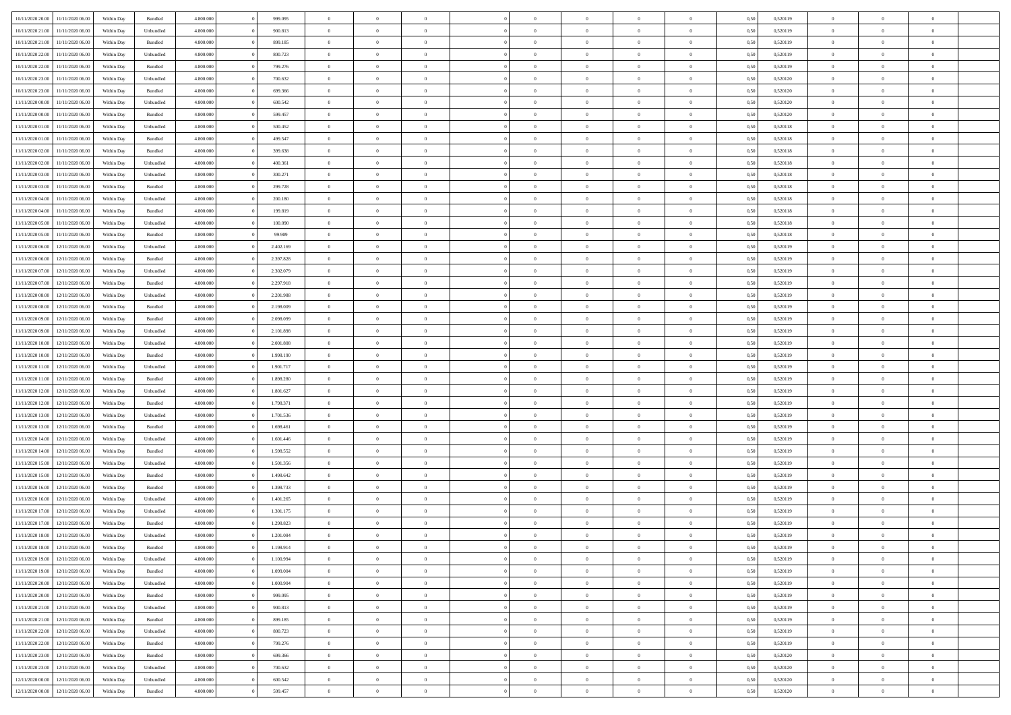| 10/11/2020 20:00 | 11/11/2020 06:00 | Within Dav | Bundled            | 4.800.000 | 999.095   | $\overline{0}$ | $\Omega$       |                | $\Omega$       | $\Omega$       | $\Omega$       | $\theta$       | 0.50 | 0,520119 | $\theta$       | $\theta$       | $\theta$       |  |
|------------------|------------------|------------|--------------------|-----------|-----------|----------------|----------------|----------------|----------------|----------------|----------------|----------------|------|----------|----------------|----------------|----------------|--|
|                  |                  |            |                    |           |           |                |                |                |                |                |                |                |      |          |                |                |                |  |
| 10/11/2020 21.00 | 11/11/2020 06.00 | Within Day | Unbundled          | 4.800.000 | 900.813   | $\overline{0}$ | $\theta$       | $\overline{0}$ | $\overline{0}$ | $\bf{0}$       | $\overline{0}$ | $\bf{0}$       | 0,50 | 0,520119 | $\theta$       | $\theta$       | $\overline{0}$ |  |
| 10/11/2020 21:00 | 11/11/2020 06.00 | Within Day | Bundled            | 4.800.000 | 899.185   | $\overline{0}$ | $\overline{0}$ | $\overline{0}$ | $\bf{0}$       | $\bf{0}$       | $\bf{0}$       | $\bf{0}$       | 0,50 | 0,520119 | $\bf{0}$       | $\overline{0}$ | $\overline{0}$ |  |
| 10/11/2020 22.00 | 11/11/2020 06:00 | Within Dav | Unbundled          | 4.800.000 | 800.723   | $\overline{0}$ | $\overline{0}$ | $\overline{0}$ | $\overline{0}$ | $\bf{0}$       | $\overline{0}$ | $\overline{0}$ | 0.50 | 0.520119 | $\theta$       | $\theta$       | $\overline{0}$ |  |
| 10/11/2020 22.00 | 11/11/2020 06.00 | Within Day | Bundled            | 4.800.000 | 799.276   | $\overline{0}$ | $\theta$       | $\overline{0}$ | $\overline{0}$ | $\bf{0}$       | $\overline{0}$ | $\bf{0}$       | 0,50 | 0,520119 | $\theta$       | $\theta$       | $\overline{0}$ |  |
| 10/11/2020 23.00 | 11/11/2020 06.00 | Within Day | Unbundled          | 4.800.000 | 700.632   | $\overline{0}$ | $\bf{0}$       | $\overline{0}$ | $\bf{0}$       | $\overline{0}$ | $\overline{0}$ | $\mathbf{0}$   | 0,50 | 0,520120 | $\bf{0}$       | $\overline{0}$ | $\bf{0}$       |  |
|                  |                  |            |                    |           |           |                |                |                |                |                |                |                |      |          |                |                |                |  |
| 10/11/2020 23.00 | 11/11/2020 06.00 | Within Dav | Bundled            | 4.800.000 | 699.366   | $\overline{0}$ | $\overline{0}$ | $\overline{0}$ | $\overline{0}$ | $\overline{0}$ | $\overline{0}$ | $\overline{0}$ | 0.50 | 0,520120 | $\theta$       | $\overline{0}$ | $\overline{0}$ |  |
| 11/11/2020 00.00 | 11/11/2020 06.00 | Within Day | Unbundled          | 4.800.000 | 600.542   | $\overline{0}$ | $\theta$       | $\overline{0}$ | $\overline{0}$ | $\bf{0}$       | $\overline{0}$ | $\bf{0}$       | 0,50 | 0,520120 | $\theta$       | $\theta$       | $\overline{0}$ |  |
| 11/11/2020 00:00 | 11/11/2020 06.00 | Within Day | Bundled            | 4.800.000 | 599.457   | $\overline{0}$ | $\overline{0}$ | $\overline{0}$ | $\bf{0}$       | $\bf{0}$       | $\bf{0}$       | $\bf{0}$       | 0,50 | 0,520120 | $\,0\,$        | $\overline{0}$ | $\overline{0}$ |  |
| 11/11/2020 01:00 | 11/11/2020 06.00 | Within Dav | Unbundled          | 4.800.000 | 500,452   | $\overline{0}$ | $\overline{0}$ | $\overline{0}$ | $\overline{0}$ | $\overline{0}$ | $\overline{0}$ | $\overline{0}$ | 0.50 | 0,520118 | $\theta$       | $\overline{0}$ | $\overline{0}$ |  |
| 11/11/2020 01:00 | 11/11/2020 06.00 | Within Day | Bundled            | 4.800.000 | 499.547   | $\overline{0}$ | $\theta$       | $\overline{0}$ | $\overline{0}$ | $\bf{0}$       | $\overline{0}$ | $\bf{0}$       | 0,50 | 0,520118 | $\,$ 0 $\,$    | $\theta$       | $\overline{0}$ |  |
| 11/11/2020 02.00 | 11/11/2020 06.00 | Within Day | Bundled            | 4.800.000 | 399.638   | $\overline{0}$ | $\overline{0}$ | $\overline{0}$ | $\bf{0}$       | $\bf{0}$       | $\bf{0}$       | $\bf{0}$       | 0,50 | 0,520118 | $\overline{0}$ | $\overline{0}$ | $\overline{0}$ |  |
| 11/11/2020 02.00 | 11/11/2020 06:00 | Within Day | Unbundled          | 4.800.000 | 400.361   | $\overline{0}$ | $\overline{0}$ | $\overline{0}$ | $\overline{0}$ | $\bf{0}$       | $\overline{0}$ | $\overline{0}$ | 0.50 | 0.520118 | $\theta$       | $\theta$       | $\overline{0}$ |  |
|                  |                  |            |                    |           |           | $\overline{0}$ | $\theta$       | $\overline{0}$ |                | $\bf{0}$       | $\overline{0}$ |                |      |          | $\theta$       | $\theta$       | $\overline{0}$ |  |
| 11/11/2020 03:00 | 11/11/2020 06.00 | Within Day | Unbundled          | 4.800.000 | 300.271   |                |                |                | $\overline{0}$ |                |                | $\bf{0}$       | 0,50 | 0,520118 |                |                |                |  |
| 11/11/2020 03:00 | 11/11/2020 06.00 | Within Day | Bundled            | 4.800.000 | 299.728   | $\overline{0}$ | $\bf{0}$       | $\overline{0}$ | $\bf{0}$       | $\overline{0}$ | $\overline{0}$ | $\mathbf{0}$   | 0,50 | 0,520118 | $\overline{0}$ | $\overline{0}$ | $\bf{0}$       |  |
| 11/11/2020 04:00 | 11/11/2020 06.00 | Within Dav | Unbundled          | 4.800.000 | 200.180   | $\overline{0}$ | $\overline{0}$ | $\overline{0}$ | $\overline{0}$ | $\overline{0}$ | $\overline{0}$ | $\overline{0}$ | 0.50 | 0,520118 | $\theta$       | $\overline{0}$ | $\overline{0}$ |  |
| 11/11/2020 04:00 | 11/11/2020 06.00 | Within Day | Bundled            | 4.800.000 | 199.819   | $\overline{0}$ | $\theta$       | $\overline{0}$ | $\overline{0}$ | $\bf{0}$       | $\overline{0}$ | $\bf{0}$       | 0,50 | 0,520118 | $\,$ 0 $\,$    | $\theta$       | $\overline{0}$ |  |
| 11/11/2020 05:00 | 11/11/2020 06.00 | Within Day | Unbundled          | 4.800.000 | 100.090   | $\overline{0}$ | $\overline{0}$ | $\overline{0}$ | $\bf{0}$       | $\bf{0}$       | $\bf{0}$       | $\bf{0}$       | 0,50 | 0,520118 | $\,0\,$        | $\overline{0}$ | $\overline{0}$ |  |
| 11/11/2020 05:00 | 11/11/2020 06.00 | Within Day | Bundled            | 4.800.000 | 99.909    | $\overline{0}$ | $\overline{0}$ | $\overline{0}$ | $\overline{0}$ | $\overline{0}$ | $\overline{0}$ | $\overline{0}$ | 0.50 | 0,520118 | $\theta$       | $\overline{0}$ | $\overline{0}$ |  |
| 11/11/2020 06.00 | 12/11/2020 06.00 | Within Day | Unbundled          | 4.800.000 | 2.402.169 | $\overline{0}$ | $\theta$       | $\overline{0}$ | $\overline{0}$ | $\bf{0}$       | $\overline{0}$ | $\bf{0}$       | 0,50 | 0,520119 | $\,$ 0 $\,$    | $\theta$       | $\overline{0}$ |  |
|                  |                  |            |                    |           |           |                |                |                |                |                |                |                |      |          |                |                |                |  |
| 11/11/2020 06:00 | 12/11/2020 06.00 | Within Day | Bundled            | 4.800.000 | 2.397.828 | $\overline{0}$ | $\overline{0}$ | $\overline{0}$ | $\bf{0}$       | $\bf{0}$       | $\bf{0}$       | $\bf{0}$       | 0,50 | 0,520119 | $\bf{0}$       | $\overline{0}$ | $\overline{0}$ |  |
| 11/11/2020 07.00 | 12/11/2020 06:00 | Within Day | Unbundled          | 4.800.000 | 2.302.079 | $\overline{0}$ | $\overline{0}$ | $\overline{0}$ | $\overline{0}$ | $\bf{0}$       | $\overline{0}$ | $\overline{0}$ | 0.50 | 0.520119 | $\theta$       | $\theta$       | $\overline{0}$ |  |
| 11/11/2020 07:00 | 12/11/2020 06.00 | Within Day | Bundled            | 4.800.000 | 2.297.918 | $\overline{0}$ | $\theta$       | $\overline{0}$ | $\overline{0}$ | $\bf{0}$       | $\overline{0}$ | $\bf{0}$       | 0,50 | 0,520119 | $\,$ 0 $\,$    | $\overline{0}$ | $\overline{0}$ |  |
| 11/11/2020 08:00 | 12/11/2020 06.00 | Within Day | Unbundled          | 4.800.000 | 2.201.988 | $\overline{0}$ | $\bf{0}$       | $\overline{0}$ | $\overline{0}$ | $\overline{0}$ | $\overline{0}$ | $\mathbf{0}$   | 0,50 | 0,520119 | $\bf{0}$       | $\overline{0}$ | $\bf{0}$       |  |
| 11/11/2020 08:00 | 12/11/2020 06.00 | Within Dav | Bundled            | 4.800.000 | 2.198.009 | $\overline{0}$ | $\overline{0}$ | $\overline{0}$ | $\overline{0}$ | $\overline{0}$ | $\overline{0}$ | $\overline{0}$ | 0.50 | 0,520119 | $\theta$       | $\overline{0}$ | $\overline{0}$ |  |
| 11/11/2020 09:00 | 12/11/2020 06.00 | Within Day | Bundled            | 4.800.000 | 2.098.099 | $\overline{0}$ | $\theta$       | $\overline{0}$ | $\overline{0}$ | $\bf{0}$       | $\overline{0}$ | $\bf{0}$       | 0,50 | 0,520119 | $\theta$       | $\theta$       | $\overline{0}$ |  |
| 11/11/2020 09:00 | 12/11/2020 06.00 | Within Day | Unbundled          | 4.800.000 | 2.101.898 | $\overline{0}$ | $\overline{0}$ | $\overline{0}$ | $\overline{0}$ | $\bf{0}$       | $\overline{0}$ | $\bf{0}$       | 0,50 | 0,520119 | $\,0\,$        | $\overline{0}$ | $\overline{0}$ |  |
|                  | 12/11/2020 06:00 |            | Unbundled          | 4.800.000 | 2.001.808 | $\overline{0}$ | $\overline{0}$ | $\overline{0}$ | $\overline{0}$ | $\overline{0}$ | $\overline{0}$ | $\overline{0}$ | 0.50 | 0,520119 | $\theta$       | $\overline{0}$ | $\overline{0}$ |  |
| 11/11/2020 10:00 |                  | Within Day |                    |           |           |                |                |                |                |                |                |                |      |          |                |                |                |  |
| 11/11/2020 10:00 | 12/11/2020 06.00 | Within Day | Bundled            | 4.800.000 | 1.998.190 | $\overline{0}$ | $\theta$       | $\overline{0}$ | $\overline{0}$ | $\bf{0}$       | $\overline{0}$ | $\bf{0}$       | 0,50 | 0,520119 | $\,$ 0 $\,$    | $\overline{0}$ | $\overline{0}$ |  |
| 11/11/2020 11:00 | 12/11/2020 06.00 | Within Day | Unbundled          | 4.800.000 | 1.901.717 | $\overline{0}$ | $\overline{0}$ | $\overline{0}$ | $\overline{0}$ | $\bf{0}$       | $\overline{0}$ | $\bf{0}$       | 0,50 | 0,520119 | $\bf{0}$       | $\overline{0}$ | $\overline{0}$ |  |
| 11/11/2020 11:00 | 12/11/2020 06.00 | Within Day | Bundled            | 4.800,000 | 1.898.280 | $\overline{0}$ | $\Omega$       | $\Omega$       | $\Omega$       | $\Omega$       | $\overline{0}$ | $\overline{0}$ | 0,50 | 0,520119 | $\,0\,$        | $\theta$       | $\theta$       |  |
| 11/11/2020 12:00 | 12/11/2020 06.00 | Within Day | Unbundled          | 4.800.000 | 1.801.627 | $\overline{0}$ | $\theta$       | $\overline{0}$ | $\overline{0}$ | $\bf{0}$       | $\overline{0}$ | $\bf{0}$       | 0,50 | 0,520119 | $\,$ 0 $\,$    | $\theta$       | $\overline{0}$ |  |
| 11/11/2020 12:00 | 12/11/2020 06.00 | Within Day | Bundled            | 4.800.000 | 1.798.371 | $\overline{0}$ | $\overline{0}$ | $\overline{0}$ | $\overline{0}$ | $\bf{0}$       | $\overline{0}$ | $\mathbf{0}$   | 0,50 | 0,520119 | $\bf{0}$       | $\overline{0}$ | $\bf{0}$       |  |
| 11/11/2020 13:00 | 12/11/2020 06.00 | Within Day | Unbundled          | 4.800,000 | 1.701.536 | $\overline{0}$ | $\Omega$       | $\Omega$       | $\Omega$       | $\bf{0}$       | $\overline{0}$ | $\overline{0}$ | 0.50 | 0,520119 | $\,0\,$        | $\theta$       | $\theta$       |  |
| 11/11/2020 13:00 | 12/11/2020 06.00 | Within Day | Bundled            | 4.800.000 | 1.698.461 | $\overline{0}$ | $\theta$       | $\overline{0}$ | $\overline{0}$ | $\bf{0}$       | $\overline{0}$ | $\bf{0}$       | 0,50 | 0,520119 | $\,$ 0 $\,$    | $\theta$       | $\overline{0}$ |  |
|                  |                  |            |                    |           |           |                |                |                |                |                |                |                |      |          |                |                |                |  |
| 11/11/2020 14:00 | 12/11/2020 06.00 | Within Day | Unbundled          | 4.800.000 | 1.601.446 | $\overline{0}$ | $\overline{0}$ | $\overline{0}$ | $\overline{0}$ | $\bf{0}$       | $\overline{0}$ | $\bf{0}$       | 0,50 | 0,520119 | $\bf{0}$       | $\overline{0}$ | $\overline{0}$ |  |
| 11/11/2020 14:00 | 12/11/2020 06.00 | Within Day | Bundled            | 4.800,000 | 1.598.552 | $\overline{0}$ | $\Omega$       | $\Omega$       | $\Omega$       | $\theta$       | $\overline{0}$ | $\overline{0}$ | 0.50 | 0,520119 | $\,0\,$        | $\theta$       | $\theta$       |  |
| 11/11/2020 15:00 | 12/11/2020 06.00 | Within Day | Unbundled          | 4.800.000 | 1.501.356 | $\overline{0}$ | $\theta$       | $\overline{0}$ | $\overline{0}$ | $\,$ 0         | $\overline{0}$ | $\bf{0}$       | 0,50 | 0,520119 | $\,$ 0 $\,$    | $\overline{0}$ | $\overline{0}$ |  |
| 11/11/2020 15:00 | 12/11/2020 06.00 | Within Day | Bundled            | 4.800.000 | 1.498.642 | $\overline{0}$ | $\overline{0}$ | $\overline{0}$ | $\overline{0}$ | $\bf{0}$       | $\overline{0}$ | $\bf{0}$       | 0,50 | 0,520119 | $\bf{0}$       | $\overline{0}$ | $\overline{0}$ |  |
| 11/11/2020 16:00 | 12/11/2020 06.00 | Within Day | Bundled            | 4.800,000 | 1.398.733 | $\overline{0}$ | $\Omega$       | $\overline{0}$ | $\Omega$       | $\overline{0}$ | $\overline{0}$ | $\overline{0}$ | 0,50 | 0,520119 | $\,0\,$        | $\theta$       | $\theta$       |  |
| 11/11/2020 16:00 | 12/11/2020 06.00 | Within Day | Unbundled          | 4.800.000 | 1.401.265 | $\overline{0}$ | $\theta$       | $\overline{0}$ | $\overline{0}$ | $\,$ 0         | $\overline{0}$ | $\bf{0}$       | 0,50 | 0,520119 | $\,$ 0 $\,$    | $\overline{0}$ | $\overline{0}$ |  |
| 11/11/2020 17.00 | 12/11/2020 06.00 | Within Day | Unbundled          | 4.800.000 | 1.301.175 | $\overline{0}$ | $\overline{0}$ | $\overline{0}$ | $\overline{0}$ | $\bf{0}$       | $\overline{0}$ | $\mathbf{0}$   | 0,50 | 0,520119 | $\bf{0}$       | $\overline{0}$ | $\bf{0}$       |  |
| 11/11/2020 17.00 | 12/11/2020 06.00 | Within Day | Bundled            | 4.800,000 | 1.298.823 | $\overline{0}$ | $\Omega$       | $\Omega$       | $\Omega$       | $\Omega$       | $\Omega$       | $\overline{0}$ | 0.50 | 0,520119 | $\theta$       | $\theta$       | $\theta$       |  |
|                  |                  |            |                    |           |           |                |                |                |                |                |                |                |      |          |                |                |                |  |
| 11/11/2020 18:00 | 12/11/2020 06.00 | Within Day | Unbundled          | 4.800.000 | 1.201.084 | $\overline{0}$ | $\,$ 0 $\,$    | $\overline{0}$ | $\bf{0}$       | $\,$ 0         | $\overline{0}$ | $\bf{0}$       | 0,50 | 0,520119 | $\,0\,$        | $\overline{0}$ | $\overline{0}$ |  |
| 11/11/2020 18:00 | 12/11/2020 06.00 | Within Day | $\mathbf B$ undled | 4.800.000 | 1.198.914 | $\bf{0}$       | $\bf{0}$       |                |                | $\bf{0}$       |                |                | 0,50 | 0,520119 | $\bf{0}$       | $\overline{0}$ |                |  |
| 11/11/2020 19:00 | 12/11/2020 06.00 | Within Day | Unbundled          | 4.800.000 | 1.100.994 | $\overline{0}$ | $\overline{0}$ | $\overline{0}$ | $\Omega$       | $\overline{0}$ | $\overline{0}$ | $\overline{0}$ | 0,50 | 0,520119 | $\theta$       | $\theta$       | $\theta$       |  |
| 11/11/2020 19:00 | 12/11/2020 06.00 | Within Day | Bundled            | 4.800.000 | 1.099.004 | $\overline{0}$ | $\bf{0}$       | $\overline{0}$ | $\overline{0}$ | $\,$ 0 $\,$    | $\overline{0}$ | $\,$ 0 $\,$    | 0,50 | 0,520119 | $\,$ 0 $\,$    | $\,$ 0 $\,$    | $\,$ 0         |  |
| 11/11/2020 20:00 | 12/11/2020 06.00 | Within Day | Unbundled          | 4.800.000 | 1.000.904 | $\overline{0}$ | $\overline{0}$ | $\overline{0}$ | $\overline{0}$ | $\overline{0}$ | $\overline{0}$ | $\mathbf{0}$   | 0,50 | 0,520119 | $\overline{0}$ | $\bf{0}$       | $\bf{0}$       |  |
| 11/11/2020 20.00 | 12/11/2020 06.00 | Within Day | $\mathbf B$ undled | 4.800.000 | 999.095   | $\overline{0}$ | $\overline{0}$ | $\overline{0}$ | $\Omega$       | $\overline{0}$ | $\overline{0}$ | $\overline{0}$ | 0,50 | 0,520119 | $\overline{0}$ | $\overline{0}$ | $\overline{0}$ |  |
| 11/11/2020 21.00 | 12/11/2020 06.00 | Within Day | Unbundled          | 4.800.000 | 900.813   | $\overline{0}$ | $\,$ 0         | $\overline{0}$ | $\overline{0}$ | $\,$ 0 $\,$    | $\overline{0}$ | $\mathbf{0}$   | 0,50 | 0,520119 | $\,$ 0 $\,$    | $\overline{0}$ | $\overline{0}$ |  |
|                  |                  |            |                    |           |           |                |                |                |                |                |                |                |      |          |                |                |                |  |
| 11/11/2020 21.00 | 12/11/2020 06.00 | Within Day | Bundled            | 4.800.000 | 899.185   | $\overline{0}$ | $\overline{0}$ | $\overline{0}$ | $\overline{0}$ | $\overline{0}$ | $\overline{0}$ | $\mathbf{0}$   | 0,50 | 0,520119 | $\overline{0}$ | $\overline{0}$ | $\bf{0}$       |  |
| 11/11/2020 22.00 | 12/11/2020 06.00 | Within Day | Unbundled          | 4.800,000 | 800.723   | $\overline{0}$ | $\overline{0}$ | $\overline{0}$ | $\overline{0}$ | $\overline{0}$ | $\overline{0}$ | $\bf{0}$       | 0.50 | 0,520119 | $\overline{0}$ | $\theta$       | $\overline{0}$ |  |
| 11/11/2020 22.00 | 12/11/2020 06.00 | Within Day | Bundled            | 4.800.000 | 799.276   | $\overline{0}$ | $\,$ 0         | $\overline{0}$ | $\bf{0}$       | $\bf{0}$       | $\bf{0}$       | $\bf{0}$       | 0,50 | 0,520119 | $\,$ 0 $\,$    | $\overline{0}$ | $\overline{0}$ |  |
| 11/11/2020 23:00 | 12/11/2020 06.00 | Within Day | Bundled            | 4.800.000 | 699.366   | $\overline{0}$ | $\bf{0}$       | $\overline{0}$ | $\overline{0}$ | $\overline{0}$ | $\overline{0}$ | $\mathbf{0}$   | 0,50 | 0,520120 | $\overline{0}$ | $\overline{0}$ | $\bf{0}$       |  |
| 11/11/2020 23.00 | 12/11/2020 06.00 | Within Day | Unbundled          | 4.800,000 | 700.632   | $\overline{0}$ | $\overline{0}$ | $\overline{0}$ | $\Omega$       | $\overline{0}$ | $\overline{0}$ | $\overline{0}$ | 0.50 | 0,520120 | $\overline{0}$ | $\overline{0}$ | $\overline{0}$ |  |
| 12/11/2020 00:00 | 12/11/2020 06.00 | Within Day | Unbundled          | 4.800.000 | 600.542   | $\overline{0}$ | $\bf{0}$       | $\overline{0}$ | $\overline{0}$ | $\bf{0}$       | $\bf{0}$       | $\mathbf{0}$   | 0,50 | 0,520120 | $\,$ 0 $\,$    | $\,$ 0 $\,$    | $\bf{0}$       |  |
| 12/11/2020 00:00 | 12/11/2020 06.00 | Within Day | Bundled            | 4.800.000 | 599.457   | $\overline{0}$ | $\bf{0}$       | $\overline{0}$ | $\bf{0}$       | $\bf{0}$       | $\bf{0}$       | $\bf{0}$       | 0,50 | 0,520120 | $\overline{0}$ | $\overline{0}$ | $\bf{0}$       |  |
|                  |                  |            |                    |           |           |                |                |                |                |                |                |                |      |          |                |                |                |  |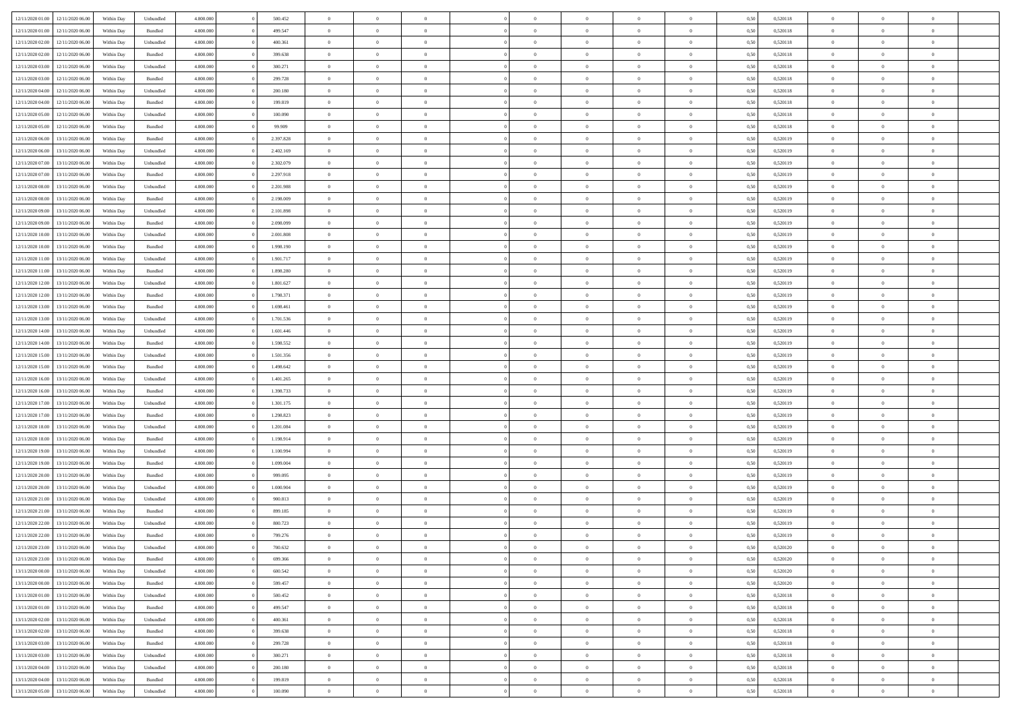|                  | 12/11/2020 06:00 | Within Dav | Unbundled | 4.800.000 | 500.452   | $\overline{0}$ | $\theta$       |                | $\Omega$       | $\Omega$       | $\theta$       | $\theta$       | 0.50 | 0,520118 | $\theta$       | $\overline{0}$ | $\overline{0}$ |  |
|------------------|------------------|------------|-----------|-----------|-----------|----------------|----------------|----------------|----------------|----------------|----------------|----------------|------|----------|----------------|----------------|----------------|--|
| 12/11/2020 01:00 |                  |            |           |           |           |                |                |                |                |                |                |                |      |          |                |                |                |  |
| 12/11/2020 01:00 | 12/11/2020 06.00 | Within Day | Bundled   | 4.800.000 | 499.547   | $\overline{0}$ | $\theta$       | $\overline{0}$ | $\overline{0}$ | $\bf{0}$       | $\overline{0}$ | $\bf{0}$       | 0,50 | 0,520118 | $\theta$       | $\overline{0}$ | $\overline{0}$ |  |
| 12/11/2020 02:00 | 12/11/2020 06.00 | Within Day | Unbundled | 4.800.000 | 400.361   | $\overline{0}$ | $\bf{0}$       | $\overline{0}$ | $\bf{0}$       | $\bf{0}$       | $\bf{0}$       | $\mathbf{0}$   | 0,50 | 0,520118 | $\bf{0}$       | $\overline{0}$ | $\overline{0}$ |  |
| 12/11/2020 02:00 | 12/11/2020 06:00 | Within Dav | Bundled   | 4.800.000 | 399,638   | $\overline{0}$ | $\overline{0}$ | $\overline{0}$ | $\overline{0}$ | $\bf{0}$       | $\overline{0}$ | $\overline{0}$ | 0.50 | 0.520118 | $\theta$       | $\theta$       | $\overline{0}$ |  |
| 12/11/2020 03:00 | 12/11/2020 06.00 | Within Day | Unbundled | 4.800.000 | 300.271   | $\overline{0}$ | $\theta$       | $\overline{0}$ | $\overline{0}$ | $\bf{0}$       | $\overline{0}$ | $\bf{0}$       | 0,50 | 0,520118 | $\theta$       | $\overline{0}$ | $\overline{0}$ |  |
|                  |                  |            |           |           |           |                |                |                |                |                |                |                |      |          |                |                |                |  |
| 12/11/2020 03:00 | 12/11/2020 06.00 | Within Day | Bundled   | 4.800.000 | 299.728   | $\overline{0}$ | $\overline{0}$ | $\overline{0}$ | $\bf{0}$       | $\overline{0}$ | $\overline{0}$ | $\mathbf{0}$   | 0,50 | 0,520118 | $\overline{0}$ | $\overline{0}$ | $\bf{0}$       |  |
| 12/11/2020 04:00 | 12/11/2020 06.00 | Within Dav | Unbundled | 4.800.000 | 200.180   | $\overline{0}$ | $\overline{0}$ | $\overline{0}$ | $\overline{0}$ | $\overline{0}$ | $\overline{0}$ | $\overline{0}$ | 0.50 | 0,520118 | $\theta$       | $\overline{0}$ | $\overline{0}$ |  |
| 12/11/2020 04:00 | 12/11/2020 06.00 | Within Day | Bundled   | 4.800.000 | 199.819   | $\overline{0}$ | $\theta$       | $\overline{0}$ | $\overline{0}$ | $\bf{0}$       | $\overline{0}$ | $\bf{0}$       | 0,50 | 0,520118 | $\theta$       | $\theta$       | $\overline{0}$ |  |
| 12/11/2020 05:00 | 12/11/2020 06.00 | Within Day | Unbundled | 4.800.000 | 100.090   | $\overline{0}$ | $\overline{0}$ | $\overline{0}$ | $\bf{0}$       | $\bf{0}$       | $\bf{0}$       | $\bf{0}$       | 0,50 | 0,520118 | $\,0\,$        | $\overline{0}$ | $\overline{0}$ |  |
| 12/11/2020 05:00 | 12/11/2020 06:00 | Within Dav | Bundled   | 4.800.000 | 99.909    | $\overline{0}$ | $\overline{0}$ | $\overline{0}$ | $\overline{0}$ | $\overline{0}$ | $\overline{0}$ | $\overline{0}$ | 0.50 | 0,520118 | $\theta$       | $\overline{0}$ | $\overline{0}$ |  |
| 12/11/2020 06:00 | 13/11/2020 06.00 | Within Day | Bundled   | 4.800.000 | 2.397.828 | $\overline{0}$ | $\theta$       | $\overline{0}$ | $\overline{0}$ | $\bf{0}$       | $\overline{0}$ | $\bf{0}$       | 0,50 | 0,520119 | $\,$ 0 $\,$    | $\overline{0}$ | $\overline{0}$ |  |
| 12/11/2020 06.00 | 13/11/2020 06.00 | Within Day | Unbundled | 4.800.000 | 2.402.169 | $\overline{0}$ | $\overline{0}$ | $\overline{0}$ | $\bf{0}$       | $\bf{0}$       | $\bf{0}$       | $\bf{0}$       | 0,50 | 0,520119 | $\overline{0}$ | $\overline{0}$ | $\bf{0}$       |  |
|                  |                  |            |           |           |           |                |                |                |                |                |                |                |      |          | $\theta$       |                |                |  |
| 12/11/2020 07:00 | 13/11/2020 06:00 | Within Day | Unbundled | 4.800.000 | 2.302.079 | $\overline{0}$ | $\overline{0}$ | $\overline{0}$ | $\overline{0}$ | $\bf{0}$       | $\overline{0}$ | $\overline{0}$ | 0.50 | 0.520119 |                | $\theta$       | $\overline{0}$ |  |
| 12/11/2020 07:00 | 13/11/2020 06.00 | Within Day | Bundled   | 4.800.000 | 2.297.918 | $\overline{0}$ | $\theta$       | $\overline{0}$ | $\overline{0}$ | $\bf{0}$       | $\overline{0}$ | $\bf{0}$       | 0,50 | 0,520119 | $\theta$       | $\overline{0}$ | $\overline{0}$ |  |
| 12/11/2020 08:00 | 13/11/2020 06.00 | Within Day | Unbundled | 4.800.000 | 2.201.988 | $\overline{0}$ | $\overline{0}$ | $\overline{0}$ | $\bf{0}$       | $\overline{0}$ | $\overline{0}$ | $\mathbf{0}$   | 0,50 | 0,520119 | $\bf{0}$       | $\overline{0}$ | $\bf{0}$       |  |
| 12/11/2020 08:00 | 13/11/2020 06:00 | Within Dav | Bundled   | 4.800.000 | 2.198.009 | $\overline{0}$ | $\overline{0}$ | $\overline{0}$ | $\overline{0}$ | $\overline{0}$ | $\overline{0}$ | $\overline{0}$ | 0.50 | 0,520119 | $\theta$       | $\overline{0}$ | $\overline{0}$ |  |
| 12/11/2020 09:00 | 13/11/2020 06.00 | Within Day | Unbundled | 4.800.000 | 2.101.898 | $\overline{0}$ | $\theta$       | $\overline{0}$ | $\overline{0}$ | $\bf{0}$       | $\overline{0}$ | $\bf{0}$       | 0,50 | 0,520119 | $\,$ 0 $\,$    | $\theta$       | $\overline{0}$ |  |
| 12/11/2020 09:00 | 13/11/2020 06.00 | Within Day | Bundled   | 4.800.000 | 2.098.099 | $\overline{0}$ | $\overline{0}$ | $\overline{0}$ | $\bf{0}$       | $\bf{0}$       | $\bf{0}$       | $\bf{0}$       | 0,50 | 0,520119 | $\bf{0}$       | $\overline{0}$ | $\overline{0}$ |  |
| 12/11/2020 10:00 | 13/11/2020 06.00 | Within Day | Unbundled | 4.800.000 | 2.001.808 | $\overline{0}$ | $\overline{0}$ | $\overline{0}$ | $\overline{0}$ | $\overline{0}$ | $\overline{0}$ | $\overline{0}$ | 0.50 | 0,520119 | $\theta$       | $\overline{0}$ | $\overline{0}$ |  |
|                  |                  |            |           |           |           |                |                |                |                |                |                |                |      |          |                |                |                |  |
| 12/11/2020 10:00 | 13/11/2020 06.00 | Within Day | Bundled   | 4.800.000 | 1.998.190 | $\overline{0}$ | $\theta$       | $\overline{0}$ | $\overline{0}$ | $\bf{0}$       | $\overline{0}$ | $\bf{0}$       | 0,50 | 0,520119 | $\,$ 0 $\,$    | $\overline{0}$ | $\overline{0}$ |  |
| 12/11/2020 11:00 | 13/11/2020 06.00 | Within Day | Unbundled | 4.800.000 | 1.901.717 | $\overline{0}$ | $\overline{0}$ | $\overline{0}$ | $\bf{0}$       | $\bf{0}$       | $\bf{0}$       | $\bf{0}$       | 0,50 | 0,520119 | $\bf{0}$       | $\overline{0}$ | $\bf{0}$       |  |
| 12/11/2020 11:00 | 13/11/2020 06:00 | Within Day | Bundled   | 4.800.000 | 1.898.280 | $\overline{0}$ | $\overline{0}$ | $\overline{0}$ | $\overline{0}$ | $\bf{0}$       | $\overline{0}$ | $\overline{0}$ | 0.50 | 0.520119 | $\theta$       | $\overline{0}$ | $\overline{0}$ |  |
| 12/11/2020 12:00 | 13/11/2020 06.00 | Within Day | Unbundled | 4.800.000 | 1.801.627 | $\overline{0}$ | $\theta$       | $\overline{0}$ | $\overline{0}$ | $\bf{0}$       | $\overline{0}$ | $\bf{0}$       | 0,50 | 0,520119 | $\,$ 0 $\,$    | $\overline{0}$ | $\overline{0}$ |  |
| 12/11/2020 12:00 | 13/11/2020 06.00 | Within Day | Bundled   | 4.800.000 | 1.798.371 | $\overline{0}$ | $\overline{0}$ | $\overline{0}$ | $\bf{0}$       | $\overline{0}$ | $\overline{0}$ | $\mathbf{0}$   | 0,50 | 0,520119 | $\bf{0}$       | $\overline{0}$ | $\bf{0}$       |  |
| 12/11/2020 13:00 | 13/11/2020 06:00 | Within Dav | Bundled   | 4.800.000 | 1.698.461 | $\overline{0}$ | $\overline{0}$ | $\overline{0}$ | $\overline{0}$ | $\overline{0}$ | $\overline{0}$ | $\overline{0}$ | 0.50 | 0,520119 | $\theta$       | $\overline{0}$ | $\overline{0}$ |  |
| 12/11/2020 13:00 | 13/11/2020 06.00 |            |           | 4.800.000 | 1.701.536 | $\overline{0}$ | $\theta$       | $\overline{0}$ | $\overline{0}$ | $\bf{0}$       | $\overline{0}$ |                |      | 0,520119 | $\theta$       | $\theta$       | $\overline{0}$ |  |
|                  |                  | Within Day | Unbundled |           |           |                |                |                |                |                |                | $\bf{0}$       | 0,50 |          |                |                |                |  |
| 12/11/2020 14:00 | 13/11/2020 06.00 | Within Day | Unbundled | 4.800.000 | 1.601.446 | $\overline{0}$ | $\overline{0}$ | $\overline{0}$ | $\bf{0}$       | $\bf{0}$       | $\bf{0}$       | $\bf{0}$       | 0,50 | 0,520119 | $\,0\,$        | $\overline{0}$ | $\overline{0}$ |  |
| 12/11/2020 14:00 | 13/11/2020 06:00 | Within Day | Bundled   | 4.800.000 | 1.598.552 | $\overline{0}$ | $\overline{0}$ | $\overline{0}$ | $\overline{0}$ | $\overline{0}$ | $\overline{0}$ | $\overline{0}$ | 0.50 | 0,520119 | $\theta$       | $\overline{0}$ | $\overline{0}$ |  |
| 12/11/2020 15:00 | 13/11/2020 06.00 | Within Day | Unbundled | 4.800.000 | 1.501.356 | $\overline{0}$ | $\theta$       | $\overline{0}$ | $\overline{0}$ | $\bf{0}$       | $\overline{0}$ | $\bf{0}$       | 0,50 | 0,520119 | $\,$ 0 $\,$    | $\overline{0}$ | $\overline{0}$ |  |
| 12/11/2020 15.00 | 13/11/2020 06.00 | Within Day | Bundled   | 4.800.000 | 1.498.642 | $\overline{0}$ | $\overline{0}$ | $\overline{0}$ | $\bf{0}$       | $\bf{0}$       | $\bf{0}$       | $\bf{0}$       | 0,50 | 0,520119 | $\overline{0}$ | $\overline{0}$ | $\bf{0}$       |  |
| 12/11/2020 16:00 | 13/11/2020 06.00 | Within Day | Unbundled | 4.800.000 | 1.401.265 | $\overline{0}$ | $\Omega$       | $\Omega$       | $\Omega$       | $\Omega$       | $\overline{0}$ | $\overline{0}$ | 0,50 | 0,520119 | $\,0\,$        | $\theta$       | $\theta$       |  |
| 12/11/2020 16:00 | 13/11/2020 06.00 | Within Day | Bundled   | 4.800.000 | 1.398.733 | $\overline{0}$ | $\theta$       | $\overline{0}$ | $\overline{0}$ | $\bf{0}$       | $\overline{0}$ | $\bf{0}$       | 0,50 | 0,520119 | $\,$ 0 $\,$    | $\overline{0}$ | $\overline{0}$ |  |
|                  |                  |            |           |           |           |                |                |                |                |                |                |                |      |          |                |                |                |  |
| 12/11/2020 17:00 | 13/11/2020 06.00 | Within Day | Unbundled | 4.800.000 | 1.301.175 | $\overline{0}$ | $\overline{0}$ | $\overline{0}$ | $\bf{0}$       | $\overline{0}$ | $\overline{0}$ | $\mathbf{0}$   | 0,50 | 0,520119 | $\overline{0}$ | $\overline{0}$ | $\bf{0}$       |  |
| 12/11/2020 17:00 | 13/11/2020 06.00 | Within Day | Bundled   | 4.800,000 | 1.298.823 | $\overline{0}$ | $\Omega$       | $\Omega$       | $\Omega$       | $\bf{0}$       | $\overline{0}$ | $\overline{0}$ | 0.50 | 0,520119 | $\,0\,$        | $\theta$       | $\theta$       |  |
| 12/11/2020 18:00 | 13/11/2020 06.00 | Within Day | Unbundled | 4.800.000 | 1.201.084 | $\overline{0}$ | $\theta$       | $\overline{0}$ | $\overline{0}$ | $\bf{0}$       | $\overline{0}$ | $\bf{0}$       | 0,50 | 0,520119 | $\,$ 0 $\,$    | $\overline{0}$ | $\overline{0}$ |  |
| 12/11/2020 18:00 | 13/11/2020 06.00 | Within Day | Bundled   | 4.800.000 | 1.198.914 | $\overline{0}$ | $\overline{0}$ | $\overline{0}$ | $\bf{0}$       | $\bf{0}$       | $\bf{0}$       | $\bf{0}$       | 0,50 | 0,520119 | $\bf{0}$       | $\overline{0}$ | $\bf{0}$       |  |
| 12/11/2020 19:00 | 13/11/2020 06:00 | Within Day | Unbundled | 4.800,000 | 1.100.994 | $\overline{0}$ | $\Omega$       | $\Omega$       | $\Omega$       | $\overline{0}$ | $\overline{0}$ | $\overline{0}$ | 0.50 | 0,520119 | $\,$ 0 $\,$    | $\theta$       | $\theta$       |  |
| 12/11/2020 19:00 | 13/11/2020 06.00 | Within Day | Bundled   | 4.800.000 | 1.099.004 | $\overline{0}$ | $\theta$       | $\overline{0}$ | $\overline{0}$ | $\,$ 0         | $\overline{0}$ | $\bf{0}$       | 0,50 | 0,520119 | $\,$ 0 $\,$    | $\overline{0}$ | $\overline{0}$ |  |
| 12/11/2020 20:00 | 13/11/2020 06.00 | Within Day | Bundled   | 4.800.000 | 999.095   | $\overline{0}$ | $\bf{0}$       | $\overline{0}$ | $\bf{0}$       | $\bf{0}$       | $\bf{0}$       | $\bf{0}$       | 0,50 | 0,520119 | $\overline{0}$ | $\overline{0}$ | $\bf{0}$       |  |
|                  |                  |            |           | 4.800,000 | 1.000.904 | $\overline{0}$ | $\Omega$       | $\overline{0}$ | $\Omega$       | $\overline{0}$ | $\overline{0}$ | $\overline{0}$ |      |          | $\,0\,$        | $\theta$       | $\theta$       |  |
| 12/11/2020 20:00 | 13/11/2020 06.00 | Within Day | Unbundled |           |           |                |                |                |                |                |                |                | 0,50 | 0,520119 |                |                |                |  |
| 12/11/2020 21.00 | 13/11/2020 06.00 | Within Day | Unbundled | 4.800.000 | 900.813   | $\overline{0}$ | $\theta$       | $\overline{0}$ | $\overline{0}$ | $\,$ 0         | $\overline{0}$ | $\bf{0}$       | 0,50 | 0,520119 | $\,$ 0 $\,$    | $\overline{0}$ | $\overline{0}$ |  |
| 12/11/2020 21:00 | 13/11/2020 06.00 | Within Day | Bundled   | 4.800.000 | 899.185   | $\overline{0}$ | $\overline{0}$ | $\overline{0}$ | $\bf{0}$       | $\bf{0}$       | $\bf{0}$       | $\mathbf{0}$   | 0,50 | 0,520119 | $\overline{0}$ | $\overline{0}$ | $\bf{0}$       |  |
| 12/11/2020 22.00 | 13/11/2020 06.00 | Within Day | Unbundled | 4.800,000 | 800,723   | $\overline{0}$ | $\Omega$       | $\Omega$       | $\Omega$       | $\Omega$       | $\Omega$       | $\overline{0}$ | 0.50 | 0,520119 | $\theta$       | $\theta$       | $\theta$       |  |
| 12/11/2020 22.00 | 13/11/2020 06.00 | Within Day | Bundled   | 4.800.000 | 799.276   | $\overline{0}$ | $\overline{0}$ | $\overline{0}$ | $\bf{0}$       | $\,$ 0         | $\bf{0}$       | $\bf{0}$       | 0,50 | 0,520119 | $\,0\,$        | $\,$ 0 $\,$    | $\overline{0}$ |  |
| 12/11/2020 23:00 | 13/11/2020 06.00 | Within Day | Unbundled | 4.800.000 | 700.632   | $\bf{0}$       | $\bf{0}$       |                |                | $\bf{0}$       |                |                | 0,50 | 0,520120 | $\bf{0}$       | $\overline{0}$ |                |  |
| 12/11/2020 23.00 | 13/11/2020 06:00 | Within Day | Bundled   | 4.800.000 | 699,366   | $\overline{0}$ | $\overline{0}$ | $\overline{0}$ | $\Omega$       | $\overline{0}$ | $\overline{0}$ | $\overline{0}$ | 0.50 | 0,520120 | $\theta$       | $\theta$       | $\theta$       |  |
| 13/11/2020 00:00 | 13/11/2020 06.00 | Within Day | Unbundled | 4.800.000 | 600.542   | $\overline{0}$ | $\bf{0}$       | $\overline{0}$ | $\bf{0}$       | $\,$ 0 $\,$    | $\overline{0}$ | $\mathbf{0}$   | 0,50 | 0,520120 | $\,$ 0 $\,$    | $\,$ 0 $\,$    | $\,$ 0         |  |
|                  |                  |            |           |           |           |                |                |                |                |                |                |                |      |          |                |                |                |  |
| 13/11/2020 00:00 | 13/11/2020 06.00 | Within Day | Bundled   | 4.800.000 | 599.457   | $\overline{0}$ | $\overline{0}$ | $\overline{0}$ | $\overline{0}$ | $\overline{0}$ | $\overline{0}$ | $\mathbf{0}$   | 0,50 | 0,520120 | $\overline{0}$ | $\bf{0}$       | $\bf{0}$       |  |
| 13/11/2020 01:00 | 13/11/2020 06.00 | Within Day | Unbundled | 4.800.000 | 500.452   | $\overline{0}$ | $\overline{0}$ | $\overline{0}$ | $\Omega$       | $\overline{0}$ | $\overline{0}$ | $\overline{0}$ | 0,50 | 0,520118 | $\overline{0}$ | $\theta$       | $\overline{0}$ |  |
| 13/11/2020 01:00 | 13/11/2020 06.00 | Within Day | Bundled   | 4.800.000 | 499.547   | $\overline{0}$ | $\,$ 0         | $\overline{0}$ | $\bf{0}$       | $\,$ 0 $\,$    | $\overline{0}$ | $\mathbf{0}$   | 0,50 | 0,520118 | $\,$ 0 $\,$    | $\overline{0}$ | $\overline{0}$ |  |
| 13/11/2020 02.00 | 13/11/2020 06.00 | Within Day | Unbundled | 4.800.000 | 400.361   | $\overline{0}$ | $\overline{0}$ | $\overline{0}$ | $\overline{0}$ | $\overline{0}$ | $\overline{0}$ | $\mathbf{0}$   | 0,50 | 0,520118 | $\overline{0}$ | $\overline{0}$ | $\bf{0}$       |  |
| 13/11/2020 02:00 | 13/11/2020 06.00 | Within Day | Bundled   | 4.800,000 | 399.638   | $\overline{0}$ | $\overline{0}$ | $\overline{0}$ | $\overline{0}$ | $\overline{0}$ | $\overline{0}$ | $\bf{0}$       | 0.50 | 0,520118 | $\overline{0}$ | $\theta$       | $\overline{0}$ |  |
| 13/11/2020 03:00 | 13/11/2020 06.00 | Within Day | Bundled   | 4.800.000 | 299.728   | $\overline{0}$ | $\,$ 0         | $\overline{0}$ | $\bf{0}$       | $\bf{0}$       | $\bf{0}$       | $\bf{0}$       | 0,50 | 0,520118 | $\,$ 0 $\,$    | $\overline{0}$ | $\overline{0}$ |  |
| 13/11/2020 03:00 | 13/11/2020 06.00 | Within Day | Unbundled | 4.800.000 | 300.271   | $\overline{0}$ | $\bf{0}$       | $\overline{0}$ | $\overline{0}$ | $\overline{0}$ | $\overline{0}$ | $\mathbf{0}$   | 0,50 | 0,520118 | $\overline{0}$ | $\overline{0}$ | $\bf{0}$       |  |
|                  |                  |            |           |           |           |                |                |                |                |                |                |                |      |          |                |                |                |  |
| 13/11/2020 04:00 | 13/11/2020 06.00 | Within Day | Unbundled | 4.800,000 | 200.180   | $\overline{0}$ | $\overline{0}$ | $\overline{0}$ | $\Omega$       | $\overline{0}$ | $\overline{0}$ | $\overline{0}$ | 0.50 | 0,520118 | $\overline{0}$ | $\overline{0}$ | $\overline{0}$ |  |
| 13/11/2020 04:00 | 13/11/2020 06.00 | Within Day | Bundled   | 4.800.000 | 199.819   | $\overline{0}$ | $\bf{0}$       | $\overline{0}$ | $\overline{0}$ | $\bf{0}$       | $\bf{0}$       | $\mathbf{0}$   | 0,50 | 0,520118 | $\,$ 0 $\,$    | $\,$ 0 $\,$    | $\bf{0}$       |  |
| 13/11/2020 05:00 | 13/11/2020 06.00 | Within Day | Unbundled | 4.800.000 | 100.090   | $\overline{0}$ | $\bf{0}$       | $\overline{0}$ | $\bf{0}$       | $\bf{0}$       | $\bf{0}$       | $\bf{0}$       | 0,50 | 0,520118 | $\overline{0}$ | $\overline{0}$ | $\bf{0}$       |  |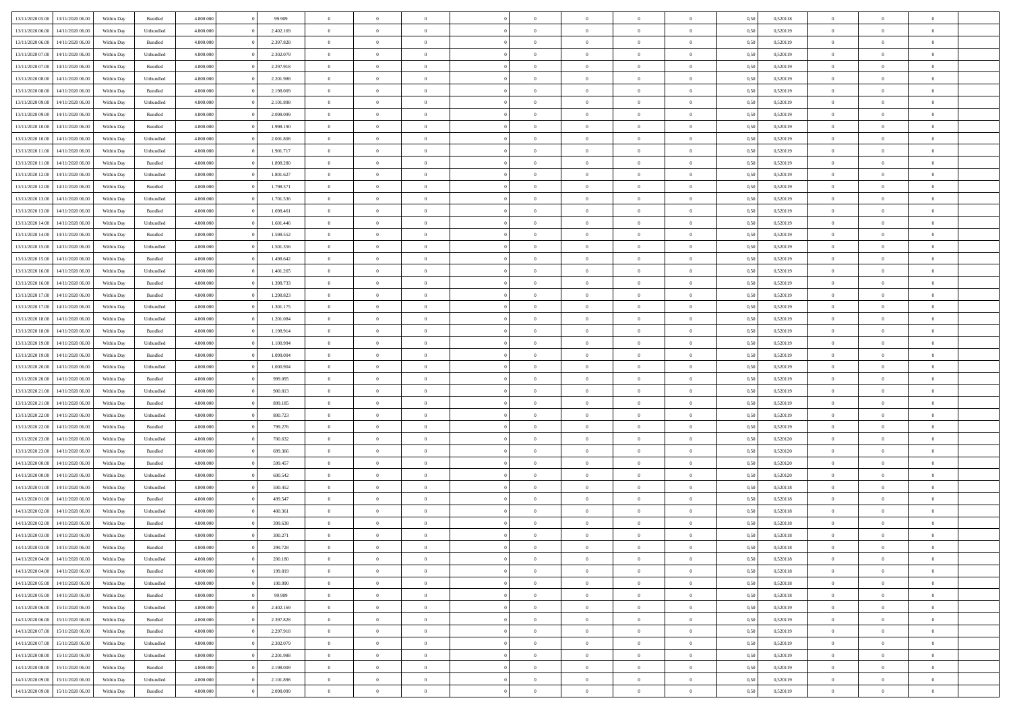| 13/11/2020 05:00 | 13/11/2020 06:00 | Within Dav | Bundled            | 4.800.000 | 99.909    | $\overline{0}$ | $\Omega$       |                | $\Omega$       | $\Omega$       | $\Omega$       | $\theta$       | 0.50 | 0,520118 | $\theta$       | $\theta$       | $\theta$       |  |
|------------------|------------------|------------|--------------------|-----------|-----------|----------------|----------------|----------------|----------------|----------------|----------------|----------------|------|----------|----------------|----------------|----------------|--|
|                  |                  |            |                    |           |           |                |                |                |                |                |                |                |      |          |                |                |                |  |
| 13/11/2020 06.00 | 14/11/2020 06.00 | Within Day | Unbundled          | 4.800.000 | 2.402.169 | $\overline{0}$ | $\theta$       | $\overline{0}$ | $\overline{0}$ | $\bf{0}$       | $\overline{0}$ | $\bf{0}$       | 0,50 | 0,520119 | $\theta$       | $\theta$       | $\overline{0}$ |  |
| 13/11/2020 06:00 | 14/11/2020 06.00 | Within Day | Bundled            | 4.800.000 | 2.397.828 | $\overline{0}$ | $\overline{0}$ | $\overline{0}$ | $\bf{0}$       | $\bf{0}$       | $\bf{0}$       | $\bf{0}$       | 0,50 | 0,520119 | $\bf{0}$       | $\overline{0}$ | $\overline{0}$ |  |
| 13/11/2020 07:00 | 14/11/2020 06:00 | Within Dav | Unbundled          | 4.800.000 | 2.302.079 | $\overline{0}$ | $\overline{0}$ | $\overline{0}$ | $\overline{0}$ | $\bf{0}$       | $\overline{0}$ | $\overline{0}$ | 0.50 | 0.520119 | $\theta$       | $\theta$       | $\overline{0}$ |  |
| 13/11/2020 07.00 | 14/11/2020 06.00 | Within Day | Bundled            | 4.800.000 | 2.297.918 | $\overline{0}$ | $\theta$       | $\overline{0}$ | $\overline{0}$ | $\bf{0}$       | $\overline{0}$ | $\bf{0}$       | 0,50 | 0,520119 | $\theta$       | $\theta$       | $\overline{0}$ |  |
|                  |                  |            |                    |           |           |                |                |                |                |                |                |                |      |          |                |                |                |  |
| 13/11/2020 08:00 | 14/11/2020 06.00 | Within Day | Unbundled          | 4.800.000 | 2.201.988 | $\overline{0}$ | $\bf{0}$       | $\overline{0}$ | $\bf{0}$       | $\overline{0}$ | $\overline{0}$ | $\mathbf{0}$   | 0,50 | 0,520119 | $\overline{0}$ | $\overline{0}$ | $\bf{0}$       |  |
| 13/11/2020 08:00 | 14/11/2020 06.00 | Within Dav | Bundled            | 4.800.000 | 2.198.009 | $\overline{0}$ | $\overline{0}$ | $\overline{0}$ | $\overline{0}$ | $\overline{0}$ | $\overline{0}$ | $\overline{0}$ | 0.50 | 0,520119 | $\theta$       | $\overline{0}$ | $\overline{0}$ |  |
| 13/11/2020 09:00 | 14/11/2020 06.00 | Within Day | Unbundled          | 4.800.000 | 2.101.898 | $\overline{0}$ | $\theta$       | $\overline{0}$ | $\overline{0}$ | $\bf{0}$       | $\overline{0}$ | $\bf{0}$       | 0,50 | 0,520119 | $\theta$       | $\theta$       | $\overline{0}$ |  |
| 13/11/2020 09:00 | 14/11/2020 06.00 | Within Day | Bundled            | 4.800.000 | 2.098.099 | $\overline{0}$ | $\overline{0}$ | $\overline{0}$ | $\bf{0}$       | $\bf{0}$       | $\bf{0}$       | $\bf{0}$       | 0,50 | 0,520119 | $\,0\,$        | $\overline{0}$ | $\overline{0}$ |  |
| 13/11/2020 10:00 | 14/11/2020 06:00 | Within Dav | Bundled            | 4.800.000 | 1.998.190 | $\overline{0}$ | $\overline{0}$ | $\overline{0}$ | $\overline{0}$ | $\overline{0}$ | $\overline{0}$ | $\overline{0}$ | 0.50 | 0,520119 | $\theta$       | $\overline{0}$ | $\overline{0}$ |  |
| 13/11/2020 10:00 | 14/11/2020 06.00 | Within Day | Unbundled          | 4.800.000 | 2.001.808 | $\overline{0}$ | $\theta$       | $\overline{0}$ | $\overline{0}$ | $\bf{0}$       | $\overline{0}$ | $\bf{0}$       | 0,50 | 0,520119 | $\,$ 0 $\,$    | $\theta$       | $\overline{0}$ |  |
|                  |                  |            |                    |           |           |                |                |                |                |                |                |                |      |          |                |                |                |  |
| 13/11/2020 11:00 | 14/11/2020 06.00 | Within Day | Unbundled          | 4.800.000 | 1.901.717 | $\overline{0}$ | $\overline{0}$ | $\overline{0}$ | $\bf{0}$       | $\bf{0}$       | $\bf{0}$       | $\bf{0}$       | 0,50 | 0,520119 | $\overline{0}$ | $\overline{0}$ | $\overline{0}$ |  |
| 13/11/2020 11:00 | 14/11/2020 06:00 | Within Day | Bundled            | 4.800.000 | 1.898.280 | $\overline{0}$ | $\overline{0}$ | $\overline{0}$ | $\overline{0}$ | $\bf{0}$       | $\overline{0}$ | $\overline{0}$ | 0.50 | 0.520119 | $\theta$       | $\theta$       | $\overline{0}$ |  |
| 13/11/2020 12:00 | 14/11/2020 06.00 | Within Day | Unbundled          | 4.800.000 | 1.801.627 | $\overline{0}$ | $\theta$       | $\overline{0}$ | $\overline{0}$ | $\bf{0}$       | $\overline{0}$ | $\bf{0}$       | 0,50 | 0,520119 | $\theta$       | $\theta$       | $\overline{0}$ |  |
| 13/11/2020 12:00 | 14/11/2020 06.00 | Within Day | Bundled            | 4.800.000 | 1.798.371 | $\overline{0}$ | $\overline{0}$ | $\overline{0}$ | $\bf{0}$       | $\overline{0}$ | $\overline{0}$ | $\mathbf{0}$   | 0,50 | 0,520119 | $\overline{0}$ | $\overline{0}$ | $\bf{0}$       |  |
| 13/11/2020 13:00 | 14/11/2020 06.00 | Within Dav | Unbundled          | 4.800.000 | 1.701.536 | $\overline{0}$ | $\overline{0}$ | $\overline{0}$ | $\overline{0}$ | $\overline{0}$ | $\overline{0}$ | $\overline{0}$ | 0.50 | 0,520119 | $\theta$       | $\overline{0}$ | $\overline{0}$ |  |
| 13/11/2020 13:00 | 14/11/2020 06.00 | Within Day | Bundled            | 4.800.000 | 1.698.461 | $\overline{0}$ | $\theta$       | $\overline{0}$ | $\overline{0}$ | $\bf{0}$       | $\overline{0}$ | $\bf{0}$       | 0,50 | 0,520119 | $\,$ 0 $\,$    | $\theta$       | $\overline{0}$ |  |
|                  |                  |            |                    |           |           |                | $\overline{0}$ |                |                | $\bf{0}$       |                |                |      |          | $\,0\,$        | $\overline{0}$ | $\overline{0}$ |  |
| 13/11/2020 14:00 | 14/11/2020 06.00 | Within Day | Unbundled          | 4.800.000 | 1.601.446 | $\overline{0}$ |                | $\overline{0}$ | $\bf{0}$       |                | $\bf{0}$       | $\bf{0}$       | 0,50 | 0,520119 |                |                |                |  |
| 13/11/2020 14:00 | 14/11/2020 06.00 | Within Day | Bundled            | 4.800.000 | 1.598.552 | $\overline{0}$ | $\overline{0}$ | $\overline{0}$ | $\overline{0}$ | $\overline{0}$ | $\overline{0}$ | $\overline{0}$ | 0.50 | 0,520119 | $\theta$       | $\overline{0}$ | $\overline{0}$ |  |
| 13/11/2020 15:00 | 14/11/2020 06.00 | Within Day | Unbundled          | 4.800.000 | 1.501.356 | $\overline{0}$ | $\theta$       | $\overline{0}$ | $\overline{0}$ | $\bf{0}$       | $\overline{0}$ | $\bf{0}$       | 0,50 | 0,520119 | $\,$ 0 $\,$    | $\theta$       | $\overline{0}$ |  |
| 13/11/2020 15:00 | 14/11/2020 06.00 | Within Day | Bundled            | 4.800.000 | 1.498.642 | $\overline{0}$ | $\overline{0}$ | $\overline{0}$ | $\bf{0}$       | $\bf{0}$       | $\bf{0}$       | $\bf{0}$       | 0,50 | 0,520119 | $\bf{0}$       | $\overline{0}$ | $\overline{0}$ |  |
| 13/11/2020 16:00 | 14/11/2020 06:00 | Within Day | Unbundled          | 4.800.000 | 1.401.265 | $\overline{0}$ | $\overline{0}$ | $\overline{0}$ | $\overline{0}$ | $\bf{0}$       | $\overline{0}$ | $\overline{0}$ | 0.50 | 0.520119 | $\theta$       | $\theta$       | $\overline{0}$ |  |
| 13/11/2020 16:00 | 14/11/2020 06.00 | Within Day | Bundled            | 4.800.000 | 1.398.733 | $\overline{0}$ | $\theta$       | $\overline{0}$ | $\overline{0}$ | $\bf{0}$       | $\overline{0}$ | $\bf{0}$       | 0,50 | 0,520119 | $\,$ 0 $\,$    | $\overline{0}$ | $\overline{0}$ |  |
| 13/11/2020 17.00 | 14/11/2020 06.00 | Within Day | Bundled            | 4.800.000 | 1.298.823 | $\overline{0}$ | $\bf{0}$       | $\overline{0}$ | $\bf{0}$       | $\overline{0}$ | $\overline{0}$ | $\mathbf{0}$   | 0,50 | 0,520119 | $\overline{0}$ | $\overline{0}$ | $\bf{0}$       |  |
|                  |                  |            |                    |           |           |                |                |                |                | $\overline{0}$ |                |                |      |          | $\theta$       | $\overline{0}$ | $\overline{0}$ |  |
| 13/11/2020 17:00 | 14/11/2020 06.00 | Within Dav | Unbundled          | 4.800.000 | 1.301.175 | $\overline{0}$ | $\overline{0}$ | $\overline{0}$ | $\overline{0}$ |                | $\overline{0}$ | $\overline{0}$ | 0.50 | 0,520119 |                |                |                |  |
| 13/11/2020 18:00 | 14/11/2020 06.00 | Within Day | Unbundled          | 4.800.000 | 1.201.084 | $\overline{0}$ | $\theta$       | $\overline{0}$ | $\overline{0}$ | $\bf{0}$       | $\overline{0}$ | $\bf{0}$       | 0,50 | 0,520119 | $\theta$       | $\theta$       | $\overline{0}$ |  |
| 13/11/2020 18:00 | 14/11/2020 06.00 | Within Day | Bundled            | 4.800.000 | 1.198.914 | $\overline{0}$ | $\overline{0}$ | $\overline{0}$ | $\bf{0}$       | $\bf{0}$       | $\bf{0}$       | $\bf{0}$       | 0,50 | 0,520119 | $\,0\,$        | $\overline{0}$ | $\overline{0}$ |  |
| 13/11/2020 19:00 | 14/11/2020 06:00 | Within Day | Unbundled          | 4.800.000 | 1.100.994 | $\overline{0}$ | $\overline{0}$ | $\overline{0}$ | $\overline{0}$ | $\overline{0}$ | $\overline{0}$ | $\overline{0}$ | 0.50 | 0,520119 | $\theta$       | $\overline{0}$ | $\overline{0}$ |  |
| 13/11/2020 19:00 | 14/11/2020 06.00 | Within Day | Bundled            | 4.800.000 | 1.099.004 | $\overline{0}$ | $\theta$       | $\overline{0}$ | $\overline{0}$ | $\bf{0}$       | $\overline{0}$ | $\bf{0}$       | 0,50 | 0,520119 | $\,$ 0 $\,$    | $\overline{0}$ | $\overline{0}$ |  |
| 13/11/2020 20.00 | 14/11/2020 06.00 | Within Day | Unbundled          | 4.800.000 | 1.000.904 | $\overline{0}$ | $\overline{0}$ | $\overline{0}$ | $\bf{0}$       | $\bf{0}$       | $\bf{0}$       | $\bf{0}$       | 0,50 | 0,520119 | $\overline{0}$ | $\overline{0}$ | $\overline{0}$ |  |
| 13/11/2020 20:00 | 14/11/2020 06.00 |            |                    | 4.800,000 | 999,095   | $\overline{0}$ | $\Omega$       | $\Omega$       | $\Omega$       | $\Omega$       | $\Omega$       | $\overline{0}$ | 0,50 | 0,520119 | $\,0\,$        | $\theta$       | $\theta$       |  |
|                  |                  | Within Day | Bundled            |           |           |                |                |                |                |                |                |                |      |          |                |                |                |  |
| 13/11/2020 21.00 | 14/11/2020 06.00 | Within Day | Unbundled          | 4.800.000 | 900.813   | $\overline{0}$ | $\theta$       | $\overline{0}$ | $\overline{0}$ | $\bf{0}$       | $\overline{0}$ | $\bf{0}$       | 0,50 | 0,520119 | $\,$ 0 $\,$    | $\theta$       | $\overline{0}$ |  |
| 13/11/2020 21:00 | 14/11/2020 06.00 | Within Day | Bundled            | 4.800.000 | 899.185   | $\overline{0}$ | $\overline{0}$ | $\overline{0}$ | $\bf{0}$       | $\bf{0}$       | $\overline{0}$ | $\mathbf{0}$   | 0,50 | 0,520119 | $\overline{0}$ | $\overline{0}$ | $\bf{0}$       |  |
| 13/11/2020 22.00 | 14/11/2020 06.00 | Within Day | Unbundled          | 4.800,000 | 800.723   | $\overline{0}$ | $\Omega$       | $\Omega$       | $\Omega$       | $\bf{0}$       | $\overline{0}$ | $\overline{0}$ | 0.50 | 0,520119 | $\,0\,$        | $\theta$       | $\theta$       |  |
| 13/11/2020 22.00 | 14/11/2020 06.00 | Within Day | Bundled            | 4.800.000 | 799.276   | $\overline{0}$ | $\theta$       | $\overline{0}$ | $\overline{0}$ | $\bf{0}$       | $\overline{0}$ | $\bf{0}$       | 0,50 | 0,520119 | $\,$ 0 $\,$    | $\theta$       | $\overline{0}$ |  |
| 13/11/2020 23.00 | 14/11/2020 06.00 | Within Day | Unbundled          | 4.800.000 | 700.632   | $\overline{0}$ | $\overline{0}$ | $\overline{0}$ | $\bf{0}$       | $\bf{0}$       | $\bf{0}$       | $\bf{0}$       | 0,50 | 0,520120 | $\bf{0}$       | $\overline{0}$ | $\overline{0}$ |  |
| 13/11/2020 23:00 | 14/11/2020 06:00 | Within Day | Bundled            | 4.800,000 | 699,366   | $\overline{0}$ | $\Omega$       | $\Omega$       | $\Omega$       | $\Omega$       | $\theta$       | $\overline{0}$ | 0.50 | 0,520120 | $\,0\,$        | $\theta$       | $\theta$       |  |
|                  |                  |            |                    |           |           | $\overline{0}$ | $\theta$       | $\overline{0}$ |                | $\bf{0}$       | $\overline{0}$ |                |      |          | $\,$ 0 $\,$    |                | $\overline{0}$ |  |
| 14/11/2020 00.00 | 14/11/2020 06.00 | Within Day | Bundled            | 4.800.000 | 599.457   |                |                |                | $\overline{0}$ |                |                | $\bf{0}$       | 0,50 | 0,520120 |                | $\overline{0}$ |                |  |
| 14/11/2020 00:00 | 14/11/2020 06.00 | Within Day | Unbundled          | 4.800.000 | 600.542   | $\overline{0}$ | $\overline{0}$ | $\overline{0}$ | $\bf{0}$       | $\bf{0}$       | $\bf{0}$       | $\bf{0}$       | 0,50 | 0,520120 | $\overline{0}$ | $\overline{0}$ | $\overline{0}$ |  |
| 14/11/2020 01:00 | 14/11/2020 06.00 | Within Day | Unbundled          | 4.800,000 | 500.452   | $\overline{0}$ | $\Omega$       | $\overline{0}$ | $\Omega$       | $\Omega$       | $\overline{0}$ | $\overline{0}$ | 0,50 | 0,520118 | $\,0\,$        | $\theta$       | $\theta$       |  |
| 14/11/2020 01:00 | 14/11/2020 06.00 | Within Day | Bundled            | 4.800.000 | 499.547   | $\overline{0}$ | $\theta$       | $\overline{0}$ | $\overline{0}$ | $\bf{0}$       | $\overline{0}$ | $\bf{0}$       | 0,50 | 0,520118 | $\,$ 0 $\,$    | $\theta$       | $\overline{0}$ |  |
| 14/11/2020 02.00 | 14/11/2020 06.00 | Within Day | Unbundled          | 4.800.000 | 400.361   | $\overline{0}$ | $\overline{0}$ | $\overline{0}$ | $\bf{0}$       | $\bf{0}$       | $\bf{0}$       | $\mathbf{0}$   | 0,50 | 0,520118 | $\bf{0}$       | $\overline{0}$ | $\bf{0}$       |  |
| 14/11/2020 02.00 | 14/11/2020 06.00 | Within Day | Bundled            | 4.800,000 | 399,638   | $\overline{0}$ | $\Omega$       | $\Omega$       | $\Omega$       | $\Omega$       | $\Omega$       | $\overline{0}$ | 0.50 | 0,520118 | $\theta$       | $\theta$       | $\theta$       |  |
| 14/11/2020 03.00 | 14/11/2020 06.00 | Within Day | Unbundled          | 4.800.000 | 300.271   | $\overline{0}$ | $\overline{0}$ | $\overline{0}$ | $\bf{0}$       | $\,$ 0         | $\bf{0}$       | $\bf{0}$       | 0,50 | 0,520118 | $\,0\,$        | $\overline{0}$ | $\overline{0}$ |  |
|                  |                  |            |                    |           |           |                |                |                |                |                |                |                |      |          |                |                |                |  |
| 14/11/2020 03:00 | 14/11/2020 06.00 | Within Day | $\mathbf B$ undled | 4.800.000 | 299.728   | $\bf{0}$       | $\bf{0}$       |                |                | $\bf{0}$       |                |                | 0,50 | 0,520118 | $\bf{0}$       | $\overline{0}$ |                |  |
| 14/11/2020 04:00 | 14/11/2020 06:00 | Within Day | Unbundled          | 4.800.000 | 200.180   | $\overline{0}$ | $\overline{0}$ | $\overline{0}$ | $\Omega$       | $\theta$       | $\overline{0}$ | $\overline{0}$ | 0,50 | 0,520118 | $\theta$       | $\theta$       | $\Omega$       |  |
| 14/11/2020 04:00 | 14/11/2020 06.00 | Within Day | Bundled            | 4.800.000 | 199.819   | $\overline{0}$ | $\,$ 0         | $\overline{0}$ | $\bf{0}$       | $\,$ 0 $\,$    | $\overline{0}$ | $\mathbf{0}$   | 0,50 | 0,520118 | $\,$ 0 $\,$    | $\,$ 0 $\,$    | $\,$ 0         |  |
| 14/11/2020 05.00 | 14/11/2020 06.00 | Within Day | Unbundled          | 4.800.000 | 100.090   | $\overline{0}$ | $\overline{0}$ | $\overline{0}$ | $\overline{0}$ | $\overline{0}$ | $\overline{0}$ | $\mathbf{0}$   | 0,50 | 0,520118 | $\overline{0}$ | $\bf{0}$       | $\bf{0}$       |  |
| 14/11/2020 05:00 | 14/11/2020 06.00 | Within Day | $\mathbf B$ undled | 4.800,000 | 99.909    | $\overline{0}$ | $\overline{0}$ | $\overline{0}$ | $\Omega$       | $\overline{0}$ | $\overline{0}$ | $\overline{0}$ | 0,50 | 0,520118 | $\overline{0}$ | $\overline{0}$ | $\overline{0}$ |  |
| 14/11/2020 06.00 | 15/11/2020 06.00 | Within Day | Unbundled          | 4.800.000 | 2.402.169 | $\overline{0}$ | $\,$ 0         | $\overline{0}$ | $\overline{0}$ | $\,$ 0 $\,$    | $\overline{0}$ | $\mathbf{0}$   | 0,50 | 0,520119 | $\,$ 0 $\,$    | $\overline{0}$ | $\overline{0}$ |  |
| 14/11/2020 06.00 | 15/11/2020 06.00 | Within Day | Bundled            | 4.800.000 | 2.397.828 | $\overline{0}$ | $\overline{0}$ | $\overline{0}$ | $\overline{0}$ | $\overline{0}$ | $\overline{0}$ | $\mathbf{0}$   | 0,50 | 0,520119 | $\overline{0}$ | $\overline{0}$ | $\bf{0}$       |  |
|                  |                  |            |                    |           |           |                |                |                |                |                |                |                |      |          |                |                |                |  |
| 14/11/2020 07.00 | 15/11/2020 06.00 | Within Day | Bundled            | 4.800,000 | 2.297.918 | $\overline{0}$ | $\overline{0}$ | $\overline{0}$ | $\Omega$       | $\overline{0}$ | $\overline{0}$ | $\bf{0}$       | 0.50 | 0,520119 | $\overline{0}$ | $\theta$       | $\overline{0}$ |  |
| 14/11/2020 07:00 | 15/11/2020 06.00 | Within Day | Unbundled          | 4.800.000 | 2.302.079 | $\overline{0}$ | $\,$ 0         | $\overline{0}$ | $\bf{0}$       | $\bf{0}$       | $\bf{0}$       | $\bf{0}$       | 0,50 | 0,520119 | $\,$ 0 $\,$    | $\overline{0}$ | $\overline{0}$ |  |
| 14/11/2020 08:00 | 15/11/2020 06.00 | Within Day | Unbundled          | 4.800.000 | 2.201.988 | $\overline{0}$ | $\bf{0}$       | $\overline{0}$ | $\overline{0}$ | $\overline{0}$ | $\overline{0}$ | $\mathbf{0}$   | 0,50 | 0,520119 | $\overline{0}$ | $\overline{0}$ | $\bf{0}$       |  |
| 14/11/2020 08:00 | 15/11/2020 06.00 | Within Day | Bundled            | 4.800,000 | 2.198.009 | $\overline{0}$ | $\overline{0}$ | $\overline{0}$ | $\Omega$       | $\overline{0}$ | $\overline{0}$ | $\bf{0}$       | 0.50 | 0,520119 | $\overline{0}$ | $\overline{0}$ | $\overline{0}$ |  |
| 14/11/2020 09:00 | 15/11/2020 06.00 | Within Day | Unbundled          | 4.800.000 | 2.101.898 | $\overline{0}$ | $\bf{0}$       | $\overline{0}$ | $\bf{0}$       | $\bf{0}$       | $\bf{0}$       | $\mathbf{0}$   | 0,50 | 0,520119 | $\,$ 0 $\,$    | $\,$ 0 $\,$    | $\bf{0}$       |  |
| 14/11/2020 09:00 | 15/11/2020 06:00 | Within Day | Bundled            | 4.800.000 | 2.098.099 | $\overline{0}$ | $\overline{0}$ | $\overline{0}$ | $\overline{0}$ | $\bf{0}$       | $\bf{0}$       | $\mathbf{0}$   | 0,50 | 0,520119 | $\overline{0}$ | $\bf{0}$       | $\bf{0}$       |  |
|                  |                  |            |                    |           |           |                |                |                |                |                |                |                |      |          |                |                |                |  |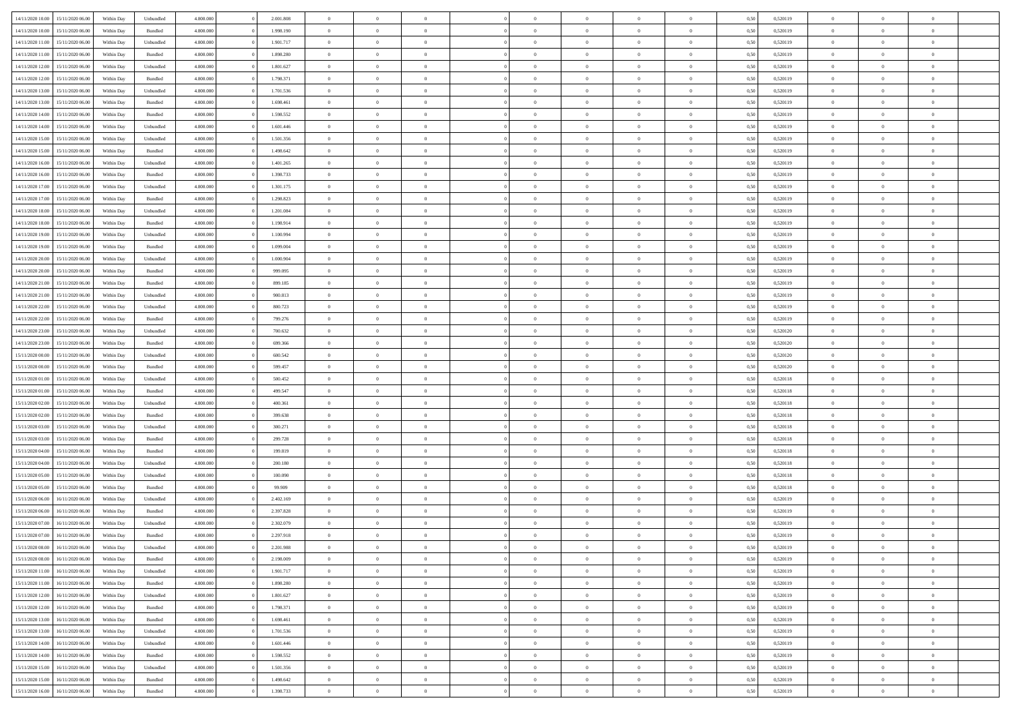|                  | 15/11/2020 06:00 | Within Dav | Unbundled | 4.800.000 | 2.001.808 | $\overline{0}$ | $\Omega$       |                | $\Omega$       | $\Omega$       | $\Omega$       | $\theta$       | 0.50 | 0,520119 | $\theta$       | $\theta$       | $\theta$       |  |
|------------------|------------------|------------|-----------|-----------|-----------|----------------|----------------|----------------|----------------|----------------|----------------|----------------|------|----------|----------------|----------------|----------------|--|
| 14/11/2020 10:00 |                  |            |           |           |           |                |                |                |                |                |                |                |      |          |                |                |                |  |
| 14/11/2020 10:00 | 15/11/2020 06.00 | Within Day | Bundled   | 4.800.000 | 1.998.190 | $\overline{0}$ | $\theta$       | $\overline{0}$ | $\overline{0}$ | $\bf{0}$       | $\overline{0}$ | $\bf{0}$       | 0,50 | 0,520119 | $\theta$       | $\overline{0}$ | $\overline{0}$ |  |
| 14/11/2020 11:00 | 15/11/2020 06.00 | Within Day | Unbundled | 4.800.000 | 1.901.717 | $\overline{0}$ | $\overline{0}$ | $\overline{0}$ | $\bf{0}$       | $\bf{0}$       | $\bf{0}$       | $\bf{0}$       | 0,50 | 0,520119 | $\bf{0}$       | $\overline{0}$ | $\overline{0}$ |  |
| 14/11/2020 11:00 | 15/11/2020 06:00 | Within Dav | Bundled   | 4.800.000 | 1.898.280 | $\overline{0}$ | $\overline{0}$ | $\overline{0}$ | $\overline{0}$ | $\bf{0}$       | $\overline{0}$ | $\overline{0}$ | 0.50 | 0.520119 | $\theta$       | $\theta$       | $\overline{0}$ |  |
| 14/11/2020 12:00 | 15/11/2020 06.00 | Within Day | Unbundled | 4.800.000 | 1.801.627 | $\overline{0}$ | $\theta$       | $\overline{0}$ | $\overline{0}$ | $\bf{0}$       | $\overline{0}$ | $\bf{0}$       | 0,50 | 0,520119 | $\theta$       | $\theta$       | $\overline{0}$ |  |
|                  |                  |            |           |           |           |                |                |                |                |                |                |                |      |          |                |                |                |  |
| 14/11/2020 12:00 | 15/11/2020 06.00 | Within Day | Bundled   | 4.800.000 | 1.798.371 | $\overline{0}$ | $\bf{0}$       | $\overline{0}$ | $\bf{0}$       | $\overline{0}$ | $\overline{0}$ | $\mathbf{0}$   | 0,50 | 0,520119 | $\overline{0}$ | $\overline{0}$ | $\bf{0}$       |  |
| 14/11/2020 13:00 | 15/11/2020 06.00 | Within Dav | Unbundled | 4.800.000 | 1.701.536 | $\overline{0}$ | $\overline{0}$ | $\overline{0}$ | $\overline{0}$ | $\overline{0}$ | $\overline{0}$ | $\overline{0}$ | 0.50 | 0,520119 | $\theta$       | $\overline{0}$ | $\overline{0}$ |  |
| 14/11/2020 13:00 | 15/11/2020 06.00 | Within Day | Bundled   | 4.800.000 | 1.698.461 | $\overline{0}$ | $\theta$       | $\overline{0}$ | $\overline{0}$ | $\bf{0}$       | $\overline{0}$ | $\bf{0}$       | 0,50 | 0,520119 | $\theta$       | $\theta$       | $\overline{0}$ |  |
| 14/11/2020 14:00 | 15/11/2020 06.00 | Within Day | Bundled   | 4.800.000 | 1.598.552 | $\overline{0}$ | $\overline{0}$ | $\overline{0}$ | $\bf{0}$       | $\bf{0}$       | $\bf{0}$       | $\bf{0}$       | 0,50 | 0,520119 | $\,0\,$        | $\overline{0}$ | $\overline{0}$ |  |
| 14/11/2020 14:00 | 15/11/2020 06:00 | Within Dav | Unbundled | 4.800.000 | 1.601.446 | $\overline{0}$ | $\overline{0}$ | $\overline{0}$ | $\overline{0}$ | $\overline{0}$ | $\overline{0}$ | $\overline{0}$ | 0.50 | 0,520119 | $\theta$       | $\overline{0}$ | $\overline{0}$ |  |
| 14/11/2020 15:00 | 15/11/2020 06.00 | Within Day | Unbundled | 4.800.000 | 1.501.356 | $\overline{0}$ | $\theta$       | $\overline{0}$ | $\overline{0}$ | $\bf{0}$       | $\overline{0}$ | $\bf{0}$       | 0,50 | 0,520119 | $\,$ 0 $\,$    | $\theta$       | $\overline{0}$ |  |
|                  |                  |            |           |           |           |                |                |                |                |                |                |                |      |          |                |                |                |  |
| 14/11/2020 15:00 | 15/11/2020 06.00 | Within Day | Bundled   | 4.800.000 | 1.498.642 | $\overline{0}$ | $\overline{0}$ | $\overline{0}$ | $\bf{0}$       | $\bf{0}$       | $\bf{0}$       | $\bf{0}$       | 0,50 | 0,520119 | $\overline{0}$ | $\overline{0}$ | $\overline{0}$ |  |
| 14/11/2020 16:00 | 15/11/2020 06:00 | Within Day | Unbundled | 4.800.000 | 1.401.265 | $\overline{0}$ | $\overline{0}$ | $\overline{0}$ | $\overline{0}$ | $\bf{0}$       | $\overline{0}$ | $\overline{0}$ | 0.50 | 0.520119 | $\theta$       | $\theta$       | $\overline{0}$ |  |
| 14/11/2020 16.00 | 15/11/2020 06.00 | Within Day | Bundled   | 4.800.000 | 1.398.733 | $\overline{0}$ | $\theta$       | $\overline{0}$ | $\overline{0}$ | $\bf{0}$       | $\overline{0}$ | $\bf{0}$       | 0,50 | 0,520119 | $\theta$       | $\theta$       | $\overline{0}$ |  |
| 14/11/2020 17.00 | 15/11/2020 06.00 | Within Day | Unbundled | 4.800.000 | 1.301.175 | $\overline{0}$ | $\bf{0}$       | $\overline{0}$ | $\bf{0}$       | $\overline{0}$ | $\overline{0}$ | $\mathbf{0}$   | 0,50 | 0,520119 | $\overline{0}$ | $\overline{0}$ | $\bf{0}$       |  |
| 14/11/2020 17.00 | 15/11/2020 06:00 | Within Dav | Bundled   | 4.800.000 | 1.298.823 | $\overline{0}$ | $\overline{0}$ | $\overline{0}$ | $\overline{0}$ | $\overline{0}$ | $\overline{0}$ | $\overline{0}$ | 0.50 | 0,520119 | $\theta$       | $\overline{0}$ | $\overline{0}$ |  |
| 14/11/2020 18.00 | 15/11/2020 06.00 | Within Day | Unbundled | 4.800.000 | 1.201.084 | $\overline{0}$ | $\theta$       | $\overline{0}$ | $\overline{0}$ | $\bf{0}$       | $\overline{0}$ | $\bf{0}$       | 0,50 | 0,520119 | $\,$ 0 $\,$    | $\theta$       | $\overline{0}$ |  |
| 14/11/2020 18:00 | 15/11/2020 06.00 | Within Day | Bundled   | 4.800.000 | 1.198.914 | $\overline{0}$ | $\overline{0}$ | $\overline{0}$ | $\bf{0}$       | $\bf{0}$       | $\bf{0}$       | $\bf{0}$       | 0,50 | 0,520119 | $\,0\,$        | $\overline{0}$ | $\overline{0}$ |  |
| 14/11/2020 19:00 | 15/11/2020 06:00 | Within Day | Unbundled | 4.800.000 | 1.100.994 | $\overline{0}$ | $\overline{0}$ | $\overline{0}$ | $\overline{0}$ | $\overline{0}$ | $\overline{0}$ | $\overline{0}$ | 0.50 | 0,520119 | $\theta$       | $\overline{0}$ | $\overline{0}$ |  |
|                  |                  |            |           |           |           |                |                |                |                |                |                |                |      |          |                |                |                |  |
| 14/11/2020 19:00 | 15/11/2020 06.00 | Within Day | Bundled   | 4.800.000 | 1.099.004 | $\overline{0}$ | $\theta$       | $\overline{0}$ | $\overline{0}$ | $\bf{0}$       | $\overline{0}$ | $\bf{0}$       | 0,50 | 0,520119 | $\,$ 0 $\,$    | $\theta$       | $\overline{0}$ |  |
| 14/11/2020 20.00 | 15/11/2020 06.00 | Within Day | Unbundled | 4.800.000 | 1.000.904 | $\overline{0}$ | $\overline{0}$ | $\overline{0}$ | $\bf{0}$       | $\bf{0}$       | $\bf{0}$       | $\bf{0}$       | 0,50 | 0,520119 | $\,0\,$        | $\overline{0}$ | $\overline{0}$ |  |
| 14/11/2020 20.00 | 15/11/2020 06:00 | Within Day | Bundled   | 4.800.000 | 999,095   | $\overline{0}$ | $\overline{0}$ | $\overline{0}$ | $\overline{0}$ | $\bf{0}$       | $\overline{0}$ | $\overline{0}$ | 0.50 | 0.520119 | $\theta$       | $\theta$       | $\overline{0}$ |  |
| 14/11/2020 21.00 | 15/11/2020 06.00 | Within Day | Bundled   | 4.800.000 | 899.185   | $\overline{0}$ | $\theta$       | $\overline{0}$ | $\overline{0}$ | $\bf{0}$       | $\overline{0}$ | $\bf{0}$       | 0,50 | 0,520119 | $\,$ 0 $\,$    | $\overline{0}$ | $\overline{0}$ |  |
| 14/11/2020 21.00 | 15/11/2020 06.00 | Within Day | Unbundled | 4.800.000 | 900.813   | $\overline{0}$ | $\bf{0}$       | $\overline{0}$ | $\bf{0}$       | $\overline{0}$ | $\overline{0}$ | $\mathbf{0}$   | 0,50 | 0,520119 | $\overline{0}$ | $\overline{0}$ | $\bf{0}$       |  |
| 14/11/2020 22.00 | 15/11/2020 06.00 | Within Day | Unbundled | 4.800.000 | 800.723   | $\overline{0}$ | $\overline{0}$ | $\overline{0}$ | $\overline{0}$ | $\overline{0}$ | $\overline{0}$ | $\overline{0}$ | 0.50 | 0,520119 | $\theta$       | $\overline{0}$ | $\overline{0}$ |  |
| 14/11/2020 22.00 | 15/11/2020 06.00 |            |           | 4.800.000 | 799.276   | $\overline{0}$ | $\theta$       | $\overline{0}$ | $\overline{0}$ | $\bf{0}$       | $\overline{0}$ |                |      | 0,520119 | $\theta$       | $\theta$       | $\overline{0}$ |  |
|                  |                  | Within Day | Bundled   |           |           |                |                |                |                |                |                | $\bf{0}$       | 0,50 |          |                |                |                |  |
| 14/11/2020 23.00 | 15/11/2020 06.00 | Within Day | Unbundled | 4.800.000 | 700.632   | $\overline{0}$ | $\overline{0}$ | $\overline{0}$ | $\bf{0}$       | $\bf{0}$       | $\bf{0}$       | $\bf{0}$       | 0,50 | 0,520120 | $\,0\,$        | $\overline{0}$ | $\overline{0}$ |  |
| 14/11/2020 23.00 | 15/11/2020 06:00 | Within Day | Bundled   | 4.800.000 | 699.366   | $\overline{0}$ | $\overline{0}$ | $\overline{0}$ | $\overline{0}$ | $\overline{0}$ | $\overline{0}$ | $\overline{0}$ | 0.50 | 0,520120 | $\theta$       | $\overline{0}$ | $\overline{0}$ |  |
| 15/11/2020 00.00 | 15/11/2020 06.00 | Within Day | Unbundled | 4.800.000 | 600.542   | $\overline{0}$ | $\theta$       | $\overline{0}$ | $\overline{0}$ | $\bf{0}$       | $\overline{0}$ | $\bf{0}$       | 0,50 | 0,520120 | $\,$ 0 $\,$    | $\overline{0}$ | $\overline{0}$ |  |
| 15/11/2020 00:00 | 15/11/2020 06.00 | Within Day | Bundled   | 4.800.000 | 599.457   | $\overline{0}$ | $\overline{0}$ | $\overline{0}$ | $\bf{0}$       | $\bf{0}$       | $\bf{0}$       | $\bf{0}$       | 0,50 | 0,520120 | $\overline{0}$ | $\overline{0}$ | $\overline{0}$ |  |
| 15/11/2020 01:00 | 15/11/2020 06.00 | Within Day | Unbundled | 4.800.000 | 500.452   | $\overline{0}$ | $\Omega$       | $\Omega$       | $\Omega$       | $\Omega$       | $\overline{0}$ | $\overline{0}$ | 0,50 | 0,520118 | $\,0\,$        | $\theta$       | $\theta$       |  |
| 15/11/2020 01:00 | 15/11/2020 06.00 | Within Day | Bundled   | 4.800.000 | 499.547   | $\overline{0}$ | $\theta$       | $\overline{0}$ | $\overline{0}$ | $\bf{0}$       | $\overline{0}$ | $\bf{0}$       | 0,50 | 0,520118 | $\,$ 0 $\,$    | $\theta$       | $\overline{0}$ |  |
|                  |                  |            |           |           |           |                |                |                |                | $\bf{0}$       |                |                |      |          |                | $\overline{0}$ | $\bf{0}$       |  |
| 15/11/2020 02:00 | 15/11/2020 06.00 | Within Day | Unbundled | 4.800.000 | 400.361   | $\overline{0}$ | $\overline{0}$ | $\overline{0}$ | $\bf{0}$       |                | $\overline{0}$ | $\mathbf{0}$   | 0,50 | 0,520118 | $\overline{0}$ |                |                |  |
| 15/11/2020 02.00 | 15/11/2020 06.00 | Within Day | Bundled   | 4.800,000 | 399,638   | $\overline{0}$ | $\Omega$       | $\Omega$       | $\Omega$       | $\bf{0}$       | $\overline{0}$ | $\overline{0}$ | 0.50 | 0,520118 | $\,0\,$        | $\theta$       | $\theta$       |  |
| 15/11/2020 03:00 | 15/11/2020 06.00 | Within Day | Unbundled | 4.800.000 | 300.271   | $\overline{0}$ | $\theta$       | $\overline{0}$ | $\overline{0}$ | $\bf{0}$       | $\overline{0}$ | $\bf{0}$       | 0,50 | 0,520118 | $\,$ 0 $\,$    | $\theta$       | $\overline{0}$ |  |
| 15/11/2020 03:00 | 15/11/2020 06.00 | Within Day | Bundled   | 4.800.000 | 299.728   | $\overline{0}$ | $\overline{0}$ | $\overline{0}$ | $\bf{0}$       | $\bf{0}$       | $\bf{0}$       | $\bf{0}$       | 0,50 | 0,520118 | $\bf{0}$       | $\overline{0}$ | $\overline{0}$ |  |
| 15/11/2020 04:00 | 15/11/2020 06.00 | Within Day | Bundled   | 4.800,000 | 199,819   | $\overline{0}$ | $\Omega$       | $\Omega$       | $\Omega$       | $\theta$       | $\overline{0}$ | $\overline{0}$ | 0.50 | 0,520118 | $\,0\,$        | $\theta$       | $\theta$       |  |
| 15/11/2020 04:00 | 15/11/2020 06.00 | Within Day | Unbundled | 4.800.000 | 200.180   | $\overline{0}$ | $\theta$       | $\overline{0}$ | $\overline{0}$ | $\,$ 0         | $\overline{0}$ | $\bf{0}$       | 0,50 | 0,520118 | $\,$ 0 $\,$    | $\overline{0}$ | $\overline{0}$ |  |
| 15/11/2020 05:00 | 15/11/2020 06.00 | Within Day | Unbundled | 4.800.000 | 100.090   | $\overline{0}$ | $\overline{0}$ | $\overline{0}$ | $\overline{0}$ | $\bf{0}$       | $\overline{0}$ | $\bf{0}$       | 0,50 | 0,520118 | $\overline{0}$ | $\overline{0}$ | $\overline{0}$ |  |
|                  | 15/11/2020 06.00 |            |           | 4.800.000 | 99.909    | $\overline{0}$ | $\Omega$       | $\overline{0}$ | $\Omega$       | $\overline{0}$ | $\overline{0}$ | $\overline{0}$ | 0,50 | 0,520118 | $\,0\,$        | $\theta$       | $\theta$       |  |
| 15/11/2020 05:00 |                  | Within Day | Bundled   |           |           |                | $\theta$       |                |                |                |                |                |      |          |                |                |                |  |
| 15/11/2020 06:00 | 16/11/2020 06.00 | Within Day | Unbundled | 4.800.000 | 2.402.169 | $\overline{0}$ |                | $\overline{0}$ | $\overline{0}$ | $\,$ 0         | $\overline{0}$ | $\bf{0}$       | 0,50 | 0,520119 | $\,$ 0 $\,$    | $\overline{0}$ | $\overline{0}$ |  |
| 15/11/2020 06:00 | 16/11/2020 06.00 | Within Day | Bundled   | 4.800.000 | 2.397.828 | $\overline{0}$ | $\overline{0}$ | $\overline{0}$ | $\overline{0}$ | $\bf{0}$       | $\overline{0}$ | $\mathbf{0}$   | 0,50 | 0,520119 | $\overline{0}$ | $\overline{0}$ | $\bf{0}$       |  |
| 15/11/2020 07:00 | 16/11/2020 06.00 | Within Day | Unbundled | 4.800,000 | 2.302.079 | $\overline{0}$ | $\Omega$       | $\Omega$       | $\Omega$       | $\Omega$       | $\Omega$       | $\overline{0}$ | 0.50 | 0,520119 | $\theta$       | $\theta$       | $\theta$       |  |
| 15/11/2020 07.00 | 16/11/2020 06.00 | Within Day | Bundled   | 4.800.000 | 2.297.918 | $\overline{0}$ | $\,$ 0 $\,$    | $\overline{0}$ | $\bf{0}$       | $\,$ 0         | $\overline{0}$ | $\bf{0}$       | 0,50 | 0,520119 | $\,0\,$        | $\overline{0}$ | $\overline{0}$ |  |
| 15/11/2020 08:00 | 16/11/2020 06.00 | Within Day | Unbundled | 4.800.000 | 2.201.988 | $\bf{0}$       | $\bf{0}$       |                |                |                |                |                | 0,50 | 0,520119 | $\bf{0}$       | $\overline{0}$ |                |  |
| 15/11/2020 08:00 | 16/11/2020 06:00 | Within Day | Bundled   | 4.800.000 | 2.198.009 | $\overline{0}$ | $\overline{0}$ | $\overline{0}$ | $\Omega$       | $\theta$       | $\overline{0}$ | $\overline{0}$ | 0,50 | 0,520119 | $\theta$       | $\theta$       | $\theta$       |  |
| 15/11/2020 11:00 | 16/11/2020 06.00 | Within Day | Unbundled | 4.800.000 | 1.901.717 | $\overline{0}$ | $\,$ 0         | $\overline{0}$ | $\overline{0}$ | $\,$ 0 $\,$    | $\overline{0}$ | $\mathbf{0}$   | 0,50 | 0,520119 | $\,$ 0 $\,$    | $\,$ 0 $\,$    | $\,$ 0         |  |
| 15/11/2020 11:00 | 16/11/2020 06.00 | Within Day | Bundled   | 4.800.000 | 1.898.280 | $\overline{0}$ | $\overline{0}$ | $\overline{0}$ | $\overline{0}$ | $\overline{0}$ | $\overline{0}$ | $\mathbf{0}$   | 0,50 | 0,520119 | $\overline{0}$ | $\bf{0}$       | $\bf{0}$       |  |
|                  |                  |            |           |           |           |                |                |                |                |                |                |                |      |          |                |                |                |  |
| 15/11/2020 12:00 | 16/11/2020 06.00 | Within Day | Unbundled | 4.800,000 | 1.801.627 | $\overline{0}$ | $\overline{0}$ | $\overline{0}$ | $\Omega$       | $\overline{0}$ | $\overline{0}$ | $\overline{0}$ | 0,50 | 0,520119 | $\overline{0}$ | $\overline{0}$ | $\overline{0}$ |  |
| 15/11/2020 12:00 | 16/11/2020 06.00 | Within Day | Bundled   | 4.800.000 | 1.798.371 | $\overline{0}$ | $\,$ 0         | $\overline{0}$ | $\overline{0}$ | $\,$ 0 $\,$    | $\overline{0}$ | $\mathbf{0}$   | 0,50 | 0,520119 | $\,$ 0 $\,$    | $\overline{0}$ | $\overline{0}$ |  |
| 15/11/2020 13:00 | 16/11/2020 06.00 | Within Day | Bundled   | 4.800.000 | 1.698.461 | $\overline{0}$ | $\overline{0}$ | $\overline{0}$ | $\overline{0}$ | $\overline{0}$ | $\overline{0}$ | $\mathbf{0}$   | 0,50 | 0,520119 | $\overline{0}$ | $\overline{0}$ | $\bf{0}$       |  |
| 15/11/2020 13:00 | 16/11/2020 06.00 | Within Day | Unbundled | 4.800,000 | 1.701.536 | $\overline{0}$ | $\overline{0}$ | $\overline{0}$ | $\Omega$       | $\overline{0}$ | $\overline{0}$ | $\bf{0}$       | 0.50 | 0,520119 | $\overline{0}$ | $\theta$       | $\overline{0}$ |  |
| 15/11/2020 14:00 | 16/11/2020 06.00 | Within Day | Unbundled | 4.800.000 | 1.601.446 | $\overline{0}$ | $\,$ 0         | $\overline{0}$ | $\overline{0}$ | $\bf{0}$       | $\overline{0}$ | $\bf{0}$       | 0,50 | 0,520119 | $\,$ 0 $\,$    | $\overline{0}$ | $\overline{0}$ |  |
| 15/11/2020 14:00 | 16/11/2020 06.00 | Within Day | Bundled   | 4.800.000 | 1.598.552 | $\overline{0}$ | $\bf{0}$       | $\overline{0}$ | $\overline{0}$ | $\overline{0}$ | $\overline{0}$ | $\mathbf{0}$   | 0,50 | 0,520119 | $\overline{0}$ | $\overline{0}$ | $\bf{0}$       |  |
| 15/11/2020 15:00 | 16/11/2020 06.00 | Within Day | Unbundled | 4.800,000 | 1.501.356 | $\overline{0}$ | $\overline{0}$ | $\overline{0}$ | $\Omega$       | $\overline{0}$ | $\overline{0}$ | $\bf{0}$       | 0.50 | 0,520119 | $\overline{0}$ | $\overline{0}$ | $\overline{0}$ |  |
|                  |                  |            |           |           |           |                |                |                |                |                |                |                |      |          |                |                |                |  |
| 15/11/2020 15:00 | 16/11/2020 06.00 | Within Day | Bundled   | 4.800.000 | 1.498.642 | $\overline{0}$ | $\bf{0}$       | $\overline{0}$ | $\overline{0}$ | $\bf{0}$       | $\bf{0}$       | $\mathbf{0}$   | 0,50 | 0,520119 | $\,$ 0 $\,$    | $\,$ 0 $\,$    | $\bf{0}$       |  |
| 15/11/2020 16:00 | 16/11/2020 06.00 | Within Day | Bundled   | 4.800.000 | 1.398.733 | $\overline{0}$ | $\overline{0}$ | $\overline{0}$ | $\overline{0}$ | $\bf{0}$       | $\bf{0}$       | $\mathbf{0}$   | 0,50 | 0,520119 | $\overline{0}$ | $\bf{0}$       | $\bf{0}$       |  |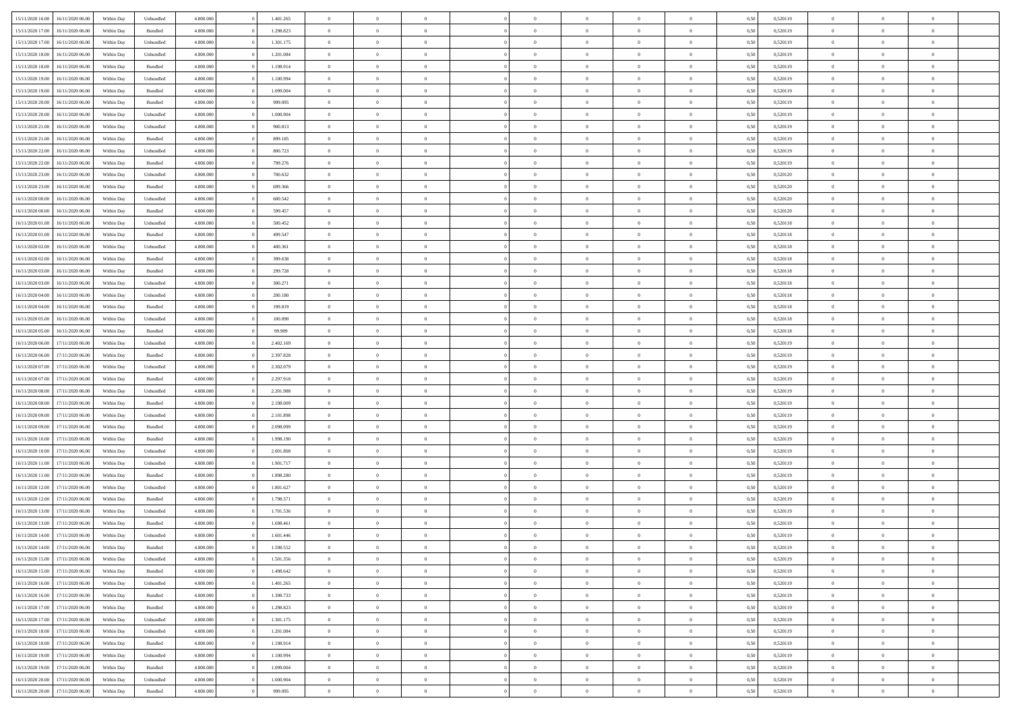| 15/11/2020 16:00 | 16/11/2020 06:00 | Within Dav | Unbundled          | 4.800.000 | 1.401.265 | $\overline{0}$ | $\Omega$       |                | $\Omega$       | $\Omega$       | $\Omega$       | $\theta$       | 0.50 | 0,520119 | $\theta$       | $\theta$       | $\theta$       |  |
|------------------|------------------|------------|--------------------|-----------|-----------|----------------|----------------|----------------|----------------|----------------|----------------|----------------|------|----------|----------------|----------------|----------------|--|
|                  |                  |            |                    |           |           |                |                |                |                |                |                |                |      |          |                |                |                |  |
| 15/11/2020 17.00 | 16/11/2020 06.00 | Within Day | Bundled            | 4.800.000 | 1.298.823 | $\overline{0}$ | $\theta$       | $\overline{0}$ | $\overline{0}$ | $\bf{0}$       | $\overline{0}$ | $\bf{0}$       | 0,50 | 0,520119 | $\theta$       | $\overline{0}$ | $\overline{0}$ |  |
| 15/11/2020 17:00 | 16/11/2020 06.00 | Within Day | Unbundled          | 4.800.000 | 1.301.175 | $\overline{0}$ | $\overline{0}$ | $\overline{0}$ | $\bf{0}$       | $\bf{0}$       | $\bf{0}$       | $\bf{0}$       | 0,50 | 0,520119 | $\bf{0}$       | $\overline{0}$ | $\overline{0}$ |  |
| 15/11/2020 18:00 | 16/11/2020 06:00 | Within Dav | Unbundled          | 4.800.000 | 1.201.084 | $\overline{0}$ | $\overline{0}$ | $\overline{0}$ | $\overline{0}$ | $\bf{0}$       | $\overline{0}$ | $\overline{0}$ | 0.50 | 0.520119 | $\theta$       | $\theta$       | $\overline{0}$ |  |
| 15/11/2020 18:00 | 16/11/2020 06.00 | Within Day | Bundled            | 4.800.000 | 1.198.914 | $\overline{0}$ | $\theta$       | $\overline{0}$ | $\overline{0}$ | $\bf{0}$       | $\overline{0}$ | $\bf{0}$       | 0,50 | 0,520119 | $\theta$       | $\theta$       | $\overline{0}$ |  |
|                  |                  |            |                    |           |           |                |                |                |                |                |                |                |      |          |                |                |                |  |
| 15/11/2020 19:00 | 16/11/2020 06.00 | Within Day | Unbundled          | 4.800.000 | 1.100.994 | $\overline{0}$ | $\bf{0}$       | $\overline{0}$ | $\bf{0}$       | $\overline{0}$ | $\overline{0}$ | $\mathbf{0}$   | 0,50 | 0,520119 | $\bf{0}$       | $\overline{0}$ | $\bf{0}$       |  |
| 15/11/2020 19:00 | 16/11/2020 06:00 | Within Dav | Bundled            | 4.800.000 | 1.099.004 | $\overline{0}$ | $\overline{0}$ | $\overline{0}$ | $\overline{0}$ | $\overline{0}$ | $\overline{0}$ | $\overline{0}$ | 0.50 | 0,520119 | $\theta$       | $\overline{0}$ | $\overline{0}$ |  |
| 15/11/2020 20.00 | 16/11/2020 06.00 | Within Day | Bundled            | 4.800.000 | 999.095   | $\overline{0}$ | $\theta$       | $\overline{0}$ | $\overline{0}$ | $\bf{0}$       | $\overline{0}$ | $\bf{0}$       | 0,50 | 0,520119 | $\theta$       | $\theta$       | $\overline{0}$ |  |
| 15/11/2020 20.00 | 16/11/2020 06.00 | Within Day | Unbundled          | 4.800.000 | 1.000.904 | $\overline{0}$ | $\overline{0}$ | $\overline{0}$ | $\bf{0}$       | $\bf{0}$       | $\bf{0}$       | $\bf{0}$       | 0,50 | 0,520119 | $\,0\,$        | $\overline{0}$ | $\overline{0}$ |  |
| 15/11/2020 21.00 | 16/11/2020 06:00 | Within Dav | Unbundled          | 4.800.000 | 900.813   | $\overline{0}$ | $\overline{0}$ | $\overline{0}$ | $\overline{0}$ | $\overline{0}$ | $\overline{0}$ | $\overline{0}$ | 0.50 | 0,520119 | $\theta$       | $\overline{0}$ | $\overline{0}$ |  |
| 15/11/2020 21.00 | 16/11/2020 06.00 | Within Day | Bundled            | 4.800.000 | 899.185   | $\overline{0}$ | $\theta$       | $\overline{0}$ | $\overline{0}$ | $\bf{0}$       | $\overline{0}$ | $\bf{0}$       | 0,50 | 0,520119 | $\,$ 0 $\,$    | $\theta$       | $\overline{0}$ |  |
|                  |                  |            |                    |           |           |                |                |                |                |                |                |                |      |          |                |                |                |  |
| 15/11/2020 22.00 | 16/11/2020 06.00 | Within Day | Unbundled          | 4.800.000 | 800.723   | $\overline{0}$ | $\overline{0}$ | $\overline{0}$ | $\bf{0}$       | $\bf{0}$       | $\bf{0}$       | $\bf{0}$       | 0,50 | 0,520119 | $\overline{0}$ | $\overline{0}$ | $\overline{0}$ |  |
| 15/11/2020 22.00 | 16/11/2020 06:00 | Within Day | Bundled            | 4.800.000 | 799.276   | $\overline{0}$ | $\overline{0}$ | $\overline{0}$ | $\overline{0}$ | $\bf{0}$       | $\overline{0}$ | $\overline{0}$ | 0.50 | 0.520119 | $\theta$       | $\theta$       | $\overline{0}$ |  |
| 15/11/2020 23.00 | 16/11/2020 06.00 | Within Day | Unbundled          | 4.800.000 | 700.632   | $\overline{0}$ | $\theta$       | $\overline{0}$ | $\overline{0}$ | $\bf{0}$       | $\overline{0}$ | $\bf{0}$       | 0,50 | 0,520120 | $\theta$       | $\theta$       | $\overline{0}$ |  |
| 15/11/2020 23.00 | 16/11/2020 06.00 | Within Day | Bundled            | 4.800.000 | 699.366   | $\overline{0}$ | $\bf{0}$       | $\overline{0}$ | $\bf{0}$       | $\overline{0}$ | $\overline{0}$ | $\mathbf{0}$   | 0,50 | 0,520120 | $\overline{0}$ | $\overline{0}$ | $\bf{0}$       |  |
| 16/11/2020 00:00 | 16/11/2020 06:00 | Within Dav | Unbundled          | 4.800.000 | 600.542   | $\overline{0}$ | $\overline{0}$ | $\overline{0}$ | $\overline{0}$ | $\overline{0}$ | $\overline{0}$ | $\overline{0}$ | 0.50 | 0,520120 | $\theta$       | $\overline{0}$ | $\overline{0}$ |  |
| 16/11/2020 00.00 | 16/11/2020 06.00 | Within Day | Bundled            | 4.800.000 | 599.457   | $\overline{0}$ | $\theta$       | $\overline{0}$ | $\overline{0}$ | $\bf{0}$       | $\overline{0}$ | $\bf{0}$       | 0,50 | 0,520120 | $\,$ 0 $\,$    | $\theta$       | $\overline{0}$ |  |
| 16/11/2020 01:00 | 16/11/2020 06.00 | Within Day | Unbundled          | 4.800.000 | 500.452   | $\overline{0}$ | $\overline{0}$ | $\overline{0}$ | $\bf{0}$       | $\bf{0}$       | $\bf{0}$       | $\bf{0}$       | 0,50 | 0,520118 | $\,0\,$        | $\overline{0}$ | $\overline{0}$ |  |
|                  |                  |            |                    |           |           |                | $\overline{0}$ |                |                | $\overline{0}$ |                |                |      |          | $\theta$       | $\overline{0}$ | $\overline{0}$ |  |
| 16/11/2020 01:00 | 16/11/2020 06:00 | Within Day | Bundled            | 4.800.000 | 499.547   | $\overline{0}$ |                | $\overline{0}$ | $\overline{0}$ |                | $\overline{0}$ | $\overline{0}$ | 0.50 | 0,520118 |                |                |                |  |
| 16/11/2020 02.00 | 16/11/2020 06.00 | Within Day | Unbundled          | 4.800.000 | 400.361   | $\overline{0}$ | $\theta$       | $\overline{0}$ | $\overline{0}$ | $\bf{0}$       | $\overline{0}$ | $\bf{0}$       | 0,50 | 0,520118 | $\,$ 0 $\,$    | $\theta$       | $\overline{0}$ |  |
| 16/11/2020 02.00 | 16/11/2020 06.00 | Within Day | Bundled            | 4.800.000 | 399.638   | $\overline{0}$ | $\overline{0}$ | $\overline{0}$ | $\bf{0}$       | $\bf{0}$       | $\bf{0}$       | $\bf{0}$       | 0,50 | 0,520118 | $\,0\,$        | $\overline{0}$ | $\overline{0}$ |  |
| 16/11/2020 03:00 | 16/11/2020 06:00 | Within Day | Bundled            | 4.800.000 | 299,728   | $\overline{0}$ | $\overline{0}$ | $\overline{0}$ | $\overline{0}$ | $\bf{0}$       | $\overline{0}$ | $\overline{0}$ | 0.50 | 0.520118 | $\theta$       | $\theta$       | $\overline{0}$ |  |
| 16/11/2020 03.00 | 16/11/2020 06.00 | Within Day | Unbundled          | 4.800.000 | 300.271   | $\overline{0}$ | $\theta$       | $\overline{0}$ | $\overline{0}$ | $\bf{0}$       | $\overline{0}$ | $\bf{0}$       | 0,50 | 0,520118 | $\,$ 0 $\,$    | $\overline{0}$ | $\overline{0}$ |  |
| 16/11/2020 04.00 | 16/11/2020 06.00 | Within Day | Unbundled          | 4.800.000 | 200.180   | $\overline{0}$ | $\bf{0}$       | $\overline{0}$ | $\overline{0}$ | $\overline{0}$ | $\overline{0}$ | $\mathbf{0}$   | 0,50 | 0,520118 | $\bf{0}$       | $\overline{0}$ | $\bf{0}$       |  |
| 16/11/2020 04:00 | 16/11/2020 06:00 | Within Dav | Bundled            | 4.800.000 | 199.819   | $\overline{0}$ | $\overline{0}$ | $\overline{0}$ | $\overline{0}$ | $\overline{0}$ | $\overline{0}$ | $\overline{0}$ | 0.50 | 0,520118 | $\theta$       | $\overline{0}$ | $\overline{0}$ |  |
|                  |                  |            |                    |           |           |                |                |                |                |                |                |                |      |          |                |                |                |  |
| 16/11/2020 05:00 | 16/11/2020 06.00 | Within Day | Unbundled          | 4.800.000 | 100.090   | $\overline{0}$ | $\theta$       | $\overline{0}$ | $\overline{0}$ | $\bf{0}$       | $\overline{0}$ | $\bf{0}$       | 0,50 | 0,520118 | $\theta$       | $\theta$       | $\overline{0}$ |  |
| 16/11/2020 05:00 | 16/11/2020 06.00 | Within Day | Bundled            | 4.800.000 | 99.909    | $\overline{0}$ | $\overline{0}$ | $\overline{0}$ | $\overline{0}$ | $\bf{0}$       | $\overline{0}$ | $\bf{0}$       | 0,50 | 0,520118 | $\,0\,$        | $\overline{0}$ | $\overline{0}$ |  |
| 16/11/2020 06:00 | 17/11/2020 06.00 | Within Day | Unbundled          | 4.800.000 | 2.402.169 | $\overline{0}$ | $\overline{0}$ | $\overline{0}$ | $\overline{0}$ | $\overline{0}$ | $\overline{0}$ | $\overline{0}$ | 0.50 | 0,520119 | $\theta$       | $\overline{0}$ | $\overline{0}$ |  |
| 16/11/2020 06.00 | 17/11/2020 06.00 | Within Day | Bundled            | 4.800.000 | 2.397.828 | $\overline{0}$ | $\theta$       | $\overline{0}$ | $\overline{0}$ | $\bf{0}$       | $\overline{0}$ | $\bf{0}$       | 0,50 | 0,520119 | $\,$ 0 $\,$    | $\overline{0}$ | $\overline{0}$ |  |
| 16/11/2020 07.00 | 17/11/2020 06.00 | Within Day | Unbundled          | 4.800.000 | 2.302.079 | $\overline{0}$ | $\overline{0}$ | $\overline{0}$ | $\overline{0}$ | $\bf{0}$       | $\overline{0}$ | $\bf{0}$       | 0,50 | 0,520119 | $\bf{0}$       | $\overline{0}$ | $\overline{0}$ |  |
| 16/11/2020 07:00 | 17/11/2020 06.00 | Within Day | Bundled            | 4.800,000 | 2.297.918 | $\overline{0}$ | $\Omega$       | $\overline{0}$ | $\Omega$       | $\Omega$       | $\overline{0}$ | $\overline{0}$ | 0,50 | 0,520119 | $\,0\,$        | $\theta$       | $\theta$       |  |
|                  |                  |            |                    |           |           | $\overline{0}$ | $\theta$       | $\overline{0}$ | $\overline{0}$ | $\bf{0}$       | $\overline{0}$ |                |      |          | $\,$ 0 $\,$    | $\theta$       | $\overline{0}$ |  |
| 16/11/2020 08:00 | 17/11/2020 06.00 | Within Day | Unbundled          | 4.800.000 | 2.201.988 |                |                |                |                |                |                | $\bf{0}$       | 0,50 | 0,520119 |                |                |                |  |
| 16/11/2020 08:00 | 17/11/2020 06.00 | Within Day | Bundled            | 4.800.000 | 2.198.009 | $\overline{0}$ | $\overline{0}$ | $\overline{0}$ | $\overline{0}$ | $\bf{0}$       | $\overline{0}$ | $\mathbf{0}$   | 0,50 | 0,520119 | $\bf{0}$       | $\overline{0}$ | $\bf{0}$       |  |
| 16/11/2020 09:00 | 17/11/2020 06.00 | Within Day | Unbundled          | 4.800,000 | 2.101.898 | $\overline{0}$ | $\Omega$       | $\Omega$       | $\Omega$       | $\bf{0}$       | $\overline{0}$ | $\overline{0}$ | 0.50 | 0,520119 | $\,0\,$        | $\theta$       | $\theta$       |  |
| 16/11/2020 09:00 | 17/11/2020 06.00 | Within Day | Bundled            | 4.800.000 | 2.098.099 | $\overline{0}$ | $\theta$       | $\overline{0}$ | $\overline{0}$ | $\bf{0}$       | $\overline{0}$ | $\bf{0}$       | 0,50 | 0,520119 | $\,$ 0 $\,$    | $\theta$       | $\overline{0}$ |  |
| 16/11/2020 10:00 | 17/11/2020 06.00 | Within Day | Bundled            | 4.800.000 | 1.998.190 | $\overline{0}$ | $\overline{0}$ | $\overline{0}$ | $\overline{0}$ | $\bf{0}$       | $\overline{0}$ | $\bf{0}$       | 0,50 | 0,520119 | $\,0\,$        | $\overline{0}$ | $\overline{0}$ |  |
| 16/11/2020 10:00 | 17/11/2020 06.00 | Within Day | Unbundled          | 4.800,000 | 2.001.808 | $\overline{0}$ | $\Omega$       | $\Omega$       | $\Omega$       | $\theta$       | $\overline{0}$ | $\overline{0}$ | 0.50 | 0,520119 | $\,0\,$        | $\theta$       | $\theta$       |  |
| 16/11/2020 11:00 | 17/11/2020 06.00 | Within Day | Unbundled          | 4.800.000 | 1.901.717 | $\overline{0}$ | $\theta$       | $\overline{0}$ | $\overline{0}$ | $\bf{0}$       | $\overline{0}$ | $\bf{0}$       | 0,50 | 0,520119 | $\,$ 0 $\,$    | $\overline{0}$ | $\overline{0}$ |  |
|                  |                  |            |                    |           |           |                |                |                |                |                |                |                |      |          |                |                |                |  |
| 16/11/2020 11:00 | 17/11/2020 06.00 | Within Day | Bundled            | 4.800.000 | 1.898.280 | $\overline{0}$ | $\overline{0}$ | $\overline{0}$ | $\overline{0}$ | $\bf{0}$       | $\overline{0}$ | $\bf{0}$       | 0,50 | 0,520119 | $\bf{0}$       | $\overline{0}$ | $\overline{0}$ |  |
| 16/11/2020 12:00 | 17/11/2020 06.00 | Within Day | Unbundled          | 4.800,000 | 1.801.627 | $\overline{0}$ | $\Omega$       | $\overline{0}$ | $\Omega$       | $\overline{0}$ | $\overline{0}$ | $\overline{0}$ | 0,50 | 0,520119 | $\,0\,$        | $\theta$       | $\theta$       |  |
| 16/11/2020 12:00 | 17/11/2020 06.00 | Within Day | Bundled            | 4.800.000 | 1.798.371 | $\overline{0}$ | $\theta$       | $\overline{0}$ | $\overline{0}$ | $\,$ 0         | $\overline{0}$ | $\bf{0}$       | 0,50 | 0,520119 | $\,$ 0 $\,$    | $\overline{0}$ | $\overline{0}$ |  |
| 16/11/2020 13.00 | 17/11/2020 06.00 | Within Day | Unbundled          | 4.800.000 | 1.701.536 | $\overline{0}$ | $\overline{0}$ | $\overline{0}$ | $\overline{0}$ | $\bf{0}$       | $\overline{0}$ | $\mathbf{0}$   | 0,50 | 0,520119 | $\bf{0}$       | $\overline{0}$ | $\bf{0}$       |  |
| 16/11/2020 13:00 | 17/11/2020 06.00 | Within Day | Bundled            | 4.800,000 | 1.698.461 | $\overline{0}$ | $\Omega$       | $\Omega$       | $\Omega$       | $\Omega$       | $\Omega$       | $\overline{0}$ | 0.50 | 0,520119 | $\theta$       | $\theta$       | $\theta$       |  |
| 16/11/2020 14:00 | 17/11/2020 06.00 | Within Day | Unbundled          | 4.800.000 | 1.601.446 | $\overline{0}$ | $\,$ 0 $\,$    | $\overline{0}$ | $\bf{0}$       | $\,$ 0         | $\overline{0}$ | $\bf{0}$       | 0,50 | 0,520119 | $\,0\,$        | $\overline{0}$ | $\overline{0}$ |  |
| 16/11/2020 14:00 | 17/11/2020 06.00 | Within Day | $\mathbf B$ undled | 4.800.000 | 1.598.552 | $\bf{0}$       | $\bf{0}$       |                |                | $\bf{0}$       |                |                | 0,50 | 0,520119 | $\bf{0}$       | $\overline{0}$ |                |  |
|                  |                  |            |                    |           |           |                |                |                |                |                |                |                |      |          |                |                |                |  |
| 16/11/2020 15:00 | 17/11/2020 06.00 | Within Day | Unbundled          | 4.800.000 | 1.501.356 | $\overline{0}$ | $\overline{0}$ | $\overline{0}$ | $\Omega$       | $\theta$       | $\overline{0}$ | $\overline{0}$ | 0,50 | 0,520119 | $\theta$       | $\theta$       | $\theta$       |  |
| 16/11/2020 15:00 | 17/11/2020 06.00 | Within Day | Bundled            | 4.800.000 | 1.498.642 | $\overline{0}$ | $\,$ 0         | $\overline{0}$ | $\overline{0}$ | $\,$ 0 $\,$    | $\overline{0}$ | $\mathbf{0}$   | 0,50 | 0,520119 | $\,$ 0 $\,$    | $\,$ 0 $\,$    | $\,$ 0         |  |
| 16/11/2020 16.00 | 17/11/2020 06.00 | Within Day | Unbundled          | 4.800.000 | 1.401.265 | $\overline{0}$ | $\overline{0}$ | $\overline{0}$ | $\overline{0}$ | $\overline{0}$ | $\overline{0}$ | $\mathbf{0}$   | 0,50 | 0,520119 | $\overline{0}$ | $\bf{0}$       | $\bf{0}$       |  |
| 16/11/2020 16:00 | 17/11/2020 06.00 | Within Day | $\mathbf B$ undled | 4.800,000 | 1.398.733 | $\overline{0}$ | $\overline{0}$ | $\overline{0}$ | $\Omega$       | $\overline{0}$ | $\overline{0}$ | $\overline{0}$ | 0,50 | 0,520119 | $\bf{0}$       | $\theta$       | $\overline{0}$ |  |
| 16/11/2020 17.00 | 17/11/2020 06.00 | Within Day | Bundled            | 4.800.000 | 1.298.823 | $\overline{0}$ | $\,$ 0         | $\overline{0}$ | $\overline{0}$ | $\,$ 0 $\,$    | $\overline{0}$ | $\mathbf{0}$   | 0,50 | 0,520119 | $\,$ 0 $\,$    | $\overline{0}$ | $\overline{0}$ |  |
| 16/11/2020 17.00 | 17/11/2020 06.00 | Within Day | Unbundled          | 4.800.000 | 1.301.175 | $\overline{0}$ | $\overline{0}$ | $\overline{0}$ | $\overline{0}$ | $\overline{0}$ | $\overline{0}$ | $\mathbf{0}$   | 0,50 | 0,520119 | $\overline{0}$ | $\overline{0}$ | $\bf{0}$       |  |
| 16/11/2020 18:00 | 17/11/2020 06.00 | Within Day | Unbundled          | 4.800.000 | 1.201.084 | $\overline{0}$ | $\overline{0}$ | $\overline{0}$ | $\Omega$       | $\overline{0}$ | $\overline{0}$ | $\bf{0}$       | 0.50 | 0,520119 | $\overline{0}$ | $\theta$       | $\overline{0}$ |  |
|                  |                  |            |                    |           |           |                |                |                |                |                |                |                |      |          |                |                |                |  |
| 16/11/2020 18:00 | 17/11/2020 06.00 | Within Day | Bundled            | 4.800.000 | 1.198.914 | $\overline{0}$ | $\,$ 0         | $\overline{0}$ | $\bf{0}$       | $\bf{0}$       | $\bf{0}$       | $\bf{0}$       | 0,50 | 0,520119 | $\,$ 0 $\,$    | $\overline{0}$ | $\overline{0}$ |  |
| 16/11/2020 19:00 | 17/11/2020 06.00 | Within Day | Unbundled          | 4.800.000 | 1.100.994 | $\overline{0}$ | $\bf{0}$       | $\overline{0}$ | $\overline{0}$ | $\overline{0}$ | $\overline{0}$ | $\mathbf{0}$   | 0,50 | 0,520119 | $\overline{0}$ | $\overline{0}$ | $\bf{0}$       |  |
| 16/11/2020 19:00 | 17/11/2020 06.00 | Within Day | Bundled            | 4.800,000 | 1.099.004 | $\overline{0}$ | $\overline{0}$ | $\overline{0}$ | $\Omega$       | $\overline{0}$ | $\overline{0}$ | $\bf{0}$       | 0.50 | 0,520119 | $\overline{0}$ | $\theta$       | $\overline{0}$ |  |
| 16/11/2020 20.00 | 17/11/2020 06.00 | Within Day | Unbundled          | 4.800.000 | 1.000.904 | $\overline{0}$ | $\bf{0}$       | $\overline{0}$ | $\overline{0}$ | $\bf{0}$       | $\bf{0}$       | $\mathbf{0}$   | 0,50 | 0,520119 | $\,$ 0 $\,$    | $\,$ 0 $\,$    | $\bf{0}$       |  |
| 16/11/2020 20.00 | 17/11/2020 06.00 | Within Day | Bundled            | 4.800.000 | 999.095   | $\overline{0}$ | $\overline{0}$ | $\overline{0}$ | $\overline{0}$ | $\bf{0}$       | $\bf{0}$       | $\mathbf{0}$   | 0,50 | 0,520119 | $\overline{0}$ | $\bf{0}$       | $\bf{0}$       |  |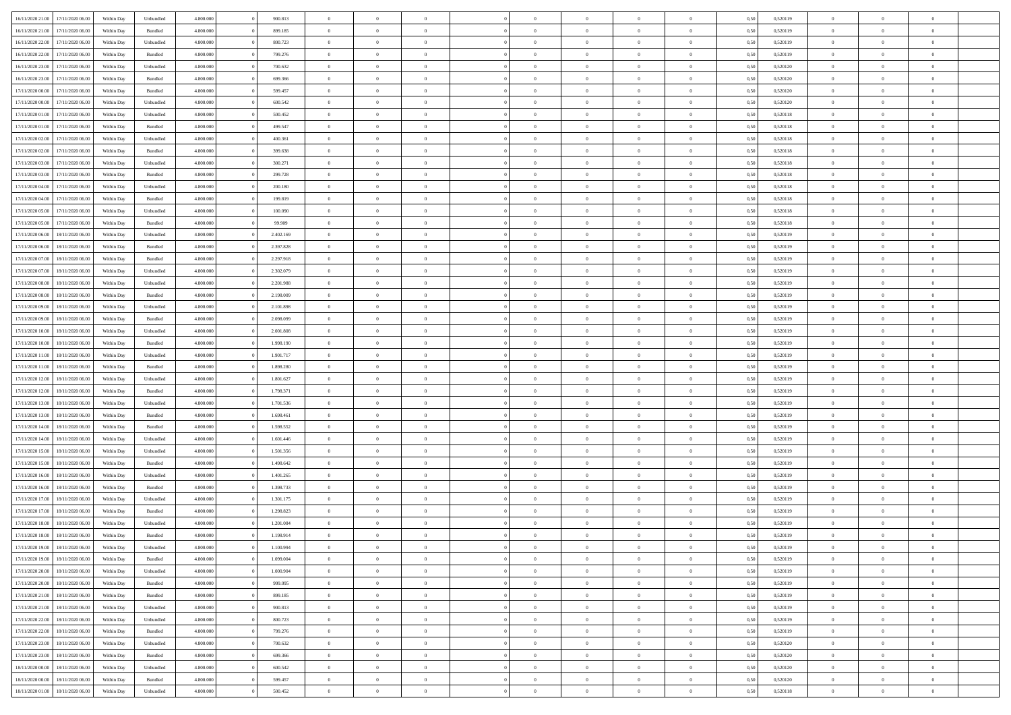| 16/11/2020 21.00 | 17/11/2020 06.00 | Within Dav | Unbundled          | 4.800.000 | 900.813   | $\overline{0}$ | $\Omega$       |                | $\Omega$       | $\Omega$       | $\Omega$       | $\theta$       | 0.50 | 0,520119 | $\theta$       | $\theta$       | $\theta$       |  |
|------------------|------------------|------------|--------------------|-----------|-----------|----------------|----------------|----------------|----------------|----------------|----------------|----------------|------|----------|----------------|----------------|----------------|--|
| 16/11/2020 21.00 | 17/11/2020 06.00 | Within Day | Bundled            | 4.800.000 | 899.185   | $\overline{0}$ | $\theta$       | $\overline{0}$ | $\overline{0}$ | $\bf{0}$       | $\overline{0}$ | $\bf{0}$       | 0,50 | 0,520119 | $\theta$       | $\overline{0}$ | $\overline{0}$ |  |
| 16/11/2020 22:00 | 17/11/2020 06.00 | Within Day | Unbundled          | 4.800.000 | 800.723   | $\overline{0}$ | $\overline{0}$ | $\overline{0}$ | $\bf{0}$       | $\bf{0}$       | $\bf{0}$       | $\bf{0}$       | 0,50 | 0,520119 | $\bf{0}$       | $\overline{0}$ | $\overline{0}$ |  |
| 16/11/2020 22.00 | 17/11/2020 06:00 | Within Dav | Bundled            | 4.800.000 | 799.276   | $\overline{0}$ | $\overline{0}$ | $\overline{0}$ | $\overline{0}$ | $\bf{0}$       | $\overline{0}$ | $\overline{0}$ | 0.50 | 0.520119 | $\theta$       | $\theta$       | $\overline{0}$ |  |
| 16/11/2020 23.00 | 17/11/2020 06.00 | Within Day | Unbundled          | 4.800.000 | 700.632   | $\overline{0}$ | $\theta$       | $\overline{0}$ | $\overline{0}$ | $\bf{0}$       | $\overline{0}$ | $\bf{0}$       | 0,50 | 0,520120 | $\theta$       | $\theta$       | $\overline{0}$ |  |
|                  |                  |            |                    |           |           |                |                |                |                |                |                |                |      |          |                |                |                |  |
| 16/11/2020 23:00 | 17/11/2020 06.00 | Within Day | Bundled            | 4.800.000 | 699.366   | $\overline{0}$ | $\bf{0}$       | $\overline{0}$ | $\bf{0}$       | $\overline{0}$ | $\overline{0}$ | $\mathbf{0}$   | 0,50 | 0,520120 | $\bf{0}$       | $\overline{0}$ | $\bf{0}$       |  |
| 17/11/2020 00:00 | 17/11/2020 06.00 | Within Dav | Bundled            | 4.800.000 | 599,457   | $\overline{0}$ | $\overline{0}$ | $\overline{0}$ | $\overline{0}$ | $\overline{0}$ | $\overline{0}$ | $\overline{0}$ | 0.50 | 0,520120 | $\theta$       | $\overline{0}$ | $\overline{0}$ |  |
| 17/11/2020 00.00 | 17/11/2020 06.00 | Within Day | Unbundled          | 4.800.000 | 600.542   | $\overline{0}$ | $\theta$       | $\overline{0}$ | $\overline{0}$ | $\bf{0}$       | $\overline{0}$ | $\bf{0}$       | 0,50 | 0,520120 | $\theta$       | $\theta$       | $\overline{0}$ |  |
| 17/11/2020 01:00 | 17/11/2020 06.00 | Within Day | Unbundled          | 4.800.000 | 500.452   | $\overline{0}$ | $\overline{0}$ | $\overline{0}$ | $\bf{0}$       | $\bf{0}$       | $\bf{0}$       | $\bf{0}$       | 0,50 | 0,520118 | $\,0\,$        | $\overline{0}$ | $\overline{0}$ |  |
| 17/11/2020 01:00 | 17/11/2020 06.00 | Within Day | Bundled            | 4.800.000 | 499.547   | $\overline{0}$ | $\overline{0}$ | $\overline{0}$ | $\overline{0}$ | $\overline{0}$ | $\overline{0}$ | $\overline{0}$ | 0.50 | 0,520118 | $\theta$       | $\overline{0}$ | $\overline{0}$ |  |
| 17/11/2020 02.00 | 17/11/2020 06.00 | Within Day | Unbundled          | 4.800.000 | 400.361   | $\overline{0}$ | $\theta$       | $\overline{0}$ | $\overline{0}$ | $\bf{0}$       | $\overline{0}$ | $\bf{0}$       | 0,50 | 0,520118 | $\,$ 0 $\,$    | $\theta$       | $\overline{0}$ |  |
|                  | 17/11/2020 06.00 | Within Day | Bundled            | 4.800.000 | 399.638   | $\overline{0}$ | $\overline{0}$ | $\overline{0}$ | $\bf{0}$       | $\bf{0}$       | $\bf{0}$       | $\bf{0}$       | 0,50 | 0,520118 | $\bf{0}$       | $\overline{0}$ | $\overline{0}$ |  |
| 17/11/2020 02.00 |                  |            |                    |           |           |                |                |                |                |                |                |                |      |          |                |                |                |  |
| 17/11/2020 03:00 | 17/11/2020 06:00 | Within Day | Unbundled          | 4.800.000 | 300.271   | $\overline{0}$ | $\overline{0}$ | $\overline{0}$ | $\overline{0}$ | $\bf{0}$       | $\overline{0}$ | $\overline{0}$ | 0.50 | 0.520118 | $\theta$       | $\theta$       | $\overline{0}$ |  |
| 17/11/2020 03.00 | 17/11/2020 06.00 | Within Day | Bundled            | 4.800.000 | 299.728   | $\overline{0}$ | $\theta$       | $\overline{0}$ | $\overline{0}$ | $\bf{0}$       | $\overline{0}$ | $\bf{0}$       | 0,50 | 0,520118 | $\theta$       | $\theta$       | $\overline{0}$ |  |
| 17/11/2020 04:00 | 17/11/2020 06.00 | Within Day | Unbundled          | 4.800.000 | 200.180   | $\overline{0}$ | $\overline{0}$ | $\overline{0}$ | $\bf{0}$       | $\overline{0}$ | $\overline{0}$ | $\mathbf{0}$   | 0,50 | 0,520118 | $\bf{0}$       | $\overline{0}$ | $\bf{0}$       |  |
| 17/11/2020 04.00 | 17/11/2020 06.00 | Within Dav | Bundled            | 4.800.000 | 199,819   | $\overline{0}$ | $\overline{0}$ | $\overline{0}$ | $\overline{0}$ | $\overline{0}$ | $\overline{0}$ | $\overline{0}$ | 0.50 | 0,520118 | $\theta$       | $\overline{0}$ | $\overline{0}$ |  |
| 17/11/2020 05:00 | 17/11/2020 06.00 | Within Day | Unbundled          | 4.800.000 | 100.090   | $\overline{0}$ | $\theta$       | $\overline{0}$ | $\overline{0}$ | $\bf{0}$       | $\overline{0}$ | $\bf{0}$       | 0,50 | 0,520118 | $\,$ 0 $\,$    | $\theta$       | $\overline{0}$ |  |
| 17/11/2020 05:00 | 17/11/2020 06.00 | Within Day | Bundled            | 4.800.000 | 99.909    | $\overline{0}$ | $\overline{0}$ | $\overline{0}$ | $\bf{0}$       | $\bf{0}$       | $\bf{0}$       | $\bf{0}$       | 0,50 | 0,520118 | $\,0\,$        | $\overline{0}$ | $\overline{0}$ |  |
| 17/11/2020 06.00 | 18/11/2020 06:00 |            | Unbundled          | 4.800.000 | 2.402.169 | $\overline{0}$ | $\overline{0}$ | $\overline{0}$ | $\overline{0}$ | $\overline{0}$ | $\overline{0}$ | $\overline{0}$ | 0.50 | 0,520119 | $\theta$       | $\overline{0}$ | $\overline{0}$ |  |
|                  |                  | Within Day |                    |           |           |                |                |                |                |                |                |                |      |          |                |                |                |  |
| 17/11/2020 06.00 | 18/11/2020 06.00 | Within Day | Bundled            | 4.800.000 | 2.397.828 | $\overline{0}$ | $\theta$       | $\overline{0}$ | $\overline{0}$ | $\bf{0}$       | $\overline{0}$ | $\bf{0}$       | 0,50 | 0,520119 | $\,$ 0 $\,$    | $\theta$       | $\overline{0}$ |  |
| 17/11/2020 07:00 | 18/11/2020 06.00 | Within Day | Bundled            | 4.800.000 | 2.297.918 | $\overline{0}$ | $\overline{0}$ | $\overline{0}$ | $\bf{0}$       | $\bf{0}$       | $\overline{0}$ | $\bf{0}$       | 0,50 | 0,520119 | $\,0\,$        | $\overline{0}$ | $\overline{0}$ |  |
| 17/11/2020 07.00 | 18/11/2020 06:00 | Within Day | Unbundled          | 4.800.000 | 2.302.079 | $\overline{0}$ | $\overline{0}$ | $\overline{0}$ | $\overline{0}$ | $\bf{0}$       | $\overline{0}$ | $\overline{0}$ | 0.50 | 0.520119 | $\theta$       | $\theta$       | $\overline{0}$ |  |
| 17/11/2020 08:00 | 18/11/2020 06.00 | Within Day | Unbundled          | 4.800.000 | 2.201.988 | $\overline{0}$ | $\theta$       | $\overline{0}$ | $\overline{0}$ | $\bf{0}$       | $\overline{0}$ | $\bf{0}$       | 0,50 | 0,520119 | $\,$ 0 $\,$    | $\overline{0}$ | $\overline{0}$ |  |
| 17/11/2020 08:00 | 18/11/2020 06.00 | Within Day | Bundled            | 4.800.000 | 2.198.009 | $\overline{0}$ | $\bf{0}$       | $\overline{0}$ | $\overline{0}$ | $\overline{0}$ | $\overline{0}$ | $\mathbf{0}$   | 0,50 | 0,520119 | $\overline{0}$ | $\overline{0}$ | $\bf{0}$       |  |
| 17/11/2020 09:00 | 18/11/2020 06:00 | Within Day | Unbundled          | 4.800.000 | 2.101.898 | $\overline{0}$ | $\overline{0}$ | $\overline{0}$ | $\overline{0}$ | $\overline{0}$ | $\overline{0}$ | $\overline{0}$ | 0.50 | 0,520119 | $\theta$       | $\overline{0}$ | $\overline{0}$ |  |
|                  |                  |            |                    |           |           |                |                |                |                |                |                |                |      |          |                |                |                |  |
| 17/11/2020 09:00 | 18/11/2020 06.00 | Within Day | Bundled            | 4.800.000 | 2.098.099 | $\overline{0}$ | $\theta$       | $\overline{0}$ | $\overline{0}$ | $\bf{0}$       | $\overline{0}$ | $\bf{0}$       | 0,50 | 0,520119 | $\theta$       | $\theta$       | $\overline{0}$ |  |
| 17/11/2020 10:00 | 18/11/2020 06.00 | Within Day | Unbundled          | 4.800.000 | 2.001.808 | $\overline{0}$ | $\overline{0}$ | $\overline{0}$ | $\overline{0}$ | $\bf{0}$       | $\overline{0}$ | $\bf{0}$       | 0,50 | 0,520119 | $\,0\,$        | $\overline{0}$ | $\overline{0}$ |  |
| 17/11/2020 10:00 | 18/11/2020 06:00 | Within Day | Bundled            | 4.800.000 | 1.998.190 | $\overline{0}$ | $\overline{0}$ | $\overline{0}$ | $\overline{0}$ | $\overline{0}$ | $\overline{0}$ | $\overline{0}$ | 0.50 | 0,520119 | $\theta$       | $\overline{0}$ | $\overline{0}$ |  |
| 17/11/2020 11:00 | 18/11/2020 06.00 | Within Day | Unbundled          | 4.800.000 | 1.901.717 | $\overline{0}$ | $\theta$       | $\overline{0}$ | $\overline{0}$ | $\bf{0}$       | $\overline{0}$ | $\bf{0}$       | 0,50 | 0,520119 | $\,$ 0 $\,$    | $\overline{0}$ | $\overline{0}$ |  |
| 17/11/2020 11:00 | 18/11/2020 06.00 | Within Day | Bundled            | 4.800.000 | 1.898.280 | $\overline{0}$ | $\overline{0}$ | $\overline{0}$ | $\overline{0}$ | $\bf{0}$       | $\overline{0}$ | $\bf{0}$       | 0,50 | 0,520119 | $\overline{0}$ | $\overline{0}$ | $\overline{0}$ |  |
| 17/11/2020 12:00 | 18/11/2020 06.00 | Within Day | Unbundled          | 4.800.000 | 1.801.627 | $\overline{0}$ | $\Omega$       | $\overline{0}$ | $\Omega$       | $\Omega$       | $\overline{0}$ | $\overline{0}$ | 0,50 | 0,520119 | $\,0\,$        | $\theta$       | $\theta$       |  |
| 17/11/2020 12:00 | 18/11/2020 06.00 | Within Day | Bundled            | 4.800.000 | 1.798.371 | $\overline{0}$ | $\theta$       | $\overline{0}$ | $\overline{0}$ | $\bf{0}$       | $\overline{0}$ | $\bf{0}$       | 0,50 | 0,520119 | $\,$ 0 $\,$    | $\theta$       | $\overline{0}$ |  |
|                  |                  |            |                    |           |           |                |                |                |                |                |                |                |      |          |                |                |                |  |
| 17/11/2020 13:00 | 18/11/2020 06.00 | Within Day | Unbundled          | 4.800.000 | 1.701.536 | $\overline{0}$ | $\overline{0}$ | $\overline{0}$ | $\overline{0}$ | $\bf{0}$       | $\overline{0}$ | $\mathbf{0}$   | 0,50 | 0,520119 | $\overline{0}$ | $\overline{0}$ | $\bf{0}$       |  |
| 17/11/2020 13:00 | 18/11/2020 06.00 | Within Day | Bundled            | 4.800,000 | 1.698.461 | $\overline{0}$ | $\Omega$       | $\Omega$       | $\Omega$       | $\bf{0}$       | $\overline{0}$ | $\overline{0}$ | 0.50 | 0,520119 | $\,0\,$        | $\theta$       | $\theta$       |  |
| 17/11/2020 14:00 | 18/11/2020 06.00 | Within Day | Bundled            | 4.800.000 | 1.598.552 | $\overline{0}$ | $\theta$       | $\overline{0}$ | $\overline{0}$ | $\bf{0}$       | $\overline{0}$ | $\bf{0}$       | 0,50 | 0,520119 | $\,$ 0 $\,$    | $\theta$       | $\overline{0}$ |  |
| 17/11/2020 14:00 | 18/11/2020 06.00 | Within Day | Unbundled          | 4.800.000 | 1.601.446 | $\overline{0}$ | $\overline{0}$ | $\overline{0}$ | $\overline{0}$ | $\bf{0}$       | $\overline{0}$ | $\bf{0}$       | 0,50 | 0,520119 | $\bf{0}$       | $\overline{0}$ | $\overline{0}$ |  |
| 17/11/2020 15:00 | 18/11/2020 06.00 | Within Day | Unbundled          | 4.800,000 | 1.501.356 | $\overline{0}$ | $\Omega$       | $\Omega$       | $\Omega$       | $\overline{0}$ | $\overline{0}$ | $\overline{0}$ | 0.50 | 0,520119 | $\,0\,$        | $\theta$       | $\theta$       |  |
| 17/11/2020 15:00 | 18/11/2020 06.00 | Within Day | Bundled            | 4.800.000 | 1.498.642 | $\overline{0}$ | $\theta$       | $\overline{0}$ | $\overline{0}$ | $\,$ 0         | $\overline{0}$ | $\bf{0}$       | 0,50 | 0,520119 | $\,$ 0 $\,$    | $\overline{0}$ | $\overline{0}$ |  |
|                  | 18/11/2020 06.00 | Within Day | Unbundled          | 4.800.000 | 1.401.265 | $\overline{0}$ | $\overline{0}$ | $\overline{0}$ | $\bf{0}$       | $\bf{0}$       | $\bf{0}$       | $\bf{0}$       | 0,50 | 0,520119 | $\bf{0}$       | $\overline{0}$ | $\overline{0}$ |  |
| 17/11/2020 16:00 |                  |            |                    |           |           |                |                |                |                |                |                |                |      |          |                |                |                |  |
| 17/11/2020 16:00 | 18/11/2020 06.00 | Within Day | Bundled            | 4.800,000 | 1.398.733 | $\overline{0}$ | $\Omega$       | $\overline{0}$ | $\Omega$       | $\overline{0}$ | $\overline{0}$ | $\overline{0}$ | 0,50 | 0,520119 | $\,0\,$        | $\theta$       | $\theta$       |  |
| 17/11/2020 17.00 | 18/11/2020 06.00 | Within Day | Unbundled          | 4.800.000 | 1.301.175 | $\overline{0}$ | $\theta$       | $\overline{0}$ | $\overline{0}$ | $\,$ 0         | $\overline{0}$ | $\bf{0}$       | 0,50 | 0,520119 | $\,$ 0 $\,$    | $\overline{0}$ | $\overline{0}$ |  |
| 17/11/2020 17:00 | 18/11/2020 06.00 | Within Day | Bundled            | 4.800.000 | 1.298.823 | $\overline{0}$ | $\overline{0}$ | $\overline{0}$ | $\bf{0}$       | $\bf{0}$       | $\bf{0}$       | $\mathbf{0}$   | 0,50 | 0,520119 | $\bf{0}$       | $\overline{0}$ | $\bf{0}$       |  |
| 17/11/2020 18:00 | 18/11/2020 06:00 | Within Day | Unbundled          | 4.800,000 | 1.201.084 | $\overline{0}$ | $\Omega$       | $\Omega$       | $\Omega$       | $\Omega$       | $\Omega$       | $\overline{0}$ | 0.50 | 0,520119 | $\theta$       | $\theta$       | $\theta$       |  |
| 17/11/2020 18:00 | 18/11/2020 06.00 | Within Day | Bundled            | 4.800.000 | 1.198.914 | $\overline{0}$ | $\,$ 0 $\,$    | $\overline{0}$ | $\bf{0}$       | $\,$ 0         | $\bf{0}$       | $\bf{0}$       | 0,50 | 0,520119 | $\,0\,$        | $\overline{0}$ | $\overline{0}$ |  |
| 17/11/2020 19:00 | 18/11/2020 06.00 | Within Day | Unbundled          | 4.800.000 | 1.100.994 | $\bf{0}$       | $\bf{0}$       |                |                |                |                |                | 0,50 | 0,520119 | $\bf{0}$       | $\overline{0}$ |                |  |
| 17/11/2020 19:00 | 18/11/2020 06:00 | Within Day | Bundled            | 4.800.000 | 1.099.004 | $\overline{0}$ | $\overline{0}$ | $\overline{0}$ | $\Omega$       | $\overline{0}$ | $\overline{0}$ | $\overline{0}$ | 0,50 | 0,520119 | $\theta$       | $\theta$       | $\theta$       |  |
|                  |                  |            |                    |           |           |                |                |                |                |                |                |                |      |          |                |                |                |  |
| 17/11/2020 20.00 | 18/11/2020 06.00 | Within Day | Unbundled          | 4.800.000 | 1.000.904 | $\overline{0}$ | $\bf{0}$       | $\overline{0}$ | $\bf{0}$       | $\,$ 0 $\,$    | $\overline{0}$ | $\,$ 0 $\,$    | 0,50 | 0,520119 | $\,$ 0 $\,$    | $\,$ 0 $\,$    | $\,$ 0         |  |
| 17/11/2020 20:00 | 18/11/2020 06:00 | Within Day | Bundled            | 4.800.000 | 999.095   | $\overline{0}$ | $\overline{0}$ | $\overline{0}$ | $\overline{0}$ | $\overline{0}$ | $\overline{0}$ | $\mathbf{0}$   | 0,50 | 0,520119 | $\overline{0}$ | $\bf{0}$       | $\bf{0}$       |  |
| 17/11/2020 21.00 | 18/11/2020 06:00 | Within Day | $\mathbf B$ undled | 4.800.000 | 899.185   | $\overline{0}$ | $\overline{0}$ | $\overline{0}$ | $\Omega$       | $\overline{0}$ | $\overline{0}$ | $\overline{0}$ | 0,50 | 0,520119 | $\overline{0}$ | $\theta$       | $\overline{0}$ |  |
| 17/11/2020 21.00 | 18/11/2020 06.00 | Within Day | Unbundled          | 4.800.000 | 900.813   | $\overline{0}$ | $\,$ 0         | $\overline{0}$ | $\bf{0}$       | $\,$ 0 $\,$    | $\overline{0}$ | $\mathbf{0}$   | 0,50 | 0,520119 | $\,$ 0 $\,$    | $\overline{0}$ | $\overline{0}$ |  |
| 17/11/2020 22.00 | 18/11/2020 06:00 | Within Day | Unbundled          | 4.800.000 | 800.723   | $\overline{0}$ | $\overline{0}$ | $\overline{0}$ | $\overline{0}$ | $\overline{0}$ | $\overline{0}$ | $\mathbf{0}$   | 0,50 | 0,520119 | $\overline{0}$ | $\overline{0}$ | $\bf{0}$       |  |
| 17/11/2020 22.00 | 18/11/2020 06:00 | Within Day | Bundled            | 4.800,000 | 799.276   | $\overline{0}$ | $\overline{0}$ | $\overline{0}$ | $\overline{0}$ | $\overline{0}$ | $\overline{0}$ | $\bf{0}$       | 0.50 | 0,520119 | $\overline{0}$ | $\theta$       | $\overline{0}$ |  |
| 17/11/2020 23.00 | 18/11/2020 06.00 | Within Day | Unbundled          | 4.800.000 | 700.632   | $\overline{0}$ | $\,$ 0         | $\overline{0}$ | $\bf{0}$       | $\bf{0}$       | $\bf{0}$       | $\bf{0}$       | 0,50 | 0,520120 | $\,$ 0 $\,$    | $\overline{0}$ | $\overline{0}$ |  |
|                  |                  |            |                    |           |           |                |                |                |                |                |                |                |      |          |                |                |                |  |
| 17/11/2020 23.00 | 18/11/2020 06:00 | Within Day | Bundled            | 4.800.000 | 699.366   | $\overline{0}$ | $\bf{0}$       | $\overline{0}$ | $\overline{0}$ | $\overline{0}$ | $\overline{0}$ | $\mathbf{0}$   | 0,50 | 0,520120 | $\overline{0}$ | $\overline{0}$ | $\bf{0}$       |  |
| 18/11/2020 00:00 | 18/11/2020 06:00 | Within Day | Unbundled          | 4.800,000 | 600.542   | $\overline{0}$ | $\overline{0}$ | $\overline{0}$ | $\Omega$       | $\overline{0}$ | $\overline{0}$ | $\overline{0}$ | 0.50 | 0,520120 | $\overline{0}$ | $\overline{0}$ | $\overline{0}$ |  |
| 18/11/2020 00:00 | 18/11/2020 06.00 | Within Day | Bundled            | 4.800.000 | 599.457   | $\overline{0}$ | $\bf{0}$       | $\overline{0}$ | $\overline{0}$ | $\bf{0}$       | $\bf{0}$       | $\mathbf{0}$   | 0,50 | 0,520120 | $\,$ 0 $\,$    | $\,$ 0 $\,$    | $\bf{0}$       |  |
| 18/11/2020 01:00 | 18/11/2020 06.00 | Within Day | Unbundled          | 4.800.000 | 500.452   | $\overline{0}$ | $\bf{0}$       | $\overline{0}$ | $\bf{0}$       | $\bf{0}$       | $\bf{0}$       | $\bf{0}$       | 0,50 | 0,520118 | $\overline{0}$ | $\overline{0}$ | $\bf{0}$       |  |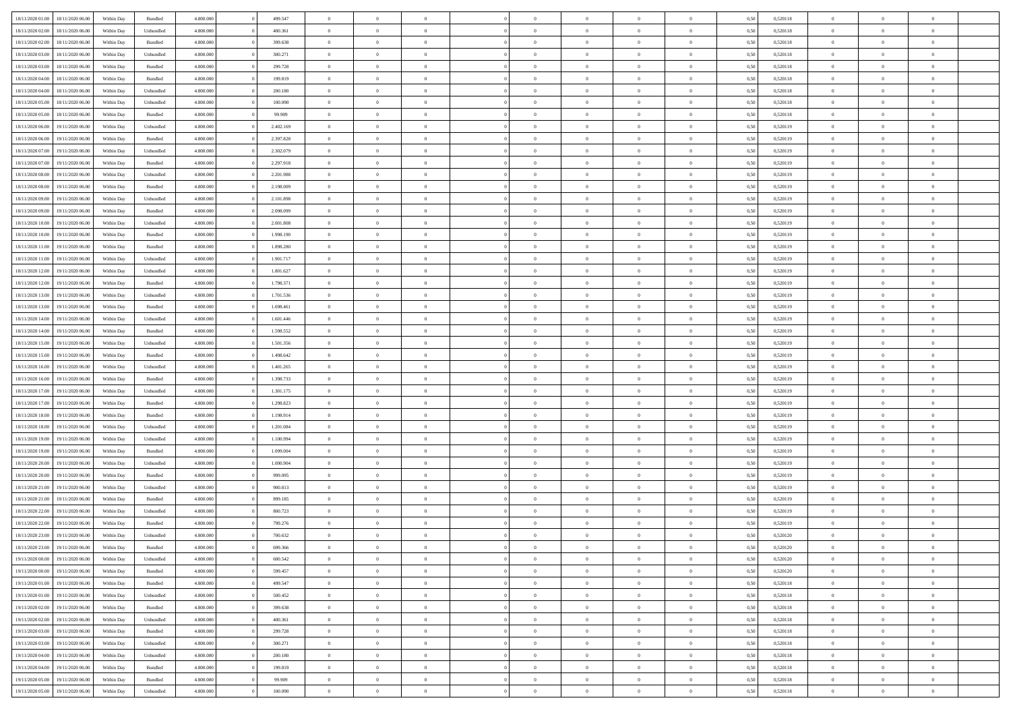| 18/11/2020 01:00 | 18/11/2020 06:00 | Within Dav | Bundled            | 4.800.000 | 499.547   | $\overline{0}$ | $\Omega$       |                | $\Omega$       | $\Omega$       | $\theta$       | $\theta$       | 0.50 | 0,520118 | $\theta$       | $\theta$       | $\overline{0}$ |  |
|------------------|------------------|------------|--------------------|-----------|-----------|----------------|----------------|----------------|----------------|----------------|----------------|----------------|------|----------|----------------|----------------|----------------|--|
|                  |                  |            |                    |           |           |                |                |                |                |                |                |                |      |          |                |                |                |  |
| 18/11/2020 02.00 | 18/11/2020 06.00 | Within Day | Unbundled          | 4.800.000 | 400.361   | $\overline{0}$ | $\theta$       | $\overline{0}$ | $\overline{0}$ | $\bf{0}$       | $\overline{0}$ | $\bf{0}$       | 0,50 | 0,520118 | $\theta$       | $\overline{0}$ | $\overline{0}$ |  |
| 18/11/2020 02:00 | 18/11/2020 06.00 | Within Day | Bundled            | 4.800.000 | 399.638   | $\overline{0}$ | $\bf{0}$       | $\overline{0}$ | $\overline{0}$ | $\bf{0}$       | $\overline{0}$ | $\mathbf{0}$   | 0,50 | 0,520118 | $\bf{0}$       | $\overline{0}$ | $\overline{0}$ |  |
| 18/11/2020 03:00 | 18/11/2020 06:00 | Within Day | Unbundled          | 4.800.000 | 300.271   | $\overline{0}$ | $\overline{0}$ | $\overline{0}$ | $\overline{0}$ | $\bf{0}$       | $\overline{0}$ | $\overline{0}$ | 0.50 | 0.520118 | $\theta$       | $\theta$       | $\overline{0}$ |  |
| 18/11/2020 03:00 | 18/11/2020 06.00 | Within Day | Bundled            | 4.800.000 | 299.728   | $\overline{0}$ | $\theta$       | $\overline{0}$ | $\overline{0}$ | $\bf{0}$       | $\overline{0}$ | $\bf{0}$       | 0,50 | 0,520118 | $\theta$       | $\overline{0}$ | $\overline{0}$ |  |
| 18/11/2020 04:00 | 18/11/2020 06.00 | Within Day | Bundled            | 4.800.000 | 199.819   | $\overline{0}$ | $\overline{0}$ | $\overline{0}$ | $\overline{0}$ | $\overline{0}$ | $\overline{0}$ | $\mathbf{0}$   | 0,50 | 0,520118 | $\overline{0}$ | $\overline{0}$ | $\bf{0}$       |  |
| 18/11/2020 04:00 | 18/11/2020 06:00 | Within Dav | Unbundled          | 4.800.000 | 200.180   | $\overline{0}$ | $\overline{0}$ | $\overline{0}$ | $\overline{0}$ | $\overline{0}$ | $\overline{0}$ | $\overline{0}$ | 0.50 | 0,520118 | $\theta$       | $\overline{0}$ | $\overline{0}$ |  |
|                  |                  |            |                    |           |           |                |                |                |                |                |                |                |      |          |                |                |                |  |
| 18/11/2020 05:00 | 18/11/2020 06.00 | Within Day | Unbundled          | 4.800.000 | 100.090   | $\overline{0}$ | $\theta$       | $\overline{0}$ | $\overline{0}$ | $\bf{0}$       | $\overline{0}$ | $\bf{0}$       | 0,50 | 0,520118 | $\theta$       | $\theta$       | $\overline{0}$ |  |
| 18/11/2020 05:00 | 18/11/2020 06.00 | Within Day | Bundled            | 4.800.000 | 99.909    | $\overline{0}$ | $\overline{0}$ | $\overline{0}$ | $\overline{0}$ | $\bf{0}$       | $\overline{0}$ | $\bf{0}$       | 0,50 | 0,520118 | $\,0\,$        | $\overline{0}$ | $\overline{0}$ |  |
| 18/11/2020 06:00 | 19/11/2020 06.00 | Within Dav | Unbundled          | 4.800.000 | 2.402.169 | $\overline{0}$ | $\overline{0}$ | $\overline{0}$ | $\overline{0}$ | $\overline{0}$ | $\overline{0}$ | $\overline{0}$ | 0.50 | 0,520119 | $\theta$       | $\overline{0}$ | $\overline{0}$ |  |
| 18/11/2020 06:00 | 19/11/2020 06.00 | Within Day | Bundled            | 4.800.000 | 2.397.828 | $\overline{0}$ | $\theta$       | $\overline{0}$ | $\overline{0}$ | $\bf{0}$       | $\overline{0}$ | $\bf{0}$       | 0,50 | 0,520119 | $\,$ 0 $\,$    | $\overline{0}$ | $\overline{0}$ |  |
| 18/11/2020 07.00 | 19/11/2020 06.00 | Within Day | Unbundled          | 4.800.000 | 2.302.079 | $\overline{0}$ | $\overline{0}$ | $\overline{0}$ | $\overline{0}$ | $\bf{0}$       | $\overline{0}$ | $\bf{0}$       | 0,50 | 0,520119 | $\overline{0}$ | $\overline{0}$ | $\bf{0}$       |  |
| 18/11/2020 07:00 | 19/11/2020 06:00 | Within Day | Bundled            | 4.800.000 | 2.297.918 | $\overline{0}$ | $\overline{0}$ | $\overline{0}$ | $\overline{0}$ | $\bf{0}$       | $\overline{0}$ | $\overline{0}$ | 0.50 | 0.520119 | $\theta$       | $\theta$       | $\overline{0}$ |  |
| 18/11/2020 08:00 | 19/11/2020 06.00 | Within Day | Unbundled          | 4.800.000 | 2.201.988 | $\overline{0}$ | $\theta$       | $\overline{0}$ | $\overline{0}$ | $\bf{0}$       | $\overline{0}$ | $\bf{0}$       | 0,50 | 0,520119 | $\theta$       | $\overline{0}$ | $\overline{0}$ |  |
|                  |                  |            |                    |           |           |                |                |                |                |                |                |                |      |          |                |                |                |  |
| 18/11/2020 08:00 | 19/11/2020 06.00 | Within Day | Bundled            | 4.800.000 | 2.198.009 | $\overline{0}$ | $\overline{0}$ | $\overline{0}$ | $\overline{0}$ | $\overline{0}$ | $\overline{0}$ | $\mathbf{0}$   | 0,50 | 0,520119 | $\overline{0}$ | $\overline{0}$ | $\bf{0}$       |  |
| 18/11/2020 09:00 | 19/11/2020 06:00 | Within Dav | Unbundled          | 4.800.000 | 2.101.898 | $\overline{0}$ | $\overline{0}$ | $\overline{0}$ | $\overline{0}$ | $\overline{0}$ | $\overline{0}$ | $\overline{0}$ | 0.50 | 0,520119 | $\theta$       | $\overline{0}$ | $\overline{0}$ |  |
| 18/11/2020 09:00 | 19/11/2020 06.00 | Within Day | Bundled            | 4.800.000 | 2.098.099 | $\overline{0}$ | $\theta$       | $\overline{0}$ | $\overline{0}$ | $\bf{0}$       | $\overline{0}$ | $\bf{0}$       | 0,50 | 0,520119 | $\,$ 0 $\,$    | $\theta$       | $\overline{0}$ |  |
| 18/11/2020 10:00 | 19/11/2020 06.00 | Within Day | Unbundled          | 4.800.000 | 2.001.808 | $\overline{0}$ | $\overline{0}$ | $\overline{0}$ | $\overline{0}$ | $\bf{0}$       | $\overline{0}$ | $\bf{0}$       | 0,50 | 0,520119 | $\bf{0}$       | $\overline{0}$ | $\overline{0}$ |  |
| 18/11/2020 10:00 | 19/11/2020 06:00 | Within Day | Bundled            | 4.800.000 | 1.998.190 | $\overline{0}$ | $\overline{0}$ | $\overline{0}$ | $\overline{0}$ | $\overline{0}$ | $\overline{0}$ | $\overline{0}$ | 0.50 | 0,520119 | $\theta$       | $\overline{0}$ | $\overline{0}$ |  |
| 18/11/2020 11:00 | 19/11/2020 06.00 | Within Day | Bundled            | 4.800.000 | 1.898.280 | $\overline{0}$ | $\theta$       | $\overline{0}$ | $\overline{0}$ | $\bf{0}$       | $\overline{0}$ | $\bf{0}$       | 0,50 | 0,520119 | $\,$ 0 $\,$    | $\overline{0}$ | $\overline{0}$ |  |
| 18/11/2020 11:00 | 19/11/2020 06.00 | Within Day | Unbundled          | 4.800.000 | 1.901.717 | $\overline{0}$ | $\overline{0}$ | $\overline{0}$ | $\overline{0}$ | $\bf{0}$       | $\bf{0}$       | $\bf{0}$       | 0,50 | 0,520119 | $\bf{0}$       | $\overline{0}$ | $\bf{0}$       |  |
|                  | 19/11/2020 06:00 |            | Unbundled          | 4.800.000 | 1.801.627 | $\overline{0}$ | $\overline{0}$ |                |                | $\bf{0}$       | $\overline{0}$ |                | 0.50 | 0.520119 | $\theta$       | $\overline{0}$ | $\overline{0}$ |  |
| 18/11/2020 12:00 |                  | Within Day |                    |           |           |                |                | $\overline{0}$ | $\overline{0}$ |                |                | $\overline{0}$ |      |          |                |                |                |  |
| 18/11/2020 12:00 | 19/11/2020 06.00 | Within Day | Bundled            | 4.800.000 | 1.798.371 | $\overline{0}$ | $\theta$       | $\overline{0}$ | $\overline{0}$ | $\bf{0}$       | $\overline{0}$ | $\bf{0}$       | 0,50 | 0,520119 | $\,$ 0 $\,$    | $\overline{0}$ | $\overline{0}$ |  |
| 18/11/2020 13:00 | 19/11/2020 06.00 | Within Day | Unbundled          | 4.800.000 | 1.701.536 | $\overline{0}$ | $\overline{0}$ | $\overline{0}$ | $\bf{0}$       | $\overline{0}$ | $\overline{0}$ | $\mathbf{0}$   | 0,50 | 0,520119 | $\bf{0}$       | $\overline{0}$ | $\bf{0}$       |  |
| 18/11/2020 13:00 | 19/11/2020 06:00 | Within Dav | Bundled            | 4.800.000 | 1.698.461 | $\overline{0}$ | $\overline{0}$ | $\overline{0}$ | $\overline{0}$ | $\overline{0}$ | $\overline{0}$ | $\overline{0}$ | 0.50 | 0,520119 | $\theta$       | $\overline{0}$ | $\overline{0}$ |  |
| 18/11/2020 14:00 | 19/11/2020 06.00 | Within Day | Unbundled          | 4.800.000 | 1.601.446 | $\overline{0}$ | $\theta$       | $\overline{0}$ | $\overline{0}$ | $\bf{0}$       | $\overline{0}$ | $\bf{0}$       | 0,50 | 0,520119 | $\theta$       | $\theta$       | $\overline{0}$ |  |
| 18/11/2020 14:00 | 19/11/2020 06.00 | Within Day | Bundled            | 4.800.000 | 1.598.552 | $\overline{0}$ | $\overline{0}$ | $\overline{0}$ | $\bf{0}$       | $\bf{0}$       | $\bf{0}$       | $\bf{0}$       | 0,50 | 0,520119 | $\,0\,$        | $\overline{0}$ | $\overline{0}$ |  |
| 18/11/2020 15:00 | 19/11/2020 06:00 | Within Day | Unbundled          | 4.800.000 | 1.501.356 | $\overline{0}$ | $\overline{0}$ | $\overline{0}$ | $\overline{0}$ | $\overline{0}$ | $\overline{0}$ | $\overline{0}$ | 0.50 | 0,520119 | $\theta$       | $\overline{0}$ | $\overline{0}$ |  |
| 18/11/2020 15:00 | 19/11/2020 06.00 |            | Bundled            | 4.800.000 | 1.498.642 | $\overline{0}$ | $\theta$       | $\overline{0}$ | $\overline{0}$ | $\bf{0}$       | $\overline{0}$ |                |      | 0,520119 | $\,$ 0 $\,$    | $\overline{0}$ | $\overline{0}$ |  |
|                  |                  | Within Day |                    |           |           |                |                |                |                |                |                | $\bf{0}$       | 0,50 |          |                |                |                |  |
| 18/11/2020 16.00 | 19/11/2020 06.00 | Within Day | Unbundled          | 4.800.000 | 1.401.265 | $\overline{0}$ | $\overline{0}$ | $\overline{0}$ | $\bf{0}$       | $\bf{0}$       | $\bf{0}$       | $\bf{0}$       | 0,50 | 0,520119 | $\bf{0}$       | $\overline{0}$ | $\bf{0}$       |  |
| 18/11/2020 16:00 | 19/11/2020 06.00 | Within Day | Bundled            | 4.800,000 | 1.398.733 | $\overline{0}$ | $\Omega$       | $\Omega$       | $\Omega$       | $\Omega$       | $\overline{0}$ | $\overline{0}$ | 0,50 | 0,520119 | $\,0\,$        | $\theta$       | $\theta$       |  |
| 18/11/2020 17:00 | 19/11/2020 06.00 | Within Day | Unbundled          | 4.800.000 | 1.301.175 | $\overline{0}$ | $\theta$       | $\overline{0}$ | $\overline{0}$ | $\bf{0}$       | $\overline{0}$ | $\bf{0}$       | 0,50 | 0,520119 | $\,$ 0 $\,$    | $\overline{0}$ | $\overline{0}$ |  |
| 18/11/2020 17.00 | 19/11/2020 06.00 | Within Day | Bundled            | 4.800.000 | 1.298.823 | $\overline{0}$ | $\overline{0}$ | $\overline{0}$ | $\bf{0}$       | $\overline{0}$ | $\overline{0}$ | $\mathbf{0}$   | 0,50 | 0,520119 | $\bf{0}$       | $\overline{0}$ | $\bf{0}$       |  |
| 18/11/2020 18:00 | 19/11/2020 06.00 | Within Day | Bundled            | 4.800,000 | 1.198.914 | $\overline{0}$ | $\Omega$       | $\Omega$       | $\Omega$       | $\bf{0}$       | $\overline{0}$ | $\overline{0}$ | 0.50 | 0,520119 | $\,0\,$        | $\theta$       | $\theta$       |  |
| 18/11/2020 18:00 | 19/11/2020 06.00 | Within Day | Unbundled          | 4.800.000 | 1.201.084 | $\overline{0}$ | $\theta$       | $\overline{0}$ | $\overline{0}$ | $\bf{0}$       | $\overline{0}$ | $\bf{0}$       | 0,50 | 0,520119 | $\,$ 0 $\,$    | $\overline{0}$ | $\overline{0}$ |  |
| 18/11/2020 19:00 | 19/11/2020 06.00 | Within Day | Unbundled          | 4.800.000 | 1.100.994 | $\overline{0}$ | $\overline{0}$ | $\overline{0}$ | $\bf{0}$       | $\bf{0}$       | $\bf{0}$       | $\bf{0}$       | 0,50 | 0,520119 | $\bf{0}$       | $\overline{0}$ | $\overline{0}$ |  |
| 18/11/2020 19:00 | 19/11/2020 06:00 | Within Day | Bundled            | 4.800,000 | 1.099.004 | $\overline{0}$ | $\Omega$       | $\Omega$       | $\Omega$       | $\theta$       | $\overline{0}$ | $\overline{0}$ | 0.50 | 0,520119 | $\,0\,$        | $\theta$       | $\theta$       |  |
|                  |                  |            |                    |           |           | $\overline{0}$ | $\theta$       | $\overline{0}$ |                |                | $\overline{0}$ |                |      |          | $\,$ 0 $\,$    | $\overline{0}$ | $\overline{0}$ |  |
| 18/11/2020 20.00 | 19/11/2020 06.00 | Within Day | Unbundled          | 4.800.000 | 1.000.904 |                |                |                | $\overline{0}$ | $\,$ 0         |                | $\bf{0}$       | 0,50 | 0,520119 |                |                |                |  |
| 18/11/2020 20.00 | 19/11/2020 06.00 | Within Day | Bundled            | 4.800.000 | 999.095   | $\overline{0}$ | $\bf{0}$       | $\overline{0}$ | $\bf{0}$       | $\bf{0}$       | $\bf{0}$       | $\bf{0}$       | 0,50 | 0,520119 | $\bf{0}$       | $\overline{0}$ | $\bf{0}$       |  |
| 18/11/2020 21:00 | 19/11/2020 06.00 | Within Day | Unbundled          | 4.800,000 | 900.813   | $\overline{0}$ | $\Omega$       | $\overline{0}$ | $\Omega$       | $\overline{0}$ | $\overline{0}$ | $\overline{0}$ | 0,50 | 0,520119 | $\,0\,$        | $\theta$       | $\theta$       |  |
| 18/11/2020 21.00 | 19/11/2020 06.00 | Within Day | Bundled            | 4.800.000 | 899.185   | $\overline{0}$ | $\theta$       | $\overline{0}$ | $\overline{0}$ | $\,$ 0         | $\overline{0}$ | $\bf{0}$       | 0,50 | 0,520119 | $\,$ 0 $\,$    | $\overline{0}$ | $\overline{0}$ |  |
| 18/11/2020 22.00 | 19/11/2020 06.00 | Within Day | Unbundled          | 4.800.000 | 800.723   | $\overline{0}$ | $\overline{0}$ | $\overline{0}$ | $\bf{0}$       | $\bf{0}$       | $\bf{0}$       | $\mathbf{0}$   | 0,50 | 0,520119 | $\overline{0}$ | $\overline{0}$ | $\bf{0}$       |  |
| 18/11/2020 22.00 | 19/11/2020 06.00 | Within Day | Bundled            | 4.800,000 | 799.276   | $\overline{0}$ | $\Omega$       | $\Omega$       | $\Omega$       | $\Omega$       | $\Omega$       | $\overline{0}$ | 0.50 | 0,520119 | $\theta$       | $\theta$       | $\theta$       |  |
| 18/11/2020 23.00 | 19/11/2020 06.00 | Within Day | Unbundled          | 4.800.000 | 700.632   | $\overline{0}$ | $\overline{0}$ | $\overline{0}$ | $\bf{0}$       | $\,$ 0         | $\overline{0}$ | $\bf{0}$       | 0,50 | 0,520120 | $\,0\,$        | $\,$ 0 $\,$    | $\overline{0}$ |  |
| 18/11/2020 23:00 | 19/11/2020 06.00 | Within Day | $\mathbf B$ undled | 4.800.000 | 699.366   | $\bf{0}$       | $\bf{0}$       |                |                | $\bf{0}$       |                |                | 0,50 | 0,520120 | $\bf{0}$       | $\overline{0}$ |                |  |
|                  | 19/11/2020 06:00 |            |                    | 4.800.000 | 600,542   | $\overline{0}$ | $\overline{0}$ |                | $\Omega$       | $\overline{0}$ | $\overline{0}$ |                | 0.50 |          | $\theta$       | $\theta$       | $\theta$       |  |
| 19/11/2020 00:00 |                  | Within Day | Unbundled          |           |           |                |                | $\overline{0}$ |                |                |                | $\overline{0}$ |      | 0,520120 |                |                |                |  |
| 19/11/2020 00.00 | 19/11/2020 06.00 | Within Day | Bundled            | 4.800.000 | 599.457   | $\overline{0}$ | $\bf{0}$       | $\overline{0}$ | $\overline{0}$ | $\,$ 0 $\,$    | $\overline{0}$ | $\,$ 0 $\,$    | 0,50 | 0,520120 | $\,$ 0 $\,$    | $\,$ 0 $\,$    | $\,$ 0         |  |
| 19/11/2020 01:00 | 19/11/2020 06.00 | Within Day | Bundled            | 4.800.000 | 499.547   | $\overline{0}$ | $\overline{0}$ | $\overline{0}$ | $\overline{0}$ | $\overline{0}$ | $\overline{0}$ | $\mathbf{0}$   | 0,50 | 0,520118 | $\overline{0}$ | $\bf{0}$       | $\bf{0}$       |  |
| 19/11/2020 01:00 | 19/11/2020 06.00 | Within Day | Unbundled          | 4.800.000 | 500.452   | $\overline{0}$ | $\overline{0}$ | $\overline{0}$ | $\Omega$       | $\overline{0}$ | $\overline{0}$ | $\overline{0}$ | 0,50 | 0,520118 | $\overline{0}$ | $\theta$       | $\overline{0}$ |  |
| 19/11/2020 02.00 | 19/11/2020 06.00 | Within Day | Bundled            | 4.800.000 | 399.638   | $\overline{0}$ | $\,$ 0         | $\overline{0}$ | $\overline{0}$ | $\,$ 0 $\,$    | $\overline{0}$ | $\mathbf{0}$   | 0,50 | 0,520118 | $\,$ 0 $\,$    | $\overline{0}$ | $\overline{0}$ |  |
| 19/11/2020 02.00 | 19/11/2020 06.00 | Within Day | Unbundled          | 4.800.000 | 400.361   | $\overline{0}$ | $\overline{0}$ | $\overline{0}$ | $\overline{0}$ | $\overline{0}$ | $\overline{0}$ | $\mathbf{0}$   | 0,50 | 0,520118 | $\overline{0}$ | $\overline{0}$ | $\bf{0}$       |  |
| 19/11/2020 03:00 | 19/11/2020 06.00 | Within Day | Bundled            | 4.800,000 | 299.728   | $\overline{0}$ | $\overline{0}$ | $\overline{0}$ | $\overline{0}$ | $\overline{0}$ | $\overline{0}$ | $\bf{0}$       | 0.50 | 0,520118 | $\overline{0}$ | $\theta$       | $\overline{0}$ |  |
| 19/11/2020 03:00 | 19/11/2020 06.00 | Within Day | Unbundled          | 4.800.000 | 300.271   | $\overline{0}$ | $\,$ 0         | $\overline{0}$ | $\overline{0}$ | $\bf{0}$       | $\overline{0}$ | $\bf{0}$       | 0,50 | 0,520118 | $\,$ 0 $\,$    | $\overline{0}$ | $\overline{0}$ |  |
|                  |                  |            |                    |           |           |                |                |                |                |                |                |                |      |          |                |                |                |  |
| 19/11/2020 04:00 | 19/11/2020 06.00 | Within Day | Unbundled          | 4.800.000 | 200.180   | $\overline{0}$ | $\bf{0}$       | $\overline{0}$ | $\overline{0}$ | $\overline{0}$ | $\overline{0}$ | $\mathbf{0}$   | 0,50 | 0,520118 | $\overline{0}$ | $\overline{0}$ | $\bf{0}$       |  |
| 19/11/2020 04:00 | 19/11/2020 06.00 | Within Day | Bundled            | 4.800,000 | 199.819   | $\overline{0}$ | $\overline{0}$ | $\overline{0}$ | $\Omega$       | $\overline{0}$ | $\overline{0}$ | $\overline{0}$ | 0.50 | 0,520118 | $\overline{0}$ | $\overline{0}$ | $\overline{0}$ |  |
| 19/11/2020 05:00 | 19/11/2020 06.00 | Within Day | Bundled            | 4.800.000 | 99.909    | $\overline{0}$ | $\bf{0}$       | $\overline{0}$ | $\overline{0}$ | $\bf{0}$       | $\overline{0}$ | $\mathbf{0}$   | 0,50 | 0,520118 | $\,$ 0 $\,$    | $\,$ 0 $\,$    | $\bf{0}$       |  |
| 19/11/2020 05:00 | 19/11/2020 06.00 | Within Day | Unbundled          | 4.800.000 | 100.090   | $\overline{0}$ | $\bf{0}$       | $\overline{0}$ | $\bf{0}$       | $\bf{0}$       | $\overline{0}$ | $\bf{0}$       | 0,50 | 0,520118 | $\overline{0}$ | $\overline{0}$ | $\bf{0}$       |  |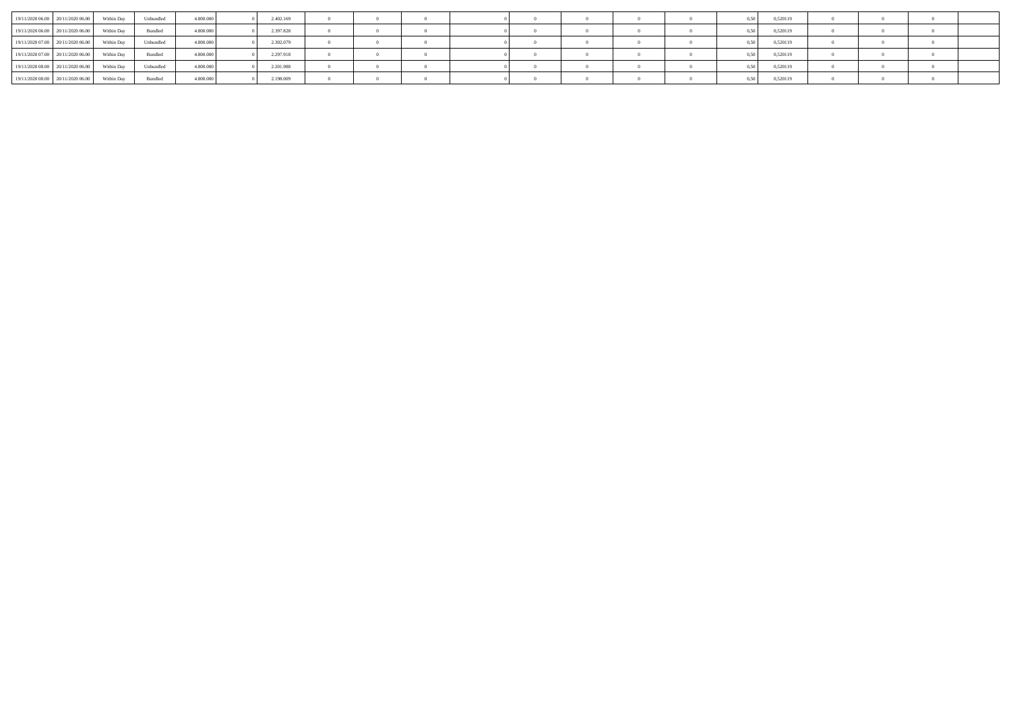|                                   | 19/11/2020 06:00 20/11/2020 06:00 | Within Day | Unbundled | 4.800,000 | 2.402.169 |  |  |  |  | 0.50 | 0,520119 |  |  |
|-----------------------------------|-----------------------------------|------------|-----------|-----------|-----------|--|--|--|--|------|----------|--|--|
|                                   | 19/11/2020 06:00 20/11/2020 06:00 | Within Day | Bundled   | 4.800.000 | 2.397.828 |  |  |  |  | 0.50 | 0,520119 |  |  |
|                                   | 19/11/2020 07:00 20/11/2020 06:00 | Within Day | Unbundled | 4.800.000 | 2.302.079 |  |  |  |  | 0.50 | 0,520119 |  |  |
| 19/11/2020 07:00 20/11/2020 06:00 |                                   | Within Day | Bundled   | 4.800.000 | 2.297.918 |  |  |  |  |      | 0,520119 |  |  |
|                                   | 19/11/2020 08:00 20/11/2020 06:00 | Within Dav | Unbundled | 4.800.000 | 2.201.988 |  |  |  |  | 0.50 | 0,520119 |  |  |
|                                   | 19/11/2020 08:00 20/11/2020 06:00 | Within Dav | Bundled   | 4.800.000 | 2.198.009 |  |  |  |  | 0.50 | 0,520119 |  |  |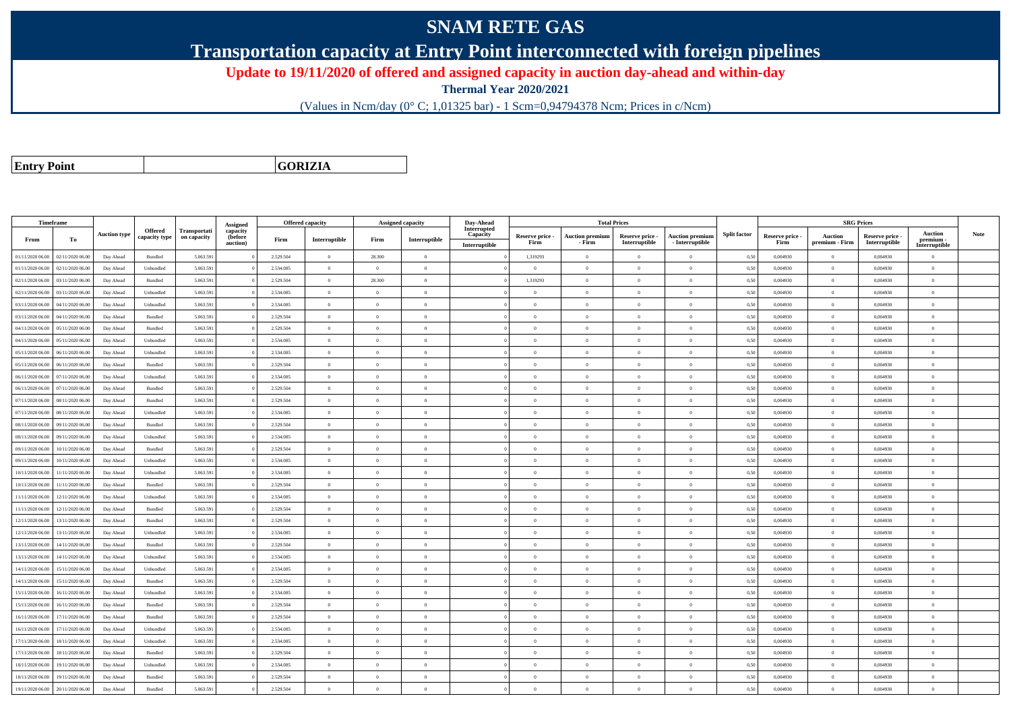## **SNAM RETE GAS**

**Transportation capacity at Entry Point interconnected with foreign pipelines**

**Update to 19/11/2020 of offered and assigned capacity in auction day-ahead and within-day**

**Thermal Year 2020/2021**

(Values in Ncm/day (0° C; 1,01325 bar) - 1 Scm=0,94794378 Ncm; Prices in c/Ncm)

**Entry Point**

**GORIZIA**

|                  | Timeframe        |                     |                          |                                    | Assigned                        |           | <b>Offered capacity</b> |                | <b>Assigned capacity</b> | Day-Ahead                                |                         |                                  | <b>Total Prices</b>              |                                           |                     |                         |                           | <b>SRG Prices</b>                |                                              |      |
|------------------|------------------|---------------------|--------------------------|------------------------------------|---------------------------------|-----------|-------------------------|----------------|--------------------------|------------------------------------------|-------------------------|----------------------------------|----------------------------------|-------------------------------------------|---------------------|-------------------------|---------------------------|----------------------------------|----------------------------------------------|------|
| From             | To               | <b>Auction type</b> | Offered<br>capacity type | <b>Transportati</b><br>on capacity | capacity<br>(before<br>auction) | Firm      | Interruptible           | Firm           | Interruptible            | Interrupted<br>Capacity<br>Interruptible | Reserve price -<br>Firm | <b>Auction premiun</b><br>- Firm | Reserve price -<br>Interruptible | <b>Auction premium</b><br>- Interruptible | <b>Split factor</b> | Reserve price -<br>Firm | Auction<br>premium - Firm | Reserve price -<br>Interruptible | <b>Auction</b><br>premium -<br>Interruptible | Note |
| 01/11/2020 06.00 | 02/11/2020 06.00 | Day Ahead           | Bundled                  | 5.063.591                          |                                 | 2.529.504 | $\overline{0}$          | 28.300         | $\overline{0}$           |                                          | 1,319293                | $\overline{0}$                   | $\overline{0}$                   | $\overline{0}$                            | 0,50                | 0,004930                | $\overline{0}$            | 0,004930                         | $\overline{0}$                               |      |
| 01/11/2020 06.00 | 02/11/2020 06.00 | Day Ahead           | Unbundled                | 5.063.591                          |                                 | 2.534.085 | $\overline{0}$          | $\theta$       | $\Omega$                 |                                          | $\theta$                | $\theta$                         | $\Omega$                         | $\Omega$                                  | 0,50                | 0.004930                | $\Omega$                  | 0.004930                         | $\theta$                                     |      |
| 02/11/2020 06.00 | 03/11/2020 06.00 | Day Ahead           | Bundled                  | 5.063.591                          |                                 | 2.529.504 | $\overline{0}$          | 28.300         | $\theta$                 |                                          | 1,319293                | $\theta$                         | $\overline{0}$                   | $\bf{0}$                                  | 0,50                | 0,004930                | $\overline{0}$            | 0,004930                         | $\overline{0}$                               |      |
| 02/11/2020 06.00 | 03/11/2020 06.00 | Day Ahead           | Unbundled                | 5.063.591                          |                                 | 2.534.085 | $\overline{0}$          | $\overline{0}$ | $\overline{0}$           |                                          | $\theta$                | $\theta$                         | $\overline{0}$                   | $\bf{0}$                                  | 0,50                | 0,004930                | $\mathbf{0}$              | 0,004930                         | $\overline{0}$                               |      |
| 03/11/2020 06:00 | 04/11/2020 06.00 | Day Ahead           | Unbundled                | 5.063.591                          |                                 | 2.534.085 | $\,$ 0 $\,$             | $\overline{0}$ | $\overline{0}$           |                                          | $\overline{0}$          | $\theta$                         | $\overline{0}$                   | $\overline{0}$                            | 0,50                | 0.004930                | $\,$ 0 $\,$               | 0.004930                         | $\theta$                                     |      |
| 03/11/2020 06:00 | 04/11/2020 06.00 | Day Ahead           | Bundled                  | 5.063.591                          |                                 | 2.529.504 | $\overline{0}$          | $\Omega$       | $\Omega$                 |                                          | $\Omega$                | $\Omega$                         | $\Omega$                         | $\bf{0}$                                  | 0,50                | 0,004930                | $\mathbf{0}$              | 0,004930                         | $\theta$                                     |      |
| 04/11/2020 06.00 | 05/11/2020 06.00 | Day Ahead           | Bundled                  | 5.063.591                          |                                 | 2.529.504 | $\overline{0}$          | $\overline{0}$ | $\Omega$                 |                                          | $\Omega$                | $\theta$                         | $\overline{0}$                   | $\theta$                                  | 0.50                | 0.004930                | $\overline{0}$            | 0.004930                         | $\theta$                                     |      |
| 04/11/2020 06.00 | 05/11/2020 06.00 | Day Ahead           | Unbundled                | 5.063.591                          |                                 | 2.534.085 | $\overline{0}$          | $\Omega$       | $\Omega$                 |                                          | $\theta$                | $\theta$                         | $\overline{0}$                   | $\bf{0}$                                  | 0,50                | 0,004930                | $\mathbf{0}$              | 0,004930                         | $\theta$                                     |      |
| 05/11/2020 06:00 | 06/11/2020 06:00 | Day Ahead           | Unbundled                | 5.063.591                          |                                 | 2.534.085 | $\overline{0}$          | $\Omega$       | $\Omega$                 |                                          | $\theta$                | $\theta$                         | $\theta$                         | $\theta$                                  | 0.50                | 0.004930                | $\Omega$                  | 0.004930                         | $\theta$                                     |      |
| 05/11/2020 06.00 | 06/11/2020 06.00 | Day Ahead           | Bundled                  | 5.063.591                          |                                 | 2.529.504 | $\overline{0}$          | $\overline{0}$ | $\Omega$                 |                                          | $\theta$                | $\theta$                         | $\theta$                         | $\bf{0}$                                  | 0,50                | 0,004930                | $\mathbf{0}$              | 0,004930                         | $\overline{0}$                               |      |
| 06/11/2020 06.00 | 07/11/2020 06.00 | Day Ahead           | Unbundled                | 5.063.591                          |                                 | 2.534.085 | $\overline{0}$          | $\overline{0}$ | $\theta$                 |                                          | $\theta$                | $\overline{0}$                   | $\overline{0}$                   | $\bf{0}$                                  | 0,50                | 0.004930                | $\overline{0}$            | 0.004930                         | $\overline{0}$                               |      |
| 06/11/2020 06.00 | 07/11/2020 06.00 | Day Ahead           | Bundled                  | 5.063.591                          |                                 | 2.529.504 | $\overline{0}$          | $\Omega$       | $\Omega$                 |                                          | $\overline{0}$          | $\theta$                         | $\overline{0}$                   | $\overline{0}$                            | 0,50                | 0.004930                | $\mathbf{0}$              | 0.004930                         | $\theta$                                     |      |
| 07/11/2020 06.00 | 08/11/2020 06.0  | Day Ahead           | Bundled                  | 5.063.591                          |                                 | 2.529.504 | $\overline{0}$          | $\overline{0}$ | $\overline{0}$           |                                          | $\theta$                | $\theta$                         | $\overline{0}$                   | $\bf{0}$                                  | 0,50                | 0,004930                | $\theta$                  | 0,004930                         | $\overline{0}$                               |      |
| 07/11/2020 06.00 | 08/11/2020 06.00 | Day Ahead           | Unbundled                | 5.063.591                          |                                 | 2.534.085 | $\overline{0}$          | $\overline{0}$ | $\overline{0}$           |                                          | $\theta$                | $\theta$                         | $\overline{0}$                   | $\bf{0}$                                  | 0,50                | 0,004930                | $\mathbf{0}$              | 0,004930                         | $\overline{0}$                               |      |
| 08/11/2020 06.00 | 09/11/2020 06.00 | Day Ahead           | Bundled                  | 5.063.591                          |                                 | 2.529.504 | $\overline{0}$          | $\Omega$       | $\Omega$                 |                                          | $\theta$                | $\theta$                         | $\overline{0}$                   | $\bf{0}$                                  | 0,50                | 0,004930                | $\mathbf{0}$              | 0,004930                         | $\theta$                                     |      |
| 08/11/2020 06.00 | 09/11/2020 06.00 | Day Ahead           | Unbundled                | 5.063.591                          |                                 | 2.534.085 | $\overline{0}$          | $\Omega$       | $\Omega$                 |                                          | $\Omega$                | $\theta$                         | $\Omega$                         | $\Omega$                                  | 0,50                | 0,004930                | $\mathbf{0}$              | 0,004930                         | $\theta$                                     |      |
| 09/11/2020 06:00 | 10/11/2020 06:00 | Day Ahead           | $\mathbf B$ undled       | 5.063.591                          |                                 | 2.529.504 | $\overline{0}$          | $\overline{0}$ | $\Omega$                 |                                          | $\Omega$                | $\theta$                         | $\overline{0}$                   | $\theta$                                  | 0,50                | 0.004930                | $\overline{0}$            | 0.004930                         | $\theta$                                     |      |
| 09/11/2020 06.00 | 10/11/2020 06:00 | Day Ahead           | Unbundled                | 5.063.591                          |                                 | 2.534.085 | $\overline{0}$          | $\overline{0}$ | $\overline{0}$           |                                          | $\theta$                | $\theta$                         | $\overline{0}$                   | $\bf{0}$                                  | 0,50                | 0,004930                | $\mathbf{0}$              | 0,004930                         | $\overline{0}$                               |      |
| 10/11/2020 06:00 | 11/11/2020 06:00 | Day Ahead           | Unbundled                | 5.063.591                          |                                 | 2.534.085 | $\overline{0}$          | $\Omega$       | $\Omega$                 |                                          | $\theta$                | $\theta$                         | $\theta$                         | $\theta$                                  | 0.50                | 0.004930                | $\Omega$                  | 0.004930                         | $\theta$                                     |      |
| 10/11/2020 06.00 | 11/11/2020 06.00 | Day Ahead           | Bundled                  | 5.063.591                          |                                 | 2.529.504 | $\overline{0}$          | $\overline{0}$ | $\Omega$                 |                                          | $\Omega$                | $\theta$                         | $\Omega$                         | $\theta$                                  | 0.50                | 0.004930                | $\overline{0}$            | 0.004930                         | $\theta$                                     |      |
| 11/11/2020 06:00 | 12/11/2020 06:00 | Day Ahead           | Unbundled                | 5.063.591                          |                                 | 2.534.085 | $\overline{0}$          | $\Omega$       | $\theta$                 |                                          | $\theta$                | $\theta$                         | $\Omega$                         | $\theta$                                  | 0,50                | 0,004930                | $\Omega$                  | 0.004930                         | $\theta$                                     |      |
| 11/11/2020 06:00 | 12/11/2020 06.00 | Day Ahead           | Bundled                  | 5.063.591                          |                                 | 2.529.504 | $\overline{0}$          | $\Omega$       | $\Omega$                 |                                          | $\theta$                | $\theta$                         | $\theta$                         | $\Omega$                                  | 0,50                | 0.004930                | $\mathbf{0}$              | 0.004930                         | $\theta$                                     |      |
| 12/11/2020 06.00 | 13/11/2020 06.00 | Day Ahead           | Bundled                  | 5.063.591                          |                                 | 2.529.504 | $\overline{0}$          | $\overline{0}$ | $\Omega$                 |                                          | $\theta$                | $\mathbf{a}$                     | $\overline{0}$                   | $\bf{0}$                                  | 0,50                | 0,004930                | $\overline{0}$            | 0,004930                         | $\overline{0}$                               |      |
| 12/11/2020 06.00 | 13/11/2020 06.00 | Day Ahead           | Unbundled                | 5.063.591                          |                                 | 2.534.085 | $\overline{0}$          | $\overline{0}$ | $\overline{0}$           |                                          | $\theta$                | $\theta$                         | $\overline{0}$                   | $\overline{0}$                            | 0,50                | 0,004930                | $\mathbf{0}$              | 0,004930                         | $\overline{0}$                               |      |
| 13/11/2020 06.00 | 14/11/2020 06.00 | Day Ahead           | Bundled                  | 5.063.591                          |                                 | 2.529.504 | $\,$ 0 $\,$             | $\overline{0}$ | $\overline{0}$           |                                          | $\overline{0}$          | $\theta$                         | $\overline{0}$                   | $\overline{0}$                            | 0,50                | 0,004930                | $\bf{0}$                  | 0,004930                         | $\overline{0}$                               |      |
| 13/11/2020 06.00 | 14/11/2020 06.0  | Day Ahead           | Unbundled                | 5.063.591                          |                                 | 2.534.085 | $\overline{0}$          | $\overline{0}$ | $\overline{0}$           |                                          | $\theta$                | $\theta$                         | $\theta$                         | $\bf{0}$                                  | 0,50                | 0,004930                | $\overline{0}$            | 0,004930                         | $\overline{0}$                               |      |
| 14/11/2020 06:00 | 15/11/2020 06.00 | Day Ahead           | Unbundled                | 5.063.591                          |                                 | 2.534.085 | $\overline{0}$          | $\Omega$       | $\Omega$                 |                                          | $\theta$                | $\theta$                         | $\Omega$                         | $\theta$                                  | 0,50                | 0.004930                | $\mathbf{0}$              | 0.004930                         | $\theta$                                     |      |
| 14/11/2020 06.00 | 15/11/2020 06.00 | Day Ahead           | Bundled                  | 5.063.591                          |                                 | 2.529.504 | $\overline{0}$          | $\Omega$       | $\Omega$                 |                                          | $\theta$                | $\theta$                         | $\overline{0}$                   | $\bf{0}$                                  | 0,50                | 0,004930                | $\mathbf{0}$              | 0,004930                         | $\overline{0}$                               |      |
| 15/11/2020 06:00 | 16/11/2020 06.00 | Day Ahead           | Unbundled                | 5.063.591                          |                                 | 2.534.085 | $\overline{0}$          | $\Omega$       | $\Omega$                 |                                          | $\Omega$                | $\Omega$                         | $\Omega$                         | $\Omega$                                  | 0,50                | 0,004930                | $\theta$                  | 0,004930                         | $\theta$                                     |      |
| 15/11/2020 06.00 | 16/11/2020 06.00 | Day Ahead           | Bundled                  | 5.063.591                          |                                 | 2.529.504 | $\overline{0}$          | $\overline{0}$ | $\Omega$                 |                                          | $\Omega$                | $\theta$                         | $\overline{0}$                   | $\theta$                                  | 0,50                | 0.004930                | $\overline{0}$            | 0.004930                         | $\theta$                                     |      |
| 16/11/2020 06:00 | 17/11/2020 06.00 | Day Ahead           | Bundled                  | 5.063.591                          |                                 | 2.529.504 | $\overline{0}$          | $\overline{0}$ | $\theta$                 |                                          | $\theta$                | $\theta$                         | $\overline{0}$                   | $\bf{0}$                                  | 0,50                | 0,004930                | $\mathbf{0}$              | 0.004930                         | $\theta$                                     |      |
| 16/11/2020 06:00 | 17/11/2020 06:00 | Day Ahead           | Unbundled                | 5.063.591                          |                                 | 2.534.085 | $\overline{0}$          | $\overline{0}$ | $\overline{0}$           |                                          | $\theta$                | $\overline{0}$                   | $\overline{0}$                   | $\overline{0}$                            | 0.50                | 0.004930                | $\mathbf{0}$              | 0.004930                         | $\overline{0}$                               |      |
| 17/11/2020 06.00 | 18/11/2020 06.00 | Day Ahead           | Unbundled                | 5.063.591                          |                                 | 2.534.085 | $\overline{0}$          | $\overline{0}$ | $\overline{0}$           |                                          | $\theta$                | $\theta$                         | $\overline{0}$                   | $\bf{0}$                                  | 0,50                | 0,004930                | $\mathbf{0}$              | 0,004930                         | $\overline{0}$                               |      |
| 17/11/2020 06.00 | 18/11/2020 06.00 | Day Ahead           | Bundled                  | 5.063.591                          |                                 | 2.529.504 | $\overline{0}$          | $\overline{0}$ | $\overline{0}$           |                                          | $\theta$                | $\theta$                         | $\overline{0}$                   | $\bf{0}$                                  | 0,50                | 0,004930                | $\mathbf{0}$              | 0,004930                         | $\overline{0}$                               |      |
| 18/11/2020 06:00 | 19/11/2020 06.00 | Day Ahead           | Unbundled                | 5.063.591                          |                                 | 2.534.085 | $\overline{0}$          | $\Omega$       | $\Omega$                 |                                          | $\theta$                | $\theta$                         | $\Omega$                         | $\Omega$                                  | 0,50                | 0.004930                | $\mathbf{0}$              | 0.004930                         | $\theta$                                     |      |
| 18/11/2020 06:00 | 19/11/2020 06.0  | Day Ahead           | Bundled                  | 5.063.591                          |                                 | 2.529.504 | $\overline{0}$          | $\overline{0}$ | $\theta$                 |                                          | $\theta$                | $\theta$                         | $\overline{0}$                   | $\bf{0}$                                  | 0,50                | 0,004930                | $\theta$                  | 0,004930                         | $\overline{0}$                               |      |
| 19/11/2020 06:00 | 20/11/2020 06:00 | Day Ahead           | Bundled                  | 5.063.591                          |                                 | 2.529.504 | $\Omega$                | $\Omega$       | $\theta$                 |                                          | $\theta$                | $\theta$                         | $\Omega$                         | $\theta$                                  | 0,50                | 0.004930                | $\Omega$                  | 0.004930                         | $\theta$                                     |      |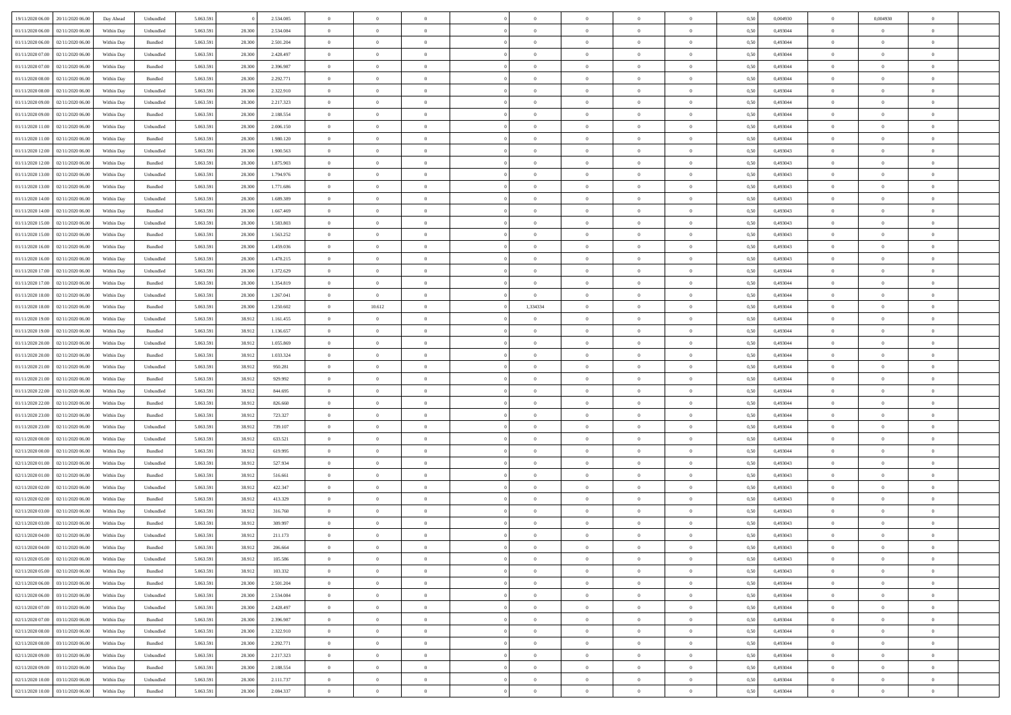| 19/11/2020 06:00 20/11/2020 06:00       | Day Ahead  | Unbundled          | 5.063.591 |        | 2.534.085 | $\overline{0}$ | $\overline{0}$   |                | $\overline{0}$ | $\theta$       |                | $\theta$       | 0,50 | 0,004930 | $\theta$       | 0,004930       | $\overline{0}$ |  |
|-----------------------------------------|------------|--------------------|-----------|--------|-----------|----------------|------------------|----------------|----------------|----------------|----------------|----------------|------|----------|----------------|----------------|----------------|--|
| 01/11/2020 06:00<br>02/11/2020 06.00    | Within Day | Unbundled          | 5.063.59  | 28.300 | 2.534.084 | $\bf{0}$       | $\bf{0}$         | $\bf{0}$       | $\bf{0}$       | $\overline{0}$ | $\overline{0}$ | $\bf{0}$       | 0,50 | 0,493044 | $\,$ 0 $\,$    | $\bf{0}$       | $\overline{0}$ |  |
| 01/11/2020 06:00<br>02/11/2020 06.00    | Within Day | Bundled            | 5.063.591 | 28.300 | 2.501.204 | $\overline{0}$ | $\bf{0}$         | $\overline{0}$ | $\overline{0}$ | $\overline{0}$ | $\overline{0}$ | $\bf{0}$       | 0.50 | 0.493044 | $\bf{0}$       | $\overline{0}$ | $\bf{0}$       |  |
| 01/11/2020 07:00<br>02/11/2020 06.00    | Within Day | Unbundled          | 5.063.591 | 28.300 | 2.428.497 | $\overline{0}$ | $\overline{0}$   | $\overline{0}$ | $\overline{0}$ | $\theta$       | $\overline{0}$ | $\bf{0}$       | 0,50 | 0,493044 | $\,$ 0 $\,$    | $\overline{0}$ | $\overline{0}$ |  |
|                                         |            |                    |           |        |           |                |                  |                |                |                |                |                |      |          |                |                |                |  |
| 01/11/2020 07:00<br>02/11/2020 06.00    | Within Day | Bundled            | 5.063.59  | 28.300 | 2.396.987 | $\bf{0}$       | $\bf{0}$         | $\bf{0}$       | $\overline{0}$ | $\bf{0}$       | $\overline{0}$ | $\bf{0}$       | 0,50 | 0,493044 | $\,$ 0 $\,$    | $\bf{0}$       | $\overline{0}$ |  |
| 01/11/2020 08:00<br>02/11/2020 06.00    | Within Day | Bundled            | 5.063.591 | 28.300 | 2.292.771 | $\overline{0}$ | $\bf{0}$         | $\overline{0}$ | $\bf{0}$       | $\overline{0}$ | $\overline{0}$ | $\bf{0}$       | 0.50 | 0.493044 | $\bf{0}$       | $\overline{0}$ | $\overline{0}$ |  |
| 01/11/2020 08:00<br>02/11/2020 06.00    | Within Day | Unbundled          | 5.063.591 | 28.300 | 2.322.910 | $\overline{0}$ | $\bf{0}$         | $\overline{0}$ | $\overline{0}$ | $\overline{0}$ | $\overline{0}$ | $\bf{0}$       | 0,50 | 0,493044 | $\,$ 0 $\,$    | $\bf{0}$       | $\overline{0}$ |  |
| 01/11/2020 09:00<br>02/11/2020 06.00    | Within Day | Unbundled          | 5.063.59  | 28.300 | 2.217.323 | $\bf{0}$       | $\bf{0}$         | $\bf{0}$       | $\bf{0}$       | $\overline{0}$ | $\overline{0}$ | $\bf{0}$       | 0,50 | 0,493044 | $\,$ 0 $\,$    | $\bf{0}$       | $\overline{0}$ |  |
| 01/11/2020 09:00<br>02/11/2020 06:00    | Within Day | Bundled            | 5.063.591 | 28.300 | 2.188.554 | $\overline{0}$ | $\bf{0}$         | $\overline{0}$ | $\bf{0}$       | $\bf{0}$       | $\overline{0}$ | $\bf{0}$       | 0.50 | 0.493044 | $\bf{0}$       | $\overline{0}$ | $\bf{0}$       |  |
| 01/11/2020 11:00<br>02/11/2020 06.00    | Within Day | Unbundled          | 5.063.591 | 28.300 | 2.006.150 | $\overline{0}$ | $\bf{0}$         | $\overline{0}$ | $\overline{0}$ | $\overline{0}$ | $\overline{0}$ | $\bf{0}$       | 0,50 | 0,493044 | $\,$ 0 $\,$    | $\overline{0}$ | $\overline{0}$ |  |
|                                         |            |                    |           |        |           |                |                  |                |                |                |                |                |      |          |                |                |                |  |
| 01/11/2020 11:00<br>02/11/2020 06.00    | Within Day | Bundled            | 5.063.59  | 28.300 | 1.980.120 | $\bf{0}$       | $\bf{0}$         | $\bf{0}$       | $\bf{0}$       | $\overline{0}$ | $\overline{0}$ | $\bf{0}$       | 0,50 | 0,493044 | $\,$ 0 $\,$    | $\bf{0}$       | $\overline{0}$ |  |
| 01/11/2020 12:00<br>02/11/2020 06.00    | Within Day | Unbundled          | 5.063.591 | 28.300 | 1.900.563 | $\overline{0}$ | $\bf{0}$         | $\overline{0}$ | $\overline{0}$ | $\overline{0}$ | $\overline{0}$ | $\bf{0}$       | 0.50 | 0.493043 | $\overline{0}$ | $\,$ 0 $\,$    | $\,$ 0         |  |
| 01/11/2020 12:00<br>02/11/2020 06.00    | Within Day | Bundled            | 5.063.591 | 28.300 | 1.875.903 | $\overline{0}$ | $\bf{0}$         | $\overline{0}$ | $\overline{0}$ | $\theta$       | $\overline{0}$ | $\bf{0}$       | 0,50 | 0,493043 | $\,$ 0 $\,$    | $\,$ 0 $\,$    | $\overline{0}$ |  |
| 01/11/2020 13:00<br>02/11/2020 06.00    | Within Day | Unbundled          | 5.063.59  | 28.300 | 1.794.976 | $\bf{0}$       | $\bf{0}$         | $\bf{0}$       | $\bf{0}$       | $\bf{0}$       | $\overline{0}$ | $\bf{0}$       | 0,50 | 0,493043 | $\,$ 0 $\,$    | $\bf{0}$       | $\overline{0}$ |  |
| 01/11/2020 13:00<br>02/11/2020 06.00    | Within Day | Bundled            | 5.063.591 | 28.300 | 1.771.686 | $\overline{0}$ | $\bf{0}$         | $\overline{0}$ | $\bf{0}$       | $\overline{0}$ | $\overline{0}$ | $\bf{0}$       | 0.50 | 0.493043 | $\bf{0}$       | $\bf{0}$       | $\overline{0}$ |  |
|                                         |            |                    |           |        |           |                |                  |                |                |                |                |                |      |          |                |                |                |  |
| 01/11/2020 14:00<br>02/11/2020 06.00    | Within Day | Unbundled          | 5.063.591 | 28.300 | 1.689.389 | $\overline{0}$ | $\bf{0}$         | $\overline{0}$ | $\overline{0}$ | $\overline{0}$ | $\overline{0}$ | $\bf{0}$       | 0,50 | 0,493043 | $\,$ 0 $\,$    | $\theta$       | $\overline{0}$ |  |
| 01/11/2020 14:00<br>02/11/2020 06.00    | Within Day | Bundled            | 5.063.59  | 28.300 | 1.667.469 | $\bf{0}$       | $\bf{0}$         | $\bf{0}$       | $\bf{0}$       | $\overline{0}$ | $\overline{0}$ | $\bf{0}$       | 0,50 | 0,493043 | $\,$ 0 $\,$    | $\bf{0}$       | $\overline{0}$ |  |
| 01/11/2020 15:00<br>02/11/2020 06:00    | Within Day | Unbundled          | 5.063.591 | 28.300 | 1.583.803 | $\overline{0}$ | $\bf{0}$         | $\overline{0}$ | $\bf{0}$       | $\overline{0}$ | $\overline{0}$ | $\bf{0}$       | 0.50 | 0.493043 | $\bf{0}$       | $\overline{0}$ | $\bf{0}$       |  |
| 01/11/2020 15:00<br>02/11/2020 06.00    | Within Day | Bundled            | 5.063.591 | 28.300 | 1.563.252 | $\bf{0}$       | $\bf{0}$         | $\overline{0}$ | $\overline{0}$ | $\overline{0}$ | $\overline{0}$ | $\bf{0}$       | 0,50 | 0,493043 | $\,$ 0 $\,$    | $\bf{0}$       | $\overline{0}$ |  |
| 01/11/2020 16.00<br>02/11/2020 06.00    | Within Day | Bundled            | 5.063.59  | 28.300 | 1.459.036 | $\bf{0}$       | $\bf{0}$         | $\bf{0}$       | $\bf{0}$       | $\overline{0}$ | $\overline{0}$ | $\bf{0}$       | 0,50 | 0,493043 | $\,$ 0 $\,$    | $\bf{0}$       | $\overline{0}$ |  |
| 01/11/2020 16.00<br>02/11/2020 06.00    | Within Day | Unbundled          | 5.063.591 | 28.300 | 1.478.215 | $\overline{0}$ | $\bf{0}$         | $\overline{0}$ | $\overline{0}$ | $\overline{0}$ | $\overline{0}$ | $\bf{0}$       | 0.50 | 0.493043 | $\overline{0}$ | $\,$ 0 $\,$    | $\,$ 0         |  |
|                                         |            |                    |           |        |           |                |                  |                |                |                |                |                |      |          |                |                |                |  |
| 01/11/2020 17.00<br>02/11/2020 06:00    | Within Day | Unbundled          | 5.063.591 | 28.300 | 1.372.629 | $\overline{0}$ | $\overline{0}$   | $\overline{0}$ | $\overline{0}$ | $\theta$       | $\overline{0}$ | $\bf{0}$       | 0,50 | 0,493044 | $\,$ 0 $\,$    | $\,$ 0 $\,$    | $\overline{0}$ |  |
| 01/11/2020 17:00<br>02/11/2020 06.00    | Within Day | Bundled            | 5.063.59  | 28.300 | 1.354.819 | $\bf{0}$       | $\bf{0}$         | $\bf{0}$       | $\bf{0}$       | $\overline{0}$ | $\overline{0}$ | $\bf{0}$       | 0,50 | 0,493044 | $\,$ 0 $\,$    | $\bf{0}$       | $\overline{0}$ |  |
| 01/11/2020 18:00<br>02/11/2020 06.00    | Within Day | Unbundled          | 5.063.591 | 28.300 | 1.267.041 | $\overline{0}$ | $\overline{0}$   | $\overline{0}$ | $\overline{0}$ | $\overline{0}$ | $\overline{0}$ | $\bf{0}$       | 0.50 | 0.493044 | $\bf{0}$       | $\overline{0}$ | $\overline{0}$ |  |
| 01/11/2020 18:00<br>02/11/2020 06.00    | Within Day | Bundled            | 5.063.591 | 28.300 | 1.250.602 | $\overline{0}$ | 10.612           | $\overline{0}$ | 1,334334       | $\overline{0}$ | $\overline{0}$ | $\bf{0}$       | 0,50 | 0,493044 | $\,$ 0 $\,$    | $\theta$       | $\overline{0}$ |  |
| 01/11/2020 19:00<br>02/11/2020 06.00    | Within Day | Unbundled          | 5.063.59  | 38.912 | 1.161.455 | $\bf{0}$       | $\theta$         | $\bf{0}$       | $\overline{0}$ | $\overline{0}$ | $\overline{0}$ | $\bf{0}$       | 0,50 | 0,493044 | $\,$ 0 $\,$    | $\bf{0}$       | $\overline{0}$ |  |
| 01/11/2020 19:00<br>02/11/2020 06:00    | Within Day | Bundled            | 5.063.591 | 38.912 | 1.136.657 | $\overline{0}$ | $\bf{0}$         | $\overline{0}$ | $\bf{0}$       | $\bf{0}$       | $\overline{0}$ | $\bf{0}$       | 0.50 | 0.493044 | $\bf{0}$       | $\overline{0}$ | $\bf{0}$       |  |
|                                         |            |                    |           |        |           |                |                  |                |                |                |                |                |      |          |                |                |                |  |
| 01/11/2020 20.00<br>02/11/2020 06.00    | Within Day | Unbundled          | 5.063.591 | 38.912 | 1.055.869 | $\overline{0}$ | $\bf{0}$         | $\overline{0}$ | $\overline{0}$ | $\overline{0}$ | $\overline{0}$ | $\bf{0}$       | 0,50 | 0,493044 | $\,$ 0 $\,$    | $\bf{0}$       | $\overline{0}$ |  |
| 01/11/2020 20.00<br>02/11/2020 06.00    | Within Day | Bundled            | 5.063.59  | 38.912 | 1.033.324 | $\bf{0}$       | $\bf{0}$         | $\bf{0}$       | $\bf{0}$       | $\overline{0}$ | $\overline{0}$ | $\bf{0}$       | 0,50 | 0,493044 | $\,$ 0 $\,$    | $\bf{0}$       | $\overline{0}$ |  |
| 01/11/2020 21.00<br>02/11/2020 06.00    | Within Day | Unbundled          | 5.063.591 | 38.912 | 950.281   | $\overline{0}$ | $\bf{0}$         | $\overline{0}$ | $\overline{0}$ | $\overline{0}$ | $\overline{0}$ | $\bf{0}$       | 0.50 | 0.493044 | $\overline{0}$ | $\,$ 0 $\,$    | $\,$ 0         |  |
| 01/11/2020 21.00<br>02/11/2020 06.00    | Within Day | Bundled            | 5.063.591 | 38.912 | 929.992   | $\overline{0}$ | $\overline{0}$   | $\overline{0}$ | $\overline{0}$ | $\overline{0}$ | $\overline{0}$ | $\bf{0}$       | 0.50 | 0,493044 | $\theta$       | $\theta$       | $\overline{0}$ |  |
| 01/11/2020 22.00<br>02/11/2020 06.00    | Within Day | Unbundled          | 5.063.59  | 38.912 | 844.695   | $\bf{0}$       | $\bf{0}$         | $\bf{0}$       | $\bf{0}$       | $\overline{0}$ | $\overline{0}$ | $\bf{0}$       | 0,50 | 0,493044 | $\,$ 0 $\,$    | $\bf{0}$       | $\overline{0}$ |  |
| 01/11/2020 22.00<br>02/11/2020 06.00    | Within Day | Bundled            | 5.063.591 | 38.912 | 826,660   | $\overline{0}$ | $\bf{0}$         | $\overline{0}$ | $\bf{0}$       | $\overline{0}$ | $\overline{0}$ | $\bf{0}$       | 0.50 | 0.493044 | $\bf{0}$       | $\bf{0}$       | $\overline{0}$ |  |
|                                         |            |                    |           |        |           |                |                  |                |                |                |                |                |      |          |                |                |                |  |
| 01/11/2020 23.00<br>02/11/2020 06.00    | Within Day | Bundled            | 5.063.591 | 38.912 | 723,327   | $\overline{0}$ | $\overline{0}$   | $\overline{0}$ | $\overline{0}$ | $\overline{0}$ | $\overline{0}$ | $\bf{0}$       | 0.50 | 0,493044 | $\theta$       | $\theta$       | $\overline{0}$ |  |
| 01/11/2020 23.00<br>02/11/2020 06.00    | Within Day | Unbundled          | 5.063.59  | 38.912 | 739.107   | $\bf{0}$       | $\bf{0}$         | $\bf{0}$       | $\bf{0}$       | $\overline{0}$ | $\overline{0}$ | $\bf{0}$       | 0,50 | 0,493044 | $\,$ 0 $\,$    | $\bf{0}$       | $\overline{0}$ |  |
| 02/11/2020 00:00<br>02/11/2020 06:00    | Within Day | Unbundled          | 5.063.591 | 38.912 | 633.521   | $\overline{0}$ | $\bf{0}$         | $\overline{0}$ | $\bf{0}$       | $\bf{0}$       | $\overline{0}$ | $\bf{0}$       | 0.50 | 0.493044 | $\bf{0}$       | $\overline{0}$ | $\bf{0}$       |  |
| 02/11/2020 00:00<br>02/11/2020 06:00    | Within Day | Bundled            | 5.063.591 | 38.912 | 619.995   | $\overline{0}$ | $\overline{0}$   | $\overline{0}$ | $\overline{0}$ | $\overline{0}$ | $\overline{0}$ | $\bf{0}$       | 0.50 | 0,493044 | $\theta$       | $\theta$       | $\overline{0}$ |  |
| 02/11/2020 01:00<br>02/11/2020 06.00    | Within Day | Unbundled          | 5.063.59  | 38.912 | 527.934   | $\bf{0}$       | $\bf{0}$         | $\bf{0}$       | $\bf{0}$       | $\overline{0}$ | $\overline{0}$ | $\bf{0}$       | 0,50 | 0,493043 | $\,$ 0 $\,$    | $\bf{0}$       | $\overline{0}$ |  |
| $02/11/2020\ 01.00$<br>02/11/2020 06.00 | Within Day | Bundled            | 5.063.591 | 38.912 | 516.661   | $\overline{0}$ | $\bf{0}$         | $\overline{0}$ | $\overline{0}$ | $\overline{0}$ | $\overline{0}$ | $\bf{0}$       | 0.50 | 0.493043 | $\overline{0}$ | $\,$ 0 $\,$    | $\,$ 0         |  |
|                                         |            |                    |           |        |           |                |                  |                |                |                |                |                |      |          |                |                |                |  |
| 02/11/2020 02:00<br>02/11/2020 06:00    | Within Day | Unbundled          | 5.063.591 | 38.912 | 422.347   | $\overline{0}$ | $\overline{0}$   | $\overline{0}$ | $\overline{0}$ | $\overline{0}$ | $\overline{0}$ | $\bf{0}$       | 0.50 | 0,493043 | $\theta$       | $\theta$       | $\overline{0}$ |  |
| 02/11/2020 02.00<br>02/11/2020 06.00    | Within Day | Bundled            | 5.063.59  | 38.912 | 413.329   | $\bf{0}$       | $\bf{0}$         | $\bf{0}$       | $\overline{0}$ | $\overline{0}$ | $\overline{0}$ | $\bf{0}$       | 0,50 | 0,493043 | $\,$ 0 $\,$    | $\bf{0}$       | $\overline{0}$ |  |
| 02/11/2020 03:00<br>02/11/2020 06.00    | Within Day | Unbundled          | 5.063.591 | 38.912 | 316.760   | $\overline{0}$ | $\bf{0}$         | $\overline{0}$ | $\bf{0}$       | $\overline{0}$ | $\overline{0}$ | $\bf{0}$       | 0.50 | 0.493043 | $\bf{0}$       | $\overline{0}$ | $\overline{0}$ |  |
| 02/11/2020 03:00<br>02/11/2020 06.00    | Within Dav | Bundled            | 5.063.591 | 38.912 | 309,997   | $\overline{0}$ | $\overline{0}$   | $\overline{0}$ | $\overline{0}$ | $\theta$       | $\overline{0}$ | $\overline{0}$ | 0.5( | 0,493043 | $\theta$       | $\theta$       | $\overline{0}$ |  |
| 02/11/2020 04:00<br>02/11/2020 06.00    | Within Day | Unbundled          | 5.063.591 | 38.912 | 211.173   | $\bf{0}$       | $\bf{0}$         | $\bf{0}$       | $\bf{0}$       | $\overline{0}$ | $\overline{0}$ | $\bf{0}$       | 0,50 | 0,493043 | $\,$ 0 $\,$    | $\bf{0}$       | $\overline{0}$ |  |
| 02/11/2020 04:00 02/11/2020 06:00       | Within Day | $\mathbf B$ undled | 5.063.591 | 38.912 | 206 664   | $\bf{0}$       | $\boldsymbol{0}$ |                | $\overline{0}$ | $\bf{0}$       |                | $\bf{0}$       | 0,50 | 0.493043 | $\bf{0}$       | $\bf{0}$       |                |  |
|                                         |            |                    |           |        |           | $\overline{0}$ | $\overline{0}$   |                |                | $\overline{0}$ |                |                |      |          | $\theta$       | $\overline{0}$ | $\overline{0}$ |  |
| 02/11/2020 05:00 02/11/2020 06:00       | Within Day | Unbundled          | 5.063.591 | 38.912 | 105.586   |                |                  | $\overline{0}$ | $\theta$       |                | $\overline{0}$ | $\bf{0}$       | 0,50 | 0,493043 |                |                |                |  |
| 02/11/2020 05:00<br>02/11/2020 06.00    | Within Day | Bundled            | 5.063.59  | 38.912 | 103.332   | $\overline{0}$ | $\bf{0}$         | $\overline{0}$ | $\overline{0}$ | $\bf{0}$       | $\overline{0}$ | $\bf{0}$       | 0,50 | 0,493043 | $\bf{0}$       | $\overline{0}$ | $\bf{0}$       |  |
| 02/11/2020 06:00 03/11/2020 06:00       | Within Day | Bundled            | 5.063.591 | 28.300 | 2.501.204 | $\overline{0}$ | $\overline{0}$   | $\overline{0}$ | $\overline{0}$ | $\mathbf{0}$   | $\overline{0}$ | $\,$ 0 $\,$    | 0.50 | 0.493044 | $\overline{0}$ | $\bf{0}$       | $\,$ 0 $\,$    |  |
| 02/11/2020 06:00 03/11/2020 06:00       | Within Day | Unbundled          | 5.063.591 | 28.300 | 2.534.084 | $\overline{0}$ | $\overline{0}$   | $\overline{0}$ | $\overline{0}$ | $\overline{0}$ | $\overline{0}$ | $\bf{0}$       | 0,50 | 0,493044 | $\overline{0}$ | $\theta$       | $\overline{0}$ |  |
| 02/11/2020 07:00<br>03/11/2020 06:00    | Within Day | Unbundled          | 5.063.591 | 28.300 | 2.428.497 | $\overline{0}$ | $\bf{0}$         | $\overline{0}$ | $\overline{0}$ | $\bf{0}$       | $\overline{0}$ | $\bf{0}$       | 0,50 | 0,493044 | $\bf{0}$       | $\overline{0}$ | $\overline{0}$ |  |
| 02/11/2020 07:00 03/11/2020 06:00       | Within Day | Bundled            | 5.063.591 | 28.300 | 2.396.987 | $\overline{0}$ | $\bf{0}$         | $\overline{0}$ | $\overline{0}$ | $\bf{0}$       | $\overline{0}$ | $\bf{0}$       | 0.50 | 0.493044 | $\,$ 0 $\,$    | $\overline{0}$ | $\,$ 0         |  |
| 02/11/2020 08:00 03/11/2020 06:00       | Within Day | Unbundled          | 5.063.591 | 28.300 | 2.322.910 | $\overline{0}$ | $\overline{0}$   | $\overline{0}$ | $\overline{0}$ | $\overline{0}$ | $\overline{0}$ | $\bf{0}$       | 0.50 | 0,493044 | $\overline{0}$ | $\theta$       | $\overline{0}$ |  |
|                                         |            |                    |           |        |           |                |                  |                |                |                |                |                |      |          |                |                |                |  |
| 02/11/2020 08:00<br>03/11/2020 06:00    | Within Day | Bundled            | 5.063.59  | 28.300 | 2.292.771 | $\overline{0}$ | $\overline{0}$   | $\overline{0}$ | $\overline{0}$ | $\overline{0}$ | $\overline{0}$ | $\bf{0}$       | 0,50 | 0,493044 | $\bf{0}$       | $\overline{0}$ | $\overline{0}$ |  |
| 02/11/2020 09:00 03/11/2020 06:00       | Within Day | Unbundled          | 5.063.591 | 28.300 | 2.217.323 | $\overline{0}$ | $\overline{0}$   | $\overline{0}$ | $\overline{0}$ | $\overline{0}$ | $\overline{0}$ | $\bf{0}$       | 0.50 | 0.493044 | $\mathbf{0}$   | $\bf{0}$       | $\,$ 0         |  |
| 02/11/2020 09:00 03/11/2020 06:00       | Within Dav | Bundled            | 5.063.591 | 28.300 | 2.188.554 | $\overline{0}$ | $\overline{0}$   | $\overline{0}$ | $\overline{0}$ | $\overline{0}$ | $\overline{0}$ | $\bf{0}$       | 0,50 | 0,493044 | $\overline{0}$ | $\theta$       | $\overline{0}$ |  |
| 02/11/2020 10:00<br>03/11/2020 06:00    | Within Day | Unbundled          | 5.063.59  | 28.300 | 2.111.737 | $\overline{0}$ | $\bf{0}$         | $\overline{0}$ | $\overline{0}$ | $\overline{0}$ | $\overline{0}$ | $\bf{0}$       | 0,50 | 0,493044 | $\bf{0}$       | $\bf{0}$       | $\bf{0}$       |  |
| 02/11/2020 10:00 03/11/2020 06:00       | Within Day | Bundled            | 5.063.591 | 28.300 | 2.084.337 | $\,$ 0 $\,$    | $\bf{0}$         | $\overline{0}$ | $\overline{0}$ | $\,$ 0 $\,$    | $\overline{0}$ | $\,$ 0 $\,$    | 0,50 | 0,493044 | $\overline{0}$ | $\,$ 0 $\,$    | $\,$ 0 $\,$    |  |
|                                         |            |                    |           |        |           |                |                  |                |                |                |                |                |      |          |                |                |                |  |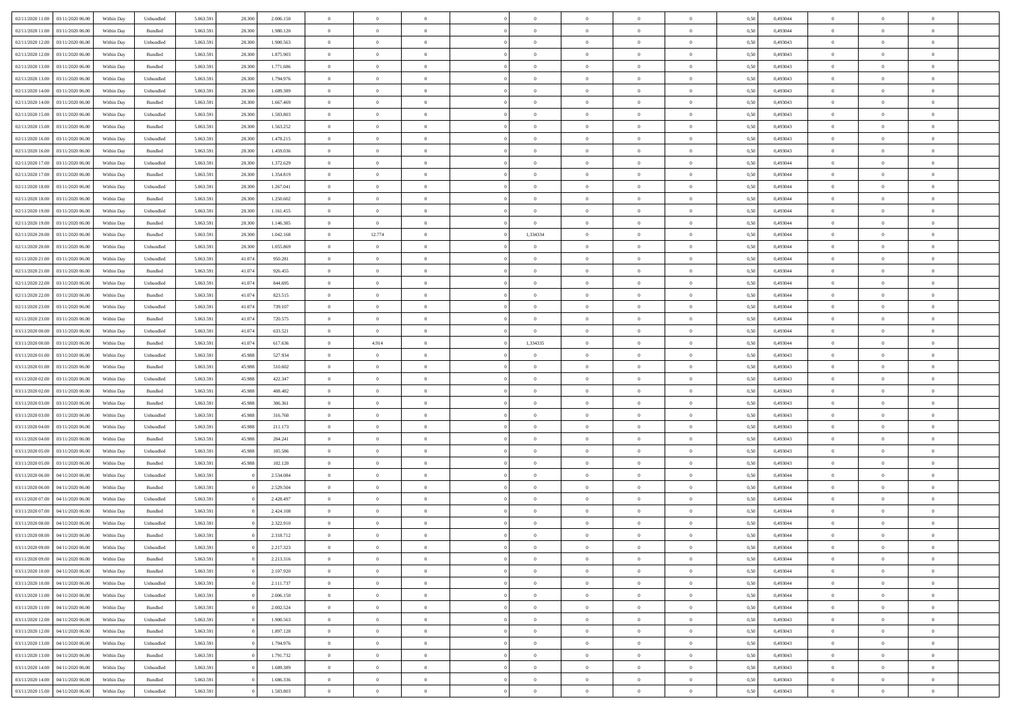| 02/11/2020 11:00 03/11/2020 06:00       |            |                   | 5.063.591 |        |           | $\overline{0}$ | $\overline{0}$   |                | $\overline{0}$ | $\theta$       |                | $\theta$       |      | 0,493044 | $\theta$       | $\theta$       | $\overline{0}$ |  |
|-----------------------------------------|------------|-------------------|-----------|--------|-----------|----------------|------------------|----------------|----------------|----------------|----------------|----------------|------|----------|----------------|----------------|----------------|--|
|                                         | Within Day | Unbundled         |           | 28.300 | 2.006.150 |                |                  |                |                |                |                |                | 0,50 |          |                |                |                |  |
| 02/11/2020 11:00<br>03/11/2020 06.00    | Within Day | Bundled           | 5.063.59  | 28.300 | 1.980.120 | $\bf{0}$       | $\bf{0}$         | $\bf{0}$       | $\bf{0}$       | $\overline{0}$ | $\bf{0}$       | $\bf{0}$       | 0,50 | 0,493044 | $\,$ 0 $\,$    | $\bf{0}$       | $\overline{0}$ |  |
| 02/11/2020 12:00<br>03/11/2020 06.00    | Within Day | Unbundled         | 5.063.591 | 28.300 | 1.900.563 | $\overline{0}$ | $\bf{0}$         | $\overline{0}$ | $\bf{0}$       | $\overline{0}$ | $\overline{0}$ | $\bf{0}$       | 0.50 | 0.493043 | $\overline{0}$ | $\overline{0}$ | $\bf{0}$       |  |
| 02/11/2020 12:00<br>03/11/2020 06:00    | Within Day | Bundled           | 5.063.591 | 28.300 | 1.875.903 | $\overline{0}$ | $\overline{0}$   | $\overline{0}$ | $\overline{0}$ | $\theta$       | $\overline{0}$ | $\bf{0}$       | 0,50 | 0,493043 | $\,$ 0 $\,$    | $\,$ 0 $\,$    | $\overline{0}$ |  |
|                                         |            |                   |           |        |           |                | $\overline{0}$   |                |                |                |                |                |      |          |                |                | $\overline{0}$ |  |
| 02/11/2020 13:00<br>03/11/2020 06.00    | Within Day | Bundled           | 5.063.59  | 28.300 | 1.771.686 | $\bf{0}$       |                  | $\bf{0}$       | $\overline{0}$ | $\bf{0}$       | $\overline{0}$ | $\bf{0}$       | 0,50 | 0,493043 | $\,$ 0 $\,$    | $\bf{0}$       |                |  |
| $02/11/2020\ 13.00$<br>03/11/2020 06:00 | Within Day | Unbundled         | 5.063.591 | 28.300 | 1.794.976 | $\overline{0}$ | $\bf{0}$         | $\overline{0}$ | $\bf{0}$       | $\overline{0}$ | $\overline{0}$ | $\bf{0}$       | 0.50 | 0.493043 | $\bf{0}$       | $\overline{0}$ | $\overline{0}$ |  |
| 02/11/2020 14:00<br>03/11/2020 06.00    | Within Day | Unbundled         | 5.063.591 | 28.300 | 1.689.389 | $\bf{0}$       | $\bf{0}$         | $\overline{0}$ | $\overline{0}$ | $\overline{0}$ | $\overline{0}$ | $\bf{0}$       | 0,50 | 0,493043 | $\,$ 0 $\,$    | $\bf{0}$       | $\overline{0}$ |  |
| 02/11/2020 14:00<br>03/11/2020 06.00    | Within Day | Bundled           | 5.063.59  | 28.300 | 1.667.469 | $\bf{0}$       | $\bf{0}$         | $\bf{0}$       | $\bf{0}$       | $\overline{0}$ | $\overline{0}$ | $\bf{0}$       | 0,50 | 0,493043 | $\,$ 0 $\,$    | $\bf{0}$       | $\overline{0}$ |  |
| 02/11/2020 15:00<br>03/11/2020 06:00    | Within Day | Unbundled         | 5.063.591 | 28.300 | 1.583.803 | $\overline{0}$ | $\bf{0}$         | $\overline{0}$ | $\bf{0}$       | $\overline{0}$ | $\overline{0}$ | $\bf{0}$       | 0.50 | 0.493043 | $\bf{0}$       | $\overline{0}$ | $\overline{0}$ |  |
| 02/11/2020 15:00<br>03/11/2020 06:00    |            |                   | 5.063.591 |        |           |                | $\bf{0}$         | $\overline{0}$ |                | $\overline{0}$ | $\overline{0}$ |                |      |          | $\,$ 0 $\,$    | $\bf{0}$       | $\overline{0}$ |  |
|                                         | Within Day | Bundled           |           | 28.300 | 1.563.252 | $\overline{0}$ |                  |                | $\overline{0}$ |                |                | $\bf{0}$       | 0,50 | 0,493043 |                |                |                |  |
| 02/11/2020 16.00<br>03/11/2020 06.00    | Within Day | Unbundled         | 5.063.59  | 28.300 | 1.478.215 | $\bf{0}$       | $\bf{0}$         | $\bf{0}$       | $\bf{0}$       | $\overline{0}$ | $\overline{0}$ | $\bf{0}$       | 0,50 | 0,493043 | $\,$ 0 $\,$    | $\bf{0}$       | $\overline{0}$ |  |
| 02/11/2020 16:00<br>03/11/2020 06.00    | Within Day | Bundled           | 5.063.591 | 28.300 | 1.459.036 | $\overline{0}$ | $\bf{0}$         | $\overline{0}$ | $\overline{0}$ | $\overline{0}$ | $\overline{0}$ | $\bf{0}$       | 0.50 | 0.493043 | $\bf{0}$       | $\overline{0}$ | $\,$ 0         |  |
| 02/11/2020 17.00<br>03/11/2020 06:00    | Within Day | Unbundled         | 5.063.591 | 28.300 | 1.372.629 | $\overline{0}$ | $\bf{0}$         | $\overline{0}$ | $\overline{0}$ | $\theta$       | $\overline{0}$ | $\bf{0}$       | 0,50 | 0,493044 | $\,$ 0 $\,$    | $\,$ 0 $\,$    | $\overline{0}$ |  |
| 02/11/2020 17.00<br>03/11/2020 06.00    | Within Day | Bundled           | 5.063.59  | 28.300 | 1.354.819 | $\bf{0}$       | $\bf{0}$         | $\bf{0}$       | $\bf{0}$       | $\bf{0}$       | $\overline{0}$ | $\bf{0}$       | 0,50 | 0,493044 | $\,$ 0 $\,$    | $\bf{0}$       | $\overline{0}$ |  |
|                                         |            |                   |           |        |           |                | $\bf{0}$         | $\overline{0}$ |                | $\overline{0}$ | $\overline{0}$ |                | 0.50 | 0.493044 | $\bf{0}$       | $\theta$       | $\overline{0}$ |  |
| 02/11/2020 18:00<br>03/11/2020 06:00    | Within Day | Unbundled         | 5.063.591 | 28.300 | 1.267.041 | $\overline{0}$ |                  |                | $\bf{0}$       |                |                | $\bf{0}$       |      |          |                |                |                |  |
| 02/11/2020 18:00<br>03/11/2020 06:00    | Within Day | Bundled           | 5.063.591 | 28.300 | 1.250.602 | $\bf{0}$       | $\bf{0}$         | $\overline{0}$ | $\overline{0}$ | $\overline{0}$ | $\overline{0}$ | $\bf{0}$       | 0,50 | 0,493044 | $\,$ 0 $\,$    | $\theta$       | $\overline{0}$ |  |
| 02/11/2020 19:00<br>03/11/2020 06.00    | Within Day | Unbundled         | 5.063.59  | 28.300 | 1.161.455 | $\bf{0}$       | $\bf{0}$         | $\bf{0}$       | $\bf{0}$       | $\bf{0}$       | $\overline{0}$ | $\bf{0}$       | 0,50 | 0,493044 | $\,$ 0 $\,$    | $\bf{0}$       | $\overline{0}$ |  |
| 02/11/2020 19:00<br>03/11/2020 06:00    | Within Day | Bundled           | 5.063.591 | 28.300 | 1.146.385 | $\overline{0}$ | $\overline{0}$   | $\overline{0}$ | $\overline{0}$ | $\overline{0}$ | $\overline{0}$ | $\bf{0}$       | 0.50 | 0.493044 | $\bf{0}$       | $\overline{0}$ | $\bf{0}$       |  |
| 02/11/2020 20:00<br>03/11/2020 06.00    | Within Day | Bundled           | 5.063.591 | 28.300 | 1.042.168 | $\bf{0}$       | 12.774           | $\overline{0}$ | 1,334334       | $\overline{0}$ | $\overline{0}$ | $\bf{0}$       | 0,50 | 0,493044 | $\,$ 0 $\,$    | $\bf{0}$       | $\overline{0}$ |  |
| 02/11/2020 20:00<br>03/11/2020 06.00    | Within Day | Unbundled         | 5.063.59  | 28.300 | 1.055.869 | $\bf{0}$       | $\bf{0}$         | $\overline{0}$ | $\bf{0}$       | $\overline{0}$ | $\overline{0}$ | $\bf{0}$       | 0,50 | 0,493044 | $\,$ 0 $\,$    | $\bf{0}$       | $\overline{0}$ |  |
|                                         |            | Unbundled         |           |        | 950.281   |                | $\bf{0}$         | $\overline{0}$ |                | $\bf{0}$       | $\overline{0}$ |                | 0.50 | 0.493044 | $\bf{0}$       | $\overline{0}$ | $\,$ 0         |  |
| 02/11/2020 21:00<br>03/11/2020 06.00    | Within Day |                   | 5.063.591 | 41.074 |           | $\overline{0}$ |                  |                | $\bf{0}$       |                |                | $\bf{0}$       |      |          |                |                |                |  |
| 02/11/2020 21.00<br>03/11/2020 06:00    | Within Day | Bundled           | 5.063.591 | 41.074 | 926.455   | $\overline{0}$ | $\overline{0}$   | $\overline{0}$ | $\overline{0}$ | $\overline{0}$ | $\overline{0}$ | $\bf{0}$       | 0,50 | 0,493044 | $\,$ 0 $\,$    | $\,$ 0 $\,$    | $\overline{0}$ |  |
| 02/11/2020 22.00<br>03/11/2020 06.00    | Within Day | Unbundled         | 5.063.59  | 41.074 | 844.695   | $\bf{0}$       | $\bf{0}$         | $\bf{0}$       | $\bf{0}$       | $\overline{0}$ | $\overline{0}$ | $\bf{0}$       | 0,50 | 0,493044 | $\,$ 0 $\,$    | $\bf{0}$       | $\overline{0}$ |  |
| 02/11/2020 22.00<br>03/11/2020 06:00    | Within Day | Bundled           | 5.063.591 | 41.074 | 823.515   | $\overline{0}$ | $\bf{0}$         | $\overline{0}$ | $\bf{0}$       | $\overline{0}$ | $\overline{0}$ | $\bf{0}$       | 0.50 | 0.493044 | $\bf{0}$       | $\overline{0}$ | $\overline{0}$ |  |
| 02/11/2020 23.00<br>03/11/2020 06.00    | Within Day | Unbundled         | 5.063.591 | 41.074 | 739.107   | $\bf{0}$       | $\bf{0}$         | $\overline{0}$ | $\overline{0}$ | $\overline{0}$ | $\overline{0}$ | $\bf{0}$       | 0,50 | 0,493044 | $\,$ 0 $\,$    | $\theta$       | $\overline{0}$ |  |
| 02/11/2020 23.00<br>03/11/2020 06.00    | Within Day | Bundled           | 5.063.59  | 41.074 | 720.575   | $\bf{0}$       | $\bf{0}$         | $\bf{0}$       | $\bf{0}$       | $\overline{0}$ | $\overline{0}$ | $\bf{0}$       | 0,50 | 0,493044 | $\,$ 0 $\,$    | $\bf{0}$       | $\overline{0}$ |  |
| 03/11/2020 00:00<br>03/11/2020 06:00    | Within Day | Unbundled         | 5.063.591 | 41.074 | 633.521   | $\overline{0}$ | $\overline{0}$   | $\overline{0}$ | $\bf{0}$       | $\overline{0}$ | $\overline{0}$ | $\bf{0}$       | 0.50 | 0.493044 | $\bf{0}$       | $\overline{0}$ | $\bf{0}$       |  |
|                                         |            |                   |           |        |           |                |                  | $\overline{0}$ |                | $\overline{0}$ | $\overline{0}$ |                |      |          | $\,$ 0 $\,$    |                |                |  |
| 03/11/2020 00:00<br>03/11/2020 06:00    | Within Day | Bundled           | 5.063.591 | 41.074 | 617.636   | $\bf{0}$       | 4.914            |                | 1,334335       |                |                | $\bf{0}$       | 0,50 | 0,493044 |                | $\bf{0}$       | $\overline{0}$ |  |
| 03/11/2020 01:00<br>03/11/2020 06.00    | Within Day | Unbundled         | 5.063.59  | 45.988 | 527.934   | $\bf{0}$       | $\bf{0}$         | $\bf{0}$       | $\bf{0}$       | $\overline{0}$ | $\overline{0}$ | $\bf{0}$       | 0,50 | 0,493043 | $\,$ 0 $\,$    | $\bf{0}$       | $\overline{0}$ |  |
| 03/11/2020 01:00<br>03/11/2020 06.00    | Within Day | Bundled           | 5.063.591 | 45,988 | 510.602   | $\overline{0}$ | $\bf{0}$         | $\overline{0}$ | $\bf{0}$       | $\bf{0}$       | $\overline{0}$ | $\bf{0}$       | 0.50 | 0.493043 | $\bf{0}$       | $\overline{0}$ | $\,$ 0         |  |
| 03/11/2020 02.00<br>03/11/2020 06.00    | Within Day | Unbundled         | 5.063.591 | 45,988 | 422.347   | $\overline{0}$ | $\overline{0}$   | $\overline{0}$ | $\overline{0}$ | $\overline{0}$ | $\overline{0}$ | $\bf{0}$       | 0.50 | 0,493043 | $\theta$       | $\theta$       | $\overline{0}$ |  |
| 03/11/2020 02.00<br>03/11/2020 06.00    | Within Day | Bundled           | 5.063.59  | 45.988 | 408.482   | $\bf{0}$       | $\bf{0}$         | $\bf{0}$       | $\bf{0}$       | $\overline{0}$ | $\overline{0}$ | $\bf{0}$       | 0,50 | 0,493043 | $\,$ 0 $\,$    | $\bf{0}$       | $\overline{0}$ |  |
| 03/11/2020 03:00<br>03/11/2020 06:00    | Within Day | Bundled           | 5.063.591 | 45.988 | 306.361   | $\overline{0}$ | $\bf{0}$         | $\overline{0}$ | $\bf{0}$       | $\overline{0}$ | $\overline{0}$ | $\bf{0}$       | 0.50 | 0.493043 | $\bf{0}$       | $\bf{0}$       | $\overline{0}$ |  |
| 03/11/2020 03:00<br>03/11/2020 06:00    | Within Day | Unbundled         | 5.063.591 | 45,988 | 316,760   | $\overline{0}$ | $\overline{0}$   | $\overline{0}$ | $\overline{0}$ | $\overline{0}$ | $\overline{0}$ | $\bf{0}$       | 0.50 | 0,493043 | $\theta$       | $\theta$       | $\overline{0}$ |  |
|                                         |            |                   |           |        |           | $\bf{0}$       | $\bf{0}$         | $\bf{0}$       |                | $\overline{0}$ | $\overline{0}$ |                |      |          | $\,$ 0 $\,$    | $\bf{0}$       | $\overline{0}$ |  |
| 03/11/2020 04:00<br>03/11/2020 06.00    | Within Day | Unbundled         | 5.063.59  | 45.988 | 211.173   |                |                  |                | $\bf{0}$       |                |                | $\bf{0}$       | 0,50 | 0,493043 |                |                |                |  |
| 03/11/2020 04:00<br>03/11/2020 06:00    | Within Day | Bundled           | 5.063.591 | 45.988 | 204.241   | $\overline{0}$ | $\bf{0}$         | $\overline{0}$ | $\bf{0}$       | $\overline{0}$ | $\overline{0}$ | $\bf{0}$       | 0.50 | 0.493043 | $\bf{0}$       | $\overline{0}$ | $\bf{0}$       |  |
| 03/11/2020 05:00<br>03/11/2020 06:00    | Within Day | Unbundled         | 5.063.591 | 45,988 | 105,586   | $\overline{0}$ | $\overline{0}$   | $\overline{0}$ | $\overline{0}$ | $\overline{0}$ | $\overline{0}$ | $\bf{0}$       | 0.50 | 0,493043 | $\theta$       | $\theta$       | $\overline{0}$ |  |
| 03/11/2020 05:00<br>03/11/2020 06.00    | Within Day | Bundled           | 5.063.59  | 45.988 | 102.120   | $\bf{0}$       | $\bf{0}$         | $\bf{0}$       | $\bf{0}$       | $\overline{0}$ | $\overline{0}$ | $\bf{0}$       | 0,50 | 0,493043 | $\,$ 0 $\,$    | $\bf{0}$       | $\overline{0}$ |  |
| 03/11/2020 06:00<br>04/11/2020 06.00    | Within Day | Unbundled         | 5.063.591 |        | 2.534.084 | $\overline{0}$ | $\bf{0}$         | $\overline{0}$ | $\overline{0}$ | $\bf{0}$       | $\overline{0}$ | $\bf{0}$       | 0.50 | 0.493044 | $\bf{0}$       | $\overline{0}$ | $\,$ 0         |  |
| 03/11/2020 06:00<br>04/11/2020 06.00    | Within Day | Bundled           | 5.063.591 |        | 2.529.504 | $\overline{0}$ | $\overline{0}$   | $\overline{0}$ | $\overline{0}$ | $\overline{0}$ | $\overline{0}$ | $\bf{0}$       | 0.50 | 0,493044 | $\theta$       | $\theta$       | $\overline{0}$ |  |
| 03/11/2020 07:00<br>04/11/2020 06.00    | Within Day | Unbundled         | 5.063.59  |        | 2.428.497 | $\bf{0}$       | $\bf{0}$         | $\bf{0}$       | $\bf{0}$       | $\overline{0}$ | $\overline{0}$ | $\bf{0}$       | 0,50 | 0,493044 | $\,$ 0 $\,$    | $\bf{0}$       | $\overline{0}$ |  |
|                                         |            |                   |           |        |           |                |                  |                |                |                |                |                |      |          |                |                |                |  |
| 03/11/2020 07.00<br>04/11/2020 06.00    | Within Day | Bundled           | 5.063.591 |        | 2.424.108 | $\overline{0}$ | $\bf{0}$         | $\overline{0}$ | $\bf{0}$       | $\overline{0}$ | $\overline{0}$ | $\bf{0}$       | 0.50 | 0.493044 | $\bf{0}$       | $\theta$       | $\overline{0}$ |  |
| 03/11/2020 08:00<br>04/11/2020 06.00    | Within Dav | Unbundled         | 5.063.591 |        | 2.322.910 | $\overline{0}$ | $\overline{0}$   | $\overline{0}$ | $\overline{0}$ | $\theta$       | $\overline{0}$ | $\overline{0}$ | 0.50 | 0,493044 | $\theta$       | $\theta$       | $\overline{0}$ |  |
| $03/11/2020\;08.00$<br>04/11/2020 06.00 | Within Day | Bundled           | 5.063.591 |        | 2.318.712 | $\bf{0}$       | $\bf{0}$         | $\bf{0}$       | $\bf{0}$       | $\overline{0}$ | $\overline{0}$ | $\bf{0}$       | 0,50 | 0,493044 | $\,$ 0 $\,$    | $\bf{0}$       | $\overline{0}$ |  |
| 03/11/2020 09:00 04/11/2020 06:00       | Within Day | ${\sf Unbundred}$ | 5.063.591 |        | 2.217.323 | $\bf{0}$       | $\boldsymbol{0}$ |                | $\overline{0}$ | $\bf{0}$       |                | $\bf{0}$       | 0,50 | 0.493044 | $\bf{0}$       | $\bf{0}$       |                |  |
| 03/11/2020 09:00 04/11/2020 06:00       | Within Day | Bundled           | 5.063.591 |        | 2.213.316 | $\overline{0}$ | $\overline{0}$   | $\overline{0}$ | $\overline{0}$ | $\overline{0}$ | $\overline{0}$ | $\bf{0}$       | 0,50 | 0,493044 | $\theta$       | $\overline{0}$ | $\overline{0}$ |  |
| 03/11/2020 10:00<br>04/11/2020 06.00    | Within Day | Bundled           | 5.063.591 |        | 2.107.920 | $\overline{0}$ | $\bf{0}$         | $\overline{0}$ | $\overline{0}$ | $\bf{0}$       | $\overline{0}$ | $\bf{0}$       | 0,50 | 0,493044 | $\bf{0}$       | $\overline{0}$ | $\bf{0}$       |  |
| 03/11/2020 10:00 04/11/2020 06:00       | Within Day | Unbundled         | 5.063.591 |        | 2.111.737 | $\overline{0}$ | $\bf{0}$         | $\overline{0}$ | $\overline{0}$ | $\mathbf{0}$   | $\overline{0}$ | $\,$ 0 $\,$    | 0.50 | 0.493044 | $\overline{0}$ | $\bf{0}$       | $\,$ 0 $\,$    |  |
| 03/11/2020 11:00 04/11/2020 06:00       | Within Day | Unbundled         | 5.063.591 |        | 2.006.150 | $\overline{0}$ | $\overline{0}$   | $\overline{0}$ | $\overline{0}$ | $\overline{0}$ | $\overline{0}$ | $\bf{0}$       | 0,50 | 0,493044 | $\overline{0}$ | $\theta$       | $\overline{0}$ |  |
|                                         |            |                   |           |        |           |                |                  |                |                |                |                |                |      |          |                |                |                |  |
| 03/11/2020 11:00<br>04/11/2020 06.00    | Within Day | Bundled           | 5.063.591 |        | 2.002.524 | $\overline{0}$ | $\bf{0}$         | $\overline{0}$ | $\bf{0}$       | $\overline{0}$ | $\overline{0}$ | $\bf{0}$       | 0,50 | 0,493044 | $\bf{0}$       | $\bf{0}$       | $\overline{0}$ |  |
| 03/11/2020 12:00<br>04/11/2020 06:00    | Within Day | Unbundled         | 5.063.591 |        | 1.900.563 | $\overline{0}$ | $\bf{0}$         | $\overline{0}$ | $\overline{0}$ | $\bf{0}$       | $\overline{0}$ | $\bf{0}$       | 0.50 | 0.493043 | $\,$ 0 $\,$    | $\theta$       | $\,$ 0         |  |
| 03/11/2020 12:00 04/11/2020 06:00       | Within Day | Bundled           | 5.063.591 |        | 1.897.128 | $\overline{0}$ | $\overline{0}$   | $\overline{0}$ | $\overline{0}$ | $\overline{0}$ | $\overline{0}$ | $\bf{0}$       | 0,50 | 0,493043 | $\overline{0}$ | $\theta$       | $\overline{0}$ |  |
| 03/11/2020 13:00<br>04/11/2020 06.00    | Within Day | Unbundled         | 5.063.591 |        | 1.794.976 | $\overline{0}$ | $\overline{0}$   | $\overline{0}$ | $\overline{0}$ | $\overline{0}$ | $\overline{0}$ | $\bf{0}$       | 0,50 | 0,493043 | $\bf{0}$       | $\overline{0}$ | $\,$ 0         |  |
| 03/11/2020 13:00 04/11/2020 06:00       | Within Day | Bundled           | 5.063.591 |        | 1.791.732 | $\overline{0}$ | $\overline{0}$   | $\overline{0}$ | $\overline{0}$ | $\overline{0}$ | $\overline{0}$ | $\bf{0}$       | 0.50 | 0.493043 | $\overline{0}$ | $\,$ 0 $\,$    | $\,$ 0         |  |
| 03/11/2020 14:00 04/11/2020 06:00       | Within Day | Unbundled         | 5.063.591 |        | 1.689.389 | $\overline{0}$ | $\overline{0}$   | $\overline{0}$ | $\overline{0}$ | $\overline{0}$ | $\overline{0}$ | $\bf{0}$       | 0,50 | 0,493043 | $\overline{0}$ | $\theta$       | $\overline{0}$ |  |
|                                         |            |                   |           |        |           |                |                  |                |                |                |                |                |      |          |                |                |                |  |
| 03/11/2020 14:00<br>04/11/2020 06.00    | Within Day | Bundled           | 5.063.591 |        | 1.686.336 | $\overline{0}$ | $\bf{0}$         | $\overline{0}$ | $\overline{0}$ | $\overline{0}$ | $\overline{0}$ | $\bf{0}$       | 0,50 | 0,493043 | $\bf{0}$       | $\overline{0}$ | $\bf{0}$       |  |
| 03/11/2020 15:00 04/11/2020 06:00       | Within Day | ${\sf Unbundred}$ | 5.063.591 |        | 1.583.803 | $\,$ 0 $\,$    | $\bf{0}$         | $\overline{0}$ | $\overline{0}$ | $\,$ 0 $\,$    | $\overline{0}$ | $\,$ 0 $\,$    | 0,50 | 0,493043 | $\,$ 0 $\,$    | $\,$ 0 $\,$    | $\,$ 0 $\,$    |  |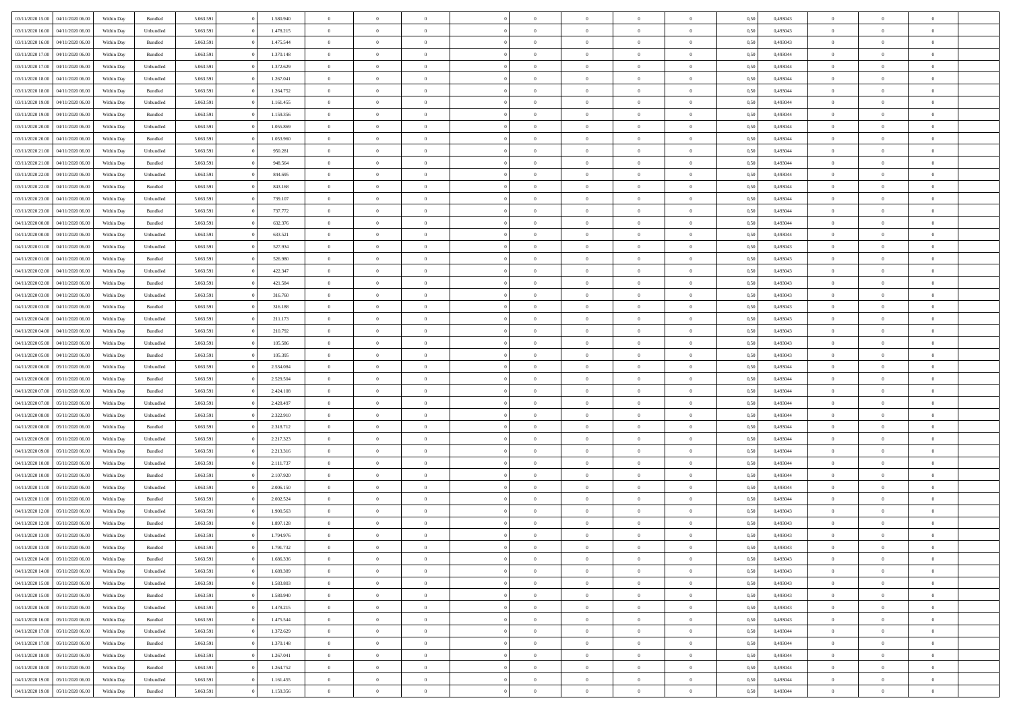| 03/11/2020 15:00 | 04/11/2020 06.00 | Within Dav | Bundled            | 5.063.591 | 1.580.940 | $\overline{0}$ | $\Omega$       |                | $\Omega$       | $\Omega$       | $\Omega$       | $\theta$       | 0.50 | 0,493043 | $\theta$       | $\theta$       | $\theta$       |  |
|------------------|------------------|------------|--------------------|-----------|-----------|----------------|----------------|----------------|----------------|----------------|----------------|----------------|------|----------|----------------|----------------|----------------|--|
|                  |                  |            |                    |           |           |                |                |                |                |                |                |                |      |          |                |                |                |  |
| 03/11/2020 16:00 | 04/11/2020 06.00 | Within Day | Unbundled          | 5.063.591 | 1.478.215 | $\overline{0}$ | $\theta$       | $\overline{0}$ | $\overline{0}$ | $\bf{0}$       | $\overline{0}$ | $\bf{0}$       | 0,50 | 0,493043 | $\theta$       | $\overline{0}$ | $\overline{0}$ |  |
| 03/11/2020 16:00 | 04/11/2020 06.00 | Within Day | Bundled            | 5.063.591 | 1.475.544 | $\overline{0}$ | $\overline{0}$ | $\overline{0}$ | $\overline{0}$ | $\bf{0}$       | $\overline{0}$ | $\bf{0}$       | 0,50 | 0,493043 | $\bf{0}$       | $\overline{0}$ | $\overline{0}$ |  |
| 03/11/2020 17:00 | 04/11/2020 06.00 | Within Dav | Bundled            | 5.063.591 | 1.370.148 | $\overline{0}$ | $\overline{0}$ | $\overline{0}$ | $\overline{0}$ | $\bf{0}$       | $\overline{0}$ | $\overline{0}$ | 0.50 | 0,493044 | $\theta$       | $\theta$       | $\overline{0}$ |  |
| 03/11/2020 17.00 | 04/11/2020 06.00 | Within Day | Unbundled          | 5.063.591 | 1.372.629 | $\overline{0}$ | $\theta$       | $\overline{0}$ | $\overline{0}$ | $\bf{0}$       | $\overline{0}$ | $\bf{0}$       | 0,50 | 0,493044 | $\theta$       | $\theta$       | $\overline{0}$ |  |
| 03/11/2020 18.00 | 04/11/2020 06.00 | Within Day | Unbundled          | 5.063.591 | 1.267.041 | $\overline{0}$ | $\bf{0}$       | $\overline{0}$ | $\overline{0}$ | $\overline{0}$ | $\overline{0}$ | $\mathbf{0}$   | 0,50 | 0,493044 | $\bf{0}$       | $\overline{0}$ | $\bf{0}$       |  |
|                  |                  |            |                    |           |           |                |                |                |                |                |                |                |      |          |                |                |                |  |
| 03/11/2020 18:00 | 04/11/2020 06.00 | Within Dav | Bundled            | 5.063.591 | 1.264.752 | $\overline{0}$ | $\overline{0}$ | $\overline{0}$ | $\overline{0}$ | $\overline{0}$ | $\overline{0}$ | $\overline{0}$ | 0.50 | 0,493044 | $\theta$       | $\overline{0}$ | $\overline{0}$ |  |
| 03/11/2020 19:00 | 04/11/2020 06.00 | Within Day | Unbundled          | 5.063.591 | 1.161.455 | $\overline{0}$ | $\theta$       | $\overline{0}$ | $\overline{0}$ | $\bf{0}$       | $\overline{0}$ | $\bf{0}$       | 0,50 | 0,493044 | $\theta$       | $\theta$       | $\overline{0}$ |  |
| 03/11/2020 19:00 | 04/11/2020 06.00 | Within Day | Bundled            | 5.063.591 | 1.159.356 | $\overline{0}$ | $\overline{0}$ | $\overline{0}$ | $\bf{0}$       | $\bf{0}$       | $\bf{0}$       | $\bf{0}$       | 0,50 | 0,493044 | $\,0\,$        | $\overline{0}$ | $\overline{0}$ |  |
| 03/11/2020 20.00 | 04/11/2020 06.00 | Within Dav | Unbundled          | 5.063.591 | 1.055.869 | $\overline{0}$ | $\overline{0}$ | $\overline{0}$ | $\overline{0}$ | $\overline{0}$ | $\overline{0}$ | $\overline{0}$ | 0.50 | 0,493044 | $\theta$       | $\overline{0}$ | $\overline{0}$ |  |
| 03/11/2020 20.00 | 04/11/2020 06.00 | Within Day | Bundled            | 5.063.591 | 1.053.960 | $\overline{0}$ | $\theta$       | $\overline{0}$ | $\overline{0}$ | $\bf{0}$       | $\overline{0}$ | $\bf{0}$       | 0,50 | 0,493044 | $\,$ 0 $\,$    | $\overline{0}$ | $\overline{0}$ |  |
| 03/11/2020 21.00 | 04/11/2020 06.00 | Within Day | Unbundled          | 5.063.591 | 950.281   | $\overline{0}$ | $\overline{0}$ | $\overline{0}$ | $\bf{0}$       | $\bf{0}$       | $\bf{0}$       | $\bf{0}$       | 0,50 | 0,493044 | $\overline{0}$ | $\overline{0}$ | $\overline{0}$ |  |
| 03/11/2020 21:00 | 04/11/2020 06.00 | Within Day | Bundled            | 5.063.591 | 948.564   | $\overline{0}$ | $\overline{0}$ | $\overline{0}$ | $\overline{0}$ | $\bf{0}$       | $\overline{0}$ | $\overline{0}$ | 0.50 | 0,493044 | $\theta$       | $\theta$       | $\overline{0}$ |  |
|                  |                  |            |                    |           |           |                |                |                |                |                |                |                |      |          |                |                |                |  |
| 03/11/2020 22.00 | 04/11/2020 06.00 | Within Day | Unbundled          | 5.063.591 | 844.695   | $\overline{0}$ | $\theta$       | $\overline{0}$ | $\overline{0}$ | $\bf{0}$       | $\overline{0}$ | $\bf{0}$       | 0,50 | 0,493044 | $\theta$       | $\theta$       | $\overline{0}$ |  |
| 03/11/2020 22.00 | 04/11/2020 06.00 | Within Day | Bundled            | 5.063.591 | 843.168   | $\overline{0}$ | $\bf{0}$       | $\overline{0}$ | $\bf{0}$       | $\overline{0}$ | $\overline{0}$ | $\mathbf{0}$   | 0,50 | 0,493044 | $\overline{0}$ | $\overline{0}$ | $\bf{0}$       |  |
| 03/11/2020 23.00 | 04/11/2020 06.00 | Within Dav | Unbundled          | 5.063.591 | 739.107   | $\overline{0}$ | $\overline{0}$ | $\overline{0}$ | $\overline{0}$ | $\overline{0}$ | $\overline{0}$ | $\overline{0}$ | 0.50 | 0,493044 | $\theta$       | $\overline{0}$ | $\overline{0}$ |  |
| 03/11/2020 23.00 | 04/11/2020 06.00 | Within Day | Bundled            | 5.063.591 | 737.772   | $\overline{0}$ | $\theta$       | $\overline{0}$ | $\overline{0}$ | $\bf{0}$       | $\overline{0}$ | $\bf{0}$       | 0,50 | 0,493044 | $\theta$       | $\theta$       | $\overline{0}$ |  |
| 04/11/2020 00:00 | 04/11/2020 06.00 | Within Day | Bundled            | 5.063.591 | 632.376   | $\overline{0}$ | $\overline{0}$ | $\overline{0}$ | $\overline{0}$ | $\bf{0}$       | $\overline{0}$ | $\bf{0}$       | 0,50 | 0,493044 | $\,0\,$        | $\overline{0}$ | $\overline{0}$ |  |
| 04/11/2020 00.00 | 04/11/2020 06.00 | Within Day | Unbundled          | 5.063.591 | 633.521   | $\overline{0}$ | $\overline{0}$ | $\overline{0}$ | $\overline{0}$ | $\overline{0}$ | $\overline{0}$ | $\overline{0}$ | 0.50 | 0,493044 | $\theta$       | $\overline{0}$ | $\overline{0}$ |  |
|                  |                  |            |                    |           |           |                |                |                |                |                |                |                |      |          |                |                |                |  |
| 04/11/2020 01:00 | 04/11/2020 06.00 | Within Day | Unbundled          | 5.063.591 | 527.934   | $\overline{0}$ | $\theta$       | $\overline{0}$ | $\overline{0}$ | $\bf{0}$       | $\overline{0}$ | $\bf{0}$       | 0,50 | 0,493043 | $\,$ 0 $\,$    | $\theta$       | $\overline{0}$ |  |
| 04/11/2020 01.00 | 04/11/2020 06.00 | Within Day | Bundled            | 5.063.591 | 526.980   | $\overline{0}$ | $\overline{0}$ | $\overline{0}$ | $\overline{0}$ | $\bf{0}$       | $\overline{0}$ | $\bf{0}$       | 0,50 | 0,493043 | $\bf{0}$       | $\overline{0}$ | $\overline{0}$ |  |
| 04/11/2020 02.00 | 04/11/2020 06.00 | Within Day | Unbundled          | 5.063.591 | 422.347   | $\overline{0}$ | $\overline{0}$ | $\overline{0}$ | $\overline{0}$ | $\bf{0}$       | $\overline{0}$ | $\overline{0}$ | 0.50 | 0,493043 | $\theta$       | $\theta$       | $\overline{0}$ |  |
| 04/11/2020 02.00 | 04/11/2020 06.00 | Within Day | Bundled            | 5.063.591 | 421.584   | $\overline{0}$ | $\theta$       | $\overline{0}$ | $\overline{0}$ | $\bf{0}$       | $\overline{0}$ | $\bf{0}$       | 0,50 | 0,493043 | $\,$ 0 $\,$    | $\overline{0}$ | $\overline{0}$ |  |
| 04/11/2020 03.00 | 04/11/2020 06.00 | Within Day | Unbundled          | 5.063.591 | 316.760   | $\overline{0}$ | $\bf{0}$       | $\overline{0}$ | $\overline{0}$ | $\overline{0}$ | $\overline{0}$ | $\mathbf{0}$   | 0,50 | 0,493043 | $\bf{0}$       | $\overline{0}$ | $\bf{0}$       |  |
| 04/11/2020 03.00 | 04/11/2020 06.00 | Within Dav | Bundled            | 5.063.591 | 316.188   | $\overline{0}$ | $\overline{0}$ | $\overline{0}$ | $\overline{0}$ | $\overline{0}$ | $\overline{0}$ | $\overline{0}$ | 0.50 | 0,493043 | $\theta$       | $\overline{0}$ | $\overline{0}$ |  |
| 04/11/2020 04.00 | 04/11/2020 06.00 | Within Day | Unbundled          | 5.063.591 | 211.173   | $\overline{0}$ | $\theta$       | $\overline{0}$ | $\overline{0}$ | $\bf{0}$       | $\overline{0}$ | $\bf{0}$       | 0,50 | 0,493043 | $\theta$       | $\theta$       | $\overline{0}$ |  |
|                  |                  |            |                    |           |           |                |                |                |                |                |                |                |      |          |                |                |                |  |
| 04/11/2020 04:00 | 04/11/2020 06.00 | Within Day | Bundled            | 5.063.591 | 210.792   | $\overline{0}$ | $\overline{0}$ | $\overline{0}$ | $\overline{0}$ | $\bf{0}$       | $\overline{0}$ | $\bf{0}$       | 0,50 | 0,493043 | $\,0\,$        | $\overline{0}$ | $\overline{0}$ |  |
| 04/11/2020 05.00 | 04/11/2020 06.00 | Within Day | Unbundled          | 5.063.591 | 105.586   | $\overline{0}$ | $\overline{0}$ | $\overline{0}$ | $\overline{0}$ | $\overline{0}$ | $\overline{0}$ | $\overline{0}$ | 0.50 | 0,493043 | $\theta$       | $\overline{0}$ | $\overline{0}$ |  |
| 04/11/2020 05.00 | 04/11/2020 06.00 | Within Day | Bundled            | 5.063.591 | 105.395   | $\overline{0}$ | $\theta$       | $\overline{0}$ | $\overline{0}$ | $\bf{0}$       | $\overline{0}$ | $\bf{0}$       | 0,50 | 0,493043 | $\,$ 0 $\,$    | $\overline{0}$ | $\overline{0}$ |  |
| 04/11/2020 06.00 | 05/11/2020 06.00 | Within Day | Unbundled          | 5.063.591 | 2.534.084 | $\overline{0}$ | $\overline{0}$ | $\overline{0}$ | $\overline{0}$ | $\bf{0}$       | $\overline{0}$ | $\bf{0}$       | 0,50 | 0,493044 | $\bf{0}$       | $\overline{0}$ | $\overline{0}$ |  |
| 04/11/2020 06.00 | 05/11/2020 06.00 | Within Day | Bundled            | 5.063.591 | 2.529.504 | $\overline{0}$ | $\Omega$       | $\overline{0}$ | $\Omega$       | $\Omega$       | $\overline{0}$ | $\overline{0}$ | 0,50 | 0,493044 | $\,0\,$        | $\theta$       | $\theta$       |  |
| 04/11/2020 07.00 | 05/11/2020 06.00 | Within Day | Bundled            | 5.063.591 | 2.424.108 | $\overline{0}$ | $\theta$       | $\overline{0}$ | $\overline{0}$ | $\bf{0}$       | $\overline{0}$ | $\bf{0}$       | 0,50 | 0,493044 | $\theta$       | $\theta$       | $\overline{0}$ |  |
|                  |                  |            |                    |           |           |                |                |                |                |                |                |                |      |          |                |                |                |  |
| 04/11/2020 07.00 | 05/11/2020 06.00 | Within Day | Unbundled          | 5.063.591 | 2.428.497 | $\overline{0}$ | $\overline{0}$ | $\overline{0}$ | $\overline{0}$ | $\bf{0}$       | $\overline{0}$ | $\mathbf{0}$   | 0,50 | 0,493044 | $\bf{0}$       | $\overline{0}$ | $\bf{0}$       |  |
| 04/11/2020 08:00 | 05/11/2020 06.00 | Within Day | Unbundled          | 5.063.591 | 2.322.910 | $\overline{0}$ | $\Omega$       | $\Omega$       | $\Omega$       | $\bf{0}$       | $\overline{0}$ | $\overline{0}$ | 0.50 | 0,493044 | $\theta$       | $\theta$       | $\theta$       |  |
| 04/11/2020 08.00 | 05/11/2020 06.00 | Within Day | Bundled            | 5.063.591 | 2.318.712 | $\overline{0}$ | $\theta$       | $\overline{0}$ | $\overline{0}$ | $\bf{0}$       | $\overline{0}$ | $\bf{0}$       | 0,50 | 0,493044 | $\,$ 0 $\,$    | $\theta$       | $\overline{0}$ |  |
| 04/11/2020 09:00 | 05/11/2020 06.00 | Within Day | Unbundled          | 5.063.591 | 2.217.323 | $\overline{0}$ | $\overline{0}$ | $\overline{0}$ | $\overline{0}$ | $\bf{0}$       | $\overline{0}$ | $\bf{0}$       | 0,50 | 0,493044 | $\bf{0}$       | $\overline{0}$ | $\overline{0}$ |  |
| 04/11/2020 09:00 | 05/11/2020 06:00 | Within Day | Bundled            | 5.063.591 | 2.213.316 | $\overline{0}$ | $\Omega$       | $\overline{0}$ | $\Omega$       | $\theta$       | $\overline{0}$ | $\overline{0}$ | 0.50 | 0,493044 | $\theta$       | $\theta$       | $\theta$       |  |
| 04/11/2020 10:00 | 05/11/2020 06.00 | Within Day | Unbundled          | 5.063.591 | 2.111.737 | $\overline{0}$ | $\theta$       | $\overline{0}$ | $\overline{0}$ | $\,$ 0         | $\overline{0}$ | $\bf{0}$       | 0,50 | 0,493044 | $\,$ 0 $\,$    | $\overline{0}$ | $\overline{0}$ |  |
| 04/11/2020 10.00 | 05/11/2020 06.00 | Within Day | Bundled            | 5.063.591 | 2.107.920 | $\overline{0}$ | $\overline{0}$ | $\overline{0}$ | $\bf{0}$       | $\bf{0}$       | $\bf{0}$       | $\bf{0}$       | 0,50 | 0,493044 | $\bf{0}$       | $\overline{0}$ | $\overline{0}$ |  |
|                  |                  |            |                    |           |           | $\overline{0}$ | $\Omega$       | $\overline{0}$ | $\Omega$       | $\overline{0}$ | $\overline{0}$ | $\overline{0}$ |      |          | $\,0\,$        | $\theta$       | $\theta$       |  |
| 04/11/2020 11:00 | 05/11/2020 06.00 | Within Day | Unbundled          | 5.063.591 | 2.006.150 |                |                |                |                |                |                |                | 0,50 | 0,493044 |                |                |                |  |
| 04/11/2020 11:00 | 05/11/2020 06.00 | Within Day | Bundled            | 5.063.591 | 2.002.524 | $\overline{0}$ | $\theta$       | $\overline{0}$ | $\overline{0}$ | $\,$ 0         | $\overline{0}$ | $\bf{0}$       | 0,50 | 0,493044 | $\,$ 0 $\,$    | $\overline{0}$ | $\overline{0}$ |  |
| 04/11/2020 12.00 | 05/11/2020 06.00 | Within Day | Unbundled          | 5.063.591 | 1.900.563 | $\overline{0}$ | $\overline{0}$ | $\overline{0}$ | $\bf{0}$       | $\bf{0}$       | $\bf{0}$       | $\mathbf{0}$   | 0,50 | 0,493043 | $\bf{0}$       | $\overline{0}$ | $\bf{0}$       |  |
| 04/11/2020 12:00 | 05/11/2020 06.00 | Within Day | Bundled            | 5.063.591 | 1.897.128 | $\overline{0}$ | $\Omega$       | $\Omega$       | $\Omega$       | $\Omega$       | $\Omega$       | $\overline{0}$ | 0.50 | 0,493043 | $\theta$       | $\theta$       | $\theta$       |  |
| 04/11/2020 13.00 | 05/11/2020 06.00 | Within Day | Unbundled          | 5.063.591 | 1.794.976 | $\overline{0}$ | $\,$ 0 $\,$    | $\overline{0}$ | $\bf{0}$       | $\,$ 0         | $\bf{0}$       | $\bf{0}$       | 0,50 | 0,493043 | $\,0\,$        | $\overline{0}$ | $\overline{0}$ |  |
| 04/11/2020 13:00 | 05/11/2020 06.00 | Within Day | $\mathbf B$ undled | 5.063.591 | 1.791.732 | $\bf{0}$       | $\bf{0}$       |                |                | $\bf{0}$       |                |                | 0,50 | 0,493043 | $\bf{0}$       | $\overline{0}$ |                |  |
| 04/11/2020 14:00 | 05/11/2020 06:00 | Within Day | Bundled            | 5.063.591 | 1.686.336 | $\overline{0}$ | $\overline{0}$ | $\overline{0}$ | $\Omega$       | $\overline{0}$ | $\overline{0}$ | $\overline{0}$ | 0.50 | 0.493043 | $\theta$       | $\theta$       | $\theta$       |  |
| 04/11/2020 14:00 | 05/11/2020 06.00 | Within Day | Unbundled          | 5.063.591 | 1.689.389 | $\overline{0}$ | $\,$ 0         | $\overline{0}$ | $\bf{0}$       | $\,$ 0 $\,$    | $\overline{0}$ | $\mathbf{0}$   | 0,50 | 0,493043 | $\,$ 0 $\,$    | $\,$ 0 $\,$    | $\,$ 0         |  |
|                  |                  |            |                    |           |           |                |                |                |                |                |                |                |      |          |                |                |                |  |
| 04/11/2020 15:00 | 05/11/2020 06.00 | Within Day | Unbundled          | 5.063.591 | 1.583.803 | $\overline{0}$ | $\overline{0}$ | $\overline{0}$ | $\overline{0}$ | $\overline{0}$ | $\overline{0}$ | $\mathbf{0}$   | 0,50 | 0,493043 | $\overline{0}$ | $\bf{0}$       | $\bf{0}$       |  |
| 04/11/2020 15:00 | 05/11/2020 06.00 | Within Day | $\mathbf B$ undled | 5.063.591 | 1.580.940 | $\overline{0}$ | $\overline{0}$ | $\overline{0}$ | $\Omega$       | $\overline{0}$ | $\overline{0}$ | $\overline{0}$ | 0,50 | 0,493043 | $\overline{0}$ | $\theta$       | $\overline{0}$ |  |
| 04/11/2020 16.00 | 05/11/2020 06.00 | Within Day | Unbundled          | 5.063.591 | 1.478.215 | $\overline{0}$ | $\,$ 0         | $\overline{0}$ | $\overline{0}$ | $\,$ 0 $\,$    | $\overline{0}$ | $\mathbf{0}$   | 0,50 | 0,493043 | $\,$ 0 $\,$    | $\overline{0}$ | $\overline{0}$ |  |
| 04/11/2020 16.00 | 05/11/2020 06.00 | Within Day | Bundled            | 5.063.591 | 1.475.544 | $\overline{0}$ | $\overline{0}$ | $\overline{0}$ | $\overline{0}$ | $\overline{0}$ | $\overline{0}$ | $\mathbf{0}$   | 0,50 | 0,493043 | $\overline{0}$ | $\overline{0}$ | $\bf{0}$       |  |
| 04/11/2020 17.00 | 05/11/2020 06.00 | Within Day | Unbundled          | 5.063.591 | 1.372.629 | $\overline{0}$ | $\overline{0}$ | $\overline{0}$ | $\Omega$       | $\overline{0}$ | $\overline{0}$ | $\bf{0}$       | 0.50 | 0,493044 | $\overline{0}$ | $\theta$       | $\overline{0}$ |  |
| 04/11/2020 17.00 | 05/11/2020 06.00 | Within Day | Bundled            | 5.063.591 | 1.370.148 | $\overline{0}$ | $\,$ 0         | $\overline{0}$ | $\bf{0}$       | $\bf{0}$       | $\bf{0}$       | $\bf{0}$       | 0,50 | 0,493044 | $\,$ 0 $\,$    | $\overline{0}$ | $\overline{0}$ |  |
|                  |                  |            |                    |           |           |                | $\bf{0}$       |                |                |                |                |                |      |          |                | $\overline{0}$ | $\bf{0}$       |  |
| 04/11/2020 18.00 | 05/11/2020 06.00 | Within Day | Unbundled          | 5.063.591 | 1.267.041 | $\overline{0}$ |                | $\overline{0}$ | $\overline{0}$ | $\overline{0}$ | $\overline{0}$ | $\mathbf{0}$   | 0,50 | 0,493044 | $\overline{0}$ |                |                |  |
| 04/11/2020 18.00 | 05/11/2020 06.00 | Within Day | Bundled            | 5.063.591 | 1.264.752 | $\overline{0}$ | $\overline{0}$ | $\overline{0}$ | $\Omega$       | $\overline{0}$ | $\overline{0}$ | $\overline{0}$ | 0.50 | 0,493044 | $\overline{0}$ | $\theta$       | $\overline{0}$ |  |
| 04/11/2020 19.00 | 05/11/2020 06.00 | Within Day | Unbundled          | 5.063.591 | 1.161.455 | $\overline{0}$ | $\bf{0}$       | $\overline{0}$ | $\overline{0}$ | $\bf{0}$       | $\bf{0}$       | $\bf{0}$       | 0,50 | 0,493044 | $\,$ 0 $\,$    | $\,$ 0 $\,$    | $\bf{0}$       |  |
| 04/11/2020 19:00 | 05/11/2020 06.00 | Within Day | Bundled            | 5.063.591 | 1.159.356 | $\overline{0}$ | $\bf{0}$       | $\overline{0}$ | $\bf{0}$       | $\bf{0}$       | $\bf{0}$       | $\bf{0}$       | 0,50 | 0,493044 | $\overline{0}$ | $\overline{0}$ | $\bf{0}$       |  |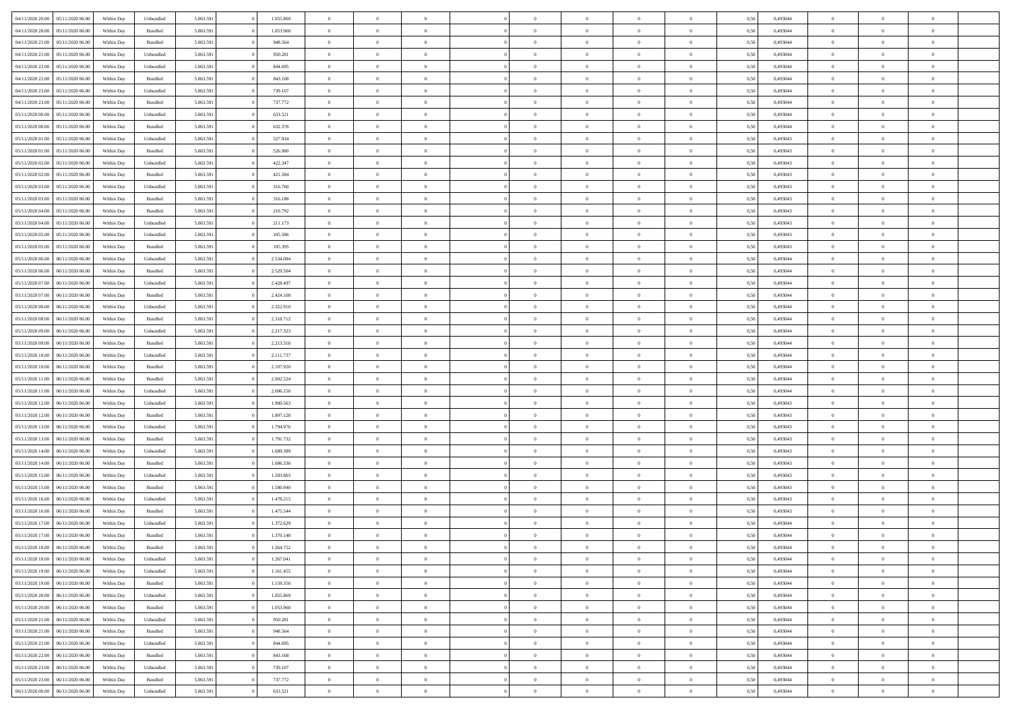| 04/11/2020 20:00 | 05/11/2020 06:00 | Within Dav | Unbundled | 5.063.591 | 1.055.869 | $\overline{0}$ | $\Omega$       |                | $\Omega$       | $\Omega$       | $\Omega$       | $\theta$       | 0,50 | 0,493044 | $\theta$       | $\theta$       | $\theta$       |  |
|------------------|------------------|------------|-----------|-----------|-----------|----------------|----------------|----------------|----------------|----------------|----------------|----------------|------|----------|----------------|----------------|----------------|--|
|                  |                  |            |           |           |           |                |                |                |                |                |                |                |      |          |                |                |                |  |
| 04/11/2020 20.00 | 05/11/2020 06.00 | Within Day | Bundled   | 5.063.591 | 1.053.960 | $\overline{0}$ | $\theta$       | $\overline{0}$ | $\overline{0}$ | $\bf{0}$       | $\overline{0}$ | $\bf{0}$       | 0,50 | 0,493044 | $\theta$       | $\theta$       | $\overline{0}$ |  |
| 04/11/2020 21.00 | 05/11/2020 06.00 | Within Day | Bundled   | 5.063.591 | 948.564   | $\overline{0}$ | $\overline{0}$ | $\overline{0}$ | $\bf{0}$       | $\bf{0}$       | $\bf{0}$       | $\bf{0}$       | 0,50 | 0,493044 | $\bf{0}$       | $\overline{0}$ | $\overline{0}$ |  |
| 04/11/2020 21.00 | 05/11/2020 06:00 | Within Day | Unbundled | 5.063.591 | 950.281   | $\overline{0}$ | $\overline{0}$ | $\overline{0}$ | $\overline{0}$ | $\bf{0}$       | $\overline{0}$ | $\overline{0}$ | 0.50 | 0.493044 | $\theta$       | $\theta$       | $\overline{0}$ |  |
| 04/11/2020 22.00 | 05/11/2020 06.00 | Within Day | Unbundled | 5.063.591 | 844.695   | $\overline{0}$ | $\theta$       | $\overline{0}$ | $\overline{0}$ | $\bf{0}$       | $\overline{0}$ | $\bf{0}$       | 0,50 | 0,493044 | $\theta$       | $\theta$       | $\overline{0}$ |  |
|                  |                  |            |           |           |           |                |                |                |                |                |                |                |      |          |                |                |                |  |
| 04/11/2020 22.00 | 05/11/2020 06.00 | Within Day | Bundled   | 5.063.591 | 843.168   | $\overline{0}$ | $\overline{0}$ | $\overline{0}$ | $\bf{0}$       | $\overline{0}$ | $\overline{0}$ | $\mathbf{0}$   | 0,50 | 0,493044 | $\bf{0}$       | $\overline{0}$ | $\bf{0}$       |  |
| 04/11/2020 23.00 | 05/11/2020 06:00 | Within Dav | Unbundled | 5.063.591 | 739.107   | $\overline{0}$ | $\overline{0}$ | $\overline{0}$ | $\overline{0}$ | $\overline{0}$ | $\overline{0}$ | $\overline{0}$ | 0.50 | 0,493044 | $\theta$       | $\overline{0}$ | $\overline{0}$ |  |
| 04/11/2020 23.00 | 05/11/2020 06.00 | Within Day | Bundled   | 5.063.591 | 737.772   | $\overline{0}$ | $\theta$       | $\overline{0}$ | $\overline{0}$ | $\bf{0}$       | $\overline{0}$ | $\bf{0}$       | 0,50 | 0,493044 | $\theta$       | $\theta$       | $\overline{0}$ |  |
| 05/11/2020 00:00 | 05/11/2020 06.00 | Within Day | Unbundled | 5.063.591 | 633.521   | $\overline{0}$ | $\overline{0}$ | $\overline{0}$ | $\bf{0}$       | $\bf{0}$       | $\bf{0}$       | $\bf{0}$       | 0,50 | 0,493044 | $\,0\,$        | $\overline{0}$ | $\overline{0}$ |  |
| 05/11/2020 00:00 | 05/11/2020 06.00 | Within Dav | Bundled   | 5.063.591 | 632.376   | $\overline{0}$ | $\overline{0}$ | $\overline{0}$ | $\overline{0}$ | $\overline{0}$ | $\overline{0}$ | $\overline{0}$ | 0.50 | 0,493044 | $\theta$       | $\overline{0}$ | $\overline{0}$ |  |
| 05/11/2020 01:00 | 05/11/2020 06.00 | Within Day | Unbundled | 5.063.591 | 527.934   | $\overline{0}$ | $\theta$       | $\overline{0}$ | $\overline{0}$ | $\bf{0}$       | $\overline{0}$ | $\bf{0}$       | 0,50 | 0,493043 | $\,$ 0 $\,$    | $\overline{0}$ | $\overline{0}$ |  |
|                  |                  |            |           |           |           |                |                |                |                |                |                |                |      |          |                |                |                |  |
| 05/11/2020 01.00 | 05/11/2020 06.00 | Within Day | Bundled   | 5.063.591 | 526.980   | $\overline{0}$ | $\overline{0}$ | $\overline{0}$ | $\bf{0}$       | $\bf{0}$       | $\bf{0}$       | $\mathbf{0}$   | 0,50 | 0,493043 | $\overline{0}$ | $\overline{0}$ | $\overline{0}$ |  |
| 05/11/2020 02.00 | 05/11/2020 06:00 | Within Day | Unbundled | 5.063.591 | 422.347   | $\overline{0}$ | $\overline{0}$ | $\overline{0}$ | $\overline{0}$ | $\bf{0}$       | $\overline{0}$ | $\overline{0}$ | 0.50 | 0,493043 | $\theta$       | $\theta$       | $\overline{0}$ |  |
| 05/11/2020 02.00 | 05/11/2020 06.00 | Within Day | Bundled   | 5.063.591 | 421.584   | $\overline{0}$ | $\theta$       | $\overline{0}$ | $\overline{0}$ | $\bf{0}$       | $\overline{0}$ | $\bf{0}$       | 0,50 | 0,493043 | $\theta$       | $\theta$       | $\overline{0}$ |  |
| 05/11/2020 03:00 | 05/11/2020 06.00 | Within Day | Unbundled | 5.063.591 | 316.760   | $\overline{0}$ | $\overline{0}$ | $\overline{0}$ | $\bf{0}$       | $\overline{0}$ | $\overline{0}$ | $\mathbf{0}$   | 0,50 | 0,493043 | $\overline{0}$ | $\overline{0}$ | $\bf{0}$       |  |
| 05/11/2020 03:00 | 05/11/2020 06:00 | Within Day | Bundled   | 5.063.591 | 316.188   | $\overline{0}$ | $\overline{0}$ | $\overline{0}$ | $\overline{0}$ | $\overline{0}$ | $\overline{0}$ | $\overline{0}$ | 0.50 | 0,493043 | $\theta$       | $\overline{0}$ | $\overline{0}$ |  |
| 05/11/2020 04:00 | 05/11/2020 06.00 | Within Day | Bundled   | 5.063.591 | 210.792   | $\overline{0}$ | $\theta$       | $\overline{0}$ | $\overline{0}$ | $\bf{0}$       | $\overline{0}$ | $\bf{0}$       | 0,50 | 0,493043 | $\theta$       | $\theta$       | $\overline{0}$ |  |
| 05/11/2020 04:00 | 05/11/2020 06.00 | Within Day | Unbundled | 5.063.591 | 211.173   | $\overline{0}$ | $\overline{0}$ | $\overline{0}$ | $\bf{0}$       | $\bf{0}$       | $\bf{0}$       | $\mathbf{0}$   | 0,50 | 0,493043 | $\bf{0}$       | $\overline{0}$ | $\overline{0}$ |  |
| 05/11/2020 05:00 | 05/11/2020 06:00 | Within Day | Unbundled | 5.063.591 | 105.586   | $\overline{0}$ | $\overline{0}$ | $\overline{0}$ | $\overline{0}$ | $\overline{0}$ | $\overline{0}$ | $\overline{0}$ | 0.50 | 0,493043 | $\theta$       | $\overline{0}$ | $\overline{0}$ |  |
|                  |                  |            |           |           |           |                |                |                |                |                |                |                |      |          |                |                |                |  |
| 05/11/2020 05:00 | 05/11/2020 06.00 | Within Day | Bundled   | 5.063.591 | 105.395   | $\overline{0}$ | $\theta$       | $\overline{0}$ | $\overline{0}$ | $\bf{0}$       | $\overline{0}$ | $\bf{0}$       | 0,50 | 0,493043 | $\,$ 0 $\,$    | $\theta$       | $\overline{0}$ |  |
| 05/11/2020 06.00 | 06/11/2020 06.00 | Within Day | Unbundled | 5.063.591 | 2.534.084 | $\overline{0}$ | $\overline{0}$ | $\overline{0}$ | $\bf{0}$       | $\bf{0}$       | $\bf{0}$       | $\bf{0}$       | 0,50 | 0,493044 | $\bf{0}$       | $\overline{0}$ | $\overline{0}$ |  |
| 05/11/2020 06.00 | 06/11/2020 06:00 | Within Day | Bundled   | 5.063.591 | 2.529.504 | $\overline{0}$ | $\overline{0}$ | $\overline{0}$ | $\overline{0}$ | $\bf{0}$       | $\overline{0}$ | $\overline{0}$ | 0.50 | 0.493044 | $\theta$       | $\theta$       | $\overline{0}$ |  |
| 05/11/2020 07.00 | 06/11/2020 06.00 | Within Day | Unbundled | 5.063.591 | 2.428.497 | $\overline{0}$ | $\theta$       | $\overline{0}$ | $\overline{0}$ | $\bf{0}$       | $\overline{0}$ | $\bf{0}$       | 0,50 | 0,493044 | $\,$ 0 $\,$    | $\overline{0}$ | $\overline{0}$ |  |
| 05/11/2020 07.00 | 06/11/2020 06.00 | Within Day | Bundled   | 5.063.591 | 2.424.108 | $\overline{0}$ | $\bf{0}$       | $\overline{0}$ | $\overline{0}$ | $\overline{0}$ | $\overline{0}$ | $\mathbf{0}$   | 0,50 | 0,493044 | $\bf{0}$       | $\overline{0}$ | $\bf{0}$       |  |
| 05/11/2020 08:00 | 06/11/2020 06:00 | Within Day | Unbundled | 5.063.591 | 2.322.910 | $\overline{0}$ | $\overline{0}$ | $\overline{0}$ | $\overline{0}$ | $\overline{0}$ | $\overline{0}$ | $\overline{0}$ | 0.50 | 0,493044 | $\theta$       | $\overline{0}$ | $\overline{0}$ |  |
| 05/11/2020 08:00 | 06/11/2020 06.00 | Within Day | Bundled   | 5.063.591 | 2.318.712 | $\overline{0}$ | $\theta$       | $\overline{0}$ | $\overline{0}$ | $\bf{0}$       | $\overline{0}$ | $\bf{0}$       | 0,50 | 0,493044 | $\theta$       | $\theta$       | $\overline{0}$ |  |
|                  |                  |            |           |           |           |                |                |                |                |                |                |                |      |          |                |                |                |  |
| 05/11/2020 09:00 | 06/11/2020 06.00 | Within Day | Unbundled | 5.063.591 | 2.217.323 | $\overline{0}$ | $\overline{0}$ | $\overline{0}$ | $\overline{0}$ | $\bf{0}$       | $\overline{0}$ | $\bf{0}$       | 0,50 | 0,493044 | $\,0\,$        | $\overline{0}$ | $\overline{0}$ |  |
| 05/11/2020 09:00 | 06/11/2020 06:00 | Within Day | Bundled   | 5.063.591 | 2.213.316 | $\overline{0}$ | $\overline{0}$ | $\overline{0}$ | $\overline{0}$ | $\overline{0}$ | $\overline{0}$ | $\overline{0}$ | 0.50 | 0,493044 | $\theta$       | $\overline{0}$ | $\overline{0}$ |  |
| 05/11/2020 10:00 | 06/11/2020 06.00 | Within Day | Unbundled | 5.063.591 | 2.111.737 | $\overline{0}$ | $\theta$       | $\overline{0}$ | $\overline{0}$ | $\bf{0}$       | $\overline{0}$ | $\bf{0}$       | 0,50 | 0,493044 | $\,$ 0 $\,$    | $\overline{0}$ | $\overline{0}$ |  |
| 05/11/2020 10:00 | 06/11/2020 06.00 | Within Day | Bundled   | 5.063.591 | 2.107.920 | $\overline{0}$ | $\overline{0}$ | $\overline{0}$ | $\overline{0}$ | $\bf{0}$       | $\overline{0}$ | $\bf{0}$       | 0,50 | 0,493044 | $\overline{0}$ | $\overline{0}$ | $\overline{0}$ |  |
| 05/11/2020 11:00 | 06/11/2020 06.00 | Within Day | Bundled   | 5.063.591 | 2.002.524 | $\overline{0}$ | $\Omega$       | $\overline{0}$ | $\Omega$       | $\Omega$       | $\overline{0}$ | $\overline{0}$ | 0,50 | 0,493044 | $\,0\,$        | $\theta$       | $\theta$       |  |
| 05/11/2020 11:00 | 06/11/2020 06.00 | Within Day | Unbundled | 5.063.591 | 2.006.150 | $\overline{0}$ | $\theta$       | $\overline{0}$ | $\overline{0}$ | $\bf{0}$       | $\overline{0}$ | $\bf{0}$       | 0,50 | 0,493044 | $\theta$       | $\theta$       | $\overline{0}$ |  |
|                  |                  |            |           |           |           |                |                |                |                | $\bf{0}$       |                |                |      |          |                | $\overline{0}$ | $\bf{0}$       |  |
| 05/11/2020 12:00 | 06/11/2020 06.00 | Within Day | Unbundled | 5.063.591 | 1.900.563 | $\overline{0}$ | $\overline{0}$ | $\overline{0}$ | $\overline{0}$ |                | $\overline{0}$ | $\mathbf{0}$   | 0,50 | 0,493043 | $\overline{0}$ |                |                |  |
| 05/11/2020 12:00 | 06/11/2020 06.00 | Within Day | Bundled   | 5.063.591 | 1.897.128 | $\overline{0}$ | $\Omega$       | $\Omega$       | $\Omega$       | $\bf{0}$       | $\overline{0}$ | $\overline{0}$ | 0.50 | 0,493043 | $\theta$       | $\theta$       | $\theta$       |  |
| 05/11/2020 13:00 | 06/11/2020 06.00 | Within Day | Unbundled | 5.063.591 | 1.794.976 | $\overline{0}$ | $\theta$       | $\overline{0}$ | $\overline{0}$ | $\bf{0}$       | $\overline{0}$ | $\bf{0}$       | 0,50 | 0,493043 | $\,$ 0 $\,$    | $\theta$       | $\overline{0}$ |  |
| 05/11/2020 13:00 | 06/11/2020 06.00 | Within Day | Bundled   | 5.063.591 | 1.791.732 | $\overline{0}$ | $\overline{0}$ | $\overline{0}$ | $\overline{0}$ | $\bf{0}$       | $\overline{0}$ | $\bf{0}$       | 0,50 | 0,493043 | $\bf{0}$       | $\overline{0}$ | $\overline{0}$ |  |
| 05/11/2020 14:00 | 06/11/2020 06:00 | Within Day | Unbundled | 5.063.591 | 1.689.389 | $\overline{0}$ | $\Omega$       | $\overline{0}$ | $\Omega$       | $\overline{0}$ | $\overline{0}$ | $\overline{0}$ | 0.50 | 0,493043 | $\theta$       | $\theta$       | $\theta$       |  |
| 05/11/2020 14:00 | 06/11/2020 06.00 | Within Day | Bundled   | 5.063.591 | 1.686.336 | $\overline{0}$ | $\theta$       | $\overline{0}$ | $\overline{0}$ | $\,$ 0         | $\overline{0}$ | $\bf{0}$       | 0,50 | 0,493043 | $\,$ 0 $\,$    | $\overline{0}$ | $\overline{0}$ |  |
| 05/11/2020 15:00 | 06/11/2020 06.00 | Within Day | Unbundled | 5.063.591 | 1.583.803 | $\overline{0}$ | $\overline{0}$ | $\overline{0}$ | $\overline{0}$ | $\bf{0}$       | $\overline{0}$ | $\bf{0}$       | 0,50 | 0,493043 | $\overline{0}$ | $\overline{0}$ | $\overline{0}$ |  |
|                  |                  |            |           |           | 1.580.940 | $\overline{0}$ | $\Omega$       | $\overline{0}$ | $\Omega$       | $\overline{0}$ | $\overline{0}$ | $\overline{0}$ |      |          | $\,0\,$        | $\theta$       | $\theta$       |  |
| 05/11/2020 15:00 | 06/11/2020 06.00 | Within Day | Bundled   | 5.063.591 |           |                |                |                |                |                |                |                | 0,50 | 0,493043 |                |                |                |  |
| 05/11/2020 16.00 | 06/11/2020 06.00 | Within Day | Unbundled | 5.063.591 | 1.478.215 | $\overline{0}$ | $\theta$       | $\overline{0}$ | $\overline{0}$ | $\,$ 0         | $\overline{0}$ | $\bf{0}$       | 0,50 | 0,493043 | $\,$ 0 $\,$    | $\overline{0}$ | $\overline{0}$ |  |
| 05/11/2020 16:00 | 06/11/2020 06.00 | Within Day | Bundled   | 5.063.591 | 1.475.544 | $\overline{0}$ | $\overline{0}$ | $\overline{0}$ | $\overline{0}$ | $\bf{0}$       | $\overline{0}$ | $\mathbf{0}$   | 0,50 | 0,493043 | $\overline{0}$ | $\overline{0}$ | $\bf{0}$       |  |
| 05/11/2020 17.00 | 06/11/2020 06.00 | Within Day | Unbundled | 5.063.591 | 1.372.629 | $\overline{0}$ | $\Omega$       | $\Omega$       | $\Omega$       | $\Omega$       | $\Omega$       | $\overline{0}$ | 0.50 | 0,493044 | $\theta$       | $\theta$       | $\theta$       |  |
| 05/11/2020 17.00 | 06/11/2020 06.00 | Within Day | Bundled   | 5.063.591 | 1.370.148 | $\overline{0}$ | $\,$ 0 $\,$    | $\overline{0}$ | $\bf{0}$       | $\,$ 0         | $\overline{0}$ | $\bf{0}$       | 0,50 | 0,493044 | $\,0\,$        | $\overline{0}$ | $\overline{0}$ |  |
| 05/11/2020 18:00 | 06/11/2020 06.00 | Within Day | Bundled   | 5.063.591 | 1.264.752 | $\bf{0}$       | $\bf{0}$       |                |                | $\bf{0}$       |                |                | 0,50 | 0,493044 | $\bf{0}$       | $\overline{0}$ |                |  |
| 05/11/2020 18:00 | 06/11/2020 06:00 | Within Day | Unbundled | 5.063.591 | 1.267.041 | $\overline{0}$ | $\overline{0}$ | $\overline{0}$ | $\Omega$       | $\overline{0}$ | $\overline{0}$ | $\overline{0}$ | 0,50 | 0,493044 | $\theta$       | $\theta$       | $\theta$       |  |
| 05/11/2020 19:00 | 06/11/2020 06.00 | Within Day | Unbundled | 5.063.591 | 1.161.455 | $\overline{0}$ | $\bf{0}$       | $\overline{0}$ | $\overline{0}$ | $\,$ 0 $\,$    | $\overline{0}$ | $\mathbf{0}$   | 0,50 | 0,493044 | $\,$ 0 $\,$    | $\,$ 0 $\,$    | $\,$ 0         |  |
| 05/11/2020 19:00 | 06/11/2020 06.00 | Within Day | Bundled   | 5.063.591 | 1.159.356 | $\overline{0}$ | $\overline{0}$ | $\overline{0}$ | $\overline{0}$ | $\overline{0}$ | $\overline{0}$ | $\mathbf{0}$   | 0,50 | 0,493044 | $\overline{0}$ | $\bf{0}$       | $\bf{0}$       |  |
|                  |                  |            |           |           |           |                |                |                |                |                |                |                |      |          |                |                |                |  |
| 05/11/2020 20.00 | 06/11/2020 06.00 | Within Day | Unbundled | 5.063.591 | 1.055.869 | $\overline{0}$ | $\overline{0}$ | $\overline{0}$ | $\Omega$       | $\overline{0}$ | $\overline{0}$ | $\overline{0}$ | 0,50 | 0,493044 | $\overline{0}$ | $\,0\,$        | $\overline{0}$ |  |
| 05/11/2020 20.00 | 06/11/2020 06.00 | Within Day | Bundled   | 5.063.591 | 1.053.960 | $\overline{0}$ | $\,$ 0         | $\overline{0}$ | $\bf{0}$       | $\,$ 0 $\,$    | $\overline{0}$ | $\mathbf{0}$   | 0,50 | 0,493044 | $\,$ 0 $\,$    | $\overline{0}$ | $\,$ 0         |  |
| 05/11/2020 21.00 | 06/11/2020 06.00 | Within Day | Unbundled | 5.063.591 | 950.281   | $\overline{0}$ | $\overline{0}$ | $\overline{0}$ | $\overline{0}$ | $\overline{0}$ | $\overline{0}$ | $\mathbf{0}$   | 0,50 | 0,493044 | $\overline{0}$ | $\overline{0}$ | $\bf{0}$       |  |
| 05/11/2020 21:00 | 06/11/2020 06.00 | Within Day | Bundled   | 5.063.591 | 948.564   | $\overline{0}$ | $\overline{0}$ | $\overline{0}$ | $\overline{0}$ | $\overline{0}$ | $\overline{0}$ | $\overline{0}$ | 0.50 | 0,493044 | $\overline{0}$ | $\theta$       | $\overline{0}$ |  |
| 05/11/2020 22.00 | 06/11/2020 06.00 | Within Day | Unbundled | 5.063.591 | 844.695   | $\overline{0}$ | $\,$ 0         | $\overline{0}$ | $\bf{0}$       | $\bf{0}$       | $\bf{0}$       | $\bf{0}$       | 0,50 | 0,493044 | $\,$ 0 $\,$    | $\overline{0}$ | $\overline{0}$ |  |
| 05/11/2020 22.00 | 06/11/2020 06.00 | Within Day | Bundled   | 5.063.591 | 843.168   | $\overline{0}$ | $\bf{0}$       | $\overline{0}$ | $\overline{0}$ | $\overline{0}$ | $\overline{0}$ | $\mathbf{0}$   | 0,50 | 0,493044 | $\overline{0}$ | $\overline{0}$ | $\bf{0}$       |  |
| 05/11/2020 23.00 | 06/11/2020 06.00 | Within Day | Unbundled | 5.063.591 | 739.107   | $\overline{0}$ | $\overline{0}$ | $\overline{0}$ | $\Omega$       | $\overline{0}$ | $\overline{0}$ | $\overline{0}$ | 0.50 | 0,493044 | $\overline{0}$ | $\overline{0}$ | $\overline{0}$ |  |
|                  |                  |            |           |           |           |                | $\bf{0}$       |                |                |                |                |                |      |          | $\,$ 0 $\,$    | $\,$ 0 $\,$    |                |  |
| 05/11/2020 23.00 | 06/11/2020 06.00 | Within Day | Bundled   | 5.063.591 | 737.772   | $\overline{0}$ |                | $\overline{0}$ | $\bf{0}$       | $\bf{0}$       | $\overline{0}$ | $\mathbf{0}$   | 0,50 | 0,493044 |                |                | $\bf{0}$       |  |
| 06/11/2020 00.00 | 06/11/2020 06.00 | Within Day | Unbundled | 5.063.591 | 633.521   | $\overline{0}$ | $\overline{0}$ | $\overline{0}$ | $\overline{0}$ | $\overline{0}$ | $\overline{0}$ | $\mathbf{0}$   | 0,50 | 0,493044 | $\overline{0}$ | $\bf{0}$       | $\bf{0}$       |  |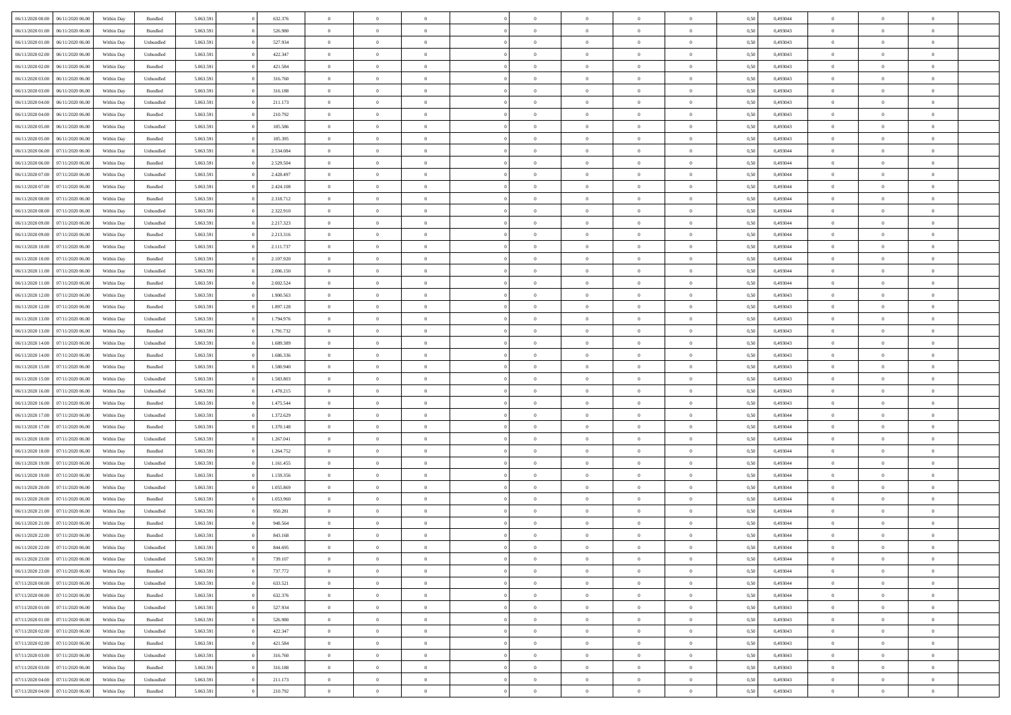| 06/11/2020 00:00 06/11/2020 06:00    | Within Day | Bundled   | 5.063.591 | 632.376   | $\overline{0}$ | $\overline{0}$ | $\Omega$       | $\Omega$       | $\theta$       | $\Omega$       | $\theta$       | 0,50 | 0,493044 | $\theta$       | $\theta$       | $\theta$       |  |
|--------------------------------------|------------|-----------|-----------|-----------|----------------|----------------|----------------|----------------|----------------|----------------|----------------|------|----------|----------------|----------------|----------------|--|
| 06/11/2020 01:00<br>06/11/2020 06.00 | Within Day | Bundled   | 5.063.591 | 526.980   | $\overline{0}$ | $\overline{0}$ | $\overline{0}$ | $\overline{0}$ | $\theta$       | $\overline{0}$ | $\bf{0}$       | 0,50 | 0,493043 | $\theta$       | $\theta$       | $\overline{0}$ |  |
| 06/11/2020 01:00<br>06/11/2020 06.00 | Within Day | Unbundled | 5.063.591 | 527.934   | $\overline{0}$ | $\bf{0}$       | $\overline{0}$ | $\overline{0}$ | $\overline{0}$ | $\overline{0}$ | $\bf{0}$       | 0,50 | 0,493043 | $\bf{0}$       | $\overline{0}$ | $\overline{0}$ |  |
| 06/11/2020 02:00<br>06/11/2020 06:00 | Within Day | Unbundled | 5.063.591 | 422.347   | $\overline{0}$ | $\overline{0}$ | $\overline{0}$ | $\overline{0}$ | $\theta$       | $\overline{0}$ | $\overline{0}$ | 0.50 | 0.493043 | $\theta$       | $\theta$       | $\overline{0}$ |  |
| 06/11/2020 02.00<br>06/11/2020 06.00 | Within Day | Bundled   | 5.063.591 | 421.584   | $\overline{0}$ | $\overline{0}$ | $\overline{0}$ | $\overline{0}$ | $\theta$       | $\overline{0}$ | $\bf{0}$       | 0,50 | 0,493043 | $\theta$       | $\theta$       | $\overline{0}$ |  |
| 06/11/2020 03:00<br>06/11/2020 06.00 | Within Day | Unbundled | 5.063.591 | 316.760   | $\overline{0}$ | $\bf{0}$       | $\overline{0}$ | $\overline{0}$ | $\overline{0}$ | $\overline{0}$ | $\bf{0}$       | 0,50 | 0,493043 | $\bf{0}$       | $\overline{0}$ | $\bf{0}$       |  |
| 06/11/2020 03:00<br>06/11/2020 06:00 | Within Day | Bundled   | 5.063.591 | 316.188   | $\overline{0}$ | $\overline{0}$ | $\overline{0}$ | $\overline{0}$ | $\overline{0}$ | $\overline{0}$ | $\overline{0}$ | 0.5( | 0,493043 | $\theta$       | $\theta$       | $\overline{0}$ |  |
| 06/11/2020 04:00<br>06/11/2020 06.00 | Within Day | Unbundled | 5.063.591 | 211.173   | $\bf{0}$       | $\theta$       | $\overline{0}$ | $\overline{0}$ | $\theta$       | $\overline{0}$ | $\bf{0}$       | 0,50 | 0,493043 | $\theta$       | $\theta$       | $\overline{0}$ |  |
|                                      |            |           |           |           |                |                |                |                |                |                |                |      |          |                |                |                |  |
| 06/11/2020 04:00<br>06/11/2020 06.00 | Within Day | Bundled   | 5.063.591 | 210.792   | $\overline{0}$ | $\bf{0}$       | $\overline{0}$ | $\overline{0}$ | $\overline{0}$ | $\overline{0}$ | $\bf{0}$       | 0,50 | 0,493043 | $\bf{0}$       | $\bf{0}$       | $\overline{0}$ |  |
| 06/11/2020 05:00<br>06/11/2020 06:00 | Within Day | Unbundled | 5.063.591 | 105.586   | $\overline{0}$ | $\overline{0}$ | $\overline{0}$ | $\overline{0}$ | $\overline{0}$ | $\overline{0}$ | $\bf{0}$       | 0.50 | 0,493043 | $\theta$       | $\theta$       | $\overline{0}$ |  |
| 06/11/2020 05:00<br>06/11/2020 06.00 | Within Day | Bundled   | 5.063.591 | 105.395   | $\bf{0}$       | $\overline{0}$ | $\overline{0}$ | $\overline{0}$ | $\theta$       | $\overline{0}$ | $\bf{0}$       | 0,50 | 0,493043 | $\theta$       | $\theta$       | $\overline{0}$ |  |
| 06/11/2020 06.00<br>07/11/2020 06.00 | Within Day | Unbundled | 5.063.591 | 2.534.084 | $\overline{0}$ | $\bf{0}$       | $\overline{0}$ | $\overline{0}$ | $\bf{0}$       | $\overline{0}$ | $\bf{0}$       | 0,50 | 0,493044 | $\bf{0}$       | $\overline{0}$ | $\overline{0}$ |  |
| 06/11/2020 06:00<br>07/11/2020 06:00 | Within Day | Bundled   | 5.063.591 | 2.529.504 | $\overline{0}$ | $\overline{0}$ | $\overline{0}$ | $\overline{0}$ | $\overline{0}$ | $\overline{0}$ | $\overline{0}$ | 0.5( | 0.493044 | $\theta$       | $\theta$       | $\overline{0}$ |  |
| 06/11/2020 07:00<br>07/11/2020 06.00 | Within Day | Unbundled | 5.063.591 | 2.428.497 | $\overline{0}$ | $\overline{0}$ | $\overline{0}$ | $\overline{0}$ | $\theta$       | $\overline{0}$ | $\,$ 0 $\,$    | 0,50 | 0,493044 | $\theta$       | $\theta$       | $\overline{0}$ |  |
| 06/11/2020 07:00<br>07/11/2020 06.00 | Within Day | Bundled   | 5.063.591 | 2.424.108 | $\overline{0}$ | $\bf{0}$       | $\overline{0}$ | $\overline{0}$ | $\bf{0}$       | $\overline{0}$ | $\bf{0}$       | 0,50 | 0,493044 | $\bf{0}$       | $\overline{0}$ | $\bf{0}$       |  |
| 06/11/2020 08:00<br>07/11/2020 06:00 | Within Day | Bundled   | 5.063.591 | 2.318.712 | $\overline{0}$ | $\overline{0}$ | $\overline{0}$ | $\overline{0}$ | $\overline{0}$ | $\overline{0}$ | $\overline{0}$ | 0.5( | 0,493044 | $\theta$       | $\theta$       | $\overline{0}$ |  |
| 06/11/2020 08:00<br>07/11/2020 06.00 | Within Day | Unbundled | 5.063.591 | 2.322.910 | $\bf{0}$       | $\overline{0}$ | $\overline{0}$ | $\overline{0}$ | $\theta$       | $\overline{0}$ | $\bf{0}$       | 0,50 | 0,493044 | $\theta$       | $\theta$       | $\overline{0}$ |  |
| 06/11/2020 09:00<br>07/11/2020 06.00 | Within Day | Unbundled | 5.063.591 | 2.217.323 | $\overline{0}$ | $\bf{0}$       | $\overline{0}$ | $\overline{0}$ | $\overline{0}$ | $\overline{0}$ | $\bf{0}$       | 0,50 | 0,493044 | $\bf{0}$       | $\overline{0}$ | $\overline{0}$ |  |
| 06/11/2020 09:00<br>07/11/2020 06:00 | Within Day | Bundled   | 5.063.591 | 2.213.316 | $\overline{0}$ | $\overline{0}$ | $\overline{0}$ | $\overline{0}$ | $\overline{0}$ | $\overline{0}$ | $\overline{0}$ | 0.50 | 0,493044 | $\theta$       | $\theta$       | $\overline{0}$ |  |
| 06/11/2020 10:00<br>07/11/2020 06.00 | Within Day | Unbundled | 5.063.591 | 2.111.737 | $\bf{0}$       | $\overline{0}$ | $\overline{0}$ | $\overline{0}$ | $\theta$       | $\overline{0}$ | $\bf{0}$       | 0,50 | 0,493044 | $\theta$       | $\theta$       | $\overline{0}$ |  |
| 06/11/2020 10:00<br>07/11/2020 06.00 | Within Day | Bundled   | 5.063.591 | 2.107.920 | $\overline{0}$ | $\bf{0}$       | $\overline{0}$ | $\overline{0}$ | $\overline{0}$ | $\overline{0}$ | $\bf{0}$       | 0,50 | 0,493044 | $\bf{0}$       | $\overline{0}$ | $\overline{0}$ |  |
| 06/11/2020 11:00<br>07/11/2020 06:00 | Within Day | Unbundled | 5.063.591 | 2.006.150 | $\overline{0}$ | $\overline{0}$ | $\overline{0}$ | $\overline{0}$ | $\overline{0}$ | $\overline{0}$ | $\overline{0}$ | 0.5( | 0.493044 | $\theta$       | $\theta$       | $\overline{0}$ |  |
| 06/11/2020 11:00<br>07/11/2020 06.00 | Within Day | Bundled   | 5.063.591 | 2.002.524 | $\bf{0}$       | $\overline{0}$ | $\overline{0}$ | $\overline{0}$ | $\theta$       | $\overline{0}$ | $\bf{0}$       | 0,50 | 0,493044 | $\theta$       | $\theta$       | $\overline{0}$ |  |
| 06/11/2020 12:00<br>07/11/2020 06.00 | Within Day | Unbundled | 5.063.591 | 1.900.563 | $\overline{0}$ | $\bf{0}$       | $\overline{0}$ | $\overline{0}$ | $\overline{0}$ | $\overline{0}$ | $\bf{0}$       | 0,50 | 0,493043 | $\bf{0}$       | $\overline{0}$ | $\bf{0}$       |  |
| 06/11/2020 12:00<br>07/11/2020 06:00 | Within Day | Bundled   | 5.063.591 | 1.897.128 | $\overline{0}$ | $\overline{0}$ | $\overline{0}$ | $\overline{0}$ | $\overline{0}$ | $\overline{0}$ | $\overline{0}$ | 0.5( | 0,493043 | $\theta$       | $\theta$       | $\overline{0}$ |  |
| 06/11/2020 13:00<br>07/11/2020 06.00 | Within Day | Unbundled | 5.063.591 | 1.794.976 | $\bf{0}$       | $\overline{0}$ | $\overline{0}$ | $\overline{0}$ | $\theta$       | $\overline{0}$ | $\bf{0}$       | 0,50 | 0,493043 | $\theta$       | $\theta$       | $\overline{0}$ |  |
| 06/11/2020 13:00<br>07/11/2020 06.00 | Within Day | Bundled   | 5.063.591 | 1.791.732 | $\overline{0}$ | $\bf{0}$       | $\overline{0}$ | $\overline{0}$ | $\overline{0}$ | $\overline{0}$ | $\bf{0}$       | 0,50 | 0,493043 | $\bf{0}$       | $\bf{0}$       | $\overline{0}$ |  |
| 06/11/2020 14:00                     | Within Day | Unbundled | 5.063.591 | 1.689.389 | $\overline{0}$ | $\overline{0}$ | $\overline{0}$ | $\overline{0}$ | $\overline{0}$ | $\overline{0}$ | $\overline{0}$ | 0.5( | 0,493043 | $\theta$       | $\theta$       | $\overline{0}$ |  |
| 07/11/2020 06.00                     |            |           |           |           |                |                |                |                |                |                |                |      |          |                |                |                |  |
| 06/11/2020 14:00<br>07/11/2020 06:00 | Within Day | Bundled   | 5.063.591 | 1.686.336 | $\bf{0}$       | $\overline{0}$ | $\overline{0}$ | $\overline{0}$ | $\theta$       | $\overline{0}$ | $\bf{0}$       | 0,50 | 0,493043 | $\,$ 0 $\,$    | $\theta$       | $\overline{0}$ |  |
| 06/11/2020 15:00<br>07/11/2020 06.00 | Within Day | Bundled   | 5.063.591 | 1.580.940 | $\overline{0}$ | $\bf{0}$       | $\overline{0}$ | $\overline{0}$ | $\bf{0}$       | $\overline{0}$ | $\bf{0}$       | 0,50 | 0,493043 | $\bf{0}$       | $\overline{0}$ | $\overline{0}$ |  |
| 06/11/2020 15:00<br>07/11/2020 06.00 | Within Day | Unbundled | 5.063.591 | 1.583.803 | $\overline{0}$ | $\overline{0}$ | $\Omega$       | $\Omega$       | $\Omega$       | $\theta$       | $\overline{0}$ | 0,50 | 0,493043 | $\,$ 0 $\,$    | $\overline{0}$ | $\theta$       |  |
| 06/11/2020 16:00<br>07/11/2020 06.00 | Within Day | Unbundled | 5.063.591 | 1.478.215 | $\bf{0}$       | $\overline{0}$ | $\overline{0}$ | $\overline{0}$ | $\theta$       | $\overline{0}$ | $\bf{0}$       | 0,50 | 0,493043 | $\theta$       | $\theta$       | $\overline{0}$ |  |
| 06/11/2020 16.00<br>07/11/2020 06.00 | Within Day | Bundled   | 5.063.591 | 1.475.544 | $\overline{0}$ | $\bf{0}$       | $\overline{0}$ | $\overline{0}$ | $\bf{0}$       | $\overline{0}$ | $\bf{0}$       | 0,50 | 0,493043 | $\bf{0}$       | $\overline{0}$ | $\bf{0}$       |  |
| 06/11/2020 17.00<br>07/11/2020 06.00 | Within Day | Unbundled | 5.063.591 | 1.372.629 | $\overline{0}$ | $\overline{0}$ | $\Omega$       | $\Omega$       | $\overline{0}$ | $\Omega$       | $\overline{0}$ | 0.50 | 0,493044 | $\overline{0}$ | $\theta$       | $\theta$       |  |
| 06/11/2020 17.00<br>07/11/2020 06.00 | Within Day | Bundled   | 5.063.591 | 1.370.148 | $\bf{0}$       | $\overline{0}$ | $\overline{0}$ | $\overline{0}$ | $\theta$       | $\overline{0}$ | $\bf{0}$       | 0,50 | 0,493044 | $\theta$       | $\theta$       | $\overline{0}$ |  |
| 06/11/2020 18:00<br>07/11/2020 06.00 | Within Day | Unbundled | 5.063.591 | 1.267.041 | $\overline{0}$ | $\bf{0}$       | $\overline{0}$ | $\overline{0}$ | $\overline{0}$ | $\bf{0}$       | $\bf{0}$       | 0,50 | 0,493044 | $\bf{0}$       | $\overline{0}$ | $\overline{0}$ |  |
| 06/11/2020 18:00<br>07/11/2020 06.00 | Within Day | Bundled   | 5.063.591 | 1.264.752 | $\overline{0}$ | $\overline{0}$ | $\Omega$       | $\Omega$       | $\Omega$       | $\Omega$       | $\overline{0}$ | 0.50 | 0,493044 | $\theta$       | $\Omega$       | $\theta$       |  |
| 06/11/2020 19:00<br>07/11/2020 06.00 | Within Day | Unbundled | 5.063.591 | 1.161.455 | $\bf{0}$       | $\overline{0}$ | $\overline{0}$ | $\overline{0}$ | $\theta$       | $\overline{0}$ | $\bf{0}$       | 0,50 | 0,493044 | $\,$ 0 $\,$    | $\theta$       | $\overline{0}$ |  |
| 06/11/2020 19:00<br>07/11/2020 06.00 | Within Day | Bundled   | 5.063.591 | 1.159.356 | $\overline{0}$ | $\bf{0}$       | $\overline{0}$ | $\overline{0}$ | $\overline{0}$ | $\overline{0}$ | $\bf{0}$       | 0,50 | 0,493044 | $\bf{0}$       | $\overline{0}$ | $\overline{0}$ |  |
| 06/11/2020 20.00<br>07/11/2020 06.00 | Within Day | Unbundled | 5.063.591 | 1.055.869 | $\overline{0}$ | $\overline{0}$ | $\Omega$       | $\Omega$       | $\theta$       | $\theta$       | $\overline{0}$ | 0.50 | 0,493044 | $\,$ 0 $\,$    | $\overline{0}$ | $\theta$       |  |
| 06/11/2020 20.00<br>07/11/2020 06.00 | Within Day | Bundled   | 5.063.59  | 1.053.960 | $\bf{0}$       | $\overline{0}$ | $\overline{0}$ | $\overline{0}$ | $\theta$       | $\overline{0}$ | $\bf{0}$       | 0,50 | 0,493044 | $\theta$       | $\theta$       | $\overline{0}$ |  |
| 06/11/2020 21:00<br>07/11/2020 06.00 | Within Day | Unbundled | 5.063.591 | 950.281   | $\overline{0}$ | $\bf{0}$       | $\overline{0}$ | $\overline{0}$ | $\bf{0}$       | $\overline{0}$ | $\bf{0}$       | 0,50 | 0,493044 | $\overline{0}$ | $\overline{0}$ | $\bf{0}$       |  |
| 06/11/2020 21:00<br>07/11/2020 06.00 | Within Day | Bundled   | 5.063.591 | 948,564   | $\overline{0}$ | $\Omega$       | $\Omega$       | $\Omega$       | $\Omega$       | $\theta$       | $\overline{0}$ | 0.50 | 0.493044 | $\theta$       | $\overline{0}$ | $\theta$       |  |
| 06/11/2020 22.00<br>07/11/2020 06:00 | Within Day | Bundled   | 5.063.591 | 843.168   | $\bf{0}$       | $\bf{0}$       | $\overline{0}$ | $\overline{0}$ | $\bf{0}$       | $\bf{0}$       | $\bf{0}$       | 0,50 | 0,493044 | $\bf{0}$       | $\bf{0}$       | $\overline{0}$ |  |
| 06/11/2020 22.00 07/11/2020 06.00    | Within Day | Unbundled | 5.063.591 | 844.695   |                | $\bf{0}$       |                |                |                |                |                | 0,50 | 0,493044 | $\bf{0}$       | $\bf{0}$       |                |  |
| 06/11/2020 23.00 07/11/2020 06.00    | Within Day | Unbundled | 5.063.591 | 739.107   | $\Omega$       | $\overline{0}$ | $\Omega$       | $\theta$       | $\overline{0}$ | $\theta$       | $\overline{0}$ | 0.50 | 0.493044 | $\theta$       | $\theta$       | $\theta$       |  |
| 06/11/2020 23.00 07/11/2020 06.00    | Within Day | Bundled   | 5.063.591 | 737.772   | $\overline{0}$ | $\overline{0}$ | $\overline{0}$ | $\overline{0}$ | $\,$ 0 $\,$    | $\overline{0}$ | $\,$ 0 $\,$    | 0,50 | 0,493044 | $\,$ 0 $\,$    | $\,$ 0 $\,$    | $\,$ 0         |  |
| 07/11/2020 00:00 07/11/2020 06:00    | Within Day | Unbundled | 5.063.591 | 633.521   | $\overline{0}$ | $\overline{0}$ | $\overline{0}$ | $\overline{0}$ | $\overline{0}$ | $\overline{0}$ | $\bf{0}$       | 0,50 | 0,493044 | $\overline{0}$ | $\bf{0}$       | $\overline{0}$ |  |
| 07/11/2020 00:00<br>07/11/2020 06.00 | Within Day | Bundled   | 5.063.591 | 632.376   | $\overline{0}$ | $\bf{0}$       | $\overline{0}$ | $\overline{0}$ | $\overline{0}$ | $\overline{0}$ | $\bf{0}$       | 0,50 | 0,493044 | $\bf{0}$       | $\theta$       | $\overline{0}$ |  |
| 07/11/2020 01:00 07/11/2020 06:00    | Within Day | Unbundled | 5.063.591 | 527.934   | $\overline{0}$ | $\overline{0}$ | $\overline{0}$ | $\overline{0}$ | $\overline{0}$ | $\overline{0}$ | $\bf{0}$       | 0,50 | 0,493043 | $\,$ 0 $\,$    | $\,$ 0 $\,$    | $\overline{0}$ |  |
| 07/11/2020 01:00 07/11/2020 06:00    | Within Day | Bundled   | 5.063.591 | 526.980   | $\overline{0}$ | $\overline{0}$ | $\overline{0}$ | $\overline{0}$ | $\mathbf{0}$   | $\overline{0}$ | $\mathbf{0}$   | 0,50 | 0,493043 | $\overline{0}$ | $\overline{0}$ | $\overline{0}$ |  |
|                                      |            | Unbundled | 5.063.591 |           | $\overline{0}$ | $\bf{0}$       | $\overline{0}$ | $\overline{0}$ | $\overline{0}$ | $\overline{0}$ |                | 0.50 |          | $\overline{0}$ | $\theta$       | $\overline{0}$ |  |
| 07/11/2020 02.00<br>07/11/2020 06.00 | Within Day |           |           | 422.347   |                |                |                |                |                |                | $\bf{0}$       |      | 0,493043 |                |                |                |  |
| 07/11/2020 02.00<br>07/11/2020 06:00 | Within Day | Bundled   | 5.063.591 | 421.584   | $\overline{0}$ | $\overline{0}$ | $\overline{0}$ | $\overline{0}$ | $\overline{0}$ | $\bf{0}$       | $\bf{0}$       | 0,50 | 0,493043 | $\,$ 0 $\,$    | $\,$ 0 $\,$    | $\overline{0}$ |  |
| 07/11/2020 06:00<br>07/11/2020 03:00 | Within Day | Unbundled | 5.063.591 | 316.760   | $\overline{0}$ | $\bf{0}$       | $\overline{0}$ | $\overline{0}$ | $\overline{0}$ | $\overline{0}$ | $\bf{0}$       | 0,50 | 0,493043 | $\bf{0}$       | $\overline{0}$ | $\bf{0}$       |  |
| 07/11/2020 03:00<br>07/11/2020 06.00 | Within Day | Bundled   | 5.063.591 | 316.188   | $\overline{0}$ | $\overline{0}$ | $\overline{0}$ | $\overline{0}$ | $\overline{0}$ | $\overline{0}$ | $\bf{0}$       | 0.50 | 0,493043 | $\overline{0}$ | $\overline{0}$ | $\overline{0}$ |  |
| 07/11/2020 04:00<br>07/11/2020 06:00 | Within Day | Unbundled | 5.063.591 | 211.173   | $\overline{0}$ | $\,$ 0         | $\overline{0}$ | $\overline{0}$ | $\overline{0}$ | $\bf{0}$       | $\bf{0}$       | 0,50 | 0,493043 | $\,$ 0 $\,$    | $\,$ 0 $\,$    | $\bf{0}$       |  |
| 07/11/2020 04:00 07/11/2020 06:00    | Within Day | Bundled   | 5.063.591 | 210.792   | $\overline{0}$ | $\bf{0}$       | $\overline{0}$ | $\overline{0}$ | $\overline{0}$ | $\overline{0}$ | $\bf{0}$       | 0,50 | 0,493043 | $\bf{0}$       | $\overline{0}$ | $\bf{0}$       |  |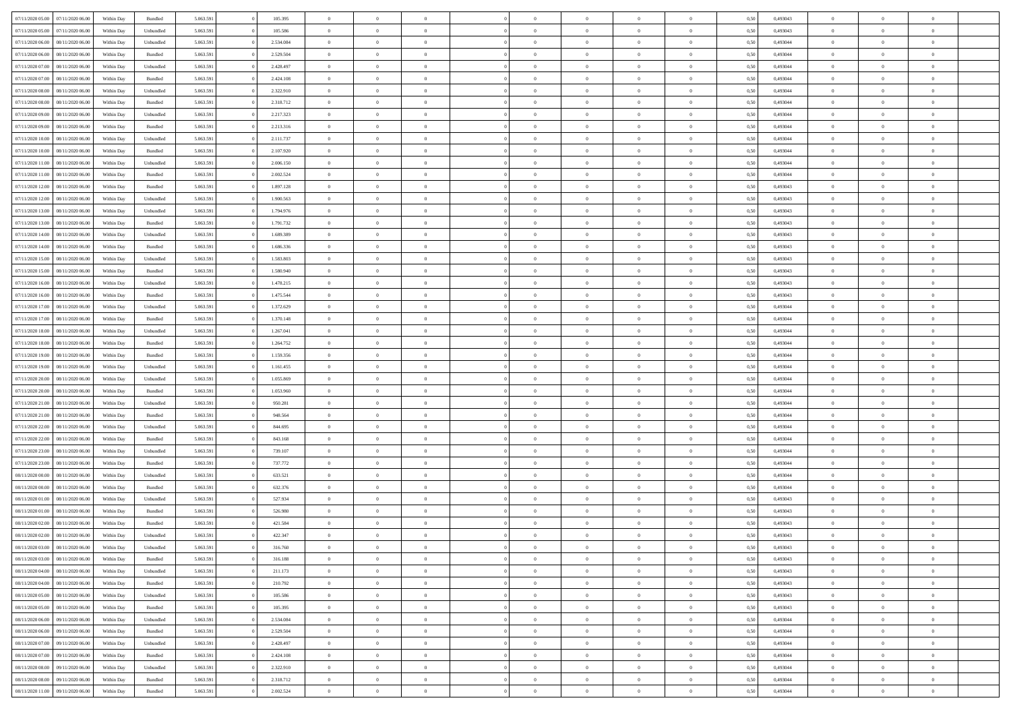| 07/11/2020 05:00 | 07/11/2020 06.00 | Within Dav | Bundled   | 5.063.591 | 105.395   | $\overline{0}$ | $\Omega$       |                | $\Omega$       | $\Omega$       | $\Omega$       | $\theta$       | 0.50 | 0,493043 | $\theta$       | $\theta$       | $\theta$       |  |
|------------------|------------------|------------|-----------|-----------|-----------|----------------|----------------|----------------|----------------|----------------|----------------|----------------|------|----------|----------------|----------------|----------------|--|
|                  |                  |            |           |           |           |                |                |                |                |                |                |                |      |          |                |                |                |  |
| 07/11/2020 05.00 | 07/11/2020 06.00 | Within Day | Unbundled | 5.063.591 | 105.586   | $\overline{0}$ | $\theta$       | $\overline{0}$ | $\overline{0}$ | $\bf{0}$       | $\overline{0}$ | $\overline{0}$ | 0,50 | 0,493043 | $\theta$       | $\theta$       | $\overline{0}$ |  |
| 07/11/2020 06.00 | 08/11/2020 06.00 | Within Day | Unbundled | 5.063.591 | 2.534.084 | $\overline{0}$ | $\overline{0}$ | $\overline{0}$ | $\bf{0}$       | $\bf{0}$       | $\bf{0}$       | $\bf{0}$       | 0,50 | 0,493044 | $\bf{0}$       | $\overline{0}$ | $\overline{0}$ |  |
| 07/11/2020 06.00 | 08/11/2020 06:00 | Within Dav | Bundled   | 5.063.591 | 2.529.504 | $\overline{0}$ | $\overline{0}$ | $\overline{0}$ | $\overline{0}$ | $\bf{0}$       | $\overline{0}$ | $\overline{0}$ | 0.50 | 0.493044 | $\theta$       | $\theta$       | $\overline{0}$ |  |
| 07/11/2020 07.00 | 08/11/2020 06.00 | Within Day | Unbundled | 5.063.591 | 2.428.497 | $\overline{0}$ | $\theta$       | $\overline{0}$ | $\overline{0}$ | $\bf{0}$       | $\overline{0}$ | $\bf{0}$       | 0,50 | 0,493044 | $\theta$       | $\theta$       | $\overline{0}$ |  |
| 07/11/2020 07.00 | 08/11/2020 06.00 | Within Day | Bundled   | 5.063.591 | 2.424.108 | $\overline{0}$ | $\bf{0}$       | $\overline{0}$ | $\bf{0}$       | $\overline{0}$ | $\overline{0}$ | $\mathbf{0}$   | 0,50 | 0,493044 | $\bf{0}$       | $\overline{0}$ | $\bf{0}$       |  |
|                  |                  |            |           |           |           |                |                |                |                |                |                |                |      |          |                |                |                |  |
| 07/11/2020 08:00 | 08/11/2020 06:00 | Within Dav | Unbundled | 5.063.591 | 2.322.910 | $\overline{0}$ | $\overline{0}$ | $\overline{0}$ | $\overline{0}$ | $\overline{0}$ | $\overline{0}$ | $\overline{0}$ | 0.50 | 0,493044 | $\theta$       | $\overline{0}$ | $\overline{0}$ |  |
| 07/11/2020 08:00 | 08/11/2020 06.00 | Within Day | Bundled   | 5.063.591 | 2.318.712 | $\overline{0}$ | $\theta$       | $\overline{0}$ | $\overline{0}$ | $\bf{0}$       | $\overline{0}$ | $\bf{0}$       | 0,50 | 0,493044 | $\theta$       | $\theta$       | $\overline{0}$ |  |
| 07/11/2020 09:00 | 08/11/2020 06.00 | Within Day | Unbundled | 5.063.591 | 2.217.323 | $\overline{0}$ | $\overline{0}$ | $\overline{0}$ | $\bf{0}$       | $\bf{0}$       | $\bf{0}$       | $\bf{0}$       | 0,50 | 0,493044 | $\,0\,$        | $\overline{0}$ | $\overline{0}$ |  |
| 07/11/2020 09:00 | 08/11/2020 06.00 | Within Dav | Bundled   | 5.063.591 | 2.213.316 | $\overline{0}$ | $\overline{0}$ | $\overline{0}$ | $\overline{0}$ | $\overline{0}$ | $\overline{0}$ | $\overline{0}$ | 0.50 | 0,493044 | $\theta$       | $\overline{0}$ | $\overline{0}$ |  |
| 07/11/2020 10:00 | 08/11/2020 06.00 | Within Day | Unbundled | 5.063.591 | 2.111.737 | $\overline{0}$ | $\theta$       | $\overline{0}$ | $\overline{0}$ | $\bf{0}$       | $\overline{0}$ | $\bf{0}$       | 0,50 | 0,493044 | $\theta$       | $\theta$       | $\overline{0}$ |  |
| 07/11/2020 10.00 | 08/11/2020 06.00 | Within Day | Bundled   | 5.063.591 | 2.107.920 | $\overline{0}$ | $\overline{0}$ | $\overline{0}$ | $\bf{0}$       | $\bf{0}$       | $\bf{0}$       | $\bf{0}$       | 0,50 | 0,493044 | $\overline{0}$ | $\overline{0}$ | $\overline{0}$ |  |
| 07/11/2020 11:00 | 08/11/2020 06:00 | Within Day | Unbundled | 5.063.591 | 2.006.150 | $\overline{0}$ | $\overline{0}$ | $\overline{0}$ | $\overline{0}$ | $\bf{0}$       | $\overline{0}$ | $\overline{0}$ | 0.50 | 0,493044 | $\theta$       | $\theta$       | $\overline{0}$ |  |
|                  |                  |            |           |           |           |                |                |                |                |                |                |                |      |          |                |                |                |  |
| 07/11/2020 11:00 | 08/11/2020 06.00 | Within Day | Bundled   | 5.063.591 | 2.002.524 | $\overline{0}$ | $\theta$       | $\overline{0}$ | $\overline{0}$ | $\bf{0}$       | $\overline{0}$ | $\overline{0}$ | 0,50 | 0,493044 | $\theta$       | $\theta$       | $\overline{0}$ |  |
| 07/11/2020 12.00 | 08/11/2020 06.00 | Within Day | Bundled   | 5.063.591 | 1.897.128 | $\overline{0}$ | $\bf{0}$       | $\overline{0}$ | $\bf{0}$       | $\overline{0}$ | $\overline{0}$ | $\mathbf{0}$   | 0,50 | 0,493043 | $\overline{0}$ | $\overline{0}$ | $\bf{0}$       |  |
| 07/11/2020 12:00 | 08/11/2020 06:00 | Within Dav | Unbundled | 5.063.591 | 1.900.563 | $\overline{0}$ | $\overline{0}$ | $\overline{0}$ | $\overline{0}$ | $\overline{0}$ | $\overline{0}$ | $\overline{0}$ | 0.50 | 0,493043 | $\theta$       | $\overline{0}$ | $\overline{0}$ |  |
| 07/11/2020 13:00 | 08/11/2020 06.00 | Within Day | Unbundled | 5.063.591 | 1.794.976 | $\overline{0}$ | $\theta$       | $\overline{0}$ | $\overline{0}$ | $\bf{0}$       | $\overline{0}$ | $\bf{0}$       | 0,50 | 0,493043 | $\theta$       | $\theta$       | $\overline{0}$ |  |
| 07/11/2020 13:00 | 08/11/2020 06.00 | Within Day | Bundled   | 5.063.591 | 1.791.732 | $\overline{0}$ | $\overline{0}$ | $\overline{0}$ | $\bf{0}$       | $\bf{0}$       | $\bf{0}$       | $\bf{0}$       | 0,50 | 0,493043 | $\bf{0}$       | $\overline{0}$ | $\overline{0}$ |  |
| 07/11/2020 14:00 | 08/11/2020 06:00 | Within Day | Unbundled | 5.063.591 | 1.689.389 | $\overline{0}$ | $\overline{0}$ | $\overline{0}$ | $\overline{0}$ | $\overline{0}$ | $\overline{0}$ | $\overline{0}$ | 0.50 | 0,493043 | $\theta$       | $\overline{0}$ | $\overline{0}$ |  |
|                  |                  |            |           |           |           |                |                |                |                |                |                |                |      |          |                |                |                |  |
| 07/11/2020 14:00 | 08/11/2020 06.00 | Within Day | Bundled   | 5.063.591 | 1.686.336 | $\overline{0}$ | $\theta$       | $\overline{0}$ | $\overline{0}$ | $\bf{0}$       | $\overline{0}$ | $\bf{0}$       | 0,50 | 0,493043 | $\theta$       | $\theta$       | $\overline{0}$ |  |
| 07/11/2020 15.00 | 08/11/2020 06.00 | Within Day | Unbundled | 5.063.591 | 1.583.803 | $\overline{0}$ | $\overline{0}$ | $\overline{0}$ | $\bf{0}$       | $\bf{0}$       | $\bf{0}$       | $\bf{0}$       | 0,50 | 0,493043 | $\,0\,$        | $\overline{0}$ | $\overline{0}$ |  |
| 07/11/2020 15:00 | 08/11/2020 06:00 | Within Day | Bundled   | 5.063.591 | 1.580.940 | $\overline{0}$ | $\overline{0}$ | $\overline{0}$ | $\overline{0}$ | $\bf{0}$       | $\overline{0}$ | $\overline{0}$ | 0.50 | 0.493043 | $\theta$       | $\theta$       | $\overline{0}$ |  |
| 07/11/2020 16.00 | 08/11/2020 06.00 | Within Day | Unbundled | 5.063.591 | 1.478.215 | $\overline{0}$ | $\theta$       | $\overline{0}$ | $\overline{0}$ | $\bf{0}$       | $\overline{0}$ | $\bf{0}$       | 0,50 | 0,493043 | $\theta$       | $\overline{0}$ | $\overline{0}$ |  |
| 07/11/2020 16.00 | 08/11/2020 06.00 | Within Day | Bundled   | 5.063.591 | 1.475.544 | $\overline{0}$ | $\bf{0}$       | $\overline{0}$ | $\bf{0}$       | $\overline{0}$ | $\overline{0}$ | $\mathbf{0}$   | 0,50 | 0,493043 | $\overline{0}$ | $\overline{0}$ | $\bf{0}$       |  |
| 07/11/2020 17.00 | 08/11/2020 06:00 | Within Dav | Unbundled | 5.063.591 | 1.372.629 | $\overline{0}$ | $\overline{0}$ | $\overline{0}$ | $\overline{0}$ | $\overline{0}$ | $\overline{0}$ | $\overline{0}$ | 0.50 | 0,493044 | $\theta$       | $\overline{0}$ | $\overline{0}$ |  |
|                  |                  |            |           |           |           |                |                |                |                |                |                |                |      |          |                |                |                |  |
| 07/11/2020 17.00 | 08/11/2020 06.00 | Within Day | Bundled   | 5.063.591 | 1.370.148 | $\overline{0}$ | $\theta$       | $\overline{0}$ | $\overline{0}$ | $\bf{0}$       | $\overline{0}$ | $\bf{0}$       | 0,50 | 0,493044 | $\theta$       | $\theta$       | $\overline{0}$ |  |
| 07/11/2020 18.00 | 08/11/2020 06.00 | Within Day | Unbundled | 5.063.591 | 1.267.041 | $\overline{0}$ | $\overline{0}$ | $\overline{0}$ | $\overline{0}$ | $\bf{0}$       | $\overline{0}$ | $\bf{0}$       | 0,50 | 0,493044 | $\,0\,$        | $\overline{0}$ | $\overline{0}$ |  |
| 07/11/2020 18.00 | 08/11/2020 06:00 | Within Day | Bundled   | 5.063.591 | 1.264.752 | $\overline{0}$ | $\overline{0}$ | $\overline{0}$ | $\overline{0}$ | $\overline{0}$ | $\overline{0}$ | $\overline{0}$ | 0.50 | 0,493044 | $\theta$       | $\overline{0}$ | $\overline{0}$ |  |
| 07/11/2020 19:00 | 08/11/2020 06.00 | Within Day | Bundled   | 5.063.591 | 1.159.356 | $\overline{0}$ | $\theta$       | $\overline{0}$ | $\overline{0}$ | $\bf{0}$       | $\overline{0}$ | $\bf{0}$       | 0,50 | 0,493044 | $\,$ 0 $\,$    | $\theta$       | $\overline{0}$ |  |
| 07/11/2020 19.00 | 08/11/2020 06.00 | Within Day | Unbundled | 5.063.591 | 1.161.455 | $\overline{0}$ | $\overline{0}$ | $\overline{0}$ | $\overline{0}$ | $\bf{0}$       | $\overline{0}$ | $\bf{0}$       | 0,50 | 0,493044 | $\bf{0}$       | $\overline{0}$ | $\overline{0}$ |  |
| 07/11/2020 20:00 | 08/11/2020 06.00 | Within Day | Unbundled | 5.063.591 | 1.055.869 | $\overline{0}$ | $\Omega$       | $\Omega$       | $\Omega$       | $\Omega$       | $\Omega$       | $\overline{0}$ | 0,50 | 0,493044 | $\,0\,$        | $\theta$       | $\theta$       |  |
| 07/11/2020 20.00 | 08/11/2020 06.00 | Within Day | Bundled   | 5.063.591 | 1.053.960 | $\overline{0}$ | $\theta$       | $\overline{0}$ | $\overline{0}$ | $\bf{0}$       | $\overline{0}$ | $\bf{0}$       | 0,50 | 0,493044 | $\theta$       | $\theta$       | $\overline{0}$ |  |
|                  |                  |            |           |           |           |                |                |                |                |                |                |                |      |          |                |                |                |  |
| 07/11/2020 21.00 | 08/11/2020 06.00 | Within Day | Unbundled | 5.063.591 | 950.281   | $\overline{0}$ | $\overline{0}$ | $\overline{0}$ | $\overline{0}$ | $\bf{0}$       | $\overline{0}$ | $\mathbf{0}$   | 0,50 | 0,493044 | $\bf{0}$       | $\overline{0}$ | $\bf{0}$       |  |
| 07/11/2020 21:00 | 08/11/2020 06.00 | Within Day | Bundled   | 5.063.591 | 948,564   | $\overline{0}$ | $\Omega$       | $\Omega$       | $\Omega$       | $\bf{0}$       | $\overline{0}$ | $\overline{0}$ | 0.50 | 0,493044 | $\theta$       | $\theta$       | $\theta$       |  |
| 07/11/2020 22.00 | 08/11/2020 06.00 | Within Day | Unbundled | 5.063.591 | 844.695   | $\overline{0}$ | $\theta$       | $\overline{0}$ | $\overline{0}$ | $\bf{0}$       | $\overline{0}$ | $\bf{0}$       | 0,50 | 0,493044 | $\,$ 0 $\,$    | $\theta$       | $\overline{0}$ |  |
| 07/11/2020 22.00 | 08/11/2020 06.00 | Within Day | Bundled   | 5.063.591 | 843.168   | $\overline{0}$ | $\overline{0}$ | $\overline{0}$ | $\bf{0}$       | $\bf{0}$       | $\bf{0}$       | $\bf{0}$       | 0,50 | 0,493044 | $\bf{0}$       | $\overline{0}$ | $\overline{0}$ |  |
| 07/11/2020 23:00 | 08/11/2020 06:00 | Within Day | Unbundled | 5.063.591 | 739.107   | $\overline{0}$ | $\Omega$       | $\Omega$       | $\Omega$       | $\theta$       | $\theta$       | $\overline{0}$ | 0.50 | 0,493044 | $\theta$       | $\theta$       | $\theta$       |  |
| 07/11/2020 23.00 | 08/11/2020 06.00 | Within Day | Bundled   | 5.063.591 | 737.772   | $\overline{0}$ | $\theta$       | $\overline{0}$ | $\overline{0}$ | $\bf{0}$       | $\overline{0}$ | $\bf{0}$       | 0,50 | 0,493044 | $\,$ 0 $\,$    | $\overline{0}$ | $\overline{0}$ |  |
| 08/11/2020 00.00 | 08/11/2020 06.00 | Within Day | Unbundled | 5.063.591 | 633.521   | $\overline{0}$ | $\overline{0}$ | $\overline{0}$ | $\bf{0}$       | $\bf{0}$       | $\bf{0}$       | $\bf{0}$       | 0,50 | 0,493044 | $\bf{0}$       | $\overline{0}$ | $\overline{0}$ |  |
|                  |                  |            |           |           |           |                |                |                |                |                |                |                |      |          |                |                |                |  |
| 08/11/2020 00:00 | 08/11/2020 06.00 | Within Day | Bundled   | 5.063.591 | 632.376   | $\overline{0}$ | $\Omega$       | $\Omega$       | $\Omega$       | $\Omega$       | $\overline{0}$ | $\overline{0}$ | 0,50 | 0,493044 | $\,0\,$        | $\theta$       | $\theta$       |  |
| 08/11/2020 01:00 | 08/11/2020 06.00 | Within Day | Unbundled | 5.063.591 | 527.934   | $\overline{0}$ | $\theta$       | $\overline{0}$ | $\overline{0}$ | $\bf{0}$       | $\overline{0}$ | $\bf{0}$       | 0,50 | 0,493043 | $\,$ 0 $\,$    | $\overline{0}$ | $\overline{0}$ |  |
| 08/11/2020 01.00 | 08/11/2020 06.00 | Within Day | Bundled   | 5.063.591 | 526.980   | $\overline{0}$ | $\overline{0}$ | $\overline{0}$ | $\bf{0}$       | $\bf{0}$       | $\bf{0}$       | $\mathbf{0}$   | 0,50 | 0,493043 | $\bf{0}$       | $\overline{0}$ | $\bf{0}$       |  |
| 08/11/2020 02.00 | 08/11/2020 06.00 | Within Day | Bundled   | 5.063.591 | 421.584   | $\overline{0}$ | $\Omega$       | $\Omega$       | $\Omega$       | $\Omega$       | $\Omega$       | $\overline{0}$ | 0.50 | 0,493043 | $\theta$       | $\theta$       | $\theta$       |  |
| 08/11/2020 02.00 | 08/11/2020 06.00 | Within Day | Unbundled | 5.063.591 | 422.347   | $\overline{0}$ | $\,$ 0 $\,$    | $\overline{0}$ | $\bf{0}$       | $\,$ 0         | $\bf{0}$       | $\bf{0}$       | 0,50 | 0,493043 | $\,0\,$        | $\,$ 0 $\,$    | $\overline{0}$ |  |
| 08/11/2020 03:00 | 08/11/2020 06.00 | Within Day | Unbundled | 5.063.591 | 316.760   | $\bf{0}$       | $\bf{0}$       |                |                | $\bf{0}$       |                |                | 0,50 | 0,493043 | $\bf{0}$       | $\overline{0}$ |                |  |
| 08/11/2020 03:00 | 08/11/2020 06:00 | Within Day | Bundled   | 5.063.591 | 316,188   | $\overline{0}$ | $\overline{0}$ | $\overline{0}$ | $\Omega$       | $\overline{0}$ | $\overline{0}$ | $\overline{0}$ | 0.50 | 0,493043 | $\theta$       | $\theta$       | $\theta$       |  |
|                  |                  |            |           |           |           |                |                |                |                |                |                |                |      |          |                |                |                |  |
| 08/11/2020 04:00 | 08/11/2020 06.00 | Within Day | Unbundled | 5.063.591 | 211.173   | $\overline{0}$ | $\,$ 0         | $\overline{0}$ | $\bf{0}$       | $\,$ 0 $\,$    | $\overline{0}$ | $\mathbf{0}$   | 0,50 | 0,493043 | $\,$ 0 $\,$    | $\,$ 0 $\,$    | $\,$ 0         |  |
| 08/11/2020 04:00 | 08/11/2020 06.00 | Within Day | Bundled   | 5.063.591 | 210.792   | $\overline{0}$ | $\overline{0}$ | $\overline{0}$ | $\overline{0}$ | $\overline{0}$ | $\overline{0}$ | $\mathbf{0}$   | 0,50 | 0,493043 | $\overline{0}$ | $\bf{0}$       | $\bf{0}$       |  |
| 08/11/2020 05:00 | 08/11/2020 06.00 | Within Day | Unbundled | 5.063.591 | 105.586   | $\overline{0}$ | $\overline{0}$ | $\overline{0}$ | $\Omega$       | $\overline{0}$ | $\overline{0}$ | $\overline{0}$ | 0,50 | 0,493043 | $\overline{0}$ | $\theta$       | $\overline{0}$ |  |
| 08/11/2020 05.00 | 08/11/2020 06.00 | Within Day | Bundled   | 5.063.591 | 105.395   | $\overline{0}$ | $\,$ 0         | $\overline{0}$ | $\overline{0}$ | $\,$ 0 $\,$    | $\overline{0}$ | $\mathbf{0}$   | 0,50 | 0,493043 | $\,$ 0 $\,$    | $\overline{0}$ | $\overline{0}$ |  |
| 08/11/2020 06.00 | 09/11/2020 06.00 | Within Day | Unbundled | 5.063.591 | 2.534.084 | $\overline{0}$ | $\overline{0}$ | $\overline{0}$ | $\overline{0}$ | $\overline{0}$ | $\overline{0}$ | $\mathbf{0}$   | 0,50 | 0,493044 | $\overline{0}$ | $\overline{0}$ | $\bf{0}$       |  |
| 08/11/2020 06.00 | 09/11/2020 06.00 | Within Day | Bundled   | 5.063.591 | 2.529.504 | $\overline{0}$ | $\overline{0}$ | $\overline{0}$ | $\Omega$       | $\overline{0}$ | $\overline{0}$ | $\bf{0}$       | 0.50 | 0,493044 | $\overline{0}$ | $\theta$       | $\overline{0}$ |  |
|                  |                  |            |           |           |           |                | $\,$ 0         |                |                |                |                |                |      |          | $\,$ 0 $\,$    |                |                |  |
| 08/11/2020 07:00 | 09/11/2020 06.00 | Within Day | Unbundled | 5.063.591 | 2.428.497 | $\overline{0}$ |                | $\overline{0}$ | $\bf{0}$       | $\bf{0}$       | $\bf{0}$       | $\bf{0}$       | 0,50 | 0,493044 |                | $\overline{0}$ | $\overline{0}$ |  |
| 08/11/2020 07.00 | 09/11/2020 06.00 | Within Day | Bundled   | 5.063.591 | 2.424.108 | $\overline{0}$ | $\bf{0}$       | $\overline{0}$ | $\overline{0}$ | $\overline{0}$ | $\overline{0}$ | $\mathbf{0}$   | 0,50 | 0,493044 | $\overline{0}$ | $\overline{0}$ | $\bf{0}$       |  |
| 08/11/2020 08:00 | 09/11/2020 06.00 | Within Day | Unbundled | 5.063.591 | 2.322.910 | $\overline{0}$ | $\overline{0}$ | $\overline{0}$ | $\Omega$       | $\overline{0}$ | $\overline{0}$ | $\overline{0}$ | 0.50 | 0,493044 | $\overline{0}$ | $\theta$       | $\overline{0}$ |  |
| 08/11/2020 08:00 | 09/11/2020 06.00 | Within Day | Bundled   | 5.063.591 | 2.318.712 | $\overline{0}$ | $\bf{0}$       | $\overline{0}$ | $\overline{0}$ | $\bf{0}$       | $\bf{0}$       | $\mathbf{0}$   | 0,50 | 0,493044 | $\,$ 0 $\,$    | $\,$ 0 $\,$    | $\bf{0}$       |  |
| 08/11/2020 11:00 | 09/11/2020 06.00 | Within Day | Bundled   | 5.063.591 | 2.002.524 | $\overline{0}$ | $\bf{0}$       | $\overline{0}$ | $\bf{0}$       | $\bf{0}$       | $\bf{0}$       | $\bf{0}$       | 0,50 | 0,493044 | $\overline{0}$ | $\overline{0}$ | $\bf{0}$       |  |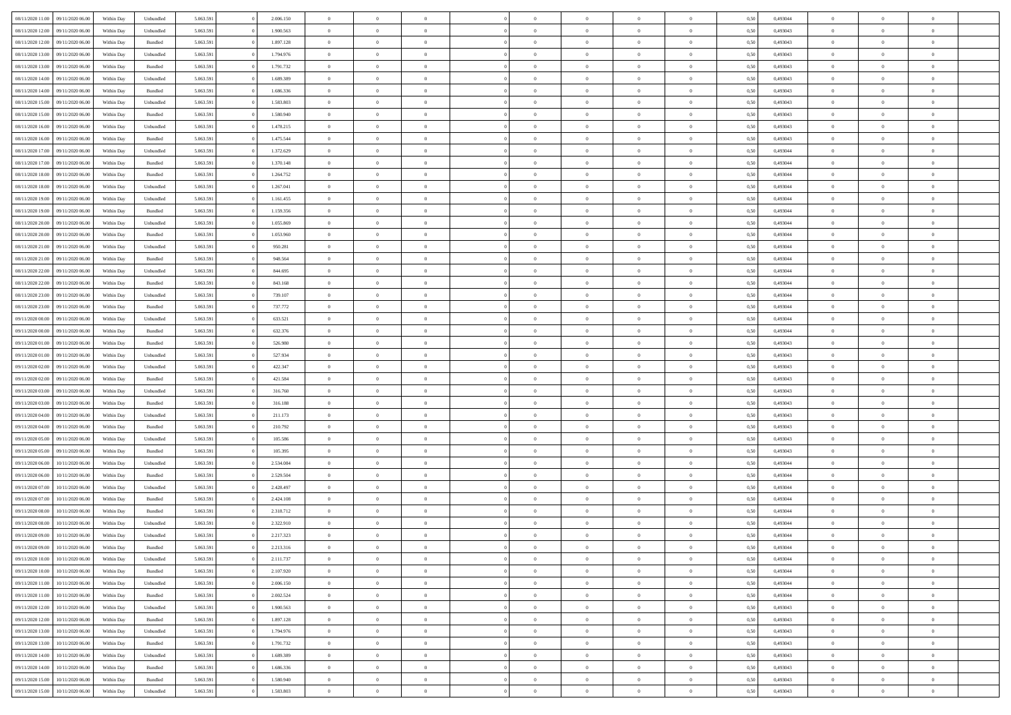| 08/11/2020 11:00 | 09/11/2020 06:00 | Within Dav | Unbundled          | 5.063.591 | 2.006.150 | $\overline{0}$ | $\Omega$       |                | $\Omega$       | $\Omega$       | $\Omega$       | $\theta$       | 0,50 | 0,493044 | $\theta$       | $\theta$       | $\theta$       |  |
|------------------|------------------|------------|--------------------|-----------|-----------|----------------|----------------|----------------|----------------|----------------|----------------|----------------|------|----------|----------------|----------------|----------------|--|
|                  |                  |            |                    |           |           |                |                |                |                |                |                |                |      |          |                |                |                |  |
| 08/11/2020 12:00 | 09/11/2020 06.00 | Within Day | Unbundled          | 5.063.591 | 1.900.563 | $\overline{0}$ | $\theta$       | $\overline{0}$ | $\overline{0}$ | $\bf{0}$       | $\overline{0}$ | $\bf{0}$       | 0,50 | 0,493043 | $\theta$       | $\theta$       | $\overline{0}$ |  |
| 08/11/2020 12:00 | 09/11/2020 06.00 | Within Day | Bundled            | 5.063.591 | 1.897.128 | $\overline{0}$ | $\overline{0}$ | $\overline{0}$ | $\bf{0}$       | $\bf{0}$       | $\bf{0}$       | $\bf{0}$       | 0,50 | 0,493043 | $\bf{0}$       | $\overline{0}$ | $\overline{0}$ |  |
| 08/11/2020 13:00 | 09/11/2020 06:00 | Within Dav | Unbundled          | 5.063.591 | 1.794.976 | $\overline{0}$ | $\overline{0}$ | $\overline{0}$ | $\overline{0}$ | $\bf{0}$       | $\overline{0}$ | $\overline{0}$ | 0.50 | 0,493043 | $\theta$       | $\theta$       | $\overline{0}$ |  |
| 08/11/2020 13:00 | 09/11/2020 06.00 | Within Day | Bundled            | 5.063.591 | 1.791.732 | $\overline{0}$ | $\theta$       | $\overline{0}$ | $\overline{0}$ | $\bf{0}$       | $\overline{0}$ | $\bf{0}$       | 0,50 | 0,493043 | $\theta$       | $\theta$       | $\overline{0}$ |  |
|                  |                  |            |                    |           |           |                |                |                |                |                |                |                |      |          |                |                |                |  |
| 08/11/2020 14:00 | 09/11/2020 06.00 | Within Day | Unbundled          | 5.063.591 | 1.689.389 | $\overline{0}$ | $\bf{0}$       | $\overline{0}$ | $\bf{0}$       | $\overline{0}$ | $\overline{0}$ | $\mathbf{0}$   | 0,50 | 0,493043 | $\bf{0}$       | $\overline{0}$ | $\bf{0}$       |  |
| 08/11/2020 14:00 | 09/11/2020 06:00 | Within Dav | Bundled            | 5.063.591 | 1.686.336 | $\overline{0}$ | $\overline{0}$ | $\overline{0}$ | $\overline{0}$ | $\overline{0}$ | $\overline{0}$ | $\overline{0}$ | 0.50 | 0,493043 | $\theta$       | $\overline{0}$ | $\overline{0}$ |  |
| 08/11/2020 15:00 | 09/11/2020 06.00 | Within Day | Unbundled          | 5.063.591 | 1.583.803 | $\overline{0}$ | $\theta$       | $\overline{0}$ | $\overline{0}$ | $\bf{0}$       | $\overline{0}$ | $\bf{0}$       | 0,50 | 0,493043 | $\theta$       | $\theta$       | $\overline{0}$ |  |
| 08/11/2020 15:00 | 09/11/2020 06.00 | Within Day | Bundled            | 5.063.591 | 1.580.940 | $\overline{0}$ | $\overline{0}$ | $\overline{0}$ | $\bf{0}$       | $\bf{0}$       | $\bf{0}$       | $\bf{0}$       | 0,50 | 0,493043 | $\,0\,$        | $\overline{0}$ | $\overline{0}$ |  |
| 08/11/2020 16:00 | 09/11/2020 06:00 | Within Dav | Unbundled          | 5.063.591 | 1.478.215 | $\overline{0}$ | $\overline{0}$ | $\overline{0}$ | $\overline{0}$ | $\overline{0}$ | $\overline{0}$ | $\overline{0}$ | 0.50 | 0,493043 | $\theta$       | $\overline{0}$ | $\overline{0}$ |  |
| 08/11/2020 16:00 | 09/11/2020 06.00 | Within Day | Bundled            | 5.063.591 | 1.475.544 | $\overline{0}$ | $\theta$       | $\overline{0}$ | $\overline{0}$ | $\bf{0}$       | $\overline{0}$ | $\bf{0}$       | 0,50 | 0,493043 | $\theta$       | $\theta$       | $\overline{0}$ |  |
|                  |                  |            |                    |           |           |                |                |                |                |                |                |                |      |          |                |                |                |  |
| 08/11/2020 17.00 | 09/11/2020 06.00 | Within Day | Unbundled          | 5.063.591 | 1.372.629 | $\overline{0}$ | $\overline{0}$ | $\overline{0}$ | $\overline{0}$ | $\bf{0}$       | $\overline{0}$ | $\bf{0}$       | 0,50 | 0,493044 | $\bf{0}$       | $\overline{0}$ | $\overline{0}$ |  |
| 08/11/2020 17:00 | 09/11/2020 06:00 | Within Day | Bundled            | 5.063.591 | 1.370.148 | $\overline{0}$ | $\overline{0}$ | $\overline{0}$ | $\overline{0}$ | $\bf{0}$       | $\overline{0}$ | $\overline{0}$ | 0.50 | 0,493044 | $\theta$       | $\theta$       | $\overline{0}$ |  |
| 08/11/2020 18:00 | 09/11/2020 06.00 | Within Day | Bundled            | 5.063.591 | 1.264.752 | $\overline{0}$ | $\theta$       | $\overline{0}$ | $\overline{0}$ | $\bf{0}$       | $\overline{0}$ | $\bf{0}$       | 0,50 | 0,493044 | $\theta$       | $\theta$       | $\overline{0}$ |  |
| 08/11/2020 18.00 | 09/11/2020 06.00 | Within Day | Unbundled          | 5.063.591 | 1.267.041 | $\overline{0}$ | $\bf{0}$       | $\overline{0}$ | $\overline{0}$ | $\overline{0}$ | $\overline{0}$ | $\mathbf{0}$   | 0,50 | 0,493044 | $\bf{0}$       | $\overline{0}$ | $\bf{0}$       |  |
| 08/11/2020 19:00 | 09/11/2020 06:00 | Within Day | Unbundled          | 5.063.591 | 1.161.455 | $\overline{0}$ | $\overline{0}$ | $\overline{0}$ | $\overline{0}$ | $\overline{0}$ | $\overline{0}$ | $\overline{0}$ | 0.50 | 0,493044 | $\theta$       | $\overline{0}$ | $\overline{0}$ |  |
| 08/11/2020 19:00 | 09/11/2020 06.00 | Within Day | Bundled            | 5.063.591 | 1.159.356 | $\overline{0}$ | $\theta$       | $\overline{0}$ | $\overline{0}$ | $\bf{0}$       | $\overline{0}$ | $\bf{0}$       | 0,50 | 0,493044 | $\theta$       | $\theta$       | $\overline{0}$ |  |
|                  | 09/11/2020 06.00 | Within Day | Unbundled          | 5.063.591 | 1.055.869 | $\overline{0}$ | $\overline{0}$ | $\overline{0}$ | $\overline{0}$ | $\bf{0}$       | $\overline{0}$ | $\bf{0}$       | 0,50 | 0,493044 | $\,0\,$        | $\overline{0}$ | $\overline{0}$ |  |
| 08/11/2020 20.00 | 09/11/2020 06:00 |            | Bundled            | 5.063.591 | 1.053.960 | $\overline{0}$ | $\overline{0}$ | $\overline{0}$ | $\overline{0}$ | $\overline{0}$ | $\overline{0}$ | $\overline{0}$ | 0.50 | 0,493044 | $\theta$       | $\overline{0}$ | $\overline{0}$ |  |
| 08/11/2020 20:00 |                  | Within Day |                    |           |           |                |                |                |                |                |                |                |      |          |                |                |                |  |
| 08/11/2020 21.00 | 09/11/2020 06.00 | Within Day | Unbundled          | 5.063.591 | 950.281   | $\overline{0}$ | $\theta$       | $\overline{0}$ | $\overline{0}$ | $\bf{0}$       | $\overline{0}$ | $\bf{0}$       | 0,50 | 0,493044 | $\,$ 0 $\,$    | $\theta$       | $\overline{0}$ |  |
| 08/11/2020 21.00 | 09/11/2020 06.00 | Within Day | Bundled            | 5.063.591 | 948.564   | $\overline{0}$ | $\overline{0}$ | $\overline{0}$ | $\overline{0}$ | $\bf{0}$       | $\overline{0}$ | $\bf{0}$       | 0,50 | 0,493044 | $\bf{0}$       | $\overline{0}$ | $\overline{0}$ |  |
| 08/11/2020 22.00 | 09/11/2020 06:00 | Within Day | Unbundled          | 5.063.591 | 844,695   | $\overline{0}$ | $\overline{0}$ | $\overline{0}$ | $\overline{0}$ | $\bf{0}$       | $\overline{0}$ | $\overline{0}$ | 0.50 | 0.493044 | $\theta$       | $\theta$       | $\overline{0}$ |  |
| 08/11/2020 22.00 | 09/11/2020 06.00 | Within Day | Bundled            | 5.063.591 | 843.168   | $\overline{0}$ | $\theta$       | $\overline{0}$ | $\overline{0}$ | $\bf{0}$       | $\overline{0}$ | $\bf{0}$       | 0,50 | 0,493044 | $\,$ 0 $\,$    | $\overline{0}$ | $\overline{0}$ |  |
| 08/11/2020 23.00 | 09/11/2020 06.00 | Within Day | Unbundled          | 5.063.591 | 739.107   | $\overline{0}$ | $\bf{0}$       | $\overline{0}$ | $\overline{0}$ | $\overline{0}$ | $\overline{0}$ | $\mathbf{0}$   | 0,50 | 0,493044 | $\bf{0}$       | $\overline{0}$ | $\bf{0}$       |  |
| 08/11/2020 23.00 | 09/11/2020 06:00 | Within Dav | Bundled            | 5.063.591 | 737.772   | $\overline{0}$ | $\overline{0}$ | $\overline{0}$ | $\overline{0}$ | $\overline{0}$ | $\overline{0}$ | $\overline{0}$ | 0.50 | 0,493044 | $\theta$       | $\overline{0}$ | $\overline{0}$ |  |
| 09/11/2020 00.00 | 09/11/2020 06.00 | Within Day | Unbundled          | 5.063.591 | 633.521   | $\overline{0}$ | $\theta$       | $\overline{0}$ | $\overline{0}$ | $\bf{0}$       | $\overline{0}$ | $\bf{0}$       | 0,50 | 0,493044 | $\theta$       | $\theta$       | $\overline{0}$ |  |
|                  |                  |            |                    |           |           |                |                |                |                |                |                |                |      |          |                |                |                |  |
| 09/11/2020 00:00 | 09/11/2020 06.00 | Within Day | Bundled            | 5.063.591 | 632.376   | $\overline{0}$ | $\overline{0}$ | $\overline{0}$ | $\overline{0}$ | $\bf{0}$       | $\overline{0}$ | $\bf{0}$       | 0,50 | 0,493044 | $\,0\,$        | $\overline{0}$ | $\overline{0}$ |  |
| 09/11/2020 01:00 | 09/11/2020 06:00 | Within Day | Bundled            | 5.063.591 | 526.980   | $\overline{0}$ | $\overline{0}$ | $\overline{0}$ | $\overline{0}$ | $\overline{0}$ | $\overline{0}$ | $\overline{0}$ | 0.50 | 0,493043 | $\theta$       | $\overline{0}$ | $\overline{0}$ |  |
| 09/11/2020 01.00 | 09/11/2020 06.00 | Within Day | Unbundled          | 5.063.591 | 527.934   | $\overline{0}$ | $\theta$       | $\overline{0}$ | $\overline{0}$ | $\bf{0}$       | $\overline{0}$ | $\bf{0}$       | 0,50 | 0,493043 | $\,$ 0 $\,$    | $\overline{0}$ | $\overline{0}$ |  |
| 09/11/2020 02.00 | 09/11/2020 06.00 | Within Day | Unbundled          | 5.063.591 | 422.347   | $\overline{0}$ | $\overline{0}$ | $\overline{0}$ | $\overline{0}$ | $\bf{0}$       | $\overline{0}$ | $\bf{0}$       | 0,50 | 0,493043 | $\bf{0}$       | $\overline{0}$ | $\overline{0}$ |  |
| 09/11/2020 02.00 | 09/11/2020 06.00 | Within Day | Bundled            | 5.063.591 | 421.584   | $\overline{0}$ | $\Omega$       | $\Omega$       | $\Omega$       | $\Omega$       | $\overline{0}$ | $\overline{0}$ | 0,50 | 0,493043 | $\,0\,$        | $\theta$       | $\theta$       |  |
| 09/11/2020 03.00 | 09/11/2020 06.00 | Within Day | Unbundled          | 5.063.591 | 316.760   | $\overline{0}$ | $\theta$       | $\overline{0}$ | $\overline{0}$ | $\bf{0}$       | $\overline{0}$ | $\bf{0}$       | 0,50 | 0,493043 | $\theta$       | $\theta$       | $\overline{0}$ |  |
| 09/11/2020 03.00 | 09/11/2020 06.00 | Within Day | Bundled            | 5.063.591 | 316.188   | $\overline{0}$ | $\overline{0}$ | $\overline{0}$ | $\overline{0}$ | $\bf{0}$       | $\overline{0}$ | $\mathbf{0}$   | 0,50 | 0,493043 | $\overline{0}$ | $\overline{0}$ | $\bf{0}$       |  |
|                  |                  |            |                    |           |           |                |                |                |                |                |                |                |      |          |                |                |                |  |
| 09/11/2020 04.00 | 09/11/2020 06.00 | Within Day | Unbundled          | 5.063.591 | 211.173   | $\overline{0}$ | $\Omega$       | $\Omega$       | $\Omega$       | $\bf{0}$       | $\overline{0}$ | $\overline{0}$ | 0.50 | 0,493043 | $\theta$       | $\theta$       | $\theta$       |  |
| 09/11/2020 04:00 | 09/11/2020 06.00 | Within Day | Bundled            | 5.063.591 | 210.792   | $\overline{0}$ | $\theta$       | $\overline{0}$ | $\overline{0}$ | $\bf{0}$       | $\overline{0}$ | $\bf{0}$       | 0,50 | 0,493043 | $\,$ 0 $\,$    | $\theta$       | $\overline{0}$ |  |
| 09/11/2020 05:00 | 09/11/2020 06.00 | Within Day | Unbundled          | 5.063.591 | 105.586   | $\overline{0}$ | $\overline{0}$ | $\overline{0}$ | $\overline{0}$ | $\bf{0}$       | $\overline{0}$ | $\bf{0}$       | 0,50 | 0,493043 | $\bf{0}$       | $\overline{0}$ | $\overline{0}$ |  |
| 09/11/2020 05.00 | 09/11/2020 06:00 | Within Day | Bundled            | 5.063.591 | 105.395   | $\overline{0}$ | $\Omega$       | $\Omega$       | $\Omega$       | $\theta$       | $\overline{0}$ | $\overline{0}$ | 0.50 | 0,493043 | $\theta$       | $\theta$       | $\theta$       |  |
| 09/11/2020 06.00 | 10/11/2020 06.00 | Within Day | Unbundled          | 5.063.591 | 2.534.084 | $\overline{0}$ | $\theta$       | $\overline{0}$ | $\overline{0}$ | $\bf{0}$       | $\overline{0}$ | $\bf{0}$       | 0,50 | 0,493044 | $\,$ 0 $\,$    | $\overline{0}$ | $\overline{0}$ |  |
| 09/11/2020 06.00 | 10/11/2020 06.00 | Within Day | Bundled            | 5.063.591 | 2.529.504 | $\overline{0}$ | $\overline{0}$ | $\overline{0}$ | $\overline{0}$ | $\bf{0}$       | $\overline{0}$ | $\bf{0}$       | 0,50 | 0,493044 | $\overline{0}$ | $\overline{0}$ | $\overline{0}$ |  |
|                  |                  |            |                    |           |           |                |                |                |                |                |                |                |      |          |                |                |                |  |
| 09/11/2020 07.00 | 10/11/2020 06.00 | Within Day | Unbundled          | 5.063.591 | 2.428.497 | $\overline{0}$ | $\Omega$       | $\overline{0}$ | $\Omega$       | $\Omega$       | $\overline{0}$ | $\overline{0}$ | 0,50 | 0,493044 | $\,0\,$        | $\theta$       | $\theta$       |  |
| 09/11/2020 07.00 | 10/11/2020 06.00 | Within Day | Bundled            | 5.063.591 | 2.424.108 | $\overline{0}$ | $\theta$       | $\overline{0}$ | $\overline{0}$ | $\,$ 0         | $\overline{0}$ | $\bf{0}$       | 0,50 | 0,493044 | $\,$ 0 $\,$    | $\overline{0}$ | $\overline{0}$ |  |
| 09/11/2020 08.00 | 10/11/2020 06.00 | Within Day | Bundled            | 5.063.591 | 2.318.712 | $\overline{0}$ | $\overline{0}$ | $\overline{0}$ | $\overline{0}$ | $\bf{0}$       | $\overline{0}$ | $\mathbf{0}$   | 0,50 | 0,493044 | $\overline{0}$ | $\overline{0}$ | $\bf{0}$       |  |
| 09/11/2020 08:00 | 10/11/2020 06:00 | Within Day | Unbundled          | 5.063.591 | 2.322.910 | $\overline{0}$ | $\Omega$       | $\Omega$       | $\Omega$       | $\Omega$       | $\Omega$       | $\overline{0}$ | 0.50 | 0.493044 | $\theta$       | $\theta$       | $\theta$       |  |
| 09/11/2020 09:00 | 10/11/2020 06.00 | Within Day | Unbundled          | 5.063.591 | 2.217.323 | $\overline{0}$ | $\,$ 0 $\,$    | $\overline{0}$ | $\bf{0}$       | $\,$ 0         | $\overline{0}$ | $\bf{0}$       | 0,50 | 0,493044 | $\,0\,$        | $\overline{0}$ | $\overline{0}$ |  |
| 09/11/2020 09:00 | 10/11/2020 06.00 | Within Day | Bundled            | 5.063.591 | 2.213.316 | $\bf{0}$       | $\bf{0}$       |                |                | $\bf{0}$       |                |                | 0,50 | 0,493044 | $\bf{0}$       | $\overline{0}$ |                |  |
| 09/11/2020 10:00 | 10/11/2020 06:00 | Within Day | Unbundled          | 5.063.591 | 2.111.737 | $\overline{0}$ | $\overline{0}$ | $\overline{0}$ | $\Omega$       | $\overline{0}$ | $\overline{0}$ | $\overline{0}$ | 0,50 | 0,493044 | $\theta$       | $\theta$       | $\theta$       |  |
| 09/11/2020 10:00 | 10/11/2020 06.00 | Within Day | Bundled            | 5.063.591 | 2.107.920 | $\overline{0}$ | $\,$ 0         | $\overline{0}$ | $\overline{0}$ | $\,$ 0 $\,$    | $\overline{0}$ | $\mathbf{0}$   | 0,50 | 0,493044 | $\,$ 0 $\,$    | $\,$ 0 $\,$    | $\,$ 0         |  |
| 09/11/2020 11:00 | 10/11/2020 06:00 | Within Day | Unbundled          | 5.063.591 | 2.006.150 | $\overline{0}$ | $\overline{0}$ | $\overline{0}$ | $\overline{0}$ | $\overline{0}$ | $\overline{0}$ | $\mathbf{0}$   | 0,50 | 0,493044 | $\overline{0}$ | $\bf{0}$       | $\bf{0}$       |  |
|                  |                  |            |                    |           |           |                |                |                |                |                |                |                |      |          |                |                |                |  |
| 09/11/2020 11:00 | 10/11/2020 06:00 | Within Day | $\mathbf B$ undled | 5.063.591 | 2.002.524 | $\overline{0}$ | $\overline{0}$ | $\overline{0}$ | $\Omega$       | $\overline{0}$ | $\overline{0}$ | $\overline{0}$ | 0,50 | 0,493044 | $\overline{0}$ | $\theta$       | $\overline{0}$ |  |
| 09/11/2020 12.00 | 10/11/2020 06.00 | Within Day | Unbundled          | 5.063.591 | 1.900.563 | $\overline{0}$ | $\,$ 0         | $\overline{0}$ | $\overline{0}$ | $\,$ 0 $\,$    | $\overline{0}$ | $\mathbf{0}$   | 0,50 | 0,493043 | $\,$ 0 $\,$    | $\overline{0}$ | $\overline{0}$ |  |
| 09/11/2020 12:00 | 10/11/2020 06:00 | Within Day | Bundled            | 5.063.591 | 1.897.128 | $\overline{0}$ | $\overline{0}$ | $\overline{0}$ | $\overline{0}$ | $\overline{0}$ | $\overline{0}$ | $\mathbf{0}$   | 0,50 | 0,493043 | $\overline{0}$ | $\overline{0}$ | $\bf{0}$       |  |
| 09/11/2020 13:00 | 10/11/2020 06:00 | Within Day | Unbundled          | 5.063.591 | 1.794.976 | $\overline{0}$ | $\overline{0}$ | $\overline{0}$ | $\Omega$       | $\overline{0}$ | $\overline{0}$ | $\bf{0}$       | 0.50 | 0,493043 | $\overline{0}$ | $\theta$       | $\overline{0}$ |  |
| 09/11/2020 13:00 | 10/11/2020 06.00 | Within Day | Bundled            | 5.063.591 | 1.791.732 | $\overline{0}$ | $\,$ 0         | $\overline{0}$ | $\bf{0}$       | $\bf{0}$       | $\bf{0}$       | $\bf{0}$       | 0,50 | 0,493043 | $\,$ 0 $\,$    | $\overline{0}$ | $\overline{0}$ |  |
| 09/11/2020 14:00 | 10/11/2020 06:00 | Within Day | Unbundled          | 5.063.591 | 1.689.389 | $\overline{0}$ | $\bf{0}$       | $\overline{0}$ | $\overline{0}$ | $\overline{0}$ | $\overline{0}$ | $\mathbf{0}$   | 0,50 | 0,493043 | $\overline{0}$ | $\overline{0}$ | $\bf{0}$       |  |
| 09/11/2020 14:00 | 10/11/2020 06:00 | Within Day | Bundled            | 5.063.591 | 1.686.336 | $\overline{0}$ | $\overline{0}$ | $\overline{0}$ | $\Omega$       | $\overline{0}$ | $\overline{0}$ | $\overline{0}$ | 0.50 | 0,493043 | $\overline{0}$ | $\overline{0}$ | $\overline{0}$ |  |
| 09/11/2020 15.00 | 10/11/2020 06.00 | Within Day | Bundled            | 5.063.591 | 1.580.940 | $\overline{0}$ | $\bf{0}$       | $\overline{0}$ | $\bf{0}$       | $\bf{0}$       | $\bf{0}$       | $\mathbf{0}$   | 0,50 | 0,493043 | $\,$ 0 $\,$    | $\,$ 0 $\,$    | $\bf{0}$       |  |
|                  |                  |            |                    |           |           |                |                |                |                |                |                |                |      |          |                |                |                |  |
| 09/11/2020 15.00 | 10/11/2020 06.00 | Within Day | Unbundled          | 5.063.591 | 1.583.803 | $\overline{0}$ | $\overline{0}$ | $\overline{0}$ | $\overline{0}$ | $\overline{0}$ | $\bf{0}$       | $\mathbf{0}$   | 0,50 | 0,493043 | $\overline{0}$ | $\bf{0}$       | $\bf{0}$       |  |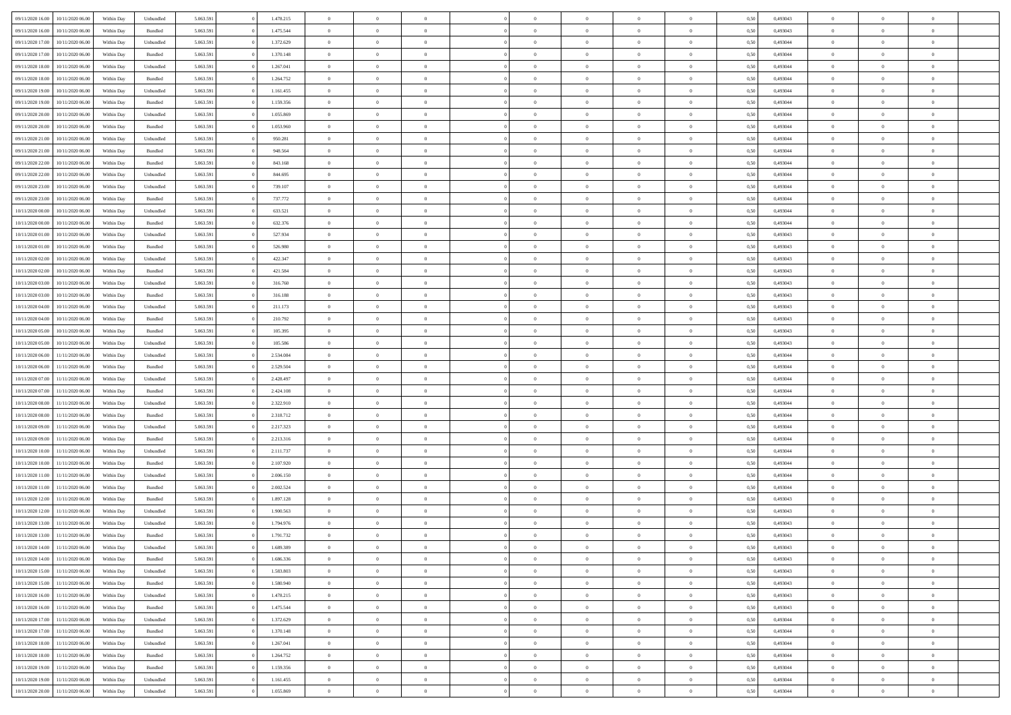| 09/11/2020 16:00 | 10/11/2020 06:00 | Within Dav | Unbundled | 5.063.591 | 1.478.215 | $\overline{0}$ | $\Omega$       |                | $\Omega$       | $\Omega$       | $\Omega$       | $\theta$       | 0,50 | 0,493043 | $\theta$       | $\theta$       | $\theta$       |  |
|------------------|------------------|------------|-----------|-----------|-----------|----------------|----------------|----------------|----------------|----------------|----------------|----------------|------|----------|----------------|----------------|----------------|--|
|                  |                  |            |           |           |           |                |                |                |                |                |                |                |      |          |                |                |                |  |
| 09/11/2020 16.00 | 10/11/2020 06.00 | Within Day | Bundled   | 5.063.591 | 1.475.544 | $\overline{0}$ | $\theta$       | $\overline{0}$ | $\overline{0}$ | $\bf{0}$       | $\overline{0}$ | $\bf{0}$       | 0,50 | 0,493043 | $\theta$       | $\overline{0}$ | $\overline{0}$ |  |
| 09/11/2020 17.00 | 10/11/2020 06.00 | Within Day | Unbundled | 5.063.591 | 1.372.629 | $\overline{0}$ | $\overline{0}$ | $\overline{0}$ | $\bf{0}$       | $\bf{0}$       | $\bf{0}$       | $\bf{0}$       | 0,50 | 0,493044 | $\bf{0}$       | $\overline{0}$ | $\overline{0}$ |  |
| 09/11/2020 17:00 | 10/11/2020 06:00 | Within Dav | Bundled   | 5.063.591 | 1.370.148 | $\overline{0}$ | $\overline{0}$ | $\overline{0}$ | $\overline{0}$ | $\bf{0}$       | $\overline{0}$ | $\overline{0}$ | 0.50 | 0.493044 | $\theta$       | $\theta$       | $\overline{0}$ |  |
| 09/11/2020 18.00 | 10/11/2020 06.00 | Within Day | Unbundled | 5.063.591 | 1.267.041 | $\overline{0}$ | $\theta$       | $\overline{0}$ | $\overline{0}$ | $\bf{0}$       | $\overline{0}$ | $\bf{0}$       | 0,50 | 0,493044 | $\theta$       | $\overline{0}$ | $\overline{0}$ |  |
|                  |                  |            |           |           |           |                |                |                |                |                |                |                |      |          |                |                |                |  |
| 09/11/2020 18:00 | 10/11/2020 06.00 | Within Day | Bundled   | 5.063.591 | 1.264.752 | $\overline{0}$ | $\bf{0}$       | $\overline{0}$ | $\bf{0}$       | $\overline{0}$ | $\overline{0}$ | $\mathbf{0}$   | 0,50 | 0,493044 | $\bf{0}$       | $\overline{0}$ | $\bf{0}$       |  |
| 09/11/2020 19:00 | 10/11/2020 06:00 | Within Dav | Unbundled | 5.063.591 | 1.161.455 | $\overline{0}$ | $\overline{0}$ | $\overline{0}$ | $\overline{0}$ | $\overline{0}$ | $\overline{0}$ | $\overline{0}$ | 0.50 | 0,493044 | $\theta$       | $\overline{0}$ | $\overline{0}$ |  |
| 09/11/2020 19:00 | 10/11/2020 06.00 | Within Day | Bundled   | 5.063.591 | 1.159.356 | $\overline{0}$ | $\theta$       | $\overline{0}$ | $\overline{0}$ | $\bf{0}$       | $\overline{0}$ | $\bf{0}$       | 0,50 | 0,493044 | $\theta$       | $\theta$       | $\overline{0}$ |  |
| 09/11/2020 20.00 | 10/11/2020 06.00 | Within Day | Unbundled | 5.063.591 | 1.055.869 | $\overline{0}$ | $\overline{0}$ | $\overline{0}$ | $\bf{0}$       | $\bf{0}$       | $\bf{0}$       | $\bf{0}$       | 0,50 | 0,493044 | $\,0\,$        | $\overline{0}$ | $\overline{0}$ |  |
| 09/11/2020 20.00 | 10/11/2020 06.00 | Within Dav | Bundled   | 5.063.591 | 1.053.960 | $\overline{0}$ | $\overline{0}$ | $\overline{0}$ | $\overline{0}$ | $\overline{0}$ | $\overline{0}$ | $\overline{0}$ | 0.50 | 0,493044 | $\theta$       | $\overline{0}$ | $\overline{0}$ |  |
| 09/11/2020 21.00 | 10/11/2020 06.00 | Within Day | Unbundled | 5.063.591 | 950.281   | $\overline{0}$ | $\theta$       | $\overline{0}$ | $\overline{0}$ | $\bf{0}$       | $\overline{0}$ | $\bf{0}$       | 0,50 | 0,493044 | $\,$ 0 $\,$    | $\overline{0}$ | $\overline{0}$ |  |
|                  |                  |            |           |           |           |                |                |                |                |                |                |                |      |          |                |                |                |  |
| 09/11/2020 21:00 | 10/11/2020 06.00 | Within Day | Bundled   | 5.063.591 | 948.564   | $\overline{0}$ | $\overline{0}$ | $\overline{0}$ | $\bf{0}$       | $\bf{0}$       | $\bf{0}$       | $\bf{0}$       | 0,50 | 0,493044 | $\overline{0}$ | $\overline{0}$ | $\overline{0}$ |  |
| 09/11/2020 22.00 | 10/11/2020 06:00 | Within Day | Bundled   | 5.063.591 | 843.168   | $\overline{0}$ | $\overline{0}$ | $\overline{0}$ | $\overline{0}$ | $\bf{0}$       | $\overline{0}$ | $\overline{0}$ | 0.50 | 0,493044 | $\theta$       | $\theta$       | $\overline{0}$ |  |
| 09/11/2020 22.00 | 10/11/2020 06.00 | Within Day | Unbundled | 5.063.591 | 844.695   | $\overline{0}$ | $\theta$       | $\overline{0}$ | $\overline{0}$ | $\bf{0}$       | $\overline{0}$ | $\bf{0}$       | 0,50 | 0,493044 | $\theta$       | $\theta$       | $\overline{0}$ |  |
| 09/11/2020 23.00 | 10/11/2020 06.00 | Within Day | Unbundled | 5.063.591 | 739.107   | $\overline{0}$ | $\bf{0}$       | $\overline{0}$ | $\bf{0}$       | $\overline{0}$ | $\overline{0}$ | $\mathbf{0}$   | 0,50 | 0,493044 | $\overline{0}$ | $\overline{0}$ | $\bf{0}$       |  |
| 09/11/2020 23.00 | 10/11/2020 06:00 | Within Dav | Bundled   | 5.063.591 | 737.772   | $\overline{0}$ | $\overline{0}$ | $\overline{0}$ | $\overline{0}$ | $\overline{0}$ | $\overline{0}$ | $\overline{0}$ | 0.50 | 0,493044 | $\theta$       | $\overline{0}$ | $\overline{0}$ |  |
| 10/11/2020 00:00 | 10/11/2020 06.00 | Within Day | Unbundled | 5.063.591 | 633.521   | $\overline{0}$ | $\theta$       | $\overline{0}$ | $\overline{0}$ | $\bf{0}$       | $\overline{0}$ | $\bf{0}$       | 0,50 | 0,493044 | $\theta$       | $\theta$       | $\overline{0}$ |  |
|                  |                  |            |           |           |           |                | $\overline{0}$ |                |                | $\bf{0}$       |                |                |      |          | $\bf{0}$       | $\overline{0}$ | $\overline{0}$ |  |
| 10/11/2020 00:00 | 10/11/2020 06.00 | Within Day | Bundled   | 5.063.591 | 632.376   | $\overline{0}$ |                | $\overline{0}$ | $\overline{0}$ |                | $\overline{0}$ | $\bf{0}$       | 0,50 | 0,493044 |                |                |                |  |
| 10/11/2020 01:00 | 10/11/2020 06:00 | Within Day | Unbundled | 5.063.591 | 527.934   | $\overline{0}$ | $\overline{0}$ | $\overline{0}$ | $\overline{0}$ | $\overline{0}$ | $\overline{0}$ | $\overline{0}$ | 0.50 | 0,493043 | $\theta$       | $\overline{0}$ | $\overline{0}$ |  |
| 10/11/2020 01:00 | 10/11/2020 06.00 | Within Day | Bundled   | 5.063.591 | 526.980   | $\overline{0}$ | $\theta$       | $\overline{0}$ | $\overline{0}$ | $\bf{0}$       | $\overline{0}$ | $\bf{0}$       | 0,50 | 0,493043 | $\,$ 0 $\,$    | $\theta$       | $\overline{0}$ |  |
| 10/11/2020 02.00 | 10/11/2020 06.00 | Within Day | Unbundled | 5.063.591 | 422.347   | $\overline{0}$ | $\overline{0}$ | $\overline{0}$ | $\overline{0}$ | $\bf{0}$       | $\overline{0}$ | $\bf{0}$       | 0,50 | 0,493043 | $\bf{0}$       | $\overline{0}$ | $\overline{0}$ |  |
| 10/11/2020 02:00 | 10/11/2020 06:00 | Within Day | Bundled   | 5.063.591 | 421.584   | $\overline{0}$ | $\overline{0}$ | $\overline{0}$ | $\overline{0}$ | $\bf{0}$       | $\overline{0}$ | $\overline{0}$ | 0.50 | 0,493043 | $\theta$       | $\theta$       | $\overline{0}$ |  |
| 10/11/2020 03:00 | 10/11/2020 06.00 | Within Day | Unbundled | 5.063.591 | 316.760   | $\overline{0}$ | $\theta$       | $\overline{0}$ | $\overline{0}$ | $\bf{0}$       | $\overline{0}$ | $\bf{0}$       | 0,50 | 0,493043 | $\,$ 0 $\,$    | $\overline{0}$ | $\overline{0}$ |  |
| 10/11/2020 03:00 | 10/11/2020 06.00 | Within Day | Bundled   | 5.063.591 | 316.188   | $\overline{0}$ | $\bf{0}$       | $\overline{0}$ | $\overline{0}$ | $\overline{0}$ | $\overline{0}$ | $\mathbf{0}$   | 0,50 | 0,493043 | $\overline{0}$ | $\overline{0}$ | $\bf{0}$       |  |
| 10/11/2020 04:00 | 10/11/2020 06:00 | Within Dav | Unbundled | 5.063.591 | 211.173   | $\overline{0}$ | $\overline{0}$ | $\overline{0}$ | $\overline{0}$ | $\overline{0}$ | $\overline{0}$ | $\overline{0}$ | 0.50 | 0,493043 | $\theta$       | $\overline{0}$ | $\overline{0}$ |  |
|                  |                  |            |           |           |           |                |                |                |                |                |                |                |      |          |                |                |                |  |
| 10/11/2020 04:00 | 10/11/2020 06.00 | Within Day | Bundled   | 5.063.591 | 210.792   | $\overline{0}$ | $\theta$       | $\overline{0}$ | $\overline{0}$ | $\bf{0}$       | $\overline{0}$ | $\bf{0}$       | 0,50 | 0,493043 | $\theta$       | $\theta$       | $\overline{0}$ |  |
| 10/11/2020 05:00 | 10/11/2020 06.00 | Within Day | Bundled   | 5.063.591 | 105.395   | $\overline{0}$ | $\overline{0}$ | $\overline{0}$ | $\overline{0}$ | $\bf{0}$       | $\overline{0}$ | $\bf{0}$       | 0,50 | 0,493043 | $\,0\,$        | $\overline{0}$ | $\overline{0}$ |  |
| 10/11/2020 05:00 | 10/11/2020 06:00 | Within Day | Unbundled | 5.063.591 | 105.586   | $\overline{0}$ | $\overline{0}$ | $\overline{0}$ | $\overline{0}$ | $\overline{0}$ | $\overline{0}$ | $\overline{0}$ | 0.50 | 0,493043 | $\theta$       | $\overline{0}$ | $\overline{0}$ |  |
| 10/11/2020 06:00 | 11/11/2020 06.00 | Within Day | Unbundled | 5.063.591 | 2.534.084 | $\overline{0}$ | $\theta$       | $\overline{0}$ | $\overline{0}$ | $\bf{0}$       | $\overline{0}$ | $\bf{0}$       | 0,50 | 0,493044 | $\,$ 0 $\,$    | $\overline{0}$ | $\overline{0}$ |  |
| 10/11/2020 06.00 | 11/11/2020 06.00 | Within Day | Bundled   | 5.063.591 | 2.529.504 | $\overline{0}$ | $\overline{0}$ | $\overline{0}$ | $\overline{0}$ | $\bf{0}$       | $\overline{0}$ | $\bf{0}$       | 0,50 | 0,493044 | $\overline{0}$ | $\overline{0}$ | $\overline{0}$ |  |
| 10/11/2020 07:00 | 11/11/2020 06.00 | Within Day | Unbundled | 5.063.591 | 2.428.497 | $\overline{0}$ | $\Omega$       | $\overline{0}$ | $\Omega$       | $\Omega$       | $\overline{0}$ | $\overline{0}$ | 0,50 | 0,493044 | $\,0\,$        | $\theta$       | $\theta$       |  |
| 10/11/2020 07:00 | 11/11/2020 06.00 | Within Day | Bundled   | 5.063.591 | 2.424.108 | $\overline{0}$ | $\theta$       | $\overline{0}$ | $\overline{0}$ | $\bf{0}$       | $\overline{0}$ | $\bf{0}$       | 0,50 | 0,493044 | $\theta$       | $\theta$       | $\overline{0}$ |  |
|                  |                  |            |           |           |           |                |                |                |                |                |                |                |      |          |                |                |                |  |
| 10/11/2020 08:00 | 11/11/2020 06.00 | Within Day | Unbundled | 5.063.591 | 2.322.910 | $\overline{0}$ | $\overline{0}$ | $\overline{0}$ | $\overline{0}$ | $\bf{0}$       | $\overline{0}$ | $\mathbf{0}$   | 0,50 | 0,493044 | $\bf{0}$       | $\overline{0}$ | $\bf{0}$       |  |
| 10/11/2020 08:00 | 11/11/2020 06.00 | Within Day | Bundled   | 5.063.591 | 2.318.712 | $\overline{0}$ | $\Omega$       | $\Omega$       | $\Omega$       | $\bf{0}$       | $\overline{0}$ | $\overline{0}$ | 0.50 | 0,493044 | $\theta$       | $\theta$       | $\theta$       |  |
| 10/11/2020 09:00 | 11/11/2020 06.00 | Within Day | Unbundled | 5.063.591 | 2.217.323 | $\overline{0}$ | $\theta$       | $\overline{0}$ | $\overline{0}$ | $\bf{0}$       | $\overline{0}$ | $\bf{0}$       | 0,50 | 0,493044 | $\,$ 0 $\,$    | $\theta$       | $\overline{0}$ |  |
| 10/11/2020 09:00 | 11/11/2020 06.00 | Within Day | Bundled   | 5.063.591 | 2.213.316 | $\overline{0}$ | $\overline{0}$ | $\overline{0}$ | $\overline{0}$ | $\bf{0}$       | $\overline{0}$ | $\bf{0}$       | 0,50 | 0,493044 | $\bf{0}$       | $\overline{0}$ | $\overline{0}$ |  |
| 10/11/2020 10:00 | 11/11/2020 06.00 | Within Day | Unbundled | 5.063.591 | 2.111.737 | $\overline{0}$ | $\Omega$       | $\Omega$       | $\Omega$       | $\theta$       | $\overline{0}$ | $\overline{0}$ | 0.50 | 0,493044 | $\theta$       | $\theta$       | $\theta$       |  |
| 10/11/2020 10:00 | 11/11/2020 06.00 | Within Day | Bundled   | 5.063.591 | 2.107.920 | $\overline{0}$ | $\theta$       | $\overline{0}$ | $\overline{0}$ | $\,$ 0         | $\overline{0}$ | $\bf{0}$       | 0,50 | 0,493044 | $\,$ 0 $\,$    | $\overline{0}$ | $\overline{0}$ |  |
|                  |                  |            |           |           |           |                |                |                |                |                |                |                |      |          |                |                |                |  |
| 10/11/2020 11:00 | 11/11/2020 06.00 | Within Day | Unbundled | 5.063.591 | 2.006.150 | $\overline{0}$ | $\overline{0}$ | $\overline{0}$ | $\overline{0}$ | $\bf{0}$       | $\overline{0}$ | $\bf{0}$       | 0,50 | 0,493044 | $\bf{0}$       | $\overline{0}$ | $\overline{0}$ |  |
| 10/11/2020 11:00 | 11/11/2020 06.00 | Within Day | Bundled   | 5.063.591 | 2.002.524 | $\overline{0}$ | $\Omega$       | $\overline{0}$ | $\Omega$       | $\overline{0}$ | $\overline{0}$ | $\overline{0}$ | 0,50 | 0,493044 | $\,0\,$        | $\theta$       | $\theta$       |  |
| 10/11/2020 12:00 | 11/11/2020 06.00 | Within Day | Bundled   | 5.063.591 | 1.897.128 | $\overline{0}$ | $\theta$       | $\overline{0}$ | $\overline{0}$ | $\,$ 0         | $\overline{0}$ | $\bf{0}$       | 0,50 | 0,493043 | $\,$ 0 $\,$    | $\overline{0}$ | $\overline{0}$ |  |
| 10/11/2020 12:00 | 11/11/2020 06.00 | Within Day | Unbundled | 5.063.591 | 1.900.563 | $\overline{0}$ | $\overline{0}$ | $\overline{0}$ | $\bf{0}$       | $\bf{0}$       | $\bf{0}$       | $\mathbf{0}$   | 0,50 | 0,493043 | $\overline{0}$ | $\overline{0}$ | $\bf{0}$       |  |
| 10/11/2020 13:00 | 11/11/2020 06.00 | Within Day | Unbundled | 5.063.591 | 1.794.976 | $\overline{0}$ | $\Omega$       | $\Omega$       | $\Omega$       | $\Omega$       | $\Omega$       | $\overline{0}$ | 0.50 | 0,493043 | $\theta$       | $\theta$       | $\theta$       |  |
| 10/11/2020 13:00 | 11/11/2020 06.00 | Within Day | Bundled   | 5.063.591 | 1.791.732 | $\overline{0}$ | $\,$ 0 $\,$    | $\overline{0}$ | $\bf{0}$       | $\,$ 0         | $\bf{0}$       | $\bf{0}$       | 0,50 | 0,493043 | $\,0\,$        | $\overline{0}$ | $\overline{0}$ |  |
| 10/11/2020 14:00 | 11/11/2020 06.00 | Within Day | Unbundled | 5.063.591 | 1.689.389 | $\bf{0}$       | $\bf{0}$       |                |                |                |                |                | 0,50 | 0,493043 | $\bf{0}$       | $\overline{0}$ |                |  |
| 10/11/2020 14:00 |                  |            | Bundled   | 5.063.591 | 1.686.336 | $\overline{0}$ | $\overline{0}$ | $\overline{0}$ | $\Omega$       | $\theta$       | $\overline{0}$ | $\overline{0}$ | 0.50 |          | $\theta$       | $\theta$       | $\theta$       |  |
|                  | 11/11/2020 06.00 | Within Day |           |           |           |                |                |                |                |                |                |                |      | 0,493043 |                |                |                |  |
| 10/11/2020 15:00 | 11/11/2020 06.00 | Within Day | Unbundled | 5.063.591 | 1.583.803 | $\overline{0}$ | $\,$ 0         | $\overline{0}$ | $\bf{0}$       | $\,$ 0 $\,$    | $\overline{0}$ | $\mathbf{0}$   | 0,50 | 0,493043 | $\,$ 0 $\,$    | $\,$ 0 $\,$    | $\,$ 0         |  |
| 10/11/2020 15.00 | 11/11/2020 06.00 | Within Day | Bundled   | 5.063.591 | 1.580.940 | $\overline{0}$ | $\overline{0}$ | $\overline{0}$ | $\overline{0}$ | $\overline{0}$ | $\overline{0}$ | $\mathbf{0}$   | 0,50 | 0,493043 | $\overline{0}$ | $\bf{0}$       | $\bf{0}$       |  |
| 10/11/2020 16:00 | 11/11/2020 06.00 | Within Day | Unbundled | 5.063.591 | 1.478.215 | $\overline{0}$ | $\overline{0}$ | $\overline{0}$ | $\Omega$       | $\overline{0}$ | $\overline{0}$ | $\overline{0}$ | 0,50 | 0,493043 | $\overline{0}$ | $\theta$       | $\overline{0}$ |  |
| 10/11/2020 16:00 | 11/11/2020 06.00 | Within Day | Bundled   | 5.063.591 | 1.475.544 | $\overline{0}$ | $\,$ 0         | $\overline{0}$ | $\overline{0}$ | $\,$ 0 $\,$    | $\overline{0}$ | $\mathbf{0}$   | 0,50 | 0,493043 | $\,$ 0 $\,$    | $\overline{0}$ | $\overline{0}$ |  |
| 10/11/2020 17.00 | 11/11/2020 06.00 | Within Day | Unbundled | 5.063.591 | 1.372.629 | $\overline{0}$ | $\overline{0}$ | $\overline{0}$ | $\overline{0}$ | $\overline{0}$ | $\overline{0}$ | $\mathbf{0}$   | 0,50 | 0,493044 | $\overline{0}$ | $\overline{0}$ | $\bf{0}$       |  |
| 10/11/2020 17:00 | 11/11/2020 06.00 | Within Day | Bundled   | 5.063.591 | 1.370.148 | $\overline{0}$ | $\overline{0}$ | $\overline{0}$ | $\Omega$       | $\overline{0}$ | $\overline{0}$ | $\bf{0}$       | 0.50 | 0,493044 | $\overline{0}$ | $\theta$       | $\overline{0}$ |  |
| 10/11/2020 18:00 | 11/11/2020 06.00 | Within Day | Unbundled | 5.063.591 | 1.267.041 | $\overline{0}$ | $\,$ 0         | $\overline{0}$ | $\bf{0}$       | $\bf{0}$       | $\bf{0}$       | $\bf{0}$       | 0,50 | 0,493044 | $\,$ 0 $\,$    | $\overline{0}$ | $\overline{0}$ |  |
|                  |                  |            |           |           |           |                |                |                |                |                |                |                |      |          |                |                |                |  |
| 10/11/2020 18:00 | 11/11/2020 06.00 | Within Day | Bundled   | 5.063.591 | 1.264.752 | $\overline{0}$ | $\bf{0}$       | $\overline{0}$ | $\overline{0}$ | $\overline{0}$ | $\overline{0}$ | $\mathbf{0}$   | 0,50 | 0,493044 | $\overline{0}$ | $\overline{0}$ | $\bf{0}$       |  |
| 10/11/2020 19:00 | 11/11/2020 06.00 | Within Day | Bundled   | 5.063.591 | 1.159.356 | $\overline{0}$ | $\overline{0}$ | $\overline{0}$ | $\Omega$       | $\overline{0}$ | $\overline{0}$ | $\bf{0}$       | 0.50 | 0,493044 | $\overline{0}$ | $\theta$       | $\overline{0}$ |  |
| 10/11/2020 19:00 | 11/11/2020 06.00 | Within Day | Unbundled | 5.063.591 | 1.161.455 | $\overline{0}$ | $\bf{0}$       | $\overline{0}$ | $\overline{0}$ | $\bf{0}$       | $\bf{0}$       | $\mathbf{0}$   | 0,50 | 0,493044 | $\,$ 0 $\,$    | $\,$ 0 $\,$    | $\bf{0}$       |  |
| 10/11/2020 20:00 | 11/11/2020 06.00 | Within Day | Unbundled | 5.063.591 | 1.055.869 | $\overline{0}$ | $\overline{0}$ | $\overline{0}$ | $\overline{0}$ | $\bf{0}$       | $\bf{0}$       | $\mathbf{0}$   | 0,50 | 0,493044 | $\overline{0}$ | $\bf{0}$       | $\bf{0}$       |  |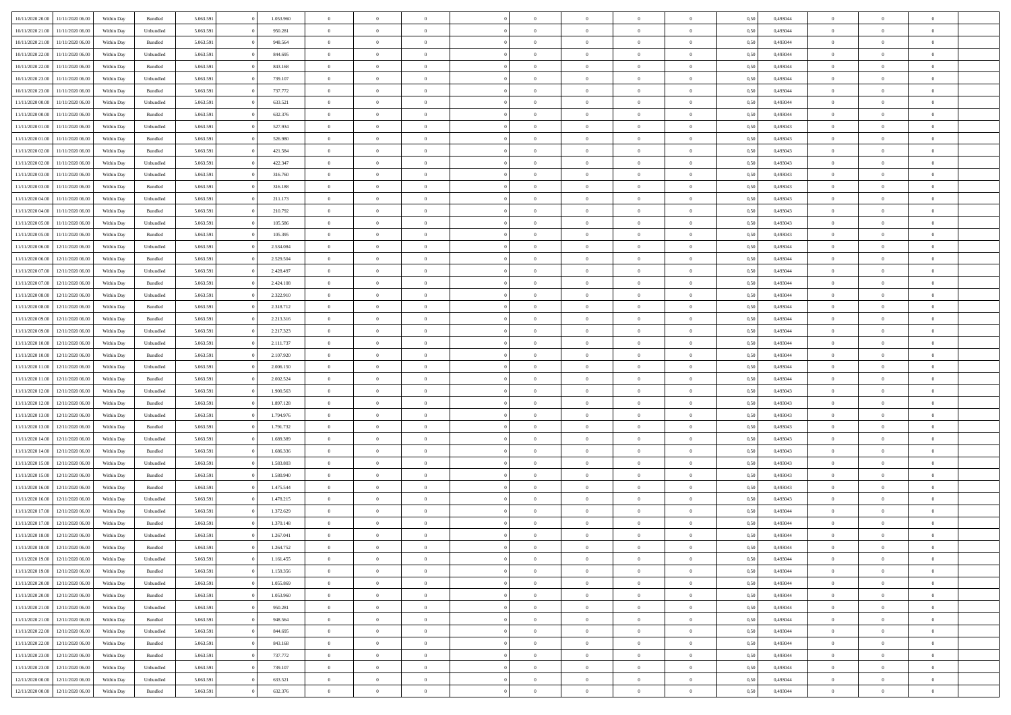| 10/11/2020 20:00 | 11/11/2020 06:00 | Within Dav | Bundled            | 5.063.591 | 1.053.960 | $\overline{0}$ | $\Omega$       |                | $\Omega$       | $\Omega$       | $\Omega$       | $\theta$       | 0,50 | 0,493044 | $\theta$       | $\theta$       | $\theta$       |  |
|------------------|------------------|------------|--------------------|-----------|-----------|----------------|----------------|----------------|----------------|----------------|----------------|----------------|------|----------|----------------|----------------|----------------|--|
|                  |                  |            |                    |           |           |                |                |                |                |                |                |                |      |          |                |                |                |  |
| 10/11/2020 21.00 | 11/11/2020 06.00 | Within Day | Unbundled          | 5.063.591 | 950.281   | $\overline{0}$ | $\theta$       | $\overline{0}$ | $\overline{0}$ | $\bf{0}$       | $\overline{0}$ | $\bf{0}$       | 0,50 | 0,493044 | $\theta$       | $\overline{0}$ | $\overline{0}$ |  |
| 10/11/2020 21:00 | 11/11/2020 06.00 | Within Day | Bundled            | 5.063.591 | 948.564   | $\overline{0}$ | $\overline{0}$ | $\overline{0}$ | $\bf{0}$       | $\bf{0}$       | $\bf{0}$       | $\bf{0}$       | 0,50 | 0,493044 | $\bf{0}$       | $\overline{0}$ | $\overline{0}$ |  |
| 10/11/2020 22.00 | 11/11/2020 06:00 | Within Dav | Unbundled          | 5.063.591 | 844,695   | $\overline{0}$ | $\overline{0}$ | $\overline{0}$ | $\overline{0}$ | $\bf{0}$       | $\overline{0}$ | $\overline{0}$ | 0.50 | 0.493044 | $\theta$       | $\theta$       | $\overline{0}$ |  |
| 10/11/2020 22.00 | 11/11/2020 06.00 | Within Day | Bundled            | 5.063.591 | 843.168   | $\overline{0}$ | $\theta$       | $\overline{0}$ | $\overline{0}$ | $\bf{0}$       | $\overline{0}$ | $\bf{0}$       | 0,50 | 0,493044 | $\theta$       | $\theta$       | $\overline{0}$ |  |
| 10/11/2020 23.00 | 11/11/2020 06.00 | Within Day | Unbundled          | 5.063.591 | 739.107   | $\overline{0}$ | $\bf{0}$       | $\overline{0}$ | $\bf{0}$       | $\overline{0}$ | $\overline{0}$ | $\mathbf{0}$   | 0,50 | 0,493044 | $\bf{0}$       | $\overline{0}$ | $\bf{0}$       |  |
| 10/11/2020 23.00 | 11/11/2020 06.00 | Within Dav | Bundled            | 5.063.591 | 737.772   | $\overline{0}$ | $\overline{0}$ | $\overline{0}$ | $\overline{0}$ | $\overline{0}$ | $\overline{0}$ | $\overline{0}$ | 0.50 | 0,493044 | $\theta$       | $\overline{0}$ | $\overline{0}$ |  |
| 11/11/2020 00.00 | 11/11/2020 06.00 | Within Day | Unbundled          | 5.063.591 | 633.521   | $\overline{0}$ | $\theta$       | $\overline{0}$ | $\overline{0}$ | $\bf{0}$       | $\overline{0}$ | $\bf{0}$       | 0,50 | 0,493044 | $\theta$       | $\theta$       | $\overline{0}$ |  |
| 11/11/2020 00:00 | 11/11/2020 06.00 | Within Day | Bundled            | 5.063.591 | 632.376   | $\overline{0}$ | $\overline{0}$ | $\overline{0}$ | $\bf{0}$       | $\bf{0}$       | $\bf{0}$       | $\bf{0}$       | 0,50 | 0,493044 | $\,0\,$        | $\overline{0}$ | $\overline{0}$ |  |
| 11/11/2020 01:00 | 11/11/2020 06.00 | Within Dav | Unbundled          | 5.063.591 | 527.934   | $\overline{0}$ | $\overline{0}$ | $\overline{0}$ | $\overline{0}$ | $\overline{0}$ | $\overline{0}$ | $\overline{0}$ | 0.50 | 0,493043 | $\theta$       | $\overline{0}$ | $\overline{0}$ |  |
|                  |                  |            |                    |           |           |                |                |                |                |                |                |                |      |          |                |                |                |  |
| 11/11/2020 01:00 | 11/11/2020 06.00 | Within Day | Bundled            | 5.063.591 | 526.980   | $\overline{0}$ | $\theta$       | $\overline{0}$ | $\overline{0}$ | $\bf{0}$       | $\overline{0}$ | $\bf{0}$       | 0,50 | 0,493043 | $\,$ 0 $\,$    | $\overline{0}$ | $\overline{0}$ |  |
| 11/11/2020 02.00 | 11/11/2020 06.00 | Within Day | Bundled            | 5.063.591 | 421.584   | $\overline{0}$ | $\overline{0}$ | $\overline{0}$ | $\bf{0}$       | $\bf{0}$       | $\bf{0}$       | $\bf{0}$       | 0,50 | 0,493043 | $\overline{0}$ | $\overline{0}$ | $\overline{0}$ |  |
| 11/11/2020 02.00 | 11/11/2020 06:00 | Within Day | Unbundled          | 5.063.591 | 422.347   | $\overline{0}$ | $\overline{0}$ | $\overline{0}$ | $\overline{0}$ | $\bf{0}$       | $\overline{0}$ | $\overline{0}$ | 0.50 | 0,493043 | $\theta$       | $\theta$       | $\overline{0}$ |  |
| 11/11/2020 03:00 | 11/11/2020 06.00 | Within Day | Unbundled          | 5.063.591 | 316.760   | $\overline{0}$ | $\theta$       | $\overline{0}$ | $\overline{0}$ | $\bf{0}$       | $\overline{0}$ | $\bf{0}$       | 0,50 | 0,493043 | $\theta$       | $\theta$       | $\overline{0}$ |  |
| 11/11/2020 03:00 | 11/11/2020 06.00 | Within Day | Bundled            | 5.063.591 | 316.188   | $\overline{0}$ | $\bf{0}$       | $\overline{0}$ | $\bf{0}$       | $\overline{0}$ | $\overline{0}$ | $\mathbf{0}$   | 0,50 | 0,493043 | $\overline{0}$ | $\overline{0}$ | $\bf{0}$       |  |
| 11/11/2020 04:00 | 11/11/2020 06.00 | Within Dav | Unbundled          | 5.063.591 | 211.173   | $\overline{0}$ | $\overline{0}$ | $\overline{0}$ | $\overline{0}$ | $\overline{0}$ | $\overline{0}$ | $\overline{0}$ | 0.50 | 0,493043 | $\theta$       | $\overline{0}$ | $\overline{0}$ |  |
| 11/11/2020 04:00 | 11/11/2020 06.00 | Within Day | Bundled            | 5.063.591 | 210.792   | $\overline{0}$ | $\theta$       | $\overline{0}$ | $\overline{0}$ | $\bf{0}$       | $\overline{0}$ | $\bf{0}$       | 0,50 | 0,493043 | $\theta$       | $\theta$       | $\overline{0}$ |  |
| 11/11/2020 05:00 | 11/11/2020 06.00 | Within Day | Unbundled          | 5.063.591 | 105.586   | $\overline{0}$ | $\overline{0}$ | $\overline{0}$ | $\bf{0}$       | $\bf{0}$       | $\bf{0}$       | $\bf{0}$       | 0,50 | 0,493043 | $\bf{0}$       | $\overline{0}$ | $\overline{0}$ |  |
| 11/11/2020 05:00 | 11/11/2020 06.00 | Within Day | Bundled            | 5.063.591 | 105.395   | $\overline{0}$ | $\overline{0}$ | $\overline{0}$ | $\overline{0}$ | $\overline{0}$ | $\overline{0}$ | $\overline{0}$ | 0.50 | 0,493043 | $\theta$       | $\overline{0}$ | $\overline{0}$ |  |
| 11/11/2020 06.00 | 12/11/2020 06.00 | Within Day | Unbundled          | 5.063.591 | 2.534.084 | $\overline{0}$ | $\theta$       | $\overline{0}$ | $\overline{0}$ | $\bf{0}$       | $\overline{0}$ | $\bf{0}$       | 0,50 | 0,493044 | $\,$ 0 $\,$    | $\theta$       | $\overline{0}$ |  |
|                  |                  |            |                    |           |           |                |                |                |                |                |                |                |      |          |                |                |                |  |
| 11/11/2020 06:00 | 12/11/2020 06.00 | Within Day | Bundled            | 5.063.591 | 2.529.504 | $\overline{0}$ | $\overline{0}$ | $\overline{0}$ | $\bf{0}$       | $\bf{0}$       | $\bf{0}$       | $\bf{0}$       | 0,50 | 0,493044 | $\bf{0}$       | $\overline{0}$ | $\overline{0}$ |  |
| 11/11/2020 07.00 | 12/11/2020 06:00 | Within Day | Unbundled          | 5.063.591 | 2.428.497 | $\overline{0}$ | $\overline{0}$ | $\overline{0}$ | $\overline{0}$ | $\bf{0}$       | $\overline{0}$ | $\overline{0}$ | 0.50 | 0.493044 | $\theta$       | $\theta$       | $\overline{0}$ |  |
| 11/11/2020 07:00 | 12/11/2020 06.00 | Within Day | Bundled            | 5.063.591 | 2.424.108 | $\overline{0}$ | $\theta$       | $\overline{0}$ | $\overline{0}$ | $\bf{0}$       | $\overline{0}$ | $\bf{0}$       | 0,50 | 0,493044 | $\,$ 0 $\,$    | $\overline{0}$ | $\overline{0}$ |  |
| 11/11/2020 08:00 | 12/11/2020 06.00 | Within Day | Unbundled          | 5.063.591 | 2.322.910 | $\overline{0}$ | $\bf{0}$       | $\overline{0}$ | $\bf{0}$       | $\overline{0}$ | $\overline{0}$ | $\mathbf{0}$   | 0,50 | 0,493044 | $\bf{0}$       | $\overline{0}$ | $\bf{0}$       |  |
| 11/11/2020 08:00 | 12/11/2020 06.00 | Within Dav | Bundled            | 5.063.591 | 2.318.712 | $\overline{0}$ | $\overline{0}$ | $\overline{0}$ | $\overline{0}$ | $\overline{0}$ | $\overline{0}$ | $\overline{0}$ | 0.50 | 0,493044 | $\theta$       | $\overline{0}$ | $\overline{0}$ |  |
| 11/11/2020 09:00 | 12/11/2020 06.00 | Within Day | Bundled            | 5.063.591 | 2.213.316 | $\overline{0}$ | $\theta$       | $\overline{0}$ | $\overline{0}$ | $\bf{0}$       | $\overline{0}$ | $\bf{0}$       | 0,50 | 0,493044 | $\theta$       | $\theta$       | $\overline{0}$ |  |
| 11/11/2020 09:00 | 12/11/2020 06.00 | Within Day | Unbundled          | 5.063.591 | 2.217.323 | $\overline{0}$ | $\overline{0}$ | $\overline{0}$ | $\bf{0}$       | $\bf{0}$       | $\bf{0}$       | $\bf{0}$       | 0,50 | 0,493044 | $\,0\,$        | $\overline{0}$ | $\overline{0}$ |  |
| 11/11/2020 10:00 | 12/11/2020 06:00 | Within Day | Unbundled          | 5.063.591 | 2.111.737 | $\overline{0}$ | $\overline{0}$ | $\overline{0}$ | $\overline{0}$ | $\overline{0}$ | $\overline{0}$ | $\overline{0}$ | 0.50 | 0,493044 | $\theta$       | $\overline{0}$ | $\overline{0}$ |  |
| 11/11/2020 10:00 | 12/11/2020 06.00 | Within Day | Bundled            | 5.063.591 | 2.107.920 | $\overline{0}$ | $\theta$       | $\overline{0}$ | $\overline{0}$ | $\bf{0}$       | $\overline{0}$ | $\bf{0}$       | 0,50 | 0,493044 | $\,$ 0 $\,$    | $\overline{0}$ | $\overline{0}$ |  |
| 11/11/2020 11:00 | 12/11/2020 06.00 | Within Day | Unbundled          | 5.063.591 | 2.006.150 | $\overline{0}$ | $\overline{0}$ | $\overline{0}$ | $\bf{0}$       | $\bf{0}$       | $\bf{0}$       | $\bf{0}$       | 0,50 | 0,493044 | $\bf{0}$       | $\overline{0}$ | $\overline{0}$ |  |
| 11/11/2020 11:00 | 12/11/2020 06.00 |            |                    | 5.063.591 | 2.002.524 | $\overline{0}$ | $\Omega$       | $\Omega$       | $\Omega$       | $\Omega$       | $\overline{0}$ | $\overline{0}$ | 0,50 | 0,493044 | $\,0\,$        | $\theta$       | $\theta$       |  |
|                  |                  | Within Day | Bundled            |           |           | $\overline{0}$ | $\theta$       |                |                |                |                |                |      |          | $\theta$       |                |                |  |
| 11/11/2020 12:00 | 12/11/2020 06.00 | Within Day | Unbundled          | 5.063.591 | 1.900.563 |                |                | $\overline{0}$ | $\overline{0}$ | $\bf{0}$       | $\overline{0}$ | $\bf{0}$       | 0,50 | 0,493043 |                | $\theta$       | $\overline{0}$ |  |
| 11/11/2020 12:00 | 12/11/2020 06.00 | Within Day | Bundled            | 5.063.591 | 1.897.128 | $\overline{0}$ | $\overline{0}$ | $\overline{0}$ | $\bf{0}$       | $\bf{0}$       | $\overline{0}$ | $\mathbf{0}$   | 0,50 | 0,493043 | $\bf{0}$       | $\overline{0}$ | $\bf{0}$       |  |
| 11/11/2020 13:00 | 12/11/2020 06.00 | Within Day | Unbundled          | 5.063.591 | 1.794.976 | $\overline{0}$ | $\Omega$       | $\Omega$       | $\Omega$       | $\bf{0}$       | $\overline{0}$ | $\overline{0}$ | 0.50 | 0,493043 | $\theta$       | $\theta$       | $\theta$       |  |
| 11/11/2020 13:00 | 12/11/2020 06.00 | Within Day | Bundled            | 5.063.591 | 1.791.732 | $\overline{0}$ | $\theta$       | $\overline{0}$ | $\overline{0}$ | $\bf{0}$       | $\overline{0}$ | $\bf{0}$       | 0,50 | 0,493043 | $\,$ 0 $\,$    | $\theta$       | $\overline{0}$ |  |
| 11/11/2020 14:00 | 12/11/2020 06.00 | Within Day | Unbundled          | 5.063.591 | 1.689.389 | $\overline{0}$ | $\overline{0}$ | $\overline{0}$ | $\bf{0}$       | $\bf{0}$       | $\bf{0}$       | $\bf{0}$       | 0,50 | 0,493043 | $\bf{0}$       | $\overline{0}$ | $\overline{0}$ |  |
| 11/11/2020 14:00 | 12/11/2020 06.00 | Within Day | Bundled            | 5.063.591 | 1.686.336 | $\overline{0}$ | $\Omega$       | $\Omega$       | $\Omega$       | $\theta$       | $\overline{0}$ | $\overline{0}$ | 0.50 | 0,493043 | $\theta$       | $\theta$       | $\theta$       |  |
| 11/11/2020 15:00 | 12/11/2020 06.00 | Within Day | Unbundled          | 5.063.591 | 1.583.803 | $\overline{0}$ | $\theta$       | $\overline{0}$ | $\overline{0}$ | $\,$ 0         | $\overline{0}$ | $\bf{0}$       | 0,50 | 0,493043 | $\,$ 0 $\,$    | $\overline{0}$ | $\overline{0}$ |  |
| 11/11/2020 15:00 | 12/11/2020 06.00 | Within Day | Bundled            | 5.063.591 | 1.580.940 | $\overline{0}$ | $\overline{0}$ | $\overline{0}$ | $\bf{0}$       | $\bf{0}$       | $\bf{0}$       | $\bf{0}$       | 0,50 | 0,493043 | $\bf{0}$       | $\overline{0}$ | $\overline{0}$ |  |
| 11/11/2020 16:00 | 12/11/2020 06.00 | Within Day | Bundled            | 5.063.591 | 1.475.544 | $\overline{0}$ | $\Omega$       | $\overline{0}$ | $\Omega$       | $\overline{0}$ | $\overline{0}$ | $\overline{0}$ | 0,50 | 0,493043 | $\,0\,$        | $\theta$       | $\theta$       |  |
| 11/11/2020 16:00 | 12/11/2020 06.00 | Within Day | Unbundled          | 5.063.591 | 1.478.215 | $\overline{0}$ | $\theta$       | $\overline{0}$ | $\overline{0}$ | $\,$ 0         | $\overline{0}$ | $\bf{0}$       | 0,50 | 0,493043 | $\,$ 0 $\,$    | $\overline{0}$ | $\overline{0}$ |  |
| 11/11/2020 17.00 | 12/11/2020 06.00 | Within Day | Unbundled          | 5.063.591 | 1.372.629 | $\overline{0}$ | $\overline{0}$ | $\overline{0}$ | $\bf{0}$       | $\bf{0}$       | $\bf{0}$       | $\mathbf{0}$   | 0,50 | 0,493044 | $\bf{0}$       | $\overline{0}$ | $\bf{0}$       |  |
| 11/11/2020 17.00 | 12/11/2020 06.00 | Within Day | Bundled            | 5.063.591 | 1.370.148 | $\overline{0}$ | $\Omega$       | $\Omega$       | $\Omega$       | $\Omega$       | $\Omega$       | $\overline{0}$ | 0.50 | 0.493044 | $\theta$       | $\theta$       | $\theta$       |  |
| 11/11/2020 18:00 | 12/11/2020 06.00 | Within Day | Unbundled          | 5.063.591 | 1.267.041 | $\overline{0}$ | $\,$ 0 $\,$    | $\overline{0}$ | $\bf{0}$       | $\,$ 0         | $\bf{0}$       | $\bf{0}$       | 0,50 | 0,493044 | $\,0\,$        | $\overline{0}$ | $\overline{0}$ |  |
|                  |                  |            |                    |           |           |                |                |                |                |                |                |                |      |          |                |                |                |  |
| 11/11/2020 18:00 | 12/11/2020 06.00 | Within Day | $\mathbf B$ undled | 5.063.591 | 1.264.752 | $\bf{0}$       | $\bf{0}$       |                |                |                |                |                | 0,50 | 0,493044 | $\bf{0}$       | $\overline{0}$ |                |  |
| 11/11/2020 19:00 | 12/11/2020 06.00 | Within Day | Unbundled          | 5.063.591 | 1.161.455 | $\overline{0}$ | $\overline{0}$ | $\overline{0}$ | $\Omega$       | $\overline{0}$ | $\overline{0}$ | $\overline{0}$ | 0,50 | 0,493044 | $\theta$       | $\theta$       | $\theta$       |  |
| 11/11/2020 19:00 | 12/11/2020 06.00 | Within Day | Bundled            | 5.063.591 | 1.159.356 | $\overline{0}$ | $\bf{0}$       | $\overline{0}$ | $\bf{0}$       | $\,$ 0 $\,$    | $\overline{0}$ | $\mathbf{0}$   | 0,50 | 0,493044 | $\,$ 0 $\,$    | $\,$ 0 $\,$    | $\,$ 0         |  |
| 11/11/2020 20:00 | 12/11/2020 06.00 | Within Day | Unbundled          | 5.063.591 | 1.055.869 | $\overline{0}$ | $\overline{0}$ | $\overline{0}$ | $\overline{0}$ | $\overline{0}$ | $\overline{0}$ | $\mathbf{0}$   | 0,50 | 0,493044 | $\overline{0}$ | $\bf{0}$       | $\bf{0}$       |  |
| 11/11/2020 20.00 | 12/11/2020 06.00 | Within Day | $\mathbf B$ undled | 5.063.591 | 1.053.960 | $\overline{0}$ | $\overline{0}$ | $\overline{0}$ | $\Omega$       | $\overline{0}$ | $\overline{0}$ | $\overline{0}$ | 0,50 | 0,493044 | $\overline{0}$ | $\overline{0}$ | $\overline{0}$ |  |
| 11/11/2020 21.00 | 12/11/2020 06.00 | Within Day | Unbundled          | 5.063.591 | 950.281   | $\overline{0}$ | $\,$ 0         | $\overline{0}$ | $\overline{0}$ | $\,$ 0 $\,$    | $\overline{0}$ | $\mathbf{0}$   | 0,50 | 0,493044 | $\,$ 0 $\,$    | $\overline{0}$ | $\,$ 0         |  |
| 11/11/2020 21.00 | 12/11/2020 06.00 | Within Day | Bundled            | 5.063.591 | 948.564   | $\overline{0}$ | $\overline{0}$ | $\overline{0}$ | $\overline{0}$ | $\overline{0}$ | $\overline{0}$ | $\mathbf{0}$   | 0,50 | 0,493044 | $\overline{0}$ | $\overline{0}$ | $\bf{0}$       |  |
| 11/11/2020 22.00 | 12/11/2020 06.00 | Within Day | Unbundled          | 5.063.591 | 844.695   | $\overline{0}$ | $\overline{0}$ | $\overline{0}$ | $\overline{0}$ | $\overline{0}$ | $\overline{0}$ | $\bf{0}$       | 0.50 | 0,493044 | $\overline{0}$ | $\theta$       | $\overline{0}$ |  |
| 11/11/2020 22.00 | 12/11/2020 06.00 | Within Day | Bundled            | 5.063.591 | 843.168   | $\overline{0}$ | $\,$ 0         | $\overline{0}$ | $\overline{0}$ | $\bf{0}$       | $\overline{0}$ | $\bf{0}$       | 0,50 | 0,493044 | $\,$ 0 $\,$    | $\overline{0}$ | $\overline{0}$ |  |
| 11/11/2020 23:00 | 12/11/2020 06.00 | Within Day | Bundled            | 5.063.591 | 737.772   | $\overline{0}$ | $\bf{0}$       | $\overline{0}$ | $\overline{0}$ | $\overline{0}$ | $\overline{0}$ | $\mathbf{0}$   | 0,50 | 0,493044 | $\overline{0}$ | $\overline{0}$ | $\bf{0}$       |  |
| 11/11/2020 23.00 | 12/11/2020 06.00 | Within Day | Unbundled          | 5.063.591 | 739.107   | $\overline{0}$ | $\overline{0}$ | $\overline{0}$ | $\Omega$       | $\overline{0}$ | $\overline{0}$ | $\overline{0}$ | 0.50 | 0,493044 | $\overline{0}$ | $\overline{0}$ | $\overline{0}$ |  |
| 12/11/2020 00:00 | 12/11/2020 06.00 |            |                    | 5.063.591 | 633.521   | $\overline{0}$ | $\bf{0}$       |                | $\bf{0}$       | $\bf{0}$       |                |                |      | 0,493044 | $\,$ 0 $\,$    | $\,$ 0 $\,$    | $\bf{0}$       |  |
|                  |                  | Within Day | Unbundled          |           |           |                |                | $\overline{0}$ |                |                | $\overline{0}$ | $\mathbf{0}$   | 0,50 |          |                |                |                |  |
| 12/11/2020 00:00 | 12/11/2020 06.00 | Within Day | Bundled            | 5.063.591 | 632.376   | $\overline{0}$ | $\overline{0}$ | $\overline{0}$ | $\overline{0}$ | $\overline{0}$ | $\overline{0}$ | $\mathbf{0}$   | 0,50 | 0,493044 | $\overline{0}$ | $\bf{0}$       | $\bf{0}$       |  |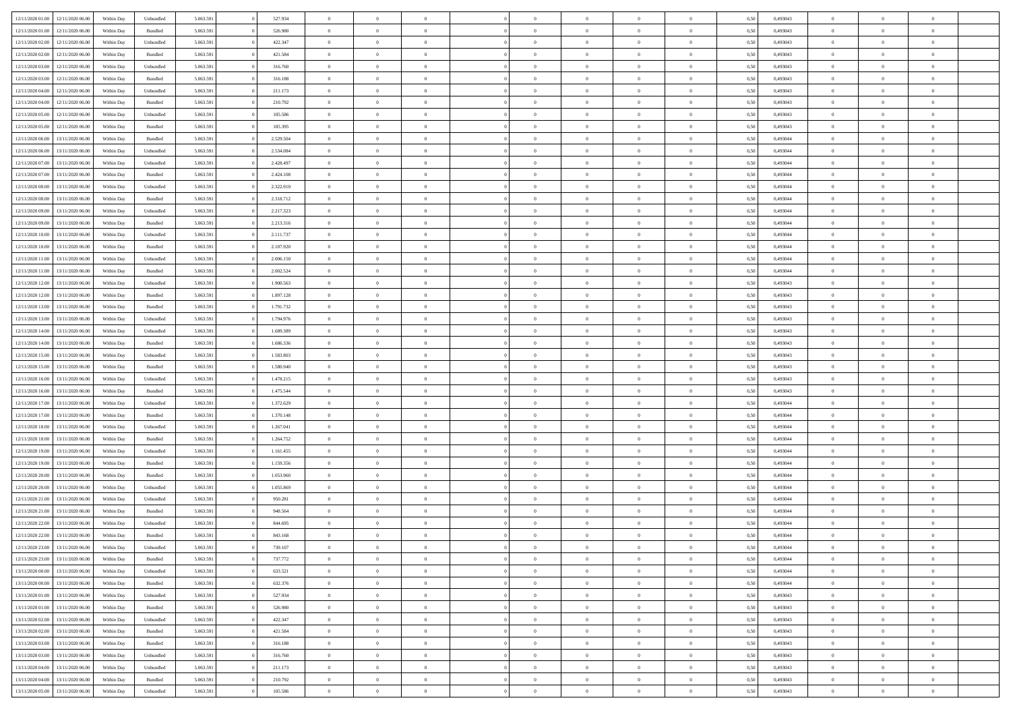| 12/11/2020 01:00 | 12/11/2020 06.00 | Within Dav | Unbundled | 5.063.591 | 527.934   | $\overline{0}$ | $\Omega$       |                | $\Omega$       | $\Omega$       | $\Omega$       | $\theta$       | 0.50 | 0,493043 | $\theta$       | $\theta$       | $\theta$       |  |
|------------------|------------------|------------|-----------|-----------|-----------|----------------|----------------|----------------|----------------|----------------|----------------|----------------|------|----------|----------------|----------------|----------------|--|
|                  |                  |            |           |           |           |                |                |                |                |                |                |                |      |          |                |                |                |  |
| 12/11/2020 01:00 | 12/11/2020 06.00 | Within Day | Bundled   | 5.063.591 | 526.980   | $\overline{0}$ | $\theta$       | $\overline{0}$ | $\overline{0}$ | $\bf{0}$       | $\overline{0}$ | $\bf{0}$       | 0,50 | 0,493043 | $\theta$       | $\overline{0}$ | $\overline{0}$ |  |
| 12/11/2020 02:00 | 12/11/2020 06.00 | Within Day | Unbundled | 5.063.591 | 422.347   | $\overline{0}$ | $\overline{0}$ | $\overline{0}$ | $\bf{0}$       | $\bf{0}$       | $\bf{0}$       | $\bf{0}$       | 0,50 | 0,493043 | $\bf{0}$       | $\overline{0}$ | $\overline{0}$ |  |
| 12/11/2020 02:00 | 12/11/2020 06:00 | Within Day | Bundled   | 5.063.591 | 421.584   | $\overline{0}$ | $\overline{0}$ | $\overline{0}$ | $\overline{0}$ | $\bf{0}$       | $\overline{0}$ | $\overline{0}$ | 0.50 | 0,493043 | $\theta$       | $\theta$       | $\overline{0}$ |  |
| 12/11/2020 03:00 | 12/11/2020 06.00 | Within Day | Unbundled | 5.063.591 | 316.760   | $\overline{0}$ | $\theta$       | $\overline{0}$ | $\overline{0}$ | $\bf{0}$       | $\overline{0}$ | $\bf{0}$       | 0,50 | 0,493043 | $\theta$       | $\theta$       | $\overline{0}$ |  |
|                  |                  |            |           |           |           |                |                |                |                |                |                |                |      |          |                |                |                |  |
| 12/11/2020 03:00 | 12/11/2020 06.00 | Within Day | Bundled   | 5.063.591 | 316.188   | $\overline{0}$ | $\bf{0}$       | $\overline{0}$ | $\bf{0}$       | $\overline{0}$ | $\overline{0}$ | $\mathbf{0}$   | 0,50 | 0,493043 | $\bf{0}$       | $\overline{0}$ | $\bf{0}$       |  |
| 12/11/2020 04:00 | 12/11/2020 06.00 | Within Dav | Unbundled | 5.063.591 | 211.173   | $\overline{0}$ | $\overline{0}$ | $\overline{0}$ | $\overline{0}$ | $\overline{0}$ | $\overline{0}$ | $\overline{0}$ | 0.50 | 0,493043 | $\theta$       | $\overline{0}$ | $\overline{0}$ |  |
| 12/11/2020 04:00 | 12/11/2020 06.00 | Within Day | Bundled   | 5.063.591 | 210.792   | $\overline{0}$ | $\theta$       | $\overline{0}$ | $\overline{0}$ | $\bf{0}$       | $\overline{0}$ | $\bf{0}$       | 0,50 | 0,493043 | $\theta$       | $\theta$       | $\overline{0}$ |  |
| 12/11/2020 05:00 | 12/11/2020 06.00 | Within Day | Unbundled | 5.063.591 | 105.586   | $\overline{0}$ | $\overline{0}$ | $\overline{0}$ | $\bf{0}$       | $\bf{0}$       | $\bf{0}$       | $\bf{0}$       | 0,50 | 0,493043 | $\,0\,$        | $\overline{0}$ | $\overline{0}$ |  |
| 12/11/2020 05:00 | 12/11/2020 06:00 | Within Dav | Bundled   | 5.063.591 | 105.395   | $\overline{0}$ | $\overline{0}$ | $\overline{0}$ | $\overline{0}$ | $\overline{0}$ | $\overline{0}$ | $\overline{0}$ | 0.50 | 0,493043 | $\theta$       | $\overline{0}$ | $\overline{0}$ |  |
| 12/11/2020 06:00 | 13/11/2020 06.00 | Within Day | Bundled   | 5.063.591 | 2.529.504 | $\overline{0}$ | $\theta$       | $\overline{0}$ | $\overline{0}$ | $\bf{0}$       | $\overline{0}$ | $\bf{0}$       | 0,50 | 0,493044 | $\,$ 0 $\,$    | $\overline{0}$ | $\overline{0}$ |  |
|                  |                  |            |           |           |           |                |                |                |                |                |                |                |      |          |                |                |                |  |
| 12/11/2020 06:00 | 13/11/2020 06.00 | Within Day | Unbundled | 5.063.591 | 2.534.084 | $\overline{0}$ | $\overline{0}$ | $\overline{0}$ | $\bf{0}$       | $\bf{0}$       | $\bf{0}$       | $\bf{0}$       | 0,50 | 0,493044 | $\bf{0}$       | $\overline{0}$ | $\overline{0}$ |  |
| 12/11/2020 07.00 | 13/11/2020 06:00 | Within Day | Unbundled | 5.063.591 | 2.428.497 | $\overline{0}$ | $\overline{0}$ | $\overline{0}$ | $\overline{0}$ | $\bf{0}$       | $\overline{0}$ | $\overline{0}$ | 0.50 | 0,493044 | $\theta$       | $\theta$       | $\overline{0}$ |  |
| 12/11/2020 07:00 | 13/11/2020 06.00 | Within Day | Bundled   | 5.063.591 | 2.424.108 | $\overline{0}$ | $\theta$       | $\overline{0}$ | $\overline{0}$ | $\bf{0}$       | $\overline{0}$ | $\bf{0}$       | 0,50 | 0,493044 | $\theta$       | $\theta$       | $\overline{0}$ |  |
| 12/11/2020 08:00 | 13/11/2020 06.00 | Within Day | Unbundled | 5.063.591 | 2.322.910 | $\overline{0}$ | $\bf{0}$       | $\overline{0}$ | $\bf{0}$       | $\overline{0}$ | $\overline{0}$ | $\mathbf{0}$   | 0,50 | 0,493044 | $\bf{0}$       | $\overline{0}$ | $\bf{0}$       |  |
| 12/11/2020 08:00 | 13/11/2020 06:00 | Within Dav | Bundled   | 5.063.591 | 2.318.712 | $\overline{0}$ | $\overline{0}$ | $\overline{0}$ | $\overline{0}$ | $\overline{0}$ | $\overline{0}$ | $\overline{0}$ | 0.50 | 0,493044 | $\theta$       | $\overline{0}$ | $\overline{0}$ |  |
| 12/11/2020 09:00 | 13/11/2020 06.00 | Within Day | Unbundled | 5.063.591 | 2.217.323 | $\overline{0}$ | $\theta$       | $\overline{0}$ | $\overline{0}$ | $\bf{0}$       | $\overline{0}$ | $\bf{0}$       | 0,50 | 0,493044 | $\theta$       | $\theta$       | $\overline{0}$ |  |
| 12/11/2020 09:00 | 13/11/2020 06.00 | Within Day | Bundled   | 5.063.591 | 2.213.316 | $\overline{0}$ | $\overline{0}$ | $\overline{0}$ | $\bf{0}$       | $\bf{0}$       | $\bf{0}$       | $\bf{0}$       | 0,50 | 0,493044 | $\,0\,$        | $\overline{0}$ | $\overline{0}$ |  |
| 12/11/2020 10:00 | 13/11/2020 06.00 | Within Day | Unbundled | 5.063.591 | 2.111.737 | $\overline{0}$ | $\overline{0}$ | $\overline{0}$ | $\overline{0}$ | $\overline{0}$ | $\overline{0}$ | $\overline{0}$ | 0.50 | 0,493044 | $\theta$       | $\overline{0}$ | $\overline{0}$ |  |
|                  |                  |            |           |           |           |                |                |                |                |                |                |                |      |          |                |                |                |  |
| 12/11/2020 10:00 | 13/11/2020 06.00 | Within Day | Bundled   | 5.063.591 | 2.107.920 | $\overline{0}$ | $\theta$       | $\overline{0}$ | $\overline{0}$ | $\bf{0}$       | $\overline{0}$ | $\bf{0}$       | 0,50 | 0,493044 | $\,$ 0 $\,$    | $\theta$       | $\overline{0}$ |  |
| 12/11/2020 11:00 | 13/11/2020 06.00 | Within Day | Unbundled | 5.063.591 | 2.006.150 | $\overline{0}$ | $\overline{0}$ | $\overline{0}$ | $\bf{0}$       | $\bf{0}$       | $\bf{0}$       | $\bf{0}$       | 0,50 | 0,493044 | $\bf{0}$       | $\overline{0}$ | $\overline{0}$ |  |
| 12/11/2020 11:00 | 13/11/2020 06:00 | Within Day | Bundled   | 5.063.591 | 2.002.524 | $\overline{0}$ | $\overline{0}$ | $\overline{0}$ | $\overline{0}$ | $\bf{0}$       | $\overline{0}$ | $\overline{0}$ | 0.50 | 0.493044 | $\theta$       | $\theta$       | $\overline{0}$ |  |
| 12/11/2020 12:00 | 13/11/2020 06.00 | Within Day | Unbundled | 5.063.591 | 1.900.563 | $\overline{0}$ | $\theta$       | $\overline{0}$ | $\overline{0}$ | $\bf{0}$       | $\overline{0}$ | $\bf{0}$       | 0,50 | 0,493043 | $\,$ 0 $\,$    | $\overline{0}$ | $\overline{0}$ |  |
| 12/11/2020 12:00 | 13/11/2020 06.00 | Within Day | Bundled   | 5.063.591 | 1.897.128 | $\overline{0}$ | $\bf{0}$       | $\overline{0}$ | $\bf{0}$       | $\overline{0}$ | $\overline{0}$ | $\mathbf{0}$   | 0,50 | 0,493043 | $\overline{0}$ | $\overline{0}$ | $\bf{0}$       |  |
| 12/11/2020 13:00 | 13/11/2020 06:00 | Within Day | Bundled   | 5.063.591 | 1.791.732 | $\overline{0}$ | $\overline{0}$ | $\overline{0}$ | $\overline{0}$ | $\overline{0}$ | $\overline{0}$ | $\overline{0}$ | 0.50 | 0,493043 | $\theta$       | $\overline{0}$ | $\overline{0}$ |  |
| 12/11/2020 13:00 | 13/11/2020 06.00 |            |           | 5.063.591 | 1.794.976 | $\overline{0}$ | $\theta$       | $\overline{0}$ | $\overline{0}$ | $\bf{0}$       | $\overline{0}$ |                |      | 0,493043 | $\theta$       | $\theta$       | $\overline{0}$ |  |
|                  |                  | Within Day | Unbundled |           |           |                |                |                |                |                |                | $\bf{0}$       | 0,50 |          |                |                |                |  |
| 12/11/2020 14:00 | 13/11/2020 06.00 | Within Day | Unbundled | 5.063.591 | 1.689.389 | $\overline{0}$ | $\overline{0}$ | $\overline{0}$ | $\bf{0}$       | $\bf{0}$       | $\bf{0}$       | $\bf{0}$       | 0,50 | 0,493043 | $\,0\,$        | $\overline{0}$ | $\overline{0}$ |  |
| 12/11/2020 14:00 | 13/11/2020 06:00 | Within Day | Bundled   | 5.063.591 | 1.686.336 | $\overline{0}$ | $\overline{0}$ | $\overline{0}$ | $\overline{0}$ | $\overline{0}$ | $\overline{0}$ | $\overline{0}$ | 0.50 | 0,493043 | $\theta$       | $\overline{0}$ | $\overline{0}$ |  |
| 12/11/2020 15:00 | 13/11/2020 06.00 | Within Day | Unbundled | 5.063.591 | 1.583.803 | $\overline{0}$ | $\theta$       | $\overline{0}$ | $\overline{0}$ | $\bf{0}$       | $\overline{0}$ | $\bf{0}$       | 0,50 | 0,493043 | $\,$ 0 $\,$    | $\overline{0}$ | $\overline{0}$ |  |
| 12/11/2020 15:00 | 13/11/2020 06.00 | Within Day | Bundled   | 5.063.591 | 1.580.940 | $\overline{0}$ | $\overline{0}$ | $\overline{0}$ | $\bf{0}$       | $\bf{0}$       | $\bf{0}$       | $\bf{0}$       | 0,50 | 0,493043 | $\overline{0}$ | $\overline{0}$ | $\overline{0}$ |  |
| 12/11/2020 16:00 | 13/11/2020 06.00 | Within Day | Unbundled | 5.063.591 | 1.478.215 | $\overline{0}$ | $\Omega$       | $\Omega$       | $\Omega$       | $\Omega$       | $\overline{0}$ | $\overline{0}$ | 0,50 | 0,493043 | $\,0\,$        | $\theta$       | $\theta$       |  |
| 12/11/2020 16:00 | 13/11/2020 06.00 | Within Day | Bundled   | 5.063.591 | 1.475.544 | $\overline{0}$ | $\theta$       | $\overline{0}$ | $\overline{0}$ | $\bf{0}$       | $\overline{0}$ | $\bf{0}$       | 0,50 | 0,493043 | $\theta$       | $\theta$       | $\overline{0}$ |  |
|                  |                  |            |           |           |           |                |                |                |                |                |                |                |      |          |                |                |                |  |
| 12/11/2020 17:00 | 13/11/2020 06.00 | Within Day | Unbundled | 5.063.591 | 1.372.629 | $\overline{0}$ | $\overline{0}$ | $\overline{0}$ | $\bf{0}$       | $\bf{0}$       | $\overline{0}$ | $\mathbf{0}$   | 0,50 | 0,493044 | $\bf{0}$       | $\overline{0}$ | $\bf{0}$       |  |
| 12/11/2020 17:00 | 13/11/2020 06.00 | Within Day | Bundled   | 5.063.591 | 1.370.148 | $\overline{0}$ | $\Omega$       | $\Omega$       | $\Omega$       | $\bf{0}$       | $\overline{0}$ | $\overline{0}$ | 0.50 | 0,493044 | $\theta$       | $\theta$       | $\theta$       |  |
| 12/11/2020 18:00 | 13/11/2020 06.00 | Within Day | Unbundled | 5.063.591 | 1.267.041 | $\overline{0}$ | $\theta$       | $\overline{0}$ | $\overline{0}$ | $\bf{0}$       | $\overline{0}$ | $\bf{0}$       | 0,50 | 0,493044 | $\,$ 0 $\,$    | $\theta$       | $\overline{0}$ |  |
| 12/11/2020 18:00 | 13/11/2020 06.00 | Within Day | Bundled   | 5.063.591 | 1.264.752 | $\overline{0}$ | $\overline{0}$ | $\overline{0}$ | $\bf{0}$       | $\bf{0}$       | $\bf{0}$       | $\bf{0}$       | 0,50 | 0,493044 | $\bf{0}$       | $\overline{0}$ | $\overline{0}$ |  |
| 12/11/2020 19:00 | 13/11/2020 06.00 | Within Day | Unbundled | 5.063.591 | 1.161.455 | $\overline{0}$ | $\Omega$       | $\Omega$       | $\Omega$       | $\theta$       | $\overline{0}$ | $\overline{0}$ | 0.50 | 0,493044 | $\theta$       | $\theta$       | $\theta$       |  |
| 12/11/2020 19:00 | 13/11/2020 06.00 | Within Day | Bundled   | 5.063.591 | 1.159.356 | $\overline{0}$ | $\theta$       | $\overline{0}$ | $\overline{0}$ | $\,$ 0         | $\overline{0}$ | $\bf{0}$       | 0,50 | 0,493044 | $\,$ 0 $\,$    | $\overline{0}$ | $\overline{0}$ |  |
| 12/11/2020 20:00 | 13/11/2020 06.00 | Within Day | Bundled   | 5.063.591 | 1.053.960 | $\overline{0}$ | $\overline{0}$ | $\overline{0}$ | $\bf{0}$       | $\bf{0}$       | $\bf{0}$       | $\bf{0}$       | 0,50 | 0,493044 | $\bf{0}$       | $\overline{0}$ | $\overline{0}$ |  |
|                  |                  |            |           |           |           |                |                |                |                |                |                |                |      |          |                |                |                |  |
| 12/11/2020 20:00 | 13/11/2020 06.00 | Within Day | Unbundled | 5.063.591 | 1.055.869 | $\overline{0}$ | $\Omega$       | $\overline{0}$ | $\Omega$       | $\overline{0}$ | $\overline{0}$ | $\overline{0}$ | 0,50 | 0,493044 | $\,0\,$        | $\theta$       | $\theta$       |  |
| 12/11/2020 21.00 | 13/11/2020 06.00 | Within Day | Unbundled | 5.063.591 | 950.281   | $\overline{0}$ | $\theta$       | $\overline{0}$ | $\overline{0}$ | $\,$ 0         | $\overline{0}$ | $\bf{0}$       | 0,50 | 0,493044 | $\,$ 0 $\,$    | $\overline{0}$ | $\overline{0}$ |  |
| 12/11/2020 21:00 | 13/11/2020 06.00 | Within Day | Bundled   | 5.063.591 | 948.564   | $\overline{0}$ | $\overline{0}$ | $\overline{0}$ | $\bf{0}$       | $\bf{0}$       | $\bf{0}$       | $\mathbf{0}$   | 0,50 | 0,493044 | $\bf{0}$       | $\overline{0}$ | $\bf{0}$       |  |
| 12/11/2020 22.00 | 13/11/2020 06.00 | Within Day | Unbundled | 5.063.591 | 844,695   | $\overline{0}$ | $\Omega$       | $\Omega$       | $\Omega$       | $\Omega$       | $\Omega$       | $\overline{0}$ | 0.50 | 0,493044 | $\theta$       | $\theta$       | $\theta$       |  |
| 12/11/2020 22.00 | 13/11/2020 06.00 | Within Day | Bundled   | 5.063.591 | 843.168   | $\overline{0}$ | $\,$ 0 $\,$    | $\overline{0}$ | $\bf{0}$       | $\,$ 0         | $\bf{0}$       | $\bf{0}$       | 0,50 | 0,493044 | $\,0\,$        | $\overline{0}$ | $\overline{0}$ |  |
| 12/11/2020 23:00 | 13/11/2020 06.00 | Within Day | Unbundled | 5.063.591 | 739.107   | $\bf{0}$       | $\bf{0}$       |                |                |                |                |                | 0,50 | 0,493044 | $\bf{0}$       | $\overline{0}$ |                |  |
| 12/11/2020 23.00 | 13/11/2020 06:00 | Within Day | Bundled   | 5.063.591 | 737.772   | $\overline{0}$ | $\overline{0}$ | $\overline{0}$ | $\Omega$       | $\overline{0}$ | $\overline{0}$ | $\overline{0}$ | 0,50 | 0,493044 | $\theta$       | $\theta$       | $\theta$       |  |
| 13/11/2020 00:00 | 13/11/2020 06.00 | Within Day | Unbundled | 5.063.591 | 633.521   | $\overline{0}$ | $\bf{0}$       | $\overline{0}$ | $\bf{0}$       | $\,$ 0 $\,$    | $\overline{0}$ | $\,$ 0 $\,$    | 0,50 | 0,493044 | $\,$ 0 $\,$    | $\,$ 0 $\,$    | $\,$ 0         |  |
|                  |                  |            |           |           |           |                |                |                |                |                |                |                |      |          |                |                |                |  |
| 13/11/2020 00:00 | 13/11/2020 06.00 | Within Day | Bundled   | 5.063.591 | 632.376   | $\overline{0}$ | $\overline{0}$ | $\overline{0}$ | $\overline{0}$ | $\overline{0}$ | $\overline{0}$ | $\mathbf{0}$   | 0,50 | 0,493044 | $\overline{0}$ | $\bf{0}$       | $\bf{0}$       |  |
| 13/11/2020 01:00 | 13/11/2020 06.00 | Within Day | Unbundled | 5.063.591 | 527.934   | $\overline{0}$ | $\overline{0}$ | $\overline{0}$ | $\Omega$       | $\overline{0}$ | $\overline{0}$ | $\overline{0}$ | 0,50 | 0,493043 | $\overline{0}$ | $\,$ 0 $\,$    | $\overline{0}$ |  |
| 13/11/2020 01:00 | 13/11/2020 06.00 | Within Day | Bundled   | 5.063.591 | 526.980   | $\overline{0}$ | $\,$ 0         | $\overline{0}$ | $\bf{0}$       | $\,$ 0 $\,$    | $\overline{0}$ | $\mathbf{0}$   | 0,50 | 0,493043 | $\,$ 0 $\,$    | $\overline{0}$ | $\overline{0}$ |  |
| 13/11/2020 02.00 | 13/11/2020 06.00 | Within Day | Unbundled | 5.063.591 | 422.347   | $\overline{0}$ | $\overline{0}$ | $\overline{0}$ | $\overline{0}$ | $\overline{0}$ | $\overline{0}$ | $\mathbf{0}$   | 0,50 | 0,493043 | $\overline{0}$ | $\overline{0}$ | $\bf{0}$       |  |
| 13/11/2020 02:00 | 13/11/2020 06.00 | Within Day | Bundled   | 5.063.591 | 421.584   | $\overline{0}$ | $\overline{0}$ | $\overline{0}$ | $\overline{0}$ | $\overline{0}$ | $\overline{0}$ | $\bf{0}$       | 0.50 | 0,493043 | $\overline{0}$ | $\theta$       | $\overline{0}$ |  |
| 13/11/2020 03:00 | 13/11/2020 06.00 | Within Day | Bundled   | 5.063.591 | 316.188   | $\overline{0}$ | $\,$ 0         | $\overline{0}$ | $\bf{0}$       | $\bf{0}$       | $\bf{0}$       | $\bf{0}$       | 0,50 | 0,493043 | $\,$ 0 $\,$    | $\overline{0}$ | $\overline{0}$ |  |
| 13/11/2020 03:00 | 13/11/2020 06.00 | Within Day | Unbundled | 5.063.591 | 316.760   | $\overline{0}$ | $\bf{0}$       | $\overline{0}$ | $\overline{0}$ | $\overline{0}$ | $\overline{0}$ | $\mathbf{0}$   | 0,50 | 0,493043 | $\overline{0}$ | $\overline{0}$ | $\bf{0}$       |  |
|                  |                  |            |           |           |           |                |                |                |                |                |                |                |      |          |                |                |                |  |
| 13/11/2020 04:00 | 13/11/2020 06.00 | Within Day | Unbundled | 5.063.591 | 211.173   | $\overline{0}$ | $\overline{0}$ | $\overline{0}$ | $\Omega$       | $\overline{0}$ | $\overline{0}$ | $\overline{0}$ | 0.50 | 0,493043 | $\overline{0}$ | $\overline{0}$ | $\overline{0}$ |  |
| 13/11/2020 04:00 | 13/11/2020 06.00 | Within Day | Bundled   | 5.063.591 | 210.792   | $\overline{0}$ | $\bf{0}$       | $\overline{0}$ | $\bf{0}$       | $\bf{0}$       | $\bf{0}$       | $\mathbf{0}$   | 0,50 | 0,493043 | $\,$ 0 $\,$    | $\,$ 0 $\,$    | $\bf{0}$       |  |
| 13/11/2020 05:00 | 13/11/2020 06.00 | Within Day | Unbundled | 5.063.591 | 105.586   | $\overline{0}$ | $\overline{0}$ | $\overline{0}$ | $\overline{0}$ | $\overline{0}$ | $\bf{0}$       | $\mathbf{0}$   | 0,50 | 0,493043 | $\overline{0}$ | $\bf{0}$       | $\bf{0}$       |  |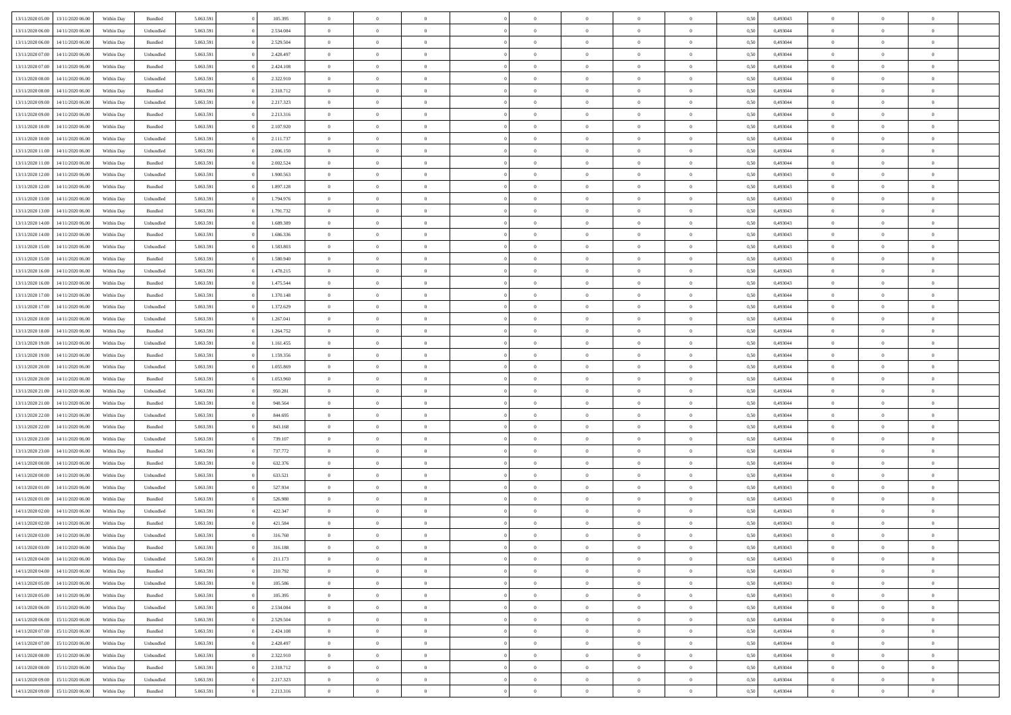| 13/11/2020 05:00 | 13/11/2020 06:00 | Within Dav | Bundled            | 5.063.591 | 105.395   | $\overline{0}$ | $\theta$       |                | $\Omega$       | $\Omega$       | $\Omega$       | $\theta$       | 0.50 | 0,493043 | $\theta$       | $\theta$       | $\theta$       |  |
|------------------|------------------|------------|--------------------|-----------|-----------|----------------|----------------|----------------|----------------|----------------|----------------|----------------|------|----------|----------------|----------------|----------------|--|
|                  |                  |            |                    |           |           |                |                |                |                |                |                |                |      |          |                |                |                |  |
| 13/11/2020 06.00 | 14/11/2020 06.00 | Within Day | Unbundled          | 5.063.591 | 2.534.084 | $\overline{0}$ | $\theta$       | $\overline{0}$ | $\overline{0}$ | $\bf{0}$       | $\overline{0}$ | $\bf{0}$       | 0,50 | 0,493044 | $\theta$       | $\overline{0}$ | $\overline{0}$ |  |
| 13/11/2020 06:00 | 14/11/2020 06.00 | Within Day | Bundled            | 5.063.591 | 2.529.504 | $\overline{0}$ | $\overline{0}$ | $\overline{0}$ | $\bf{0}$       | $\bf{0}$       | $\bf{0}$       | $\bf{0}$       | 0,50 | 0,493044 | $\bf{0}$       | $\overline{0}$ | $\overline{0}$ |  |
| 13/11/2020 07:00 | 14/11/2020 06:00 | Within Dav | Unbundled          | 5.063.591 | 2.428.497 | $\overline{0}$ | $\overline{0}$ | $\overline{0}$ | $\overline{0}$ | $\bf{0}$       | $\overline{0}$ | $\overline{0}$ | 0.50 | 0.493044 | $\theta$       | $\theta$       | $\overline{0}$ |  |
| 13/11/2020 07:00 | 14/11/2020 06.00 | Within Day | Bundled            | 5.063.591 | 2.424.108 | $\overline{0}$ | $\theta$       | $\overline{0}$ | $\overline{0}$ | $\bf{0}$       | $\overline{0}$ | $\bf{0}$       | 0,50 | 0,493044 | $\theta$       | $\theta$       | $\overline{0}$ |  |
| 13/11/2020 08:00 | 14/11/2020 06.00 | Within Day | Unbundled          | 5.063.591 | 2.322.910 | $\overline{0}$ | $\bf{0}$       | $\overline{0}$ | $\bf{0}$       | $\overline{0}$ | $\overline{0}$ | $\mathbf{0}$   | 0,50 | 0,493044 | $\overline{0}$ | $\overline{0}$ | $\bf{0}$       |  |
| 13/11/2020 08:00 | 14/11/2020 06.00 | Within Dav | Bundled            | 5.063.591 | 2.318.712 | $\overline{0}$ | $\overline{0}$ | $\overline{0}$ | $\overline{0}$ | $\overline{0}$ | $\overline{0}$ | $\overline{0}$ | 0.50 | 0,493044 | $\theta$       | $\overline{0}$ | $\overline{0}$ |  |
|                  |                  |            |                    |           |           |                |                |                |                |                |                |                |      |          |                |                |                |  |
| 13/11/2020 09:00 | 14/11/2020 06.00 | Within Day | Unbundled          | 5.063.591 | 2.217.323 | $\overline{0}$ | $\theta$       | $\overline{0}$ | $\overline{0}$ | $\bf{0}$       | $\overline{0}$ | $\bf{0}$       | 0,50 | 0,493044 | $\theta$       | $\theta$       | $\overline{0}$ |  |
| 13/11/2020 09:00 | 14/11/2020 06.00 | Within Day | Bundled            | 5.063.591 | 2.213.316 | $\overline{0}$ | $\overline{0}$ | $\overline{0}$ | $\bf{0}$       | $\bf{0}$       | $\bf{0}$       | $\bf{0}$       | 0,50 | 0,493044 | $\,0\,$        | $\overline{0}$ | $\overline{0}$ |  |
| 13/11/2020 10:00 | 14/11/2020 06.00 | Within Dav | Bundled            | 5.063.591 | 2.107.920 | $\overline{0}$ | $\overline{0}$ | $\overline{0}$ | $\overline{0}$ | $\overline{0}$ | $\overline{0}$ | $\overline{0}$ | 0.50 | 0,493044 | $\theta$       | $\overline{0}$ | $\overline{0}$ |  |
| 13/11/2020 10:00 | 14/11/2020 06.00 | Within Day | Unbundled          | 5.063.591 | 2.111.737 | $\overline{0}$ | $\theta$       | $\overline{0}$ | $\overline{0}$ | $\bf{0}$       | $\overline{0}$ | $\bf{0}$       | 0,50 | 0,493044 | $\,$ 0 $\,$    | $\theta$       | $\overline{0}$ |  |
| 13/11/2020 11:00 | 14/11/2020 06.00 | Within Day | Unbundled          | 5.063.591 | 2.006.150 | $\overline{0}$ | $\overline{0}$ | $\overline{0}$ | $\bf{0}$       | $\bf{0}$       | $\bf{0}$       | $\bf{0}$       | 0,50 | 0,493044 | $\overline{0}$ | $\overline{0}$ | $\overline{0}$ |  |
| 13/11/2020 11:00 | 14/11/2020 06:00 | Within Day | Bundled            | 5.063.591 | 2.002.524 | $\overline{0}$ | $\overline{0}$ | $\overline{0}$ | $\overline{0}$ | $\bf{0}$       | $\overline{0}$ | $\overline{0}$ | 0.50 | 0,493044 | $\theta$       | $\theta$       | $\overline{0}$ |  |
| 13/11/2020 12:00 | 14/11/2020 06.00 | Within Day | Unbundled          | 5.063.591 | 1.900.563 | $\overline{0}$ | $\theta$       | $\overline{0}$ | $\overline{0}$ | $\bf{0}$       | $\overline{0}$ | $\bf{0}$       | 0,50 | 0,493043 | $\theta$       | $\overline{0}$ | $\overline{0}$ |  |
|                  |                  |            |                    |           |           |                |                |                |                |                |                |                |      |          |                |                |                |  |
| 13/11/2020 12:00 | 14/11/2020 06.00 | Within Day | Bundled            | 5.063.591 | 1.897.128 | $\overline{0}$ | $\bf{0}$       | $\overline{0}$ | $\bf{0}$       | $\overline{0}$ | $\overline{0}$ | $\mathbf{0}$   | 0,50 | 0,493043 | $\overline{0}$ | $\overline{0}$ | $\bf{0}$       |  |
| 13/11/2020 13:00 | 14/11/2020 06.00 | Within Dav | Unbundled          | 5.063.591 | 1.794.976 | $\overline{0}$ | $\overline{0}$ | $\overline{0}$ | $\overline{0}$ | $\overline{0}$ | $\overline{0}$ | $\overline{0}$ | 0.50 | 0,493043 | $\theta$       | $\overline{0}$ | $\overline{0}$ |  |
| 13/11/2020 13:00 | 14/11/2020 06.00 | Within Day | Bundled            | 5.063.591 | 1.791.732 | $\overline{0}$ | $\theta$       | $\overline{0}$ | $\overline{0}$ | $\bf{0}$       | $\overline{0}$ | $\bf{0}$       | 0,50 | 0,493043 | $\theta$       | $\theta$       | $\overline{0}$ |  |
| 13/11/2020 14:00 | 14/11/2020 06.00 | Within Day | Unbundled          | 5.063.591 | 1.689.389 | $\overline{0}$ | $\overline{0}$ | $\overline{0}$ | $\bf{0}$       | $\bf{0}$       | $\bf{0}$       | $\bf{0}$       | 0,50 | 0,493043 | $\,0\,$        | $\overline{0}$ | $\overline{0}$ |  |
| 13/11/2020 14:00 | 14/11/2020 06.00 | Within Day | Bundled            | 5.063.591 | 1.686.336 | $\overline{0}$ | $\overline{0}$ | $\overline{0}$ | $\overline{0}$ | $\overline{0}$ | $\overline{0}$ | $\overline{0}$ | 0.50 | 0,493043 | $\theta$       | $\overline{0}$ | $\overline{0}$ |  |
| 13/11/2020 15:00 | 14/11/2020 06.00 | Within Day | Unbundled          | 5.063.591 | 1.583.803 | $\overline{0}$ | $\theta$       | $\overline{0}$ | $\overline{0}$ | $\bf{0}$       | $\overline{0}$ | $\bf{0}$       | 0,50 | 0,493043 | $\theta$       | $\theta$       | $\overline{0}$ |  |
| 13/11/2020 15:00 | 14/11/2020 06.00 | Within Day | Bundled            | 5.063.591 | 1.580.940 | $\overline{0}$ | $\overline{0}$ | $\overline{0}$ | $\bf{0}$       | $\bf{0}$       | $\bf{0}$       | $\bf{0}$       | 0,50 | 0,493043 | $\,0\,$        | $\overline{0}$ | $\overline{0}$ |  |
|                  | 14/11/2020 06:00 |            | Unbundled          | 5.063.591 | 1.478.215 | $\overline{0}$ | $\overline{0}$ |                |                | $\bf{0}$       | $\overline{0}$ |                | 0.50 | 0.493043 | $\theta$       | $\theta$       | $\overline{0}$ |  |
| 13/11/2020 16:00 |                  | Within Day |                    |           |           |                |                | $\overline{0}$ | $\overline{0}$ |                |                | $\overline{0}$ |      |          |                |                |                |  |
| 13/11/2020 16:00 | 14/11/2020 06.00 | Within Day | Bundled            | 5.063.591 | 1.475.544 | $\overline{0}$ | $\theta$       | $\overline{0}$ | $\overline{0}$ | $\bf{0}$       | $\overline{0}$ | $\bf{0}$       | 0,50 | 0,493043 | $\,$ 0 $\,$    | $\overline{0}$ | $\overline{0}$ |  |
| 13/11/2020 17.00 | 14/11/2020 06.00 | Within Day | Bundled            | 5.063.591 | 1.370.148 | $\overline{0}$ | $\bf{0}$       | $\overline{0}$ | $\bf{0}$       | $\overline{0}$ | $\overline{0}$ | $\mathbf{0}$   | 0,50 | 0,493044 | $\overline{0}$ | $\overline{0}$ | $\bf{0}$       |  |
| 13/11/2020 17:00 | 14/11/2020 06.00 | Within Dav | Unbundled          | 5.063.591 | 1.372.629 | $\overline{0}$ | $\overline{0}$ | $\overline{0}$ | $\overline{0}$ | $\overline{0}$ | $\overline{0}$ | $\overline{0}$ | 0.50 | 0,493044 | $\theta$       | $\overline{0}$ | $\overline{0}$ |  |
| 13/11/2020 18:00 | 14/11/2020 06.00 | Within Day | Unbundled          | 5.063.591 | 1.267.041 | $\overline{0}$ | $\theta$       | $\overline{0}$ | $\overline{0}$ | $\bf{0}$       | $\overline{0}$ | $\bf{0}$       | 0,50 | 0,493044 | $\theta$       | $\theta$       | $\overline{0}$ |  |
| 13/11/2020 18:00 | 14/11/2020 06.00 | Within Day | Bundled            | 5.063.591 | 1.264.752 | $\overline{0}$ | $\overline{0}$ | $\overline{0}$ | $\bf{0}$       | $\bf{0}$       | $\bf{0}$       | $\bf{0}$       | 0,50 | 0,493044 | $\,0\,$        | $\overline{0}$ | $\overline{0}$ |  |
| 13/11/2020 19:00 | 14/11/2020 06:00 | Within Day | Unbundled          | 5.063.591 | 1.161.455 | $\overline{0}$ | $\overline{0}$ | $\overline{0}$ | $\overline{0}$ | $\overline{0}$ | $\overline{0}$ | $\overline{0}$ | 0.50 | 0,493044 | $\theta$       | $\overline{0}$ | $\overline{0}$ |  |
|                  |                  |            |                    |           |           | $\overline{0}$ |                |                |                |                |                |                |      |          |                |                |                |  |
| 13/11/2020 19:00 | 14/11/2020 06.00 | Within Day | Bundled            | 5.063.591 | 1.159.356 |                | $\theta$       | $\overline{0}$ | $\overline{0}$ | $\bf{0}$       | $\overline{0}$ | $\bf{0}$       | 0,50 | 0,493044 | $\,$ 0 $\,$    | $\overline{0}$ | $\overline{0}$ |  |
| 13/11/2020 20.00 | 14/11/2020 06.00 | Within Day | Unbundled          | 5.063.591 | 1.055.869 | $\overline{0}$ | $\overline{0}$ | $\overline{0}$ | $\bf{0}$       | $\bf{0}$       | $\bf{0}$       | $\bf{0}$       | 0,50 | 0,493044 | $\overline{0}$ | $\overline{0}$ | $\overline{0}$ |  |
| 13/11/2020 20:00 | 14/11/2020 06.00 | Within Day | Bundled            | 5.063.591 | 1.053.960 | $\overline{0}$ | $\Omega$       | $\Omega$       | $\Omega$       | $\Omega$       | $\Omega$       | $\overline{0}$ | 0,50 | 0,493044 | $\,0\,$        | $\theta$       | $\theta$       |  |
| 13/11/2020 21.00 | 14/11/2020 06.00 | Within Day | Unbundled          | 5.063.591 | 950.281   | $\overline{0}$ | $\theta$       | $\overline{0}$ | $\overline{0}$ | $\bf{0}$       | $\overline{0}$ | $\bf{0}$       | 0,50 | 0,493044 | $\theta$       | $\theta$       | $\overline{0}$ |  |
| 13/11/2020 21:00 | 14/11/2020 06.00 | Within Day | Bundled            | 5.063.591 | 948.564   | $\overline{0}$ | $\overline{0}$ | $\overline{0}$ | $\bf{0}$       | $\bf{0}$       | $\overline{0}$ | $\mathbf{0}$   | 0,50 | 0,493044 | $\overline{0}$ | $\overline{0}$ | $\bf{0}$       |  |
| 13/11/2020 22.00 | 14/11/2020 06.00 | Within Day | Unbundled          | 5.063.591 | 844,695   | $\overline{0}$ | $\Omega$       | $\Omega$       | $\Omega$       | $\bf{0}$       | $\overline{0}$ | $\overline{0}$ | 0.50 | 0,493044 | $\theta$       | $\theta$       | $\theta$       |  |
| 13/11/2020 22.00 | 14/11/2020 06.00 | Within Day | Bundled            | 5.063.591 | 843.168   | $\overline{0}$ | $\theta$       | $\overline{0}$ | $\overline{0}$ | $\bf{0}$       | $\overline{0}$ | $\bf{0}$       | 0,50 | 0,493044 | $\,$ 0 $\,$    | $\theta$       | $\overline{0}$ |  |
| 13/11/2020 23.00 | 14/11/2020 06.00 | Within Day | Unbundled          | 5.063.591 | 739.107   | $\overline{0}$ | $\overline{0}$ | $\overline{0}$ | $\bf{0}$       | $\bf{0}$       | $\bf{0}$       | $\bf{0}$       | 0,50 | 0,493044 | $\bf{0}$       | $\overline{0}$ | $\overline{0}$ |  |
|                  |                  |            |                    |           |           |                | $\Omega$       |                |                | $\Omega$       | $\theta$       |                |      |          |                |                | $\theta$       |  |
| 13/11/2020 23:00 | 14/11/2020 06:00 | Within Day | Bundled            | 5.063.591 | 737.772   | $\overline{0}$ |                | $\Omega$       | $\Omega$       |                |                | $\overline{0}$ | 0.50 | 0,493044 | $\theta$       | $\theta$       |                |  |
| 14/11/2020 00.00 | 14/11/2020 06.00 | Within Day | Bundled            | 5.063.591 | 632.376   | $\overline{0}$ | $\theta$       | $\overline{0}$ | $\overline{0}$ | $\bf{0}$       | $\overline{0}$ | $\bf{0}$       | 0,50 | 0,493044 | $\,$ 0 $\,$    | $\overline{0}$ | $\overline{0}$ |  |
| 14/11/2020 00:00 | 14/11/2020 06.00 | Within Day | Unbundled          | 5.063.591 | 633.521   | $\overline{0}$ | $\overline{0}$ | $\overline{0}$ | $\bf{0}$       | $\bf{0}$       | $\bf{0}$       | $\bf{0}$       | 0,50 | 0,493044 | $\overline{0}$ | $\overline{0}$ | $\overline{0}$ |  |
| 14/11/2020 01:00 | 14/11/2020 06.00 | Within Day | Unbundled          | 5.063.591 | 527.934   | $\overline{0}$ | $\Omega$       | $\Omega$       | $\Omega$       | $\Omega$       | $\overline{0}$ | $\overline{0}$ | 0,50 | 0,493043 | $\,0\,$        | $\theta$       | $\theta$       |  |
| 14/11/2020 01:00 | 14/11/2020 06.00 | Within Day | Bundled            | 5.063.591 | 526.980   | $\overline{0}$ | $\theta$       | $\overline{0}$ | $\overline{0}$ | $\,$ 0         | $\overline{0}$ | $\bf{0}$       | 0,50 | 0,493043 | $\,$ 0 $\,$    | $\overline{0}$ | $\overline{0}$ |  |
| 14/11/2020 02.00 | 14/11/2020 06.00 | Within Day | Unbundled          | 5.063.591 | 422.347   | $\overline{0}$ | $\overline{0}$ | $\overline{0}$ | $\bf{0}$       | $\bf{0}$       | $\bf{0}$       | $\mathbf{0}$   | 0,50 | 0,493043 | $\overline{0}$ | $\overline{0}$ | $\bf{0}$       |  |
| 14/11/2020 02.00 | 14/11/2020 06.00 | Within Day | Bundled            | 5.063.591 | 421.584   | $\overline{0}$ | $\Omega$       | $\Omega$       | $\Omega$       | $\Omega$       | $\Omega$       | $\overline{0}$ | 0.50 | 0,493043 | $\theta$       | $\theta$       | $\theta$       |  |
| 14/11/2020 03.00 | 14/11/2020 06.00 | Within Day | Unbundled          | 5.063.591 | 316.760   | $\overline{0}$ | $\,$ 0 $\,$    | $\overline{0}$ | $\bf{0}$       | $\,$ 0         | $\bf{0}$       | $\bf{0}$       | 0,50 | 0,493043 | $\,0\,$        | $\overline{0}$ | $\overline{0}$ |  |
| 14/11/2020 03:00 | 14/11/2020 06.00 | Within Day | $\mathbf B$ undled | 5.063.591 | 316.188   | $\bf{0}$       | $\bf{0}$       |                |                | $\bf{0}$       |                |                | 0,50 | 0,493043 | $\bf{0}$       | $\overline{0}$ |                |  |
|                  |                  |            |                    |           |           |                |                |                |                |                |                |                |      |          |                |                |                |  |
| 14/11/2020 04:00 | 14/11/2020 06:00 | Within Day | Unbundled          | 5.063.591 | 211.173   | $\overline{0}$ | $\overline{0}$ | $\overline{0}$ | $\Omega$       | $\theta$       | $\overline{0}$ | $\overline{0}$ | 0,50 | 0,493043 | $\theta$       | $\theta$       | $\theta$       |  |
| 14/11/2020 04:00 | 14/11/2020 06.00 | Within Day | Bundled            | 5.063.591 | 210.792   | $\overline{0}$ | $\,$ 0         | $\overline{0}$ | $\bf{0}$       | $\,$ 0 $\,$    | $\overline{0}$ | $\mathbf{0}$   | 0,50 | 0,493043 | $\,$ 0 $\,$    | $\,$ 0 $\,$    | $\,$ 0         |  |
| 14/11/2020 05.00 | 14/11/2020 06.00 | Within Day | Unbundled          | 5.063.591 | 105.586   | $\overline{0}$ | $\overline{0}$ | $\overline{0}$ | $\overline{0}$ | $\overline{0}$ | $\overline{0}$ | $\mathbf{0}$   | 0,50 | 0,493043 | $\overline{0}$ | $\bf{0}$       | $\bf{0}$       |  |
| 14/11/2020 05:00 | 14/11/2020 06.00 | Within Day | $\mathbf B$ undled | 5.063.591 | 105.395   | $\overline{0}$ | $\overline{0}$ | $\overline{0}$ | $\Omega$       | $\overline{0}$ | $\overline{0}$ | $\overline{0}$ | 0,50 | 0,493043 | $\overline{0}$ | $\overline{0}$ | $\overline{0}$ |  |
| 14/11/2020 06.00 | 15/11/2020 06.00 | Within Day | Unbundled          | 5.063.591 | 2.534.084 | $\overline{0}$ | $\,$ 0         | $\overline{0}$ | $\overline{0}$ | $\,$ 0 $\,$    | $\overline{0}$ | $\mathbf{0}$   | 0,50 | 0,493044 | $\,$ 0 $\,$    | $\overline{0}$ | $\overline{0}$ |  |
| 14/11/2020 06.00 | 15/11/2020 06.00 | Within Day | Bundled            | 5.063.591 | 2.529.504 | $\overline{0}$ | $\overline{0}$ | $\overline{0}$ | $\overline{0}$ | $\overline{0}$ | $\overline{0}$ | $\mathbf{0}$   | 0,50 | 0,493044 | $\overline{0}$ | $\overline{0}$ | $\bf{0}$       |  |
| 14/11/2020 07.00 | 15/11/2020 06.00 |            | Bundled            | 5.063.591 | 2.424.108 | $\overline{0}$ | $\overline{0}$ | $\overline{0}$ | $\Omega$       | $\overline{0}$ | $\overline{0}$ | $\bf{0}$       | 0.50 | 0,493044 | $\overline{0}$ | $\theta$       | $\overline{0}$ |  |
|                  |                  | Within Day |                    |           |           |                |                |                |                |                |                |                |      |          |                |                |                |  |
| 14/11/2020 07:00 | 15/11/2020 06.00 | Within Day | Unbundled          | 5.063.591 | 2.428.497 | $\overline{0}$ | $\,$ 0         | $\overline{0}$ | $\bf{0}$       | $\bf{0}$       | $\bf{0}$       | $\bf{0}$       | 0,50 | 0,493044 | $\,$ 0 $\,$    | $\overline{0}$ | $\overline{0}$ |  |
| 14/11/2020 08:00 | 15/11/2020 06.00 | Within Day | Unbundled          | 5.063.591 | 2.322.910 | $\overline{0}$ | $\bf{0}$       | $\overline{0}$ | $\overline{0}$ | $\overline{0}$ | $\overline{0}$ | $\mathbf{0}$   | 0,50 | 0,493044 | $\overline{0}$ | $\overline{0}$ | $\bf{0}$       |  |
| 14/11/2020 08:00 | 15/11/2020 06.00 | Within Day | Bundled            | 5.063.591 | 2.318.712 | $\overline{0}$ | $\overline{0}$ | $\overline{0}$ | $\Omega$       | $\overline{0}$ | $\overline{0}$ | $\overline{0}$ | 0.50 | 0,493044 | $\overline{0}$ | $\,$ 0 $\,$    | $\overline{0}$ |  |
| 14/11/2020 09:00 | 15/11/2020 06.00 | Within Day | Unbundled          | 5.063.591 | 2.217.323 | $\overline{0}$ | $\bf{0}$       | $\overline{0}$ | $\overline{0}$ | $\bf{0}$       | $\bf{0}$       | $\mathbf{0}$   | 0,50 | 0,493044 | $\,$ 0 $\,$    | $\,$ 0 $\,$    | $\bf{0}$       |  |
| 14/11/2020 09:00 | 15/11/2020 06:00 | Within Day | Bundled            | 5.063.591 | 2.213.316 | $\overline{0}$ | $\overline{0}$ | $\overline{0}$ | $\overline{0}$ | $\bf{0}$       | $\bf{0}$       | $\mathbf{0}$   | 0,50 | 0,493044 | $\overline{0}$ | $\bf{0}$       | $\bf{0}$       |  |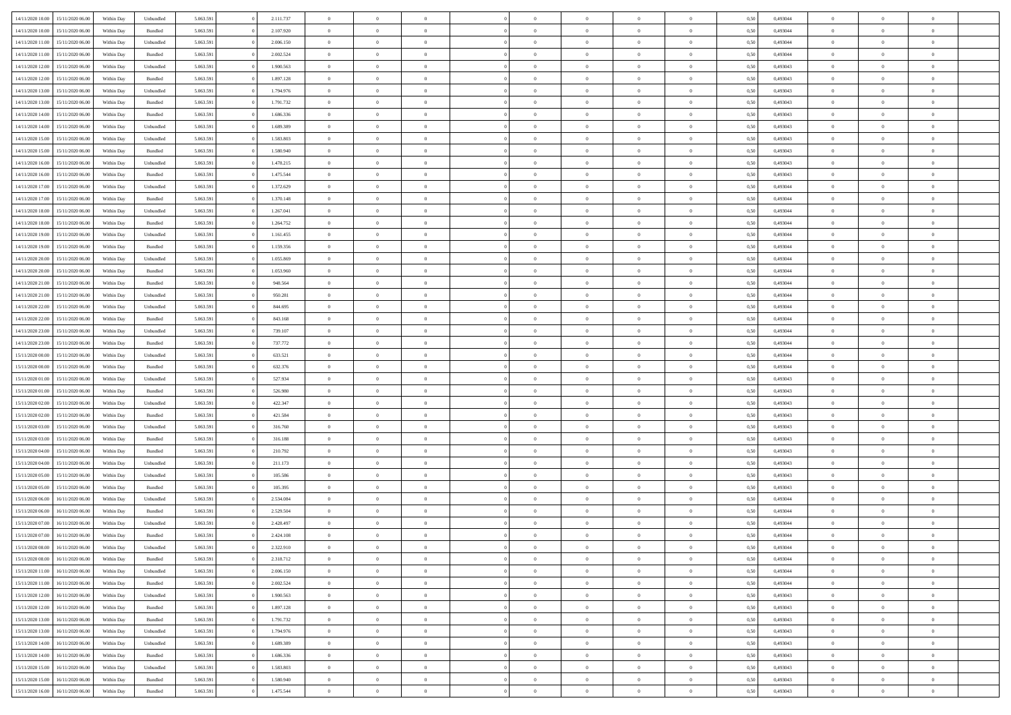| 14/11/2020 10:00 | 15/11/2020 06:00 | Within Dav | Unbundled | 5.063.591 | 2.111.737 | $\overline{0}$ | $\Omega$       |                | $\Omega$       | $\Omega$       | $\Omega$       | $\theta$       | 0,50 | 0,493044 | $\theta$       | $\theta$       | $\theta$       |  |
|------------------|------------------|------------|-----------|-----------|-----------|----------------|----------------|----------------|----------------|----------------|----------------|----------------|------|----------|----------------|----------------|----------------|--|
|                  |                  |            |           |           |           |                |                |                |                |                |                |                |      |          |                |                |                |  |
| 14/11/2020 10:00 | 15/11/2020 06.00 | Within Day | Bundled   | 5.063.591 | 2.107.920 | $\overline{0}$ | $\theta$       | $\overline{0}$ | $\overline{0}$ | $\bf{0}$       | $\overline{0}$ | $\bf{0}$       | 0,50 | 0,493044 | $\theta$       | $\overline{0}$ | $\overline{0}$ |  |
| 14/11/2020 11:00 | 15/11/2020 06.00 | Within Day | Unbundled | 5.063.591 | 2.006.150 | $\overline{0}$ | $\overline{0}$ | $\overline{0}$ | $\bf{0}$       | $\bf{0}$       | $\bf{0}$       | $\bf{0}$       | 0,50 | 0,493044 | $\bf{0}$       | $\overline{0}$ | $\overline{0}$ |  |
| 14/11/2020 11:00 | 15/11/2020 06:00 | Within Dav | Bundled   | 5.063.591 | 2.002.524 | $\overline{0}$ | $\overline{0}$ | $\overline{0}$ | $\overline{0}$ | $\bf{0}$       | $\overline{0}$ | $\overline{0}$ | 0.50 | 0.493044 | $\theta$       | $\theta$       | $\overline{0}$ |  |
| 14/11/2020 12:00 | 15/11/2020 06.00 | Within Day | Unbundled | 5.063.591 | 1.900.563 | $\overline{0}$ | $\theta$       | $\overline{0}$ | $\overline{0}$ | $\bf{0}$       | $\overline{0}$ | $\bf{0}$       | 0,50 | 0,493043 | $\theta$       | $\theta$       | $\overline{0}$ |  |
| 14/11/2020 12:00 | 15/11/2020 06.00 | Within Day | Bundled   | 5.063.591 | 1.897.128 | $\overline{0}$ | $\bf{0}$       | $\overline{0}$ | $\bf{0}$       | $\overline{0}$ | $\overline{0}$ | $\mathbf{0}$   | 0,50 | 0,493043 | $\bf{0}$       | $\overline{0}$ | $\bf{0}$       |  |
|                  |                  |            |           |           |           |                |                |                |                | $\overline{0}$ |                |                |      |          | $\theta$       | $\overline{0}$ | $\overline{0}$ |  |
| 14/11/2020 13:00 | 15/11/2020 06.00 | Within Dav | Unbundled | 5.063.591 | 1.794.976 | $\overline{0}$ | $\overline{0}$ | $\overline{0}$ | $\overline{0}$ |                | $\overline{0}$ | $\overline{0}$ | 0.50 | 0,493043 |                |                |                |  |
| 14/11/2020 13:00 | 15/11/2020 06.00 | Within Day | Bundled   | 5.063.591 | 1.791.732 | $\overline{0}$ | $\theta$       | $\overline{0}$ | $\overline{0}$ | $\bf{0}$       | $\overline{0}$ | $\bf{0}$       | 0,50 | 0,493043 | $\theta$       | $\theta$       | $\overline{0}$ |  |
| 14/11/2020 14:00 | 15/11/2020 06.00 | Within Day | Bundled   | 5.063.591 | 1.686.336 | $\overline{0}$ | $\overline{0}$ | $\overline{0}$ | $\bf{0}$       | $\bf{0}$       | $\bf{0}$       | $\bf{0}$       | 0,50 | 0,493043 | $\,0\,$        | $\overline{0}$ | $\overline{0}$ |  |
| 14/11/2020 14:00 | 15/11/2020 06:00 | Within Day | Unbundled | 5.063.591 | 1.689.389 | $\overline{0}$ | $\overline{0}$ | $\overline{0}$ | $\overline{0}$ | $\overline{0}$ | $\overline{0}$ | $\overline{0}$ | 0.50 | 0,493043 | $\theta$       | $\overline{0}$ | $\overline{0}$ |  |
| 14/11/2020 15:00 | 15/11/2020 06.00 | Within Day | Unbundled | 5.063.591 | 1.583.803 | $\overline{0}$ | $\theta$       | $\overline{0}$ | $\overline{0}$ | $\bf{0}$       | $\overline{0}$ | $\bf{0}$       | 0,50 | 0,493043 | $\,$ 0 $\,$    | $\overline{0}$ | $\overline{0}$ |  |
| 14/11/2020 15:00 | 15/11/2020 06.00 | Within Day | Bundled   | 5.063.591 | 1.580.940 | $\overline{0}$ | $\overline{0}$ | $\overline{0}$ | $\bf{0}$       | $\bf{0}$       | $\bf{0}$       | $\mathbf{0}$   | 0,50 | 0,493043 | $\bf{0}$       | $\overline{0}$ | $\overline{0}$ |  |
| 14/11/2020 16:00 | 15/11/2020 06:00 | Within Day | Unbundled | 5.063.591 | 1.478.215 | $\overline{0}$ | $\overline{0}$ | $\overline{0}$ | $\overline{0}$ | $\bf{0}$       | $\overline{0}$ | $\overline{0}$ | 0.50 | 0,493043 | $\theta$       | $\theta$       | $\overline{0}$ |  |
|                  |                  |            |           |           |           | $\overline{0}$ | $\theta$       | $\overline{0}$ | $\overline{0}$ | $\bf{0}$       | $\overline{0}$ |                |      |          | $\theta$       | $\overline{0}$ | $\overline{0}$ |  |
| 14/11/2020 16.00 | 15/11/2020 06.00 | Within Day | Bundled   | 5.063.591 | 1.475.544 |                |                |                |                |                |                | $\bf{0}$       | 0,50 | 0,493043 |                |                |                |  |
| 14/11/2020 17.00 | 15/11/2020 06.00 | Within Day | Unbundled | 5.063.591 | 1.372.629 | $\overline{0}$ | $\bf{0}$       | $\overline{0}$ | $\bf{0}$       | $\overline{0}$ | $\overline{0}$ | $\mathbf{0}$   | 0,50 | 0,493044 | $\overline{0}$ | $\overline{0}$ | $\bf{0}$       |  |
| 14/11/2020 17.00 | 15/11/2020 06.00 | Within Day | Bundled   | 5.063.591 | 1.370.148 | $\overline{0}$ | $\overline{0}$ | $\overline{0}$ | $\overline{0}$ | $\overline{0}$ | $\overline{0}$ | $\overline{0}$ | 0.50 | 0,493044 | $\theta$       | $\overline{0}$ | $\overline{0}$ |  |
| 14/11/2020 18.00 | 15/11/2020 06.00 | Within Day | Unbundled | 5.063.591 | 1.267.041 | $\overline{0}$ | $\theta$       | $\overline{0}$ | $\overline{0}$ | $\bf{0}$       | $\overline{0}$ | $\bf{0}$       | 0,50 | 0,493044 | $\theta$       | $\theta$       | $\overline{0}$ |  |
| 14/11/2020 18:00 | 15/11/2020 06.00 | Within Day | Bundled   | 5.063.591 | 1.264.752 | $\overline{0}$ | $\overline{0}$ | $\overline{0}$ | $\bf{0}$       | $\bf{0}$       | $\bf{0}$       | $\mathbf{0}$   | 0,50 | 0,493044 | $\,0\,$        | $\overline{0}$ | $\overline{0}$ |  |
| 14/11/2020 19:00 | 15/11/2020 06:00 | Within Day | Unbundled | 5.063.591 | 1.161.455 | $\overline{0}$ | $\overline{0}$ | $\overline{0}$ | $\overline{0}$ | $\overline{0}$ | $\overline{0}$ | $\overline{0}$ | 0.50 | 0,493044 | $\theta$       | $\overline{0}$ | $\overline{0}$ |  |
| 14/11/2020 19:00 | 15/11/2020 06.00 | Within Day | Bundled   | 5.063.591 | 1.159.356 | $\overline{0}$ | $\theta$       | $\overline{0}$ | $\overline{0}$ | $\bf{0}$       | $\overline{0}$ | $\bf{0}$       | 0,50 | 0,493044 | $\,$ 0 $\,$    | $\theta$       | $\overline{0}$ |  |
|                  |                  |            |           |           |           |                |                |                |                |                |                |                |      |          |                |                |                |  |
| 14/11/2020 20.00 | 15/11/2020 06.00 | Within Day | Unbundled | 5.063.591 | 1.055.869 | $\overline{0}$ | $\overline{0}$ | $\overline{0}$ | $\bf{0}$       | $\bf{0}$       | $\bf{0}$       | $\bf{0}$       | 0,50 | 0,493044 | $\overline{0}$ | $\overline{0}$ | $\overline{0}$ |  |
| 14/11/2020 20.00 | 15/11/2020 06:00 | Within Day | Bundled   | 5.063.591 | 1.053.960 | $\overline{0}$ | $\overline{0}$ | $\overline{0}$ | $\overline{0}$ | $\bf{0}$       | $\overline{0}$ | $\overline{0}$ | 0.50 | 0.493044 | $\theta$       | $\theta$       | $\overline{0}$ |  |
| 14/11/2020 21.00 | 15/11/2020 06.00 | Within Day | Bundled   | 5.063.591 | 948.564   | $\overline{0}$ | $\theta$       | $\overline{0}$ | $\overline{0}$ | $\bf{0}$       | $\overline{0}$ | $\bf{0}$       | 0,50 | 0,493044 | $\,$ 0 $\,$    | $\overline{0}$ | $\overline{0}$ |  |
| 14/11/2020 21.00 | 15/11/2020 06.00 | Within Day | Unbundled | 5.063.591 | 950.281   | $\overline{0}$ | $\overline{0}$ | $\overline{0}$ | $\bf{0}$       | $\overline{0}$ | $\overline{0}$ | $\mathbf{0}$   | 0,50 | 0,493044 | $\overline{0}$ | $\overline{0}$ | $\bf{0}$       |  |
| 14/11/2020 22.00 | 15/11/2020 06.00 | Within Day | Unbundled | 5.063.591 | 844.695   | $\overline{0}$ | $\overline{0}$ | $\overline{0}$ | $\overline{0}$ | $\overline{0}$ | $\overline{0}$ | $\overline{0}$ | 0.50 | 0,493044 | $\theta$       | $\overline{0}$ | $\overline{0}$ |  |
| 14/11/2020 22.00 | 15/11/2020 06.00 | Within Day | Bundled   | 5.063.591 | 843.168   | $\overline{0}$ | $\theta$       | $\overline{0}$ | $\overline{0}$ | $\bf{0}$       | $\overline{0}$ | $\bf{0}$       | 0,50 | 0,493044 | $\theta$       | $\theta$       | $\overline{0}$ |  |
| 14/11/2020 23.00 | 15/11/2020 06.00 | Within Day | Unbundled | 5.063.591 | 739.107   | $\overline{0}$ | $\overline{0}$ | $\overline{0}$ | $\bf{0}$       | $\bf{0}$       | $\bf{0}$       | $\bf{0}$       | 0,50 | 0,493044 | $\,0\,$        | $\overline{0}$ | $\overline{0}$ |  |
|                  | 15/11/2020 06:00 |            | Bundled   | 5.063.591 | 737.772   | $\overline{0}$ | $\overline{0}$ | $\overline{0}$ | $\overline{0}$ | $\overline{0}$ | $\overline{0}$ | $\overline{0}$ | 0.50 | 0,493044 | $\theta$       | $\overline{0}$ | $\overline{0}$ |  |
| 14/11/2020 23.00 |                  | Within Day |           |           |           |                |                |                |                |                |                |                |      |          |                |                |                |  |
| 15/11/2020 00.00 | 15/11/2020 06.00 | Within Day | Unbundled | 5.063.591 | 633.521   | $\overline{0}$ | $\theta$       | $\overline{0}$ | $\overline{0}$ | $\bf{0}$       | $\overline{0}$ | $\bf{0}$       | 0,50 | 0,493044 | $\,$ 0 $\,$    | $\overline{0}$ | $\overline{0}$ |  |
| 15/11/2020 00:00 | 15/11/2020 06.00 | Within Day | Bundled   | 5.063.591 | 632.376   | $\overline{0}$ | $\overline{0}$ | $\overline{0}$ | $\bf{0}$       | $\bf{0}$       | $\bf{0}$       | $\bf{0}$       | 0,50 | 0,493044 | $\overline{0}$ | $\overline{0}$ | $\overline{0}$ |  |
| 15/11/2020 01:00 | 15/11/2020 06.00 | Within Day | Unbundled | 5.063.591 | 527.934   | $\overline{0}$ | $\Omega$       | $\overline{0}$ | $\Omega$       | $\Omega$       | $\overline{0}$ | $\overline{0}$ | 0,50 | 0,493043 | $\,0\,$        | $\theta$       | $\theta$       |  |
| 15/11/2020 01:00 | 15/11/2020 06.00 | Within Day | Bundled   | 5.063.591 | 526.980   | $\overline{0}$ | $\theta$       | $\overline{0}$ | $\overline{0}$ | $\bf{0}$       | $\overline{0}$ | $\bf{0}$       | 0,50 | 0,493043 | $\theta$       | $\theta$       | $\overline{0}$ |  |
| 15/11/2020 02:00 | 15/11/2020 06.00 | Within Day | Unbundled | 5.063.591 | 422.347   | $\overline{0}$ | $\overline{0}$ | $\overline{0}$ | $\overline{0}$ | $\bf{0}$       | $\overline{0}$ | $\mathbf{0}$   | 0,50 | 0,493043 | $\bf{0}$       | $\overline{0}$ | $\bf{0}$       |  |
| 15/11/2020 02.00 | 15/11/2020 06.00 | Within Day | Bundled   | 5.063.591 | 421.584   | $\overline{0}$ | $\Omega$       | $\Omega$       | $\Omega$       | $\bf{0}$       | $\overline{0}$ | $\overline{0}$ | 0.50 | 0,493043 | $\theta$       | $\theta$       | $\theta$       |  |
| 15/11/2020 03:00 | 15/11/2020 06.00 | Within Day | Unbundled | 5.063.591 | 316.760   | $\overline{0}$ | $\theta$       | $\overline{0}$ | $\overline{0}$ | $\bf{0}$       | $\overline{0}$ | $\bf{0}$       | 0,50 | 0,493043 | $\,$ 0 $\,$    | $\overline{0}$ | $\overline{0}$ |  |
|                  |                  |            |           |           |           |                |                |                |                |                |                |                |      |          |                |                |                |  |
| 15/11/2020 03:00 | 15/11/2020 06.00 | Within Day | Bundled   | 5.063.591 | 316.188   | $\overline{0}$ | $\overline{0}$ | $\overline{0}$ | $\overline{0}$ | $\bf{0}$       | $\overline{0}$ | $\bf{0}$       | 0,50 | 0,493043 | $\bf{0}$       | $\overline{0}$ | $\overline{0}$ |  |
| 15/11/2020 04:00 | 15/11/2020 06.00 | Within Day | Bundled   | 5.063.591 | 210.792   | $\overline{0}$ | $\Omega$       | $\Omega$       | $\Omega$       | $\overline{0}$ | $\overline{0}$ | $\overline{0}$ | 0.50 | 0,493043 | $\theta$       | $\theta$       | $\theta$       |  |
| 15/11/2020 04:00 | 15/11/2020 06.00 | Within Day | Unbundled | 5.063.591 | 211.173   | $\overline{0}$ | $\theta$       | $\overline{0}$ | $\overline{0}$ | $\,$ 0         | $\overline{0}$ | $\bf{0}$       | 0,50 | 0,493043 | $\,$ 0 $\,$    | $\overline{0}$ | $\overline{0}$ |  |
| 15/11/2020 05:00 | 15/11/2020 06.00 | Within Day | Unbundled | 5.063.591 | 105.586   | $\overline{0}$ | $\overline{0}$ | $\overline{0}$ | $\overline{0}$ | $\bf{0}$       | $\overline{0}$ | $\bf{0}$       | 0,50 | 0,493043 | $\bf{0}$       | $\overline{0}$ | $\overline{0}$ |  |
| 15/11/2020 05:00 | 15/11/2020 06.00 | Within Day | Bundled   | 5.063.591 | 105.395   | $\overline{0}$ | $\Omega$       | $\overline{0}$ | $\Omega$       | $\overline{0}$ | $\overline{0}$ | $\overline{0}$ | 0,50 | 0,493043 | $\,0\,$        | $\theta$       | $\theta$       |  |
| 15/11/2020 06:00 | 16/11/2020 06.00 | Within Day | Unbundled | 5.063.591 | 2.534.084 | $\overline{0}$ | $\theta$       | $\overline{0}$ | $\overline{0}$ | $\,$ 0         | $\overline{0}$ | $\bf{0}$       | 0,50 | 0,493044 | $\,$ 0 $\,$    | $\overline{0}$ | $\overline{0}$ |  |
| 15/11/2020 06:00 | 16/11/2020 06.00 | Within Day | Bundled   | 5.063.591 | 2.529.504 | $\overline{0}$ | $\overline{0}$ | $\overline{0}$ | $\overline{0}$ | $\bf{0}$       | $\overline{0}$ | $\mathbf{0}$   | 0,50 | 0,493044 | $\bf{0}$       | $\overline{0}$ | $\bf{0}$       |  |
|                  | 16/11/2020 06.00 |            | Unbundled | 5.063.591 | 2.428.497 | $\overline{0}$ | $\Omega$       | $\Omega$       | $\Omega$       | $\Omega$       | $\Omega$       | $\overline{0}$ | 0.50 | 0,493044 | $\theta$       | $\theta$       | $\theta$       |  |
| 15/11/2020 07:00 |                  | Within Day |           |           |           |                |                |                |                |                |                |                |      |          |                |                |                |  |
| 15/11/2020 07.00 | 16/11/2020 06.00 | Within Day | Bundled   | 5.063.591 | 2.424.108 | $\overline{0}$ | $\,$ 0 $\,$    | $\overline{0}$ | $\bf{0}$       | $\,$ 0         | $\overline{0}$ | $\bf{0}$       | 0,50 | 0,493044 | $\,0\,$        | $\overline{0}$ | $\overline{0}$ |  |
| 15/11/2020 08:00 | 16/11/2020 06.00 | Within Day | Unbundled | 5.063.591 | 2.322.910 | $\bf{0}$       | $\bf{0}$       |                |                |                |                |                | 0,50 | 0,493044 | $\bf{0}$       | $\overline{0}$ |                |  |
| 15/11/2020 08:00 | 16/11/2020 06:00 | Within Day | Bundled   | 5.063.591 | 2.318.712 | $\overline{0}$ | $\overline{0}$ | $\overline{0}$ | $\Omega$       | $\theta$       | $\overline{0}$ | $\overline{0}$ | 0,50 | 0,493044 | $\theta$       | $\theta$       | $\theta$       |  |
| 15/11/2020 11:00 | 16/11/2020 06.00 | Within Day | Unbundled | 5.063.591 | 2.006.150 | $\overline{0}$ | $\,$ 0         | $\overline{0}$ | $\overline{0}$ | $\,$ 0 $\,$    | $\overline{0}$ | $\mathbf{0}$   | 0,50 | 0,493044 | $\,$ 0 $\,$    | $\,$ 0 $\,$    | $\,$ 0         |  |
| 15/11/2020 11:00 | 16/11/2020 06.00 | Within Day | Bundled   | 5.063.591 | 2.002.524 | $\overline{0}$ | $\overline{0}$ | $\overline{0}$ | $\overline{0}$ | $\overline{0}$ | $\overline{0}$ | $\mathbf{0}$   | 0,50 | 0,493044 | $\overline{0}$ | $\bf{0}$       | $\bf{0}$       |  |
| 15/11/2020 12:00 | 16/11/2020 06.00 | Within Day | Unbundled | 5.063.591 | 1.900.563 | $\overline{0}$ | $\overline{0}$ | $\overline{0}$ | $\Omega$       | $\overline{0}$ | $\overline{0}$ | $\overline{0}$ | 0,50 | 0,493043 | $\overline{0}$ | $\theta$       | $\overline{0}$ |  |
| 15/11/2020 12:00 | 16/11/2020 06.00 | Within Day | Bundled   | 5.063.591 | 1.897.128 | $\overline{0}$ | $\,$ 0         | $\overline{0}$ | $\overline{0}$ | $\,$ 0 $\,$    | $\overline{0}$ | $\mathbf{0}$   | 0,50 | 0,493043 | $\,$ 0 $\,$    | $\overline{0}$ | $\overline{0}$ |  |
|                  |                  |            |           |           |           |                |                |                |                |                |                |                |      |          |                |                |                |  |
| 15/11/2020 13:00 | 16/11/2020 06.00 | Within Day | Bundled   | 5.063.591 | 1.791.732 | $\overline{0}$ | $\overline{0}$ | $\overline{0}$ | $\overline{0}$ | $\overline{0}$ | $\overline{0}$ | $\mathbf{0}$   | 0,50 | 0,493043 | $\overline{0}$ | $\overline{0}$ | $\bf{0}$       |  |
| 15/11/2020 13:00 | 16/11/2020 06.00 | Within Day | Unbundled | 5.063.591 | 1.794.976 | $\overline{0}$ | $\overline{0}$ | $\overline{0}$ | $\Omega$       | $\overline{0}$ | $\overline{0}$ | $\bf{0}$       | 0.50 | 0,493043 | $\overline{0}$ | $\theta$       | $\overline{0}$ |  |
| 15/11/2020 14:00 | 16/11/2020 06.00 | Within Day | Unbundled | 5.063.591 | 1.689.389 | $\overline{0}$ | $\,$ 0         | $\overline{0}$ | $\overline{0}$ | $\bf{0}$       | $\overline{0}$ | $\bf{0}$       | 0,50 | 0,493043 | $\,$ 0 $\,$    | $\overline{0}$ | $\overline{0}$ |  |
| 15/11/2020 14:00 | 16/11/2020 06.00 | Within Day | Bundled   | 5.063.591 | 1.686.336 | $\overline{0}$ | $\bf{0}$       | $\overline{0}$ | $\overline{0}$ | $\overline{0}$ | $\overline{0}$ | $\mathbf{0}$   | 0,50 | 0,493043 | $\overline{0}$ | $\overline{0}$ | $\bf{0}$       |  |
| 15/11/2020 15:00 | 16/11/2020 06.00 | Within Day | Unbundled | 5.063.591 | 1.583.803 | $\overline{0}$ | $\overline{0}$ | $\overline{0}$ | $\Omega$       | $\overline{0}$ | $\overline{0}$ | $\overline{0}$ | 0.50 | 0,493043 | $\overline{0}$ | $\theta$       | $\overline{0}$ |  |
| 15/11/2020 15:00 | 16/11/2020 06.00 | Within Day | Bundled   | 5.063.591 | 1.580.940 | $\overline{0}$ | $\bf{0}$       | $\overline{0}$ | $\overline{0}$ | $\bf{0}$       | $\bf{0}$       | $\mathbf{0}$   | 0,50 | 0,493043 | $\,$ 0 $\,$    | $\,$ 0 $\,$    | $\bf{0}$       |  |
| 15/11/2020 16:00 | 16/11/2020 06.00 | Within Day | Bundled   | 5.063.591 | 1.475.544 | $\overline{0}$ | $\overline{0}$ | $\overline{0}$ | $\overline{0}$ | $\bf{0}$       | $\bf{0}$       | $\mathbf{0}$   | 0,50 | 0,493043 | $\overline{0}$ | $\bf{0}$       | $\bf{0}$       |  |
|                  |                  |            |           |           |           |                |                |                |                |                |                |                |      |          |                |                |                |  |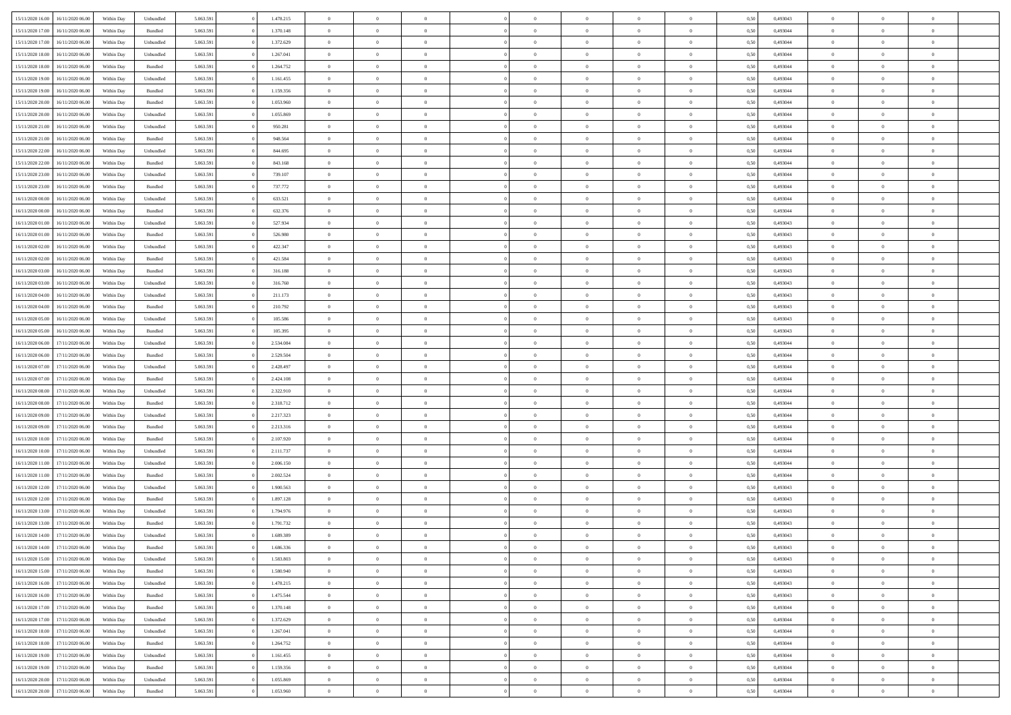| 15/11/2020 16:00 | 16/11/2020 06:00 | Within Dav | Unbundled          | 5.063.591 | 1.478.215 | $\overline{0}$ | $\Omega$       |                | $\Omega$       | $\Omega$       | $\Omega$       | $\theta$       | 0,50 | 0,493043 | $\theta$       | $\theta$       | $\theta$       |  |
|------------------|------------------|------------|--------------------|-----------|-----------|----------------|----------------|----------------|----------------|----------------|----------------|----------------|------|----------|----------------|----------------|----------------|--|
|                  |                  |            |                    |           |           |                |                |                |                |                |                |                |      |          |                |                |                |  |
| 15/11/2020 17.00 | 16/11/2020 06.00 | Within Day | Bundled            | 5.063.591 | 1.370.148 | $\overline{0}$ | $\theta$       | $\overline{0}$ | $\overline{0}$ | $\bf{0}$       | $\overline{0}$ | $\bf{0}$       | 0,50 | 0,493044 | $\theta$       | $\overline{0}$ | $\overline{0}$ |  |
| 15/11/2020 17:00 | 16/11/2020 06.00 | Within Day | Unbundled          | 5.063.591 | 1.372.629 | $\overline{0}$ | $\overline{0}$ | $\overline{0}$ | $\bf{0}$       | $\bf{0}$       | $\bf{0}$       | $\bf{0}$       | 0,50 | 0,493044 | $\bf{0}$       | $\overline{0}$ | $\overline{0}$ |  |
| 15/11/2020 18:00 | 16/11/2020 06:00 | Within Dav | Unbundled          | 5.063.591 | 1.267.041 | $\overline{0}$ | $\overline{0}$ | $\overline{0}$ | $\overline{0}$ | $\bf{0}$       | $\overline{0}$ | $\overline{0}$ | 0.50 | 0.493044 | $\theta$       | $\theta$       | $\overline{0}$ |  |
| 15/11/2020 18:00 | 16/11/2020 06.00 | Within Day | Bundled            | 5.063.591 | 1.264.752 | $\overline{0}$ | $\theta$       | $\overline{0}$ | $\overline{0}$ | $\bf{0}$       | $\overline{0}$ | $\bf{0}$       | 0,50 | 0,493044 | $\theta$       | $\theta$       | $\overline{0}$ |  |
|                  |                  |            |                    |           |           |                |                |                |                |                |                |                |      |          |                |                |                |  |
| 15/11/2020 19:00 | 16/11/2020 06.00 | Within Day | Unbundled          | 5.063.591 | 1.161.455 | $\overline{0}$ | $\bf{0}$       | $\overline{0}$ | $\bf{0}$       | $\overline{0}$ | $\overline{0}$ | $\mathbf{0}$   | 0,50 | 0,493044 | $\overline{0}$ | $\overline{0}$ | $\bf{0}$       |  |
| 15/11/2020 19:00 | 16/11/2020 06:00 | Within Dav | Bundled            | 5.063.591 | 1.159.356 | $\overline{0}$ | $\overline{0}$ | $\overline{0}$ | $\overline{0}$ | $\overline{0}$ | $\overline{0}$ | $\overline{0}$ | 0.50 | 0,493044 | $\theta$       | $\overline{0}$ | $\overline{0}$ |  |
| 15/11/2020 20.00 | 16/11/2020 06.00 | Within Day | Bundled            | 5.063.591 | 1.053.960 | $\overline{0}$ | $\theta$       | $\overline{0}$ | $\overline{0}$ | $\bf{0}$       | $\overline{0}$ | $\bf{0}$       | 0,50 | 0,493044 | $\theta$       | $\theta$       | $\overline{0}$ |  |
| 15/11/2020 20.00 | 16/11/2020 06.00 | Within Day | Unbundled          | 5.063.591 | 1.055.869 | $\overline{0}$ | $\overline{0}$ | $\overline{0}$ | $\bf{0}$       | $\bf{0}$       | $\bf{0}$       | $\bf{0}$       | 0,50 | 0,493044 | $\,0\,$        | $\overline{0}$ | $\overline{0}$ |  |
| 15/11/2020 21.00 | 16/11/2020 06:00 | Within Dav | Unbundled          | 5.063.591 | 950.281   | $\overline{0}$ | $\overline{0}$ | $\overline{0}$ | $\overline{0}$ | $\overline{0}$ | $\overline{0}$ | $\overline{0}$ | 0.50 | 0,493044 | $\theta$       | $\overline{0}$ | $\overline{0}$ |  |
|                  |                  |            |                    |           |           | $\overline{0}$ |                |                |                |                |                |                |      |          |                | $\overline{0}$ |                |  |
| 15/11/2020 21.00 | 16/11/2020 06.00 | Within Day | Bundled            | 5.063.591 | 948.564   |                | $\theta$       | $\overline{0}$ | $\overline{0}$ | $\bf{0}$       | $\overline{0}$ | $\bf{0}$       | 0,50 | 0,493044 | $\,$ 0 $\,$    |                | $\overline{0}$ |  |
| 15/11/2020 22.00 | 16/11/2020 06.00 | Within Day | Unbundled          | 5.063.591 | 844.695   | $\overline{0}$ | $\overline{0}$ | $\overline{0}$ | $\bf{0}$       | $\bf{0}$       | $\bf{0}$       | $\bf{0}$       | 0,50 | 0,493044 | $\overline{0}$ | $\overline{0}$ | $\overline{0}$ |  |
| 15/11/2020 22.00 | 16/11/2020 06:00 | Within Day | Bundled            | 5.063.591 | 843.168   | $\overline{0}$ | $\overline{0}$ | $\overline{0}$ | $\overline{0}$ | $\bf{0}$       | $\overline{0}$ | $\overline{0}$ | 0.50 | 0,493044 | $\theta$       | $\theta$       | $\overline{0}$ |  |
| 15/11/2020 23.00 | 16/11/2020 06.00 | Within Day | Unbundled          | 5.063.591 | 739.107   | $\overline{0}$ | $\theta$       | $\overline{0}$ | $\overline{0}$ | $\bf{0}$       | $\overline{0}$ | $\bf{0}$       | 0,50 | 0,493044 | $\theta$       | $\theta$       | $\overline{0}$ |  |
| 15/11/2020 23.00 | 16/11/2020 06.00 | Within Day | Bundled            | 5.063.591 | 737.772   | $\overline{0}$ | $\bf{0}$       | $\overline{0}$ | $\bf{0}$       | $\overline{0}$ | $\overline{0}$ | $\mathbf{0}$   | 0,50 | 0,493044 | $\overline{0}$ | $\overline{0}$ | $\bf{0}$       |  |
| 16/11/2020 00:00 | 16/11/2020 06:00 | Within Dav | Unbundled          | 5.063.591 | 633.521   | $\overline{0}$ | $\overline{0}$ | $\overline{0}$ | $\overline{0}$ | $\overline{0}$ | $\overline{0}$ | $\overline{0}$ | 0.50 | 0,493044 | $\theta$       | $\overline{0}$ | $\overline{0}$ |  |
|                  |                  |            |                    |           |           |                |                |                |                |                |                |                |      |          |                |                |                |  |
| 16/11/2020 00.00 | 16/11/2020 06.00 | Within Day | Bundled            | 5.063.591 | 632.376   | $\overline{0}$ | $\theta$       | $\overline{0}$ | $\overline{0}$ | $\bf{0}$       | $\overline{0}$ | $\bf{0}$       | 0,50 | 0,493044 | $\theta$       | $\theta$       | $\overline{0}$ |  |
| 16/11/2020 01:00 | 16/11/2020 06.00 | Within Day | Unbundled          | 5.063.591 | 527.934   | $\overline{0}$ | $\overline{0}$ | $\overline{0}$ | $\bf{0}$       | $\bf{0}$       | $\bf{0}$       | $\bf{0}$       | 0,50 | 0,493043 | $\,0\,$        | $\overline{0}$ | $\overline{0}$ |  |
| 16/11/2020 01:00 | 16/11/2020 06:00 | Within Day | Bundled            | 5.063.591 | 526.980   | $\overline{0}$ | $\overline{0}$ | $\overline{0}$ | $\overline{0}$ | $\overline{0}$ | $\overline{0}$ | $\overline{0}$ | 0.50 | 0,493043 | $\theta$       | $\overline{0}$ | $\overline{0}$ |  |
| 16/11/2020 02.00 | 16/11/2020 06.00 | Within Day | Unbundled          | 5.063.591 | 422.347   | $\overline{0}$ | $\theta$       | $\overline{0}$ | $\overline{0}$ | $\bf{0}$       | $\overline{0}$ | $\bf{0}$       | 0,50 | 0,493043 | $\,$ 0 $\,$    | $\theta$       | $\overline{0}$ |  |
| 16/11/2020 02.00 | 16/11/2020 06.00 | Within Day | Bundled            | 5.063.591 | 421.584   | $\overline{0}$ | $\overline{0}$ | $\overline{0}$ | $\overline{0}$ | $\bf{0}$       | $\overline{0}$ | $\bf{0}$       | 0,50 | 0,493043 | $\bf{0}$       | $\overline{0}$ | $\overline{0}$ |  |
| 16/11/2020 03:00 | 16/11/2020 06:00 | Within Day | Bundled            | 5.063.591 | 316.188   | $\overline{0}$ | $\overline{0}$ | $\overline{0}$ | $\overline{0}$ | $\bf{0}$       | $\overline{0}$ | $\overline{0}$ | 0.50 | 0.493043 | $\theta$       | $\theta$       | $\overline{0}$ |  |
|                  |                  |            |                    |           |           | $\overline{0}$ | $\theta$       | $\overline{0}$ | $\overline{0}$ | $\bf{0}$       | $\overline{0}$ |                |      |          | $\,$ 0 $\,$    | $\overline{0}$ | $\overline{0}$ |  |
| 16/11/2020 03.00 | 16/11/2020 06.00 | Within Day | Unbundled          | 5.063.591 | 316.760   |                |                |                |                |                |                | $\bf{0}$       | 0,50 | 0,493043 |                |                |                |  |
| 16/11/2020 04.00 | 16/11/2020 06.00 | Within Day | Unbundled          | 5.063.591 | 211.173   | $\overline{0}$ | $\bf{0}$       | $\overline{0}$ | $\overline{0}$ | $\overline{0}$ | $\overline{0}$ | $\mathbf{0}$   | 0,50 | 0,493043 | $\bf{0}$       | $\overline{0}$ | $\bf{0}$       |  |
| 16/11/2020 04:00 | 16/11/2020 06:00 | Within Day | Bundled            | 5.063.591 | 210.792   | $\overline{0}$ | $\overline{0}$ | $\overline{0}$ | $\overline{0}$ | $\overline{0}$ | $\overline{0}$ | $\overline{0}$ | 0.50 | 0,493043 | $\theta$       | $\overline{0}$ | $\overline{0}$ |  |
| 16/11/2020 05:00 | 16/11/2020 06.00 | Within Day | Unbundled          | 5.063.591 | 105.586   | $\overline{0}$ | $\theta$       | $\overline{0}$ | $\overline{0}$ | $\bf{0}$       | $\overline{0}$ | $\bf{0}$       | 0,50 | 0,493043 | $\theta$       | $\theta$       | $\overline{0}$ |  |
| 16/11/2020 05:00 | 16/11/2020 06.00 | Within Day | Bundled            | 5.063.591 | 105.395   | $\overline{0}$ | $\overline{0}$ | $\overline{0}$ | $\overline{0}$ | $\bf{0}$       | $\overline{0}$ | $\bf{0}$       | 0,50 | 0,493043 | $\,0\,$        | $\overline{0}$ | $\overline{0}$ |  |
| 16/11/2020 06:00 | 17/11/2020 06.00 | Within Day | Unbundled          | 5.063.591 | 2.534.084 | $\overline{0}$ | $\overline{0}$ | $\overline{0}$ | $\overline{0}$ | $\overline{0}$ | $\overline{0}$ | $\overline{0}$ | 0.50 | 0,493044 | $\theta$       | $\overline{0}$ | $\overline{0}$ |  |
| 16/11/2020 06.00 | 17/11/2020 06.00 |            | Bundled            | 5.063.591 | 2.529.504 | $\overline{0}$ | $\theta$       | $\overline{0}$ | $\overline{0}$ | $\bf{0}$       | $\overline{0}$ |                |      | 0,493044 | $\,$ 0 $\,$    | $\overline{0}$ | $\overline{0}$ |  |
|                  |                  | Within Day |                    |           |           |                |                |                |                |                |                | $\bf{0}$       | 0,50 |          |                |                |                |  |
| 16/11/2020 07.00 | 17/11/2020 06.00 | Within Day | Unbundled          | 5.063.591 | 2.428.497 | $\overline{0}$ | $\overline{0}$ | $\overline{0}$ | $\overline{0}$ | $\bf{0}$       | $\overline{0}$ | $\bf{0}$       | 0,50 | 0,493044 | $\bf{0}$       | $\overline{0}$ | $\overline{0}$ |  |
| 16/11/2020 07:00 | 17/11/2020 06.00 | Within Day | Bundled            | 5.063.591 | 2.424.108 | $\overline{0}$ | $\Omega$       | $\overline{0}$ | $\Omega$       | $\Omega$       | $\overline{0}$ | $\overline{0}$ | 0,50 | 0,493044 | $\,0\,$        | $\theta$       | $\theta$       |  |
| 16/11/2020 08:00 | 17/11/2020 06.00 | Within Day | Unbundled          | 5.063.591 | 2.322.910 | $\overline{0}$ | $\theta$       | $\overline{0}$ | $\overline{0}$ | $\bf{0}$       | $\overline{0}$ | $\bf{0}$       | 0,50 | 0,493044 | $\theta$       | $\theta$       | $\overline{0}$ |  |
| 16/11/2020 08:00 | 17/11/2020 06.00 | Within Day | Bundled            | 5.063.591 | 2.318.712 | $\overline{0}$ | $\overline{0}$ | $\overline{0}$ | $\overline{0}$ | $\bf{0}$       | $\overline{0}$ | $\mathbf{0}$   | 0,50 | 0,493044 | $\bf{0}$       | $\overline{0}$ | $\bf{0}$       |  |
| 16/11/2020 09:00 | 17/11/2020 06.00 | Within Day | Unbundled          | 5.063.591 | 2.217.323 | $\overline{0}$ | $\Omega$       | $\Omega$       | $\Omega$       | $\bf{0}$       | $\overline{0}$ | $\overline{0}$ | 0.50 | 0,493044 | $\theta$       | $\theta$       | $\theta$       |  |
| 16/11/2020 09:00 | 17/11/2020 06.00 | Within Day | Bundled            | 5.063.591 | 2.213.316 | $\overline{0}$ | $\theta$       | $\overline{0}$ | $\overline{0}$ | $\bf{0}$       | $\overline{0}$ | $\bf{0}$       | 0,50 | 0,493044 | $\,$ 0 $\,$    | $\theta$       | $\overline{0}$ |  |
|                  |                  |            |                    |           |           |                |                |                |                |                |                |                |      |          |                |                |                |  |
| 16/11/2020 10:00 | 17/11/2020 06.00 | Within Day | Bundled            | 5.063.591 | 2.107.920 | $\overline{0}$ | $\overline{0}$ | $\overline{0}$ | $\overline{0}$ | $\bf{0}$       | $\overline{0}$ | $\bf{0}$       | 0,50 | 0,493044 | $\bf{0}$       | $\overline{0}$ | $\overline{0}$ |  |
| 16/11/2020 10:00 | 17/11/2020 06.00 | Within Day | Unbundled          | 5.063.591 | 2.111.737 | $\overline{0}$ | $\Omega$       | $\overline{0}$ | $\Omega$       | $\theta$       | $\overline{0}$ | $\overline{0}$ | 0.50 | 0,493044 | $\theta$       | $\theta$       | $\theta$       |  |
| 16/11/2020 11:00 | 17/11/2020 06.00 | Within Day | Unbundled          | 5.063.591 | 2.006.150 | $\overline{0}$ | $\theta$       | $\overline{0}$ | $\overline{0}$ | $\,$ 0         | $\overline{0}$ | $\bf{0}$       | 0,50 | 0,493044 | $\,$ 0 $\,$    | $\overline{0}$ | $\overline{0}$ |  |
| 16/11/2020 11:00 | 17/11/2020 06.00 | Within Day | Bundled            | 5.063.591 | 2.002.524 | $\overline{0}$ | $\overline{0}$ | $\overline{0}$ | $\bf{0}$       | $\bf{0}$       | $\bf{0}$       | $\bf{0}$       | 0,50 | 0,493044 | $\overline{0}$ | $\overline{0}$ | $\overline{0}$ |  |
| 16/11/2020 12:00 | 17/11/2020 06.00 | Within Day | Unbundled          | 5.063.591 | 1.900.563 | $\overline{0}$ | $\Omega$       | $\overline{0}$ | $\Omega$       | $\overline{0}$ | $\overline{0}$ | $\overline{0}$ | 0,50 | 0,493043 | $\,0\,$        | $\theta$       | $\theta$       |  |
| 16/11/2020 12:00 | 17/11/2020 06.00 | Within Day | Bundled            | 5.063.591 | 1.897.128 | $\overline{0}$ | $\theta$       | $\overline{0}$ | $\overline{0}$ | $\,$ 0         | $\overline{0}$ | $\bf{0}$       | 0,50 | 0,493043 | $\,$ 0 $\,$    | $\overline{0}$ | $\overline{0}$ |  |
| 16/11/2020 13.00 | 17/11/2020 06.00 | Within Day | Unbundled          | 5.063.591 | 1.794.976 | $\overline{0}$ | $\overline{0}$ | $\overline{0}$ | $\bf{0}$       | $\bf{0}$       | $\bf{0}$       | $\mathbf{0}$   | 0,50 | 0,493043 | $\overline{0}$ | $\overline{0}$ | $\bf{0}$       |  |
|                  |                  |            |                    |           |           |                |                |                |                |                |                |                |      |          |                |                |                |  |
| 16/11/2020 13:00 | 17/11/2020 06.00 | Within Day | Bundled            | 5.063.591 | 1.791.732 | $\overline{0}$ | $\Omega$       | $\Omega$       | $\Omega$       | $\Omega$       | $\Omega$       | $\overline{0}$ | 0.50 | 0,493043 | $\theta$       | $\theta$       | $\theta$       |  |
| 16/11/2020 14:00 | 17/11/2020 06.00 | Within Day | Unbundled          | 5.063.591 | 1.689.389 | $\overline{0}$ | $\,$ 0 $\,$    | $\overline{0}$ | $\bf{0}$       | $\,$ 0         | $\bf{0}$       | $\bf{0}$       | 0,50 | 0,493043 | $\,0\,$        | $\overline{0}$ | $\overline{0}$ |  |
| 16/11/2020 14:00 | 17/11/2020 06.00 | Within Day | $\mathbf B$ undled | 5.063.591 | 1.686.336 | $\bf{0}$       | $\bf{0}$       |                |                | $\bf{0}$       |                |                | 0,50 | 0,493043 | $\bf{0}$       | $\overline{0}$ |                |  |
| 16/11/2020 15:00 | 17/11/2020 06.00 | Within Day | Unbundled          | 5.063.591 | 1.583.803 | $\overline{0}$ | $\overline{0}$ | $\overline{0}$ | $\Omega$       | $\theta$       | $\overline{0}$ | $\overline{0}$ | 0.50 | 0,493043 | $\theta$       | $\theta$       | $\theta$       |  |
| 16/11/2020 15:00 | 17/11/2020 06.00 | Within Day | Bundled            | 5.063.591 | 1.580.940 | $\overline{0}$ | $\,$ 0         | $\overline{0}$ | $\bf{0}$       | $\,$ 0 $\,$    | $\overline{0}$ | $\mathbf{0}$   | 0,50 | 0,493043 | $\,$ 0 $\,$    | $\,$ 0 $\,$    | $\,$ 0         |  |
| 16/11/2020 16.00 | 17/11/2020 06.00 | Within Day | Unbundled          | 5.063.591 | 1.478.215 | $\overline{0}$ | $\overline{0}$ | $\overline{0}$ | $\overline{0}$ | $\overline{0}$ | $\overline{0}$ | $\mathbf{0}$   | 0,50 | 0,493043 | $\overline{0}$ | $\bf{0}$       | $\bf{0}$       |  |
|                  |                  |            |                    |           | 1.475.544 |                | $\overline{0}$ | $\overline{0}$ | $\Omega$       | $\overline{0}$ | $\overline{0}$ |                |      |          | $\overline{0}$ | $\theta$       | $\overline{0}$ |  |
| 16/11/2020 16:00 | 17/11/2020 06.00 | Within Day | $\mathbf B$ undled | 5.063.591 |           | $\overline{0}$ |                |                |                |                |                | $\overline{0}$ | 0,50 | 0,493043 |                |                |                |  |
| 16/11/2020 17.00 | 17/11/2020 06.00 | Within Day | Bundled            | 5.063.591 | 1.370.148 | $\overline{0}$ | $\,$ 0         | $\overline{0}$ | $\overline{0}$ | $\,$ 0 $\,$    | $\overline{0}$ | $\mathbf{0}$   | 0,50 | 0,493044 | $\,$ 0 $\,$    | $\overline{0}$ | $\overline{0}$ |  |
| 16/11/2020 17.00 | 17/11/2020 06.00 | Within Day | Unbundled          | 5.063.591 | 1.372.629 | $\overline{0}$ | $\overline{0}$ | $\overline{0}$ | $\overline{0}$ | $\overline{0}$ | $\overline{0}$ | $\mathbf{0}$   | 0,50 | 0,493044 | $\overline{0}$ | $\overline{0}$ | $\bf{0}$       |  |
| 16/11/2020 18:00 | 17/11/2020 06.00 | Within Day | Unbundled          | 5.063.591 | 1.267.041 | $\overline{0}$ | $\overline{0}$ | $\overline{0}$ | $\Omega$       | $\overline{0}$ | $\overline{0}$ | $\bf{0}$       | 0.50 | 0,493044 | $\overline{0}$ | $\theta$       | $\overline{0}$ |  |
| 16/11/2020 18:00 | 17/11/2020 06.00 | Within Day | Bundled            | 5.063.591 | 1.264.752 | $\overline{0}$ | $\,$ 0         | $\overline{0}$ | $\bf{0}$       | $\bf{0}$       | $\bf{0}$       | $\bf{0}$       | 0,50 | 0,493044 | $\,$ 0 $\,$    | $\overline{0}$ | $\overline{0}$ |  |
| 16/11/2020 19:00 | 17/11/2020 06.00 | Within Day | Unbundled          | 5.063.591 | 1.161.455 | $\overline{0}$ | $\bf{0}$       | $\overline{0}$ | $\overline{0}$ | $\overline{0}$ | $\overline{0}$ | $\mathbf{0}$   | 0,50 | 0,493044 | $\overline{0}$ | $\overline{0}$ | $\bf{0}$       |  |
| 16/11/2020 19:00 | 17/11/2020 06.00 | Within Day | Bundled            | 5.063.591 | 1.159.356 | $\overline{0}$ | $\overline{0}$ | $\overline{0}$ | $\Omega$       | $\overline{0}$ | $\overline{0}$ | $\bf{0}$       | 0.50 | 0,493044 | $\overline{0}$ | $\theta$       | $\overline{0}$ |  |
|                  |                  |            |                    |           |           |                |                |                |                |                |                |                |      |          |                |                |                |  |
| 16/11/2020 20.00 | 17/11/2020 06.00 | Within Day | Unbundled          | 5.063.591 | 1.055.869 | $\overline{0}$ | $\bf{0}$       | $\overline{0}$ | $\overline{0}$ | $\bf{0}$       | $\bf{0}$       | $\mathbf{0}$   | 0,50 | 0,493044 | $\,$ 0 $\,$    | $\,$ 0 $\,$    | $\bf{0}$       |  |
| 16/11/2020 20.00 | 17/11/2020 06.00 | Within Day | Bundled            | 5.063.591 | 1.053.960 | $\overline{0}$ | $\overline{0}$ | $\overline{0}$ | $\overline{0}$ | $\bf{0}$       | $\bf{0}$       | $\mathbf{0}$   | 0,50 | 0,493044 | $\overline{0}$ | $\bf{0}$       | $\bf{0}$       |  |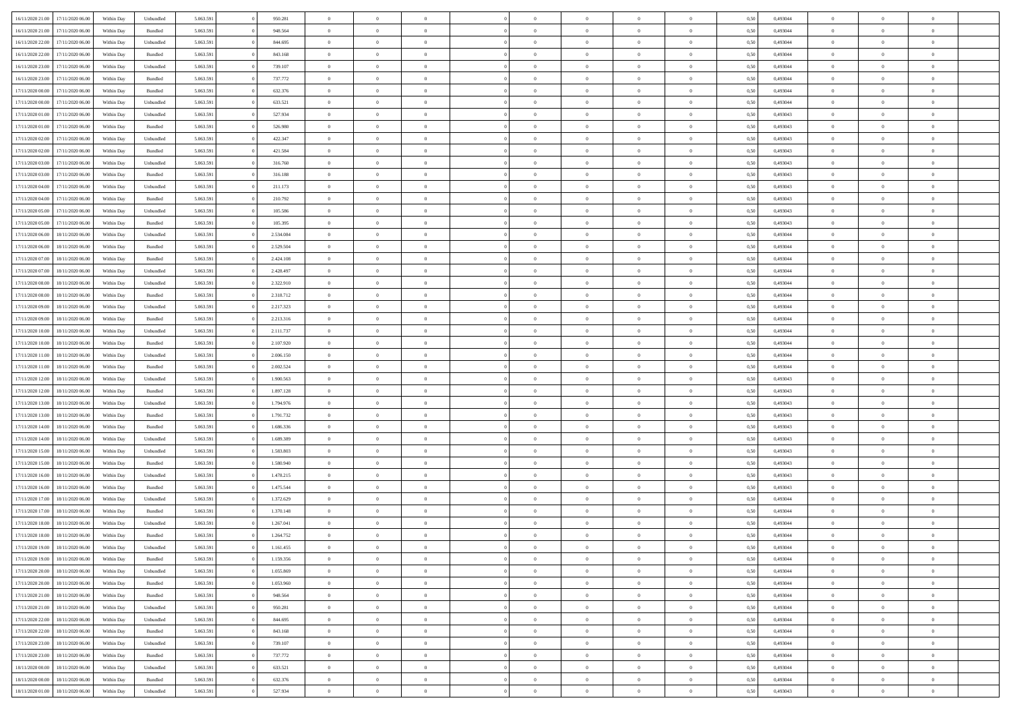|                  |                  | Within Dav | Unbundled          | 5.063.591 | 950.281   | $\overline{0}$ | $\Omega$       |                | $\Omega$       | $\Omega$       | $\Omega$       | $\theta$       | 0,50 | 0,493044 | $\theta$       | $\theta$       | $\theta$       |  |
|------------------|------------------|------------|--------------------|-----------|-----------|----------------|----------------|----------------|----------------|----------------|----------------|----------------|------|----------|----------------|----------------|----------------|--|
| 16/11/2020 21.00 | 17/11/2020 06.00 |            |                    |           |           |                |                |                |                |                |                |                |      |          |                |                |                |  |
| 16/11/2020 21.00 | 17/11/2020 06.00 | Within Day | Bundled            | 5.063.591 | 948.564   | $\overline{0}$ | $\theta$       | $\overline{0}$ | $\overline{0}$ | $\bf{0}$       | $\overline{0}$ | $\bf{0}$       | 0,50 | 0,493044 | $\theta$       | $\overline{0}$ | $\overline{0}$ |  |
| 16/11/2020 22:00 | 17/11/2020 06.00 | Within Day | Unbundled          | 5.063.591 | 844.695   | $\overline{0}$ | $\overline{0}$ | $\overline{0}$ | $\bf{0}$       | $\bf{0}$       | $\bf{0}$       | $\bf{0}$       | 0,50 | 0,493044 | $\bf{0}$       | $\overline{0}$ | $\overline{0}$ |  |
| 16/11/2020 22.00 | 17/11/2020 06:00 | Within Dav | Bundled            | 5.063.591 | 843.168   | $\overline{0}$ | $\overline{0}$ | $\overline{0}$ | $\overline{0}$ | $\bf{0}$       | $\overline{0}$ | $\overline{0}$ | 0.50 | 0.493044 | $\theta$       | $\theta$       | $\overline{0}$ |  |
|                  |                  |            |                    |           |           |                |                |                |                |                |                |                |      |          |                |                |                |  |
| 16/11/2020 23.00 | 17/11/2020 06.00 | Within Day | Unbundled          | 5.063.591 | 739.107   | $\overline{0}$ | $\theta$       | $\overline{0}$ | $\overline{0}$ | $\bf{0}$       | $\overline{0}$ | $\bf{0}$       | 0,50 | 0,493044 | $\theta$       | $\theta$       | $\overline{0}$ |  |
| 16/11/2020 23:00 | 17/11/2020 06.00 | Within Day | Bundled            | 5.063.591 | 737.772   | $\overline{0}$ | $\overline{0}$ | $\overline{0}$ | $\overline{0}$ | $\overline{0}$ | $\overline{0}$ | $\mathbf{0}$   | 0,50 | 0,493044 | $\bf{0}$       | $\overline{0}$ | $\bf{0}$       |  |
| 17/11/2020 00:00 | 17/11/2020 06.00 | Within Dav | Bundled            | 5.063.591 | 632.376   | $\overline{0}$ | $\overline{0}$ | $\overline{0}$ | $\overline{0}$ | $\overline{0}$ | $\overline{0}$ | $\overline{0}$ | 0.50 | 0,493044 | $\theta$       | $\overline{0}$ | $\overline{0}$ |  |
| 17/11/2020 00.00 | 17/11/2020 06.00 | Within Day | Unbundled          | 5.063.591 | 633.521   | $\overline{0}$ | $\theta$       | $\overline{0}$ | $\overline{0}$ | $\bf{0}$       | $\overline{0}$ | $\bf{0}$       | 0,50 | 0,493044 | $\theta$       | $\theta$       | $\overline{0}$ |  |
|                  |                  |            |                    |           |           |                | $\overline{0}$ |                |                | $\bf{0}$       |                |                |      |          | $\,0\,$        | $\overline{0}$ | $\overline{0}$ |  |
| 17/11/2020 01:00 | 17/11/2020 06.00 | Within Day | Unbundled          | 5.063.591 | 527.934   | $\overline{0}$ |                | $\overline{0}$ | $\overline{0}$ |                | $\overline{0}$ | $\bf{0}$       | 0,50 | 0,493043 |                |                |                |  |
| 17/11/2020 01:00 | 17/11/2020 06.00 | Within Day | Bundled            | 5.063.591 | 526.980   | $\overline{0}$ | $\overline{0}$ | $\overline{0}$ | $\overline{0}$ | $\overline{0}$ | $\overline{0}$ | $\overline{0}$ | 0.50 | 0,493043 | $\theta$       | $\overline{0}$ | $\overline{0}$ |  |
| 17/11/2020 02.00 | 17/11/2020 06.00 | Within Day | Unbundled          | 5.063.591 | 422.347   | $\overline{0}$ | $\theta$       | $\overline{0}$ | $\overline{0}$ | $\bf{0}$       | $\overline{0}$ | $\bf{0}$       | 0,50 | 0,493043 | $\,$ 0 $\,$    | $\overline{0}$ | $\overline{0}$ |  |
| 17/11/2020 02:00 | 17/11/2020 06.00 | Within Day | Bundled            | 5.063.591 | 421.584   | $\overline{0}$ | $\overline{0}$ | $\overline{0}$ | $\overline{0}$ | $\bf{0}$       | $\bf{0}$       | $\mathbf{0}$   | 0,50 | 0,493043 | $\overline{0}$ | $\overline{0}$ | $\overline{0}$ |  |
| 17/11/2020 03:00 | 17/11/2020 06:00 | Within Day | Unbundled          | 5.063.591 | 316.760   | $\overline{0}$ | $\overline{0}$ | $\overline{0}$ | $\overline{0}$ | $\bf{0}$       | $\overline{0}$ | $\overline{0}$ | 0.50 | 0,493043 | $\theta$       | $\theta$       | $\overline{0}$ |  |
|                  |                  |            |                    |           |           | $\overline{0}$ | $\theta$       |                |                | $\bf{0}$       |                |                |      |          | $\theta$       | $\overline{0}$ |                |  |
| 17/11/2020 03.00 | 17/11/2020 06.00 | Within Day | Bundled            | 5.063.591 | 316.188   |                |                | $\overline{0}$ | $\overline{0}$ |                | $\overline{0}$ | $\bf{0}$       | 0,50 | 0,493043 |                |                | $\overline{0}$ |  |
| 17/11/2020 04:00 | 17/11/2020 06.00 | Within Day | Unbundled          | 5.063.591 | 211.173   | $\overline{0}$ | $\bf{0}$       | $\overline{0}$ | $\bf{0}$       | $\overline{0}$ | $\overline{0}$ | $\mathbf{0}$   | 0,50 | 0,493043 | $\overline{0}$ | $\overline{0}$ | $\bf{0}$       |  |
| 17/11/2020 04.00 | 17/11/2020 06.00 | Within Dav | Bundled            | 5.063.591 | 210.792   | $\overline{0}$ | $\overline{0}$ | $\overline{0}$ | $\overline{0}$ | $\overline{0}$ | $\overline{0}$ | $\overline{0}$ | 0.50 | 0,493043 | $\theta$       | $\overline{0}$ | $\overline{0}$ |  |
| 17/11/2020 05:00 | 17/11/2020 06.00 | Within Day | Unbundled          | 5.063.591 | 105.586   | $\overline{0}$ | $\theta$       | $\overline{0}$ | $\overline{0}$ | $\bf{0}$       | $\overline{0}$ | $\bf{0}$       | 0,50 | 0,493043 | $\theta$       | $\theta$       | $\overline{0}$ |  |
| 17/11/2020 05:00 | 17/11/2020 06.00 | Within Day | Bundled            | 5.063.591 | 105.395   | $\overline{0}$ | $\overline{0}$ | $\overline{0}$ | $\bf{0}$       | $\bf{0}$       | $\bf{0}$       | $\mathbf{0}$   | 0,50 | 0,493043 | $\,0\,$        | $\overline{0}$ | $\overline{0}$ |  |
|                  |                  |            |                    |           |           |                |                |                |                |                |                |                |      |          |                |                |                |  |
| 17/11/2020 06.00 | 18/11/2020 06:00 | Within Day | Unbundled          | 5.063.591 | 2.534.084 | $\overline{0}$ | $\overline{0}$ | $\overline{0}$ | $\overline{0}$ | $\overline{0}$ | $\overline{0}$ | $\overline{0}$ | 0.50 | 0,493044 | $\theta$       | $\overline{0}$ | $\overline{0}$ |  |
| 17/11/2020 06.00 | 18/11/2020 06.00 | Within Day | Bundled            | 5.063.591 | 2.529.504 | $\overline{0}$ | $\theta$       | $\overline{0}$ | $\overline{0}$ | $\bf{0}$       | $\overline{0}$ | $\bf{0}$       | 0,50 | 0,493044 | $\,$ 0 $\,$    | $\theta$       | $\overline{0}$ |  |
| 17/11/2020 07:00 | 18/11/2020 06.00 | Within Day | Bundled            | 5.063.591 | 2.424.108 | $\overline{0}$ | $\overline{0}$ | $\overline{0}$ | $\bf{0}$       | $\bf{0}$       | $\bf{0}$       | $\bf{0}$       | 0,50 | 0,493044 | $\bf{0}$       | $\overline{0}$ | $\overline{0}$ |  |
| 17/11/2020 07.00 | 18/11/2020 06:00 | Within Day | Unbundled          | 5.063.591 | 2.428.497 | $\overline{0}$ | $\overline{0}$ | $\overline{0}$ | $\overline{0}$ | $\bf{0}$       | $\overline{0}$ | $\overline{0}$ | 0.50 | 0.493044 | $\theta$       | $\theta$       | $\overline{0}$ |  |
| 17/11/2020 08:00 | 18/11/2020 06.00 |            |                    | 5.063.591 | 2.322.910 | $\overline{0}$ | $\theta$       | $\overline{0}$ | $\overline{0}$ | $\bf{0}$       | $\overline{0}$ |                |      | 0,493044 | $\,$ 0 $\,$    | $\overline{0}$ | $\overline{0}$ |  |
|                  |                  | Within Day | Unbundled          |           |           |                |                |                |                |                |                | $\bf{0}$       | 0,50 |          |                |                |                |  |
| 17/11/2020 08:00 | 18/11/2020 06.00 | Within Day | Bundled            | 5.063.591 | 2.318.712 | $\overline{0}$ | $\bf{0}$       | $\overline{0}$ | $\bf{0}$       | $\overline{0}$ | $\overline{0}$ | $\mathbf{0}$   | 0,50 | 0,493044 | $\overline{0}$ | $\overline{0}$ | $\bf{0}$       |  |
| 17/11/2020 09:00 | 18/11/2020 06:00 | Within Day | Unbundled          | 5.063.591 | 2.217.323 | $\overline{0}$ | $\overline{0}$ | $\overline{0}$ | $\overline{0}$ | $\overline{0}$ | $\overline{0}$ | $\overline{0}$ | 0.50 | 0,493044 | $\theta$       | $\overline{0}$ | $\overline{0}$ |  |
| 17/11/2020 09:00 | 18/11/2020 06.00 | Within Day | Bundled            | 5.063.591 | 2.213.316 | $\overline{0}$ | $\theta$       | $\overline{0}$ | $\overline{0}$ | $\bf{0}$       | $\overline{0}$ | $\bf{0}$       | 0,50 | 0,493044 | $\theta$       | $\theta$       | $\overline{0}$ |  |
| 17/11/2020 10:00 | 18/11/2020 06.00 | Within Day | Unbundled          | 5.063.591 | 2.111.737 | $\overline{0}$ | $\overline{0}$ | $\overline{0}$ | $\bf{0}$       | $\bf{0}$       | $\bf{0}$       | $\bf{0}$       | 0,50 | 0,493044 | $\,0\,$        | $\overline{0}$ | $\overline{0}$ |  |
|                  |                  |            |                    |           |           |                | $\overline{0}$ |                |                | $\overline{0}$ |                |                |      |          | $\theta$       | $\overline{0}$ | $\overline{0}$ |  |
| 17/11/2020 10:00 | 18/11/2020 06:00 | Within Day | Bundled            | 5.063.591 | 2.107.920 | $\overline{0}$ |                | $\overline{0}$ | $\overline{0}$ |                | $\overline{0}$ | $\overline{0}$ | 0.50 | 0,493044 |                |                |                |  |
| 17/11/2020 11:00 | 18/11/2020 06.00 | Within Day | Unbundled          | 5.063.591 | 2.006.150 | $\overline{0}$ | $\theta$       | $\overline{0}$ | $\overline{0}$ | $\bf{0}$       | $\overline{0}$ | $\bf{0}$       | 0,50 | 0,493044 | $\,$ 0 $\,$    | $\overline{0}$ | $\overline{0}$ |  |
| 17/11/2020 11:00 | 18/11/2020 06.00 | Within Day | Bundled            | 5.063.591 | 2.002.524 | $\overline{0}$ | $\overline{0}$ | $\overline{0}$ | $\bf{0}$       | $\bf{0}$       | $\bf{0}$       | $\bf{0}$       | 0,50 | 0,493044 | $\overline{0}$ | $\overline{0}$ | $\overline{0}$ |  |
| 17/11/2020 12:00 | 18/11/2020 06.00 | Within Day | Unbundled          | 5.063.591 | 1.900.563 | $\overline{0}$ | $\Omega$       | $\overline{0}$ | $\Omega$       | $\Omega$       | $\overline{0}$ | $\overline{0}$ | 0,50 | 0,493043 | $\,0\,$        | $\theta$       | $\theta$       |  |
| 17/11/2020 12:00 | 18/11/2020 06.00 | Within Day | Bundled            | 5.063.591 | 1.897.128 | $\overline{0}$ | $\theta$       | $\overline{0}$ | $\overline{0}$ | $\bf{0}$       | $\overline{0}$ | $\bf{0}$       | 0,50 | 0,493043 | $\theta$       | $\theta$       | $\overline{0}$ |  |
|                  |                  |            |                    |           |           |                |                |                |                |                |                |                |      |          |                |                |                |  |
| 17/11/2020 13:00 | 18/11/2020 06.00 | Within Day | Unbundled          | 5.063.591 | 1.794.976 | $\overline{0}$ | $\overline{0}$ | $\overline{0}$ | $\bf{0}$       | $\bf{0}$       | $\overline{0}$ | $\mathbf{0}$   | 0,50 | 0,493043 | $\overline{0}$ | $\overline{0}$ | $\bf{0}$       |  |
| 17/11/2020 13:00 | 18/11/2020 06.00 | Within Day | Bundled            | 5.063.591 | 1.791.732 | $\overline{0}$ | $\Omega$       | $\Omega$       | $\Omega$       | $\bf{0}$       | $\overline{0}$ | $\overline{0}$ | 0.50 | 0,493043 | $\theta$       | $\theta$       | $\theta$       |  |
| 17/11/2020 14:00 | 18/11/2020 06.00 | Within Day | Bundled            | 5.063.591 | 1.686.336 | $\overline{0}$ | $\theta$       | $\overline{0}$ | $\overline{0}$ | $\bf{0}$       | $\overline{0}$ | $\bf{0}$       | 0,50 | 0,493043 | $\,$ 0 $\,$    | $\theta$       | $\overline{0}$ |  |
| 17/11/2020 14:00 | 18/11/2020 06.00 | Within Day | Unbundled          | 5.063.591 | 1.689.389 | $\overline{0}$ | $\overline{0}$ | $\overline{0}$ | $\bf{0}$       | $\bf{0}$       | $\bf{0}$       | $\bf{0}$       | 0,50 | 0,493043 | $\bf{0}$       | $\overline{0}$ | $\overline{0}$ |  |
|                  |                  |            |                    |           | 1.583.803 | $\overline{0}$ | $\Omega$       | $\Omega$       | $\Omega$       | $\theta$       | $\overline{0}$ |                |      |          | $\theta$       | $\theta$       | $\theta$       |  |
| 17/11/2020 15:00 | 18/11/2020 06.00 | Within Day | Unbundled          | 5.063.591 |           |                |                |                |                |                |                | $\overline{0}$ | 0.50 | 0,493043 |                |                |                |  |
| 17/11/2020 15:00 | 18/11/2020 06.00 | Within Day | Bundled            | 5.063.591 | 1.580.940 | $\overline{0}$ | $\theta$       | $\overline{0}$ | $\overline{0}$ | $\,$ 0         | $\overline{0}$ | $\bf{0}$       | 0,50 | 0,493043 | $\,$ 0 $\,$    | $\overline{0}$ | $\overline{0}$ |  |
| 17/11/2020 16:00 | 18/11/2020 06.00 | Within Day | Unbundled          | 5.063.591 | 1.478.215 | $\overline{0}$ | $\overline{0}$ | $\overline{0}$ | $\bf{0}$       | $\bf{0}$       | $\bf{0}$       | $\bf{0}$       | 0,50 | 0,493043 | $\bf{0}$       | $\overline{0}$ | $\overline{0}$ |  |
| 17/11/2020 16:00 | 18/11/2020 06.00 | Within Day | Bundled            | 5.063.591 | 1.475.544 | $\overline{0}$ | $\Omega$       | $\overline{0}$ | $\Omega$       | $\overline{0}$ | $\overline{0}$ | $\overline{0}$ | 0,50 | 0,493043 | $\,0\,$        | $\theta$       | $\theta$       |  |
| 17/11/2020 17.00 | 18/11/2020 06.00 | Within Day | Unbundled          | 5.063.591 | 1.372.629 | $\overline{0}$ | $\theta$       | $\overline{0}$ | $\overline{0}$ | $\,$ 0         | $\overline{0}$ | $\bf{0}$       | 0,50 | 0,493044 | $\,$ 0 $\,$    | $\overline{0}$ | $\overline{0}$ |  |
|                  |                  |            |                    |           |           |                |                |                |                |                |                |                |      |          |                |                |                |  |
| 17/11/2020 17:00 | 18/11/2020 06.00 | Within Day | Bundled            | 5.063.591 | 1.370.148 | $\overline{0}$ | $\overline{0}$ | $\overline{0}$ | $\bf{0}$       | $\bf{0}$       | $\bf{0}$       | $\mathbf{0}$   | 0,50 | 0,493044 | $\bf{0}$       | $\overline{0}$ | $\bf{0}$       |  |
| 17/11/2020 18:00 | 18/11/2020 06.00 | Within Day | Unbundled          | 5.063.591 | 1.267.041 | $\overline{0}$ | $\Omega$       | $\Omega$       | $\Omega$       | $\Omega$       | $\Omega$       | $\overline{0}$ | 0.50 | 0,493044 | $\theta$       | $\theta$       | $\theta$       |  |
| 17/11/2020 18:00 | 18/11/2020 06.00 | Within Day | Bundled            | 5.063.591 | 1.264.752 | $\overline{0}$ | $\,$ 0 $\,$    | $\overline{0}$ | $\bf{0}$       | $\,$ 0         | $\bf{0}$       | $\bf{0}$       | 0,50 | 0,493044 | $\,0\,$        | $\overline{0}$ | $\overline{0}$ |  |
| 17/11/2020 19:00 | 18/11/2020 06.00 | Within Day | Unbundled          | 5.063.591 | 1.161.455 | $\bf{0}$       | $\bf{0}$       |                |                |                |                |                | 0,50 | 0,493044 | $\bf{0}$       | $\overline{0}$ |                |  |
| 17/11/2020 19:00 | 18/11/2020 06:00 | Within Day | Bundled            | 5.063.591 | 1.159.356 | $\overline{0}$ | $\overline{0}$ | $\overline{0}$ | $\Omega$       | $\overline{0}$ | $\overline{0}$ | $\overline{0}$ | 0,50 | 0,493044 | $\theta$       | $\theta$       | $\theta$       |  |
|                  |                  |            |                    |           |           |                |                |                |                |                |                |                |      |          |                |                |                |  |
| 17/11/2020 20.00 | 18/11/2020 06.00 | Within Day | Unbundled          | 5.063.591 | 1.055.869 | $\overline{0}$ | $\bf{0}$       | $\overline{0}$ | $\bf{0}$       | $\,$ 0 $\,$    | $\overline{0}$ | $\mathbf{0}$   | 0,50 | 0,493044 | $\,$ 0 $\,$    | $\,$ 0 $\,$    | $\,$ 0         |  |
| 17/11/2020 20:00 | 18/11/2020 06:00 | Within Day | Bundled            | 5.063.591 | 1.053.960 | $\overline{0}$ | $\overline{0}$ | $\overline{0}$ | $\overline{0}$ | $\overline{0}$ | $\overline{0}$ | $\mathbf{0}$   | 0,50 | 0,493044 | $\overline{0}$ | $\bf{0}$       | $\bf{0}$       |  |
| 17/11/2020 21.00 | 18/11/2020 06:00 | Within Day | $\mathbf B$ undled | 5.063.591 | 948.564   | $\overline{0}$ | $\overline{0}$ | $\overline{0}$ | $\Omega$       | $\overline{0}$ | $\overline{0}$ | $\overline{0}$ | 0,50 | 0,493044 | $\overline{0}$ | $\,$ 0 $\,$    | $\overline{0}$ |  |
| 17/11/2020 21.00 | 18/11/2020 06.00 | Within Day | Unbundled          | 5.063.591 | 950.281   | $\overline{0}$ | $\,$ 0         | $\overline{0}$ | $\bf{0}$       | $\,$ 0 $\,$    | $\overline{0}$ | $\mathbf{0}$   | 0,50 | 0,493044 | $\,$ 0 $\,$    | $\overline{0}$ | $\,$ 0         |  |
| 17/11/2020 22.00 | 18/11/2020 06:00 | Within Day | Unbundled          | 5.063.591 | 844.695   | $\overline{0}$ | $\overline{0}$ | $\overline{0}$ | $\overline{0}$ | $\overline{0}$ | $\overline{0}$ | $\mathbf{0}$   | 0,50 | 0,493044 | $\overline{0}$ | $\overline{0}$ | $\bf{0}$       |  |
|                  |                  |            |                    |           |           |                |                |                |                |                |                |                |      |          |                |                |                |  |
| 17/11/2020 22.00 | 18/11/2020 06:00 | Within Day | Bundled            | 5.063.591 | 843.168   | $\overline{0}$ | $\overline{0}$ | $\overline{0}$ | $\overline{0}$ | $\overline{0}$ | $\overline{0}$ | $\bf{0}$       | 0.50 | 0,493044 | $\overline{0}$ | $\theta$       | $\overline{0}$ |  |
| 17/11/2020 23.00 | 18/11/2020 06.00 | Within Day | Unbundled          | 5.063.591 | 739.107   | $\overline{0}$ | $\,$ 0         | $\overline{0}$ | $\bf{0}$       | $\bf{0}$       | $\bf{0}$       | $\bf{0}$       | 0,50 | 0,493044 | $\,$ 0 $\,$    | $\overline{0}$ | $\overline{0}$ |  |
| 17/11/2020 23.00 | 18/11/2020 06:00 | Within Day | Bundled            | 5.063.591 | 737.772   | $\overline{0}$ | $\bf{0}$       | $\overline{0}$ | $\overline{0}$ | $\overline{0}$ | $\overline{0}$ | $\mathbf{0}$   | 0,50 | 0,493044 | $\overline{0}$ | $\overline{0}$ | $\bf{0}$       |  |
| 18/11/2020 00:00 | 18/11/2020 06:00 | Within Day | Unbundled          | 5.063.591 | 633.521   | $\overline{0}$ | $\overline{0}$ | $\overline{0}$ | $\Omega$       | $\overline{0}$ | $\overline{0}$ | $\overline{0}$ | 0.50 | 0,493044 | $\overline{0}$ | $\overline{0}$ | $\overline{0}$ |  |
| 18/11/2020 00:00 | 18/11/2020 06.00 | Within Day | Bundled            | 5.063.591 | 632.376   | $\overline{0}$ | $\bf{0}$       | $\overline{0}$ | $\bf{0}$       | $\bf{0}$       | $\bf{0}$       | $\mathbf{0}$   | 0,50 | 0,493044 | $\,$ 0 $\,$    | $\,$ 0 $\,$    | $\bf{0}$       |  |
|                  |                  |            |                    |           |           |                |                |                |                |                |                |                |      |          |                |                |                |  |
| 18/11/2020 01:00 | 18/11/2020 06.00 | Within Day | Unbundled          | 5.063.591 | 527.934   | $\overline{0}$ | $\overline{0}$ | $\overline{0}$ | $\overline{0}$ | $\overline{0}$ | $\bf{0}$       | $\mathbf{0}$   | 0,50 | 0,493043 | $\overline{0}$ | $\bf{0}$       | $\bf{0}$       |  |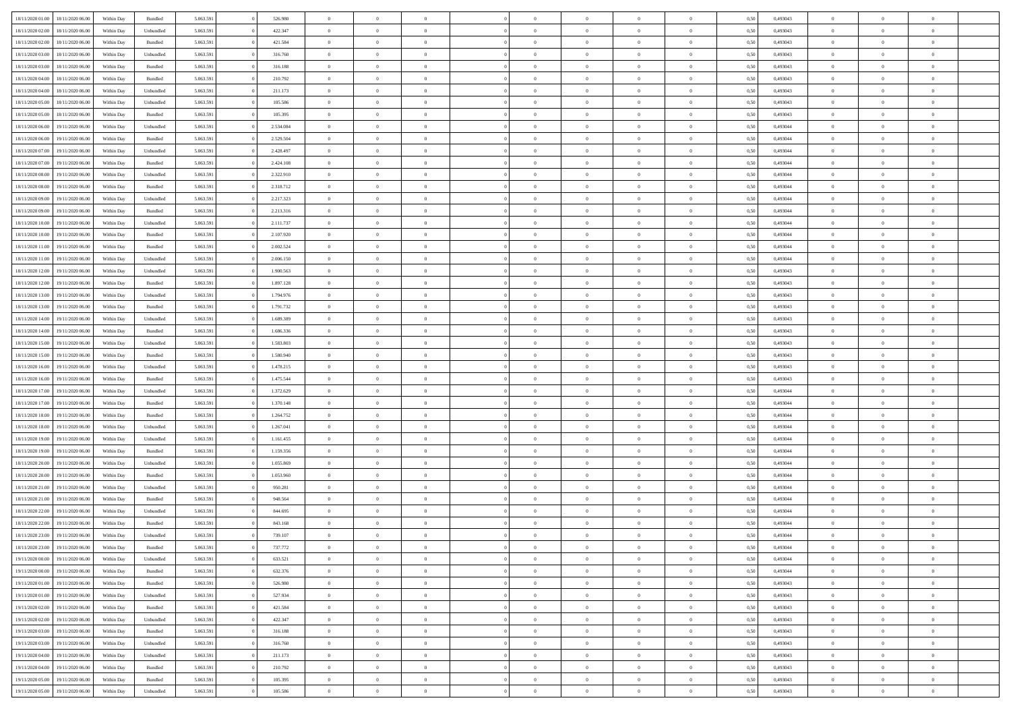| 18/11/2020 01:00 | 18/11/2020 06:00 | Within Dav | Bundled            | 5.063.591 | 526.980   | $\overline{0}$ | $\Omega$       |                | $\Omega$       | $\Omega$       | $\Omega$       | $\theta$       | 0.50 | 0,493043 | $\theta$       | $\theta$       | $\theta$       |  |
|------------------|------------------|------------|--------------------|-----------|-----------|----------------|----------------|----------------|----------------|----------------|----------------|----------------|------|----------|----------------|----------------|----------------|--|
|                  |                  |            |                    |           |           |                |                |                |                |                |                |                |      |          |                |                |                |  |
| 18/11/2020 02.00 | 18/11/2020 06.00 | Within Day | Unbundled          | 5.063.591 | 422.347   | $\overline{0}$ | $\theta$       | $\overline{0}$ | $\overline{0}$ | $\bf{0}$       | $\overline{0}$ | $\bf{0}$       | 0,50 | 0,493043 | $\theta$       | $\theta$       | $\overline{0}$ |  |
| 18/11/2020 02:00 | 18/11/2020 06.00 | Within Day | Bundled            | 5.063.591 | 421.584   | $\overline{0}$ | $\overline{0}$ | $\overline{0}$ | $\bf{0}$       | $\bf{0}$       | $\bf{0}$       | $\bf{0}$       | 0,50 | 0,493043 | $\overline{0}$ | $\overline{0}$ | $\overline{0}$ |  |
| 18/11/2020 03:00 | 18/11/2020 06:00 | Within Dav | Unbundled          | 5.063.591 | 316.760   | $\overline{0}$ | $\overline{0}$ | $\overline{0}$ | $\overline{0}$ | $\bf{0}$       | $\overline{0}$ | $\overline{0}$ | 0.50 | 0,493043 | $\theta$       | $\theta$       | $\overline{0}$ |  |
| 18/11/2020 03:00 | 18/11/2020 06.00 | Within Day | Bundled            | 5.063.591 | 316.188   | $\overline{0}$ | $\theta$       | $\overline{0}$ | $\overline{0}$ | $\bf{0}$       | $\overline{0}$ | $\bf{0}$       | 0,50 | 0,493043 | $\theta$       | $\theta$       | $\overline{0}$ |  |
|                  |                  |            |                    |           |           |                |                |                |                |                |                |                |      |          |                |                |                |  |
| 18/11/2020 04:00 | 18/11/2020 06.00 | Within Day | Bundled            | 5.063.591 | 210.792   | $\overline{0}$ | $\bf{0}$       | $\overline{0}$ | $\bf{0}$       | $\overline{0}$ | $\overline{0}$ | $\mathbf{0}$   | 0,50 | 0,493043 | $\overline{0}$ | $\overline{0}$ | $\bf{0}$       |  |
| 18/11/2020 04:00 | 18/11/2020 06:00 | Within Dav | Unbundled          | 5.063.591 | 211.173   | $\overline{0}$ | $\overline{0}$ | $\overline{0}$ | $\overline{0}$ | $\overline{0}$ | $\overline{0}$ | $\overline{0}$ | 0.50 | 0,493043 | $\theta$       | $\overline{0}$ | $\overline{0}$ |  |
| 18/11/2020 05:00 | 18/11/2020 06.00 | Within Day | Unbundled          | 5.063.591 | 105.586   | $\overline{0}$ | $\theta$       | $\overline{0}$ | $\overline{0}$ | $\bf{0}$       | $\overline{0}$ | $\bf{0}$       | 0,50 | 0,493043 | $\theta$       | $\theta$       | $\overline{0}$ |  |
| 18/11/2020 05:00 | 18/11/2020 06.00 | Within Day | Bundled            | 5.063.591 | 105.395   | $\overline{0}$ | $\overline{0}$ | $\overline{0}$ | $\bf{0}$       | $\bf{0}$       | $\bf{0}$       | $\bf{0}$       | 0,50 | 0,493043 | $\,0\,$        | $\overline{0}$ | $\overline{0}$ |  |
| 18/11/2020 06:00 | 19/11/2020 06.00 | Within Dav | Unbundled          | 5.063.591 | 2.534.084 | $\overline{0}$ | $\overline{0}$ | $\overline{0}$ | $\overline{0}$ | $\overline{0}$ | $\overline{0}$ | $\overline{0}$ | 0.50 | 0,493044 | $\theta$       | $\overline{0}$ | $\overline{0}$ |  |
| 18/11/2020 06:00 | 19/11/2020 06.00 | Within Day | Bundled            | 5.063.591 | 2.529.504 | $\overline{0}$ | $\theta$       | $\overline{0}$ | $\overline{0}$ | $\bf{0}$       | $\overline{0}$ | $\bf{0}$       | 0,50 | 0,493044 | $\theta$       | $\theta$       | $\overline{0}$ |  |
|                  |                  |            |                    |           |           |                |                |                |                |                |                |                |      |          |                |                |                |  |
| 18/11/2020 07.00 | 19/11/2020 06.00 | Within Day | Unbundled          | 5.063.591 | 2.428.497 | $\overline{0}$ | $\overline{0}$ | $\overline{0}$ | $\bf{0}$       | $\bf{0}$       | $\bf{0}$       | $\bf{0}$       | 0,50 | 0,493044 | $\overline{0}$ | $\overline{0}$ | $\overline{0}$ |  |
| 18/11/2020 07:00 | 19/11/2020 06:00 | Within Day | Bundled            | 5.063.591 | 2.424.108 | $\overline{0}$ | $\overline{0}$ | $\overline{0}$ | $\overline{0}$ | $\bf{0}$       | $\overline{0}$ | $\overline{0}$ | 0.50 | 0,493044 | $\theta$       | $\theta$       | $\overline{0}$ |  |
| 18/11/2020 08:00 | 19/11/2020 06.00 | Within Day | Unbundled          | 5.063.591 | 2.322.910 | $\overline{0}$ | $\theta$       | $\overline{0}$ | $\overline{0}$ | $\bf{0}$       | $\overline{0}$ | $\bf{0}$       | 0,50 | 0,493044 | $\theta$       | $\theta$       | $\overline{0}$ |  |
| 18/11/2020 08:00 | 19/11/2020 06.00 | Within Day | Bundled            | 5.063.591 | 2.318.712 | $\overline{0}$ | $\bf{0}$       | $\overline{0}$ | $\bf{0}$       | $\overline{0}$ | $\overline{0}$ | $\mathbf{0}$   | 0,50 | 0,493044 | $\overline{0}$ | $\overline{0}$ | $\bf{0}$       |  |
| 18/11/2020 09:00 | 19/11/2020 06:00 | Within Dav | Unbundled          | 5.063.591 | 2.217.323 | $\overline{0}$ | $\overline{0}$ | $\overline{0}$ | $\overline{0}$ | $\overline{0}$ | $\overline{0}$ | $\overline{0}$ | 0.50 | 0,493044 | $\theta$       | $\overline{0}$ | $\overline{0}$ |  |
| 18/11/2020 09:00 | 19/11/2020 06.00 | Within Day | Bundled            | 5.063.591 | 2.213.316 | $\overline{0}$ | $\theta$       | $\overline{0}$ | $\overline{0}$ | $\bf{0}$       | $\overline{0}$ | $\bf{0}$       | 0,50 | 0,493044 | $\theta$       | $\theta$       | $\overline{0}$ |  |
| 18/11/2020 10:00 | 19/11/2020 06.00 | Within Day | Unbundled          | 5.063.591 | 2.111.737 | $\overline{0}$ | $\overline{0}$ | $\overline{0}$ | $\bf{0}$       | $\bf{0}$       | $\bf{0}$       | $\bf{0}$       | 0,50 | 0,493044 | $\,0\,$        | $\overline{0}$ | $\overline{0}$ |  |
| 18/11/2020 10:00 | 19/11/2020 06:00 | Within Day | Bundled            | 5.063.591 | 2.107.920 | $\overline{0}$ | $\overline{0}$ | $\overline{0}$ | $\overline{0}$ | $\overline{0}$ | $\overline{0}$ | $\overline{0}$ | 0.50 | 0,493044 | $\theta$       | $\overline{0}$ | $\overline{0}$ |  |
|                  |                  |            |                    |           |           |                |                |                |                |                |                |                |      |          |                |                |                |  |
| 18/11/2020 11:00 | 19/11/2020 06.00 | Within Day | Bundled            | 5.063.591 | 2.002.524 | $\overline{0}$ | $\theta$       | $\overline{0}$ | $\overline{0}$ | $\bf{0}$       | $\overline{0}$ | $\bf{0}$       | 0,50 | 0,493044 | $\theta$       | $\theta$       | $\overline{0}$ |  |
| 18/11/2020 11:00 | 19/11/2020 06.00 | Within Day | Unbundled          | 5.063.591 | 2.006.150 | $\overline{0}$ | $\overline{0}$ | $\overline{0}$ | $\bf{0}$       | $\bf{0}$       | $\bf{0}$       | $\bf{0}$       | 0,50 | 0,493044 | $\,0\,$        | $\overline{0}$ | $\overline{0}$ |  |
| 18/11/2020 12:00 | 19/11/2020 06:00 | Within Day | Unbundled          | 5.063.591 | 1.900.563 | $\overline{0}$ | $\overline{0}$ | $\overline{0}$ | $\overline{0}$ | $\bf{0}$       | $\overline{0}$ | $\overline{0}$ | 0.50 | 0.493043 | $\theta$       | $\theta$       | $\overline{0}$ |  |
| 18/11/2020 12:00 | 19/11/2020 06.00 | Within Day | Bundled            | 5.063.591 | 1.897.128 | $\overline{0}$ | $\theta$       | $\overline{0}$ | $\overline{0}$ | $\bf{0}$       | $\overline{0}$ | $\bf{0}$       | 0,50 | 0,493043 | $\theta$       | $\overline{0}$ | $\overline{0}$ |  |
| 18/11/2020 13:00 | 19/11/2020 06.00 | Within Day | Unbundled          | 5.063.591 | 1.794.976 | $\overline{0}$ | $\bf{0}$       | $\overline{0}$ | $\bf{0}$       | $\overline{0}$ | $\overline{0}$ | $\mathbf{0}$   | 0,50 | 0,493043 | $\overline{0}$ | $\overline{0}$ | $\bf{0}$       |  |
| 18/11/2020 13:00 | 19/11/2020 06:00 | Within Day | Bundled            | 5.063.591 | 1.791.732 | $\overline{0}$ | $\overline{0}$ | $\overline{0}$ | $\overline{0}$ | $\overline{0}$ | $\overline{0}$ | $\overline{0}$ | 0.50 | 0,493043 | $\theta$       | $\overline{0}$ | $\overline{0}$ |  |
| 18/11/2020 14:00 | 19/11/2020 06.00 | Within Day | Unbundled          | 5.063.591 | 1.689.389 | $\overline{0}$ | $\theta$       | $\overline{0}$ | $\overline{0}$ | $\bf{0}$       | $\overline{0}$ | $\bf{0}$       | 0,50 | 0,493043 | $\theta$       | $\theta$       | $\overline{0}$ |  |
|                  |                  |            |                    |           |           |                |                |                |                |                |                |                |      |          |                |                |                |  |
| 18/11/2020 14:00 | 19/11/2020 06.00 | Within Day | Bundled            | 5.063.591 | 1.686.336 | $\overline{0}$ | $\overline{0}$ | $\overline{0}$ | $\bf{0}$       | $\bf{0}$       | $\bf{0}$       | $\bf{0}$       | 0,50 | 0,493043 | $\,0\,$        | $\overline{0}$ | $\overline{0}$ |  |
| 18/11/2020 15:00 | 19/11/2020 06:00 | Within Day | Unbundled          | 5.063.591 | 1.583.803 | $\overline{0}$ | $\overline{0}$ | $\overline{0}$ | $\overline{0}$ | $\overline{0}$ | $\overline{0}$ | $\overline{0}$ | 0.50 | 0,493043 | $\theta$       | $\overline{0}$ | $\overline{0}$ |  |
| 18/11/2020 15:00 | 19/11/2020 06.00 | Within Day | Bundled            | 5.063.591 | 1.580.940 | $\overline{0}$ | $\theta$       | $\overline{0}$ | $\overline{0}$ | $\bf{0}$       | $\overline{0}$ | $\bf{0}$       | 0,50 | 0,493043 | $\,$ 0 $\,$    | $\overline{0}$ | $\overline{0}$ |  |
| 18/11/2020 16.00 | 19/11/2020 06.00 | Within Day | Unbundled          | 5.063.591 | 1.478.215 | $\overline{0}$ | $\overline{0}$ | $\overline{0}$ | $\bf{0}$       | $\bf{0}$       | $\bf{0}$       | $\bf{0}$       | 0,50 | 0,493043 | $\overline{0}$ | $\overline{0}$ | $\overline{0}$ |  |
| 18/11/2020 16:00 | 19/11/2020 06.00 | Within Day | Bundled            | 5.063.591 | 1.475.544 | $\overline{0}$ | $\Omega$       | $\Omega$       | $\Omega$       | $\Omega$       | $\overline{0}$ | $\overline{0}$ | 0,50 | 0,493043 | $\,0\,$        | $\theta$       | $\theta$       |  |
| 18/11/2020 17:00 | 19/11/2020 06.00 | Within Day | Unbundled          | 5.063.591 | 1.372.629 | $\overline{0}$ | $\theta$       | $\overline{0}$ | $\overline{0}$ | $\bf{0}$       | $\overline{0}$ | $\bf{0}$       | 0,50 | 0,493044 | $\theta$       | $\theta$       | $\overline{0}$ |  |
| 18/11/2020 17.00 | 19/11/2020 06.00 | Within Day | Bundled            | 5.063.591 | 1.370.148 | $\overline{0}$ | $\overline{0}$ | $\overline{0}$ | $\bf{0}$       | $\bf{0}$       | $\overline{0}$ | $\mathbf{0}$   | 0,50 | 0,493044 | $\overline{0}$ | $\overline{0}$ | $\bf{0}$       |  |
|                  |                  |            |                    |           |           |                |                |                |                |                |                |                |      |          |                |                |                |  |
| 18/11/2020 18:00 | 19/11/2020 06.00 | Within Day | Bundled            | 5.063.591 | 1.264.752 | $\overline{0}$ | $\Omega$       | $\Omega$       | $\Omega$       | $\bf{0}$       | $\overline{0}$ | $\overline{0}$ | 0.50 | 0,493044 | $\theta$       | $\theta$       | $\theta$       |  |
| 18/11/2020 18:00 | 19/11/2020 06.00 | Within Day | Unbundled          | 5.063.591 | 1.267.041 | $\overline{0}$ | $\theta$       | $\overline{0}$ | $\overline{0}$ | $\bf{0}$       | $\overline{0}$ | $\bf{0}$       | 0,50 | 0,493044 | $\,$ 0 $\,$    | $\theta$       | $\overline{0}$ |  |
| 18/11/2020 19:00 | 19/11/2020 06.00 | Within Day | Unbundled          | 5.063.591 | 1.161.455 | $\overline{0}$ | $\overline{0}$ | $\overline{0}$ | $\bf{0}$       | $\bf{0}$       | $\bf{0}$       | $\bf{0}$       | 0,50 | 0,493044 | $\bf{0}$       | $\overline{0}$ | $\overline{0}$ |  |
| 18/11/2020 19:00 | 19/11/2020 06:00 | Within Day | Bundled            | 5.063.591 | 1.159.356 | $\overline{0}$ | $\Omega$       | $\Omega$       | $\Omega$       | $\theta$       | $\overline{0}$ | $\overline{0}$ | 0.50 | 0,493044 | $\theta$       | $\theta$       | $\theta$       |  |
| 18/11/2020 20.00 | 19/11/2020 06.00 | Within Day | Unbundled          | 5.063.591 | 1.055.869 | $\overline{0}$ | $\theta$       | $\overline{0}$ | $\overline{0}$ | $\bf{0}$       | $\overline{0}$ | $\bf{0}$       | 0,50 | 0,493044 | $\,$ 0 $\,$    | $\overline{0}$ | $\overline{0}$ |  |
| 18/11/2020 20.00 | 19/11/2020 06.00 | Within Day | Bundled            | 5.063.591 | 1.053.960 | $\overline{0}$ | $\overline{0}$ | $\overline{0}$ | $\bf{0}$       | $\bf{0}$       | $\bf{0}$       | $\bf{0}$       | 0,50 | 0,493044 | $\overline{0}$ | $\overline{0}$ | $\overline{0}$ |  |
| 18/11/2020 21:00 | 19/11/2020 06.00 |            |                    | 5.063.591 | 950.281   | $\overline{0}$ | $\Omega$       | $\overline{0}$ | $\Omega$       | $\Omega$       | $\overline{0}$ | $\overline{0}$ | 0,50 | 0,493044 | $\,0\,$        | $\theta$       | $\theta$       |  |
|                  |                  | Within Day | Unbundled          |           |           |                |                |                |                |                |                |                |      |          |                |                |                |  |
| 18/11/2020 21.00 | 19/11/2020 06.00 | Within Day | Bundled            | 5.063.591 | 948.564   | $\overline{0}$ | $\theta$       | $\overline{0}$ | $\overline{0}$ | $\,$ 0         | $\overline{0}$ | $\bf{0}$       | 0,50 | 0,493044 | $\,$ 0 $\,$    | $\overline{0}$ | $\overline{0}$ |  |
| 18/11/2020 22.00 | 19/11/2020 06.00 | Within Day | Unbundled          | 5.063.591 | 844.695   | $\overline{0}$ | $\overline{0}$ | $\overline{0}$ | $\bf{0}$       | $\bf{0}$       | $\bf{0}$       | $\mathbf{0}$   | 0,50 | 0,493044 | $\bf{0}$       | $\overline{0}$ | $\bf{0}$       |  |
| 18/11/2020 22.00 | 19/11/2020 06.00 | Within Day | Bundled            | 5.063.591 | 843.168   | $\overline{0}$ | $\Omega$       | $\Omega$       | $\Omega$       | $\Omega$       | $\Omega$       | $\overline{0}$ | 0.50 | 0.493044 | $\theta$       | $\theta$       | $\theta$       |  |
| 18/11/2020 23.00 | 19/11/2020 06.00 | Within Day | Unbundled          | 5.063.591 | 739.107   | $\overline{0}$ | $\,$ 0 $\,$    | $\overline{0}$ | $\bf{0}$       | $\,$ 0         | $\bf{0}$       | $\bf{0}$       | 0,50 | 0,493044 | $\,0\,$        | $\overline{0}$ | $\overline{0}$ |  |
| 18/11/2020 23:00 | 19/11/2020 06.00 | Within Day | $\mathbf B$ undled | 5.063.591 | 737.772   | $\bf{0}$       | $\bf{0}$       |                |                |                |                |                | 0,50 | 0,493044 | $\bf{0}$       | $\overline{0}$ |                |  |
| 19/11/2020 00:00 | 19/11/2020 06:00 | Within Day | Unbundled          | 5.063.591 | 633.521   | $\overline{0}$ | $\overline{0}$ | $\overline{0}$ | $\Omega$       | $\overline{0}$ | $\overline{0}$ | $\overline{0}$ | 0,50 | 0,493044 | $\theta$       | $\theta$       | $\theta$       |  |
| 19/11/2020 00.00 | 19/11/2020 06.00 | Within Day | Bundled            | 5.063.591 | 632.376   | $\overline{0}$ | $\bf{0}$       | $\overline{0}$ | $\bf{0}$       | $\,$ 0 $\,$    | $\overline{0}$ | $\,$ 0 $\,$    | 0,50 | 0,493044 | $\,$ 0 $\,$    | $\,$ 0 $\,$    | $\,$ 0         |  |
| 19/11/2020 01:00 | 19/11/2020 06.00 | Within Day | Bundled            | 5.063.591 | 526.980   | $\overline{0}$ | $\overline{0}$ | $\overline{0}$ | $\overline{0}$ | $\overline{0}$ | $\overline{0}$ | $\mathbf{0}$   | 0,50 | 0,493043 | $\overline{0}$ | $\bf{0}$       | $\bf{0}$       |  |
|                  |                  |            |                    |           |           |                |                |                |                |                |                |                |      |          |                |                |                |  |
| 19/11/2020 01:00 | 19/11/2020 06.00 | Within Day | Unbundled          | 5.063.591 | 527.934   | $\overline{0}$ | $\overline{0}$ | $\overline{0}$ | $\Omega$       | $\overline{0}$ | $\overline{0}$ | $\overline{0}$ | 0,50 | 0,493043 | $\overline{0}$ | $\,$ 0 $\,$    | $\overline{0}$ |  |
| 19/11/2020 02.00 | 19/11/2020 06.00 | Within Day | Bundled            | 5.063.591 | 421.584   | $\overline{0}$ | $\,$ 0         | $\overline{0}$ | $\bf{0}$       | $\,$ 0 $\,$    | $\overline{0}$ | $\mathbf{0}$   | 0,50 | 0,493043 | $\,$ 0 $\,$    | $\overline{0}$ | $\,$ 0         |  |
| 19/11/2020 02.00 | 19/11/2020 06.00 | Within Day | Unbundled          | 5.063.591 | 422.347   | $\overline{0}$ | $\overline{0}$ | $\overline{0}$ | $\overline{0}$ | $\overline{0}$ | $\overline{0}$ | $\mathbf{0}$   | 0,50 | 0,493043 | $\overline{0}$ | $\overline{0}$ | $\overline{0}$ |  |
| 19/11/2020 03:00 | 19/11/2020 06.00 | Within Day | Bundled            | 5.063.591 | 316.188   | $\overline{0}$ | $\overline{0}$ | $\overline{0}$ | $\overline{0}$ | $\overline{0}$ | $\overline{0}$ | $\bf{0}$       | 0.50 | 0,493043 | $\overline{0}$ | $\theta$       | $\overline{0}$ |  |
| 19/11/2020 03:00 | 19/11/2020 06.00 | Within Day | Unbundled          | 5.063.591 | 316.760   | $\overline{0}$ | $\,$ 0         | $\overline{0}$ | $\bf{0}$       | $\bf{0}$       | $\bf{0}$       | $\bf{0}$       | 0,50 | 0,493043 | $\,$ 0 $\,$    | $\overline{0}$ | $\overline{0}$ |  |
| 19/11/2020 04:00 | 19/11/2020 06.00 | Within Day | Unbundled          | 5.063.591 | 211.173   | $\overline{0}$ | $\bf{0}$       | $\overline{0}$ | $\overline{0}$ | $\overline{0}$ | $\overline{0}$ | $\mathbf{0}$   | 0,50 | 0,493043 | $\overline{0}$ | $\overline{0}$ | $\bf{0}$       |  |
| 19/11/2020 04:00 | 19/11/2020 06.00 | Within Day | Bundled            | 5.063.591 | 210.792   | $\overline{0}$ | $\overline{0}$ | $\overline{0}$ | $\Omega$       | $\overline{0}$ | $\overline{0}$ | $\overline{0}$ | 0.50 | 0,493043 | $\overline{0}$ | $\overline{0}$ | $\overline{0}$ |  |
| 19/11/2020 05:00 | 19/11/2020 06.00 | Within Day | Bundled            | 5.063.591 | 105.395   | $\overline{0}$ | $\bf{0}$       | $\overline{0}$ | $\bf{0}$       | $\bf{0}$       | $\bf{0}$       | $\mathbf{0}$   | 0,50 | 0,493043 | $\,$ 0 $\,$    | $\,$ 0 $\,$    | $\bf{0}$       |  |
|                  |                  |            |                    |           |           |                |                |                |                |                |                |                |      |          |                |                |                |  |
| 19/11/2020 05:00 | 19/11/2020 06.00 | Within Day | Unbundled          | 5.063.591 | 105.586   | $\overline{0}$ | $\overline{0}$ | $\overline{0}$ | $\overline{0}$ | $\overline{0}$ | $\bf{0}$       | $\mathbf{0}$   | 0,50 | 0,493043 | $\overline{0}$ | $\bf{0}$       | $\overline{0}$ |  |